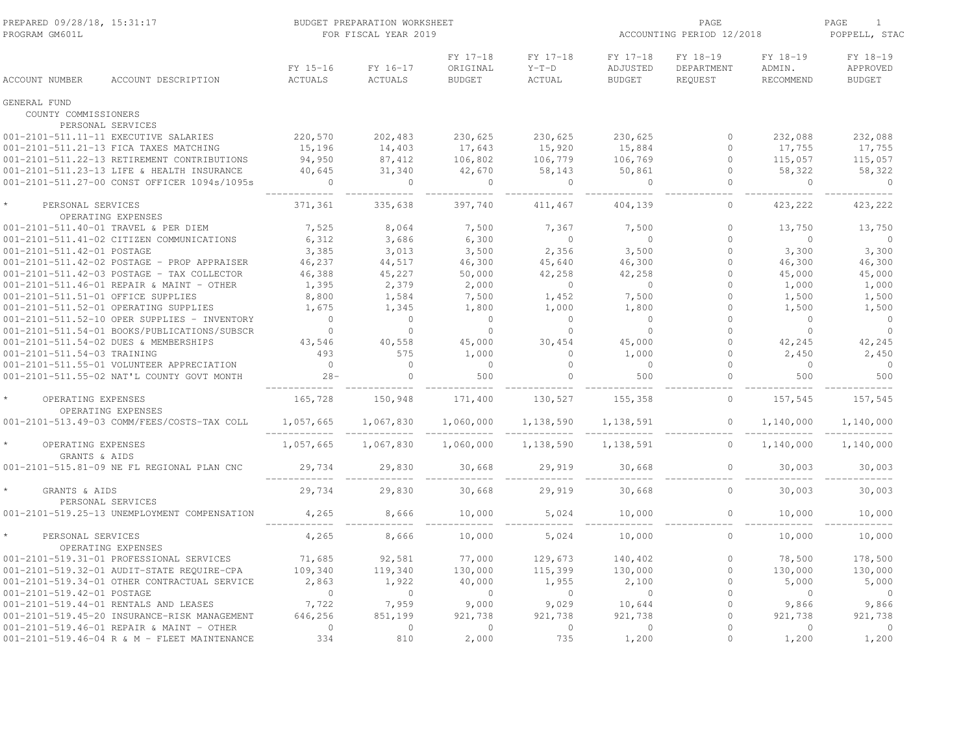| PROGRAM GM601L                       | PREPARED 09/28/18, 15:31:17<br>BUDGET PREPARATION WORKSHEET<br>FOR FISCAL YEAR 2019 |                     |                     |                                       |                               | ACCOUNTING PERIOD 12/2018             | PAGE<br>$\mathbf{1}$<br>POPPELL, STAC |                                 |                                       |
|--------------------------------------|-------------------------------------------------------------------------------------|---------------------|---------------------|---------------------------------------|-------------------------------|---------------------------------------|---------------------------------------|---------------------------------|---------------------------------------|
| ACCOUNT NUMBER                       | ACCOUNT DESCRIPTION                                                                 | FY 15-16<br>ACTUALS | FY 16-17<br>ACTUALS | FY 17-18<br>ORIGINAL<br><b>BUDGET</b> | FY 17-18<br>$Y-T-D$<br>ACTUAL | FY 17-18<br>ADJUSTED<br><b>BUDGET</b> | FY 18-19<br>DEPARTMENT<br>REQUEST     | FY 18-19<br>ADMIN.<br>RECOMMEND | FY 18-19<br>APPROVED<br><b>BUDGET</b> |
| GENERAL FUND<br>COUNTY COMMISSIONERS |                                                                                     |                     |                     |                                       |                               |                                       |                                       |                                 |                                       |
|                                      | PERSONAL SERVICES                                                                   |                     |                     |                                       |                               |                                       |                                       |                                 |                                       |
|                                      | 001-2101-511.11-11 EXECUTIVE SALARIES                                               | 220,570             | 202,483             | 230,625                               | 230,625                       | 230,625                               | $\Omega$                              | 232,088                         | 232,088                               |
|                                      | 001-2101-511.21-13 FICA TAXES MATCHING                                              | 15,196              | 14,403              | 17,643                                | 15,920                        | 15,884                                | $\Omega$                              | 17,755                          | 17,755                                |
|                                      | 001-2101-511.22-13 RETIREMENT CONTRIBUTIONS                                         | 94,950              | 87,412              | 106,802                               | 106,779                       | 106,769                               | $\Omega$                              | 115,057                         | 115,057                               |
|                                      | 001-2101-511.23-13 LIFE & HEALTH INSURANCE                                          | 40,645              | 31,340              | 42,670                                | 58,143                        | 50,861                                | $\Omega$                              | 58,322                          | 58,322                                |
|                                      | 001-2101-511.27-00 CONST OFFICER 1094s/1095s                                        | $\circ$             | $\overline{0}$      | $\circ$                               | $\circ$                       | $\sim$ 0                              | $\circ$                               | $\circ$                         | $\overline{0}$                        |
| PERSONAL SERVICES                    | OPERATING EXPENSES                                                                  | 371,361             | 335,638             | 397,740                               | 411,467                       | 404,139                               | $\overline{0}$                        | 423,222                         | 423,222                               |
|                                      | 001-2101-511.40-01 TRAVEL & PER DIEM                                                | 7,525               | 8,064               | 7,500                                 | 7,367                         | 7,500                                 | $\circ$                               | 13,750                          | 13,750                                |
|                                      | 001-2101-511.41-02 CITIZEN COMMUNICATIONS                                           | 6,312               | 3,686               | 6,300                                 | $\mathbf{0}$                  | $\overline{0}$                        | $\Omega$                              | $\bigcirc$                      | $\Omega$                              |
| 001-2101-511.42-01 POSTAGE           |                                                                                     | 3,385               | 3,013               | 3,500                                 | 2,356                         | 3,500                                 | $\Omega$                              | 3,300                           | 3,300                                 |
|                                      | 001-2101-511.42-02 POSTAGE - PROP APPRAISER                                         | 46,237              | 44,517              | 46,300                                | 45,640                        | 46,300                                | 0                                     | 46,300                          | 46,300                                |
|                                      | 001-2101-511.42-03 POSTAGE - TAX COLLECTOR                                          | 46,388              | 45,227              | 50,000                                | 42,258                        | 42,258                                | $\circ$                               | 45,000                          | 45,000                                |
|                                      | 001-2101-511.46-01 REPAIR & MAINT - OTHER                                           | 1,395               | 2,379               | 2,000                                 | $\sim$ 0                      | $\overline{0}$                        | $\Omega$                              | 1,000                           | 1,000                                 |
| 001-2101-511.51-01 OFFICE SUPPLIES   |                                                                                     | 8,800               | 1,584               | 7,500                                 | 1,452                         | 7,500                                 | $\circ$                               | 1,500                           | 1,500                                 |
|                                      | 001-2101-511.52-01 OPERATING SUPPLIES                                               | 1,675               | 1,345               | 1,800                                 | 1,000                         | 1,800                                 | $\Omega$                              | 1,500                           | 1,500                                 |
|                                      | 001-2101-511.52-10 OPER SUPPLIES - INVENTORY                                        | $\overline{0}$      | $\Omega$            | $\Omega$                              | $\Omega$                      | $\overline{0}$                        | $\Omega$                              | $\Omega$                        | $\overline{0}$                        |
|                                      | 001-2101-511.54-01 BOOKS/PUBLICATIONS/SUBSCR                                        | $\bigcirc$          | $\Omega$            | $\Omega$                              | $\Omega$                      | $\bigcirc$                            | $\Omega$                              | $\Omega$                        | $\Omega$                              |
|                                      | 001-2101-511.54-02 DUES & MEMBERSHIPS                                               | 43,546              | 40,558              | 45,000                                | 30,454                        | 45,000                                | $\Omega$                              | 42,245                          | 42,245                                |
| 001-2101-511.54-03 TRAINING          |                                                                                     | 493                 | 575                 | 1,000                                 | $\overline{0}$                | 1,000                                 | 0                                     | 2,450                           | 2,450                                 |
|                                      | 001-2101-511.55-01 VOLUNTEER APPRECIATION                                           | $\overline{0}$      | $\bigcirc$          | $\overline{0}$                        | $\Omega$                      | $\overline{0}$                        | $\Omega$                              | $\overline{0}$                  | $\overline{0}$                        |
|                                      | 001-2101-511.55-02 NAT'L COUNTY GOVT MONTH                                          | $28 -$              | $\overline{0}$      | 500                                   | $\mathbf{0}$                  | 500                                   | $\circ$                               | 500                             | 500                                   |
| OPERATING EXPENSES                   |                                                                                     | 165,728             | 150,948             | 171,400                               | 130,527                       | 155,358                               | $\Omega$                              | 157,545                         | 157,545                               |
|                                      | OPERATING EXPENSES<br>001-2101-513.49-03 COMM/FEES/COSTS-TAX COLL                   | 1,057,665           | 1,067,830           | 1,060,000                             | 1,138,590                     | 1,138,591                             | $\circ$                               | 1,140,000                       | 1,140,000                             |
|                                      |                                                                                     |                     |                     |                                       |                               |                                       |                                       |                                 |                                       |
| OPERATING EXPENSES<br>GRANTS & AIDS  |                                                                                     | 1,057,665           | 1,067,830           | 1,060,000                             | 1,138,590                     | 1,138,591                             | $\circ$                               | 1,140,000                       | 1,140,000                             |
|                                      | 001-2101-515.81-09 NE FL REGIONAL PLAN CNC                                          | 29,734              | 29,830              | 30,668                                | 29,919                        | 30,668                                | $\circ$                               | 30,003                          | 30,003                                |
| GRANTS & AIDS                        | PERSONAL SERVICES                                                                   | 29,734              | 29,830              | 30,668                                | 29,919                        | 30,668                                | $\Omega$                              | 30,003                          | 30,003                                |
|                                      | 001-2101-519.25-13 UNEMPLOYMENT COMPENSATION                                        | 4,265               | 8,666               | 10,000                                | 5,024                         | 10,000                                | $\circ$                               | 10,000                          | 10,000                                |
| PERSONAL SERVICES                    | OPERATING EXPENSES                                                                  | 4,265               | 8,666               | 10,000                                | 5,024                         | 10,000                                | $\circ$                               | 10,000                          | 10,000                                |
|                                      | 001-2101-519.31-01 PROFESSIONAL SERVICES                                            | 71,685              | 92,581              | 77,000                                | 129,673                       | 140,402                               | $\Omega$                              | 78,500                          | 178,500                               |
|                                      | 001-2101-519.32-01 AUDIT-STATE REQUIRE-CPA                                          | 109,340             | 119,340             | 130,000                               | 115,399                       | 130,000                               | $\circ$                               | 130,000                         | 130,000                               |
|                                      | 001-2101-519.34-01 OTHER CONTRACTUAL SERVICE                                        | 2,863               | 1,922               | 40,000                                | 1,955                         | 2,100                                 | $\Omega$                              | 5,000                           | 5,000                                 |
| 001-2101-519.42-01 POSTAGE           |                                                                                     | $\bigcirc$          | $\sim$ 0            | $\Omega$                              | $\sim$ 0                      | $\sim$ 0                              | $\Omega$                              | $\bigcirc$                      | $\overline{0}$                        |
|                                      | 001-2101-519.44-01 RENTALS AND LEASES                                               | 7,722               | 7,959               | 9,000                                 | 9,029                         | 10,644                                | $\circ$                               | 9,866                           | 9,866                                 |
|                                      | 001-2101-519.45-20 INSURANCE-RISK MANAGEMENT                                        | 646,256             | 851,199             | 921,738                               | 921,738                       | 921,738                               | $\Omega$                              | 921,738                         | 921,738                               |
|                                      | 001-2101-519.46-01 REPAIR & MAINT - OTHER                                           | $\overline{0}$      | $\overline{0}$      | $\Omega$                              | $\overline{0}$                | $\overline{0}$                        | $\Omega$                              | $\Omega$                        | $\overline{0}$                        |
|                                      | 001-2101-519.46-04 R & M - FLEET MAINTENANCE                                        | 334                 | 810                 | 2,000                                 | 735                           | 1,200                                 | $\Omega$                              | 1,200                           | 1,200                                 |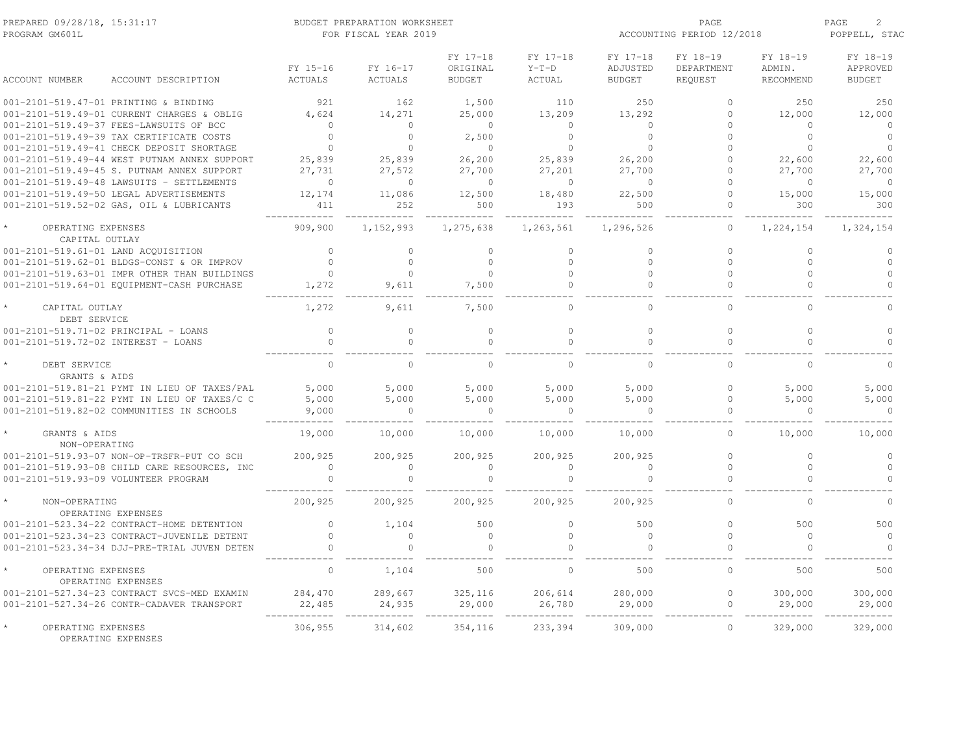| PREPARED 09/28/18, 15:31:17<br>PROGRAM GM601L | BUDGET PREPARATION WORKSHEET<br>PAGE<br>ACCOUNTING PERIOD 12/2018<br>FOR FISCAL YEAR 2019 |                |                      |                     |                      | PAGE<br>$\overline{c}$<br>POPPELL, STAC |                    |                      |
|-----------------------------------------------|-------------------------------------------------------------------------------------------|----------------|----------------------|---------------------|----------------------|-----------------------------------------|--------------------|----------------------|
|                                               | FY 15-16                                                                                  | FY 16-17       | FY 17-18<br>ORIGINAL | FY 17-18<br>$Y-T-D$ | FY 17-18<br>ADJUSTED | FY 18-19<br>DEPARTMENT                  | FY 18-19<br>ADMIN. | FY 18-19<br>APPROVED |
| <b>ACCOUNT NUMBER</b><br>ACCOUNT DESCRIPTION  | <b>ACTUALS</b>                                                                            | <b>ACTUALS</b> | <b>BUDGET</b>        | <b>ACTUAL</b>       | <b>BUDGET</b>        | REQUEST                                 | RECOMMEND          | <b>BUDGET</b>        |
| 001-2101-519.47-01 PRINTING & BINDING         | 921                                                                                       | 162            | 1,500                | 110                 | 250                  | $\Omega$                                | 250                | 250                  |
| 001-2101-519.49-01 CURRENT CHARGES & OBLIG    | 4,624                                                                                     | 14,271         | 25,000               | 13,209              | 13,292               | $\circ$                                 | 12,000             | 12,000               |
| 001-2101-519.49-37 FEES-LAWSUITS OF BCC       | $\cap$                                                                                    | $\Omega$       | $\circ$              | $\Omega$            | $\Omega$             | $\cap$                                  | $\cap$             | $\Omega$             |
| 001-2101-519.49-39 TAX CERTIFICATE COSTS      | $\Omega$                                                                                  | $\Omega$       | 2,500                | $\Omega$            | $\Omega$             | $\Omega$                                | $\circ$            | $\circ$              |
| 001-2101-519.49-41 CHECK DEPOSIT SHORTAGE     | $\Omega$                                                                                  | $\Omega$       | $\Omega$             | $\Omega$            | $\Omega$             |                                         | $\Omega$           | $\Omega$             |
| 001-2101-519.49-44 WEST PUTNAM ANNEX SUPPORT  | 25,839                                                                                    | 25,839         | 26,200               | 25,839              | 26,200               | $\Omega$                                | 22,600             | 22,600               |
| 001-2101-519.49-45 S. PUTNAM ANNEX SUPPORT    | 27,731                                                                                    | 27,572         | 27,700               | 27,201              | 27,700               | $\Omega$                                | 27,700             | 27,700               |
| 001-2101-519.49-48 LAWSUITS - SETTLEMENTS     | $\Omega$                                                                                  | $\Omega$       | $\Omega$             | $\Omega$            | $\Omega$             | $\cap$                                  | $\Omega$           | $\Omega$             |
| 001-2101-519.49-50 LEGAL ADVERTISEMENTS       | 12,174                                                                                    | 11,086         | 12,500               | 18,480              | 22,500               | $\Omega$                                | 15,000             | 15,000               |
| 001-2101-519.52-02 GAS, OIL & LUBRICANTS      | 411                                                                                       | 252            | 500                  | 193                 | 500                  | $\cap$                                  | 300                | 300                  |
| OPERATING EXPENSES<br>CAPITAL OUTLAY          | 909,900                                                                                   | 1,152,993      | 1,275,638            | 1,263,561           | 1,296,526            | $\Omega$                                | 1,224,154          | 1,324,154            |
| 001-2101-519.61-01 LAND ACQUISITION           | $\bigcap$                                                                                 | $\cap$         | $\Omega$             | $\Omega$            | $\cap$               | $\Omega$                                | $\Omega$           | $\Omega$             |
| 001-2101-519.62-01 BLDGS-CONST & OR IMPROV    | $\bigcap$                                                                                 | $\Omega$       | $\Omega$             | $\bigcap$           | $\Omega$             | $\Omega$                                | $\Omega$           | $\Omega$             |
| 001-2101-519.63-01 IMPR OTHER THAN BUILDINGS  | $\Omega$                                                                                  | $\Omega$       | $\Omega$             | $\Omega$            | $\cap$               | $\Omega$                                | $\Omega$           | $\Omega$             |
| 001-2101-519.64-01 EQUIPMENT-CASH PURCHASE    | 1,272                                                                                     | 9,611          | 7,500                | $\cap$              | $\cap$               | $\Omega$                                | $\cap$             | $\Omega$             |
| CAPITAL OUTLAY<br>DEBT SERVICE                | 1,272                                                                                     | 9,611          | 7,500                | $\Omega$            | $\Omega$             | $\Omega$                                | $\Omega$           | $\cap$               |
| 001-2101-519.71-02 PRINCIPAL - LOANS          | $\circ$                                                                                   | $\Omega$       | $\circ$              | $\circ$             | $\Omega$             | $\circ$                                 | $\circ$            | $\Omega$             |
| 001-2101-519.72-02 INTEREST - LOANS           | $\Omega$                                                                                  | $\Omega$       | $\Omega$             | $\Omega$            | $\Omega$             | $\Omega$                                | $\Omega$           | $\Omega$             |
| DEBT SERVICE<br>GRANTS & AIDS                 | $\Omega$                                                                                  | $\Omega$       | $\Omega$             | $\Omega$            | $\cap$               | $\Omega$                                | $\Omega$           | $\Omega$             |
| 001-2101-519.81-21 PYMT IN LIEU OF TAXES/PAL  | 5,000                                                                                     | 5,000          | 5,000                | 5,000               | 5,000                | $\Omega$                                | 5,000              | 5,000                |
| 001-2101-519.81-22 PYMT IN LIEU OF TAXES/C C  | 5,000                                                                                     | 5,000          | 5,000                | 5,000               | 5,000                | $\circ$                                 | 5,000              | 5,000                |
| 001-2101-519.82-02 COMMUNITIES IN SCHOOLS     | 9,000                                                                                     | $\Omega$       | $\Omega$             |                     | $\bigcirc$           | $\Omega$                                | $\Omega$           | $\Omega$             |
| GRANTS & AIDS<br>NON-OPERATING                | 19,000                                                                                    | 10,000         | 10,000               | 10,000              | 10,000               | $\circ$                                 | 10,000             | 10,000               |
| 001-2101-519.93-07 NON-OP-TRSFR-PUT CO SCH    | 200,925                                                                                   | 200,925        | 200,925              | 200,925             | 200,925              | $\bigcap$                               | $\Omega$           | $\Omega$             |
| 001-2101-519.93-08 CHILD CARE RESOURCES, INC  | $\mathbf{0}$                                                                              | $\circ$        | $\circ$              | $\mathbf{0}$        | $\Omega$             | $\circ$                                 | $\Omega$           | $\Omega$             |
| 001-2101-519.93-09 VOLUNTEER PROGRAM          | $\mathbf{0}$                                                                              | $\cap$         | $\Omega$             | $\Omega$            | $\cap$               | $\cap$                                  |                    |                      |
| NON-OPERATING<br>OPERATING EXPENSES           | 200,925                                                                                   | 200,925        | 200,925              | 200,925             | 200,925              | $\Omega$                                | $\Omega$           | $\Omega$             |
| 001-2101-523.34-22 CONTRACT-HOME DETENTION    | $\Omega$                                                                                  | 1,104          | 500                  | $\Omega$            | 500                  | $\Omega$                                | 500                | 500                  |
| 001-2101-523.34-23 CONTRACT-JUVENILE DETENT   | $\Omega$                                                                                  | $\Omega$       | $\Omega$             | $\Omega$            | $\Omega$             | $\Omega$                                | $\Omega$           | $\Omega$             |
| 001-2101-523.34-34 DJJ-PRE-TRIAL JUVEN DETEN  |                                                                                           |                | $\Omega$             |                     |                      |                                         | $\cap$             | $\cap$               |
|                                               | $\Omega$                                                                                  |                | 500                  | $\bigcap$           |                      | $\Omega$                                | 500                | 500                  |
| OPERATING EXPENSES<br>OPERATING EXPENSES      |                                                                                           | 1,104          |                      |                     | 500                  |                                         |                    |                      |
| 001-2101-527.34-23 CONTRACT SVCS-MED EXAMIN   | 284,470                                                                                   | 289,667        | 325,116              | 206,614             | 280,000              | $\Omega$                                | 300,000            | 300,000              |
| 001-2101-527.34-26 CONTR-CADAVER TRANSPORT    | 22,485                                                                                    | 24,935         | 29,000               | 26,780              | 29,000               | $\mathbf{0}$                            | 29,000             | 29,000               |
|                                               |                                                                                           |                |                      |                     |                      |                                         |                    |                      |
| OPERATING EXPENSES<br>OPERATING EXPENSES      | 306,955                                                                                   | 314,602        | 354,116              | 233,394             | 309,000              | $\mathbf{0}$                            | 329,000            | 329,000              |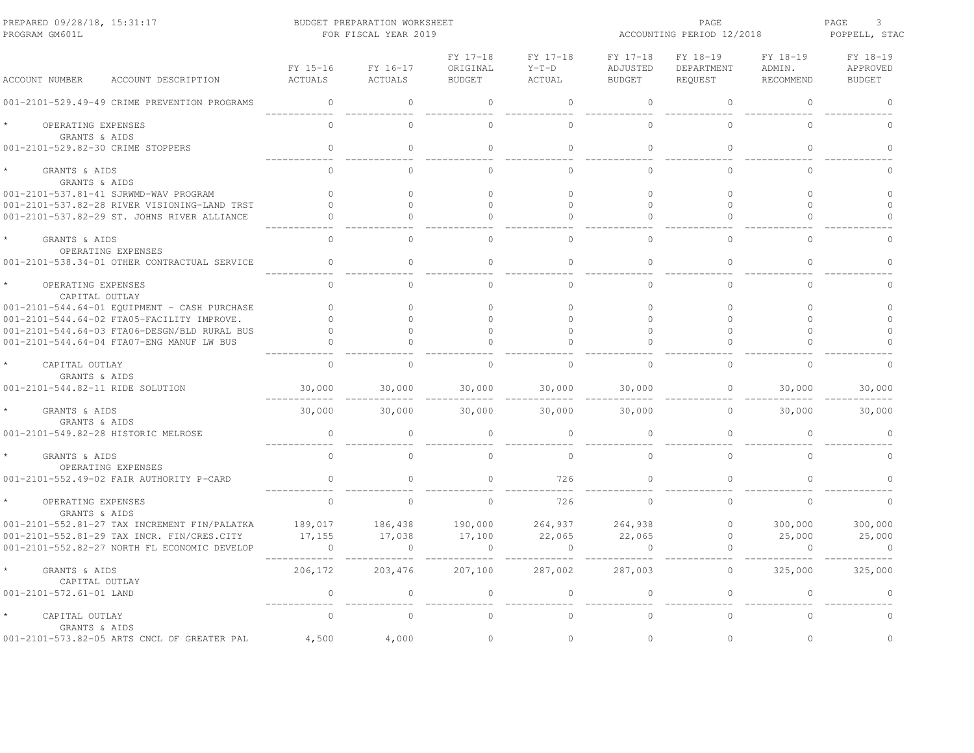| PREPARED 09/28/18, 15:31:17<br>PROGRAM GM601L                      | BUDGET PREPARATION WORKSHEET<br>FOR FISCAL YEAR 2019 |                     |                                       |                                      |                                       | PAGE<br>ACCOUNTING PERIOD 12/2018 |                                 |                                       |  |
|--------------------------------------------------------------------|------------------------------------------------------|---------------------|---------------------------------------|--------------------------------------|---------------------------------------|-----------------------------------|---------------------------------|---------------------------------------|--|
| <b>ACCOUNT NUMBER</b><br>ACCOUNT DESCRIPTION                       | FY 15-16<br><b>ACTUALS</b>                           | FY 16-17<br>ACTUALS | FY 17-18<br>ORIGINAL<br><b>BUDGET</b> | FY 17-18<br>$Y-T-D$<br><b>ACTUAL</b> | FY 17-18<br>ADJUSTED<br><b>BUDGET</b> | FY 18-19<br>DEPARTMENT<br>REQUEST | FY 18-19<br>ADMIN.<br>RECOMMEND | FY 18-19<br>APPROVED<br><b>BUDGET</b> |  |
| 001-2101-529.49-49 CRIME PREVENTION PROGRAMS                       | $\mathbf{0}$                                         | $\circ$             | $\circ$                               | $\mathbf{0}$                         | $\mathbf{0}$                          | $\mathbf{0}$                      | $\circ$                         | $\Omega$                              |  |
| OPERATING EXPENSES<br>GRANTS & AIDS                                | $\Omega$                                             | $\Omega$            | $\Omega$                              | $\Omega$                             | $\Omega$                              | $\Omega$                          | $\Omega$                        | $\cap$                                |  |
| 001-2101-529.82-30 CRIME STOPPERS                                  | $\circ$                                              | $\circ$             | $\circ$                               | $\mathbf{0}$                         | $\circ$                               | $\circ$                           | $\Omega$                        | $\cap$                                |  |
| GRANTS & AIDS<br>GRANTS & AIDS                                     | $\Omega$                                             | $\Omega$            | $\Omega$                              | $\Omega$                             | $\Omega$                              | $\Omega$                          | $\Omega$                        | $\Omega$                              |  |
| 001-2101-537.81-41 SJRWMD-WAV PROGRAM                              | $\Omega$                                             | $\circ$             | $\circ$                               | $\Omega$                             | $\Omega$                              | $\circ$                           | $\circ$                         | $\circ$                               |  |
| 001-2101-537.82-28 RIVER VISIONING-LAND TRST                       | $\Omega$                                             | $\Omega$            | $\Omega$                              | $\Omega$                             | $\Omega$                              | $\Omega$                          | $\Omega$                        | $\Omega$                              |  |
| 001-2101-537.82-29 ST. JOHNS RIVER ALLIANCE                        |                                                      | $\Omega$            | $\Omega$                              | $\Omega$                             | $\Omega$                              | $\Omega$                          | $\Omega$                        | $\cap$                                |  |
| GRANTS & AIDS                                                      | $\cap$                                               | $\Omega$            | $\cap$                                | $\Omega$                             | $\cap$                                | $\cap$                            | $\cap$                          | $\Omega$                              |  |
| OPERATING EXPENSES<br>001-2101-538.34-01 OTHER CONTRACTUAL SERVICE | $\Omega$                                             | $\circ$             | $\Omega$                              | $\circ$                              | $\circ$                               | $\mathbf{0}$                      | $\Omega$                        | $\Omega$                              |  |
| OPERATING EXPENSES<br>CAPITAL OUTLAY                               | $\Omega$                                             | $\Omega$            | $\Omega$                              | $\Omega$                             | $\Omega$                              | $\Omega$                          | $\Omega$                        | $\Omega$                              |  |
| 001-2101-544.64-01 EQUIPMENT - CASH PURCHASE                       | $\Omega$                                             | $\Omega$            | $\Omega$                              | $\Omega$                             | $\Omega$                              | $\Omega$                          | $\Omega$                        | $\Omega$                              |  |
| 001-2101-544.64-02 FTA05-FACILITY IMPROVE.                         | $\Omega$                                             | $\Omega$            | $\cap$                                | $\bigcap$                            | $\bigcap$                             | $\cap$                            | $\cap$                          | $\Omega$                              |  |
| 001-2101-544.64-03 FTA06-DESGN/BLD RURAL BUS                       | $\Omega$                                             | $\Omega$            | $\Omega$                              | $\Omega$                             | $\Omega$                              | $\circ$                           | $\Omega$                        | $\Omega$                              |  |
| 001-2101-544.64-04 FTA07-ENG MANUF LW BUS                          |                                                      | $\Omega$            | $\cap$                                | $\Omega$                             |                                       |                                   | $\Omega$                        |                                       |  |
| CAPITAL OUTLAY<br>GRANTS & AIDS                                    | $\Omega$                                             | $\cap$              | $\cap$                                | $\Omega$                             | $\cap$                                | $\cap$                            | $\cap$                          |                                       |  |
| 001-2101-544.82-11 RIDE SOLUTION                                   | 30,000                                               | 30,000              | 30,000                                | 30,000                               | 30,000                                | $\circ$                           | 30,000                          | 30,000                                |  |
| GRANTS & AIDS<br>GRANTS & AIDS                                     | 30,000                                               | 30,000              | 30,000                                | 30,000                               | 30,000                                | $\circ$                           | 30,000                          | 30,000                                |  |
| 001-2101-549.82-28 HISTORIC MELROSE                                | $\mathbf{0}$                                         | $\circ$             | $\circ$                               | $\circ$                              | $\Omega$                              | $\circ$                           | $\circ$                         | $\Omega$                              |  |
| GRANTS & AIDS<br>OPERATING EXPENSES                                | $\Omega$                                             | $\Omega$            | $\Omega$                              | $\Omega$                             | $\bigcap$                             | $\Omega$                          | $\Omega$                        | $\Omega$                              |  |
| 001-2101-552.49-02 FAIR AUTHORITY P-CARD                           | $\Omega$                                             | $\Omega$            | $\Omega$                              | 726                                  | $\Omega$                              | $\Omega$                          | $\Omega$                        |                                       |  |
| OPERATING EXPENSES<br>GRANTS & AIDS                                | $\mathbf{0}$                                         | $\circ$             | $\circ$                               | 726                                  | $\Omega$                              | $\Omega$                          | $\circ$                         | $\circ$                               |  |
| 001-2101-552.81-27 TAX INCREMENT FIN/PALATKA                       | 189,017                                              | 186,438             | 190,000                               | 264,937                              | 264,938                               | $\mathbf{0}$                      | 300,000                         | 300,000                               |  |
| 001-2101-552.81-29 TAX INCR. FIN/CRES.CITY                         | 17,155                                               | 17,038              | 17,100                                | 22,065                               | 22,065                                | $\circ$                           | 25,000                          | 25,000                                |  |
| 001-2101-552.82-27 NORTH FL ECONOMIC DEVELOP                       | $\circ$                                              | $\overline{0}$      | $\overline{0}$                        | $\circ$                              | $\overline{0}$                        | $\circ$                           | $\circ$                         | $\circ$                               |  |
| GRANTS & AIDS<br>CAPITAL OUTLAY                                    | 206,172                                              | 203,476             | 207,100                               | 287,002                              | 287,003                               | $\circ$                           | 325,000                         | 325,000                               |  |
| 001-2101-572.61-01 LAND                                            | $\mathbf{0}$                                         | $\circ$             | $\circ$                               | $\circ$                              | $\mathbf{0}$                          | $\bigcap$                         | $\circ$                         | $\Omega$                              |  |
| CAPITAL OUTLAY<br>GRANTS & AIDS                                    | $\Omega$                                             | $\Omega$            | $\Omega$                              | $\Omega$                             | $\Omega$                              | $\circ$                           | $\Omega$                        | $\Omega$                              |  |
| 001-2101-573.82-05 ARTS CNCL OF GREATER PAL                        | 4,500                                                | 4,000               | $\circ$                               | $\circ$                              | $\Omega$                              | $\Omega$                          | $\Omega$                        | $\Omega$                              |  |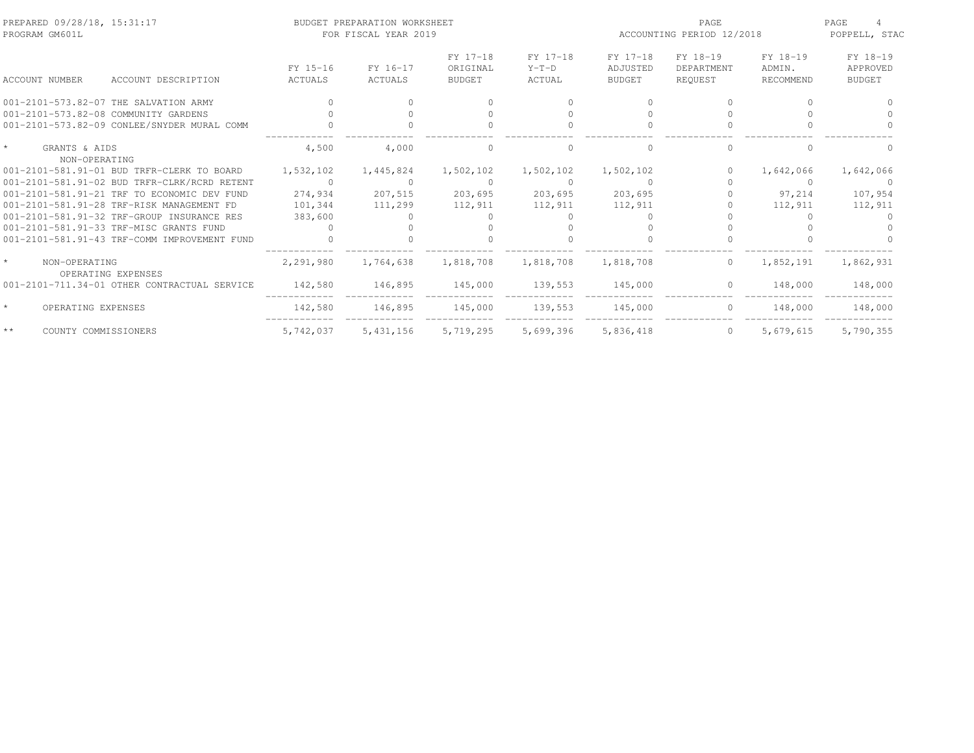| PREPARED 09/28/18, 15:31:17<br>PROGRAM GM601L  |           | BUDGET PREPARATION WORKSHEET<br>FOR FISCAL YEAR 2019 |                      |                     | ACCOUNTING PERIOD 12/2018 | PAGE<br>POPPELL, STAC  |                    |                      |
|------------------------------------------------|-----------|------------------------------------------------------|----------------------|---------------------|---------------------------|------------------------|--------------------|----------------------|
|                                                | FY 15-16  | FY 16-17                                             | FY 17-18<br>ORIGINAL | FY 17-18<br>$Y-T-D$ | FY 17-18<br>ADJUSTED      | FY 18-19<br>DEPARTMENT | FY 18-19<br>ADMIN. | FY 18-19<br>APPROVED |
| ACCOUNT NUMBER<br>ACCOUNT DESCRIPTION          | ACTUALS   | <b>ACTUALS</b>                                       | <b>BUDGET</b>        | ACTUAL              | <b>BUDGET</b>             | REQUEST                | RECOMMEND          | <b>BUDGET</b>        |
| 001-2101-573.82-07 THE SALVATION ARMY          |           |                                                      |                      |                     |                           |                        | ∩                  |                      |
| 001-2101-573.82-08 COMMUNITY GARDENS           |           |                                                      |                      |                     |                           |                        |                    |                      |
| 001-2101-573.82-09 CONLEE/SNYDER MURAL COMM    |           |                                                      |                      |                     |                           |                        |                    |                      |
| $\star$<br>GRANTS & AIDS<br>NON-OPERATING      | 4,500     | 4,000                                                | $\bigcap$            |                     |                           |                        |                    |                      |
| 001-2101-581.91-01 BUD TRFR-CLERK TO BOARD     | 1,532,102 | 1,445,824                                            | 1,502,102            | 1,502,102           | 1,502,102                 |                        | 1,642,066          | 1,642,066            |
| 001-2101-581.91-02 BUD TRFR-CLRK/RCRD RETENT   | $\Omega$  |                                                      | $\Omega$             | $\Omega$            |                           |                        | $\Omega$           |                      |
| 001-2101-581.91-21 TRF TO ECONOMIC DEV FUND    | 274,934   | 207,515                                              | 203,695              | 203,695             | 203,695                   |                        | 97,214             | 107,954              |
| 001-2101-581.91-28 TRF-RISK MANAGEMENT FD      | 101,344   | 111,299                                              | 112,911              | 112,911             | 112,911                   |                        | 112,911            | 112,911              |
| 001-2101-581.91-32 TRF-GROUP INSURANCE RES     | 383,600   |                                                      |                      |                     |                           |                        |                    |                      |
| 001-2101-581.91-33 TRF-MISC GRANTS FUND        |           |                                                      |                      |                     |                           |                        |                    |                      |
| 001-2101-581.91-43 TRF-COMM IMPROVEMENT FUND   |           |                                                      |                      |                     |                           |                        |                    |                      |
| $\star$<br>NON-OPERATING<br>OPERATING EXPENSES | 2,291,980 | 1,764,638                                            | 1,818,708            | 1,818,708           | 1,818,708                 | $\circ$                | 1,852,191          | 1,862,931            |
| 001-2101-711.34-01 OTHER CONTRACTUAL SERVICE   | 142,580   | 146,895                                              | 145,000              | 139,553             | 145,000                   | $\Omega$               | 148,000            | 148,000              |
| $\star$<br>OPERATING EXPENSES                  | 142,580   | 146,895                                              | 145,000              | 139,553             | 145,000                   | $\circ$                | 148,000            | 148,000              |
| $\star\star$<br>COUNTY COMMISSIONERS           | 5,742,037 | 5,431,156                                            | 5,719,295            | 5,699,396           | 5,836,418                 | $\circ$                | 5,679,615          | 5,790,355            |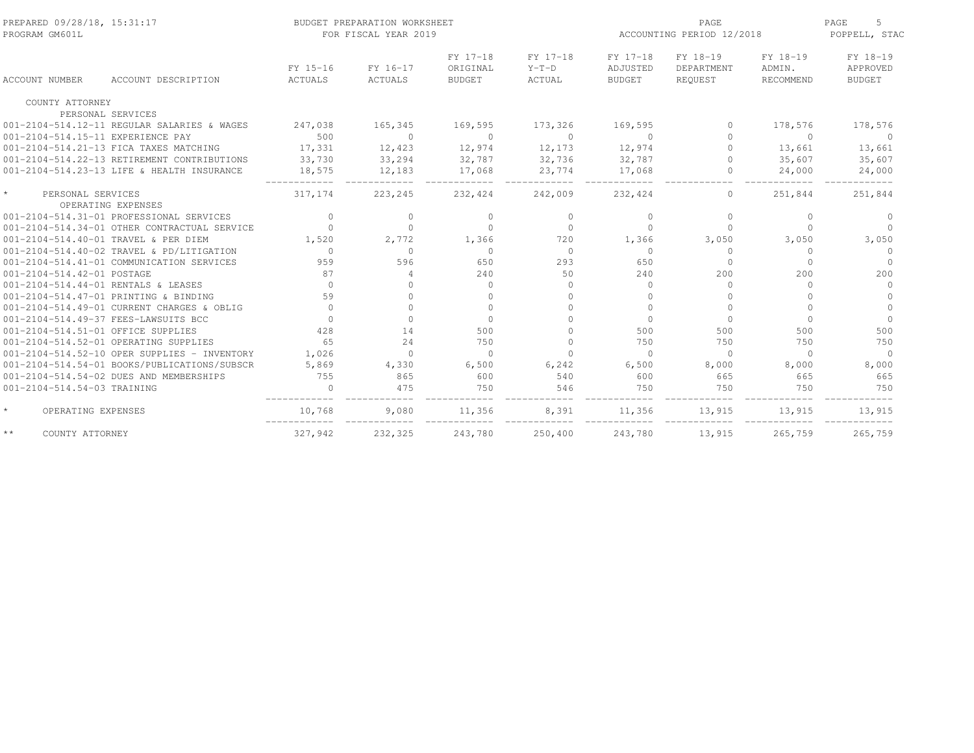| PREPARED 09/28/18, 15:31:17<br>PROGRAM GM601L |                                              |                     | BUDGET PREPARATION WORKSHEET<br>FOR FISCAL YEAR 2019 |                                       |                               | ACCOUNTING PERIOD 12/2018             |                                   | PAGE<br>5<br>POPPELL, STAC      |                                       |
|-----------------------------------------------|----------------------------------------------|---------------------|------------------------------------------------------|---------------------------------------|-------------------------------|---------------------------------------|-----------------------------------|---------------------------------|---------------------------------------|
| <b>ACCOUNT NUMBER</b>                         | ACCOUNT DESCRIPTION                          | FY 15-16<br>ACTUALS | FY 16-17<br>ACTUALS                                  | FY 17-18<br>ORIGINAL<br><b>BUDGET</b> | FY 17-18<br>$Y-T-D$<br>ACTUAL | FY 17-18<br>ADJUSTED<br><b>BUDGET</b> | FY 18-19<br>DEPARTMENT<br>REQUEST | FY 18-19<br>ADMIN.<br>RECOMMEND | FY 18-19<br>APPROVED<br><b>BUDGET</b> |
| COUNTY ATTORNEY                               |                                              |                     |                                                      |                                       |                               |                                       |                                   |                                 |                                       |
| PERSONAL SERVICES                             |                                              |                     |                                                      |                                       |                               |                                       |                                   |                                 |                                       |
|                                               | 001-2104-514.12-11 REGULAR SALARIES & WAGES  | 247,038             | 165,345                                              | 169,595                               | 173,326                       | 169,595                               | $\Omega$                          | 178,576                         | 178,576                               |
| 001-2104-514.15-11 EXPERIENCE PAY             |                                              | 500                 | $\Omega$                                             | $\Omega$                              | $\Omega$                      | $\Omega$                              | $\bigcap$                         | $\Omega$                        | $\Omega$                              |
|                                               | 001-2104-514.21-13 FICA TAXES MATCHING       | 17,331              | 12,423                                               | 12,974                                | 12,173                        | 12,974                                | $\bigcap$                         | 13,661                          | 13,661                                |
|                                               | 001-2104-514.22-13 RETIREMENT CONTRIBUTIONS  | 33,730              | 33,294                                               | 32,787                                | 32,736                        | 32,787                                | $\Omega$                          | 35,607                          | 35,607                                |
|                                               | 001-2104-514.23-13 LIFE & HEALTH INSURANCE   | 18,575              | 12,183                                               | 17,068                                | 23,774                        | 17,068                                | $\Omega$                          | 24,000                          | 24,000                                |
| $\star$<br>PERSONAL SERVICES                  | OPERATING EXPENSES                           | 317,174             | 223,245                                              | 232,424                               | 242,009                       | 232,424                               | $\circ$                           | 251,844                         | 251,844                               |
|                                               | 001-2104-514.31-01 PROFESSIONAL SERVICES     | $\Omega$            | $\bigcap$                                            | $\Omega$                              | $\Omega$                      | $\Omega$                              | $\Omega$                          | $\Omega$                        | $\Omega$                              |
|                                               | 001-2104-514.34-01 OTHER CONTRACTUAL SERVICE |                     | $\bigcap$                                            | $\Omega$                              | $\Omega$                      | $\Omega$                              | $\Omega$                          | $\Omega$                        | $\Omega$                              |
| 001-2104-514.40-01 TRAVEL & PER DIEM          |                                              | 1,520               | 2,772                                                | 1,366                                 | 720                           | 1,366                                 | 3,050                             | 3,050                           | 3,050                                 |
|                                               | 001-2104-514.40-02 TRAVEL & PD/LITIGATION    | $\Omega$            | $\cap$                                               | $\Omega$                              | $\Omega$                      | $\Omega$                              | $\Omega$                          | $\Omega$                        | $\Omega$                              |
|                                               | 001-2104-514.41-01 COMMUNICATION SERVICES    | 959                 | 596                                                  | 650                                   | 293                           | 650                                   | $\bigcap$                         | $\cap$                          | $\Omega$                              |
| 001-2104-514.42-01 POSTAGE                    |                                              | 87                  | 4                                                    | 240                                   | 50                            | 240                                   | 200                               | 200                             | 200                                   |
| 001-2104-514.44-01 RENTALS & LEASES           |                                              | $\Omega$            |                                                      | $\Omega$                              | $\Omega$                      | $\Omega$                              | $\Omega$                          | $\cap$                          | $\Omega$                              |
| 001-2104-514.47-01 PRINTING & BINDING         |                                              | 59                  |                                                      | $\Omega$                              | $\Omega$                      |                                       |                                   |                                 | $\Omega$                              |
|                                               | 001-2104-514.49-01 CURRENT CHARGES & OBLIG   | $\Omega$            | $\cap$                                               | $\Omega$                              |                               | $\Omega$                              |                                   | $\cap$                          | $\Omega$                              |
| 001-2104-514.49-37 FEES-LAWSUITS BCC          |                                              |                     | $\Omega$                                             | $\Omega$                              |                               | $\bigcap$                             | $\Omega$                          | $\Omega$                        | $\Omega$                              |
| 001-2104-514.51-01 OFFICE SUPPLIES            |                                              | 428                 | 14                                                   | 500                                   |                               | 500                                   | 500                               | 500                             | 500                                   |
| 001-2104-514.52-01 OPERATING SUPPLIES         |                                              | 65                  | 24                                                   | 750                                   | $\Omega$                      | 750                                   | 750                               | 750                             | 750                                   |
|                                               | 001-2104-514.52-10 OPER SUPPLIES - INVENTORY | 1,026               | $\cap$                                               | $\Omega$                              | $\Omega$                      | $\Omega$                              | $\Omega$                          | $\Omega$                        | $\Omega$                              |
|                                               | 001-2104-514.54-01 BOOKS/PUBLICATIONS/SUBSCR | 5,869               | 4,330                                                | 6,500                                 | 6,242                         | 6,500                                 | 8,000                             | 8,000                           | 8,000                                 |
|                                               | 001-2104-514.54-02 DUES AND MEMBERSHIPS      | 755                 | 865                                                  | 600                                   | 540                           | 600                                   | 665                               | 665                             | 665                                   |
| 001-2104-514.54-03 TRAINING                   |                                              |                     | 475                                                  | 750                                   | 546                           | 750                                   | 750                               | 750                             | 750                                   |
| $\star$<br>OPERATING EXPENSES                 |                                              | 10,768              | 9,080                                                | 11,356                                | 8,391                         | 11,356                                | 13,915                            | 13,915                          | 13,915                                |
| $\star\star$<br>COUNTY ATTORNEY               |                                              | 327,942             | 232,325                                              | 243,780                               | 250,400                       | 243,780                               | 13,915                            | 265,759                         | 265,759                               |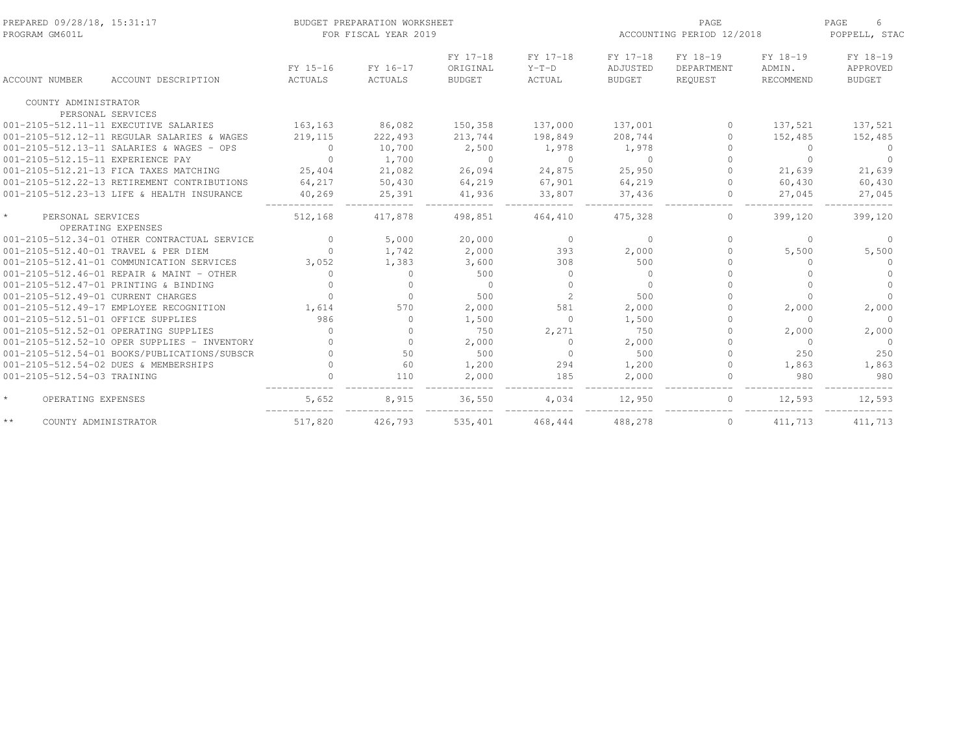| PREPARED 09/28/18, 15:31:17<br>PROGRAM GM601L |                     |                     | BUDGET PREPARATION WORKSHEET<br>FOR FISCAL YEAR 2019 |                                       |                               | ACCOUNTING PERIOD 12/2018             | PAGE<br>6<br>POPPELL, STAC        |                                 |                                       |
|-----------------------------------------------|---------------------|---------------------|------------------------------------------------------|---------------------------------------|-------------------------------|---------------------------------------|-----------------------------------|---------------------------------|---------------------------------------|
| ACCOUNT NUMBER                                | ACCOUNT DESCRIPTION | FY 15-16<br>ACTUALS | FY 16-17<br><b>ACTUALS</b>                           | FY 17-18<br>ORIGINAL<br><b>BUDGET</b> | FY 17-18<br>$Y-T-D$<br>ACTUAL | FY 17-18<br>ADJUSTED<br><b>BUDGET</b> | FY 18-19<br>DEPARTMENT<br>REQUEST | FY 18-19<br>ADMIN.<br>RECOMMEND | FY 18-19<br>APPROVED<br><b>BUDGET</b> |
| COUNTY ADMINISTRATOR                          |                     |                     |                                                      |                                       |                               |                                       |                                   |                                 |                                       |
| PERSONAL SERVICES                             |                     |                     |                                                      |                                       |                               |                                       |                                   |                                 |                                       |
| 001-2105-512.11-11 EXECUTIVE SALARIES         |                     | 163,163             | 86,082                                               | 150,358                               | 137,000                       | 137,001                               | $\Omega$                          | 137,521                         | 137,521                               |
| 001-2105-512.12-11 REGULAR SALARIES & WAGES   |                     | 219, 115            | 222,493                                              | 213,744                               | 198,849                       | 208,744                               | $\Omega$                          | 152,485                         | 152,485                               |
| 001-2105-512.13-11 SALARIES & WAGES - OPS     |                     | $\Omega$            | 10,700                                               | 2,500                                 | 1,978                         | 1,978                                 | $\bigcap$                         | $\Omega$                        | $\Omega$                              |
| 001-2105-512.15-11 EXPERIENCE PAY             |                     | $\Omega$            | 1,700                                                | $\Omega$                              | $\Omega$                      | $\bigcirc$                            |                                   | $\Omega$                        | $\Omega$                              |
| 001-2105-512.21-13 FICA TAXES MATCHING        |                     | 25,404              | 21,082                                               | 26,094                                | 24,875                        | 25,950                                |                                   | 21,639                          | 21,639                                |
| 001-2105-512.22-13 RETIREMENT CONTRIBUTIONS   |                     | 64,217              | 50,430                                               | 64,219                                | 67,901                        | 64,219                                | $\Omega$                          | 60,430                          | 60,430                                |
| 001-2105-512.23-13 LIFE & HEALTH INSURANCE    |                     | 40,269              | 25,391                                               | 41,936                                | 33,807                        | 37,436                                | $\mathbf{0}$                      | 27,045                          | 27,045                                |
| $\star$<br>PERSONAL SERVICES                  |                     | 512,168             | 417.878                                              | 498,851                               | 464,410                       | 475,328                               | $\Omega$                          | 399,120                         | 399,120                               |
| OPERATING EXPENSES                            |                     |                     |                                                      |                                       |                               |                                       |                                   |                                 |                                       |
| 001-2105-512.34-01 OTHER CONTRACTUAL SERVICE  |                     | $\Omega$            | 5,000                                                | 20,000                                | $\overline{0}$                | $\circ$                               | $\bigcap$                         | $\Omega$                        | $\Omega$                              |
| 001-2105-512.40-01 TRAVEL & PER DIEM          |                     | $\cap$              | 1,742                                                | 2,000                                 | 393                           | 2,000                                 | ∩.                                | 5,500                           | 5,500                                 |
| 001-2105-512.41-01 COMMUNICATION SERVICES     |                     | 3,052               | 1,383                                                | 3,600                                 | 308                           | 500                                   |                                   | $\Omega$                        | $\Omega$                              |
| 001-2105-512.46-01 REPAIR & MAINT - OTHER     |                     | $\Omega$            | $\Omega$                                             | 500                                   | $\Omega$                      | $\Omega$                              |                                   | $\Omega$                        |                                       |
| 001-2105-512.47-01 PRINTING & BINDING         |                     |                     | $\Omega$                                             | $\Omega$                              | $\Omega$                      | $\cap$                                |                                   | $\Omega$                        | $\Omega$                              |
| 001-2105-512.49-01 CURRENT CHARGES            |                     |                     | $\Omega$                                             | 500                                   | 2                             | 500                                   |                                   | $\Omega$                        | $\Omega$                              |
| 001-2105-512.49-17 EMPLOYEE RECOGNITION       |                     | 1,614               | 570                                                  | 2,000                                 | 581                           | 2,000                                 |                                   | 2,000                           | 2,000                                 |
| 001-2105-512.51-01 OFFICE SUPPLIES            |                     | 986                 | $\Omega$                                             | 1,500                                 | $\Omega$                      | 1,500                                 |                                   | $\Omega$                        | $\Omega$                              |
| 001-2105-512.52-01 OPERATING SUPPLIES         |                     | $\Omega$            | $\Omega$                                             | 750                                   | 2,271                         | 750                                   | 0                                 | 2,000                           | 2,000                                 |
| 001-2105-512.52-10 OPER SUPPLIES - INVENTORY  |                     |                     | $\Omega$                                             | 2,000                                 | $\Omega$                      | 2,000                                 |                                   | $\Omega$                        | $\Omega$                              |
| 001-2105-512.54-01 BOOKS/PUBLICATIONS/SUBSCR  |                     |                     | 50                                                   | 500                                   | $\Omega$                      | 500                                   |                                   | 250                             | 250                                   |
| 001-2105-512.54-02 DUES & MEMBERSHIPS         |                     |                     | 60                                                   | 1,200                                 | 294                           | 1,200                                 | $\Omega$                          | 1,863                           | 1,863                                 |
| 001-2105-512.54-03 TRAINING                   |                     |                     | 110                                                  | 2,000                                 | 185                           | 2,000                                 |                                   | 980                             | 980                                   |
| $\star$<br>OPERATING EXPENSES                 |                     | 5,652               | 8,915                                                | 36,550                                | 4,034                         | 12,950                                | $\Omega$                          | 12,593                          | 12,593                                |
| $\star\star$<br>COUNTY ADMINISTRATOR          |                     | 517,820             | 426,793                                              | 535,401                               | 468,444                       | 488,278                               | $\mathbf{0}$                      | 411,713                         | 411,713                               |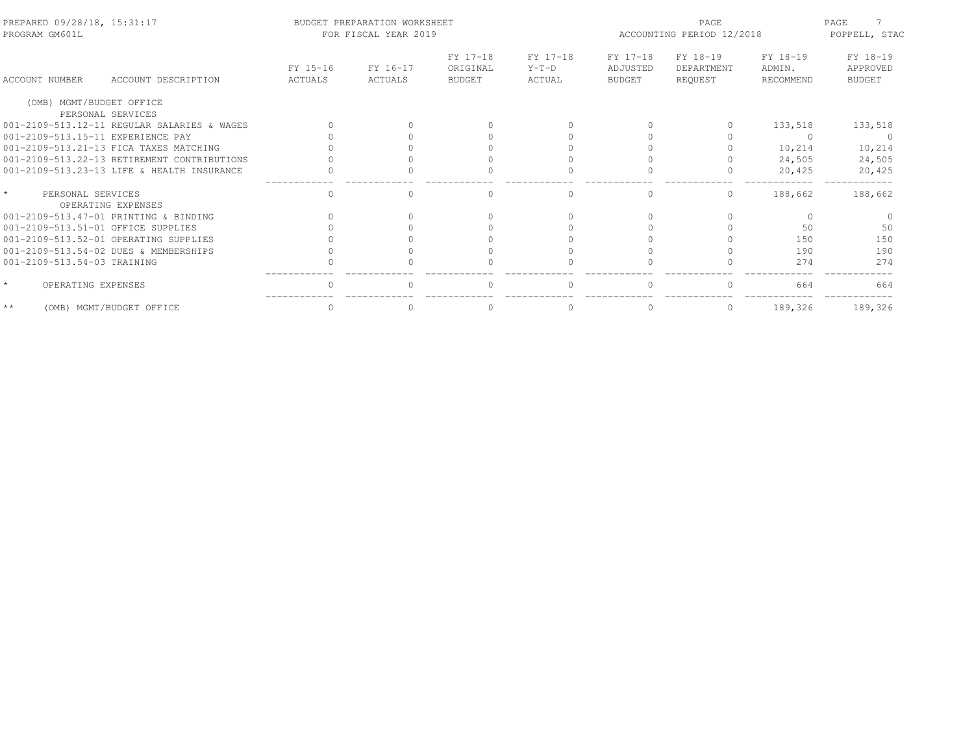| PREPARED 09/28/18, 15:31:17<br>PROGRAM GM601L |                                             |                     | BUDGET PREPARATION WORKSHEET<br>FOR FISCAL YEAR 2019 |                                       | ACCOUNTING PERIOD 12/2018     | PAGE<br>POPPELL, STAC          |                                   |                                 |                                       |
|-----------------------------------------------|---------------------------------------------|---------------------|------------------------------------------------------|---------------------------------------|-------------------------------|--------------------------------|-----------------------------------|---------------------------------|---------------------------------------|
| <b>ACCOUNT NUMBER</b>                         | ACCOUNT DESCRIPTION                         | FY 15-16<br>ACTUALS | FY 16-17<br>ACTUALS                                  | FY 17-18<br>ORIGINAL<br><b>BUDGET</b> | FY 17-18<br>$Y-T-D$<br>ACTUAL | FY 17-18<br>ADJUSTED<br>BUDGET | FY 18-19<br>DEPARTMENT<br>REOUEST | FY 18-19<br>ADMIN.<br>RECOMMEND | FY 18-19<br>APPROVED<br><b>BUDGET</b> |
| (OMB) MGMT/BUDGET OFFICE                      |                                             |                     |                                                      |                                       |                               |                                |                                   |                                 |                                       |
|                                               | PERSONAL SERVICES                           |                     |                                                      |                                       |                               |                                |                                   |                                 |                                       |
|                                               | 001-2109-513.12-11 REGULAR SALARIES & WAGES |                     |                                                      |                                       |                               |                                | $\Omega$                          | 133,518                         | 133,518                               |
| 001-2109-513.15-11 EXPERIENCE PAY             |                                             |                     |                                                      |                                       |                               |                                |                                   |                                 |                                       |
|                                               | 001-2109-513.21-13 FICA TAXES MATCHING      |                     |                                                      |                                       |                               |                                |                                   | 10,214                          | 10,214                                |
|                                               | 001-2109-513.22-13 RETIREMENT CONTRIBUTIONS |                     |                                                      |                                       |                               |                                |                                   | 24,505                          | 24,505                                |
|                                               | 001-2109-513.23-13 LIFE & HEALTH INSURANCE  |                     |                                                      |                                       |                               |                                | 0                                 | 20,425                          | 20,425                                |
| $\star$<br>PERSONAL SERVICES                  | OPERATING EXPENSES                          | $\Omega$            |                                                      |                                       | $\Omega$                      |                                | $\Omega$                          | 188,662                         | 188,662                               |
|                                               | 001-2109-513.47-01 PRINTING & BINDING       |                     |                                                      |                                       |                               |                                |                                   |                                 |                                       |
| 001-2109-513.51-01 OFFICE SUPPLIES            |                                             |                     |                                                      |                                       |                               |                                |                                   | 50                              | 50                                    |
|                                               |                                             |                     |                                                      |                                       |                               |                                |                                   |                                 |                                       |
|                                               | 001-2109-513.52-01 OPERATING SUPPLIES       |                     |                                                      |                                       |                               |                                |                                   | 150                             | 150                                   |
|                                               | 001-2109-513.54-02 DUES & MEMBERSHIPS       |                     |                                                      |                                       |                               |                                |                                   | 190                             | 190                                   |
| 001-2109-513.54-03 TRAINING                   |                                             |                     |                                                      |                                       |                               |                                |                                   | 274                             | 274                                   |
| $\star$<br>OPERATING EXPENSES                 |                                             |                     |                                                      |                                       |                               |                                |                                   | 664                             | 664                                   |
| $\star\star$                                  | (OMB) MGMT/BUDGET OFFICE                    |                     |                                                      |                                       | $\Omega$                      |                                | $\Omega$                          | 189,326                         | 189,326                               |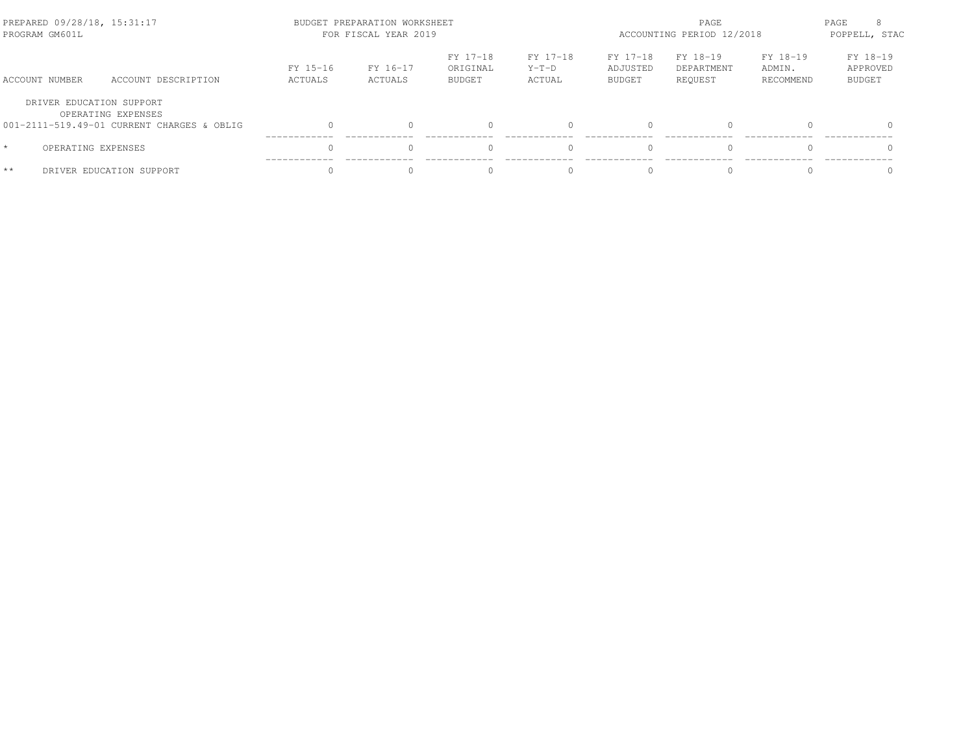| PREPARED 09/28/18, 15:31:17<br>PROGRAM GM601L |                                            |                     | BUDGET PREPARATION WORKSHEET<br>FOR FISCAL YEAR 2019 |                                       | ACCOUNTING PERIOD 12/2018     | PAGE<br>POPPELL, STAC          |                                   |                                 |                                       |
|-----------------------------------------------|--------------------------------------------|---------------------|------------------------------------------------------|---------------------------------------|-------------------------------|--------------------------------|-----------------------------------|---------------------------------|---------------------------------------|
| ACCOUNT NUMBER                                | ACCOUNT DESCRIPTION                        | FY 15-16<br>ACTUALS | FY 16-17<br>ACTUALS                                  | FY 17-18<br>ORIGINAL<br><b>BUDGET</b> | FY 17-18<br>$Y-T-D$<br>ACTUAL | FY 17-18<br>ADJUSTED<br>BUDGET | FY 18-19<br>DEPARTMENT<br>REOUEST | FY 18-19<br>ADMIN.<br>RECOMMEND | FY 18-19<br>APPROVED<br><b>BUDGET</b> |
| DRIVER EDUCATION SUPPORT                      | OPERATING EXPENSES                         |                     |                                                      |                                       |                               |                                |                                   |                                 |                                       |
|                                               | 001-2111-519.49-01 CURRENT CHARGES & OBLIG |                     |                                                      |                                       |                               | $\bigcap$                      | $\Omega$                          |                                 | $\Omega$                              |
| OPERATING EXPENSES<br>$\star$                 |                                            |                     |                                                      |                                       |                               | $\bigcap$                      | $\bigcap$                         |                                 |                                       |
| $**$                                          | DRIVER EDUCATION SUPPORT                   |                     |                                                      |                                       |                               |                                |                                   |                                 |                                       |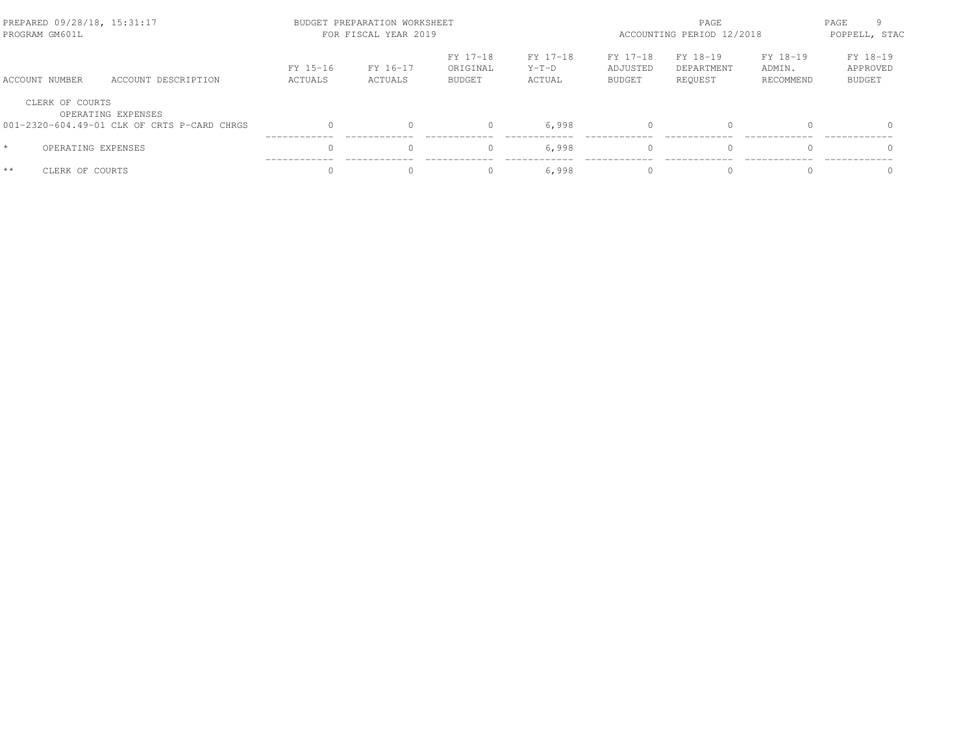| PREPARED 09/28/18, 15:31:17<br>PROGRAM GM601L |                                             |                     | BUDGET PREPARATION WORKSHEET<br>FOR FISCAL YEAR 2019 |                                       | ACCOUNTING PERIOD 12/2018     | PAGE<br>POPPELL, STAC          |                                   |                                 |                                       |
|-----------------------------------------------|---------------------------------------------|---------------------|------------------------------------------------------|---------------------------------------|-------------------------------|--------------------------------|-----------------------------------|---------------------------------|---------------------------------------|
| ACCOUNT NUMBER                                | ACCOUNT DESCRIPTION                         | FY 15-16<br>ACTUALS | FY 16-17<br>ACTUALS                                  | FY 17-18<br>ORIGINAL<br><b>BUDGET</b> | FY 17-18<br>$Y-T-D$<br>ACTUAL | FY 17-18<br>ADJUSTED<br>BUDGET | FY 18-19<br>DEPARTMENT<br>REQUEST | FY 18-19<br>ADMIN.<br>RECOMMEND | FY 18-19<br>APPROVED<br><b>BUDGET</b> |
| CLERK OF COURTS                               | OPERATING EXPENSES                          |                     |                                                      |                                       |                               |                                |                                   |                                 |                                       |
|                                               | 001-2320-604.49-01 CLK OF CRTS P-CARD CHRGS | $\bigcap$           | $\Omega$                                             | $\Omega$                              | 6,998                         | $\cap$                         | $\Omega$                          |                                 | $\Omega$                              |
| $\star$                                       | OPERATING EXPENSES                          | $\Omega$            |                                                      | $\Omega$                              | 6,998                         | $\Omega$                       |                                   |                                 |                                       |
| $**$<br>CLERK OF COURTS                       |                                             | $\cap$              |                                                      | $\Omega$                              | 6,998                         | $\bigcap$                      | $\Omega$                          |                                 |                                       |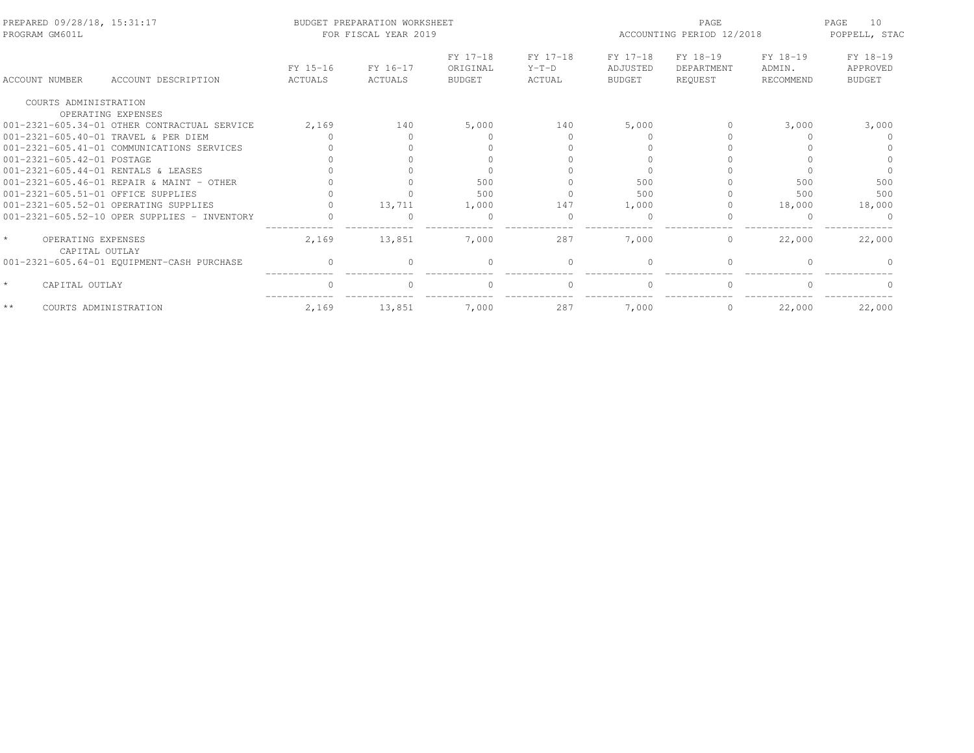| PREPARED 09/28/18, 15:31:17<br>PROGRAM GM601L   |                                                                    |                     | BUDGET PREPARATION WORKSHEET<br>FOR FISCAL YEAR 2019 |                                       |                               | ACCOUNTING PERIOD 12/2018             | 10<br>PAGE<br>POPPELL, STAC       |                                 |                                |
|-------------------------------------------------|--------------------------------------------------------------------|---------------------|------------------------------------------------------|---------------------------------------|-------------------------------|---------------------------------------|-----------------------------------|---------------------------------|--------------------------------|
| ACCOUNT NUMBER                                  | ACCOUNT DESCRIPTION                                                | FY 15-16<br>ACTUALS | FY 16-17<br>ACTUALS                                  | FY 17-18<br>ORIGINAL<br><b>BUDGET</b> | FY 17-18<br>$Y-T-D$<br>ACTUAL | FY 17-18<br>ADJUSTED<br><b>BUDGET</b> | FY 18-19<br>DEPARTMENT<br>REQUEST | FY 18-19<br>ADMIN.<br>RECOMMEND | FY 18-19<br>APPROVED<br>BUDGET |
| COURTS ADMINISTRATION                           |                                                                    |                     |                                                      |                                       |                               |                                       |                                   |                                 |                                |
|                                                 | OPERATING EXPENSES<br>001-2321-605.34-01 OTHER CONTRACTUAL SERVICE | 2,169               | 140                                                  | 5,000                                 | 140                           | 5,000                                 |                                   |                                 | 3,000                          |
|                                                 |                                                                    |                     |                                                      |                                       |                               |                                       |                                   | 3,000                           |                                |
|                                                 | 001-2321-605.40-01 TRAVEL & PER DIEM                               |                     |                                                      |                                       |                               |                                       |                                   |                                 |                                |
|                                                 | 001-2321-605.41-01 COMMUNICATIONS SERVICES                         |                     |                                                      |                                       |                               |                                       |                                   |                                 |                                |
| 001-2321-605.42-01 POSTAGE                      |                                                                    |                     |                                                      |                                       |                               |                                       |                                   |                                 |                                |
|                                                 | 001-2321-605.44-01 RENTALS & LEASES                                |                     |                                                      |                                       |                               |                                       |                                   |                                 |                                |
|                                                 | 001-2321-605.46-01 REPAIR & MAINT - OTHER                          |                     |                                                      | 500                                   |                               | 500                                   |                                   | 500                             | 500                            |
| 001-2321-605.51-01 OFFICE SUPPLIES              |                                                                    |                     |                                                      | 500                                   |                               | 500                                   |                                   | 500                             | 500                            |
|                                                 | 001-2321-605.52-01 OPERATING SUPPLIES                              |                     | 13,711                                               | 1,000                                 | 147                           | 1,000                                 |                                   | 18,000                          | 18,000                         |
|                                                 | $001-2321-605.52-10$ OPER SUPPLIES - INVENTORY                     |                     |                                                      | $\Omega$                              |                               |                                       |                                   |                                 |                                |
| $\star$<br>OPERATING EXPENSES<br>CAPITAL OUTLAY |                                                                    | 2,169               | 13,851                                               | 7,000                                 | 287                           | 7,000                                 | $\circ$                           | 22,000                          | 22,000                         |
|                                                 | 001-2321-605.64-01 EQUIPMENT-CASH PURCHASE                         |                     |                                                      | $\Omega$                              | $\Omega$                      | $\cap$                                | $\Omega$                          |                                 |                                |
| $\star$<br>CAPITAL OUTLAY                       |                                                                    |                     |                                                      | $\cap$                                |                               |                                       | $\Omega$                          |                                 |                                |
| $**$                                            | COURTS ADMINISTRATION                                              | 2,169               | 13,851                                               | 7,000                                 | 287                           | 7,000                                 | $\mathbf{0}$                      | 22,000                          | 22,000                         |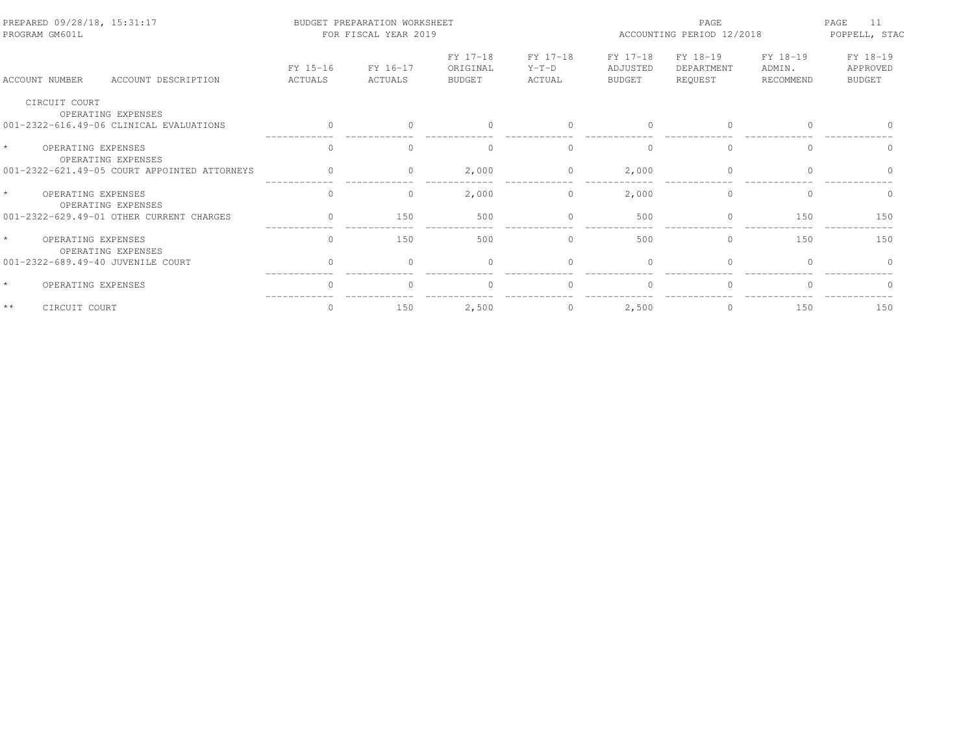| PREPARED 09/28/18, 15:31:17<br>PROGRAM GM601L       |                     | BUDGET PREPARATION WORKSHEET<br>FOR FISCAL YEAR 2019 |                                       |                               | ACCOUNTING PERIOD 12/2018             | 11<br>PAGE<br>POPPELL, STAC       |                                 |                                       |
|-----------------------------------------------------|---------------------|------------------------------------------------------|---------------------------------------|-------------------------------|---------------------------------------|-----------------------------------|---------------------------------|---------------------------------------|
| ACCOUNT NUMBER<br>ACCOUNT DESCRIPTION               | FY 15-16<br>ACTUALS | FY 16-17<br>ACTUALS                                  | FY 17-18<br>ORIGINAL<br><b>BUDGET</b> | FY 17-18<br>$Y-T-D$<br>ACTUAL | FY 17-18<br>ADJUSTED<br><b>BUDGET</b> | FY 18-19<br>DEPARTMENT<br>REQUEST | FY 18-19<br>ADMIN.<br>RECOMMEND | FY 18-19<br>APPROVED<br><b>BUDGET</b> |
| CIRCUIT COURT<br>OPERATING EXPENSES                 |                     |                                                      |                                       |                               |                                       |                                   |                                 |                                       |
| 001-2322-616.49-06 CLINICAL EVALUATIONS             |                     |                                                      | $\cap$                                |                               |                                       | $\Omega$                          |                                 |                                       |
| $\star$<br>OPERATING EXPENSES<br>OPERATING EXPENSES | $\cap$              |                                                      | $\cap$                                | $\Omega$                      | $\cap$                                | $\Omega$                          | $\cap$                          |                                       |
| 001-2322-621.49-05 COURT APPOINTED ATTORNEYS        |                     | $\Omega$                                             | 2,000                                 | $\Omega$                      | 2,000                                 | $\Omega$                          | $\cap$                          |                                       |
| $\star$<br>OPERATING EXPENSES<br>OPERATING EXPENSES | $\bigcap$           | $\Omega$                                             | 2,000                                 | $\Omega$                      | 2,000                                 | $\Omega$                          | $\Omega$                        | $\Omega$                              |
| 001-2322-629.49-01 OTHER CURRENT CHARGES            | $\Omega$            | 150                                                  | 500                                   | $\Omega$                      | 500                                   | $\Omega$                          | 150                             | 150                                   |
| $\star$<br>OPERATING EXPENSES<br>OPERATING EXPENSES | $\mathbf{0}$        | 150                                                  | 500                                   | $\circ$                       | 500                                   | $\circ$                           | 150                             | 150                                   |
| 001-2322-689.49-40 JUVENILE COURT                   |                     | $\cap$                                               | $\Omega$                              |                               | $\cap$                                | $\Omega$                          |                                 |                                       |
| $\star$<br>OPERATING EXPENSES                       |                     |                                                      | $\cap$                                |                               |                                       | $\Omega$                          |                                 |                                       |
| $**$<br>CIRCUIT COURT                               | $\Omega$            | 150                                                  | 2,500                                 | $\Omega$                      | 2,500                                 | $\Omega$                          | 150                             | 150                                   |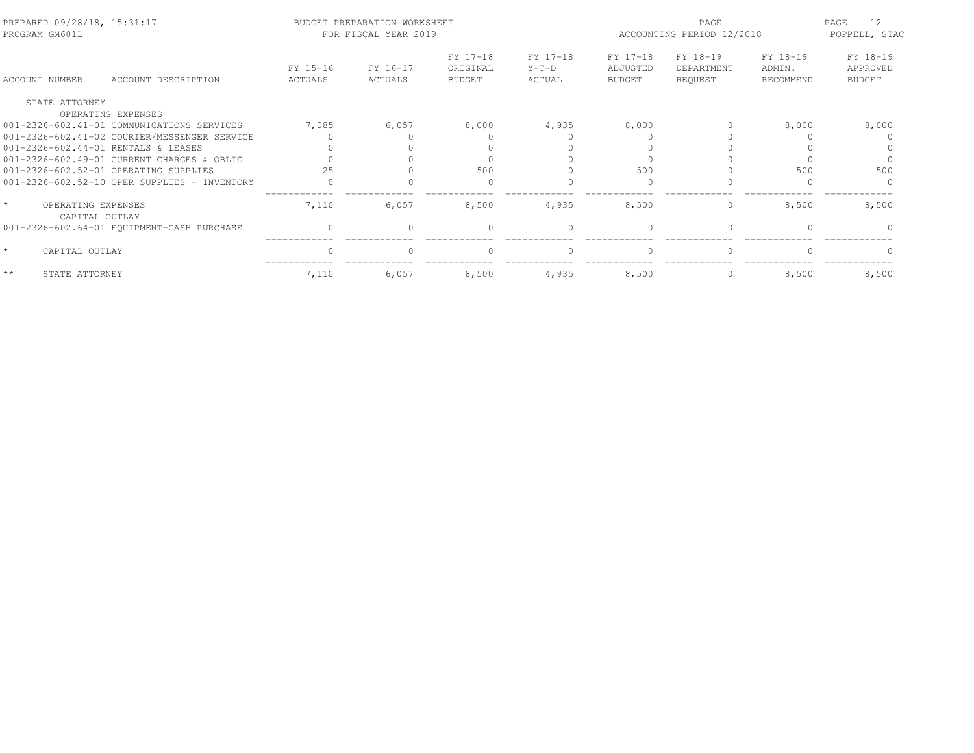| PREPARED 09/28/18, 15:31:17<br>PROGRAM GM601L |                                                |                     | BUDGET PREPARATION WORKSHEET<br>FOR FISCAL YEAR 2019 |                                       |                               | ACCOUNTING PERIOD 12/2018             | PAGE<br>12<br>POPPELL, STAC       |                                 |                                       |
|-----------------------------------------------|------------------------------------------------|---------------------|------------------------------------------------------|---------------------------------------|-------------------------------|---------------------------------------|-----------------------------------|---------------------------------|---------------------------------------|
| ACCOUNT NUMBER                                | ACCOUNT DESCRIPTION                            | FY 15-16<br>ACTUALS | FY 16-17<br>ACTUALS                                  | FY 17-18<br>ORIGINAL<br><b>BUDGET</b> | FY 17-18<br>$Y-T-D$<br>ACTUAL | FY 17-18<br>ADJUSTED<br><b>BUDGET</b> | FY 18-19<br>DEPARTMENT<br>REQUEST | FY 18-19<br>ADMIN.<br>RECOMMEND | FY 18-19<br>APPROVED<br><b>BUDGET</b> |
| STATE ATTORNEY                                |                                                |                     |                                                      |                                       |                               |                                       |                                   |                                 |                                       |
|                                               | OPERATING EXPENSES                             |                     |                                                      |                                       |                               |                                       |                                   |                                 |                                       |
|                                               | 001-2326-602.41-01 COMMUNICATIONS SERVICES     | 7,085               | 6,057                                                | 8,000                                 | 4,935                         | 8,000                                 |                                   | 8,000                           | 8,000                                 |
|                                               | 001-2326-602.41-02 COURIER/MESSENGER SERVICE   |                     |                                                      |                                       |                               |                                       |                                   |                                 |                                       |
|                                               | 001-2326-602.44-01 RENTALS & LEASES            |                     |                                                      |                                       |                               |                                       |                                   |                                 |                                       |
|                                               | 001-2326-602.49-01 CURRENT CHARGES & OBLIG     |                     |                                                      |                                       |                               |                                       |                                   |                                 |                                       |
|                                               | 001-2326-602.52-01 OPERATING SUPPLIES          |                     |                                                      | 500                                   |                               | 500                                   |                                   | 500                             | 500                                   |
|                                               | $001-2326-602.52-10$ OPER SUPPLIES - INVENTORY |                     |                                                      |                                       |                               |                                       |                                   |                                 |                                       |
| OPERATING EXPENSES<br>CAPITAL OUTLAY          |                                                | 7,110               | 6,057                                                | 8,500                                 | 4,935                         | 8,500                                 | $\mathbf{0}$                      | 8,500                           | 8,500                                 |
|                                               | 001-2326-602.64-01 EQUIPMENT-CASH PURCHASE     | $\bigcap$           | $\Omega$                                             | $\Omega$                              | $\Omega$                      | $\bigcap$                             | $\Omega$                          |                                 |                                       |
| CAPITAL OUTLAY                                |                                                | $\bigcap$           | $\Omega$                                             | $\Omega$                              | $\Omega$                      | $\bigcap$                             | $\Omega$                          | $\Omega$                        |                                       |
| $**$<br>STATE ATTORNEY                        |                                                | 7,110               | 6,057                                                | 8,500                                 | 4,935                         | 8,500                                 | $\mathbf{0}$                      | 8,500                           | 8,500                                 |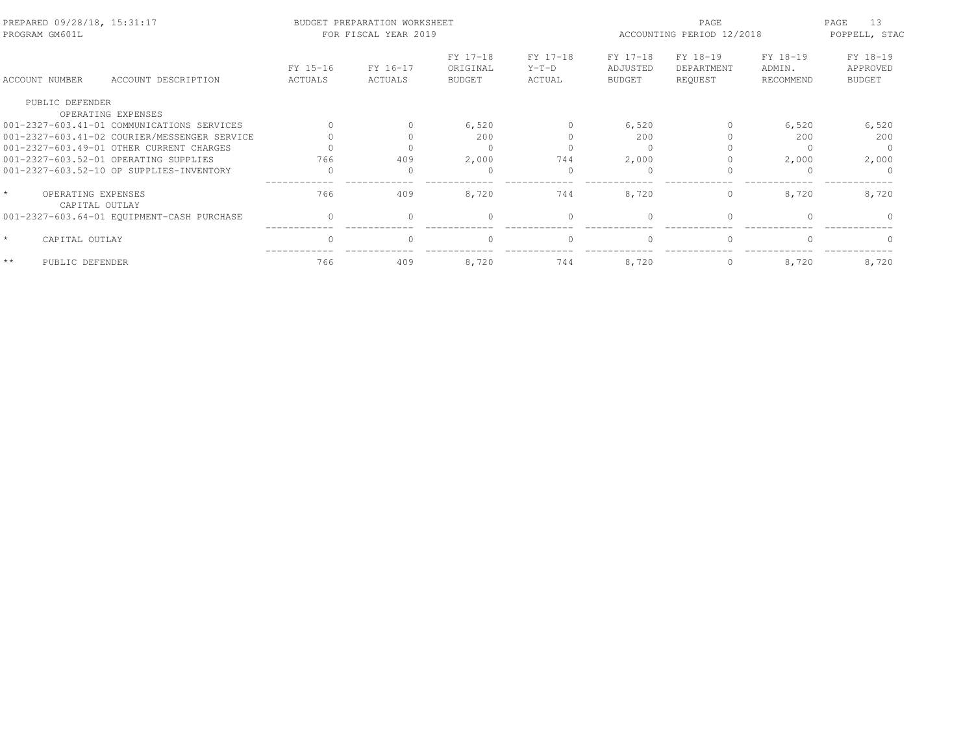| PREPARED 09/28/18, 15:31:17<br>PROGRAM GM601L |                                              |                     | BUDGET PREPARATION WORKSHEET<br>FOR FISCAL YEAR 2019 |                                       |                               | ACCOUNTING PERIOD 12/2018             | PAGE<br>13<br>POPPELL, STAC       |                                 |                                       |
|-----------------------------------------------|----------------------------------------------|---------------------|------------------------------------------------------|---------------------------------------|-------------------------------|---------------------------------------|-----------------------------------|---------------------------------|---------------------------------------|
| ACCOUNT NUMBER                                | ACCOUNT DESCRIPTION                          | FY 15-16<br>ACTUALS | FY 16-17<br>ACTUALS                                  | FY 17-18<br>ORIGINAL<br><b>BUDGET</b> | FY 17-18<br>$Y-T-D$<br>ACTUAL | FY 17-18<br>ADJUSTED<br><b>BUDGET</b> | FY 18-19<br>DEPARTMENT<br>REQUEST | FY 18-19<br>ADMIN.<br>RECOMMEND | FY 18-19<br>APPROVED<br><b>BUDGET</b> |
| PUBLIC DEFENDER                               | OPERATING EXPENSES                           |                     |                                                      |                                       |                               |                                       |                                   |                                 |                                       |
|                                               | 001-2327-603.41-01 COMMUNICATIONS SERVICES   | $\Omega$            | $\Omega$                                             | 6,520                                 | $\Omega$                      | 6,520                                 | $\Omega$                          | 6,520                           | 6,520                                 |
|                                               | 001-2327-603.41-02 COURIER/MESSENGER SERVICE |                     |                                                      | 200                                   |                               | 200                                   |                                   | 200                             | 200                                   |
|                                               | 001-2327-603.49-01 OTHER CURRENT CHARGES     |                     |                                                      | $\Omega$                              |                               |                                       |                                   |                                 |                                       |
|                                               | 001-2327-603.52-01 OPERATING SUPPLIES        | 766                 | 409                                                  | 2,000                                 | 744                           | 2,000                                 |                                   | 2,000                           | 2,000                                 |
|                                               | 001-2327-603.52-10 OP SUPPLIES-INVENTORY     |                     |                                                      | $\Omega$                              |                               |                                       |                                   |                                 |                                       |
| $\star$<br>OPERATING EXPENSES                 | CAPITAL OUTLAY                               | 766                 | 409                                                  | 8,720                                 | 744                           | 8,720                                 | $\circ$                           | 8,720                           | 8,720                                 |
|                                               | 001-2327-603.64-01 EQUIPMENT-CASH PURCHASE   | $\Omega$            |                                                      | $\Omega$                              | $\Omega$                      | $\Omega$                              | $\Omega$                          |                                 |                                       |
| $\star$<br>CAPITAL OUTLAY                     |                                              | $\Omega$            |                                                      | $\Omega$                              | $\Omega$                      | $\bigcap$                             | $\Omega$                          |                                 |                                       |
| $\star\star$<br>PUBLIC DEFENDER               |                                              | 766                 | 409                                                  | 8,720                                 | 744                           | 8,720                                 | $\circ$                           | 8,720                           | 8,720                                 |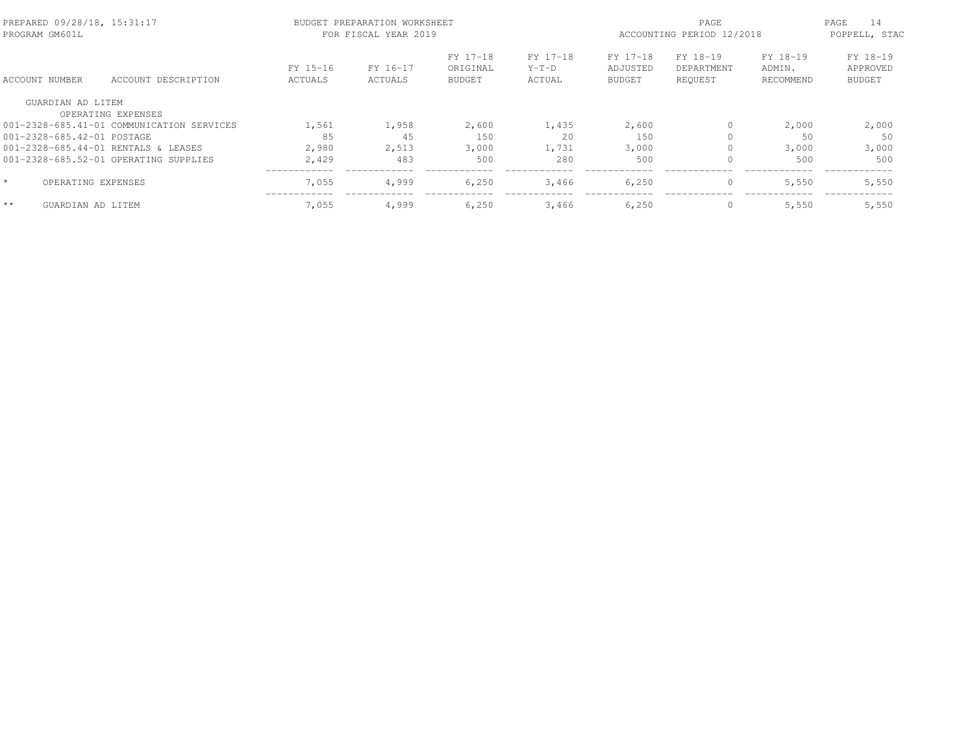| PREPARED 09/28/18, 15:31:17<br>PROGRAM GM601L |                                           |                     | BUDGET PREPARATION WORKSHEET<br>FOR FISCAL YEAR 2019 |                                       | ACCOUNTING PERIOD 12/2018     | 14<br>PAGE<br>POPPELL, STAC           |                                   |                                 |                                       |
|-----------------------------------------------|-------------------------------------------|---------------------|------------------------------------------------------|---------------------------------------|-------------------------------|---------------------------------------|-----------------------------------|---------------------------------|---------------------------------------|
| ACCOUNT NUMBER                                | ACCOUNT DESCRIPTION                       | FY 15-16<br>ACTUALS | FY 16-17<br>ACTUALS                                  | FY 17-18<br>ORIGINAL<br><b>BUDGET</b> | FY 17-18<br>$Y-T-D$<br>ACTUAL | FY 17-18<br>ADJUSTED<br><b>BUDGET</b> | FY 18-19<br>DEPARTMENT<br>REOUEST | FY 18-19<br>ADMIN.<br>RECOMMEND | FY 18-19<br>APPROVED<br><b>BUDGET</b> |
| GUARDIAN AD LITEM                             |                                           |                     |                                                      |                                       |                               |                                       |                                   |                                 |                                       |
|                                               | OPERATING EXPENSES                        |                     |                                                      |                                       |                               |                                       |                                   |                                 |                                       |
|                                               | 001-2328-685.41-01 COMMUNICATION SERVICES | 1,561               | 1,958                                                | 2,600                                 | 1,435                         | 2,600                                 | $\circ$                           | 2,000                           | 2,000                                 |
| 001-2328-685.42-01 POSTAGE                    |                                           | 85                  | 45                                                   | 150                                   | 20                            | 150                                   | $\Omega$                          | 50                              | 50                                    |
|                                               | 001-2328-685.44-01 RENTALS & LEASES       | 2,980               | 2,513                                                | 3,000                                 | 1,731                         | 3,000                                 | $\Omega$                          | 3,000                           | 3,000                                 |
|                                               | 001-2328-685.52-01 OPERATING SUPPLIES     | 2,429               | 483                                                  | 500                                   | 280                           | 500                                   | 0                                 | 500                             | 500                                   |
| $\star$                                       | OPERATING EXPENSES                        | 7,055               | 4,999                                                | 6,250                                 | 3,466                         | 6,250                                 | $\mathbf{0}$                      | 5,550                           | 5,550                                 |
| $**$<br>GUARDIAN AD LITEM                     |                                           | 7,055               | 4,999                                                | 6,250                                 | 3,466                         | 6,250                                 | $\mathbf{0}$                      | 5,550                           | 5,550                                 |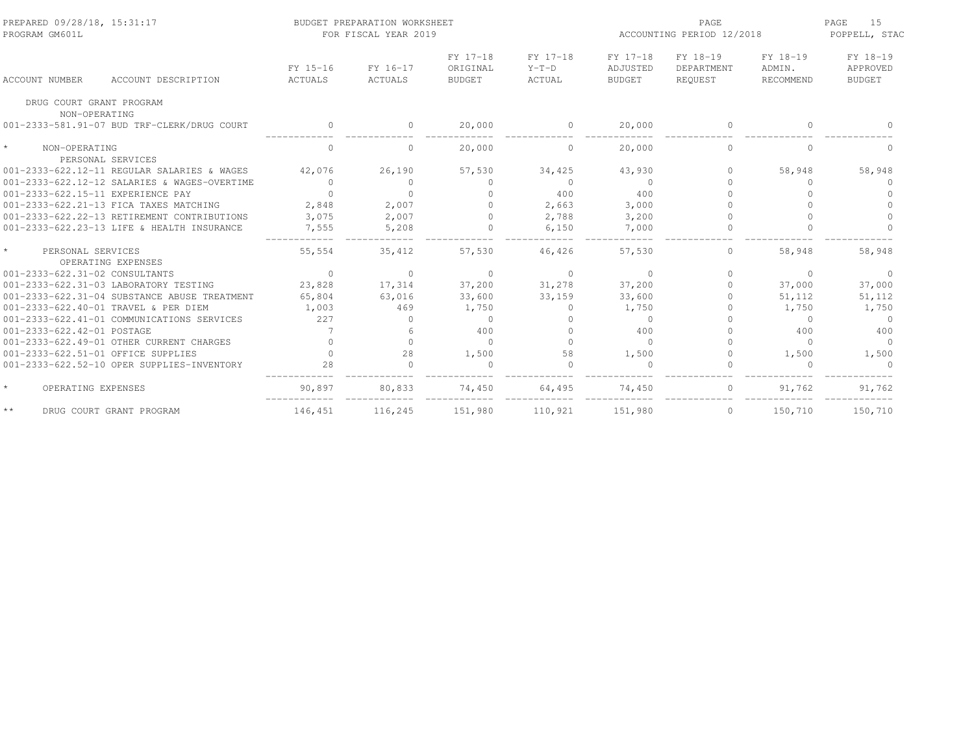| PREPARED 09/28/18, 15:31:17<br>PROGRAM GM601L      |                     | BUDGET PREPARATION WORKSHEET<br>FOR FISCAL YEAR 2019 |                                       |                               | ACCOUNTING PERIOD 12/2018             | PAGE<br>15<br>POPPELL, STAC       |                                 |                                       |
|----------------------------------------------------|---------------------|------------------------------------------------------|---------------------------------------|-------------------------------|---------------------------------------|-----------------------------------|---------------------------------|---------------------------------------|
| ACCOUNT DESCRIPTION<br><b>ACCOUNT NUMBER</b>       | FY 15-16<br>ACTUALS | FY 16-17<br>ACTUALS                                  | FY 17-18<br>ORIGINAL<br><b>BUDGET</b> | FY 17-18<br>$Y-T-D$<br>ACTUAL | FY 17-18<br>ADJUSTED<br><b>BUDGET</b> | FY 18-19<br>DEPARTMENT<br>REOUEST | FY 18-19<br>ADMIN.<br>RECOMMEND | FY 18-19<br>APPROVED<br><b>BUDGET</b> |
| DRUG COURT GRANT PROGRAM<br>NON-OPERATING          |                     |                                                      |                                       |                               |                                       |                                   |                                 |                                       |
| 001-2333-581.91-07 BUD TRF-CLERK/DRUG COURT        | $\circ$             | $\circ$                                              | 20,000                                | $\circ$                       | 20,000                                | $\mathbf 0$                       | $\Omega$                        |                                       |
| $\star$<br>NON-OPERATING<br>PERSONAL SERVICES      | $\Omega$            | $\Omega$                                             | 20,000                                | $\Omega$                      | 20,000                                | $\Omega$                          | $\cap$                          | $\cap$                                |
| $001-2333-622.12-11$ REGULAR SALARIES & WAGES      | 42.076              | 26,190                                               | 57,530                                | 34,425                        | 43,930                                | $\Omega$                          | 58,948                          | 58,948                                |
| 001-2333-622.12-12 SALARIES & WAGES-OVERTIME       | $\circ$             | $\Omega$                                             | $\cap$                                | $\overline{0}$                | $\Omega$                              |                                   | $\Omega$                        |                                       |
| 001-2333-622.15-11 EXPERIENCE PAY                  | $\Omega$            | $\bigcap$                                            |                                       | 400                           | 400                                   |                                   | $\Omega$                        |                                       |
| 001-2333-622.21-13 FICA TAXES MATCHING             | 2,848               | 2,007                                                |                                       | 2,663                         | 3,000                                 |                                   |                                 |                                       |
| 001-2333-622.22-13 RETIREMENT CONTRIBUTIONS        | 3,075               | 2,007                                                | $\Omega$                              | 2,788                         | 3,200                                 |                                   |                                 |                                       |
| 001-2333-622.23-13 LIFE & HEALTH INSURANCE         | 7,555               | 5,208                                                |                                       | 6,150                         | 7,000                                 |                                   |                                 |                                       |
| $\star$<br>PERSONAL SERVICES<br>OPERATING EXPENSES | 55,554              | 35,412                                               | 57,530                                | 46,426                        | 57,530                                | $\circ$                           | 58,948                          | 58,948                                |
| 001-2333-622.31-02 CONSULTANTS                     | $\overline{0}$      | $\circ$                                              | $\Omega$                              | $\Omega$                      | $\Omega$                              | $\Omega$                          | $\Omega$                        | $\Omega$                              |
| 001-2333-622.31-03 LABORATORY TESTING              | 23,828              | 17,314                                               | 37,200                                | 31,278                        | 37,200                                | $\Omega$                          | 37,000                          | 37,000                                |
| 001-2333-622.31-04 SUBSTANCE ABUSE TREATMENT       | 65,804              | 63,016                                               | 33,600                                | 33,159                        | 33,600                                | 0                                 | 51,112                          | 51,112                                |
| 001-2333-622.40-01 TRAVEL & PER DIEM               | 1,003               | 469                                                  | 1,750                                 | $\Omega$                      | 1,750                                 |                                   | 1,750                           | 1,750                                 |
| 001-2333-622.41-01 COMMUNICATIONS SERVICES         | 227                 | $\Omega$                                             | $\Omega$                              | $\bigcap$                     | $\Omega$                              |                                   | $\Omega$                        | $\Omega$                              |
| 001-2333-622.42-01 POSTAGE                         |                     |                                                      | 400                                   | $\bigcap$                     | 400                                   |                                   | 400                             | 400                                   |
| 001-2333-622.49-01 OTHER CURRENT CHARGES           |                     | $\Omega$                                             | $\Omega$                              | $\cap$                        | $\Omega$                              |                                   | $\Omega$                        | $\Omega$                              |
| 001-2333-622.51-01 OFFICE SUPPLIES                 | $\Omega$            | 28                                                   | 1,500                                 | 58                            | 1,500                                 | $\Omega$                          | 1,500                           | 1,500                                 |
| 001-2333-622.52-10 OPER SUPPLIES-INVENTORY         | 28                  | $\cap$                                               |                                       | $\cap$                        |                                       |                                   | $\cap$                          |                                       |
| $\star$<br>OPERATING EXPENSES                      | 90,897              | 80,833                                               | 74,450                                | 64,495                        | 74,450                                |                                   | 91,762                          | 91,762                                |
| $\star\,\star$<br>DRUG COURT GRANT PROGRAM         | 146,451             | 116,245                                              | 151,980                               | 110,921                       | 151,980                               | $\circ$                           | 150,710                         | 150,710                               |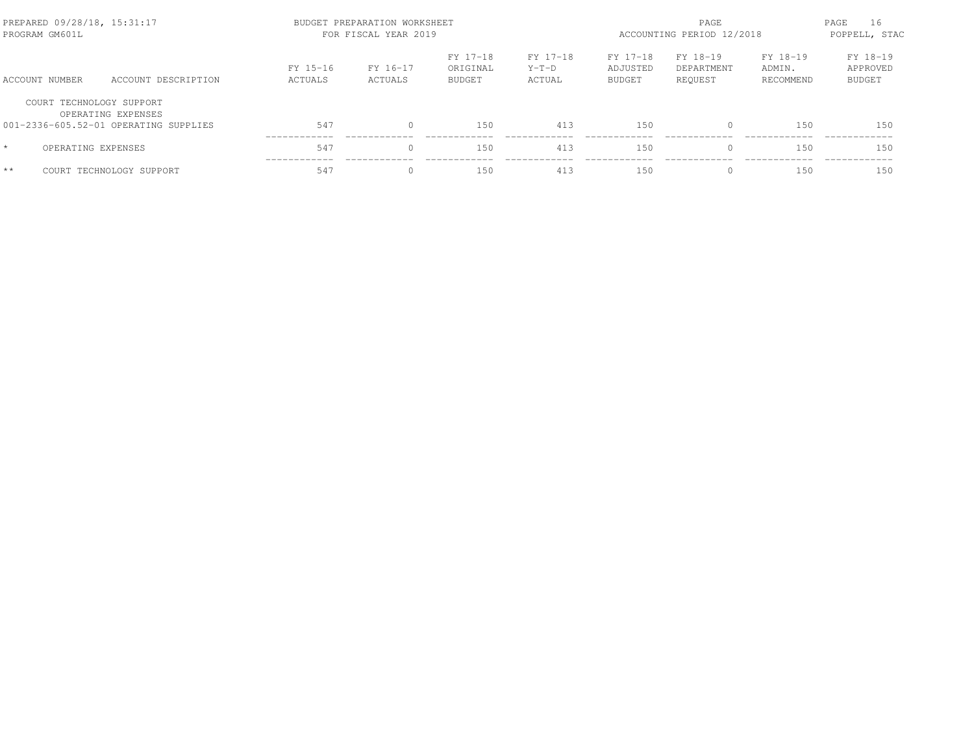| PREPARED 09/28/18, 15:31:17<br>PROGRAM GM601L |                                                                                         |                     | BUDGET PREPARATION WORKSHEET<br>FOR FISCAL YEAR 2019 |                                       | ACCOUNTING PERIOD 12/2018     | PAGE<br>16<br>POPPELL, STAC           |                                   |                                 |                                       |
|-----------------------------------------------|-----------------------------------------------------------------------------------------|---------------------|------------------------------------------------------|---------------------------------------|-------------------------------|---------------------------------------|-----------------------------------|---------------------------------|---------------------------------------|
| ACCOUNT NUMBER                                | ACCOUNT DESCRIPTION                                                                     | FY 15-16<br>ACTUALS | FY 16-17<br>ACTUALS                                  | FY 17-18<br>ORIGINAL<br><b>BUDGET</b> | FY 17-18<br>$Y-T-D$<br>ACTUAL | FY 17-18<br>ADJUSTED<br><b>BUDGET</b> | FY 18-19<br>DEPARTMENT<br>REOUEST | FY 18-19<br>ADMIN.<br>RECOMMEND | FY 18-19<br>APPROVED<br><b>BUDGET</b> |
|                                               | COURT TECHNOLOGY SUPPORT<br>OPERATING EXPENSES<br>001-2336-605.52-01 OPERATING SUPPLIES | 547                 |                                                      | 150                                   | 413                           | 150                                   | $\Omega$                          | 150                             | 150                                   |
| $\star$                                       | OPERATING EXPENSES                                                                      | 547                 |                                                      | 150                                   | 413                           | 150                                   | $\Omega$                          | 150                             | 150                                   |
| $**$                                          | COURT TECHNOLOGY SUPPORT                                                                | 547                 |                                                      | 150                                   | 413                           | 150                                   | $\Omega$                          | 150                             | 150                                   |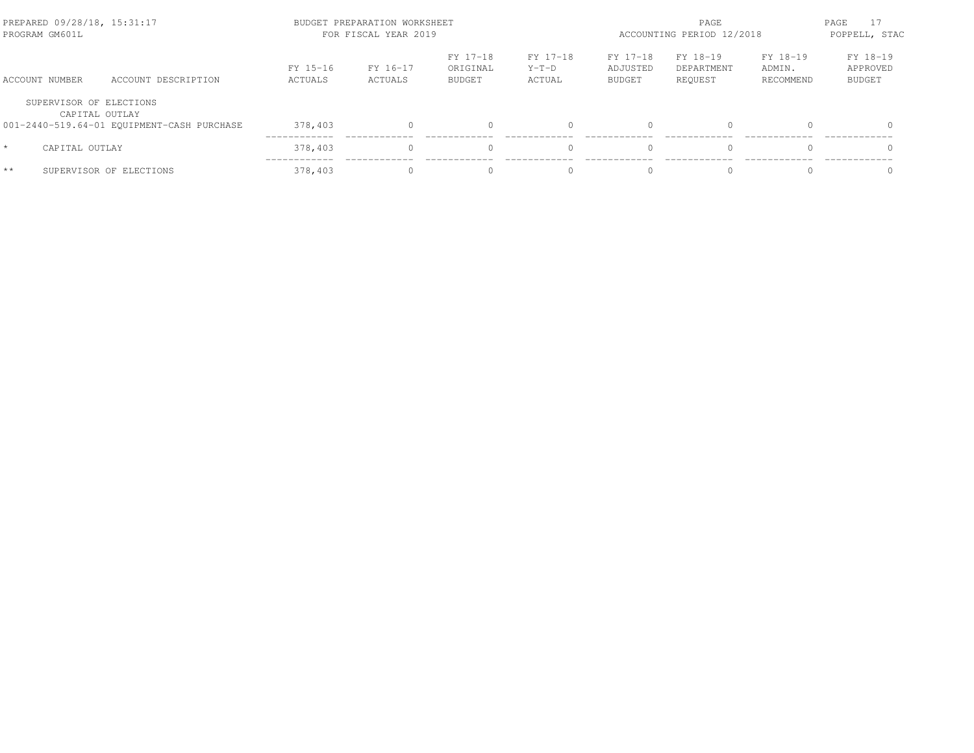| PREPARED 09/28/18, 15:31:17<br>PROGRAM GM601L |                                                              | BUDGET PREPARATION WORKSHEET<br>FOR FISCAL YEAR 2019 | ACCOUNTING PERIOD 12/2018 | PAGE<br>POPPELL, STAC                 |                               |                                       |                                   |                                 |                                       |
|-----------------------------------------------|--------------------------------------------------------------|------------------------------------------------------|---------------------------|---------------------------------------|-------------------------------|---------------------------------------|-----------------------------------|---------------------------------|---------------------------------------|
| ACCOUNT NUMBER                                | ACCOUNT DESCRIPTION                                          | FY 15-16<br>ACTUALS                                  | FY 16-17<br>ACTUALS       | FY 17-18<br>ORIGINAL<br><b>BUDGET</b> | FY 17-18<br>$Y-T-D$<br>ACTUAL | FY 17-18<br>ADJUSTED<br><b>BUDGET</b> | FY 18-19<br>DEPARTMENT<br>REOUEST | FY 18-19<br>ADMIN.<br>RECOMMEND | FY 18-19<br>APPROVED<br><b>BUDGET</b> |
| SUPERVISOR OF ELECTIONS                       | CAPITAL OUTLAY<br>001-2440-519.64-01 EQUIPMENT-CASH PURCHASE | 378,403                                              |                           |                                       |                               |                                       | $\Omega$                          |                                 | $\cap$                                |
| $\star$<br>CAPITAL OUTLAY                     |                                                              | 378,403                                              |                           |                                       |                               |                                       | $\Omega$                          |                                 | $\Omega$                              |
| $**$                                          | SUPERVISOR OF ELECTIONS                                      | 378,403                                              |                           |                                       | $\Omega$                      |                                       | $\Omega$                          |                                 |                                       |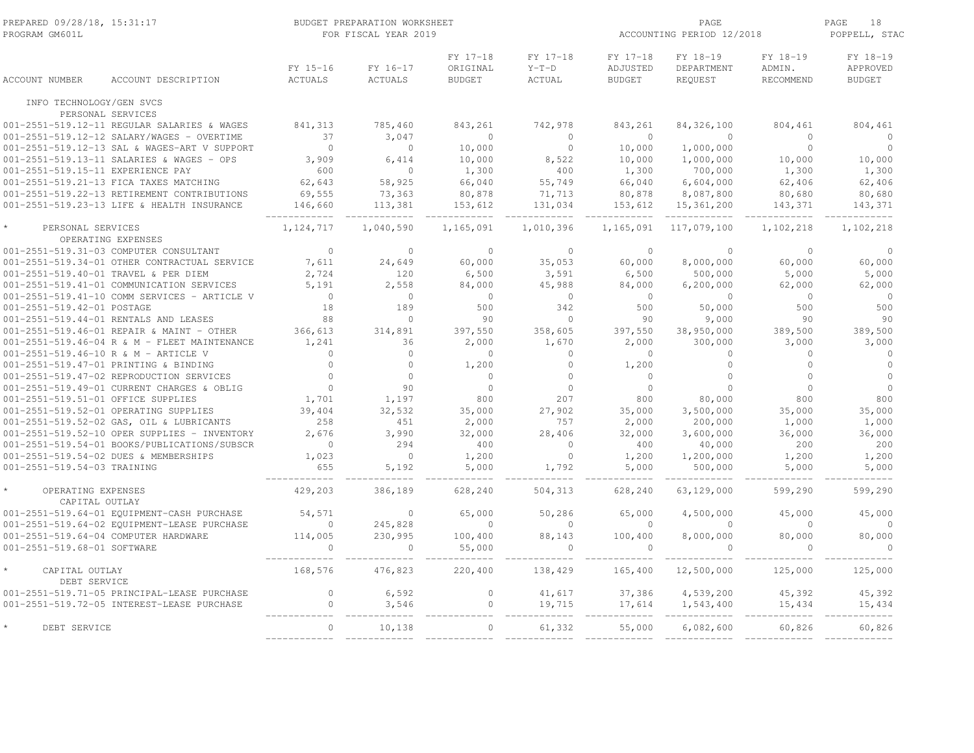| PREPARED 09/28/18, 15:31:17<br>PROGRAM GM601L |                                                                               |                   | BUDGET PREPARATION WORKSHEET<br>FOR FISCAL YEAR 2019 |                         | ACCOUNTING PERIOD 12/2018 | PAGE<br>18<br>POPPELL, STAC |                    |                   |                  |
|-----------------------------------------------|-------------------------------------------------------------------------------|-------------------|------------------------------------------------------|-------------------------|---------------------------|-----------------------------|--------------------|-------------------|------------------|
|                                               |                                                                               |                   |                                                      | FY 17-18                | FY 17-18                  | FY 17-18                    | FY 18-19           | FY 18-19          | FY 18-19         |
|                                               |                                                                               | FY 15-16          | FY 16-17                                             | ORIGINAL                | $Y-T-D$                   | ADJUSTED                    | DEPARTMENT         | ADMIN.            | APPROVED         |
| ACCOUNT NUMBER                                | ACCOUNT DESCRIPTION                                                           | <b>ACTUALS</b>    | ACTUALS                                              | <b>BUDGET</b>           | <b>ACTUAL</b>             | <b>BUDGET</b>               | REQUEST            | RECOMMEND         | <b>BUDGET</b>    |
| INFO TECHNOLOGY/GEN SVCS                      | PERSONAL SERVICES                                                             |                   |                                                      |                         |                           |                             |                    |                   |                  |
|                                               | 001-2551-519.12-11 REGULAR SALARIES & WAGES                                   | 841, 313          | 785,460                                              | 843,261                 | 742,978                   | 843,261                     | 84, 326, 100       | 804,461           | 804,461          |
|                                               | 001-2551-519.12-12 SALARY/WAGES - OVERTIME                                    | 37                | 3,047                                                | $\circ$                 | $\circ$                   | $\bigcirc$                  | $\Omega$           | $\Omega$          | $\Omega$         |
|                                               | 001-2551-519.12-13 SAL & WAGES-ART V SUPPORT                                  | $\bigcirc$        | $\Omega$                                             | 10,000                  | $\circ$                   | 10,000                      | 1,000,000          | $\circ$           | $\Omega$         |
|                                               | 001-2551-519.13-11 SALARIES & WAGES - OPS                                     | 3,909             | 6,414                                                | 10,000                  | 8,522                     | 10,000                      | 1,000,000          | 10,000            | 10,000           |
| 001-2551-519.15-11 EXPERIENCE PAY             |                                                                               | 600               | $\Omega$                                             | 1,300                   | 400                       | 1,300                       | 700,000            | 1,300             | 1,300            |
|                                               | 001-2551-519.21-13 FICA TAXES MATCHING                                        | 62,643            | 58,925                                               | 66,040                  | 55,749                    | 66,040                      | 6,604,000          | 62,406            | 62,406           |
|                                               | 001-2551-519.22-13 RETIREMENT CONTRIBUTIONS                                   | 69,555            | 73,363                                               | 80,878                  | 71,713                    | 80,878                      | 8,087,800          | 80,680            | 80,680           |
|                                               | 001-2551-519.23-13 LIFE & HEALTH INSURANCE                                    | 146,660           | 113,381                                              | 153,612                 | 131,034                   | 153,612                     | 15,361,200         | 143,371           | 143,371          |
| PERSONAL SERVICES                             |                                                                               | 1, 124, 717       | 1,040,590                                            | 1,165,091               | 1,010,396                 | 1,165,091                   | 117,079,100        | 1,102,218         | 1,102,218        |
|                                               | OPERATING EXPENSES                                                            |                   |                                                      |                         |                           |                             |                    |                   |                  |
|                                               | 001-2551-519.31-03 COMPUTER CONSULTANT                                        | $\Omega$          | $\Omega$                                             | $\Omega$                | $\Omega$                  | $\Omega$                    | $\Omega$           | $\Omega$          | $\Omega$         |
|                                               | 001-2551-519.34-01 OTHER CONTRACTUAL SERVICE                                  | 7,611             | 24,649                                               | 60,000                  | 35,053                    | 60,000                      | 8,000,000          | 60,000            | 60,000           |
|                                               | 001-2551-519.40-01 TRAVEL & PER DIEM                                          | 2,724             | 120                                                  | 6,500                   | 3,591                     | 6,500                       | 500,000            | 5,000             | 5,000            |
|                                               | 001-2551-519.41-01 COMMUNICATION SERVICES                                     | 5.191             | 2,558                                                | 84,000                  | 45,988                    | 84,000                      | 6,200,000          | 62,000            | 62,000           |
|                                               | 001-2551-519.41-10 COMM SERVICES - ARTICLE V                                  | $\overline{0}$    | $\Omega$                                             | $\bigcirc$              | $\Omega$                  | $\bigcirc$                  | $\Omega$           | $\bigcirc$        | $\bigcirc$       |
| 001-2551-519.42-01 POSTAGE                    |                                                                               | 18                | 189                                                  | 500                     | 342                       | 500                         | 50,000             | 500               | 500              |
|                                               | 001-2551-519.44-01 RENTALS AND LEASES                                         | 88                | $\Omega$                                             | 90                      | $\circ$                   | 90                          | 9,000              | 90                | 90               |
|                                               | 001-2551-519.46-01 REPAIR & MAINT - OTHER                                     | 366,613           | 314,891<br>36                                        | 397,550                 | 358,605                   | 397,550                     | 38,950,000         | 389,500           | 389,500          |
|                                               | 001-2551-519.46-04 R & M - FLEET MAINTENANCE                                  | 1,241<br>$\Omega$ | $\Omega$                                             | 2,000<br>$\overline{0}$ | 1,670<br>$\Omega$         | 2,000<br>$\bigcirc$         | 300,000<br>$\circ$ | 3,000<br>$\Omega$ | 3,000<br>$\circ$ |
|                                               | 001-2551-519.46-10 R & M - ARTICLE V<br>001-2551-519.47-01 PRINTING & BINDING | $\Omega$          | $\Omega$                                             | 1,200                   | $\Omega$                  | 1,200                       | $\Omega$           | $\Omega$          | $\Omega$         |
|                                               | 001-2551-519.47-02 REPRODUCTION SERVICES                                      | $\Omega$          | $\Omega$                                             | $\circ$                 | $\circ$                   | $\Omega$                    | $\overline{0}$     | $\Omega$          | $\Omega$         |
|                                               | 001-2551-519.49-01 CURRENT CHARGES & OBLIG                                    | $\Omega$          | 90                                                   | $\Omega$                | $\Omega$                  | $\cap$                      | $\Omega$           | $\Omega$          | $\Omega$         |
| 001-2551-519.51-01 OFFICE SUPPLIES            |                                                                               | 1,701             | 1,197                                                | 800                     | 207                       | 800                         | 80,000             | 800               | 800              |
|                                               | 001-2551-519.52-01 OPERATING SUPPLIES                                         | 39,404            | 32,532                                               | 35,000                  | 27,902                    | 35,000                      | 3,500,000          | 35,000            | 35,000           |
|                                               | 001-2551-519.52-02 GAS, OIL & LUBRICANTS                                      | 258               | 451                                                  | 2,000                   | 757                       | 2,000                       | 200,000            | 1,000             | 1,000            |
|                                               | 001-2551-519.52-10 OPER SUPPLIES - INVENTORY                                  | 2,676             | 3,990                                                | 32,000                  | 28,406                    | 32,000                      | 3,600,000          | 36,000            | 36,000           |
|                                               | 001-2551-519.54-01 BOOKS/PUBLICATIONS/SUBSCR                                  | $\overline{0}$    | 294                                                  | 400                     | $\circ$                   | 400                         | 40,000             | 200               | 200              |
|                                               | 001-2551-519.54-02 DUES & MEMBERSHIPS                                         | 1,023             | $\overline{0}$                                       | 1,200                   | $\circ$                   | 1,200                       | 1,200,000          | 1,200             | 1,200            |
| 001-2551-519.54-03 TRAINING                   |                                                                               | 655               | 5,192                                                | 5,000                   | 1,792                     | 5,000                       | 500,000            | 5,000             | 5,000            |
|                                               |                                                                               |                   |                                                      |                         |                           |                             |                    |                   |                  |
| OPERATING EXPENSES<br>CAPITAL OUTLAY          |                                                                               | 429,203           | 386,189                                              | 628,240                 | 504,313                   | 628,240                     | 63,129,000         | 599,290           | 599,290          |
|                                               | 001-2551-519.64-01 EQUIPMENT-CASH PURCHASE                                    | 54,571            | $\Omega$                                             | 65,000                  | 50,286                    | 65,000                      | 4,500,000          | 45,000            | 45,000           |
|                                               | 001-2551-519.64-02 EQUIPMENT-LEASE PURCHASE                                   | $\Omega$          | 245,828                                              | $\Omega$                | $\circ$                   | $\bigcirc$                  | $\Omega$           | $\Omega$          | $\Omega$         |
|                                               | 001-2551-519.64-04 COMPUTER HARDWARE                                          | 114,005           | 230,995                                              | 100,400                 | 88,143                    | 100,400                     | 8,000,000          | 80,000            | 80,000           |
| 001-2551-519.68-01 SOFTWARE                   |                                                                               | $\circ$           | $\circ$                                              | 55,000                  | $\circ$                   | $\overline{0}$              | $\circ$            | $\overline{0}$    | $\Omega$         |
| CAPITAL OUTLAY<br>DEBT SERVICE                |                                                                               | 168,576           | 476,823                                              | 220,400                 | 138,429                   | 165,400                     | 12,500,000         | 125,000           | 125,000          |
|                                               | 001-2551-519.71-05 PRINCIPAL-LEASE PURCHASE                                   | $\mathbf{0}$      | 6,592                                                | $\circ$                 | 41,617                    | 37,386                      | 4,539,200          | 45,392            | 45,392           |
|                                               | 001-2551-519.72-05 INTEREST-LEASE PURCHASE                                    | $\circ$           | 3,546                                                | $\circ$                 | 19,715                    | 17,614                      | 1,543,400          | 15,434            | 15,434           |
| DEBT SERVICE                                  |                                                                               | $\bigcap$         | 10,138                                               | $\Omega$                | 61,332                    | 55,000                      | 6,082,600          | 60,826            | 60,826           |
|                                               |                                                                               |                   |                                                      |                         |                           |                             |                    |                   |                  |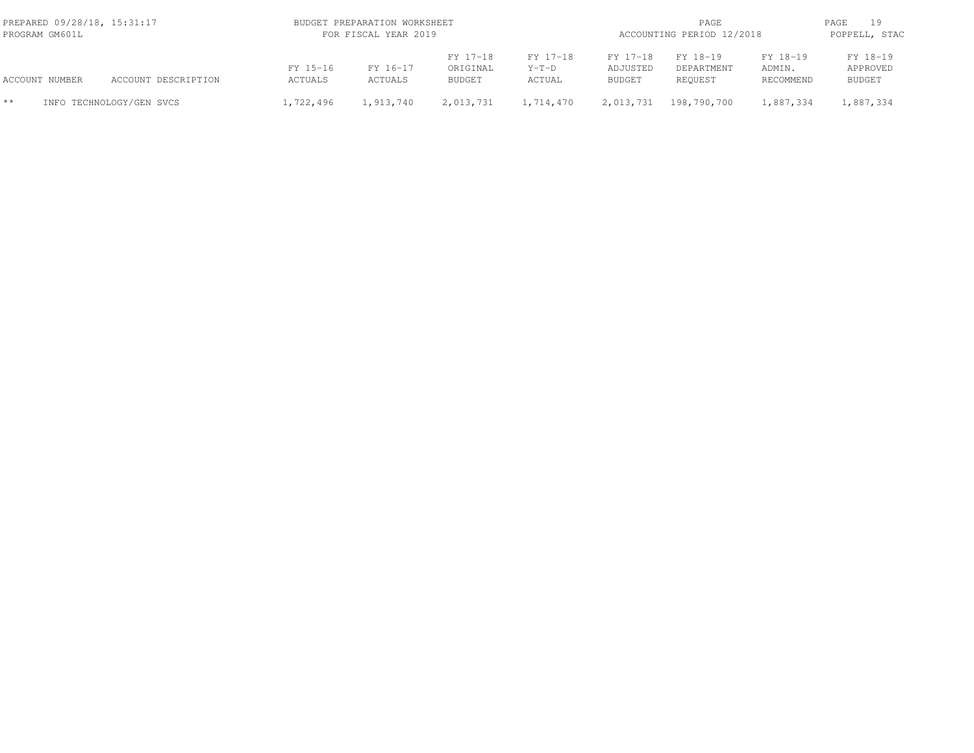| PREPARED 09/28/18, 15:31:17<br>PROGRAM GM601L |                |                          | BUDGET PREPARATION WORKSHEET<br>FOR FISCAL YEAR 2019 |                            |                                       |                               |                                       | PAGE<br>ACCOUNTING PERIOD 12/2018 |                                 |                                       |  |
|-----------------------------------------------|----------------|--------------------------|------------------------------------------------------|----------------------------|---------------------------------------|-------------------------------|---------------------------------------|-----------------------------------|---------------------------------|---------------------------------------|--|
|                                               | ACCOUNT NUMBER | ACCOUNT DESCRIPTION      | FY 15-16<br>ACTUALS                                  | FY 16-17<br><b>ACTUALS</b> | FY 17-18<br>ORIGINAL<br><b>BUDGET</b> | FY 17-18<br>$Y-T-D$<br>ACTUAL | FY 17-18<br>ADJUSTED<br><b>BUDGET</b> | FY 18-19<br>DEPARTMENT<br>REOUEST | FY 18-19<br>ADMIN.<br>RECOMMEND | FY 18-19<br>APPROVED<br><b>BUDGET</b> |  |
| $**$                                          |                | INFO TECHNOLOGY/GEN SVCS | 1,722,496                                            | 1,913,740                  | 2,013,731                             | 1,714,470                     | 2,013,731                             | 198,790,700                       | 1,887,334                       | 1,887,334                             |  |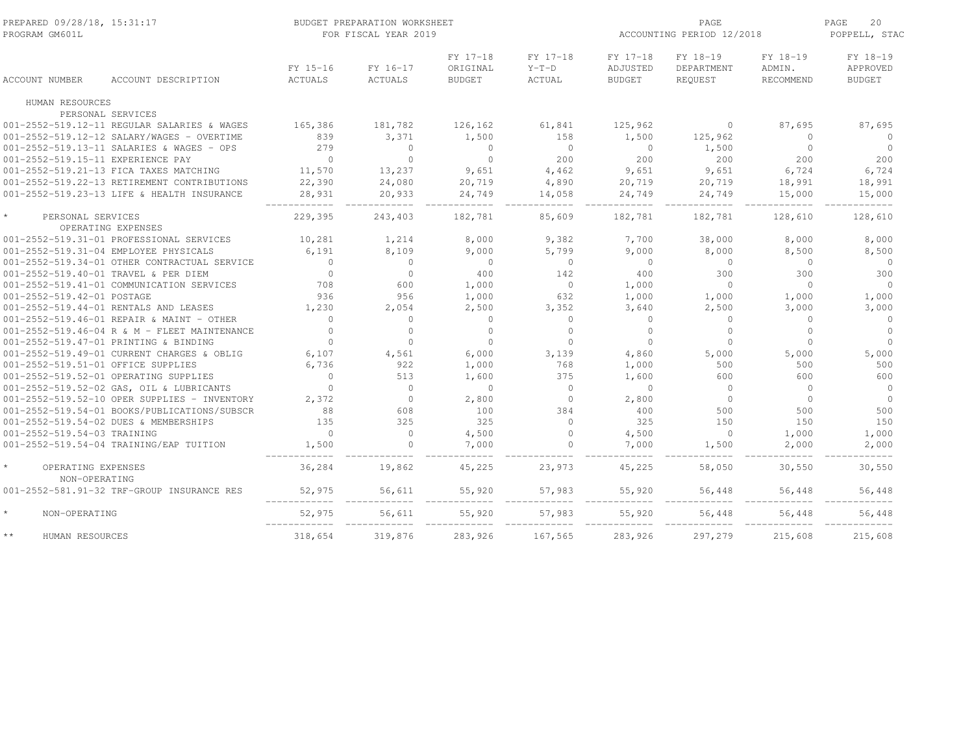| PREPARED 09/28/18, 15:31:17<br>PROGRAM GM601L  | BUDGET PREPARATION WORKSHEET<br>FOR FISCAL YEAR 2019 |                            |                                       |                                      |                                       | PAGE<br>ACCOUNTING PERIOD 12/2018 |                                        |                                       |  |
|------------------------------------------------|------------------------------------------------------|----------------------------|---------------------------------------|--------------------------------------|---------------------------------------|-----------------------------------|----------------------------------------|---------------------------------------|--|
| <b>ACCOUNT NUMBER</b><br>ACCOUNT DESCRIPTION   | FY 15-16<br>ACTUALS                                  | FY 16-17<br><b>ACTUALS</b> | FY 17-18<br>ORIGINAL<br><b>BUDGET</b> | FY 17-18<br>$Y-T-D$<br><b>ACTUAL</b> | FY 17-18<br>ADJUSTED<br><b>BUDGET</b> | FY 18-19<br>DEPARTMENT<br>REQUEST | FY 18-19<br>ADMIN.<br><b>RECOMMEND</b> | FY 18-19<br>APPROVED<br><b>BUDGET</b> |  |
| HUMAN RESOURCES                                |                                                      |                            |                                       |                                      |                                       |                                   |                                        |                                       |  |
| PERSONAL SERVICES                              |                                                      |                            |                                       |                                      |                                       |                                   |                                        |                                       |  |
| 001-2552-519.12-11 REGULAR SALARIES & WAGES    | 165,386                                              | 181,782                    | 126,162                               | 61,841                               | 125,962                               | $\circ$                           | 87,695                                 | 87,695                                |  |
| 001-2552-519.12-12 SALARY/WAGES - OVERTIME     | 839                                                  | 3,371                      | 1,500                                 | 158                                  | 1,500                                 | 125,962                           | $\circ$                                | $\Omega$                              |  |
| 001-2552-519.13-11 SALARIES & WAGES - OPS      | 279                                                  | $\circ$                    | $\overline{0}$                        | $\overline{0}$                       | $\overline{0}$                        | 1,500                             | $\circ$                                | $\circ$                               |  |
| 001-2552-519.15-11 EXPERIENCE PAY              | $\overline{0}$                                       | $\circ$                    | $\overline{0}$                        | 200                                  | 200                                   | 200                               | 200                                    | 200                                   |  |
| 001-2552-519.21-13 FICA TAXES MATCHING         | 11,570                                               | 13,237                     | 9,651                                 | 4,462                                | 9,651                                 | 9,651                             | 6,724                                  | 6,724                                 |  |
| 001-2552-519.22-13 RETIREMENT CONTRIBUTIONS    | 22,390                                               | 24,080                     | 20,719                                | 4,890                                | 20,719                                | 20,719                            | 18,991                                 | 18,991                                |  |
| 001-2552-519.23-13 LIFE & HEALTH INSURANCE     | 28,931                                               | 20,933                     | 24,749                                | 14,058                               | 24,749                                | 24,749                            | 15,000                                 | 15,000                                |  |
| $\star$<br>PERSONAL SERVICES                   | 229,395                                              | 243,403                    | 182,781                               | 85,609                               | 182,781                               | 182,781                           | 128,610                                | 128,610                               |  |
| OPERATING EXPENSES                             |                                                      |                            |                                       |                                      |                                       |                                   |                                        |                                       |  |
| 001-2552-519.31-01 PROFESSIONAL SERVICES       | 10,281                                               | 1,214                      | 8,000                                 | 9,382                                | 7,700                                 | 38,000                            | 8,000                                  | 8,000                                 |  |
| 001-2552-519.31-04 EMPLOYEE PHYSICALS          | 6,191                                                | 8,109                      | 9,000                                 | 5,799                                | 9,000                                 | 8,000                             | 8,500                                  | 8,500                                 |  |
| 001-2552-519.34-01 OTHER CONTRACTUAL SERVICE   | $\circ$                                              | $\circ$                    | $\overline{0}$                        | $\circ$                              | $\overline{0}$                        | $\circ$                           | $\circ$                                | $\circ$                               |  |
| 001-2552-519.40-01 TRAVEL & PER DIEM           | $\circ$                                              | $\circ$                    | 400                                   | 142                                  | 400                                   | 300                               | 300                                    | 300                                   |  |
| 001-2552-519.41-01 COMMUNICATION SERVICES      | 708                                                  | 600                        | 1,000                                 | $\overline{0}$                       | 1,000                                 | $\circ$                           | $\circ$                                | $\circ$                               |  |
| 001-2552-519.42-01 POSTAGE                     | 936                                                  | 956                        | 1,000                                 | 632                                  | 1,000                                 | 1,000                             | 1,000                                  | 1,000                                 |  |
| 001-2552-519.44-01 RENTALS AND LEASES          | 1,230                                                | 2,054                      | 2,500                                 | 3,352                                | 3,640                                 | 2,500                             | 3,000                                  | 3,000                                 |  |
| 001-2552-519.46-01 REPAIR & MAINT - OTHER      | $\circ$                                              | $\circ$                    | $\circ$                               | $\circ$                              | $\mathbf{0}$                          | $\circ$                           | $\circ$                                | $\circ$                               |  |
| 001-2552-519.46-04 R & M - FLEET MAINTENANCE   | $\Omega$                                             | $\circ$                    | $\Omega$                              | $\mathbf{0}$                         | $\mathbf 0$                           | $\circ$                           | $\circ$                                | $\circ$                               |  |
| 001-2552-519.47-01 PRINTING & BINDING          | $\mathbf{0}$                                         | $\circ$                    | $\circ$                               | $\circ$                              | $\overline{0}$                        | $\circ$                           | $\circ$                                | $\circ$                               |  |
| 001-2552-519.49-01 CURRENT CHARGES & OBLIG     | 6,107                                                | 4,561                      | 6,000                                 | 3,139                                | 4,860                                 | 5,000                             | 5,000                                  | 5,000                                 |  |
| 001-2552-519.51-01 OFFICE SUPPLIES             | 6,736                                                | 922                        | 1,000                                 | 768                                  | 1,000                                 | 500                               | 500                                    | 500                                   |  |
| 001-2552-519.52-01 OPERATING SUPPLIES          | $\circ$                                              | 513                        | 1,600                                 | 375                                  | 1,600                                 | 600                               | 600                                    | 600                                   |  |
| 001-2552-519.52-02 GAS, OIL & LUBRICANTS       | $\mathbf{0}$                                         | $\overline{0}$             | $\circ$                               | $\circ$                              | $\overline{0}$                        | $\mathbf{0}$                      | $\Omega$                               | $\circ$                               |  |
| 001-2552-519.52-10 OPER SUPPLIES - INVENTORY   | 2,372                                                | $\overline{0}$             | 2,800                                 | $\circ$                              | 2,800                                 | $\mathbf{0}$                      | $\Omega$                               | $\circ$                               |  |
| 001-2552-519.54-01 BOOKS/PUBLICATIONS/SUBSCR   | 88                                                   | 608                        | 100                                   | 384                                  | 400                                   | 500                               | 500                                    | 500                                   |  |
| 001-2552-519.54-02 DUES & MEMBERSHIPS          | 135                                                  | 325                        | 325                                   | $\Omega$                             | 325                                   | 150                               | 150                                    | 150                                   |  |
| 001-2552-519.54-03 TRAINING                    | $\circ$                                              | $\circ$                    | 4,500                                 | $\circ$                              | 4,500                                 | $\circ$                           | 1,000                                  | 1,000                                 |  |
| 001-2552-519.54-04 TRAINING/EAP TUITION        | 1,500                                                | $\circ$                    | 7,000                                 | $\circ$                              | 7,000                                 | 1,500                             | 2,000                                  | 2,000                                 |  |
| $\star$<br>OPERATING EXPENSES<br>NON-OPERATING | 36,284                                               | 19,862                     | 45,225                                | 23,973                               | 45,225                                | 58,050                            | 30,550                                 | 30,550                                |  |
| 001-2552-581.91-32 TRF-GROUP INSURANCE RES     | 52,975                                               | 56,611                     | 55,920                                | 57,983                               | 55,920                                | 56,448                            | 56,448                                 | 56,448                                |  |
| $\star$<br>NON-OPERATING                       | 52,975                                               | 56,611                     | 55,920                                | 57,983                               | 55,920                                | 56,448                            | 56,448                                 | 56,448                                |  |
| $\star\star$<br>HUMAN RESOURCES                | 318,654                                              | 319,876                    | 283,926                               | 167,565                              | 283,926                               | 297,279                           | 215,608                                | 215,608                               |  |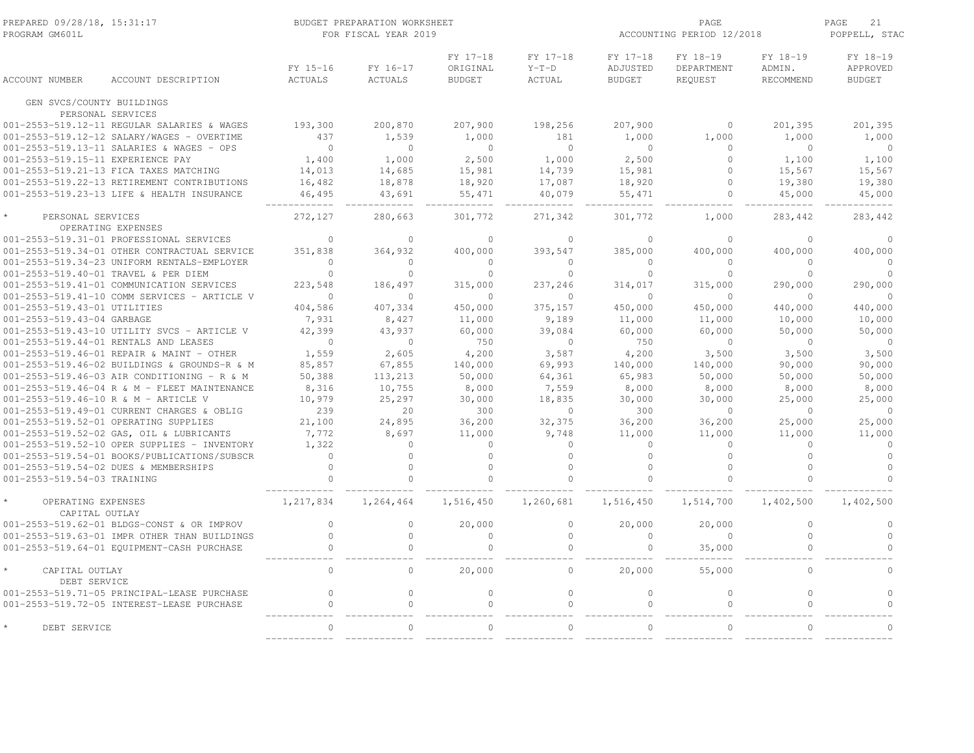| PREPARED 09/28/18, 15:31:17<br>PROGRAM GM601L                        |                                              |                         | BUDGET PREPARATION WORKSHEET<br>FOR FISCAL YEAR 2019 |                                       |                               | ACCOUNTING PERIOD 12/2018             | 21<br>PAGE<br>POPPELL, STAC       |                                 |                                       |
|----------------------------------------------------------------------|----------------------------------------------|-------------------------|------------------------------------------------------|---------------------------------------|-------------------------------|---------------------------------------|-----------------------------------|---------------------------------|---------------------------------------|
| <b>ACCOUNT NUMBER</b>                                                | ACCOUNT DESCRIPTION                          | FY 15-16<br>ACTUALS     | FY 16-17<br>ACTUALS                                  | FY 17-18<br>ORIGINAL<br><b>BUDGET</b> | FY 17-18<br>$Y-T-D$<br>ACTUAL | FY 17-18<br>ADJUSTED<br><b>BUDGET</b> | FY 18-19<br>DEPARTMENT<br>REQUEST | FY 18-19<br>ADMIN.<br>RECOMMEND | FY 18-19<br>APPROVED<br><b>BUDGET</b> |
| GEN SVCS/COUNTY BUILDINGS                                            |                                              |                         |                                                      |                                       |                               |                                       |                                   |                                 |                                       |
| PERSONAL SERVICES                                                    |                                              |                         |                                                      |                                       |                               |                                       |                                   |                                 |                                       |
|                                                                      | 001-2553-519.12-11 REGULAR SALARIES & WAGES  | 193,300                 | 200,870                                              | 207,900                               | 198,256                       | 207,900                               | $\circ$                           | 201,395                         | 201,395                               |
|                                                                      | 001-2553-519.12-12 SALARY/WAGES - OVERTIME   | 437                     | 1,539                                                | 1,000                                 | 181                           | 1,000                                 | 1,000                             | 1,000                           | 1,000                                 |
|                                                                      | 001-2553-519.13-11 SALARIES & WAGES - OPS    | $\bigcirc$              | $\circ$                                              | $\overline{0}$                        | $\circ$                       | $\overline{0}$                        | $\mathbf{0}$                      | $\circ$                         | $\overline{0}$                        |
| 001-2553-519.15-11 EXPERIENCE PAY                                    |                                              | 1,400                   | 1,000                                                | 2,500                                 | 1,000                         | 2,500                                 | $\Omega$                          | 1,100                           | 1,100                                 |
|                                                                      | 001-2553-519.21-13 FICA TAXES MATCHING       | 14,013                  | 14,685                                               | 15,981                                | 14,739                        | 15,981                                | $\Omega$                          | 15,567                          | 15,567                                |
|                                                                      | 001-2553-519.22-13 RETIREMENT CONTRIBUTIONS  | 16,482                  | 18,878                                               | 18,920                                | 17,087                        | 18,920                                | $\mathbf{0}$                      | 19,380                          | 19,380                                |
|                                                                      | 001-2553-519.23-13 LIFE & HEALTH INSURANCE   | 46,495                  | 43,691                                               | 55,471                                | 40,079                        | 55,471                                | $\circ$                           | 45,000                          | 45,000                                |
| PERSONAL SERVICES                                                    | OPERATING EXPENSES                           | 272,127                 | 280,663                                              | 301,772                               | 271,342                       | 301,772                               | 1,000                             | 283,442                         | 283,442                               |
|                                                                      | 001-2553-519.31-01 PROFESSIONAL SERVICES     | $\mathbf{0}$            | $\circ$                                              | $\mathbf{0}$                          | $\mathbf{0}$                  | $\Omega$                              | $\Omega$                          | $\Omega$                        | $\circ$                               |
|                                                                      | 001-2553-519.34-01 OTHER CONTRACTUAL SERVICE | 351,838                 | 364,932                                              | 400,000                               | 393,547                       | 385,000                               | 400,000                           | 400,000                         | 400,000                               |
|                                                                      | 001-2553-519.34-23 UNIFORM RENTALS-EMPLOYER  | $\mathbf{0}$            | $\circ$                                              | $\circ$                               | $\mathbf{0}$                  | $\Omega$                              | $\mathbf{0}$                      | $\Omega$                        | $\circ$                               |
| 001-2553-519.40-01 TRAVEL & PER DIEM                                 |                                              | $\Omega$                | $\Omega$                                             | $\Omega$                              | $\Omega$                      | $\Omega$                              | $\Omega$                          | $\Omega$                        | $\Omega$                              |
|                                                                      | 001-2553-519.41-01 COMMUNICATION SERVICES    | 223,548                 | 186,497                                              | 315,000                               | 237,246                       | 314,017                               | 315,000                           | 290,000                         | 290,000                               |
|                                                                      | 001-2553-519.41-10 COMM SERVICES - ARTICLE V | $\Omega$                | $\Omega$                                             | $\Omega$                              | $\Omega$                      | $\Omega$                              | $\Omega$                          | $\Omega$                        | $\Omega$                              |
| 001-2553-519.43-01 UTILITIES                                         |                                              | 404,586                 | 407,334                                              | 450,000                               | 375,157                       | 450,000                               | 450,000                           | 440,000                         | 440,000                               |
| 001-2553-519.43-04 GARBAGE                                           |                                              | 7,931                   | 8,427                                                | 11,000                                | 9,189                         | 11,000                                | 11,000                            | 10,000                          | 10,000                                |
|                                                                      | 001-2553-519.43-10 UTILITY SVCS - ARTICLE V  | 42,399                  | 43,937                                               | 60,000                                | 39,084                        | 60,000                                | 60,000                            | 50,000                          | 50,000                                |
| 001-2553-519.44-01 RENTALS AND LEASES                                |                                              | $\overline{0}$          | $\overline{0}$                                       | 750                                   | $\overline{0}$                | 750                                   | $\circ$                           | $\circ$                         | $\overline{0}$                        |
|                                                                      | 001-2553-519.46-01 REPAIR & MAINT - OTHER    | 1,559                   | 2,605                                                | 4,200                                 | 3,587                         | 4,200                                 | 3,500                             | 3,500                           | 3,500                                 |
|                                                                      | 001-2553-519.46-02 BUILDINGS & GROUNDS-R & M | 85,857                  | 67,855                                               | 140,000                               | 69,993                        | 140,000                               | 140,000                           | 90,000                          | 90,000                                |
|                                                                      | 001-2553-519.46-03 AIR CONDITIONING - R & M  | 50,388                  | 113,213                                              | 50,000                                | 64,361                        | 65,983                                | 50,000                            | 50,000                          | 50,000                                |
|                                                                      | 001-2553-519.46-04 R & M - FLEET MAINTENANCE | 8,316                   | 10,755                                               | 8,000                                 | 7,559                         | 8,000                                 | 8,000                             | 8,000                           | 8,000                                 |
| 001-2553-519.46-10 R & M - ARTICLE V                                 |                                              | 10,979                  | 25,297                                               | 30,000                                | 18,835                        | 30,000                                | 30,000                            | 25,000                          | 25,000                                |
|                                                                      | 001-2553-519.49-01 CURRENT CHARGES & OBLIG   | 239                     | 20                                                   | 300                                   | $\mathbf{0}$                  | 300                                   | $\circ$                           | $\circ$                         | $\circ$                               |
| 001-2553-519.52-01 OPERATING SUPPLIES                                |                                              | 21,100                  | 24,895                                               | 36,200                                | 32,375                        | 36,200                                | 36,200                            | 25,000                          | 25,000                                |
|                                                                      | 001-2553-519.52-02 GAS, OIL & LUBRICANTS     | 7,772                   | 8,697                                                | 11,000                                | 9,748                         | 11,000                                | 11,000                            | 11,000                          | 11,000                                |
|                                                                      | 001-2553-519.52-10 OPER SUPPLIES - INVENTORY | 1,322                   | $\Omega$                                             | $\circ$                               | $\mathbf{0}$                  | $\Omega$                              | $\circ$                           | $\Omega$                        | $\circ$                               |
|                                                                      | 001-2553-519.54-01 BOOKS/PUBLICATIONS/SUBSCR | $\mathbf 0$             | $\Omega$<br>$\Omega$                                 | $\circ$                               | $\Omega$                      | $\Omega$<br>$\Omega$                  | $\circ$<br>$\Omega$               | $\Omega$                        | $\circ$<br>$\Omega$                   |
| 001-2553-519.54-02 DUES & MEMBERSHIPS<br>001-2553-519.54-03 TRAINING |                                              | $\mathbf 0$<br>$\Omega$ | $\Omega$                                             | $\circ$<br>$\Omega$                   | $\mathbf{0}$<br>$\Omega$      | $\Omega$                              | $\Omega$                          | $\circ$<br>$\Omega$             | $\Omega$                              |
| OPERATING EXPENSES<br>CAPITAL OUTLAY                                 |                                              | 1,217,834               | 1,264,464                                            | 1,516,450                             | 1,260,681                     | 1,516,450                             | 1,514,700                         | 1,402,500                       | 1,402,500                             |
|                                                                      | 001-2553-519.62-01 BLDGS-CONST & OR IMPROV   | $\mathbf 0$             | $\circ$                                              | 20,000                                | $\mathbf{0}$                  | 20,000                                | 20,000                            | $\circ$                         | $\circ$                               |
|                                                                      | 001-2553-519.63-01 IMPR OTHER THAN BUILDINGS | $\mathbf 0$             | $\circ$                                              | $\circ$                               | $\mathbf{0}$                  | $\Omega$                              | $\circ$                           | $\circ$                         | $\circ$                               |
|                                                                      | 001-2553-519.64-01 EOUIPMENT-CASH PURCHASE   | $\circ$                 | $\circ$                                              | $\circ$                               | $\circ$                       | $\circ$                               | 35,000                            | $\circ$                         | $\Omega$                              |
|                                                                      |                                              |                         |                                                      |                                       |                               |                                       |                                   |                                 |                                       |
| CAPITAL OUTLAY<br>DEBT SERVICE                                       |                                              | $\mathbf{0}$            | $\circ$                                              | 20,000                                | $\circ$                       | 20,000                                | 55,000                            | $\circ$                         | $\Omega$                              |
|                                                                      | 001-2553-519.71-05 PRINCIPAL-LEASE PURCHASE  | $\mathbf{0}$            | $\circ$                                              | $\circ$                               | $\circ$                       | $\mathbf{0}$                          | $\circ$                           | $\circ$                         | $\circ$                               |
|                                                                      | 001-2553-519.72-05 INTEREST-LEASE PURCHASE   | $\mathbf{0}$            | $\circ$                                              | $\circ$                               | $\mathbb O$                   | $\circ$                               | $\mathbb O$                       | $\circ$                         | $\Omega$                              |
| DEBT SERVICE                                                         |                                              | $\bigcap$               | $\Omega$                                             | $\Omega$                              | $\bigcap$                     | $\Omega$                              | $\Omega$                          | $\cap$                          | $\Omega$                              |
|                                                                      |                                              |                         |                                                      |                                       |                               |                                       |                                   |                                 |                                       |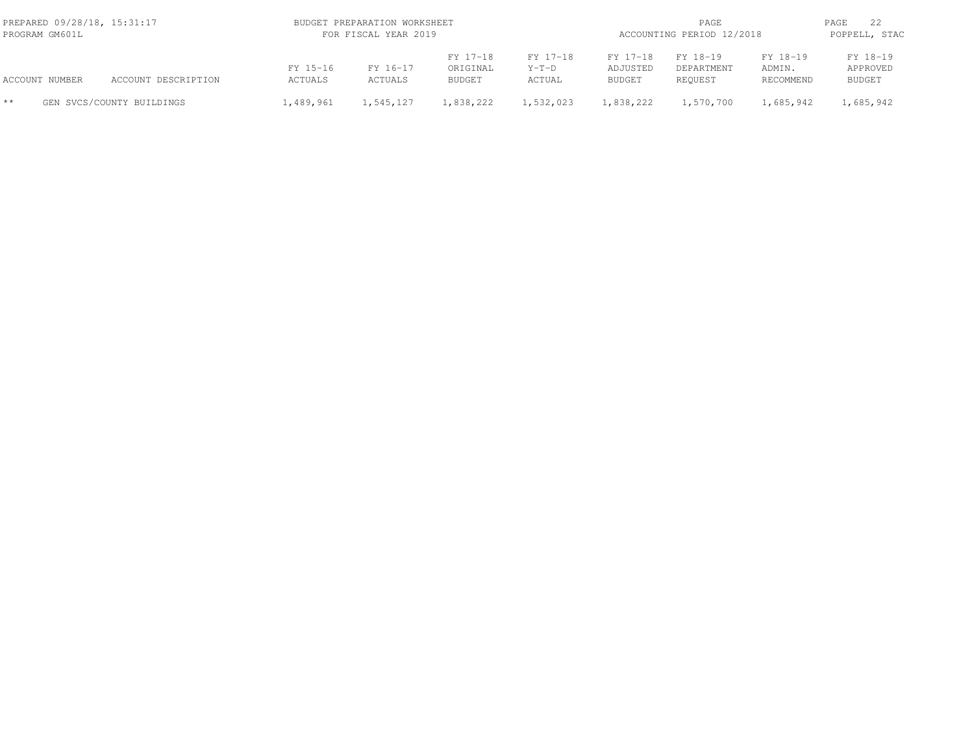| PREPARED 09/28/18, 15:31:17<br>PROGRAM GM601L |                |                           |                     | BUDGET PREPARATION WORKSHEET<br>FOR FISCAL YEAR 2019 |                                       |                               |                                       |                                   | PAGE<br>ACCOUNTING PERIOD 12/2018 |                                       |  |  |
|-----------------------------------------------|----------------|---------------------------|---------------------|------------------------------------------------------|---------------------------------------|-------------------------------|---------------------------------------|-----------------------------------|-----------------------------------|---------------------------------------|--|--|
|                                               | ACCOUNT NUMBER | ACCOUNT DESCRIPTION       | FY 15-16<br>ACTUALS | FY 16-17<br>ACTUALS                                  | FY 17-18<br>ORIGINAL<br><b>BUDGET</b> | FY 17-18<br>$Y-T-D$<br>ACTUAL | FY 17-18<br>ADJUSTED<br><b>BUDGET</b> | FY 18-19<br>DEPARTMENT<br>REOUEST | FY 18-19<br>ADMIN.<br>RECOMMEND   | FY 18-19<br>APPROVED<br><b>BUDGET</b> |  |  |
| $**$                                          |                | GEN SVCS/COUNTY BUILDINGS | 1,489,961           | 1,545,127                                            | 1,838,222                             | 1,532,023                     | 1,838,222                             | 1,570,700                         | 1,685,942                         | 1,685,942                             |  |  |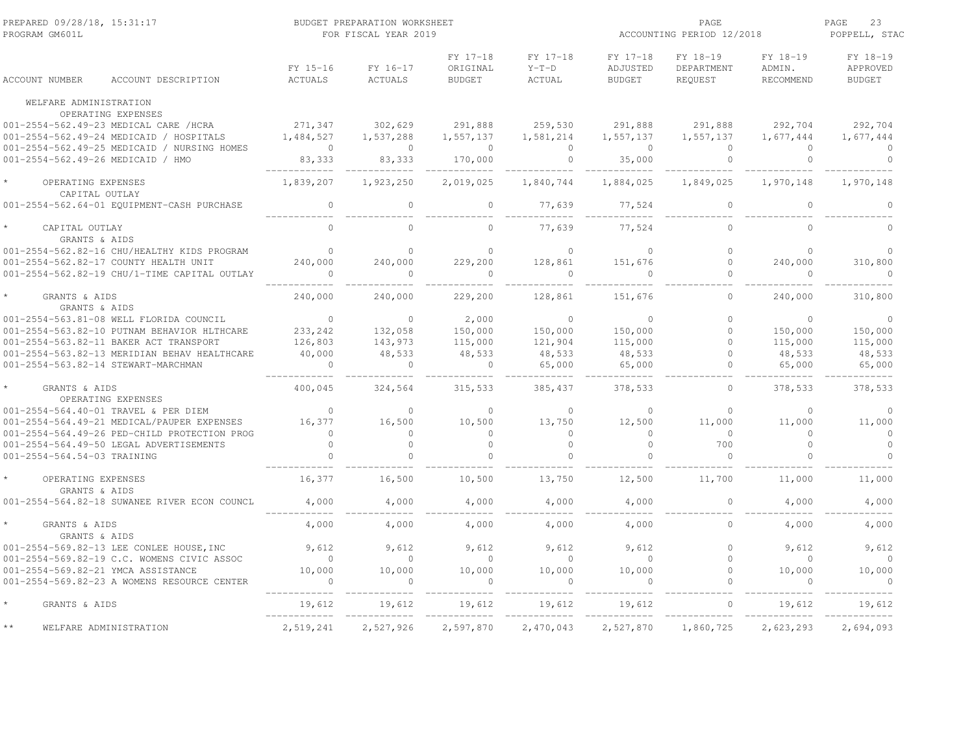| PREPARED 09/28/18, 15:31:17<br>PROGRAM GM601L                                     |                     | BUDGET PREPARATION WORKSHEET<br>FOR FISCAL YEAR 2019 |                                       |                                      | ACCOUNTING PERIOD 12/2018             | PAGE<br>23<br>POPPELL, STAC       |                                 |                                              |
|-----------------------------------------------------------------------------------|---------------------|------------------------------------------------------|---------------------------------------|--------------------------------------|---------------------------------------|-----------------------------------|---------------------------------|----------------------------------------------|
| ACCOUNT NUMBER<br>ACCOUNT DESCRIPTION                                             | FY 15-16<br>ACTUALS | FY 16-17<br><b>ACTUALS</b>                           | FY 17-18<br>ORIGINAL<br><b>BUDGET</b> | FY 17-18<br>$Y-T-D$<br><b>ACTUAL</b> | FY 17-18<br>ADJUSTED<br><b>BUDGET</b> | FY 18-19<br>DEPARTMENT<br>REQUEST | FY 18-19<br>ADMIN.<br>RECOMMEND | FY 18-19<br><b>APPROVED</b><br><b>BUDGET</b> |
| WELFARE ADMINISTRATION                                                            |                     |                                                      |                                       |                                      |                                       |                                   |                                 |                                              |
| OPERATING EXPENSES<br>001-2554-562.49-23 MEDICAL CARE /HCRA                       | 271,347             | 302,629                                              | 291,888                               | 259,530                              | 291,888                               | 291,888                           | 292,704                         | 292,704                                      |
| 001-2554-562.49-24 MEDICAID / HOSPITALS                                           | 1,484,527           | 1,537,288                                            | 1,557,137                             | 1,581,214                            | 1,557,137                             | 1,557,137                         | 1,677,444                       | 1,677,444                                    |
| 001-2554-562.49-25 MEDICAID / NURSING HOMES                                       | $\sim$ 0            | $\bigcirc$                                           | $\bigcirc$                            | $\Omega$                             | $\overline{0}$                        | $\Omega$                          | $\Omega$                        | $\Omega$                                     |
| 001-2554-562.49-26 MEDICAID / HMO                                                 | 83, 333             | 83,333                                               | 170,000                               | $\bigcirc$                           | 35,000                                | $\Omega$                          | $\Omega$                        | $\Omega$                                     |
| OPERATING EXPENSES                                                                | 1,839,207           | 1,923,250                                            | 2,019,025                             | 1,840,744                            | 1,884,025                             | 1,849,025                         | 1,970,148                       | 1,970,148                                    |
| CAPITAL OUTLAY<br>001-2554-562.64-01 EQUIPMENT-CASH PURCHASE                      | $\mathbf{0}$        | $\Omega$                                             | $\circ$                               | 77,639                               | 77,524                                | $\circ$                           | $\circ$                         | $\Omega$                                     |
| CAPITAL OUTLAY<br>GRANTS & AIDS                                                   | $\Omega$            | $\Omega$                                             | $\Omega$                              | 77,639                               | 77,524                                | $\Omega$                          | $\Omega$                        |                                              |
| 001-2554-562.82-16 CHU/HEALTHY KIDS PROGRAM                                       | $\Omega$            | $\Omega$                                             | $\Omega$                              | $\Omega$                             | $\Omega$                              | $\Omega$                          | $\Omega$                        | $\Omega$                                     |
| 001-2554-562.82-17 COUNTY HEALTH UNIT                                             | 240,000             | 240,000                                              | 229,200                               | 128,861                              | 151,676                               | $\circ$                           | 240,000                         | 310,800                                      |
| 001-2554-562.82-19 CHU/1-TIME CAPITAL OUTLAY                                      |                     | $\Omega$                                             | $\Omega$                              |                                      | $\bigcirc$                            | $\Omega$                          | $\Omega$                        | $\Omega$                                     |
| GRANTS & AIDS<br>GRANTS & AIDS                                                    | 240,000             | 240,000                                              | 229,200                               | 128,861                              | 151,676                               | $\circ$                           | 240,000                         | 310,800                                      |
| 001-2554-563.81-08 WELL FLORIDA COUNCIL                                           | $\overline{0}$      | $\Omega$                                             | 2,000                                 | $\Omega$                             | $\Omega$                              | $\Omega$                          | $\Omega$                        | $\Omega$                                     |
| 001-2554-563.82-10 PUTNAM BEHAVIOR HLTHCARE                                       | 233,242             | 132,058                                              | 150,000                               | 150,000                              | 150,000                               | $\circ$                           | 150,000                         | 150,000                                      |
| 001-2554-563.82-11 BAKER ACT TRANSPORT                                            | 126,803             | 143,973                                              | 115,000                               | 121,904                              | 115,000                               | $\circ$                           | 115,000                         | 115,000                                      |
| 001-2554-563.82-13 MERIDIAN BEHAV HEALTHCARE                                      | 40,000              | 48,533                                               | 48,533                                | 48,533                               | 48,533                                | $\Omega$                          | 48,533                          | 48,533                                       |
| 001-2554-563.82-14 STEWART-MARCHMAN                                               |                     |                                                      | $\Omega$                              | 65,000                               | 65,000                                | $\Omega$                          | 65,000                          | 65,000                                       |
| GRANTS & AIDS<br>OPERATING EXPENSES                                               | 400,045             | 324,564                                              | 315,533                               | 385,437                              | 378,533                               | $\Omega$                          | 378,533                         | 378,533                                      |
| 001-2554-564.40-01 TRAVEL & PER DIEM                                              | $\Omega$            | $\Omega$                                             | $\Omega$                              | $\Omega$                             | $\Omega$                              | $\Omega$                          | $\Omega$                        | $\Omega$                                     |
| 001-2554-564.49-21 MEDICAL/PAUPER EXPENSES                                        | 16,377              | 16,500                                               | 10,500                                | 13,750                               | 12,500                                | 11,000                            | 11,000                          | 11,000                                       |
| 001-2554-564.49-26 PED-CHILD PROTECTION PROG                                      | $\Omega$            | $\Omega$                                             | $\Omega$                              | $\Omega$                             | $\Omega$                              | $\Omega$                          | $\Omega$                        | $\Omega$                                     |
| 001-2554-564.49-50 LEGAL ADVERTISEMENTS                                           | $\Omega$            | $\Omega$                                             | $\Omega$                              | $\Omega$                             | $\Omega$                              | 700                               | $\Omega$                        | $\circ$                                      |
| 001-2554-564.54-03 TRAINING                                                       |                     |                                                      | $\Omega$                              |                                      |                                       | $\Omega$                          |                                 | $\Omega$                                     |
| OPERATING EXPENSES<br>GRANTS & AIDS                                               | 16,377              | 16,500                                               | 10,500                                | 13,750                               | 12,500                                | 11,700                            | 11,000                          | 11,000                                       |
| 001-2554-564.82-18 SUWANEE RIVER ECON COUNCL                                      | 4,000               | 4,000                                                | 4,000                                 | 4,000                                | 4,000                                 | $\circ$                           | 4,000                           | 4,000                                        |
| GRANTS & AIDS<br>GRANTS & AIDS                                                    | 4,000               | 4,000                                                | 4,000                                 | 4,000                                | 4,000                                 | $\Omega$                          | 4,000                           | 4,000                                        |
| 001-2554-569.82-13 LEE CONLEE HOUSE, INC                                          | 9,612               | 9,612                                                | 9,612                                 | 9,612                                | 9,612                                 | $\Omega$                          | 9,612                           | 9.612                                        |
| 001-2554-569.82-19 C.C. WOMENS CIVIC ASSOC                                        | $\circ$             | $\circ$                                              | $\overline{0}$                        | $\circ$                              | $\Omega$                              | $\circ$                           | $\circ$                         | $\Omega$                                     |
| 001-2554-569.82-21 YMCA ASSISTANCE<br>001-2554-569.82-23 A WOMENS RESOURCE CENTER | 10,000<br>$\Omega$  | 10,000<br>$\Omega$                                   | 10,000<br>$\Omega$                    | 10,000<br>$\Omega$                   | 10,000<br>$\Omega$                    | $\Omega$<br>$\Omega$              | 10,000<br>$\Omega$              | 10,000<br>$\Omega$                           |
| GRANTS & AIDS                                                                     | 19,612              | 19,612                                               | 19,612                                | 19,612                               | 19,612                                |                                   | 19,612                          | 19,612                                       |
| WELFARE ADMINISTRATION                                                            | 2,519,241           | 2,527,926                                            | 2,597,870                             | 2,470,043                            | 2,527,870                             | 1,860,725                         | 2,623,293                       | 2,694,093                                    |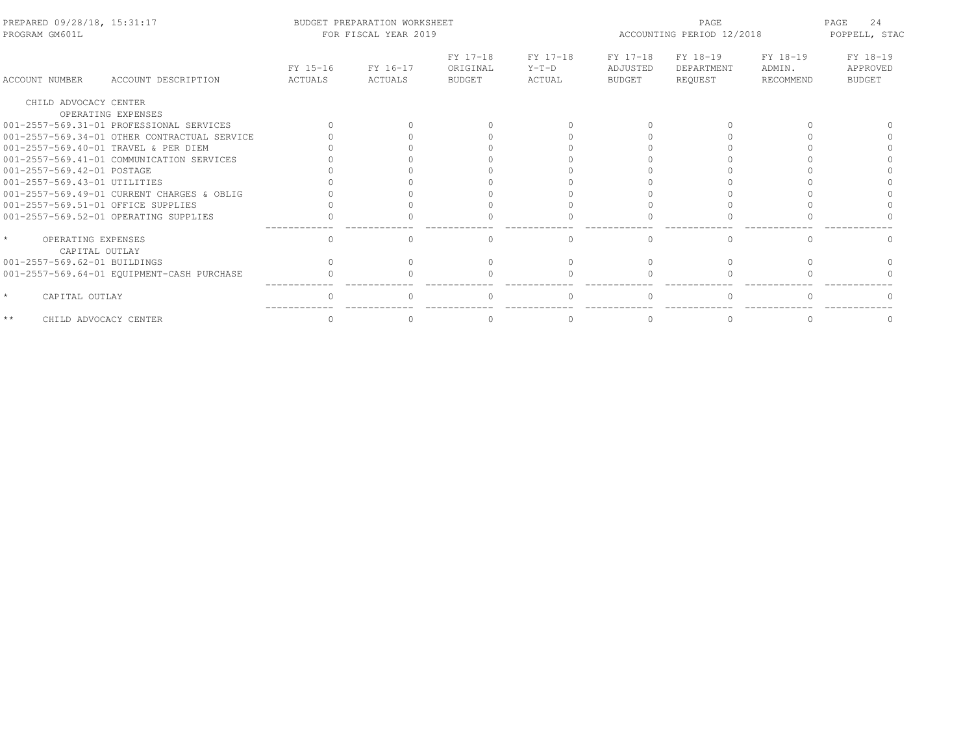| PREPARED 09/28/18, 15:31:17<br>PROGRAM GM601L   |                                              |                     | BUDGET PREPARATION WORKSHEET<br>FOR FISCAL YEAR 2019 |                                       |                               | PAGE<br>ACCOUNTING PERIOD 12/2018     |                                   |                                 | 24<br>PAGE<br>POPPELL, STAC           |
|-------------------------------------------------|----------------------------------------------|---------------------|------------------------------------------------------|---------------------------------------|-------------------------------|---------------------------------------|-----------------------------------|---------------------------------|---------------------------------------|
| ACCOUNT NUMBER                                  | ACCOUNT DESCRIPTION                          | FY 15-16<br>ACTUALS | FY 16-17<br>ACTUALS                                  | FY 17-18<br>ORIGINAL<br><b>BUDGET</b> | FY 17-18<br>$Y-T-D$<br>ACTUAL | FY 17-18<br>ADJUSTED<br><b>BUDGET</b> | FY 18-19<br>DEPARTMENT<br>REQUEST | FY 18-19<br>ADMIN.<br>RECOMMEND | FY 18-19<br>APPROVED<br><b>BUDGET</b> |
| CHILD ADVOCACY CENTER                           |                                              |                     |                                                      |                                       |                               |                                       |                                   |                                 |                                       |
|                                                 | OPERATING EXPENSES                           |                     |                                                      |                                       |                               |                                       |                                   |                                 |                                       |
|                                                 | 001-2557-569.31-01 PROFESSIONAL SERVICES     |                     |                                                      |                                       |                               |                                       |                                   |                                 |                                       |
|                                                 | 001-2557-569.34-01 OTHER CONTRACTUAL SERVICE |                     |                                                      |                                       |                               |                                       |                                   |                                 |                                       |
|                                                 | 001-2557-569.40-01 TRAVEL & PER DIEM         |                     |                                                      |                                       |                               |                                       |                                   |                                 |                                       |
|                                                 | 001-2557-569.41-01 COMMUNICATION SERVICES    |                     |                                                      |                                       |                               |                                       |                                   |                                 |                                       |
| 001-2557-569.42-01 POSTAGE                      |                                              |                     |                                                      |                                       |                               |                                       |                                   |                                 |                                       |
| 001-2557-569.43-01 UTILITIES                    |                                              |                     |                                                      |                                       |                               |                                       |                                   |                                 |                                       |
|                                                 | 001-2557-569.49-01 CURRENT CHARGES & OBLIG   |                     |                                                      |                                       |                               |                                       |                                   |                                 |                                       |
| 001-2557-569.51-01 OFFICE SUPPLIES              |                                              |                     |                                                      |                                       |                               |                                       |                                   |                                 |                                       |
|                                                 | 001-2557-569.52-01 OPERATING SUPPLIES        |                     |                                                      |                                       |                               |                                       |                                   |                                 |                                       |
| $\star$<br>OPERATING EXPENSES<br>CAPITAL OUTLAY |                                              | $\Omega$            | 0                                                    |                                       | 0                             |                                       | $\mathbf{0}$                      | $\Omega$                        |                                       |
| 001-2557-569.62-01 BUILDINGS                    |                                              |                     |                                                      |                                       |                               |                                       |                                   |                                 |                                       |
|                                                 | 001-2557-569.64-01 EQUIPMENT-CASH PURCHASE   |                     |                                                      |                                       |                               |                                       |                                   |                                 |                                       |
| $\star$<br>CAPITAL OUTLAY                       |                                              |                     |                                                      |                                       |                               |                                       |                                   |                                 |                                       |
| $\star\star$<br>CHILD ADVOCACY CENTER           |                                              |                     |                                                      |                                       | $\Omega$                      |                                       | $\Omega$                          |                                 |                                       |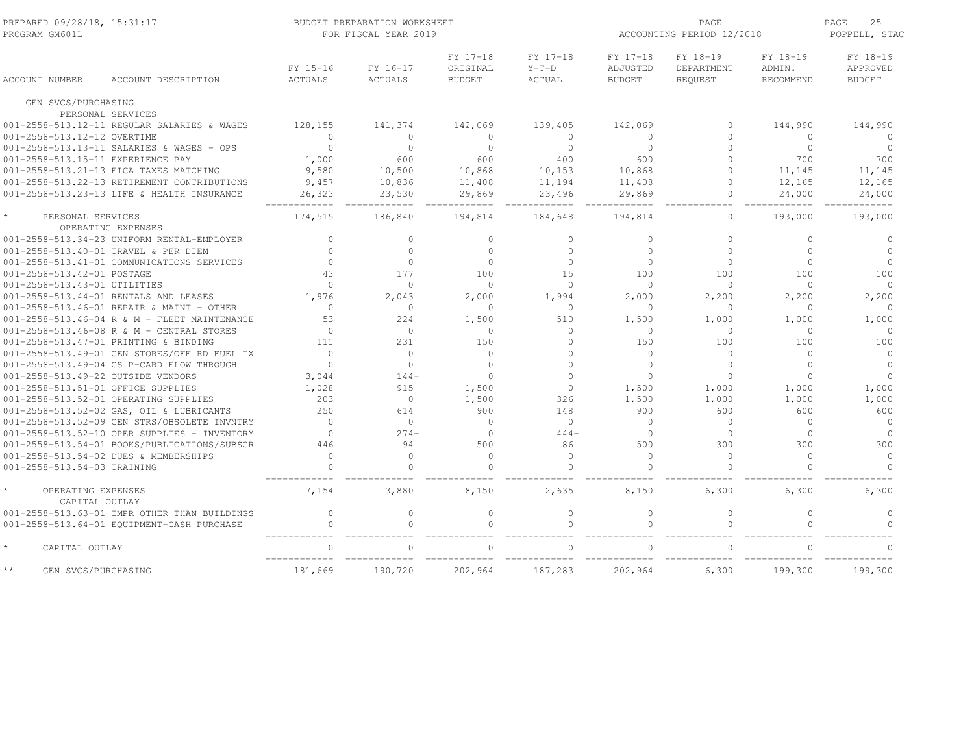| PREPARED 09/28/18, 15:31:17<br>PROGRAM GM601L |                                                                                           | BUDGET PREPARATION WORKSHEET<br>FOR FISCAL YEAR 2019 |                     |                                       |                               | ACCOUNTING PERIOD 12/2018             | PAGE<br>25<br>POPPELL, STAC       |                                 |                                       |
|-----------------------------------------------|-------------------------------------------------------------------------------------------|------------------------------------------------------|---------------------|---------------------------------------|-------------------------------|---------------------------------------|-----------------------------------|---------------------------------|---------------------------------------|
| <b>ACCOUNT NUMBER</b>                         | ACCOUNT DESCRIPTION                                                                       | FY 15-16<br><b>ACTUALS</b>                           | FY 16-17<br>ACTUALS | FY 17-18<br>ORIGINAL<br><b>BUDGET</b> | FY 17-18<br>$Y-T-D$<br>ACTUAL | FY 17-18<br>ADJUSTED<br><b>BUDGET</b> | FY 18-19<br>DEPARTMENT<br>REQUEST | FY 18-19<br>ADMIN.<br>RECOMMEND | FY 18-19<br>APPROVED<br><b>BUDGET</b> |
| GEN SVCS/PURCHASING                           |                                                                                           |                                                      |                     |                                       |                               |                                       |                                   |                                 |                                       |
|                                               | PERSONAL SERVICES                                                                         |                                                      |                     |                                       |                               |                                       |                                   |                                 |                                       |
|                                               | 001-2558-513.12-11 REGULAR SALARIES & WAGES                                               | 128,155                                              | 141,374             | 142,069                               | 139,405                       | 142,069                               | $\Omega$                          | 144,990                         | 144,990                               |
| 001-2558-513.12-12 OVERTIME                   |                                                                                           | $\mathbf{0}$                                         | $\cap$              | $\mathbf{0}$                          | $\mathbf{0}$                  | $\Omega$                              | $\cap$                            | $\Omega$                        | 0                                     |
|                                               | 001-2558-513.13-11 SALARIES & WAGES - OPS                                                 | $\Omega$                                             | $\Omega$            | $\circ$                               | $\circ$                       | $\Omega$                              | $\cap$                            | $\circ$                         | $\Omega$                              |
|                                               | 001-2558-513.15-11 EXPERIENCE PAY                                                         | 1,000                                                | 600                 | 600                                   | 400                           | 600                                   | $\Omega$                          | 700                             | 700                                   |
|                                               | 001-2558-513.21-13 FICA TAXES MATCHING                                                    | 9,580                                                | 10,500              | 10,868                                | 10,153                        | 10,868                                | $\cap$                            | 11,145                          | 11,145                                |
|                                               | 001-2558-513.22-13 RETIREMENT CONTRIBUTIONS                                               | 9,457                                                | 10,836              | 11,408                                | 11,194                        | 11,408                                | $\Omega$                          | 12,165                          | 12,165                                |
|                                               | 001-2558-513.23-13 LIFE & HEALTH INSURANCE                                                | 26,323                                               | 23,530              | 29,869                                | 23,496                        | 29,869                                | $\circ$                           | 24,000                          | 24,000                                |
| $\star$<br>PERSONAL SERVICES                  |                                                                                           | 174,515                                              | 186,840             | 194,814                               | 184,648                       | 194,814                               | $\circ$                           | 193,000                         | 193,000                               |
|                                               | OPERATING EXPENSES                                                                        |                                                      | $\Omega$            | $\Omega$                              |                               |                                       | $\Omega$                          | $\cap$                          |                                       |
|                                               | 001-2558-513.34-23 UNIFORM RENTAL-EMPLOYER                                                | $\Omega$<br>$\Omega$                                 | $\Omega$            |                                       | $\Omega$                      | $\Omega$                              | $\Omega$                          | $\Omega$                        | $\Omega$                              |
|                                               | 001-2558-513.40-01 TRAVEL & PER DIEM                                                      | $\bigcap$                                            | $\Omega$            | $\Omega$<br>$\circ$                   | $\Omega$<br>$\mathbf{0}$      | $\Omega$<br>$\bigcap$                 | $\circ$                           | $\Omega$                        | $\Omega$<br>$\circ$                   |
|                                               | 001-2558-513.41-01 COMMUNICATIONS SERVICES                                                | 43                                                   | 177                 | 100                                   | 1.5                           | 100                                   |                                   |                                 | 100                                   |
| 001-2558-513.42-01 POSTAGE                    |                                                                                           | $\Omega$                                             | $\Omega$            |                                       | $\Omega$                      | $\Omega$                              | 100<br>$\Omega$                   | 100<br>$\Omega$                 | $\Omega$                              |
| 001-2558-513.43-01 UTILITIES                  |                                                                                           | 1,976                                                |                     | $\circ$                               |                               |                                       |                                   |                                 |                                       |
|                                               | 001-2558-513.44-01 RENTALS AND LEASES                                                     | $\Omega$                                             | 2,043<br>$\Omega$   | 2,000<br>$\circ$                      | 1,994<br>$\mathbf{0}$         | 2,000<br>$\Omega$                     | 2,200<br>$\circ$                  | 2,200<br>$\Omega$               | 2,200<br>$\Omega$                     |
|                                               | 001-2558-513.46-01 REPAIR & MAINT - OTHER<br>001-2558-513.46-04 R & M - FLEET MAINTENANCE | 53                                                   | 224                 | 1,500                                 | 510                           | 1,500                                 | 1,000                             | 1,000                           | 1,000                                 |
|                                               | 001-2558-513.46-08 R & M - CENTRAL STORES                                                 | $\Omega$                                             | $\Omega$            | $\circ$                               | $\circ$                       | $\Omega$                              | $\Omega$                          | $\Omega$                        | $\Omega$                              |
|                                               | 001-2558-513.47-01 PRINTING & BINDING                                                     | 111                                                  | 231                 | 150                                   | $\Omega$                      | 150                                   | 100                               | 100                             | 100                                   |
|                                               | 001-2558-513.49-01 CEN STORES/OFF RD FUEL TX                                              | $\bigcap$                                            | $\Omega$            | $\mathbf{0}$                          | $\Omega$                      | $\Omega$                              | $\Omega$                          | $\cap$                          | $\Omega$                              |
|                                               | 001-2558-513.49-04 CS P-CARD FLOW THROUGH                                                 | $\bigcap$                                            | $\Omega$            | $\Omega$                              | $\cap$                        | $\bigcap$                             | $\cap$                            | $\Omega$                        | $\Omega$                              |
|                                               | 001-2558-513.49-22 OUTSIDE VENDORS                                                        | 3,044                                                | $144-$              | $\Omega$                              | $\Omega$                      | $\Omega$                              | $\Omega$                          | $\Omega$                        | $\Omega$                              |
|                                               | 001-2558-513.51-01 OFFICE SUPPLIES                                                        | 1,028                                                | 915                 | 1,500                                 | $\circ$                       | 1,500                                 | 1,000                             | 1,000                           | 1,000                                 |
|                                               | 001-2558-513.52-01 OPERATING SUPPLIES                                                     | 203                                                  | $\circ$             | 1,500                                 | 326                           | 1,500                                 | 1,000                             | 1,000                           | 1,000                                 |
|                                               | 001-2558-513.52-02 GAS, OIL & LUBRICANTS                                                  | 250                                                  | 614                 | 900                                   | 148                           | 900                                   | 600                               | 600                             | 600                                   |
|                                               | 001-2558-513.52-09 CEN STRS/OBSOLETE INVNTRY                                              | $\Omega$                                             | $\Omega$            | $\circ$                               | $\Omega$                      | $\Omega$                              | $\Omega$                          | $\Omega$                        | $\circ$                               |
|                                               | 001-2558-513.52-10 OPER SUPPLIES - INVENTORY                                              | $\Omega$                                             | $274-$              | $\circ$                               | $444-$                        | $\Omega$                              | $\Omega$                          | $\Omega$                        | $\circ$                               |
|                                               | 001-2558-513.54-01 BOOKS/PUBLICATIONS/SUBSCR                                              | 446                                                  | 94                  | 500                                   | 86                            | 500                                   | 300                               | 300                             | 300                                   |
|                                               | 001-2558-513.54-02 DUES & MEMBERSHIPS                                                     | $\Omega$                                             | $\Omega$            | $\circ$                               | $\mathbf{0}$                  | $\Omega$                              | $\circ$                           | $\Omega$                        | $\circ$                               |
| 001-2558-513.54-03 TRAINING                   |                                                                                           | $\Omega$                                             | $\Omega$            | $\Omega$                              | $\Omega$                      | $\cap$                                | $\Omega$                          | $\cap$                          | $\Omega$                              |
| $\star$                                       | OPERATING EXPENSES<br>CAPITAL OUTLAY                                                      | 7,154                                                | 3,880               | 8,150                                 | 2,635                         | 8,150                                 | 6,300                             | 6,300                           | 6,300                                 |
|                                               | 001-2558-513.63-01 IMPR OTHER THAN BUILDINGS                                              | $\mathbf{0}$                                         | $\Omega$            | $\circ$                               | $\circ$                       | $\mathbf{0}$                          | $\circ$                           | $\circ$                         | $\overline{0}$                        |
|                                               | 001-2558-513.64-01 EQUIPMENT-CASH PURCHASE                                                | $\Omega$                                             | $\Omega$            | $\Omega$                              | $\Omega$                      |                                       | $\Omega$                          | $\cap$                          | $\Omega$                              |
| $\star$<br>CAPITAL OUTLAY                     |                                                                                           | $\cap$                                               | $\cap$              |                                       | $\cap$                        |                                       | $\cap$                            | $\cap$                          | $\Omega$                              |
| $\star\star$                                  | GEN SVCS/PURCHASING                                                                       | 181,669                                              | 190,720             | 202,964                               | 187,283                       | 202,964                               | 6,300                             | 199,300                         | 199,300                               |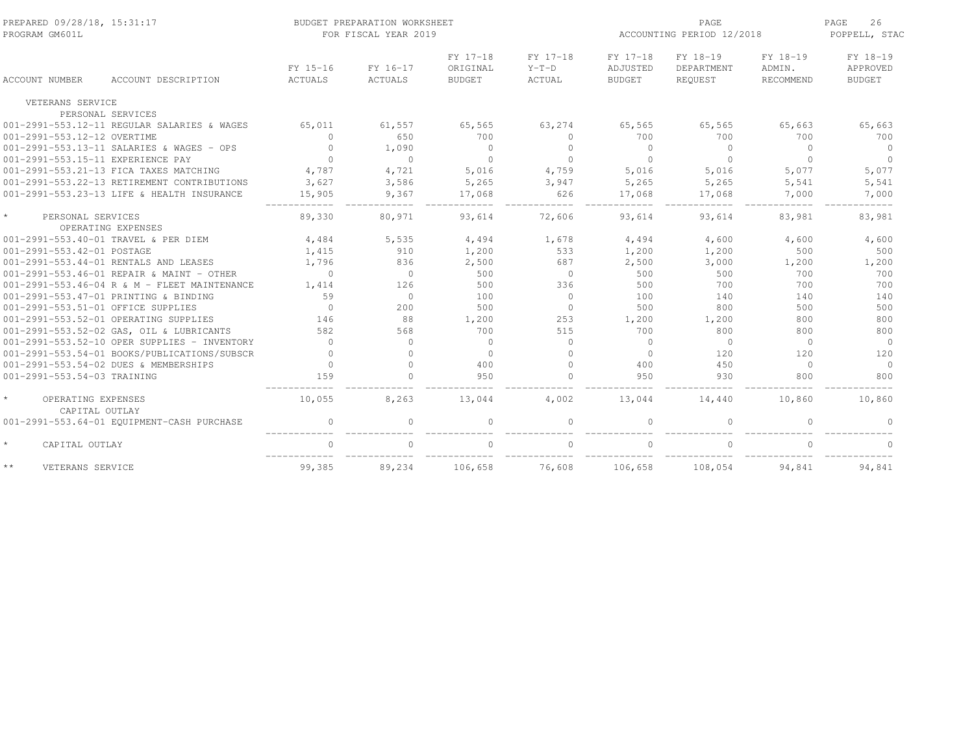| PREPARED 09/28/18, 15:31:17<br>PROGRAM GM601L   |                                              | BUDGET PREPARATION WORKSHEET<br>FOR FISCAL YEAR 2019 |                     |                                       |                               |                                       |                                   | PAGE<br>ACCOUNTING PERIOD 12/2018 |                                       |  |  |
|-------------------------------------------------|----------------------------------------------|------------------------------------------------------|---------------------|---------------------------------------|-------------------------------|---------------------------------------|-----------------------------------|-----------------------------------|---------------------------------------|--|--|
| <b>ACCOUNT NUMBER</b>                           | ACCOUNT DESCRIPTION                          | FY 15-16<br>ACTUALS                                  | FY 16-17<br>ACTUALS | FY 17-18<br>ORIGINAL<br><b>BUDGET</b> | FY 17-18<br>$Y-T-D$<br>ACTUAL | FY 17-18<br>ADJUSTED<br><b>BUDGET</b> | FY 18-19<br>DEPARTMENT<br>REQUEST | FY 18-19<br>ADMIN.<br>RECOMMEND   | FY 18-19<br>APPROVED<br><b>BUDGET</b> |  |  |
| VETERANS SERVICE                                |                                              |                                                      |                     |                                       |                               |                                       |                                   |                                   |                                       |  |  |
|                                                 | PERSONAL SERVICES                            |                                                      |                     |                                       |                               |                                       |                                   |                                   |                                       |  |  |
|                                                 | 001-2991-553.12-11 REGULAR SALARIES & WAGES  | 65,011                                               | 61,557              | 65,565                                | 63,274                        | 65,565                                | 65,565                            | 65,663                            | 65,663                                |  |  |
| 001-2991-553.12-12 OVERTIME                     |                                              | $\mathbf{0}$                                         | 650                 | 700                                   | $\circ$                       | 700                                   | 700                               | 700                               | 700                                   |  |  |
|                                                 | 001-2991-553.13-11 SALARIES & WAGES - OPS    | $\Omega$                                             | 1,090               | $\Omega$                              | $\Omega$                      | $\Omega$                              | $\Omega$                          | $\Omega$                          | $\Omega$                              |  |  |
| 001-2991-553.15-11 EXPERIENCE PAY               |                                              | $\Omega$                                             | $\cap$              | $\cap$                                | $\Omega$                      | $\cap$                                | $\Omega$                          | $\Omega$                          | $\Omega$                              |  |  |
|                                                 | 001-2991-553.21-13 FICA TAXES MATCHING       | 4,787                                                | 4,721               | 5,016                                 | 4,759                         | 5,016                                 | 5,016                             | 5,077                             | 5,077                                 |  |  |
|                                                 | 001-2991-553.22-13 RETIREMENT CONTRIBUTIONS  | 3,627                                                | 3,586               | 5,265                                 | 3,947                         | 5,265                                 | 5,265                             | 5,541                             | 5,541                                 |  |  |
|                                                 | 001-2991-553.23-13 LIFE & HEALTH INSURANCE   | 15,905                                               | 9,367               | 17,068                                | 626                           | 17,068                                | 17,068                            | 7,000                             | 7,000                                 |  |  |
| $\star$<br>PERSONAL SERVICES                    | OPERATING EXPENSES                           | 89,330                                               | 80,971              | 93,614                                | 72,606                        | 93,614                                | 93,614                            | 83,981                            | 83,981                                |  |  |
|                                                 | 001-2991-553.40-01 TRAVEL & PER DIEM         | 4,484                                                | 5,535               | 4,494                                 | 1,678                         | 4,494                                 | 4,600                             | 4,600                             | 4,600                                 |  |  |
| 001-2991-553.42-01 POSTAGE                      |                                              | 1,415                                                | 910                 | 1,200                                 | 533                           | 1,200                                 | 1,200                             | 500                               | 500                                   |  |  |
|                                                 | 001-2991-553.44-01 RENTALS AND LEASES        | 1,796                                                | 836                 | 2,500                                 | 687                           | 2,500                                 | 3,000                             | 1,200                             | 1,200                                 |  |  |
|                                                 | $001-2991-553.46-01$ REPAIR & MAINT - OTHER  | $\circ$                                              | $\Omega$            | 500                                   | $\overline{0}$                | 500                                   | 500                               | 700                               | 700                                   |  |  |
|                                                 | 001-2991-553.46-04 R & M - FLEET MAINTENANCE | 1,414                                                | 126                 | 500                                   | 336                           | 500                                   | 700                               | 700                               | 700                                   |  |  |
|                                                 | 001-2991-553.47-01 PRINTING & BINDING        | 59                                                   | $\bigcirc$          | 100                                   | $\Omega$                      | 100                                   | 140                               | 140                               | 140                                   |  |  |
| 001-2991-553.51-01 OFFICE SUPPLIES              |                                              | $\Omega$                                             | 200                 | 500                                   | $\Omega$                      | 500                                   | 800                               | 500                               | 500                                   |  |  |
|                                                 | 001-2991-553.52-01 OPERATING SUPPLIES        | 146                                                  | 88                  | 1,200                                 | 253                           | 1,200                                 | 1,200                             | 800                               | 800                                   |  |  |
|                                                 | 001-2991-553.52-02 GAS, OIL & LUBRICANTS     | 582                                                  | 568                 | 700                                   | 515                           | 700                                   | 800                               | 800                               | 800                                   |  |  |
|                                                 | 001-2991-553.52-10 OPER SUPPLIES - INVENTORY | $\Omega$                                             | $\Omega$            | $\Omega$                              | $\Omega$                      | $\bigcirc$                            | $\circ$                           | $\Omega$                          | $\Omega$                              |  |  |
|                                                 | 001-2991-553.54-01 BOOKS/PUBLICATIONS/SUBSCR | $\Omega$                                             | $\Omega$            | $\Omega$                              | $\Omega$                      | $\Omega$                              | 120                               | 120                               | 120                                   |  |  |
|                                                 | 001-2991-553.54-02 DUES & MEMBERSHIPS        | $\Omega$                                             | $\Omega$            | 400                                   | $\Omega$                      | 400                                   | 450                               | $\Omega$                          | $\Omega$                              |  |  |
| 001-2991-553.54-03 TRAINING                     |                                              | 159                                                  | $\Omega$            | 950                                   | $\Omega$                      | 950                                   | 930                               | 800                               | 800                                   |  |  |
| $\star$<br>OPERATING EXPENSES<br>CAPITAL OUTLAY |                                              | 10,055                                               | 8,263               | 13,044                                | 4,002                         | 13,044                                | 14,440                            | 10,860                            | 10,860                                |  |  |
|                                                 | 001-2991-553.64-01 EQUIPMENT-CASH PURCHASE   | $\mathbf{0}$                                         | $\Omega$            | $\Omega$                              | $\Omega$                      |                                       | $\mathbf{0}$                      | $\Omega$                          | $\Omega$                              |  |  |
| $\star$<br>CAPITAL OUTLAY                       |                                              | $\mathbf{0}$                                         | $\Omega$            | $\Omega$                              | $\mathbf{0}$                  |                                       | $\mathbf{0}$                      | $\Omega$                          | $\Omega$                              |  |  |
| $\star\,\star$<br>VETERANS SERVICE              |                                              | 99,385                                               | 89,234              | 106,658                               | 76,608                        | 106,658                               | 108,054                           | 94,841                            | 94,841                                |  |  |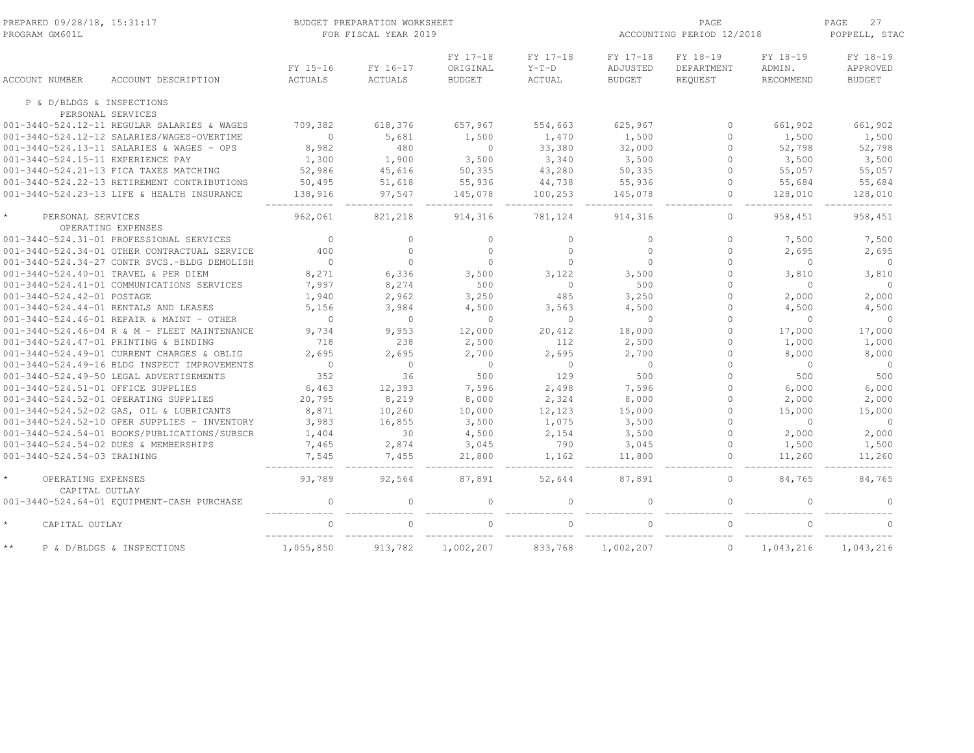| PREPARED 09/28/18, 15:31:17<br>PROGRAM GM601L                                           | BUDGET PREPARATION WORKSHEET<br>FOR FISCAL YEAR 2019 |                            |                                       |                               |                                       | PAGE<br>ACCOUNTING PERIOD 12/2018 |                                        |                                       |
|-----------------------------------------------------------------------------------------|------------------------------------------------------|----------------------------|---------------------------------------|-------------------------------|---------------------------------------|-----------------------------------|----------------------------------------|---------------------------------------|
| ACCOUNT NUMBER<br>ACCOUNT DESCRIPTION                                                   | FY 15-16<br><b>ACTUALS</b>                           | FY 16-17<br><b>ACTUALS</b> | FY 17-18<br>ORIGINAL<br><b>BUDGET</b> | FY 17-18<br>$Y-T-D$<br>ACTUAL | FY 17-18<br>ADJUSTED<br><b>BUDGET</b> | FY 18-19<br>DEPARTMENT<br>REQUEST | FY 18-19<br>ADMIN.<br><b>RECOMMEND</b> | FY 18-19<br>APPROVED<br><b>BUDGET</b> |
| P & D/BLDGS & INSPECTIONS                                                               |                                                      |                            |                                       |                               |                                       |                                   |                                        |                                       |
| PERSONAL SERVICES                                                                       |                                                      |                            |                                       |                               |                                       |                                   |                                        |                                       |
| 001-3440-524.12-11 REGULAR SALARIES & WAGES                                             | 709,382<br>$\Omega$                                  | 618,376<br>5,681           | 657,967<br>1,500                      | 554,663<br>1,470              | 625,967<br>1,500                      | $\Omega$<br>$\Omega$              | 661,902<br>1,500                       | 661,902<br>1,500                      |
| 001-3440-524.12-12 SALARIES/WAGES-OVERTIME<br>001-3440-524.13-11 SALARIES & WAGES - OPS | 8,982                                                | 480                        | $\Omega$                              | 33,380                        | 32,000                                | $\Omega$                          | 52,798                                 | 52,798                                |
| 001-3440-524.15-11 EXPERIENCE PAY                                                       | 1,300                                                | 1,900                      | 3,500                                 | 3,340                         | 3,500                                 | $\Omega$                          | 3,500                                  | 3,500                                 |
| 001-3440-524.21-13 FICA TAXES MATCHING                                                  | 52,986                                               | 45,616                     | 50,335                                | 43,280                        | 50,335                                | $\Omega$                          | 55,057                                 | 55,057                                |
| 001-3440-524.22-13 RETIREMENT CONTRIBUTIONS                                             | 50,495                                               | 51,618                     | 55,936                                | 44,738                        | 55,936                                | $\circ$                           | 55,684                                 | 55,684                                |
| 001-3440-524.23-13 LIFE & HEALTH INSURANCE                                              | 138,916                                              | 97,547                     | 145,078                               | 100,253                       | 145,078                               | $\circ$                           | 128,010                                | 128,010                               |
| PERSONAL SERVICES                                                                       | 962,061                                              | 821,218                    | 914,316                               | 781,124                       | 914,316                               | $\circ$                           | 958,451                                | 958,451                               |
| OPERATING EXPENSES                                                                      |                                                      |                            |                                       |                               |                                       |                                   |                                        |                                       |
| 001-3440-524.31-01 PROFESSIONAL SERVICES                                                | $\circ$                                              | $\circ$                    | $\circ$                               | $\Omega$                      | $\circ$                               | $\Omega$                          | 7,500                                  | 7,500                                 |
| 001-3440-524.34-01 OTHER CONTRACTUAL SERVICE                                            | 400                                                  | $\circ$                    | $\circ$                               | $\mathbf{0}$                  | $\Omega$                              | $\Omega$                          | 2,695                                  | 2,695                                 |
| 001-3440-524.34-27 CONTR SVCS.-BLDG DEMOLISH                                            | $\circ$                                              | $\circ$                    | $\Omega$                              | $\Omega$                      | $\Omega$                              | $\Omega$                          | $\circ$                                | $\circ$                               |
| 001-3440-524.40-01 TRAVEL & PER DIEM                                                    | 8,271                                                | 6,336                      | 3,500                                 | 3,122                         | 3,500                                 | $\Omega$                          | 3,810                                  | 3,810                                 |
| 001-3440-524.41-01 COMMUNICATIONS SERVICES                                              | 7,997                                                | 8,274                      | 500                                   | $\Omega$                      | 500                                   | $\cap$                            | $\Omega$                               | $\Omega$                              |
| 001-3440-524.42-01 POSTAGE                                                              | 1,940                                                | 2,962                      | 3,250                                 | 485                           | 3,250                                 | $\Omega$                          | 2,000                                  | 2,000                                 |
| 001-3440-524.44-01 RENTALS AND LEASES                                                   | 5,156                                                | 3,984                      | 4,500                                 | 3,563                         | 4,500                                 | $\Omega$                          | 4,500                                  | 4,500                                 |
| 001-3440-524.46-01 REPAIR & MAINT - OTHER                                               | $\circ$                                              | $\circ$                    | $\circ$                               | $\circ$                       | $\circ$                               | $\Omega$                          | $\circ$                                | $\overline{0}$                        |
| 001-3440-524.46-04 R & M - FLEET MAINTENANCE                                            | 9,734                                                | 9,953                      | 12,000                                | 20,412                        | 18,000                                | $\Omega$                          | 17,000                                 | 17,000                                |
| 001-3440-524.47-01 PRINTING & BINDING                                                   | 718                                                  | 238                        | 2,500                                 | 112                           | 2,500                                 | $\Omega$                          | 1,000                                  | 1,000                                 |
| 001-3440-524.49-01 CURRENT CHARGES & OBLIG                                              | 2,695                                                | 2,695                      | 2,700                                 | 2,695                         | 2,700                                 | $\Omega$                          | 8,000                                  | 8,000                                 |
| 001-3440-524.49-16 BLDG INSPECT IMPROVEMENTS                                            | $\Omega$                                             | $\Omega$                   | $\Omega$                              | $\mathbf{0}$                  | $\Omega$                              |                                   | $\Omega$                               | $\overline{0}$                        |
| 001-3440-524.49-50 LEGAL ADVERTISEMENTS                                                 | 352                                                  | 36                         | 500                                   | 129                           | 500                                   | $\Omega$                          | 500                                    | 500                                   |
| 001-3440-524.51-01 OFFICE SUPPLIES                                                      | 6,463                                                | 12,393                     | 7,596                                 | 2,498                         | 7,596                                 | $\Omega$                          | 6,000                                  | 6,000                                 |
| 001-3440-524.52-01 OPERATING SUPPLIES                                                   | 20,795                                               | 8,219                      | 8,000                                 | 2,324                         | 8,000                                 | $\Omega$                          | 2,000                                  | 2,000                                 |
| 001-3440-524.52-02 GAS, OIL & LUBRICANTS                                                | 8,871                                                | 10,260                     | 10,000                                | 12,123                        | 15,000                                | $\Omega$                          | 15,000                                 | 15,000                                |
| 001-3440-524.52-10 OPER SUPPLIES - INVENTORY                                            | 3,983                                                | 16,855                     | 3,500                                 | 1,075                         | 3,500                                 | $\Omega$                          | $\circ$                                | $\overline{0}$                        |
| 001-3440-524.54-01 BOOKS/PUBLICATIONS/SUBSCR                                            | 1,404                                                | 30                         | 4,500                                 | 2,154                         | 3,500                                 | $\Omega$                          | 2,000                                  | 2,000                                 |
| 001-3440-524.54-02 DUES & MEMBERSHIPS                                                   | 7,465                                                | 2,874                      | 3,045                                 | 790                           | 3,045                                 | $\Omega$                          | 1,500                                  | 1,500                                 |
| 001-3440-524.54-03 TRAINING                                                             | 7,545                                                | 7,455                      | 21,800                                | 1,162                         | 11,800                                | $\circ$                           | 11,260                                 | 11,260                                |
| OPERATING EXPENSES<br>CAPITAL OUTLAY                                                    | 93,789                                               | 92,564                     | 87,891                                | 52,644                        | 87,891                                | $\circ$                           | 84,765                                 | 84,765                                |
| 001-3440-524.64-01 EQUIPMENT-CASH PURCHASE                                              | $\circ$                                              | $\circ$                    | $\mathbf{0}$                          | $\circ$                       | $\Omega$                              | $\mathbf 0$                       | $\Omega$                               | $\Omega$                              |
| $\star$<br>CAPITAL OUTLAY                                                               | $\mathbf{0}$                                         | $\Omega$                   |                                       | $\Omega$                      | $\cap$                                | $\Omega$                          | $\Omega$                               | $\Omega$                              |
| $\star$ $\star$<br>P & D/BLDGS & INSPECTIONS                                            | 1,055,850                                            | 913,782                    | 1,002,207                             | 833,768                       | 1,002,207                             | $\circ$                           | 1,043,216                              | 1,043,216                             |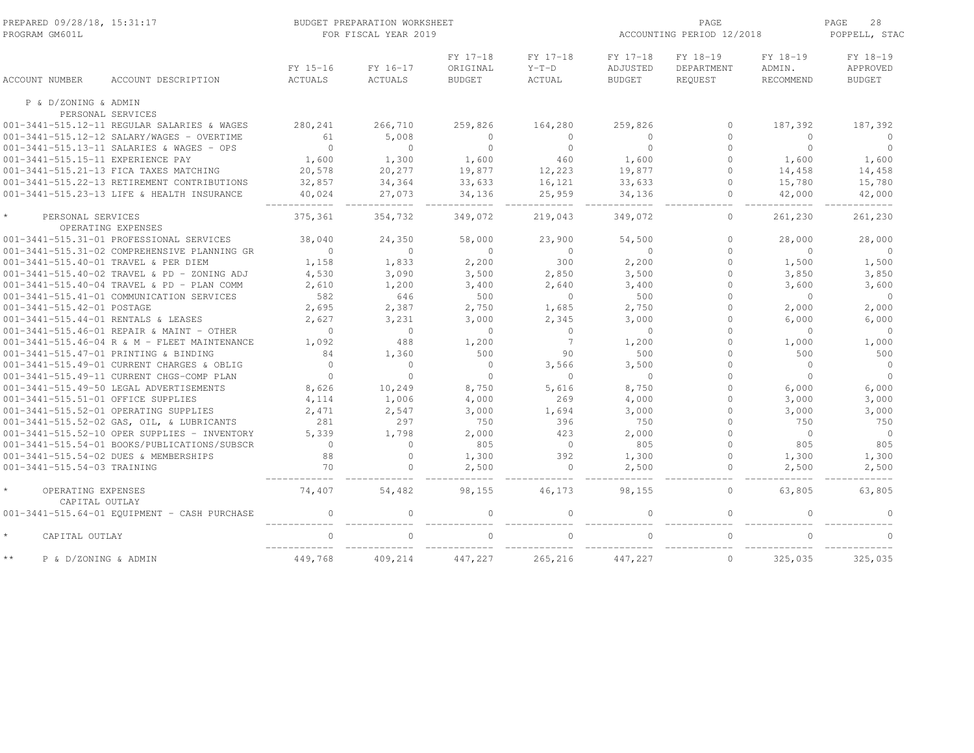| PREPARED 09/28/18, 15:31:17<br>PROGRAM GM601L      |                                              |                            | BUDGET PREPARATION WORKSHEET<br>FOR FISCAL YEAR 2019 |                                       |                               | ACCOUNTING PERIOD 12/2018             | 28<br>PAGE<br>POPPELL, STAC       |                                 |                                       |
|----------------------------------------------------|----------------------------------------------|----------------------------|------------------------------------------------------|---------------------------------------|-------------------------------|---------------------------------------|-----------------------------------|---------------------------------|---------------------------------------|
| ACCOUNT NUMBER                                     | ACCOUNT DESCRIPTION                          | FY 15-16<br><b>ACTUALS</b> | FY 16-17<br><b>ACTUALS</b>                           | FY 17-18<br>ORIGINAL<br><b>BUDGET</b> | FY 17-18<br>$Y-T-D$<br>ACTUAL | FY 17-18<br>ADJUSTED<br><b>BUDGET</b> | FY 18-19<br>DEPARTMENT<br>REQUEST | FY 18-19<br>ADMIN.<br>RECOMMEND | FY 18-19<br>APPROVED<br><b>BUDGET</b> |
| P & D/ZONING & ADMIN                               |                                              |                            |                                                      |                                       |                               |                                       |                                   |                                 |                                       |
| PERSONAL SERVICES                                  |                                              |                            |                                                      |                                       |                               |                                       |                                   |                                 |                                       |
|                                                    | 001-3441-515.12-11 REGULAR SALARIES & WAGES  | 280,241                    | 266,710                                              | 259,826                               | 164,280                       | 259,826                               | $\circ$                           | 187,392                         | 187,392                               |
|                                                    | 001-3441-515.12-12 SALARY/WAGES - OVERTIME   | 61                         | 5,008                                                | $\mathbf{0}$                          | $\circ$                       | $\Omega$                              | $\Omega$                          | $\Omega$                        | $\Omega$                              |
|                                                    | 001-3441-515.13-11 SALARIES & WAGES - OPS    | $\bigcirc$                 | $\Omega$                                             | $\Omega$                              | $\Omega$                      | $\Omega$                              | $\Omega$                          | $\Omega$                        | $\Omega$                              |
| 001-3441-515.15-11 EXPERIENCE PAY                  |                                              | 1,600                      | 1,300                                                | 1,600                                 | 460                           | 1,600                                 | $\Omega$                          | 1,600                           | 1,600                                 |
| 001-3441-515.21-13 FICA TAXES MATCHING             |                                              | 20,578                     | 20,277                                               | 19,877                                | 12,223                        | 19,877                                | $\Omega$                          | 14,458                          | 14,458                                |
|                                                    | 001-3441-515.22-13 RETIREMENT CONTRIBUTIONS  | 32,857                     | 34,364                                               | 33,633                                | 16,121                        | 33,633                                | $\circ$                           | 15,780                          | 15,780                                |
|                                                    | 001-3441-515.23-13 LIFE & HEALTH INSURANCE   | 40,024                     | 27,073                                               | 34,136                                | 25,959                        | 34,136                                | $\circ$                           | 42,000                          | 42,000                                |
| $\star$<br>PERSONAL SERVICES<br>OPERATING EXPENSES |                                              | 375,361                    | 354,732                                              | 349,072                               | 219,043                       | 349,072                               | $\circ$                           | 261,230                         | 261,230                               |
| 001-3441-515.31-01 PROFESSIONAL SERVICES           |                                              | 38,040                     | 24,350                                               | 58,000                                | 23,900                        | 54,500                                | $\Omega$                          | 28,000                          | 28,000                                |
|                                                    | 001-3441-515.31-02 COMPREHENSIVE PLANNING GR | $\Omega$                   | $\Omega$                                             | $\Omega$                              | $\Omega$                      | $\Omega$                              | $\Omega$                          | $\Omega$                        | $\Omega$                              |
| 001-3441-515.40-01 TRAVEL & PER DIEM               |                                              | 1,158                      | 1,833                                                | 2,200                                 | 300                           | 2,200                                 | $\Omega$                          | 1,500                           | 1,500                                 |
|                                                    | 001-3441-515.40-02 TRAVEL & PD - ZONING ADJ  | 4,530                      | 3,090                                                | 3,500                                 | 2,850                         | 3,500                                 | $\Omega$                          | 3,850                           | 3,850                                 |
|                                                    | 001-3441-515.40-04 TRAVEL & PD - PLAN COMM   | 2,610                      | 1,200                                                | 3,400                                 | 2,640                         | 3,400                                 | $\Omega$                          | 3,600                           | 3,600                                 |
|                                                    | 001-3441-515.41-01 COMMUNICATION SERVICES    | 582                        | 646                                                  | 500                                   | $\mathbf 0$                   | 500                                   | $\Omega$                          | $\circ$                         | $\circ$                               |
| 001-3441-515.42-01 POSTAGE                         |                                              | 2,695                      | 2,387                                                | 2,750                                 | 1,685                         | 2,750                                 | $\Omega$                          | 2,000                           | 2,000                                 |
| 001-3441-515.44-01 RENTALS & LEASES                |                                              | 2,627                      | 3,231                                                | 3,000                                 | 2,345                         | 3,000                                 | $\Omega$                          | 6,000                           | 6,000                                 |
|                                                    | 001-3441-515.46-01 REPAIR & MAINT - OTHER    | $\circ$                    | $\circ$                                              | $\circ$                               | $\mathbf{0}$                  | $\overline{0}$                        | $\Omega$                          | $\mathbf{0}$                    | $\circ$                               |
|                                                    | 001-3441-515.46-04 R & M - FLEET MAINTENANCE | 1,092                      | 488                                                  | 1,200                                 | $7\phantom{.0}$               | 1,200                                 | $\Omega$                          | 1,000                           | 1,000                                 |
| 001-3441-515.47-01 PRINTING & BINDING              |                                              | 84                         | 1,360                                                | 500                                   | 90                            | 500                                   | $\Omega$                          | 500                             | 500                                   |
|                                                    | 001-3441-515.49-01 CURRENT CHARGES & OBLIG   | $\Omega$                   | $\cap$                                               | $\mathbf{0}$                          | 3,566                         | 3,500                                 | $\Omega$                          | $\Omega$                        | $\Omega$                              |
|                                                    | 001-3441-515.49-11 CURRENT CHGS-COMP PLAN    | $\mathbf{0}$               | $\Omega$                                             | $\mathbf{0}$                          | $\mathbf{0}$                  | $\overline{0}$                        | $\Omega$                          | $\Omega$                        | $\Omega$                              |
| 001-3441-515.49-50 LEGAL ADVERTISEMENTS            |                                              |                            |                                                      |                                       |                               |                                       | $\Omega$                          |                                 |                                       |
| 001-3441-515.51-01 OFFICE SUPPLIES                 |                                              | 8,626                      | 10,249<br>1,006                                      | 8,750<br>4,000                        | 5,616<br>269                  | 8,750<br>4,000                        | $\circ$                           | 6,000                           | 6,000                                 |
|                                                    |                                              | 4,114                      |                                                      |                                       |                               |                                       | $\Omega$                          | 3,000                           | 3,000                                 |
| 001-3441-515.52-01 OPERATING SUPPLIES              |                                              | 2,471                      | 2,547                                                | 3,000                                 | 1,694                         | 3,000                                 | $\Omega$                          | 3,000                           | 3,000                                 |
|                                                    | 001-3441-515.52-02 GAS, OIL, & LUBRICANTS    | 281                        | 297                                                  | 750                                   | 396                           | 750                                   |                                   | 750                             | 750                                   |
|                                                    | 001-3441-515.52-10 OPER SUPPLIES - INVENTORY | 5,339                      | 1,798<br>$\Omega$                                    | 2,000                                 | 423                           | 2,000                                 | $\Omega$                          | $\circ$                         | $\overline{0}$                        |
|                                                    | 001-3441-515.54-01 BOOKS/PUBLICATIONS/SUBSCR | $\circ$                    |                                                      | 805                                   | $\overline{0}$                | 805                                   | $\Omega$                          | 805                             | 805                                   |
| 001-3441-515.54-02 DUES & MEMBERSHIPS              |                                              | 88                         | $\Omega$                                             | 1,300                                 | 392                           | 1,300                                 | $\Omega$                          | 1,300                           | 1,300                                 |
| 001-3441-515.54-03 TRAINING                        |                                              | 70                         |                                                      | 2,500                                 |                               | 2,500                                 | $\Omega$                          | 2,500                           | 2,500                                 |
| $\star$<br>OPERATING EXPENSES<br>CAPITAL OUTLAY    |                                              | 74,407                     | 54,482                                               | 98,155                                | 46,173                        | 98,155                                | $\mathbf{0}$                      | 63,805                          | 63,805                                |
|                                                    | 001-3441-515.64-01 EQUIPMENT - CASH PURCHASE | $\mathbf{0}$               |                                                      | $\Omega$                              | $\Omega$                      |                                       | $\Omega$                          |                                 | $\cap$                                |
| $\star$<br>CAPITAL OUTLAY                          |                                              |                            |                                                      | $\cap$                                |                               |                                       |                                   |                                 | $\cap$                                |
| $\star\star$<br>P & D/ZONING & ADMIN               |                                              | 449,768                    | 409,214                                              | 447,227                               | 265,216                       | 447,227                               | $\mathbb O$                       | 325,035                         | 325,035                               |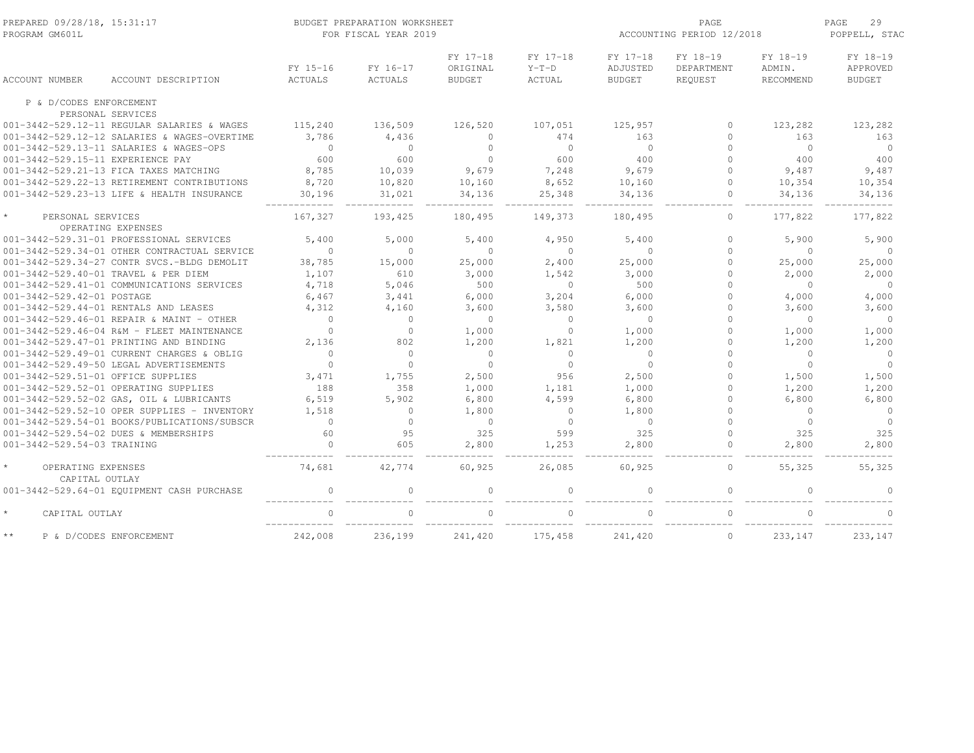| PREPARED 09/28/18, 15:31:17<br>PROGRAM GM601L |                                              | BUDGET PREPARATION WORKSHEET<br>FOR FISCAL YEAR 2019 |                            |                                       |                               | PAGE<br>ACCOUNTING PERIOD 12/2018     |                                   |                                 | PAGE<br>29<br>POPPELL, STAC           |  |
|-----------------------------------------------|----------------------------------------------|------------------------------------------------------|----------------------------|---------------------------------------|-------------------------------|---------------------------------------|-----------------------------------|---------------------------------|---------------------------------------|--|
| <b>ACCOUNT NUMBER</b>                         | ACCOUNT DESCRIPTION                          | FY 15-16<br>ACTUALS                                  | FY 16-17<br><b>ACTUALS</b> | FY 17-18<br>ORIGINAL<br><b>BUDGET</b> | FY 17-18<br>$Y-T-D$<br>ACTUAL | FY 17-18<br>ADJUSTED<br><b>BUDGET</b> | FY 18-19<br>DEPARTMENT<br>REQUEST | FY 18-19<br>ADMIN.<br>RECOMMEND | FY 18-19<br>APPROVED<br><b>BUDGET</b> |  |
| P & D/CODES ENFORCEMENT                       |                                              |                                                      |                            |                                       |                               |                                       |                                   |                                 |                                       |  |
|                                               | PERSONAL SERVICES                            |                                                      |                            |                                       |                               |                                       |                                   |                                 |                                       |  |
|                                               | 001-3442-529.12-11 REGULAR SALARIES & WAGES  | 115,240                                              | 136,509                    | 126,520                               | 107,051                       | 125,957                               | $\bigcap$                         | 123,282                         | 123,282                               |  |
|                                               | 001-3442-529.12-12 SALARIES & WAGES-OVERTIME | 3,786                                                | 4,436                      | $\Omega$                              | 474                           | 163                                   | $\Omega$                          | 163                             | 163                                   |  |
|                                               | 001-3442-529.13-11 SALARIES & WAGES-OPS      | $\Omega$                                             | $\Omega$                   | $\circ$                               | $\Omega$                      | $\bigcirc$                            | $\cap$                            | $\Omega$                        | $\overline{0}$                        |  |
| 001-3442-529.15-11 EXPERIENCE PAY             |                                              | 600                                                  | 600                        | $\Omega$                              | 600                           | 400                                   | $\cap$                            | 400                             | 400                                   |  |
|                                               | 001-3442-529.21-13 FICA TAXES MATCHING       | 8,785                                                | 10,039                     | 9,679                                 | 7,248                         | 9,679                                 | $\Omega$                          | 9,487                           | 9,487                                 |  |
|                                               | 001-3442-529.22-13 RETIREMENT CONTRIBUTIONS  | 8,720                                                | 10,820                     | 10,160                                | 8,652                         | 10,160                                | $\Omega$                          | 10,354                          | 10,354                                |  |
|                                               | 001-3442-529.23-13 LIFE & HEALTH INSURANCE   | 30,196                                               | 31,021                     | 34,136                                | 25,348                        | 34,136                                | $\Omega$                          | 34,136                          | 34,136                                |  |
| $\star$<br>PERSONAL SERVICES                  | OPERATING EXPENSES                           | 167,327                                              | 193,425                    | 180,495                               | 149,373                       | 180,495                               | $\circ$                           | 177,822                         | 177,822                               |  |
|                                               | 001-3442-529.31-01 PROFESSIONAL SERVICES     | 5,400                                                | 5,000                      | 5,400                                 | 4,950                         | 5,400                                 | $\Omega$                          | 5,900                           | 5,900                                 |  |
|                                               | 001-3442-529.34-01 OTHER CONTRACTUAL SERVICE | $\bigcap$                                            | $\Omega$                   | $\Omega$                              | $\Omega$                      | $\Omega$                              | $\cap$                            | $\Omega$                        | $\Omega$                              |  |
|                                               | 001-3442-529.34-27 CONTR SVCS.-BLDG DEMOLIT  | 38,785                                               | 15,000                     | 25,000                                | 2,400                         | 25,000                                | $\cap$                            | 25,000                          | 25,000                                |  |
| 001-3442-529.40-01 TRAVEL & PER DIEM          |                                              | 1,107                                                | 610                        | 3,000                                 | 1,542                         | 3,000                                 | $\cap$                            | 2,000                           | 2,000                                 |  |
|                                               | 001-3442-529.41-01 COMMUNICATIONS SERVICES   | 4,718                                                | 5,046                      | 500                                   | $\circ$                       | 500                                   |                                   | $\Omega$                        | $\overline{0}$                        |  |
| 001-3442-529.42-01 POSTAGE                    |                                              | 6,467                                                | 3,441                      | 6,000                                 | 3,204                         | 6,000                                 |                                   | 4,000                           | 4,000                                 |  |
|                                               | 001-3442-529.44-01 RENTALS AND LEASES        | 4,312                                                | 4,160                      | 3,600                                 | 3,580                         | 3,600                                 |                                   | 3,600                           | 3,600                                 |  |
|                                               | 001-3442-529.46-01 REPAIR & MAINT - OTHER    | $\Omega$                                             | $\Omega$                   | $\circ$                               | $\circ$                       | $\Omega$                              | $\cap$                            | $\Omega$                        | $\Omega$                              |  |
|                                               | 001-3442-529.46-04 R&M - FLEET MAINTENANCE   | $\Omega$                                             | $\circ$                    | 1,000                                 | $\circ$                       | 1,000                                 |                                   | 1,000                           | 1,000                                 |  |
|                                               | 001-3442-529.47-01 PRINTING AND BINDING      | 2,136                                                | 802                        | 1,200                                 | 1,821                         | 1,200                                 | $\cap$                            | 1,200                           | 1,200                                 |  |
|                                               | 001-3442-529.49-01 CURRENT CHARGES & OBLIG   | $\Omega$                                             | $\Omega$                   | $\Omega$                              | $\Omega$                      | $\Omega$                              |                                   | $\Omega$                        | $\Omega$                              |  |
|                                               | 001-3442-529.49-50 LEGAL ADVERTISEMENTS      | $\bigcap$                                            | $\Omega$                   | $\circ$                               | $\circ$                       | $\Omega$                              |                                   | $\Omega$                        | $\Omega$                              |  |
| 001-3442-529.51-01 OFFICE SUPPLIES            |                                              | 3,471                                                | 1,755                      | 2,500                                 | 956                           | 2,500                                 | $\cap$                            | 1,500                           | 1,500                                 |  |
|                                               | 001-3442-529.52-01 OPERATING SUPPLIES        | 188                                                  | 358                        | 1,000                                 | 1,181                         | 1,000                                 | $\cap$                            | 1,200                           | 1,200                                 |  |
|                                               | 001-3442-529.52-02 GAS, OIL & LUBRICANTS     | 6,519                                                | 5,902                      | 6,800                                 | 4,599                         | 6,800                                 | $\cap$                            | 6,800                           | 6,800                                 |  |
|                                               | 001-3442-529.52-10 OPER SUPPLIES - INVENTORY | 1,518                                                | $\Omega$                   | 1,800                                 | $\circ$                       | 1,800                                 |                                   | $\Omega$                        | $\Omega$                              |  |
|                                               | 001-3442-529.54-01 BOOKS/PUBLICATIONS/SUBSCR | $\Omega$                                             | $\Omega$                   | $\circ$                               | $\circ$                       | $\Omega$                              | $\cap$                            | $\Omega$                        | $\Omega$                              |  |
|                                               | 001-3442-529.54-02 DUES & MEMBERSHIPS        | 60                                                   | 95                         | 325                                   | 599                           | 325                                   |                                   | 325                             | 325                                   |  |
| 001-3442-529.54-03 TRAINING                   |                                              | $\mathbf{0}$                                         | 605                        | 2,800                                 | 1,253                         | 2,800                                 | $\mathbf{0}$                      | 2,800                           | 2,800                                 |  |
| $\star$<br>OPERATING EXPENSES                 |                                              | 74,681                                               | 42,774                     | 60,925                                | 26,085                        | 60,925                                | $\circ$                           | 55,325                          | 55,325                                |  |
| CAPITAL OUTLAY                                | 001-3442-529.64-01 EQUIPMENT CASH PURCHASE   | $\circ$                                              | 0                          | $\Omega$                              | $\Omega$                      | $\Omega$                              | $\mathbf{0}$                      | $\Omega$                        | $\Omega$                              |  |
|                                               |                                              |                                                      |                            |                                       |                               |                                       |                                   |                                 |                                       |  |
| $\star$<br>CAPITAL OUTLAY                     |                                              | $\cap$                                               | $\cap$                     | $\cap$                                | $\cap$                        |                                       | $\cap$                            | $\cap$                          |                                       |  |
| $\star\star$                                  | P & D/CODES ENFORCEMENT                      | 242,008                                              | 236,199                    | 241,420                               | 175,458                       | 241,420                               | $\circ$                           | 233,147                         | 233,147                               |  |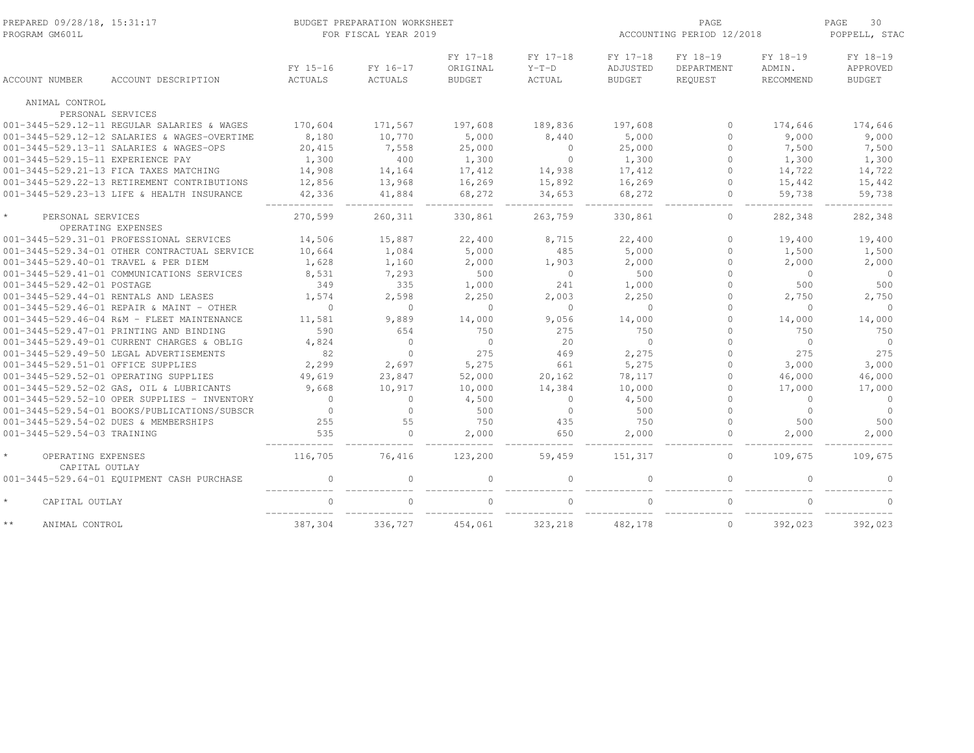| PREPARED 09/28/18, 15:31:17<br>PROGRAM GM601L |                                              | BUDGET PREPARATION WORKSHEET<br>FOR FISCAL YEAR 2019 |                     |                                       |                               |                                       | PAGE<br>ACCOUNTING PERIOD 12/2018 |                                 |                                              |
|-----------------------------------------------|----------------------------------------------|------------------------------------------------------|---------------------|---------------------------------------|-------------------------------|---------------------------------------|-----------------------------------|---------------------------------|----------------------------------------------|
| <b>ACCOUNT NUMBER</b>                         | ACCOUNT DESCRIPTION                          | FY 15-16<br>ACTUALS                                  | FY 16-17<br>ACTUALS | FY 17-18<br>ORIGINAL<br><b>BUDGET</b> | FY 17-18<br>$Y-T-D$<br>ACTUAL | FY 17-18<br>ADJUSTED<br><b>BUDGET</b> | FY 18-19<br>DEPARTMENT<br>REQUEST | FY 18-19<br>ADMIN.<br>RECOMMEND | FY 18-19<br><b>APPROVED</b><br><b>BUDGET</b> |
|                                               |                                              |                                                      |                     |                                       |                               |                                       |                                   |                                 |                                              |
| ANIMAL CONTROL                                |                                              |                                                      |                     |                                       |                               |                                       |                                   |                                 |                                              |
|                                               | PERSONAL SERVICES                            |                                                      |                     |                                       |                               |                                       |                                   |                                 |                                              |
|                                               | 001-3445-529.12-11 REGULAR SALARIES & WAGES  | 170,604                                              | 171,567             | 197,608                               | 189,836                       | 197,608                               | $\circ$                           | 174,646                         | 174,646                                      |
|                                               | 001-3445-529.12-12 SALARIES & WAGES-OVERTIME | 8,180                                                | 10,770              | 5,000                                 | 8,440                         | 5,000                                 | $\Omega$                          | 9,000                           | 9,000                                        |
|                                               | 001-3445-529.13-11 SALARIES & WAGES-OPS      | 20,415                                               | 7,558               | 25,000                                | $\Omega$                      | 25,000                                | $\Omega$                          | 7,500                           | 7,500                                        |
| 001-3445-529.15-11 EXPERIENCE PAY             |                                              | 1,300                                                | 400                 | 1,300                                 | $\circ$                       | 1,300                                 | 0                                 | 1,300                           | 1,300                                        |
|                                               | 001-3445-529.21-13 FICA TAXES MATCHING       | 14,908                                               | 14,164              | 17,412                                | 14,938                        | 17,412                                | $\Omega$                          | 14,722                          | 14,722                                       |
|                                               | 001-3445-529.22-13 RETIREMENT CONTRIBUTIONS  | 12,856                                               | 13,968              | 16,269                                | 15,892                        | 16,269                                | $\circ$                           | 15,442                          | 15,442                                       |
|                                               | 001-3445-529.23-13 LIFE & HEALTH INSURANCE   | 42,336                                               | 41,884              | 68,272                                | 34,653                        | 68,272                                | $\mathbf{0}$                      | 59,738                          | 59,738                                       |
| $\star$<br>PERSONAL SERVICES                  | OPERATING EXPENSES                           | 270,599                                              | 260,311             | 330,861                               | 263,759                       | 330,861                               | $\circ$                           | 282,348                         | 282,348                                      |
|                                               | 001-3445-529.31-01 PROFESSIONAL SERVICES     | 14,506                                               | 15,887              | 22,400                                | 8,715                         | 22,400                                | $\mathbf{0}$                      | 19,400                          | 19,400                                       |
|                                               | 001-3445-529.34-01 OTHER CONTRACTUAL SERVICE | 10,664                                               | 1,084               | 5,000                                 | 485                           | 5,000                                 | $\Omega$                          | 1,500                           | 1,500                                        |
| 001-3445-529.40-01 TRAVEL & PER DIEM          |                                              | 1,628                                                | 1,160               | 2,000                                 | 1,903                         | 2,000                                 | $\Omega$                          | 2,000                           | 2,000                                        |
|                                               | 001-3445-529.41-01 COMMUNICATIONS SERVICES   | 8,531                                                | 7,293               | 500                                   | $\circ$                       | 500                                   |                                   | $\Omega$                        | $\overline{0}$                               |
| 001-3445-529.42-01 POSTAGE                    |                                              | 349                                                  | 335                 | 1,000                                 | 241                           | 1,000                                 | $\Omega$                          | 500                             | 500                                          |
|                                               | 001-3445-529.44-01 RENTALS AND LEASES        | 1,574                                                | 2,598               | 2,250                                 | 2,003                         | 2,250                                 | $\Omega$                          | 2,750                           | 2,750                                        |
|                                               | 001-3445-529.46-01 REPAIR & MAINT - OTHER    | $\Omega$                                             | $\Omega$            | $\Omega$                              | $\Omega$                      | $\Omega$                              | $\cap$                            | $\Omega$                        | $\Omega$                                     |
|                                               | 001-3445-529.46-04 R&M - FLEET MAINTENANCE   | 11,581                                               | 9,889               | 14,000                                | 9,056                         | 14,000                                | 0                                 | 14,000                          | 14,000                                       |
|                                               | 001-3445-529.47-01 PRINTING AND BINDING      | 590                                                  | 654                 | 750                                   | 275                           | 750                                   | $\cap$                            | 750                             | 750                                          |
|                                               | 001-3445-529.49-01 CURRENT CHARGES & OBLIG   | 4,824                                                | $\mathbf{0}$        | $\circ$                               | 20                            | $\circ$                               | $\cap$                            | $\circ$                         | $\overline{0}$                               |
|                                               | 001-3445-529.49-50 LEGAL ADVERTISEMENTS      | 82                                                   | $\Omega$            | 275                                   | 469                           | 2,275                                 |                                   | 275                             | 275                                          |
| 001-3445-529.51-01 OFFICE SUPPLIES            |                                              | 2,299                                                | 2,697               | 5,275                                 | 661                           | 5,275                                 | $\Omega$                          | 3,000                           | 3,000                                        |
|                                               |                                              |                                                      |                     |                                       |                               |                                       | $\Omega$                          |                                 |                                              |
|                                               | 001-3445-529.52-01 OPERATING SUPPLIES        | 49,619                                               | 23,847              | 52,000                                | 20,162                        | 78,117                                | $\cap$                            | 46,000                          | 46,000                                       |
|                                               | 001-3445-529.52-02 GAS, OIL & LUBRICANTS     | 9,668                                                | 10,917              | 10,000                                | 14,384                        | 10,000                                | $\Omega$                          | 17,000                          | 17,000                                       |
|                                               | 001-3445-529.52-10 OPER SUPPLIES - INVENTORY | $\Omega$                                             | 0                   | 4,500                                 | $\circ$                       | 4,500                                 |                                   | $\mathbf 0$                     | $\circ$                                      |
|                                               | 001-3445-529.54-01 BOOKS/PUBLICATIONS/SUBSCR | $\Omega$                                             | $\Omega$            | 500                                   | $\circ$                       | 500                                   | $\Omega$                          | $\Omega$                        | $\Omega$                                     |
|                                               | 001-3445-529.54-02 DUES & MEMBERSHIPS        | 255                                                  | 55                  | 750                                   | 435                           | 750                                   | $\Omega$                          | 500                             | 500                                          |
| 001-3445-529.54-03 TRAINING                   |                                              | 535                                                  | $\Omega$            | 2,000                                 | 650                           | 2,000                                 | $\Omega$                          | 2,000                           | 2,000                                        |
| OPERATING EXPENSES<br>CAPITAL OUTLAY          |                                              | 116,705                                              | 76,416              | 123,200                               | 59,459                        | 151,317                               | $\circ$                           | 109,675                         | 109,675                                      |
|                                               | 001-3445-529.64-01 EQUIPMENT CASH PURCHASE   | $\mathbf{0}$                                         | 0                   | $\Omega$                              | $\Omega$                      | $\Omega$                              | $\mathbf{0}$                      | $\Omega$                        | $\Omega$                                     |
| $\star$<br>CAPITAL OUTLAY                     |                                              | $\Omega$                                             | $\Omega$            | $\Omega$                              | $\Omega$                      | $\cap$                                | $\Omega$                          | $\cap$                          | $\Omega$                                     |
| $\star\,\star$<br>ANIMAL CONTROL              |                                              | 387,304                                              | 336,727             | 454,061                               | 323,218                       | 482,178                               | $\circ$                           | 392,023                         | 392,023                                      |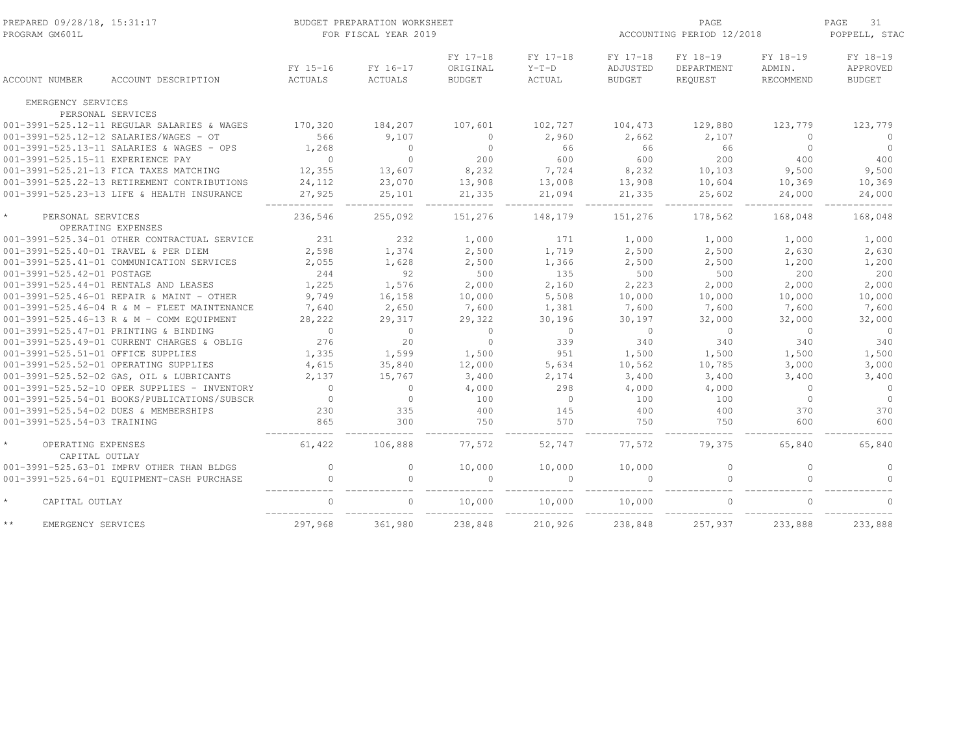| PREPARED 09/28/18, 15:31:17<br>PROGRAM GM601L   |                                              | BUDGET PREPARATION WORKSHEET<br>FOR FISCAL YEAR 2019 |                            |                                       |                               |                                       |                                   | PAGE<br>ACCOUNTING PERIOD 12/2018 |                                       |  |  |
|-------------------------------------------------|----------------------------------------------|------------------------------------------------------|----------------------------|---------------------------------------|-------------------------------|---------------------------------------|-----------------------------------|-----------------------------------|---------------------------------------|--|--|
| <b>ACCOUNT NUMBER</b>                           | ACCOUNT DESCRIPTION                          | FY 15-16<br>ACTUALS                                  | FY 16-17<br><b>ACTUALS</b> | FY 17-18<br>ORIGINAL<br><b>BUDGET</b> | FY 17-18<br>$Y-T-D$<br>ACTUAL | FY 17-18<br>ADJUSTED<br><b>BUDGET</b> | FY 18-19<br>DEPARTMENT<br>REQUEST | FY 18-19<br>ADMIN.<br>RECOMMEND   | FY 18-19<br>APPROVED<br><b>BUDGET</b> |  |  |
| EMERGENCY SERVICES                              |                                              |                                                      |                            |                                       |                               |                                       |                                   |                                   |                                       |  |  |
| PERSONAL SERVICES                               |                                              |                                                      |                            |                                       |                               |                                       |                                   |                                   |                                       |  |  |
|                                                 | 001-3991-525.12-11 REGULAR SALARIES & WAGES  | 170,320                                              | 184,207                    | 107,601                               | 102,727                       | 104,473                               | 129,880                           | 123,779                           | 123,779                               |  |  |
|                                                 | 001-3991-525.12-12 SALARIES/WAGES - OT       | 566                                                  | 9,107                      | $\Omega$                              | 2,960                         | 2,662                                 | 2,107                             | $\Omega$                          | $\Omega$                              |  |  |
|                                                 | 001-3991-525.13-11 SALARIES & WAGES - OPS    | 1,268                                                | $\Omega$                   | $\Omega$                              | 66                            | 66                                    | 66                                | $\Omega$                          | $\Omega$                              |  |  |
| 001-3991-525.15-11 EXPERIENCE PAY               |                                              | $\circ$                                              | $\Omega$                   | 200                                   | 600                           | 600                                   | 200                               | 400                               | 400                                   |  |  |
|                                                 | 001-3991-525.21-13 FICA TAXES MATCHING       | 12,355                                               | 13,607                     | 8,232                                 | 7,724                         | 8,232                                 | 10,103                            | 9,500                             | 9,500                                 |  |  |
|                                                 | 001-3991-525.22-13 RETIREMENT CONTRIBUTIONS  | 24,112                                               | 23,070                     | 13,908                                | 13,008                        | 13,908                                | 10,604                            | 10,369                            | 10,369                                |  |  |
|                                                 | 001-3991-525.23-13 LIFE & HEALTH INSURANCE   | 27,925                                               | 25,101                     | 21,335                                | 21,094                        | 21,335                                | 25,602                            | 24,000                            | 24,000                                |  |  |
|                                                 |                                              |                                                      |                            |                                       |                               |                                       |                                   |                                   |                                       |  |  |
| $\star$<br>PERSONAL SERVICES                    | OPERATING EXPENSES                           | 236,546                                              | 255,092                    | 151,276                               | 148,179                       | 151,276                               | 178,562                           | 168,048                           | 168,048                               |  |  |
|                                                 | 001-3991-525.34-01 OTHER CONTRACTUAL SERVICE | 231                                                  | 232                        | 1,000                                 | 171                           | 1,000                                 | 1,000                             | 1,000                             | 1,000                                 |  |  |
| 001-3991-525.40-01 TRAVEL & PER DIEM            |                                              | 2,598                                                | 1,374                      | 2,500                                 | 1,719                         | 2,500                                 | 2,500                             | 2,630                             | 2,630                                 |  |  |
|                                                 | 001-3991-525.41-01 COMMUNICATION SERVICES    | 2,055                                                | 1,628                      | 2,500                                 | 1,366                         | 2,500                                 | 2,500                             | 1,200                             | 1,200                                 |  |  |
| 001-3991-525.42-01 POSTAGE                      |                                              | 244                                                  | 92                         | 500                                   | 135                           | 500                                   | 500                               | 200                               | 200                                   |  |  |
| 001-3991-525.44-01 RENTALS AND LEASES           |                                              | 1,225                                                | 1,576                      | 2,000                                 | 2,160                         | 2,223                                 | 2,000                             | 2,000                             | 2,000                                 |  |  |
|                                                 | 001-3991-525.46-01 REPAIR & MAINT - OTHER    | 9,749                                                | 16,158                     | 10,000                                | 5,508                         | 10,000                                | 10,000                            | 10,000                            | 10,000                                |  |  |
|                                                 | 001-3991-525.46-04 R & M - FLEET MAINTENANCE | 7,640                                                | 2,650                      | 7,600                                 | 1,381                         | 7,600                                 | 7,600                             | 7,600                             | 7,600                                 |  |  |
|                                                 | 001-3991-525.46-13 R & M - COMM EQUIPMENT    | 28,222                                               | 29,317                     | 29,322                                | 30,196                        | 30,197                                | 32,000                            | 32,000                            | 32,000                                |  |  |
| 001-3991-525.47-01 PRINTING & BINDING           |                                              | $\Omega$                                             | $\Omega$                   | $\Omega$                              | $\circ$                       | $\bigcirc$                            | $\circ$                           | $\Omega$                          | $\overline{0}$                        |  |  |
|                                                 | 001-3991-525.49-01 CURRENT CHARGES & OBLIG   | 276                                                  | 20                         | $\circ$                               | 339                           | 340                                   | 340                               | 340                               | 340                                   |  |  |
| 001-3991-525.51-01 OFFICE SUPPLIES              |                                              | 1,335                                                | 1,599                      | 1,500                                 | 951                           | 1,500                                 | 1,500                             | 1,500                             | 1,500                                 |  |  |
| 001-3991-525.52-01 OPERATING SUPPLIES           |                                              | 4,615                                                | 35,840                     | 12,000                                | 5,634                         | 10,562                                | 10,785                            | 3,000                             | 3,000                                 |  |  |
|                                                 | 001-3991-525.52-02 GAS, OIL & LUBRICANTS     | 2,137                                                | 15,767                     | 3,400                                 | 2,174                         | 3,400                                 | 3,400                             | 3,400                             | 3,400                                 |  |  |
|                                                 | 001-3991-525.52-10 OPER SUPPLIES - INVENTORY | $\Omega$                                             | $\Omega$                   | 4,000                                 | 298                           | 4,000                                 | 4,000                             | $\Omega$                          | $\Omega$                              |  |  |
|                                                 | 001-3991-525.54-01 BOOKS/PUBLICATIONS/SUBSCR | $\mathbf{0}$                                         | $\circ$                    | 100                                   | $\circ$                       | 100                                   | 100                               | $\circ$                           | $\overline{0}$                        |  |  |
| 001-3991-525.54-02 DUES & MEMBERSHIPS           |                                              | 230                                                  | 335                        | 400                                   | 145                           | 400                                   | 400                               | 370                               | 370                                   |  |  |
| 001-3991-525.54-03 TRAINING                     |                                              | 865                                                  | 300                        | 750                                   | 570                           | 750                                   | 750                               | 600                               | 600                                   |  |  |
| $\star$<br>OPERATING EXPENSES<br>CAPITAL OUTLAY |                                              | 61,422                                               | 106,888                    | 77,572                                | 52,747                        | 77,572                                | 79,375                            | 65,840                            | 65,840                                |  |  |
|                                                 | 001-3991-525.63-01 IMPRV OTHER THAN BLDGS    | $\mathbf{0}$                                         | $\circ$                    | 10,000                                | 10,000                        | 10,000                                | $\mathbb O$                       | $\Omega$                          | $\circ$                               |  |  |
|                                                 | 001-3991-525.64-01 EQUIPMENT-CASH PURCHASE   | $\mathbf{0}$                                         | $\Omega$                   | $\cap$                                | $\Omega$                      | $\cap$                                | $\mathbf{0}$                      | $\circ$                           | $\Omega$                              |  |  |
| $\star$<br>CAPITAL OUTLAY                       |                                              | $\Omega$                                             | $\Omega$                   | 10,000                                | 10,000                        | 10,000                                | $\Omega$                          | $\Omega$                          | $\Omega$                              |  |  |
| $\star\star$<br>EMERGENCY SERVICES              |                                              | 297,968                                              | 361,980                    | 238,848                               | 210,926                       | 238,848                               | 257,937                           | 233,888                           | 233,888                               |  |  |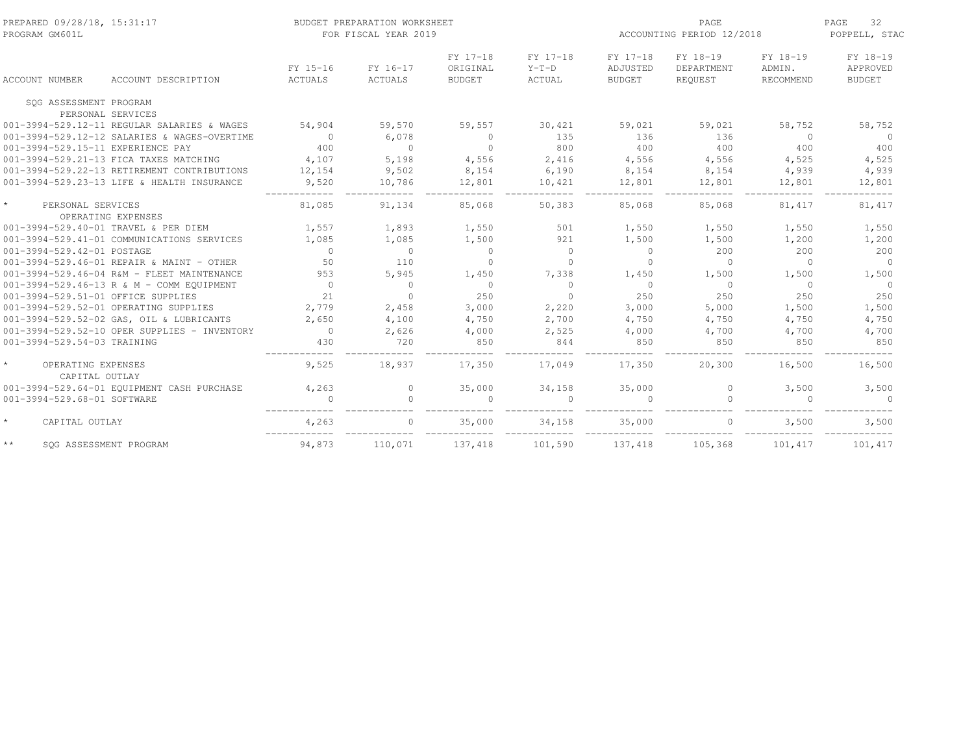| PREPARED 09/28/18, 15:31:17<br>PROGRAM GM601L |                                              |                     | BUDGET PREPARATION WORKSHEET<br>FOR FISCAL YEAR 2019 |                                       |                               | PAGE<br>ACCOUNTING PERIOD 12/2018     |                                   |                                 | 32<br>PAGE<br>POPPELL, STAC           |
|-----------------------------------------------|----------------------------------------------|---------------------|------------------------------------------------------|---------------------------------------|-------------------------------|---------------------------------------|-----------------------------------|---------------------------------|---------------------------------------|
| ACCOUNT NUMBER                                | ACCOUNT DESCRIPTION                          | FY 15-16<br>ACTUALS | FY 16-17<br>ACTUALS                                  | FY 17-18<br>ORIGINAL<br><b>BUDGET</b> | FY 17-18<br>$Y-T-D$<br>ACTUAL | FY 17-18<br>ADJUSTED<br><b>BUDGET</b> | FY 18-19<br>DEPARTMENT<br>REQUEST | FY 18-19<br>ADMIN.<br>RECOMMEND | FY 18-19<br>APPROVED<br><b>BUDGET</b> |
| SOG ASSESSMENT PROGRAM                        |                                              |                     |                                                      |                                       |                               |                                       |                                   |                                 |                                       |
| PERSONAL SERVICES                             |                                              |                     |                                                      |                                       |                               |                                       |                                   |                                 |                                       |
|                                               | 001-3994-529.12-11 REGULAR SALARIES & WAGES  | 54,904              | 59,570                                               | 59,557                                | 30,421                        | 59,021                                | 59,021                            | 58,752                          | 58,752                                |
|                                               | 001-3994-529.12-12 SALARIES & WAGES-OVERTIME | $\overline{0}$      | 6,078                                                | $\Omega$                              | 135                           | 136                                   | 136                               | $\bigcirc$                      | $\Omega$                              |
| 001-3994-529.15-11 EXPERIENCE PAY             |                                              | 400                 | $\overline{0}$                                       | $\circ$                               | 800                           | 400                                   | 400                               | 400                             | 400                                   |
|                                               | 001-3994-529.21-13 FICA TAXES MATCHING       | 4,107               | 5,198                                                | 4,556                                 | 2,416                         | 4,556                                 | 4,556                             | 4,525                           | 4,525                                 |
|                                               | 001-3994-529.22-13 RETIREMENT CONTRIBUTIONS  | 12,154              | 9,502                                                | 8,154                                 | 6,190                         | 8,154                                 | 8,154                             | 4,939                           | 4,939                                 |
|                                               | 001-3994-529.23-13 LIFE & HEALTH INSURANCE   | 9,520               | 10,786                                               | 12,801                                | 10,421                        | 12,801                                | 12,801                            | 12,801                          | 12,801                                |
| $\star$<br>PERSONAL SERVICES                  | OPERATING EXPENSES                           | 81,085              | 91,134                                               | 85,068                                | 50,383                        | 85,068                                | 85,068                            | 81,417                          | 81,417                                |
| 001-3994-529.40-01 TRAVEL & PER DIEM          |                                              | 1,557               | 1,893                                                | 1,550                                 | 501                           | 1,550                                 | 1,550                             | 1,550                           | 1,550                                 |
|                                               | 001-3994-529.41-01 COMMUNICATIONS SERVICES   | 1,085               | 1,085                                                | 1,500                                 | 921                           | 1,500                                 | 1,500                             | 1,200                           | 1,200                                 |
| 001-3994-529.42-01 POSTAGE                    |                                              | $\Omega$            | $\Omega$                                             | $\Omega$                              | $\Omega$                      | $\bigcirc$                            | 200                               | 200                             | 200                                   |
|                                               | 001-3994-529.46-01 REPAIR & MAINT - OTHER    | 50                  | 110                                                  | $\Omega$                              | $\Omega$                      | $\Omega$                              | $\Omega$                          | $\Omega$                        | $\Omega$                              |
|                                               | 001-3994-529.46-04 R&M - FLEET MAINTENANCE   | 953                 | 5,945                                                | 1,450                                 | 7,338                         | 1,450                                 | 1,500                             | 1,500                           | 1,500                                 |
|                                               | 001-3994-529.46-13 R & M - COMM EQUIPMENT    | $\bigcirc$          | $\overline{0}$                                       | $\Omega$                              | $\Omega$                      | $\bigcirc$                            | $\Omega$                          | $\bigcirc$                      | $\Omega$                              |
| 001-3994-529.51-01 OFFICE SUPPLIES            |                                              | 21                  | $\Omega$                                             | 250                                   | $\Omega$                      | 250                                   | 250                               | 250                             | 250                                   |
| 001-3994-529.52-01 OPERATING SUPPLIES         |                                              | 2,779               | 2,458                                                | 3,000                                 | 2,220                         | 3,000                                 | 5,000                             | 1,500                           | 1,500                                 |
|                                               | 001-3994-529.52-02 GAS, OIL & LUBRICANTS     | 2,650               | 4,100                                                | 4,750                                 | 2,700                         | 4,750                                 | 4,750                             | 4,750                           | 4,750                                 |
|                                               | 001-3994-529.52-10 OPER SUPPLIES - INVENTORY | $\overline{0}$      | 2,626                                                | 4,000                                 | 2,525                         | 4,000                                 | 4,700                             | 4,700                           | 4,700                                 |
| 001-3994-529.54-03 TRAINING                   |                                              | 430                 | 720                                                  | 850                                   | 844                           | 850                                   | 850                               | 850                             | 850                                   |
| OPERATING EXPENSES<br>CAPITAL OUTLAY          |                                              | 9,525               | 18,937                                               | 17,350                                | 17,049                        | 17,350                                | 20,300                            | 16,500                          | 16,500                                |
|                                               | 001-3994-529.64-01 EQUIPMENT CASH PURCHASE   | 4,263               | $\Omega$                                             | 35,000                                | 34,158                        | 35,000                                | $\Omega$                          | 3,500                           | 3,500                                 |
| 001-3994-529.68-01 SOFTWARE                   |                                              |                     |                                                      |                                       | $\Omega$                      |                                       | $\Omega$                          | $\Omega$                        | $\Omega$                              |
|                                               |                                              |                     |                                                      |                                       |                               |                                       |                                   |                                 |                                       |
| $\star$<br>CAPITAL OUTLAY                     |                                              | 4,263               |                                                      | 35,000                                | 34,158                        | 35,000                                |                                   | 3,500                           | 3,500                                 |
| $\star\star$<br>SOG ASSESSMENT PROGRAM        |                                              | 94,873              | 110,071                                              | 137,418                               | 101,590                       | 137,418                               | 105,368                           | 101,417                         | 101,417                               |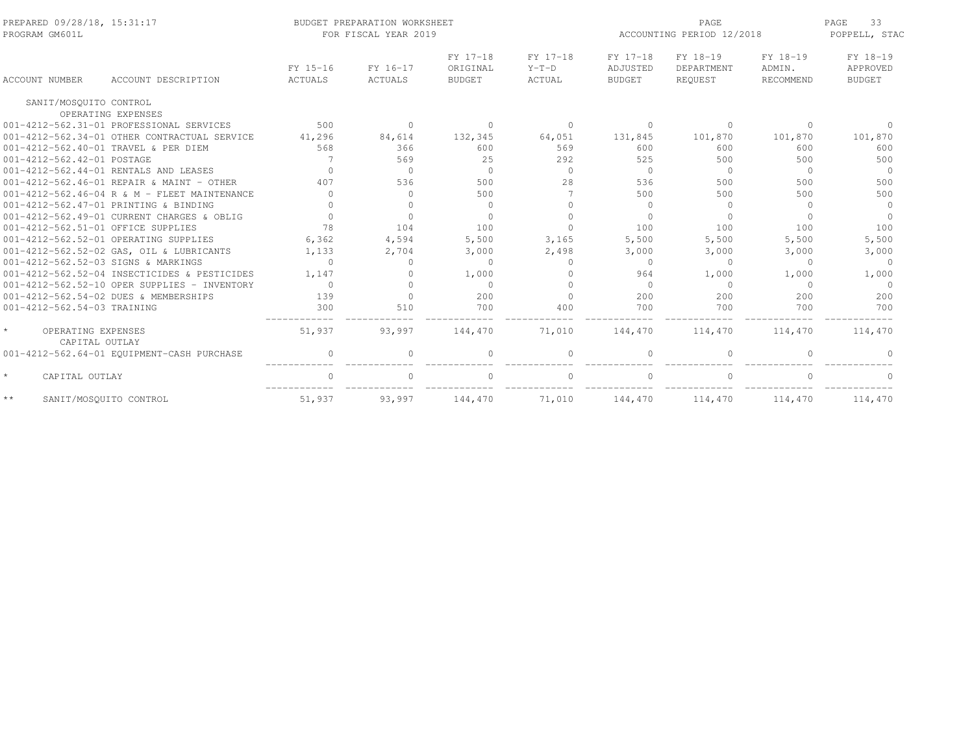| PREPARED 09/28/18, 15:31:17<br>PROGRAM GM601L   |                                              |                            | BUDGET PREPARATION WORKSHEET<br>FOR FISCAL YEAR 2019 |                                       |                               | PAGE<br>ACCOUNTING PERIOD 12/2018     |                                   |                                 | 33<br>PAGE<br>POPPELL, STAC           |  |
|-------------------------------------------------|----------------------------------------------|----------------------------|------------------------------------------------------|---------------------------------------|-------------------------------|---------------------------------------|-----------------------------------|---------------------------------|---------------------------------------|--|
| <b>ACCOUNT NUMBER</b>                           | ACCOUNT DESCRIPTION                          | FY 15-16<br><b>ACTUALS</b> | FY 16-17<br>ACTUALS                                  | FY 17-18<br>ORIGINAL<br><b>BUDGET</b> | FY 17-18<br>$Y-T-D$<br>ACTUAL | FY 17-18<br>ADJUSTED<br><b>BUDGET</b> | FY 18-19<br>DEPARTMENT<br>REOUEST | FY 18-19<br>ADMIN.<br>RECOMMEND | FY 18-19<br>APPROVED<br><b>BUDGET</b> |  |
| SANIT/MOSOUITO CONTROL                          |                                              |                            |                                                      |                                       |                               |                                       |                                   |                                 |                                       |  |
| OPERATING EXPENSES                              |                                              |                            |                                                      |                                       |                               |                                       |                                   |                                 |                                       |  |
|                                                 | 001-4212-562.31-01 PROFESSIONAL SERVICES     | 500                        | $\Omega$                                             | $\Omega$                              | $\Omega$                      | $\bigcap$                             | $\Omega$                          | $\Omega$                        |                                       |  |
|                                                 | 001-4212-562.34-01 OTHER CONTRACTUAL SERVICE | 41,296                     | 84,614                                               | 132,345                               | 64,051                        | 131,845                               | 101,870                           | 101,870                         | 101,870                               |  |
| 001-4212-562.40-01 TRAVEL & PER DIEM            |                                              | 568                        | 366                                                  | 600                                   | 569                           | 600                                   | 600                               | 600                             | 600                                   |  |
| 001-4212-562.42-01 POSTAGE                      |                                              |                            | 569                                                  | 25                                    | 292                           | 525                                   | 500                               | 500                             | 500                                   |  |
| 001-4212-562.44-01 RENTALS AND LEASES           |                                              | $\Omega$                   | $\circ$                                              | $\circ$                               | $\circ$                       | $\Omega$                              | $\circ$                           | $\Omega$                        | $\overline{0}$                        |  |
|                                                 | 001-4212-562.46-01 REPAIR & MAINT - OTHER    | 407                        | 536                                                  | 500                                   | 28                            | 536                                   | 500                               | 500                             | 500                                   |  |
|                                                 | 001-4212-562.46-04 R & M - FLEET MAINTENANCE | $\cap$                     | $\Omega$                                             | 500                                   |                               | 500                                   | 500                               | 500                             | 500                                   |  |
| 001-4212-562.47-01 PRINTING & BINDING           |                                              | $\cap$                     | $\Omega$                                             | $\bigcap$                             | $\cap$                        | $\Omega$                              | $\mathbf{0}$                      | $\Omega$                        | $\Omega$                              |  |
|                                                 | 001-4212-562.49-01 CURRENT CHARGES & OBLIG   | $\cap$                     | $\Omega$                                             |                                       | $\cap$                        |                                       | $\Omega$                          | $\cap$                          | $\Omega$                              |  |
| 001-4212-562.51-01 OFFICE SUPPLIES              |                                              | 78                         | 104                                                  | 100                                   | $\cap$                        | 100                                   | 100                               | 100                             | 100                                   |  |
| 001-4212-562.52-01 OPERATING SUPPLIES           |                                              | 6,362                      | 4,594                                                | 5,500                                 | 3,165                         | 5,500                                 | 5,500                             | 5,500                           | 5,500                                 |  |
|                                                 | 001-4212-562.52-02 GAS, OIL & LUBRICANTS     | 1,133                      | 2,704                                                | 3,000                                 | 2,498                         | 3,000                                 | 3,000                             | 3,000                           | 3,000                                 |  |
| 001-4212-562.52-03 SIGNS & MARKINGS             |                                              | $\Omega$                   | $\Omega$                                             | $\Omega$                              | $\Omega$                      | $\Omega$                              | $\Omega$                          | $\Omega$                        | $\Omega$                              |  |
|                                                 | 001-4212-562.52-04 INSECTICIDES & PESTICIDES | 1,147                      | $\Omega$                                             | 1,000                                 | $\bigcap$                     | 964                                   | 1,000                             | 1,000                           | 1,000                                 |  |
|                                                 | 001-4212-562.52-10 OPER SUPPLIES - INVENTORY | $\Omega$                   | $\Omega$                                             | $\Omega$                              | $\cap$                        | $\Omega$                              | $\Omega$                          | $\Omega$                        | $\Omega$                              |  |
| 001-4212-562.54-02 DUES & MEMBERSHIPS           |                                              | 139                        | $\Omega$                                             | 200                                   | $\Omega$                      | 200                                   | 200                               | 200                             | 200                                   |  |
| 001-4212-562.54-03 TRAINING                     |                                              | 300                        | 510                                                  | 700                                   | 400                           | 700                                   | 700                               | 700                             | 700                                   |  |
| $\star$<br>OPERATING EXPENSES<br>CAPITAL OUTLAY |                                              | 51,937                     | 93,997                                               | 144,470                               | 71,010                        | 144,470                               | 114,470                           | 114,470                         | 114,470                               |  |
|                                                 | 001-4212-562.64-01 EQUIPMENT-CASH PURCHASE   | $\mathbf{0}$               | 0                                                    |                                       | 0                             |                                       | 0                                 | $\cap$                          |                                       |  |
| $\star$<br>CAPITAL OUTLAY                       |                                              |                            |                                                      |                                       | $\cap$                        |                                       |                                   |                                 |                                       |  |
| $\star\star$<br>SANIT/MOSOUITO CONTROL          |                                              | 51,937                     | 93,997                                               | 144,470                               | 71,010                        | 144,470                               | 114,470                           | 114,470                         | 114,470                               |  |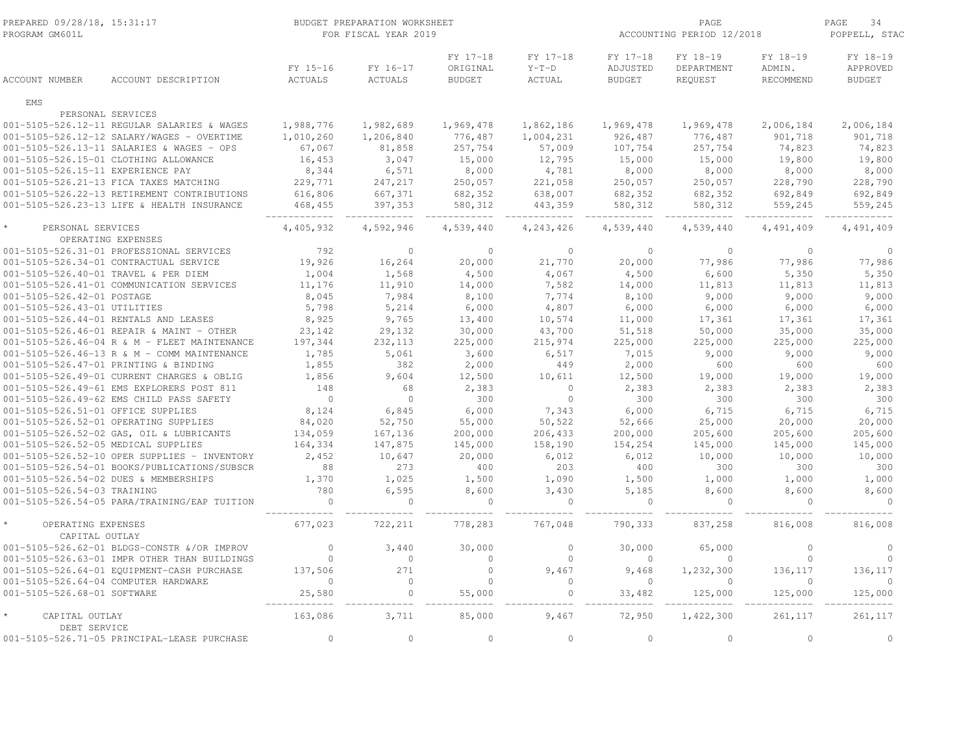| FY 17-18<br>FY 17-18<br>FY 17-18<br>FY 18-19<br>FY 18-19<br>FY 18-19<br>FY 15-16<br>ORIGINAL<br>$Y-T-D$<br>ADJUSTED<br>DEPARTMENT<br>ADMIN.<br>APPROVED<br>FY 16-17<br>ACCOUNT DESCRIPTION<br><b>ACTUALS</b><br><b>ACTUALS</b><br><b>BUDGET</b><br>ACTUAL<br><b>BUDGET</b><br>REQUEST<br>RECOMMEND<br><b>BUDGET</b><br><b>ACCOUNT NUMBER</b><br><b>FMS</b><br>PERSONAL SERVICES<br>1,969,478<br>1,969,478<br>001-5105-526.12-11 REGULAR SALARIES & WAGES<br>1,988,776<br>1,982,689<br>1,862,186<br>1,969,478<br>2,006,184<br>2,006,184<br>001-5105-526.12-12 SALARY/WAGES - OVERTIME<br>1,010,260<br>1,206,840<br>776,487<br>1,004,231<br>926,487<br>776,487<br>901,718<br>901,718<br>74,823<br>001-5105-526.13-11 SALARIES & WAGES - OPS<br>67,067<br>81,858<br>257,754<br>57,009<br>107,754<br>257,754<br>74,823<br>16,453<br>3,047<br>15,000<br>001-5105-526.15-01 CLOTHING ALLOWANCE<br>12,795<br>15,000<br>15,000<br>19,800<br>19,800<br>001-5105-526.15-11 EXPERIENCE PAY<br>8,344<br>6,571<br>8,000<br>4,781<br>8,000<br>8,000<br>8,000<br>8,000<br>001-5105-526.21-13 FICA TAXES MATCHING<br>229,771<br>247,217<br>250,057<br>221,058<br>250,057<br>250,057<br>228,790<br>228,790<br>001-5105-526.22-13 RETIREMENT CONTRIBUTIONS<br>616,806<br>667,371<br>682,352<br>682,352<br>682,352<br>638,007<br>692,849<br>692,849<br>001-5105-526.23-13 LIFE & HEALTH INSURANCE<br>397,353<br>580,312<br>559,245<br>468, 455<br>443,359<br>580, 312<br>580, 312<br>559,245<br>PERSONAL SERVICES<br>4,405,932<br>4,592,946<br>4,539,440<br>4,243,426<br>4,539,440<br>4,539,440<br>4,491,409<br>4,491,409<br>OPERATING EXPENSES<br>001-5105-526.31-01 PROFESSIONAL SERVICES<br>792<br>$\Omega$<br>$\Omega$<br>$\Omega$<br>$\Omega$<br>$\Omega$<br>$\Omega$<br>001-5105-526.34-01 CONTRACTUAL SERVICE<br>19,926<br>16,264<br>20,000<br>21,770<br>20,000<br>77,986<br>77,986<br>77,986<br>1,004<br>1,568<br>4,067<br>4,500<br>6,600<br>5,350<br>001-5105-526.40-01 TRAVEL & PER DIEM<br>4,500<br>5,350<br>001-5105-526.41-01 COMMUNICATION SERVICES<br>11,176<br>11,910<br>14,000<br>7,582<br>14,000<br>11,813<br>11,813<br>11,813<br>9,000<br>001-5105-526.42-01 POSTAGE<br>8,045<br>7,984<br>8,100<br>7,774<br>8,100<br>9,000<br>9,000<br>001-5105-526.43-01 UTILITIES<br>5,798<br>5,214<br>6,000<br>4,807<br>6,000<br>6,000<br>6,000<br>6,000<br>8,925<br>001-5105-526.44-01 RENTALS AND LEASES<br>9,765<br>13,400<br>10,574<br>11,000<br>17,361<br>17,361<br>17,361<br>30,000<br>50,000<br>001-5105-526.46-01 REPAIR & MAINT - OTHER<br>23,142<br>29,132<br>43,700<br>51,518<br>35,000<br>35,000<br>197,344<br>001-5105-526.46-04 R & M - FLEET MAINTENANCE<br>232,113<br>225,000<br>215,974<br>225,000<br>225,000<br>225,000<br>225,000 |
|-----------------------------------------------------------------------------------------------------------------------------------------------------------------------------------------------------------------------------------------------------------------------------------------------------------------------------------------------------------------------------------------------------------------------------------------------------------------------------------------------------------------------------------------------------------------------------------------------------------------------------------------------------------------------------------------------------------------------------------------------------------------------------------------------------------------------------------------------------------------------------------------------------------------------------------------------------------------------------------------------------------------------------------------------------------------------------------------------------------------------------------------------------------------------------------------------------------------------------------------------------------------------------------------------------------------------------------------------------------------------------------------------------------------------------------------------------------------------------------------------------------------------------------------------------------------------------------------------------------------------------------------------------------------------------------------------------------------------------------------------------------------------------------------------------------------------------------------------------------------------------------------------------------------------------------------------------------------------------------------------------------------------------------------------------------------------------------------------------------------------------------------------------------------------------------------------------------------------------------------------------------------------------------------------------------------------------------------------------------------------------------------------------------------------------------------------------------------------------------------------------------------------------------------------------------------------------------------------------------------------------------------------------------------------------------------------------------------------------------------|
|                                                                                                                                                                                                                                                                                                                                                                                                                                                                                                                                                                                                                                                                                                                                                                                                                                                                                                                                                                                                                                                                                                                                                                                                                                                                                                                                                                                                                                                                                                                                                                                                                                                                                                                                                                                                                                                                                                                                                                                                                                                                                                                                                                                                                                                                                                                                                                                                                                                                                                                                                                                                                                                                                                                                         |
|                                                                                                                                                                                                                                                                                                                                                                                                                                                                                                                                                                                                                                                                                                                                                                                                                                                                                                                                                                                                                                                                                                                                                                                                                                                                                                                                                                                                                                                                                                                                                                                                                                                                                                                                                                                                                                                                                                                                                                                                                                                                                                                                                                                                                                                                                                                                                                                                                                                                                                                                                                                                                                                                                                                                         |
|                                                                                                                                                                                                                                                                                                                                                                                                                                                                                                                                                                                                                                                                                                                                                                                                                                                                                                                                                                                                                                                                                                                                                                                                                                                                                                                                                                                                                                                                                                                                                                                                                                                                                                                                                                                                                                                                                                                                                                                                                                                                                                                                                                                                                                                                                                                                                                                                                                                                                                                                                                                                                                                                                                                                         |
|                                                                                                                                                                                                                                                                                                                                                                                                                                                                                                                                                                                                                                                                                                                                                                                                                                                                                                                                                                                                                                                                                                                                                                                                                                                                                                                                                                                                                                                                                                                                                                                                                                                                                                                                                                                                                                                                                                                                                                                                                                                                                                                                                                                                                                                                                                                                                                                                                                                                                                                                                                                                                                                                                                                                         |
|                                                                                                                                                                                                                                                                                                                                                                                                                                                                                                                                                                                                                                                                                                                                                                                                                                                                                                                                                                                                                                                                                                                                                                                                                                                                                                                                                                                                                                                                                                                                                                                                                                                                                                                                                                                                                                                                                                                                                                                                                                                                                                                                                                                                                                                                                                                                                                                                                                                                                                                                                                                                                                                                                                                                         |
|                                                                                                                                                                                                                                                                                                                                                                                                                                                                                                                                                                                                                                                                                                                                                                                                                                                                                                                                                                                                                                                                                                                                                                                                                                                                                                                                                                                                                                                                                                                                                                                                                                                                                                                                                                                                                                                                                                                                                                                                                                                                                                                                                                                                                                                                                                                                                                                                                                                                                                                                                                                                                                                                                                                                         |
|                                                                                                                                                                                                                                                                                                                                                                                                                                                                                                                                                                                                                                                                                                                                                                                                                                                                                                                                                                                                                                                                                                                                                                                                                                                                                                                                                                                                                                                                                                                                                                                                                                                                                                                                                                                                                                                                                                                                                                                                                                                                                                                                                                                                                                                                                                                                                                                                                                                                                                                                                                                                                                                                                                                                         |
|                                                                                                                                                                                                                                                                                                                                                                                                                                                                                                                                                                                                                                                                                                                                                                                                                                                                                                                                                                                                                                                                                                                                                                                                                                                                                                                                                                                                                                                                                                                                                                                                                                                                                                                                                                                                                                                                                                                                                                                                                                                                                                                                                                                                                                                                                                                                                                                                                                                                                                                                                                                                                                                                                                                                         |
|                                                                                                                                                                                                                                                                                                                                                                                                                                                                                                                                                                                                                                                                                                                                                                                                                                                                                                                                                                                                                                                                                                                                                                                                                                                                                                                                                                                                                                                                                                                                                                                                                                                                                                                                                                                                                                                                                                                                                                                                                                                                                                                                                                                                                                                                                                                                                                                                                                                                                                                                                                                                                                                                                                                                         |
|                                                                                                                                                                                                                                                                                                                                                                                                                                                                                                                                                                                                                                                                                                                                                                                                                                                                                                                                                                                                                                                                                                                                                                                                                                                                                                                                                                                                                                                                                                                                                                                                                                                                                                                                                                                                                                                                                                                                                                                                                                                                                                                                                                                                                                                                                                                                                                                                                                                                                                                                                                                                                                                                                                                                         |
|                                                                                                                                                                                                                                                                                                                                                                                                                                                                                                                                                                                                                                                                                                                                                                                                                                                                                                                                                                                                                                                                                                                                                                                                                                                                                                                                                                                                                                                                                                                                                                                                                                                                                                                                                                                                                                                                                                                                                                                                                                                                                                                                                                                                                                                                                                                                                                                                                                                                                                                                                                                                                                                                                                                                         |
|                                                                                                                                                                                                                                                                                                                                                                                                                                                                                                                                                                                                                                                                                                                                                                                                                                                                                                                                                                                                                                                                                                                                                                                                                                                                                                                                                                                                                                                                                                                                                                                                                                                                                                                                                                                                                                                                                                                                                                                                                                                                                                                                                                                                                                                                                                                                                                                                                                                                                                                                                                                                                                                                                                                                         |
|                                                                                                                                                                                                                                                                                                                                                                                                                                                                                                                                                                                                                                                                                                                                                                                                                                                                                                                                                                                                                                                                                                                                                                                                                                                                                                                                                                                                                                                                                                                                                                                                                                                                                                                                                                                                                                                                                                                                                                                                                                                                                                                                                                                                                                                                                                                                                                                                                                                                                                                                                                                                                                                                                                                                         |
|                                                                                                                                                                                                                                                                                                                                                                                                                                                                                                                                                                                                                                                                                                                                                                                                                                                                                                                                                                                                                                                                                                                                                                                                                                                                                                                                                                                                                                                                                                                                                                                                                                                                                                                                                                                                                                                                                                                                                                                                                                                                                                                                                                                                                                                                                                                                                                                                                                                                                                                                                                                                                                                                                                                                         |
|                                                                                                                                                                                                                                                                                                                                                                                                                                                                                                                                                                                                                                                                                                                                                                                                                                                                                                                                                                                                                                                                                                                                                                                                                                                                                                                                                                                                                                                                                                                                                                                                                                                                                                                                                                                                                                                                                                                                                                                                                                                                                                                                                                                                                                                                                                                                                                                                                                                                                                                                                                                                                                                                                                                                         |
|                                                                                                                                                                                                                                                                                                                                                                                                                                                                                                                                                                                                                                                                                                                                                                                                                                                                                                                                                                                                                                                                                                                                                                                                                                                                                                                                                                                                                                                                                                                                                                                                                                                                                                                                                                                                                                                                                                                                                                                                                                                                                                                                                                                                                                                                                                                                                                                                                                                                                                                                                                                                                                                                                                                                         |
|                                                                                                                                                                                                                                                                                                                                                                                                                                                                                                                                                                                                                                                                                                                                                                                                                                                                                                                                                                                                                                                                                                                                                                                                                                                                                                                                                                                                                                                                                                                                                                                                                                                                                                                                                                                                                                                                                                                                                                                                                                                                                                                                                                                                                                                                                                                                                                                                                                                                                                                                                                                                                                                                                                                                         |
|                                                                                                                                                                                                                                                                                                                                                                                                                                                                                                                                                                                                                                                                                                                                                                                                                                                                                                                                                                                                                                                                                                                                                                                                                                                                                                                                                                                                                                                                                                                                                                                                                                                                                                                                                                                                                                                                                                                                                                                                                                                                                                                                                                                                                                                                                                                                                                                                                                                                                                                                                                                                                                                                                                                                         |
|                                                                                                                                                                                                                                                                                                                                                                                                                                                                                                                                                                                                                                                                                                                                                                                                                                                                                                                                                                                                                                                                                                                                                                                                                                                                                                                                                                                                                                                                                                                                                                                                                                                                                                                                                                                                                                                                                                                                                                                                                                                                                                                                                                                                                                                                                                                                                                                                                                                                                                                                                                                                                                                                                                                                         |
|                                                                                                                                                                                                                                                                                                                                                                                                                                                                                                                                                                                                                                                                                                                                                                                                                                                                                                                                                                                                                                                                                                                                                                                                                                                                                                                                                                                                                                                                                                                                                                                                                                                                                                                                                                                                                                                                                                                                                                                                                                                                                                                                                                                                                                                                                                                                                                                                                                                                                                                                                                                                                                                                                                                                         |
|                                                                                                                                                                                                                                                                                                                                                                                                                                                                                                                                                                                                                                                                                                                                                                                                                                                                                                                                                                                                                                                                                                                                                                                                                                                                                                                                                                                                                                                                                                                                                                                                                                                                                                                                                                                                                                                                                                                                                                                                                                                                                                                                                                                                                                                                                                                                                                                                                                                                                                                                                                                                                                                                                                                                         |
|                                                                                                                                                                                                                                                                                                                                                                                                                                                                                                                                                                                                                                                                                                                                                                                                                                                                                                                                                                                                                                                                                                                                                                                                                                                                                                                                                                                                                                                                                                                                                                                                                                                                                                                                                                                                                                                                                                                                                                                                                                                                                                                                                                                                                                                                                                                                                                                                                                                                                                                                                                                                                                                                                                                                         |
|                                                                                                                                                                                                                                                                                                                                                                                                                                                                                                                                                                                                                                                                                                                                                                                                                                                                                                                                                                                                                                                                                                                                                                                                                                                                                                                                                                                                                                                                                                                                                                                                                                                                                                                                                                                                                                                                                                                                                                                                                                                                                                                                                                                                                                                                                                                                                                                                                                                                                                                                                                                                                                                                                                                                         |
| 5,061<br>3,600<br>9,000<br>9,000<br>001-5105-526.46-13 R & M - COMM MAINTENANCE<br>1,785<br>6,517<br>7,015<br>9,000                                                                                                                                                                                                                                                                                                                                                                                                                                                                                                                                                                                                                                                                                                                                                                                                                                                                                                                                                                                                                                                                                                                                                                                                                                                                                                                                                                                                                                                                                                                                                                                                                                                                                                                                                                                                                                                                                                                                                                                                                                                                                                                                                                                                                                                                                                                                                                                                                                                                                                                                                                                                                     |
| 001-5105-526.47-01 PRINTING & BINDING<br>1,855<br>382<br>2,000<br>2,000<br>449<br>600<br>600<br>600                                                                                                                                                                                                                                                                                                                                                                                                                                                                                                                                                                                                                                                                                                                                                                                                                                                                                                                                                                                                                                                                                                                                                                                                                                                                                                                                                                                                                                                                                                                                                                                                                                                                                                                                                                                                                                                                                                                                                                                                                                                                                                                                                                                                                                                                                                                                                                                                                                                                                                                                                                                                                                     |
| 001-5105-526.49-01 CURRENT CHARGES & OBLIG<br>9,604<br>12,500<br>19,000<br>19,000<br>1,856<br>12,500<br>10,611<br>19,000                                                                                                                                                                                                                                                                                                                                                                                                                                                                                                                                                                                                                                                                                                                                                                                                                                                                                                                                                                                                                                                                                                                                                                                                                                                                                                                                                                                                                                                                                                                                                                                                                                                                                                                                                                                                                                                                                                                                                                                                                                                                                                                                                                                                                                                                                                                                                                                                                                                                                                                                                                                                                |
| 148<br>001-5105-526.49-61 EMS EXPLORERS POST 811<br>68<br>2,383<br>$\circ$<br>2,383<br>2,383<br>2,383<br>2,383<br>$\Omega$<br>$\Omega$<br>$\Omega$                                                                                                                                                                                                                                                                                                                                                                                                                                                                                                                                                                                                                                                                                                                                                                                                                                                                                                                                                                                                                                                                                                                                                                                                                                                                                                                                                                                                                                                                                                                                                                                                                                                                                                                                                                                                                                                                                                                                                                                                                                                                                                                                                                                                                                                                                                                                                                                                                                                                                                                                                                                      |
| 001-5105-526.49-62 EMS CHILD PASS SAFETY<br>300<br>300<br>300<br>300<br>300<br>8,124<br>6,000<br>6,000<br>6,715<br>6,715                                                                                                                                                                                                                                                                                                                                                                                                                                                                                                                                                                                                                                                                                                                                                                                                                                                                                                                                                                                                                                                                                                                                                                                                                                                                                                                                                                                                                                                                                                                                                                                                                                                                                                                                                                                                                                                                                                                                                                                                                                                                                                                                                                                                                                                                                                                                                                                                                                                                                                                                                                                                                |
| 7,343<br>001-5105-526.51-01 OFFICE SUPPLIES<br>6,845<br>6,715<br>001-5105-526.52-01 OPERATING SUPPLIES<br>84,020<br>52,750<br>55,000<br>50,522<br>25,000<br>20,000<br>20,000                                                                                                                                                                                                                                                                                                                                                                                                                                                                                                                                                                                                                                                                                                                                                                                                                                                                                                                                                                                                                                                                                                                                                                                                                                                                                                                                                                                                                                                                                                                                                                                                                                                                                                                                                                                                                                                                                                                                                                                                                                                                                                                                                                                                                                                                                                                                                                                                                                                                                                                                                            |
| 52,666<br>001-5105-526.52-02 GAS, OIL & LUBRICANTS<br>134,059<br>200,000<br>206,433<br>205,600<br>205,600                                                                                                                                                                                                                                                                                                                                                                                                                                                                                                                                                                                                                                                                                                                                                                                                                                                                                                                                                                                                                                                                                                                                                                                                                                                                                                                                                                                                                                                                                                                                                                                                                                                                                                                                                                                                                                                                                                                                                                                                                                                                                                                                                                                                                                                                                                                                                                                                                                                                                                                                                                                                                               |
| 167,136<br>200,000<br>205,600<br>001-5105-526.52-05 MEDICAL SUPPLIES<br>145,000                                                                                                                                                                                                                                                                                                                                                                                                                                                                                                                                                                                                                                                                                                                                                                                                                                                                                                                                                                                                                                                                                                                                                                                                                                                                                                                                                                                                                                                                                                                                                                                                                                                                                                                                                                                                                                                                                                                                                                                                                                                                                                                                                                                                                                                                                                                                                                                                                                                                                                                                                                                                                                                         |
| 164,334<br>147,875<br>145,000<br>158,190<br>154,254<br>145,000<br>145,000<br>001-5105-526.52-10 OPER SUPPLIES - INVENTORY<br>2,452<br>10,647<br>20,000<br>6,012<br>6,012<br>10,000<br>10,000<br>10,000                                                                                                                                                                                                                                                                                                                                                                                                                                                                                                                                                                                                                                                                                                                                                                                                                                                                                                                                                                                                                                                                                                                                                                                                                                                                                                                                                                                                                                                                                                                                                                                                                                                                                                                                                                                                                                                                                                                                                                                                                                                                                                                                                                                                                                                                                                                                                                                                                                                                                                                                  |
| 273<br>001-5105-526.54-01 BOOKS/PUBLICATIONS/SUBSCR<br>88<br>400<br>203<br>400<br>300<br>300<br>300                                                                                                                                                                                                                                                                                                                                                                                                                                                                                                                                                                                                                                                                                                                                                                                                                                                                                                                                                                                                                                                                                                                                                                                                                                                                                                                                                                                                                                                                                                                                                                                                                                                                                                                                                                                                                                                                                                                                                                                                                                                                                                                                                                                                                                                                                                                                                                                                                                                                                                                                                                                                                                     |
| 001-5105-526.54-02 DUES & MEMBERSHIPS<br>1,370<br>1,025<br>1,500<br>1,090<br>1,500<br>1,000<br>1,000<br>1,000                                                                                                                                                                                                                                                                                                                                                                                                                                                                                                                                                                                                                                                                                                                                                                                                                                                                                                                                                                                                                                                                                                                                                                                                                                                                                                                                                                                                                                                                                                                                                                                                                                                                                                                                                                                                                                                                                                                                                                                                                                                                                                                                                                                                                                                                                                                                                                                                                                                                                                                                                                                                                           |
| 780<br>6,595<br>8,600<br>3,430<br>5,185<br>8,600<br>8,600<br>8,600<br>001-5105-526.54-03 TRAINING                                                                                                                                                                                                                                                                                                                                                                                                                                                                                                                                                                                                                                                                                                                                                                                                                                                                                                                                                                                                                                                                                                                                                                                                                                                                                                                                                                                                                                                                                                                                                                                                                                                                                                                                                                                                                                                                                                                                                                                                                                                                                                                                                                                                                                                                                                                                                                                                                                                                                                                                                                                                                                       |
| $\overline{0}$<br>$\Omega$<br>001-5105-526.54-05 PARA/TRAINING/EAP TUITION<br>$\Omega$<br>$\Omega$<br>$\Omega$<br>$\circ$<br>$\circ$                                                                                                                                                                                                                                                                                                                                                                                                                                                                                                                                                                                                                                                                                                                                                                                                                                                                                                                                                                                                                                                                                                                                                                                                                                                                                                                                                                                                                                                                                                                                                                                                                                                                                                                                                                                                                                                                                                                                                                                                                                                                                                                                                                                                                                                                                                                                                                                                                                                                                                                                                                                                    |
| OPERATING EXPENSES<br>767,048<br>677,023<br>722,211<br>778,283<br>790,333<br>837,258<br>816,008<br>816,008<br>CAPITAL OUTLAY                                                                                                                                                                                                                                                                                                                                                                                                                                                                                                                                                                                                                                                                                                                                                                                                                                                                                                                                                                                                                                                                                                                                                                                                                                                                                                                                                                                                                                                                                                                                                                                                                                                                                                                                                                                                                                                                                                                                                                                                                                                                                                                                                                                                                                                                                                                                                                                                                                                                                                                                                                                                            |
| 001-5105-526.62-01 BLDGS-CONSTR &/OR IMPROV<br>$\mathbf{0}$<br>3,440<br>30,000<br>30,000<br>65,000<br>$\circ$<br>$\circ$                                                                                                                                                                                                                                                                                                                                                                                                                                                                                                                                                                                                                                                                                                                                                                                                                                                                                                                                                                                                                                                                                                                                                                                                                                                                                                                                                                                                                                                                                                                                                                                                                                                                                                                                                                                                                                                                                                                                                                                                                                                                                                                                                                                                                                                                                                                                                                                                                                                                                                                                                                                                                |
| 001-5105-526.63-01 IMPR OTHER THAN BUILDINGS<br>$\Omega$<br>$\Omega$<br>$\Omega$<br>$\Omega$<br>$\Omega$<br>$\Omega$<br>$\Omega$                                                                                                                                                                                                                                                                                                                                                                                                                                                                                                                                                                                                                                                                                                                                                                                                                                                                                                                                                                                                                                                                                                                                                                                                                                                                                                                                                                                                                                                                                                                                                                                                                                                                                                                                                                                                                                                                                                                                                                                                                                                                                                                                                                                                                                                                                                                                                                                                                                                                                                                                                                                                        |
| 001-5105-526.64-01 EQUIPMENT-CASH PURCHASE<br>137,506<br>271<br>$\circ$<br>9,467<br>1,232,300<br>136,117<br>9,468<br>136,117                                                                                                                                                                                                                                                                                                                                                                                                                                                                                                                                                                                                                                                                                                                                                                                                                                                                                                                                                                                                                                                                                                                                                                                                                                                                                                                                                                                                                                                                                                                                                                                                                                                                                                                                                                                                                                                                                                                                                                                                                                                                                                                                                                                                                                                                                                                                                                                                                                                                                                                                                                                                            |
| 001-5105-526.64-04 COMPUTER HARDWARE<br>$\mathbf{0}$<br>$\circ$<br>$\circ$<br>$\Omega$<br>$\Omega$<br>$\Omega$<br>$\circ$                                                                                                                                                                                                                                                                                                                                                                                                                                                                                                                                                                                                                                                                                                                                                                                                                                                                                                                                                                                                                                                                                                                                                                                                                                                                                                                                                                                                                                                                                                                                                                                                                                                                                                                                                                                                                                                                                                                                                                                                                                                                                                                                                                                                                                                                                                                                                                                                                                                                                                                                                                                                               |
| 001-5105-526.68-01 SOFTWARE<br>25,580<br>$\Omega$<br>55,000<br>33,482<br>125,000<br>125,000<br>$\Omega$<br>125,000                                                                                                                                                                                                                                                                                                                                                                                                                                                                                                                                                                                                                                                                                                                                                                                                                                                                                                                                                                                                                                                                                                                                                                                                                                                                                                                                                                                                                                                                                                                                                                                                                                                                                                                                                                                                                                                                                                                                                                                                                                                                                                                                                                                                                                                                                                                                                                                                                                                                                                                                                                                                                      |
| CAPITAL OUTLAY<br>163,086<br>3,711<br>85,000<br>72,950<br>1,422,300<br>261,117<br>261,117<br>9,467<br>DEBT SERVICE                                                                                                                                                                                                                                                                                                                                                                                                                                                                                                                                                                                                                                                                                                                                                                                                                                                                                                                                                                                                                                                                                                                                                                                                                                                                                                                                                                                                                                                                                                                                                                                                                                                                                                                                                                                                                                                                                                                                                                                                                                                                                                                                                                                                                                                                                                                                                                                                                                                                                                                                                                                                                      |
| $\mathbf{0}$<br>$\circ$<br>001-5105-526.71-05 PRINCIPAL-LEASE PURCHASE<br>$\circ$<br>$\Omega$<br>$\circ$<br>$\mathbf{0}$<br>$\mathbf{0}$                                                                                                                                                                                                                                                                                                                                                                                                                                                                                                                                                                                                                                                                                                                                                                                                                                                                                                                                                                                                                                                                                                                                                                                                                                                                                                                                                                                                                                                                                                                                                                                                                                                                                                                                                                                                                                                                                                                                                                                                                                                                                                                                                                                                                                                                                                                                                                                                                                                                                                                                                                                                |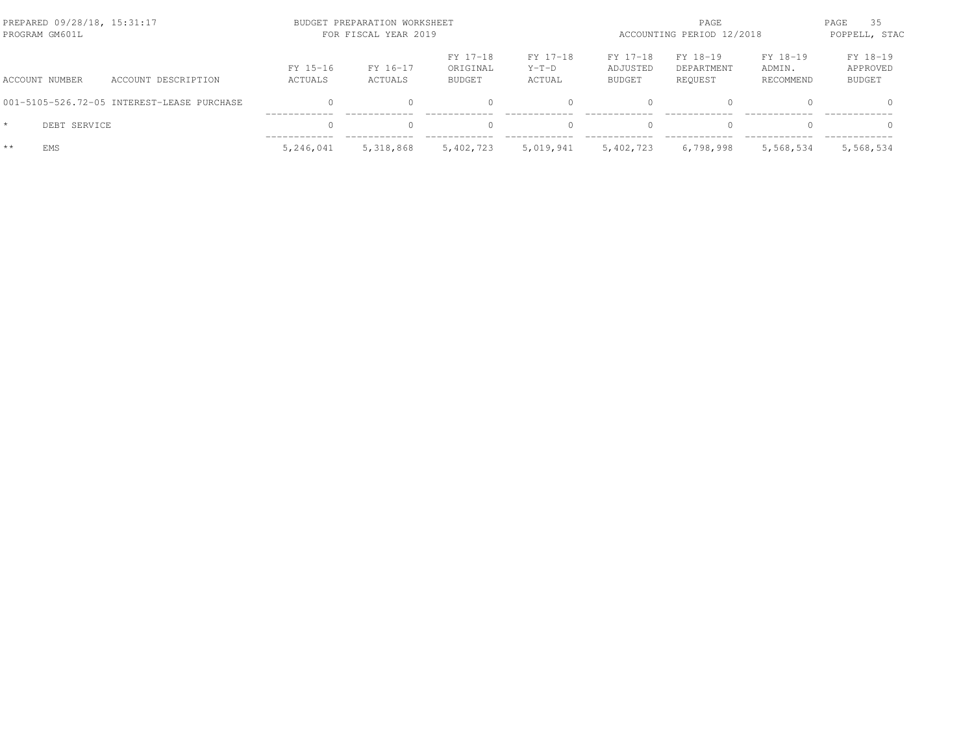| PREPARED 09/28/18, 15:31:17<br>PROGRAM GM601L |              |                                            |                     | BUDGET PREPARATION WORKSHEET<br>FOR FISCAL YEAR 2019 |                                |                               | PAGE<br>ACCOUNTING PERIOD 12/2018 |                                   |                                 | PAGE<br>-35<br>POPPELL, STAC          |
|-----------------------------------------------|--------------|--------------------------------------------|---------------------|------------------------------------------------------|--------------------------------|-------------------------------|-----------------------------------|-----------------------------------|---------------------------------|---------------------------------------|
| ACCOUNT NUMBER                                |              | ACCOUNT DESCRIPTION                        | FY 15-16<br>ACTUALS | FY 16-17<br>ACTUALS                                  | FY 17-18<br>ORIGINAL<br>BUDGET | FY 17-18<br>$Y-T-D$<br>ACTUAL | FY 17-18<br>ADJUSTED<br>BUDGET    | FY 18-19<br>DEPARTMENT<br>REQUEST | FY 18-19<br>ADMIN.<br>RECOMMEND | FY 18-19<br>APPROVED<br><b>BUDGET</b> |
|                                               |              | 001-5105-526.72-05 INTEREST-LEASE PURCHASE |                     | 0.                                                   |                                |                               | $\bigcap$                         | $\Omega$                          |                                 |                                       |
| $\star$                                       | DEBT SERVICE |                                            |                     |                                                      |                                |                               | $\bigcap$                         |                                   |                                 |                                       |
| $**$<br>EMS                                   |              |                                            | 5,246,041           | 5,318,868                                            | 5,402,723                      | 5,019,941                     | 5,402,723                         | 6,798,998                         | 5,568,534                       | 5,568,534                             |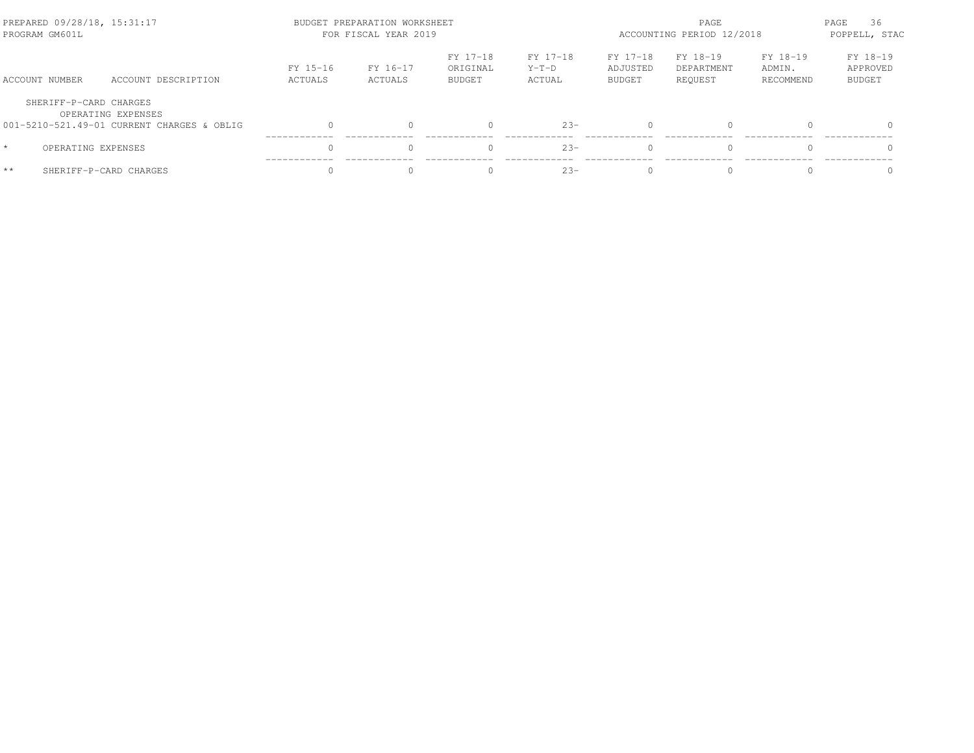| PREPARED 09/28/18, 15:31:17<br>PROGRAM GM601L |                                            | BUDGET PREPARATION WORKSHEET<br>FOR FISCAL YEAR 2019 |                     |                                       |                               | PAGE<br>ACCOUNTING PERIOD 12/2018 |                                   |                                 | 36<br>PAGE<br>POPPELL, STAC           |
|-----------------------------------------------|--------------------------------------------|------------------------------------------------------|---------------------|---------------------------------------|-------------------------------|-----------------------------------|-----------------------------------|---------------------------------|---------------------------------------|
| ACCOUNT NUMBER                                | ACCOUNT DESCRIPTION                        | FY 15-16<br>ACTUALS                                  | FY 16-17<br>ACTUALS | FY 17-18<br>ORIGINAL<br><b>BUDGET</b> | FY 17-18<br>$Y-T-D$<br>ACTUAL | FY 17-18<br>ADJUSTED<br>BUDGET    | FY 18-19<br>DEPARTMENT<br>REOUEST | FY 18-19<br>ADMIN.<br>RECOMMEND | FY 18-19<br>APPROVED<br><b>BUDGET</b> |
| SHERIFF-P-CARD CHARGES                        | OPERATING EXPENSES                         |                                                      |                     |                                       |                               |                                   |                                   |                                 |                                       |
|                                               | 001-5210-521.49-01 CURRENT CHARGES & OBLIG |                                                      |                     |                                       | $23 -$                        | $\bigcap$                         | $\Omega$                          |                                 | $\Omega$                              |
| OPERATING EXPENSES<br>$\star$                 |                                            |                                                      |                     |                                       | $2.3 -$                       | $\bigcap$                         | $\Omega$                          |                                 | $\Omega$                              |
| $**$                                          | SHERIFF-P-CARD CHARGES                     |                                                      |                     |                                       | $23 -$                        | $\bigcap$                         | $\Omega$                          |                                 |                                       |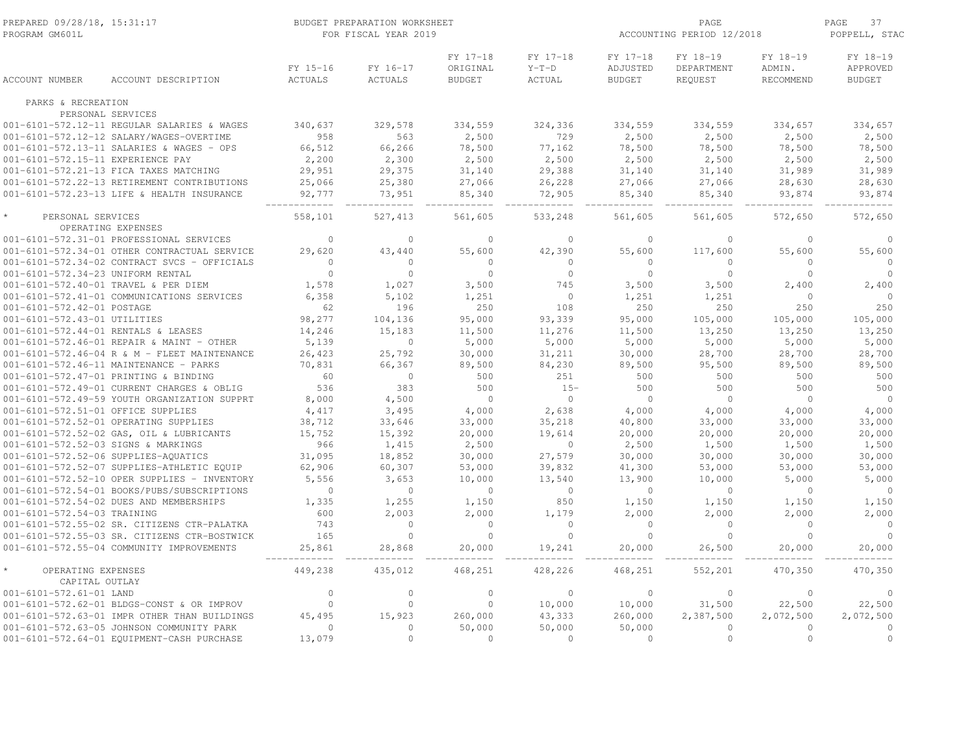| PREPARED 09/28/18, 15:31:17<br>PROGRAM GM601L |                                                                  | BUDGET PREPARATION WORKSHEET<br>FOR FISCAL YEAR 2019 |                     |                                       |                                |                                       | PAGE<br>ACCOUNTING PERIOD 12/2018 |                                 |                                       |  |
|-----------------------------------------------|------------------------------------------------------------------|------------------------------------------------------|---------------------|---------------------------------------|--------------------------------|---------------------------------------|-----------------------------------|---------------------------------|---------------------------------------|--|
| ACCOUNT NUMBER                                | ACCOUNT DESCRIPTION                                              | FY 15-16<br><b>ACTUALS</b>                           | FY 16-17<br>ACTUALS | FY 17-18<br>ORIGINAL<br><b>BUDGET</b> | FY 17-18<br>$Y-T-D$<br>ACTUAL  | FY 17-18<br>ADJUSTED<br><b>BUDGET</b> | FY 18-19<br>DEPARTMENT<br>REQUEST | FY 18-19<br>ADMIN.<br>RECOMMEND | FY 18-19<br>APPROVED<br><b>BUDGET</b> |  |
| PARKS & RECREATION                            |                                                                  |                                                      |                     |                                       |                                |                                       |                                   |                                 |                                       |  |
|                                               | PERSONAL SERVICES<br>001-6101-572.12-11 REGULAR SALARIES & WAGES | 340,637                                              | 329,578             | 334,559                               | 324,336                        | 334,559                               | 334,559                           | 334,657                         | 334,657                               |  |
|                                               | 001-6101-572.12-12 SALARY/WAGES-OVERTIME                         | 958                                                  | 563                 | 2,500                                 | 729                            | 2,500                                 | 2,500                             | 2,500                           | 2,500                                 |  |
|                                               | 001-6101-572.13-11 SALARIES & WAGES - OPS                        | 66,512                                               | 66,266              | 78,500                                | 77,162                         | 78,500                                | 78,500                            | 78,500                          | 78,500                                |  |
| 001-6101-572.15-11 EXPERIENCE PAY             |                                                                  | 2,200                                                | 2,300               | 2,500                                 | 2,500                          | 2,500                                 | 2,500                             | 2,500                           | 2,500                                 |  |
|                                               | 001-6101-572.21-13 FICA TAXES MATCHING                           | 29,951                                               | 29,375              | 31,140                                | 29,388                         | 31,140                                | 31,140                            | 31,989                          | 31,989                                |  |
|                                               | 001-6101-572.22-13 RETIREMENT CONTRIBUTIONS                      | 25,066                                               | 25,380              | 27,066                                | 26,228                         | 27,066                                | 27,066                            | 28,630                          | 28,630                                |  |
|                                               | 001-6101-572.23-13 LIFE & HEALTH INSURANCE                       | 92,777                                               | 73,951              | 85,340                                | 72,905                         | 85,340                                | 85,340                            | 93,874                          | 93,874                                |  |
| PERSONAL SERVICES                             |                                                                  | 558,101                                              | 527,413             | 561,605                               | 533,248                        | 561,605                               | 561,605                           | 572,650                         | 572,650                               |  |
|                                               | OPERATING EXPENSES                                               |                                                      |                     |                                       |                                |                                       |                                   |                                 |                                       |  |
|                                               | 001-6101-572.31-01 PROFESSIONAL SERVICES                         | $\Omega$                                             | $\mathbf{0}$        | $\Omega$                              | $\Omega$                       | $\Omega$                              | $\Omega$                          | $\Omega$                        | $\Omega$                              |  |
|                                               | 001-6101-572.34-01 OTHER CONTRACTUAL SERVICE                     | 29,620                                               | 43,440              | 55,600                                | 42,390                         | 55,600                                | 117,600                           | 55,600                          | 55,600                                |  |
|                                               | 001-6101-572.34-02 CONTRACT SVCS - OFFICIALS                     | $\mathbf{0}$<br>$\mathbf 0$                          | $\circ$<br>$\circ$  | $\circ$<br>$\circ$                    | $\mathbf{0}$<br>$\overline{0}$ | $\circ$<br>$\overline{0}$             | 0<br>$\circ$                      | $\mathbf{0}$<br>$\circ$         | $\circ$<br>$\circ$                    |  |
| 001-6101-572.34-23 UNIFORM RENTAL             | 001-6101-572.40-01 TRAVEL & PER DIEM                             | 1,578                                                | 1,027               | 3,500                                 | 745                            | 3,500                                 | 3,500                             | 2,400                           | 2,400                                 |  |
|                                               | 001-6101-572.41-01 COMMUNICATIONS SERVICES                       | 6,358                                                | 5,102               | 1,251                                 | $\mathbf{0}$                   | 1,251                                 | 1,251                             | $\circ$                         | $\circ$                               |  |
| 001-6101-572.42-01 POSTAGE                    |                                                                  | 62                                                   | 196                 | 250                                   | 108                            | 250                                   | 250                               | 250                             | 250                                   |  |
| 001-6101-572.43-01 UTILITIES                  |                                                                  | 98,277                                               | 104,136             | 95,000                                | 93,339                         | 95,000                                | 105,000                           | 105,000                         | 105,000                               |  |
| 001-6101-572.44-01 RENTALS & LEASES           |                                                                  | 14,246                                               | 15,183              | 11,500                                | 11,276                         | 11,500                                | 13,250                            | 13,250                          | 13,250                                |  |
|                                               | 001-6101-572.46-01 REPAIR & MAINT - OTHER                        | 5,139                                                | $\circ$             | 5,000                                 | 5,000                          | 5,000                                 | 5,000                             | 5,000                           | 5,000                                 |  |
|                                               | 001-6101-572.46-04 R & M - FLEET MAINTENANCE                     | 26,423                                               | 25,792              | 30,000                                | 31,211                         | 30,000                                | 28,700                            | 28,700                          | 28,700                                |  |
|                                               | 001-6101-572.46-11 MAINTENANCE - PARKS                           | 70,831                                               | 66,367              | 89,500                                | 84,230                         | 89,500                                | 95,500                            | 89,500                          | 89,500                                |  |
|                                               | 001-6101-572.47-01 PRINTING & BINDING                            | 60                                                   | $\circ$             | 500                                   | 251                            | 500                                   | 500                               | 500                             | 500                                   |  |
|                                               | 001-6101-572.49-01 CURRENT CHARGES & OBLIG                       | 536                                                  | 383                 | 500                                   | $15 -$                         | 500                                   | 500                               | 500                             | 500                                   |  |
|                                               | 001-6101-572.49-59 YOUTH ORGANIZATION SUPPRT                     | 8,000                                                | 4,500               | $\Omega$                              | $\circ$                        | $\bigcirc$                            | $\Omega$                          | $\Omega$                        | $\bigcirc$                            |  |
| 001-6101-572.51-01 OFFICE SUPPLIES            |                                                                  | 4,417                                                | 3,495               | 4,000                                 | 2,638                          | 4,000                                 | 4,000                             | 4,000                           | 4,000                                 |  |
|                                               | 001-6101-572.52-01 OPERATING SUPPLIES                            | 38,712                                               | 33,646              | 33,000                                | 35,218                         | 40,800                                | 33,000                            | 33,000                          | 33,000                                |  |
|                                               | 001-6101-572.52-02 GAS, OIL & LUBRICANTS                         | 15,752                                               | 15,392              | 20,000                                | 19,614                         | 20,000                                | 20,000                            | 20,000                          | 20,000                                |  |
| 001-6101-572.52-03 SIGNS & MARKINGS           |                                                                  | 966                                                  | 1,415               | 2,500                                 | $\mathbf 0$                    | 2,500                                 | 1,500                             | 1,500                           | 1,500                                 |  |
|                                               | 001-6101-572.52-06 SUPPLIES-AQUATICS                             | 31,095                                               | 18,852              | 30,000                                | 27,579                         | 30,000                                | 30,000                            | 30,000                          | 30,000                                |  |
|                                               | 001-6101-572.52-07 SUPPLIES-ATHLETIC EQUIP                       | 62,906                                               | 60,307              | 53,000                                | 39,832                         | 41,300                                | 53,000                            | 53,000                          | 53,000                                |  |
|                                               | 001-6101-572.52-10 OPER SUPPLIES - INVENTORY                     | 5,556                                                | 3,653               | 10,000                                | 13,540                         | 13,900                                | 10,000                            | 5,000                           | 5,000                                 |  |
|                                               | 001-6101-572.54-01 BOOKS/PUBS/SUBSCRIPTIONS                      | $\mathbf{0}$                                         | $\circ$             | $\circ$                               | $\overline{0}$                 | $\overline{0}$                        | $\mathbf{0}$                      | $\circ$                         | $\overline{0}$                        |  |
|                                               | 001-6101-572.54-02 DUES AND MEMBERSHIPS                          | 1,335                                                | 1,255               | 1,150                                 | 850                            | 1,150                                 | 1,150                             | 1,150                           | 1,150                                 |  |
| 001-6101-572.54-03 TRAINING                   |                                                                  | 600                                                  | 2,003               | 2,000                                 | 1,179                          | 2,000                                 | 2,000                             | 2,000                           | 2,000                                 |  |
|                                               | 001-6101-572.55-02 SR. CITIZENS CTR-PALATKA                      | 743                                                  | $\circ$             | $\circ$                               | $\circ$                        | $\circ$                               | $\circ$                           | $\circ$                         | $\circ$                               |  |
|                                               | 001-6101-572.55-03 SR. CITIZENS CTR-BOSTWICK                     | 165                                                  | $\circ$             | $\circ$                               | $\mathbb O$                    | $\circ$                               | $\mathbb O$                       | $\circ$                         | $\circ$                               |  |
|                                               | 001-6101-572.55-04 COMMUNITY IMPROVEMENTS                        | 25,861                                               | 28,868              | 20,000                                | 19,241                         | 20,000                                | 26,500                            | 20,000                          | 20,000                                |  |
| OPERATING EXPENSES<br>CAPITAL OUTLAY          |                                                                  | 449,238                                              | 435,012             | 468,251                               | 428,226                        | 468,251                               | 552,201                           | 470,350                         | 470,350                               |  |
| 001-6101-572.61-01 LAND                       |                                                                  | $\Omega$                                             | $\Omega$            | $\Omega$                              | $\Omega$                       | $\Omega$                              | $\circ$                           | $\Omega$                        | $\Omega$                              |  |
|                                               | 001-6101-572.62-01 BLDGS-CONST & OR IMPROV                       | $\mathbb O$                                          | $\circ$             | $\circ$                               | 10,000                         | 10,000                                | 31,500                            | 22,500                          | 22,500                                |  |
|                                               | 001-6101-572.63-01 IMPR OTHER THAN BUILDINGS                     | 45,495                                               | 15,923              | 260,000                               | 43,333                         | 260,000                               | 2,387,500                         | 2,072,500                       | 2,072,500                             |  |
|                                               | 001-6101-572.63-05 JOHNSON COMMUNITY PARK                        | $\mathbf{0}$                                         | $\circ$             | 50,000                                | 50,000                         | 50,000                                | $\circ$                           | $\circ$                         | $\circ$                               |  |
|                                               | 001-6101-572.64-01 EQUIPMENT-CASH PURCHASE                       | 13,079                                               | $\circ$             | $\circ$                               | $\mathbf{0}$                   | $\circ$                               | $\circ$                           | $\circ$                         | $\circ$                               |  |
|                                               |                                                                  |                                                      |                     |                                       |                                |                                       |                                   |                                 |                                       |  |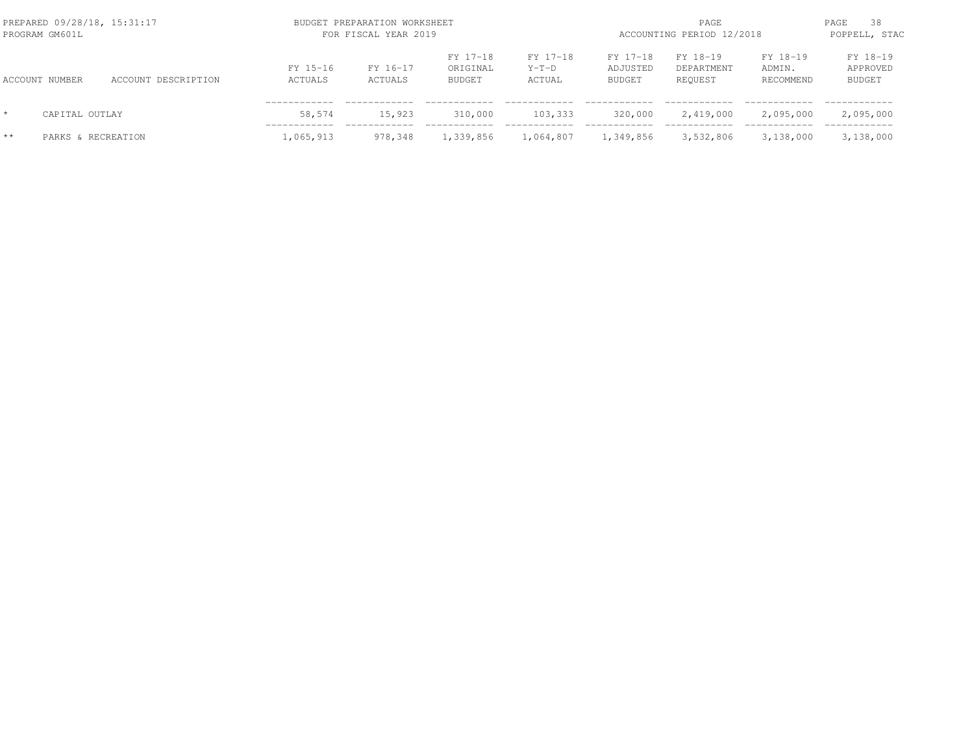| PREPARED 09/28/18, 15:31:17<br>PROGRAM GM601L |                    |                     |                     | BUDGET PREPARATION WORKSHEET<br>FOR FISCAL YEAR 2019 |                                       |                               |                                       |                                   | PAGE<br>ACCOUNTING PERIOD 12/2018 |                                       |  |  |
|-----------------------------------------------|--------------------|---------------------|---------------------|------------------------------------------------------|---------------------------------------|-------------------------------|---------------------------------------|-----------------------------------|-----------------------------------|---------------------------------------|--|--|
|                                               | ACCOUNT NUMBER     | ACCOUNT DESCRIPTION | FY 15-16<br>ACTUALS | FY 16-17<br>ACTUALS                                  | FY 17-18<br>ORIGINAL<br><b>BUDGET</b> | FY 17-18<br>$Y-T-D$<br>ACTUAL | FY 17-18<br>ADJUSTED<br><b>BUDGET</b> | FY 18-19<br>DEPARTMENT<br>REQUEST | FY 18-19<br>ADMIN.<br>RECOMMEND   | FY 18-19<br>APPROVED<br><b>BUDGET</b> |  |  |
| $\star$                                       | CAPITAL OUTLAY     |                     | 58,574              | 15,923                                               | 310,000                               | 103,333                       | 320,000                               | 2,419,000                         | 2,095,000                         | 2,095,000                             |  |  |
| $**$                                          | PARKS & RECREATION |                     | 1,065,913           | 978,348                                              | 1,339,856                             | 1,064,807                     | 1,349,856                             | 3,532,806                         | 3,138,000                         | 3,138,000                             |  |  |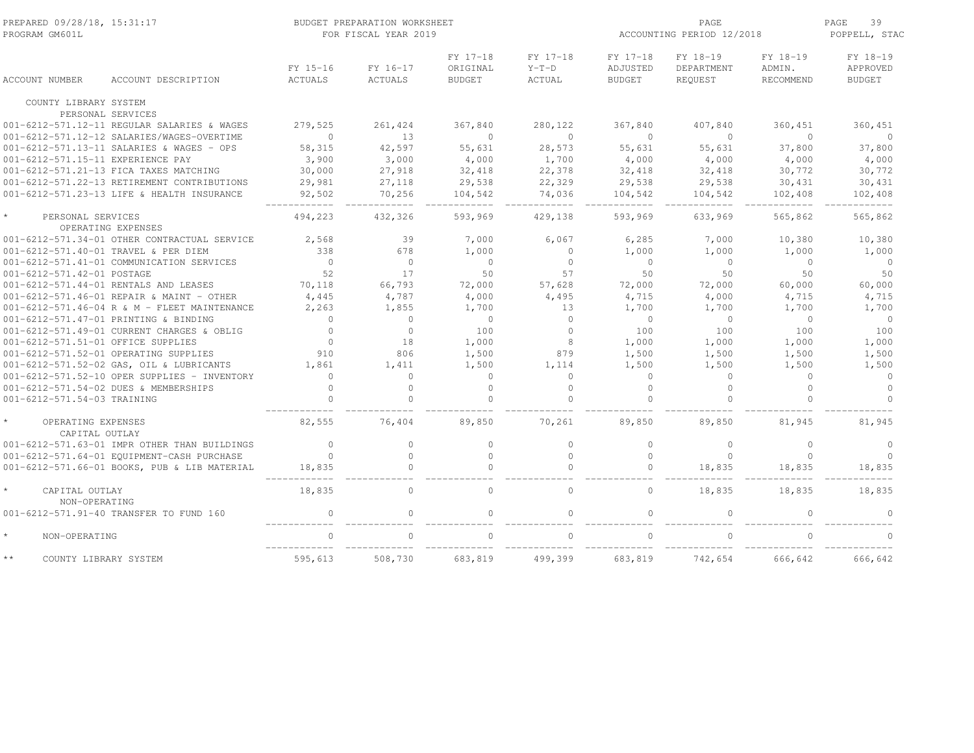| PREPARED 09/28/18, 15:31:17<br>PROGRAM GM601L      |                     |                     | BUDGET PREPARATION WORKSHEET<br>FOR FISCAL YEAR 2019 |                                       | ACCOUNTING PERIOD 12/2018     | PAGE<br>39<br>POPPELL, STAC           |                                   |                                 |                                       |
|----------------------------------------------------|---------------------|---------------------|------------------------------------------------------|---------------------------------------|-------------------------------|---------------------------------------|-----------------------------------|---------------------------------|---------------------------------------|
| ACCOUNT NUMBER                                     | ACCOUNT DESCRIPTION | FY 15-16<br>ACTUALS | FY 16-17<br><b>ACTUALS</b>                           | FY 17-18<br>ORIGINAL<br><b>BUDGET</b> | FY 17-18<br>$Y-T-D$<br>ACTUAL | FY 17-18<br>ADJUSTED<br><b>BUDGET</b> | FY 18-19<br>DEPARTMENT<br>REQUEST | FY 18-19<br>ADMIN.<br>RECOMMEND | FY 18-19<br>APPROVED<br><b>BUDGET</b> |
| COUNTY LIBRARY SYSTEM                              |                     |                     |                                                      |                                       |                               |                                       |                                   |                                 |                                       |
| PERSONAL SERVICES                                  |                     |                     |                                                      |                                       |                               |                                       |                                   |                                 |                                       |
| 001-6212-571.12-11 REGULAR SALARIES & WAGES        |                     | 279,525             | 261,424                                              | 367,840                               | 280,122                       | 367,840                               | 407,840                           | 360,451                         | 360,451                               |
| 001-6212-571.12-12 SALARIES/WAGES-OVERTIME         |                     | $\circ$             | 13                                                   | $\Omega$                              | $\circ$                       | $\Omega$                              | $\circ$                           | $\circ$                         | $\circ$                               |
| 001-6212-571.13-11 SALARIES & WAGES - OPS          |                     | 58,315              | 42,597                                               | 55,631                                | 28,573                        | 55,631                                | 55,631                            | 37,800                          | 37,800                                |
| 001-6212-571.15-11 EXPERIENCE PAY                  |                     | 3,900               | 3,000                                                | 4,000                                 | 1,700                         | 4,000                                 | 4,000                             | 4,000                           | 4,000                                 |
| 001-6212-571.21-13 FICA TAXES MATCHING             |                     | 30,000              | 27,918                                               | 32,418                                | 22,378                        | 32,418                                | 32,418                            | 30,772                          | 30,772                                |
| 001-6212-571.22-13 RETIREMENT CONTRIBUTIONS        |                     | 29,981              | 27,118                                               | 29,538                                | 22,329                        | 29,538                                | 29,538                            | 30,431                          | 30,431                                |
| 001-6212-571.23-13 LIFE & HEALTH INSURANCE         |                     | 92,502              | 70,256                                               | 104,542                               | 74,036                        | 104,542                               | 104,542                           | 102,408                         | 102,408                               |
| $\star$<br>PERSONAL SERVICES<br>OPERATING EXPENSES |                     | 494,223             | 432,326                                              | 593,969                               | 429,138                       | 593,969                               | 633,969                           | 565,862                         | 565,862                               |
| 001-6212-571.34-01 OTHER CONTRACTUAL SERVICE       |                     | 2,568               | 39                                                   | 7,000                                 | 6,067                         | 6,285                                 | 7,000                             | 10,380                          | 10,380                                |
| 001-6212-571.40-01 TRAVEL & PER DIEM               |                     | 338                 | 678                                                  | 1,000                                 | $\circ$                       | 1,000                                 | 1,000                             | 1,000                           | 1,000                                 |
| 001-6212-571.41-01 COMMUNICATION SERVICES          |                     | $\overline{0}$      | $\circ$                                              | $\Omega$                              | $\circ$                       | $\Omega$                              | $\circ$                           | $\circ$                         | $\overline{0}$                        |
| 001-6212-571.42-01 POSTAGE                         |                     | 52                  | 17                                                   | 50                                    | 57                            | 50                                    | 50                                | 50                              | 50                                    |
| 001-6212-571.44-01 RENTALS AND LEASES              |                     | 70,118              | 66,793                                               | 72,000                                | 57,628                        | 72,000                                | 72,000                            | 60,000                          | 60,000                                |
| 001-6212-571.46-01 REPAIR & MAINT - OTHER          |                     | 4,445               | 4,787                                                | 4,000                                 | 4,495                         | 4,715                                 | 4,000                             | 4,715                           | 4,715                                 |
| 001-6212-571.46-04 R & M - FLEET MAINTENANCE       |                     | 2,263               | 1,855                                                | 1,700                                 | 13                            | 1,700                                 | 1,700                             | 1,700                           | 1,700                                 |
| 001-6212-571.47-01 PRINTING & BINDING              |                     | $\mathbf{0}$        | $\circ$                                              | $\circ$                               | $\circ$                       | $\overline{0}$                        | $\circ$                           | $\circ$                         | $\circ$                               |
| 001-6212-571.49-01 CURRENT CHARGES & OBLIG         |                     | $\Omega$            | $\circ$                                              | 100                                   | $\Omega$                      | 100                                   | 100                               | 100                             | 100                                   |
| 001-6212-571.51-01 OFFICE SUPPLIES                 |                     | $\Omega$            | 18                                                   | 1,000                                 | 8                             | 1,000                                 | 1,000                             | 1,000                           | 1,000                                 |
| 001-6212-571.52-01 OPERATING SUPPLIES              |                     | 910                 | 806                                                  | 1,500                                 | 879                           | 1,500                                 | 1,500                             | 1,500                           | 1,500                                 |
| 001-6212-571.52-02 GAS, OIL & LUBRICANTS           |                     | 1,861               | 1,411                                                | 1,500                                 | 1,114                         | 1,500                                 | 1,500                             | 1,500                           | 1,500                                 |
| 001-6212-571.52-10 OPER SUPPLIES - INVENTORY       |                     | $\Omega$            | $\Omega$                                             | $\circ$                               | $\Omega$                      | $\Omega$                              | $\circ$                           | $\Omega$                        | $\circ$                               |
| 001-6212-571.54-02 DUES & MEMBERSHIPS              |                     | $\Omega$            | $\Omega$                                             | $\Omega$                              | $\Omega$                      | $\Omega$                              | $\Omega$                          | $\Omega$                        | $\Omega$                              |
| 001-6212-571.54-03 TRAINING                        |                     | $\Omega$            | $\Omega$                                             | $\Omega$                              | $\Omega$                      | $\Omega$                              | $\Omega$                          | $\Omega$                        | $\Omega$                              |
| OPERATING EXPENSES<br>CAPITAL OUTLAY               |                     | 82,555              | 76,404                                               | 89,850                                | 70,261                        | 89,850                                | 89,850                            | 81,945                          | 81,945                                |
| 001-6212-571.63-01 IMPR OTHER THAN BUILDINGS       |                     | $\Omega$            | $\Omega$                                             | $\Omega$                              | $\Omega$                      | $\Omega$                              | $\mathbf{0}$                      | $\Omega$                        | $\Omega$                              |
| 001-6212-571.64-01 EQUIPMENT-CASH PURCHASE         |                     | $\mathbf{0}$        | $\Omega$                                             | $\Omega$                              | $\Omega$                      | $\Omega$                              | $\Omega$                          | $\Omega$                        | $\Omega$                              |
| 001-6212-571.66-01 BOOKS, PUB & LIB MATERIAL       |                     | 18,835              | $\Omega$                                             | $\cap$                                | $\Omega$                      |                                       | 18,835                            | 18,835                          | 18,835                                |
| $\star$<br>CAPITAL OUTLAY<br>NON-OPERATING         |                     | 18,835              | $\Omega$                                             | $\Omega$                              | $\Omega$                      | $\Omega$                              | 18,835                            | 18,835                          | 18,835                                |
| 001-6212-571.91-40 TRANSFER TO FUND 160            |                     | $\circ$             | $\Omega$                                             | $\cap$                                | $\Omega$                      |                                       | $\Omega$                          |                                 |                                       |
| $\star$<br>NON-OPERATING                           |                     | $\cap$              | $\cap$                                               |                                       | $\cap$                        |                                       |                                   |                                 |                                       |
| $\star\star$<br>COUNTY LIBRARY SYSTEM              |                     | 595,613             | 508,730                                              | 683,819                               | 499,399                       | 683,819                               | 742,654                           | 666,642                         | 666,642                               |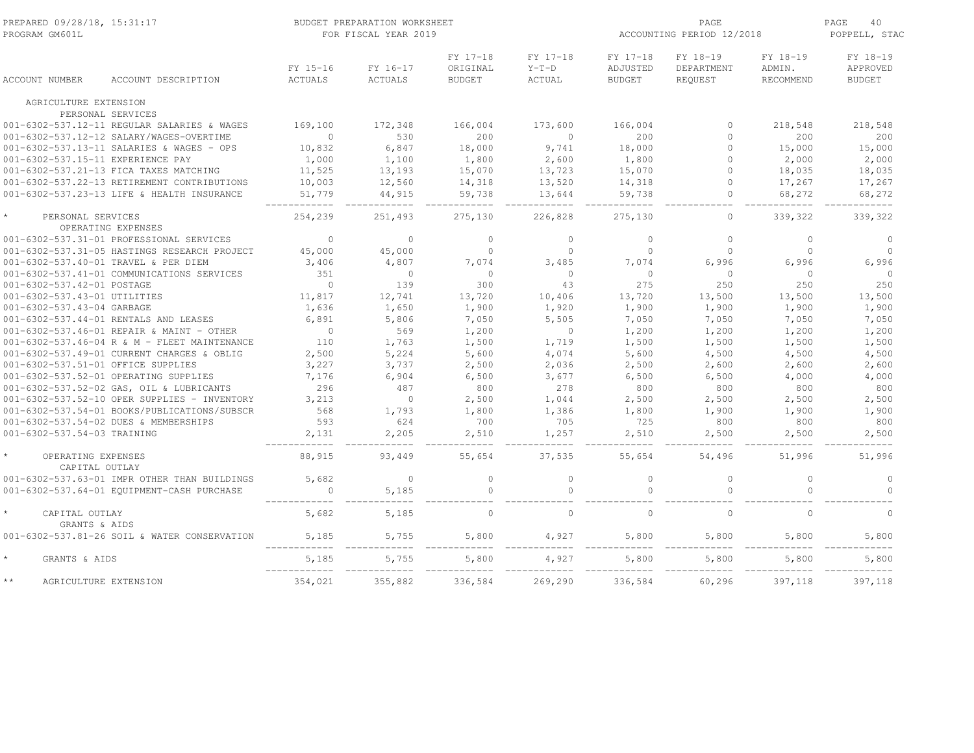| PREPARED 09/28/18, 15:31:17<br>PROGRAM GM601L |                                              |                            | BUDGET PREPARATION WORKSHEET<br>FOR FISCAL YEAR 2019 |                                       |                                      | PAGE<br>ACCOUNTING PERIOD 12/2018     |                                   |                                 | PAGE<br>40<br>POPPELL, STAC           |  |
|-----------------------------------------------|----------------------------------------------|----------------------------|------------------------------------------------------|---------------------------------------|--------------------------------------|---------------------------------------|-----------------------------------|---------------------------------|---------------------------------------|--|
| <b>ACCOUNT NUMBER</b>                         | ACCOUNT DESCRIPTION                          | FY 15-16<br><b>ACTUALS</b> | FY 16-17<br>ACTUALS                                  | FY 17-18<br>ORIGINAL<br><b>BUDGET</b> | FY 17-18<br>$Y-T-D$<br><b>ACTUAL</b> | FY 17-18<br>ADJUSTED<br><b>BUDGET</b> | FY 18-19<br>DEPARTMENT<br>REQUEST | FY 18-19<br>ADMIN.<br>RECOMMEND | FY 18-19<br>APPROVED<br><b>BUDGET</b> |  |
| AGRICULTURE EXTENSION                         |                                              |                            |                                                      |                                       |                                      |                                       |                                   |                                 |                                       |  |
|                                               | PERSONAL SERVICES                            |                            |                                                      |                                       |                                      |                                       |                                   |                                 |                                       |  |
|                                               | 001-6302-537.12-11 REGULAR SALARIES & WAGES  | 169,100                    | 172,348                                              | 166,004                               | 173,600                              | 166,004                               | $\mathbf{0}$                      | 218,548                         | 218,548                               |  |
|                                               | 001-6302-537.12-12 SALARY/WAGES-OVERTIME     | $\mathbf{0}$               | 530                                                  | 200                                   | $\circ$                              | 200                                   | $\circ$                           | 200                             | 200                                   |  |
|                                               | 001-6302-537.13-11 SALARIES & WAGES - OPS    | 10,832                     | 6,847                                                | 18,000                                | 9,741                                | 18,000                                | $\mathbf{0}$                      | 15,000                          | 15,000                                |  |
| 001-6302-537.15-11 EXPERIENCE PAY             |                                              | 1,000                      | 1,100                                                | 1,800                                 | 2,600                                | 1,800                                 | $\circ$                           | 2,000                           | 2,000                                 |  |
|                                               | 001-6302-537.21-13 FICA TAXES MATCHING       | 11,525                     | 13,193                                               | 15,070                                | 13,723                               | 15,070                                | $\circ$                           | 18,035                          | 18,035                                |  |
|                                               | 001-6302-537.22-13 RETIREMENT CONTRIBUTIONS  | 10,003                     | 12,560                                               | 14,318                                | 13,520                               | 14,318                                | $\mathbf{0}$                      | 17,267                          | 17,267                                |  |
|                                               | 001-6302-537.23-13 LIFE & HEALTH INSURANCE   | 51,779                     | 44,915                                               | 59,738                                | 13,644                               | 59,738                                | $\mathbf{0}$                      | 68,272                          | 68,272                                |  |
| PERSONAL SERVICES                             | OPERATING EXPENSES                           | 254,239                    | 251,493                                              | 275,130                               | 226,828                              | 275,130                               | $\circ$                           | 339,322                         | 339,322                               |  |
|                                               | 001-6302-537.31-01 PROFESSIONAL SERVICES     | $\mathbf{0}$               | $\circ$                                              | $\circ$                               | $\mathbf{0}$                         | $\circ$                               | $\circ$                           | $\circ$                         | $\circ$                               |  |
|                                               | 001-6302-537.31-05 HASTINGS RESEARCH PROJECT | 45,000                     | 45,000                                               | $\circ$                               | $\mathbf{0}$                         | $\mathbf{0}$                          | $\mathbf{0}$                      | $\circ$                         | $\circ$                               |  |
|                                               | 001-6302-537.40-01 TRAVEL & PER DIEM         | 3,406                      | 4,807                                                | 7,074                                 | 3,485                                | 7,074                                 | 6,996                             | 6,996                           | 6,996                                 |  |
|                                               | 001-6302-537.41-01 COMMUNICATIONS SERVICES   | 351                        | $\circ$                                              | $\circ$                               | $\circ$                              | $\Omega$                              | $\circ$                           | $\overline{0}$                  | $\circ$                               |  |
| 001-6302-537.42-01 POSTAGE                    |                                              | $\mathbf{0}$               | 139                                                  | 300                                   | 43                                   | 275                                   | 250                               | 250                             | 250                                   |  |
| 001-6302-537.43-01 UTILITIES                  |                                              | 11,817                     | 12,741                                               | 13,720                                | 10,406                               | 13,720                                | 13,500                            | 13,500                          | 13,500                                |  |
| 001-6302-537.43-04 GARBAGE                    |                                              | 1,636                      | 1,650                                                | 1,900                                 | 1,920                                | 1,900                                 | 1,900                             | 1,900                           | 1,900                                 |  |
|                                               | 001-6302-537.44-01 RENTALS AND LEASES        | 6,891                      | 5,806                                                | 7,050                                 | 5,505                                | 7,050                                 | 7,050                             | 7,050                           | 7,050                                 |  |
|                                               | 001-6302-537.46-01 REPAIR & MAINT - OTHER    | $\overline{0}$             | 569                                                  | 1,200                                 | $\mathbb O$                          | 1,200                                 | 1,200                             | 1,200                           | 1,200                                 |  |
|                                               | 001-6302-537.46-04 R & M - FLEET MAINTENANCE | 110                        | 1,763                                                | 1,500                                 | 1,719                                | 1,500                                 | 1,500                             | 1,500                           | 1,500                                 |  |
|                                               | 001-6302-537.49-01 CURRENT CHARGES & OBLIG   | 2,500                      | 5,224                                                | 5,600                                 | 4,074                                | 5,600                                 | 4,500                             | 4,500                           | 4,500                                 |  |
| 001-6302-537.51-01 OFFICE SUPPLIES            |                                              | 3,227                      | 3,737                                                | 2,500                                 | 2,036                                | 2,500                                 | 2,600                             | 2,600                           | 2,600                                 |  |
|                                               | 001-6302-537.52-01 OPERATING SUPPLIES        | 7,176                      | 6,904                                                | 6,500                                 | 3,677                                | 6,500                                 | 6,500                             | 4,000                           | 4,000                                 |  |
|                                               | 001-6302-537.52-02 GAS, OIL & LUBRICANTS     | 296                        | 487                                                  | 800                                   | 278                                  | 800                                   | 800                               | 800                             | 800                                   |  |
|                                               | 001-6302-537.52-10 OPER SUPPLIES - INVENTORY | 3,213                      | $\circ$                                              | 2,500                                 | 1,044                                | 2,500                                 | 2,500                             | 2,500                           | 2,500                                 |  |
|                                               | 001-6302-537.54-01 BOOKS/PUBLICATIONS/SUBSCR | 568                        | 1,793                                                | 1,800                                 | 1,386                                | 1,800                                 | 1,900                             | 1,900                           | 1,900                                 |  |
|                                               | 001-6302-537.54-02 DUES & MEMBERSHIPS        | 593                        | 624                                                  | 700                                   | 705                                  | 725                                   | 800                               | 800                             | 800                                   |  |
| 001-6302-537.54-03 TRAINING                   |                                              | 2,131                      | 2,205                                                | 2,510                                 | 1,257                                | 2,510                                 | 2,500                             | 2,500                           | 2,500                                 |  |
| OPERATING EXPENSES<br>CAPITAL OUTLAY          |                                              | 88,915                     | 93,449                                               | 55,654                                | 37,535                               | 55,654                                | 54,496                            | 51,996                          | 51,996                                |  |
|                                               | 001-6302-537.63-01 IMPR OTHER THAN BUILDINGS | 5,682                      | $\circ$                                              | $\circ$                               | $\mathbf{0}$                         | $\Omega$                              | $\circ$                           | $\Omega$                        | $\circ$                               |  |
|                                               | 001-6302-537.64-01 EQUIPMENT-CASH PURCHASE   | $\mathbf{0}$               | 5,185                                                | $\Omega$                              | $\mathbf{0}$                         |                                       | $\circ$                           | $\Omega$                        | $\Omega$                              |  |
|                                               |                                              |                            |                                                      |                                       |                                      |                                       |                                   |                                 |                                       |  |
| CAPITAL OUTLAY<br>GRANTS & AIDS               |                                              | 5,682                      | 5,185                                                | $\Omega$                              | $\mathbf{0}$                         | $\Omega$                              | $\Omega$                          | $\Omega$                        | $\Omega$                              |  |
|                                               | 001-6302-537.81-26 SOIL & WATER CONSERVATION | 5,185                      | 5,755                                                | 5,800                                 | 4,927                                | 5,800                                 | 5,800                             | 5,800                           | 5,800                                 |  |
| GRANTS & AIDS                                 |                                              | 5,185                      | 5,755                                                | 5,800                                 | 4,927                                | 5,800                                 | 5,800                             | 5,800                           | 5,800                                 |  |
| $\star\star$<br>AGRICULTURE EXTENSION         |                                              | 354,021                    | 355,882                                              | 336,584                               | 269,290                              | 336,584                               | 60,296                            | 397,118                         | 397,118                               |  |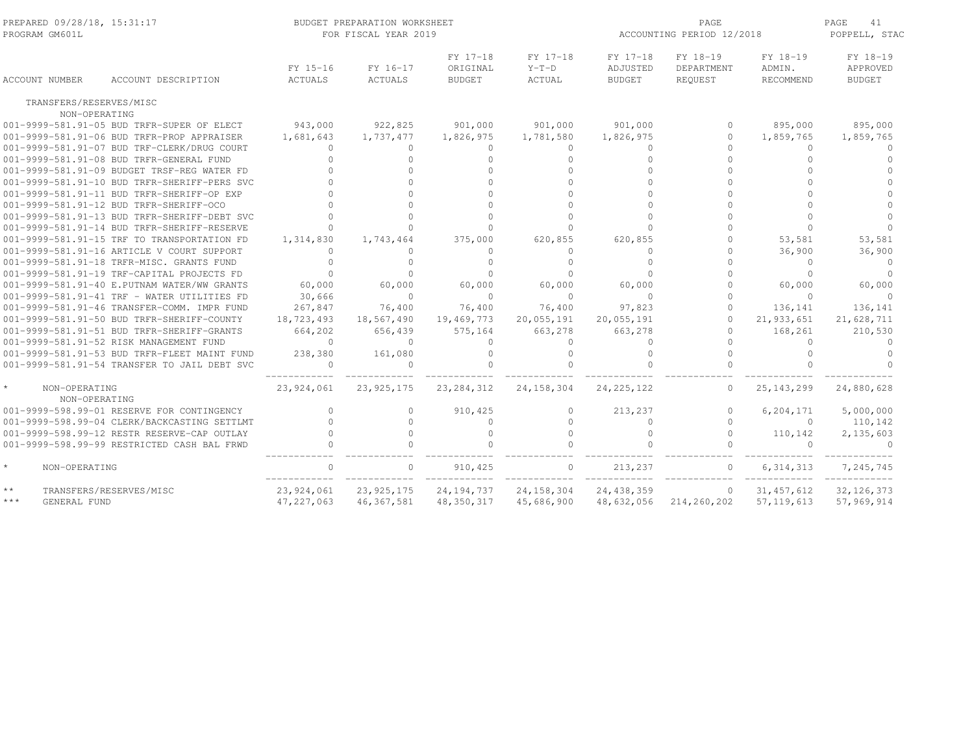| PREPARED 09/28/18, 15:31:17<br>PROGRAM GM601L |                                              |                            | BUDGET PREPARATION WORKSHEET<br>FOR FISCAL YEAR 2019 |                                       |                                      | PAGE<br>ACCOUNTING PERIOD 12/2018     |                                   |                                 |                                       |
|-----------------------------------------------|----------------------------------------------|----------------------------|------------------------------------------------------|---------------------------------------|--------------------------------------|---------------------------------------|-----------------------------------|---------------------------------|---------------------------------------|
| <b>ACCOUNT NUMBER</b>                         | ACCOUNT DESCRIPTION                          | FY 15-16<br><b>ACTUALS</b> | FY 16-17<br><b>ACTUALS</b>                           | FY 17-18<br>ORIGINAL<br><b>BUDGET</b> | FY 17-18<br>$Y-T-D$<br><b>ACTUAL</b> | FY 17-18<br>ADJUSTED<br><b>BUDGET</b> | FY 18-19<br>DEPARTMENT<br>REQUEST | FY 18-19<br>ADMIN.<br>RECOMMEND | FY 18-19<br>APPROVED<br><b>BUDGET</b> |
| TRANSFERS/RESERVES/MISC                       |                                              |                            |                                                      |                                       |                                      |                                       |                                   |                                 |                                       |
| NON-OPERATING                                 |                                              |                            |                                                      |                                       |                                      |                                       |                                   |                                 |                                       |
|                                               | 001-9999-581.91-05 BUD TRFR-SUPER OF ELECT   | 943,000                    | 922,825                                              | 901,000                               | 901,000                              | 901,000                               | $\Omega$                          | 895,000                         | 895,000                               |
|                                               | 001-9999-581.91-06 BUD TRFR-PROP APPRAISER   | 1,681,643                  | 1,737,477                                            | 1,826,975                             | 1,781,580                            | 1,826,975                             | $\Omega$                          | 1,859,765                       | 1,859,765                             |
|                                               | 001-9999-581.91-07 BUD TRF-CLERK/DRUG COURT  | $\Omega$                   | $\Omega$                                             | $\Omega$                              | $\Omega$                             | $\Omega$                              | $\cap$                            | $\Omega$                        | $\Omega$                              |
|                                               | 001-9999-581.91-08 BUD TRFR-GENERAL FUND     | $\Omega$                   | $\Omega$                                             | $\Omega$                              | $\Omega$                             | $\cap$                                | $\Omega$                          | $\Omega$                        | $\Omega$                              |
|                                               | 001-9999-581.91-09 BUDGET TRSF-REG WATER FD  |                            | $\Omega$                                             |                                       | $\cap$                               |                                       |                                   | $\cap$                          |                                       |
|                                               | 001-9999-581.91-10 BUD TRFR-SHERIFF-PERS SVC |                            | $\cap$                                               |                                       | $\Omega$                             |                                       |                                   |                                 |                                       |
|                                               | 001-9999-581.91-11 BUD TRFR-SHERIFF-OP EXP   |                            | $\Omega$                                             |                                       | $\Omega$                             | $\cap$                                |                                   | $\cap$                          |                                       |
|                                               | 001-9999-581.91-12 BUD TRFR-SHERIFF-OCO      |                            | $\Omega$                                             |                                       | $\cap$                               |                                       |                                   | $\cap$                          |                                       |
|                                               | 001-9999-581.91-13 BUD TRFR-SHERIFF-DEBT SVC |                            | $\cap$                                               |                                       | $\cap$                               |                                       |                                   | $\cap$                          |                                       |
|                                               | 001-9999-581.91-14 BUD TRFR-SHERIFF-RESERVE  | $\Omega$                   | $\Omega$                                             |                                       | $\Omega$                             |                                       |                                   | $\Omega$                        |                                       |
|                                               | 001-9999-581.91-15 TRF TO TRANSPORTATION FD  | 1,314,830                  | 1,743,464                                            | 375,000                               | 620,855                              | 620,855                               | 0                                 | 53,581                          | 53,581                                |
|                                               | 001-9999-581.91-16 ARTICLE V COURT SUPPORT   | $\Omega$                   | $\Omega$                                             | $\Omega$                              | $\Omega$                             | $\Omega$                              | $\cap$                            | 36,900                          | 36,900                                |
|                                               | 001-9999-581.91-18 TRFR-MISC. GRANTS FUND    | $\cap$                     | $\cap$                                               | $\cap$                                | $\Omega$                             | $\cap$                                |                                   | $\Omega$                        | $\Omega$                              |
|                                               | 001-9999-581.91-19 TRF-CAPITAL PROJECTS FD   | $\bigcap$                  | $\Omega$                                             |                                       | $\cap$                               |                                       |                                   | $\Omega$                        | $\Omega$                              |
|                                               | 001-9999-581.91-40 E.PUTNAM WATER/WW GRANTS  | 60,000                     | 60,000                                               | 60,000                                | 60,000                               | 60,000                                | $\Omega$                          | 60,000                          | 60,000                                |
|                                               | 001-9999-581.91-41 TRF - WATER UTILITIES FD  | 30,666                     | $\Omega$                                             | $\Omega$                              | $\Omega$                             | $\bigcap$                             | $\cap$                            | $\Omega$                        | $\Omega$                              |
|                                               | 001-9999-581.91-46 TRANSFER-COMM. IMPR FUND  | 267,847                    | 76,400                                               | 76,400                                | 76,400                               | 97,823                                | $\Omega$                          | 136,141                         | 136,141                               |
|                                               | 001-9999-581.91-50 BUD TRFR-SHERIFF-COUNTY   | 18,723,493                 | 18,567,490                                           | 19,469,773                            | 20,055,191                           | 20,055,191                            | $\Omega$                          | 21,933,651                      | 21,628,711                            |
|                                               | 001-9999-581.91-51 BUD TRFR-SHERIFF-GRANTS   | 664,202                    | 656,439                                              | 575,164                               | 663,278                              | 663,278                               | $\Omega$                          | 168,261                         | 210,530                               |
|                                               | 001-9999-581.91-52 RISK MANAGEMENT FUND      | $\Omega$                   | $\Omega$                                             | $\Omega$                              | $\Omega$                             | $\cap$                                | $\cap$                            | $\Omega$                        | $\Omega$                              |
|                                               | 001-9999-581.91-53 BUD TRFR-FLEET MAINT FUND | 238,380                    | 161,080                                              | $\mathbf{0}$                          | $\circ$                              | $\Omega$                              | $\Omega$                          | $\Omega$                        | $\Omega$                              |
|                                               | 001-9999-581.91-54 TRANSFER TO JAIL DEBT SVC | $\Omega$                   | $\Omega$                                             |                                       | $\cap$                               |                                       | $\Omega$                          |                                 |                                       |
| $\star$<br>NON-OPERATING<br>NON-OPERATING     |                                              | 23,924,061                 | 23, 925, 175                                         | 23, 284, 312                          | 24, 158, 304                         | 24, 225, 122                          | $\Omega$                          | 25, 143, 299                    | 24,880,628                            |
|                                               | 001-9999-598.99-01 RESERVE FOR CONTINGENCY   | $\Omega$                   | $\Omega$                                             | 910, 425                              | $\circ$                              | 213,237                               | $\Omega$                          | 6,204,171                       | 5,000,000                             |
|                                               | 001-9999-598.99-04 CLERK/BACKCASTING SETTLMT | $\cap$                     | $\Omega$                                             | $\Omega$                              | $\cap$                               | $\Omega$                              | $\cap$                            | $\Omega$                        | 110,142                               |
|                                               | 001-9999-598.99-12 RESTR RESERVE-CAP OUTLAY  | $\Omega$                   | $\Omega$                                             | $\Omega$                              | $\Omega$                             | $\Omega$                              | $\Omega$                          | 110,142                         | 2,135,603                             |
|                                               | 001-9999-598.99-99 RESTRICTED CASH BAL FRWD  |                            |                                                      |                                       |                                      |                                       |                                   | $\cap$                          | $\cap$                                |
| $\star$<br>NON-OPERATING                      |                                              | $\cap$                     | $\Omega$                                             | 910, 425                              | $\circ$                              | 213,237                               | $\circ$                           | 6, 314, 313                     | 7,245,745                             |
| $**$<br>TRANSFERS/RESERVES/MISC               |                                              | 23,924,061                 | 23, 925, 175                                         | 24, 194, 737                          | 24, 158, 304                         | 24, 438, 359                          | $\circ$                           | 31, 457, 612                    | 32, 126, 373                          |
| $***$<br>GENERAL FUND                         |                                              | 47, 227, 063               | 46, 367, 581                                         | 48, 350, 317                          | 45,686,900                           | 48,632,056                            | 214,260,202                       | 57, 119, 613                    | 57,969,914                            |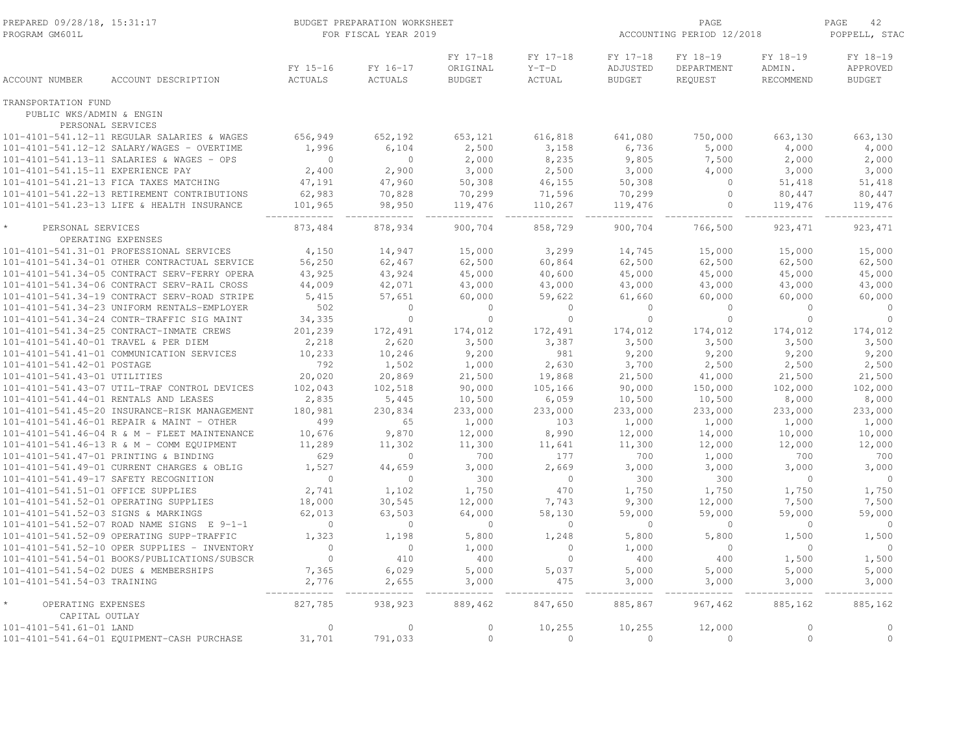| FY 17-18<br>FY 17-18<br>FY 17-18<br>FY 18-19<br>FY 18-19<br>FY 18-19<br>FY 15-16<br>FY 16-17<br>ORIGINAL<br>$Y-T-D$<br>ADJUSTED<br>DEPARTMENT<br>ADMIN.<br>APPROVED<br><b>ACCOUNT NUMBER</b><br>ACCOUNT DESCRIPTION<br>ACTUALS<br><b>ACTUALS</b><br><b>BUDGET</b><br>ACTUAL<br><b>BUDGET</b><br>REQUEST<br>RECOMMEND<br><b>BUDGET</b><br>TRANSPORTATION FUND<br>PUBLIC WKS/ADMIN & ENGIN<br>PERSONAL SERVICES<br>656,949<br>101-4101-541.12-11 REGULAR SALARIES & WAGES<br>652,192<br>653,121<br>616,818<br>641,080<br>750,000<br>663,130<br>663,130<br>1,996<br>6,104<br>2,500<br>3,158<br>6,736<br>5,000<br>4,000<br>4,000<br>101-4101-541.12-12 SALARY/WAGES - OVERTIME<br>$\mathbf{0}$<br>2,000<br>8,235<br>9,805<br>7,500<br>2,000<br>2,000<br>101-4101-541.13-11 SALARIES & WAGES - OPS<br>$\circ$<br>2,400<br>2,900<br>3,000<br>2,500<br>4,000<br>101-4101-541.15-11 EXPERIENCE PAY<br>3,000<br>3,000<br>3,000<br>47,191<br>47,960<br>50,308<br>46,155<br>50,308<br>51,418<br>101-4101-541.21-13 FICA TAXES MATCHING<br>$\circ$<br>51,418<br>62,983<br>70,299<br>70,299<br>101-4101-541.22-13 RETIREMENT CONTRIBUTIONS<br>70,828<br>71,596<br>$\Omega$<br>80,447<br>80,447<br>101-4101-541.23-13 LIFE & HEALTH INSURANCE<br>101,965<br>98,950<br>119,476<br>110,267<br>119,476<br>119,476<br>$\circ$<br>119,476<br>900,704<br>766,500<br>873,484<br>878,934<br>858,729<br>900,704<br>923, 471<br>923, 471<br>PERSONAL SERVICES<br>OPERATING EXPENSES<br>101-4101-541.31-01 PROFESSIONAL SERVICES<br>4,150<br>14,947<br>15,000<br>3,299<br>14,745<br>15,000<br>15,000<br>15,000<br>56,250<br>62,467<br>62,500<br>60,864<br>62,500<br>62,500<br>62,500<br>62,500<br>101-4101-541.34-01 OTHER CONTRACTUAL SERVICE<br>43,925<br>45,000<br>40,600<br>101-4101-541.34-05 CONTRACT SERV-FERRY OPERA<br>43,924<br>45,000<br>45,000<br>45,000<br>45,000<br>44,009<br>101-4101-541.34-06 CONTRACT SERV-RAIL CROSS<br>42,071<br>43,000<br>43,000<br>43,000<br>43,000<br>43,000<br>43,000<br>101-4101-541.34-19 CONTRACT SERV-ROAD STRIPE<br>5,415<br>57,651<br>60,000<br>61,660<br>60,000<br>60,000<br>60,000<br>59,622<br>502<br>$\circ$<br>$\circ$<br>$\circ$<br>101-4101-541.34-23 UNIFORM RENTALS-EMPLOYER<br>$\mathbf{0}$<br>$\circ$<br>$\circ$<br>$\circ$<br>$\circ$<br>$\circ$<br>$\circ$<br>101-4101-541.34-24 CONTR-TRAFFIC SIG MAINT<br>34,335<br>$\circ$<br>$\mathbb O$<br>$\circ$<br>$\circ$<br>201,239<br>101-4101-541.34-25 CONTRACT-INMATE CREWS<br>172,491<br>174,012<br>172,491<br>174,012<br>174,012<br>174,012<br>174,012<br>2,620<br>3,500<br>3,500<br>3,500<br>101-4101-541.40-01 TRAVEL & PER DIEM<br>2,218<br>3,387<br>3,500<br>3,500<br>9,200<br>981<br>9,200<br>101-4101-541.41-01 COMMUNICATION SERVICES<br>10,233<br>10,246<br>9,200<br>9,200<br>9,200<br>792<br>1,502<br>1,000<br>2,630<br>2,500<br>101-4101-541.42-01 POSTAGE<br>3,700<br>2,500<br>2,500<br>20,020<br>20,869<br>21,500<br>19,868<br>21,500<br>41,000<br>21,500<br>101-4101-541.43-01 UTILITIES<br>21,500<br>102,043<br>102,518<br>90,000<br>90,000<br>150,000<br>102,000<br>102,000<br>101-4101-541.43-07 UTIL-TRAF CONTROL DEVICES<br>105,166<br>101-4101-541.44-01 RENTALS AND LEASES<br>2,835<br>10,500<br>6,059<br>10,500<br>10,500<br>8,000<br>5,445<br>8,000<br>101-4101-541.45-20 INSURANCE-RISK MANAGEMENT<br>180,981<br>233,000<br>233,000<br>233,000<br>233,000<br>230,834<br>233,000<br>233,000<br>101-4101-541.46-01 REPAIR & MAINT - OTHER<br>499<br>65<br>1,000<br>103<br>1,000<br>1,000<br>1,000<br>1,000<br>9,870<br>14,000<br>101-4101-541.46-04 R & M - FLEET MAINTENANCE<br>10,676<br>12,000<br>8,990<br>12,000<br>10,000<br>10,000<br>11,289<br>11,302<br>12,000<br>101-4101-541.46-13 R & M - COMM EQUIPMENT<br>11,300<br>11,641<br>11,300<br>12,000<br>12,000<br>629<br>700<br>700<br>700<br>101-4101-541.47-01 PRINTING & BINDING<br>$\circ$<br>177<br>1,000<br>700<br>1,527<br>44,659<br>3,000<br>2,669<br>3,000<br>3,000<br>3,000<br>3,000<br>101-4101-541.49-01 CURRENT CHARGES & OBLIG<br>300<br>300<br>300<br>101-4101-541.49-17 SAFETY RECOGNITION<br>$\overline{0}$<br>$\Omega$<br>$\mathbf{0}$<br>$\mathbf 0$<br>$\circ$<br>101-4101-541.51-01 OFFICE SUPPLIES<br>2,741<br>1,750<br>1,750<br>1,750<br>1,102<br>470<br>1,750<br>1,750<br>18,000<br>30,545<br>12,000<br>7,743<br>9,300<br>12,000<br>7,500<br>7,500<br>101-4101-541.52-01 OPERATING SUPPLIES<br>101-4101-541.52-03 SIGNS & MARKINGS<br>62,013<br>63,503<br>64,000<br>58,130<br>59,000<br>59,000<br>59,000<br>59,000<br>101-4101-541.52-07 ROAD NAME SIGNS E 9-1-1<br>$\circ$<br>$\circ$<br>$\circ$<br>$\circ$<br>$\overline{0}$<br>$\circ$<br>$\circ$<br>$\circ$<br>101-4101-541.52-09 OPERATING SUPP-TRAFFIC<br>1,323<br>1,198<br>5,800<br>1,248<br>5,800<br>5,800<br>1,500<br>1,500<br>$\mathbf{0}$<br>1,000<br>101-4101-541.52-10 OPER SUPPLIES - INVENTORY<br>$\circ$<br>1,000<br>$\Omega$<br>$\circ$<br>$\Omega$<br>$\circ$<br>$\Omega$<br>410<br>400<br>$\circ$<br>400<br>101-4101-541.54-01 BOOKS/PUBLICATIONS/SUBSCR<br>400<br>1,500<br>1,500<br>7,365<br>6,029<br>5,000<br>5,037<br>5,000<br>5,000<br>5,000<br>5,000<br>101-4101-541.54-02 DUES & MEMBERSHIPS<br>101-4101-541.54-03 TRAINING<br>2,776<br>2,655<br>3,000<br>475<br>3,000<br>3,000<br>3,000<br>3,000<br>827,785<br>889,462<br>847,650<br>885,867<br>967,462<br>885,162<br>885,162<br>OPERATING EXPENSES<br>938,923<br>CAPITAL OUTLAY<br>10,255<br>10,255<br>12,000<br>101-4101-541.61-01 LAND<br>$\circ$<br>$\circ$<br>$\circ$<br>$\circ$<br>$\Omega$<br>$\circ$<br>$\circ$<br>101-4101-541.64-01 EQUIPMENT-CASH PURCHASE<br>31,701<br>791,033<br>$\circ$<br>$\mathbf{0}$<br>$\circ$<br>$\circ$ | PREPARED 09/28/18, 15:31:17<br>PROGRAM GM601L |  | BUDGET PREPARATION WORKSHEET<br>FOR FISCAL YEAR 2019 |  | PAGE<br>ACCOUNTING PERIOD 12/2018 |  |  | 42<br>PAGE<br>POPPELL, STAC |  |
|-------------------------------------------------------------------------------------------------------------------------------------------------------------------------------------------------------------------------------------------------------------------------------------------------------------------------------------------------------------------------------------------------------------------------------------------------------------------------------------------------------------------------------------------------------------------------------------------------------------------------------------------------------------------------------------------------------------------------------------------------------------------------------------------------------------------------------------------------------------------------------------------------------------------------------------------------------------------------------------------------------------------------------------------------------------------------------------------------------------------------------------------------------------------------------------------------------------------------------------------------------------------------------------------------------------------------------------------------------------------------------------------------------------------------------------------------------------------------------------------------------------------------------------------------------------------------------------------------------------------------------------------------------------------------------------------------------------------------------------------------------------------------------------------------------------------------------------------------------------------------------------------------------------------------------------------------------------------------------------------------------------------------------------------------------------------------------------------------------------------------------------------------------------------------------------------------------------------------------------------------------------------------------------------------------------------------------------------------------------------------------------------------------------------------------------------------------------------------------------------------------------------------------------------------------------------------------------------------------------------------------------------------------------------------------------------------------------------------------------------------------------------------------------------------------------------------------------------------------------------------------------------------------------------------------------------------------------------------------------------------------------------------------------------------------------------------------------------------------------------------------------------------------------------------------------------------------------------------------------------------------------------------------------------------------------------------------------------------------------------------------------------------------------------------------------------------------------------------------------------------------------------------------------------------------------------------------------------------------------------------------------------------------------------------------------------------------------------------------------------------------------------------------------------------------------------------------------------------------------------------------------------------------------------------------------------------------------------------------------------------------------------------------------------------------------------------------------------------------------------------------------------------------------------------------------------------------------------------------------------------------------------------------------------------------------------------------------------------------------------------------------------------------------------------------------------------------------------------------------------------------------------------------------------------------------------------------------------------------------------------------------------------------------------------------------------------------------------------------------------------------------------------------------------------------------------------------------------------------------------------------------------------------------------------------------------------------------------------------------------------------------------------------------------------------------------------------------------------------------------------------------------------------------------------------------------------------------------------------------------------------------------------------------------------------------------------------------------------------------------------------------------------------------------------------------------------------------------------------------------------------------------------------------------------------------------------------------------------------------------------------------------------------------|-----------------------------------------------|--|------------------------------------------------------|--|-----------------------------------|--|--|-----------------------------|--|
|                                                                                                                                                                                                                                                                                                                                                                                                                                                                                                                                                                                                                                                                                                                                                                                                                                                                                                                                                                                                                                                                                                                                                                                                                                                                                                                                                                                                                                                                                                                                                                                                                                                                                                                                                                                                                                                                                                                                                                                                                                                                                                                                                                                                                                                                                                                                                                                                                                                                                                                                                                                                                                                                                                                                                                                                                                                                                                                                                                                                                                                                                                                                                                                                                                                                                                                                                                                                                                                                                                                                                                                                                                                                                                                                                                                                                                                                                                                                                                                                                                                                                                                                                                                                                                                                                                                                                                                                                                                                                                                                                                                                                                                                                                                                                                                                                                                                                                                                                                                                                                                                                                                                                                                                                                                                                                                                                                                                                                                                                                                                                                                                                                                             |                                               |  |                                                      |  |                                   |  |  |                             |  |
|                                                                                                                                                                                                                                                                                                                                                                                                                                                                                                                                                                                                                                                                                                                                                                                                                                                                                                                                                                                                                                                                                                                                                                                                                                                                                                                                                                                                                                                                                                                                                                                                                                                                                                                                                                                                                                                                                                                                                                                                                                                                                                                                                                                                                                                                                                                                                                                                                                                                                                                                                                                                                                                                                                                                                                                                                                                                                                                                                                                                                                                                                                                                                                                                                                                                                                                                                                                                                                                                                                                                                                                                                                                                                                                                                                                                                                                                                                                                                                                                                                                                                                                                                                                                                                                                                                                                                                                                                                                                                                                                                                                                                                                                                                                                                                                                                                                                                                                                                                                                                                                                                                                                                                                                                                                                                                                                                                                                                                                                                                                                                                                                                                                             |                                               |  |                                                      |  |                                   |  |  |                             |  |
|                                                                                                                                                                                                                                                                                                                                                                                                                                                                                                                                                                                                                                                                                                                                                                                                                                                                                                                                                                                                                                                                                                                                                                                                                                                                                                                                                                                                                                                                                                                                                                                                                                                                                                                                                                                                                                                                                                                                                                                                                                                                                                                                                                                                                                                                                                                                                                                                                                                                                                                                                                                                                                                                                                                                                                                                                                                                                                                                                                                                                                                                                                                                                                                                                                                                                                                                                                                                                                                                                                                                                                                                                                                                                                                                                                                                                                                                                                                                                                                                                                                                                                                                                                                                                                                                                                                                                                                                                                                                                                                                                                                                                                                                                                                                                                                                                                                                                                                                                                                                                                                                                                                                                                                                                                                                                                                                                                                                                                                                                                                                                                                                                                                             |                                               |  |                                                      |  |                                   |  |  |                             |  |
|                                                                                                                                                                                                                                                                                                                                                                                                                                                                                                                                                                                                                                                                                                                                                                                                                                                                                                                                                                                                                                                                                                                                                                                                                                                                                                                                                                                                                                                                                                                                                                                                                                                                                                                                                                                                                                                                                                                                                                                                                                                                                                                                                                                                                                                                                                                                                                                                                                                                                                                                                                                                                                                                                                                                                                                                                                                                                                                                                                                                                                                                                                                                                                                                                                                                                                                                                                                                                                                                                                                                                                                                                                                                                                                                                                                                                                                                                                                                                                                                                                                                                                                                                                                                                                                                                                                                                                                                                                                                                                                                                                                                                                                                                                                                                                                                                                                                                                                                                                                                                                                                                                                                                                                                                                                                                                                                                                                                                                                                                                                                                                                                                                                             |                                               |  |                                                      |  |                                   |  |  |                             |  |
|                                                                                                                                                                                                                                                                                                                                                                                                                                                                                                                                                                                                                                                                                                                                                                                                                                                                                                                                                                                                                                                                                                                                                                                                                                                                                                                                                                                                                                                                                                                                                                                                                                                                                                                                                                                                                                                                                                                                                                                                                                                                                                                                                                                                                                                                                                                                                                                                                                                                                                                                                                                                                                                                                                                                                                                                                                                                                                                                                                                                                                                                                                                                                                                                                                                                                                                                                                                                                                                                                                                                                                                                                                                                                                                                                                                                                                                                                                                                                                                                                                                                                                                                                                                                                                                                                                                                                                                                                                                                                                                                                                                                                                                                                                                                                                                                                                                                                                                                                                                                                                                                                                                                                                                                                                                                                                                                                                                                                                                                                                                                                                                                                                                             |                                               |  |                                                      |  |                                   |  |  |                             |  |
|                                                                                                                                                                                                                                                                                                                                                                                                                                                                                                                                                                                                                                                                                                                                                                                                                                                                                                                                                                                                                                                                                                                                                                                                                                                                                                                                                                                                                                                                                                                                                                                                                                                                                                                                                                                                                                                                                                                                                                                                                                                                                                                                                                                                                                                                                                                                                                                                                                                                                                                                                                                                                                                                                                                                                                                                                                                                                                                                                                                                                                                                                                                                                                                                                                                                                                                                                                                                                                                                                                                                                                                                                                                                                                                                                                                                                                                                                                                                                                                                                                                                                                                                                                                                                                                                                                                                                                                                                                                                                                                                                                                                                                                                                                                                                                                                                                                                                                                                                                                                                                                                                                                                                                                                                                                                                                                                                                                                                                                                                                                                                                                                                                                             |                                               |  |                                                      |  |                                   |  |  |                             |  |
|                                                                                                                                                                                                                                                                                                                                                                                                                                                                                                                                                                                                                                                                                                                                                                                                                                                                                                                                                                                                                                                                                                                                                                                                                                                                                                                                                                                                                                                                                                                                                                                                                                                                                                                                                                                                                                                                                                                                                                                                                                                                                                                                                                                                                                                                                                                                                                                                                                                                                                                                                                                                                                                                                                                                                                                                                                                                                                                                                                                                                                                                                                                                                                                                                                                                                                                                                                                                                                                                                                                                                                                                                                                                                                                                                                                                                                                                                                                                                                                                                                                                                                                                                                                                                                                                                                                                                                                                                                                                                                                                                                                                                                                                                                                                                                                                                                                                                                                                                                                                                                                                                                                                                                                                                                                                                                                                                                                                                                                                                                                                                                                                                                                             |                                               |  |                                                      |  |                                   |  |  |                             |  |
|                                                                                                                                                                                                                                                                                                                                                                                                                                                                                                                                                                                                                                                                                                                                                                                                                                                                                                                                                                                                                                                                                                                                                                                                                                                                                                                                                                                                                                                                                                                                                                                                                                                                                                                                                                                                                                                                                                                                                                                                                                                                                                                                                                                                                                                                                                                                                                                                                                                                                                                                                                                                                                                                                                                                                                                                                                                                                                                                                                                                                                                                                                                                                                                                                                                                                                                                                                                                                                                                                                                                                                                                                                                                                                                                                                                                                                                                                                                                                                                                                                                                                                                                                                                                                                                                                                                                                                                                                                                                                                                                                                                                                                                                                                                                                                                                                                                                                                                                                                                                                                                                                                                                                                                                                                                                                                                                                                                                                                                                                                                                                                                                                                                             |                                               |  |                                                      |  |                                   |  |  |                             |  |
|                                                                                                                                                                                                                                                                                                                                                                                                                                                                                                                                                                                                                                                                                                                                                                                                                                                                                                                                                                                                                                                                                                                                                                                                                                                                                                                                                                                                                                                                                                                                                                                                                                                                                                                                                                                                                                                                                                                                                                                                                                                                                                                                                                                                                                                                                                                                                                                                                                                                                                                                                                                                                                                                                                                                                                                                                                                                                                                                                                                                                                                                                                                                                                                                                                                                                                                                                                                                                                                                                                                                                                                                                                                                                                                                                                                                                                                                                                                                                                                                                                                                                                                                                                                                                                                                                                                                                                                                                                                                                                                                                                                                                                                                                                                                                                                                                                                                                                                                                                                                                                                                                                                                                                                                                                                                                                                                                                                                                                                                                                                                                                                                                                                             |                                               |  |                                                      |  |                                   |  |  |                             |  |
|                                                                                                                                                                                                                                                                                                                                                                                                                                                                                                                                                                                                                                                                                                                                                                                                                                                                                                                                                                                                                                                                                                                                                                                                                                                                                                                                                                                                                                                                                                                                                                                                                                                                                                                                                                                                                                                                                                                                                                                                                                                                                                                                                                                                                                                                                                                                                                                                                                                                                                                                                                                                                                                                                                                                                                                                                                                                                                                                                                                                                                                                                                                                                                                                                                                                                                                                                                                                                                                                                                                                                                                                                                                                                                                                                                                                                                                                                                                                                                                                                                                                                                                                                                                                                                                                                                                                                                                                                                                                                                                                                                                                                                                                                                                                                                                                                                                                                                                                                                                                                                                                                                                                                                                                                                                                                                                                                                                                                                                                                                                                                                                                                                                             |                                               |  |                                                      |  |                                   |  |  |                             |  |
|                                                                                                                                                                                                                                                                                                                                                                                                                                                                                                                                                                                                                                                                                                                                                                                                                                                                                                                                                                                                                                                                                                                                                                                                                                                                                                                                                                                                                                                                                                                                                                                                                                                                                                                                                                                                                                                                                                                                                                                                                                                                                                                                                                                                                                                                                                                                                                                                                                                                                                                                                                                                                                                                                                                                                                                                                                                                                                                                                                                                                                                                                                                                                                                                                                                                                                                                                                                                                                                                                                                                                                                                                                                                                                                                                                                                                                                                                                                                                                                                                                                                                                                                                                                                                                                                                                                                                                                                                                                                                                                                                                                                                                                                                                                                                                                                                                                                                                                                                                                                                                                                                                                                                                                                                                                                                                                                                                                                                                                                                                                                                                                                                                                             |                                               |  |                                                      |  |                                   |  |  |                             |  |
|                                                                                                                                                                                                                                                                                                                                                                                                                                                                                                                                                                                                                                                                                                                                                                                                                                                                                                                                                                                                                                                                                                                                                                                                                                                                                                                                                                                                                                                                                                                                                                                                                                                                                                                                                                                                                                                                                                                                                                                                                                                                                                                                                                                                                                                                                                                                                                                                                                                                                                                                                                                                                                                                                                                                                                                                                                                                                                                                                                                                                                                                                                                                                                                                                                                                                                                                                                                                                                                                                                                                                                                                                                                                                                                                                                                                                                                                                                                                                                                                                                                                                                                                                                                                                                                                                                                                                                                                                                                                                                                                                                                                                                                                                                                                                                                                                                                                                                                                                                                                                                                                                                                                                                                                                                                                                                                                                                                                                                                                                                                                                                                                                                                             |                                               |  |                                                      |  |                                   |  |  |                             |  |
|                                                                                                                                                                                                                                                                                                                                                                                                                                                                                                                                                                                                                                                                                                                                                                                                                                                                                                                                                                                                                                                                                                                                                                                                                                                                                                                                                                                                                                                                                                                                                                                                                                                                                                                                                                                                                                                                                                                                                                                                                                                                                                                                                                                                                                                                                                                                                                                                                                                                                                                                                                                                                                                                                                                                                                                                                                                                                                                                                                                                                                                                                                                                                                                                                                                                                                                                                                                                                                                                                                                                                                                                                                                                                                                                                                                                                                                                                                                                                                                                                                                                                                                                                                                                                                                                                                                                                                                                                                                                                                                                                                                                                                                                                                                                                                                                                                                                                                                                                                                                                                                                                                                                                                                                                                                                                                                                                                                                                                                                                                                                                                                                                                                             |                                               |  |                                                      |  |                                   |  |  |                             |  |
|                                                                                                                                                                                                                                                                                                                                                                                                                                                                                                                                                                                                                                                                                                                                                                                                                                                                                                                                                                                                                                                                                                                                                                                                                                                                                                                                                                                                                                                                                                                                                                                                                                                                                                                                                                                                                                                                                                                                                                                                                                                                                                                                                                                                                                                                                                                                                                                                                                                                                                                                                                                                                                                                                                                                                                                                                                                                                                                                                                                                                                                                                                                                                                                                                                                                                                                                                                                                                                                                                                                                                                                                                                                                                                                                                                                                                                                                                                                                                                                                                                                                                                                                                                                                                                                                                                                                                                                                                                                                                                                                                                                                                                                                                                                                                                                                                                                                                                                                                                                                                                                                                                                                                                                                                                                                                                                                                                                                                                                                                                                                                                                                                                                             |                                               |  |                                                      |  |                                   |  |  |                             |  |
|                                                                                                                                                                                                                                                                                                                                                                                                                                                                                                                                                                                                                                                                                                                                                                                                                                                                                                                                                                                                                                                                                                                                                                                                                                                                                                                                                                                                                                                                                                                                                                                                                                                                                                                                                                                                                                                                                                                                                                                                                                                                                                                                                                                                                                                                                                                                                                                                                                                                                                                                                                                                                                                                                                                                                                                                                                                                                                                                                                                                                                                                                                                                                                                                                                                                                                                                                                                                                                                                                                                                                                                                                                                                                                                                                                                                                                                                                                                                                                                                                                                                                                                                                                                                                                                                                                                                                                                                                                                                                                                                                                                                                                                                                                                                                                                                                                                                                                                                                                                                                                                                                                                                                                                                                                                                                                                                                                                                                                                                                                                                                                                                                                                             |                                               |  |                                                      |  |                                   |  |  |                             |  |
|                                                                                                                                                                                                                                                                                                                                                                                                                                                                                                                                                                                                                                                                                                                                                                                                                                                                                                                                                                                                                                                                                                                                                                                                                                                                                                                                                                                                                                                                                                                                                                                                                                                                                                                                                                                                                                                                                                                                                                                                                                                                                                                                                                                                                                                                                                                                                                                                                                                                                                                                                                                                                                                                                                                                                                                                                                                                                                                                                                                                                                                                                                                                                                                                                                                                                                                                                                                                                                                                                                                                                                                                                                                                                                                                                                                                                                                                                                                                                                                                                                                                                                                                                                                                                                                                                                                                                                                                                                                                                                                                                                                                                                                                                                                                                                                                                                                                                                                                                                                                                                                                                                                                                                                                                                                                                                                                                                                                                                                                                                                                                                                                                                                             |                                               |  |                                                      |  |                                   |  |  |                             |  |
|                                                                                                                                                                                                                                                                                                                                                                                                                                                                                                                                                                                                                                                                                                                                                                                                                                                                                                                                                                                                                                                                                                                                                                                                                                                                                                                                                                                                                                                                                                                                                                                                                                                                                                                                                                                                                                                                                                                                                                                                                                                                                                                                                                                                                                                                                                                                                                                                                                                                                                                                                                                                                                                                                                                                                                                                                                                                                                                                                                                                                                                                                                                                                                                                                                                                                                                                                                                                                                                                                                                                                                                                                                                                                                                                                                                                                                                                                                                                                                                                                                                                                                                                                                                                                                                                                                                                                                                                                                                                                                                                                                                                                                                                                                                                                                                                                                                                                                                                                                                                                                                                                                                                                                                                                                                                                                                                                                                                                                                                                                                                                                                                                                                             |                                               |  |                                                      |  |                                   |  |  |                             |  |
|                                                                                                                                                                                                                                                                                                                                                                                                                                                                                                                                                                                                                                                                                                                                                                                                                                                                                                                                                                                                                                                                                                                                                                                                                                                                                                                                                                                                                                                                                                                                                                                                                                                                                                                                                                                                                                                                                                                                                                                                                                                                                                                                                                                                                                                                                                                                                                                                                                                                                                                                                                                                                                                                                                                                                                                                                                                                                                                                                                                                                                                                                                                                                                                                                                                                                                                                                                                                                                                                                                                                                                                                                                                                                                                                                                                                                                                                                                                                                                                                                                                                                                                                                                                                                                                                                                                                                                                                                                                                                                                                                                                                                                                                                                                                                                                                                                                                                                                                                                                                                                                                                                                                                                                                                                                                                                                                                                                                                                                                                                                                                                                                                                                             |                                               |  |                                                      |  |                                   |  |  |                             |  |
|                                                                                                                                                                                                                                                                                                                                                                                                                                                                                                                                                                                                                                                                                                                                                                                                                                                                                                                                                                                                                                                                                                                                                                                                                                                                                                                                                                                                                                                                                                                                                                                                                                                                                                                                                                                                                                                                                                                                                                                                                                                                                                                                                                                                                                                                                                                                                                                                                                                                                                                                                                                                                                                                                                                                                                                                                                                                                                                                                                                                                                                                                                                                                                                                                                                                                                                                                                                                                                                                                                                                                                                                                                                                                                                                                                                                                                                                                                                                                                                                                                                                                                                                                                                                                                                                                                                                                                                                                                                                                                                                                                                                                                                                                                                                                                                                                                                                                                                                                                                                                                                                                                                                                                                                                                                                                                                                                                                                                                                                                                                                                                                                                                                             |                                               |  |                                                      |  |                                   |  |  |                             |  |
|                                                                                                                                                                                                                                                                                                                                                                                                                                                                                                                                                                                                                                                                                                                                                                                                                                                                                                                                                                                                                                                                                                                                                                                                                                                                                                                                                                                                                                                                                                                                                                                                                                                                                                                                                                                                                                                                                                                                                                                                                                                                                                                                                                                                                                                                                                                                                                                                                                                                                                                                                                                                                                                                                                                                                                                                                                                                                                                                                                                                                                                                                                                                                                                                                                                                                                                                                                                                                                                                                                                                                                                                                                                                                                                                                                                                                                                                                                                                                                                                                                                                                                                                                                                                                                                                                                                                                                                                                                                                                                                                                                                                                                                                                                                                                                                                                                                                                                                                                                                                                                                                                                                                                                                                                                                                                                                                                                                                                                                                                                                                                                                                                                                             |                                               |  |                                                      |  |                                   |  |  |                             |  |
|                                                                                                                                                                                                                                                                                                                                                                                                                                                                                                                                                                                                                                                                                                                                                                                                                                                                                                                                                                                                                                                                                                                                                                                                                                                                                                                                                                                                                                                                                                                                                                                                                                                                                                                                                                                                                                                                                                                                                                                                                                                                                                                                                                                                                                                                                                                                                                                                                                                                                                                                                                                                                                                                                                                                                                                                                                                                                                                                                                                                                                                                                                                                                                                                                                                                                                                                                                                                                                                                                                                                                                                                                                                                                                                                                                                                                                                                                                                                                                                                                                                                                                                                                                                                                                                                                                                                                                                                                                                                                                                                                                                                                                                                                                                                                                                                                                                                                                                                                                                                                                                                                                                                                                                                                                                                                                                                                                                                                                                                                                                                                                                                                                                             |                                               |  |                                                      |  |                                   |  |  |                             |  |
|                                                                                                                                                                                                                                                                                                                                                                                                                                                                                                                                                                                                                                                                                                                                                                                                                                                                                                                                                                                                                                                                                                                                                                                                                                                                                                                                                                                                                                                                                                                                                                                                                                                                                                                                                                                                                                                                                                                                                                                                                                                                                                                                                                                                                                                                                                                                                                                                                                                                                                                                                                                                                                                                                                                                                                                                                                                                                                                                                                                                                                                                                                                                                                                                                                                                                                                                                                                                                                                                                                                                                                                                                                                                                                                                                                                                                                                                                                                                                                                                                                                                                                                                                                                                                                                                                                                                                                                                                                                                                                                                                                                                                                                                                                                                                                                                                                                                                                                                                                                                                                                                                                                                                                                                                                                                                                                                                                                                                                                                                                                                                                                                                                                             |                                               |  |                                                      |  |                                   |  |  |                             |  |
|                                                                                                                                                                                                                                                                                                                                                                                                                                                                                                                                                                                                                                                                                                                                                                                                                                                                                                                                                                                                                                                                                                                                                                                                                                                                                                                                                                                                                                                                                                                                                                                                                                                                                                                                                                                                                                                                                                                                                                                                                                                                                                                                                                                                                                                                                                                                                                                                                                                                                                                                                                                                                                                                                                                                                                                                                                                                                                                                                                                                                                                                                                                                                                                                                                                                                                                                                                                                                                                                                                                                                                                                                                                                                                                                                                                                                                                                                                                                                                                                                                                                                                                                                                                                                                                                                                                                                                                                                                                                                                                                                                                                                                                                                                                                                                                                                                                                                                                                                                                                                                                                                                                                                                                                                                                                                                                                                                                                                                                                                                                                                                                                                                                             |                                               |  |                                                      |  |                                   |  |  |                             |  |
|                                                                                                                                                                                                                                                                                                                                                                                                                                                                                                                                                                                                                                                                                                                                                                                                                                                                                                                                                                                                                                                                                                                                                                                                                                                                                                                                                                                                                                                                                                                                                                                                                                                                                                                                                                                                                                                                                                                                                                                                                                                                                                                                                                                                                                                                                                                                                                                                                                                                                                                                                                                                                                                                                                                                                                                                                                                                                                                                                                                                                                                                                                                                                                                                                                                                                                                                                                                                                                                                                                                                                                                                                                                                                                                                                                                                                                                                                                                                                                                                                                                                                                                                                                                                                                                                                                                                                                                                                                                                                                                                                                                                                                                                                                                                                                                                                                                                                                                                                                                                                                                                                                                                                                                                                                                                                                                                                                                                                                                                                                                                                                                                                                                             |                                               |  |                                                      |  |                                   |  |  |                             |  |
|                                                                                                                                                                                                                                                                                                                                                                                                                                                                                                                                                                                                                                                                                                                                                                                                                                                                                                                                                                                                                                                                                                                                                                                                                                                                                                                                                                                                                                                                                                                                                                                                                                                                                                                                                                                                                                                                                                                                                                                                                                                                                                                                                                                                                                                                                                                                                                                                                                                                                                                                                                                                                                                                                                                                                                                                                                                                                                                                                                                                                                                                                                                                                                                                                                                                                                                                                                                                                                                                                                                                                                                                                                                                                                                                                                                                                                                                                                                                                                                                                                                                                                                                                                                                                                                                                                                                                                                                                                                                                                                                                                                                                                                                                                                                                                                                                                                                                                                                                                                                                                                                                                                                                                                                                                                                                                                                                                                                                                                                                                                                                                                                                                                             |                                               |  |                                                      |  |                                   |  |  |                             |  |
|                                                                                                                                                                                                                                                                                                                                                                                                                                                                                                                                                                                                                                                                                                                                                                                                                                                                                                                                                                                                                                                                                                                                                                                                                                                                                                                                                                                                                                                                                                                                                                                                                                                                                                                                                                                                                                                                                                                                                                                                                                                                                                                                                                                                                                                                                                                                                                                                                                                                                                                                                                                                                                                                                                                                                                                                                                                                                                                                                                                                                                                                                                                                                                                                                                                                                                                                                                                                                                                                                                                                                                                                                                                                                                                                                                                                                                                                                                                                                                                                                                                                                                                                                                                                                                                                                                                                                                                                                                                                                                                                                                                                                                                                                                                                                                                                                                                                                                                                                                                                                                                                                                                                                                                                                                                                                                                                                                                                                                                                                                                                                                                                                                                             |                                               |  |                                                      |  |                                   |  |  |                             |  |
|                                                                                                                                                                                                                                                                                                                                                                                                                                                                                                                                                                                                                                                                                                                                                                                                                                                                                                                                                                                                                                                                                                                                                                                                                                                                                                                                                                                                                                                                                                                                                                                                                                                                                                                                                                                                                                                                                                                                                                                                                                                                                                                                                                                                                                                                                                                                                                                                                                                                                                                                                                                                                                                                                                                                                                                                                                                                                                                                                                                                                                                                                                                                                                                                                                                                                                                                                                                                                                                                                                                                                                                                                                                                                                                                                                                                                                                                                                                                                                                                                                                                                                                                                                                                                                                                                                                                                                                                                                                                                                                                                                                                                                                                                                                                                                                                                                                                                                                                                                                                                                                                                                                                                                                                                                                                                                                                                                                                                                                                                                                                                                                                                                                             |                                               |  |                                                      |  |                                   |  |  |                             |  |
|                                                                                                                                                                                                                                                                                                                                                                                                                                                                                                                                                                                                                                                                                                                                                                                                                                                                                                                                                                                                                                                                                                                                                                                                                                                                                                                                                                                                                                                                                                                                                                                                                                                                                                                                                                                                                                                                                                                                                                                                                                                                                                                                                                                                                                                                                                                                                                                                                                                                                                                                                                                                                                                                                                                                                                                                                                                                                                                                                                                                                                                                                                                                                                                                                                                                                                                                                                                                                                                                                                                                                                                                                                                                                                                                                                                                                                                                                                                                                                                                                                                                                                                                                                                                                                                                                                                                                                                                                                                                                                                                                                                                                                                                                                                                                                                                                                                                                                                                                                                                                                                                                                                                                                                                                                                                                                                                                                                                                                                                                                                                                                                                                                                             |                                               |  |                                                      |  |                                   |  |  |                             |  |
|                                                                                                                                                                                                                                                                                                                                                                                                                                                                                                                                                                                                                                                                                                                                                                                                                                                                                                                                                                                                                                                                                                                                                                                                                                                                                                                                                                                                                                                                                                                                                                                                                                                                                                                                                                                                                                                                                                                                                                                                                                                                                                                                                                                                                                                                                                                                                                                                                                                                                                                                                                                                                                                                                                                                                                                                                                                                                                                                                                                                                                                                                                                                                                                                                                                                                                                                                                                                                                                                                                                                                                                                                                                                                                                                                                                                                                                                                                                                                                                                                                                                                                                                                                                                                                                                                                                                                                                                                                                                                                                                                                                                                                                                                                                                                                                                                                                                                                                                                                                                                                                                                                                                                                                                                                                                                                                                                                                                                                                                                                                                                                                                                                                             |                                               |  |                                                      |  |                                   |  |  |                             |  |
|                                                                                                                                                                                                                                                                                                                                                                                                                                                                                                                                                                                                                                                                                                                                                                                                                                                                                                                                                                                                                                                                                                                                                                                                                                                                                                                                                                                                                                                                                                                                                                                                                                                                                                                                                                                                                                                                                                                                                                                                                                                                                                                                                                                                                                                                                                                                                                                                                                                                                                                                                                                                                                                                                                                                                                                                                                                                                                                                                                                                                                                                                                                                                                                                                                                                                                                                                                                                                                                                                                                                                                                                                                                                                                                                                                                                                                                                                                                                                                                                                                                                                                                                                                                                                                                                                                                                                                                                                                                                                                                                                                                                                                                                                                                                                                                                                                                                                                                                                                                                                                                                                                                                                                                                                                                                                                                                                                                                                                                                                                                                                                                                                                                             |                                               |  |                                                      |  |                                   |  |  |                             |  |
|                                                                                                                                                                                                                                                                                                                                                                                                                                                                                                                                                                                                                                                                                                                                                                                                                                                                                                                                                                                                                                                                                                                                                                                                                                                                                                                                                                                                                                                                                                                                                                                                                                                                                                                                                                                                                                                                                                                                                                                                                                                                                                                                                                                                                                                                                                                                                                                                                                                                                                                                                                                                                                                                                                                                                                                                                                                                                                                                                                                                                                                                                                                                                                                                                                                                                                                                                                                                                                                                                                                                                                                                                                                                                                                                                                                                                                                                                                                                                                                                                                                                                                                                                                                                                                                                                                                                                                                                                                                                                                                                                                                                                                                                                                                                                                                                                                                                                                                                                                                                                                                                                                                                                                                                                                                                                                                                                                                                                                                                                                                                                                                                                                                             |                                               |  |                                                      |  |                                   |  |  |                             |  |
|                                                                                                                                                                                                                                                                                                                                                                                                                                                                                                                                                                                                                                                                                                                                                                                                                                                                                                                                                                                                                                                                                                                                                                                                                                                                                                                                                                                                                                                                                                                                                                                                                                                                                                                                                                                                                                                                                                                                                                                                                                                                                                                                                                                                                                                                                                                                                                                                                                                                                                                                                                                                                                                                                                                                                                                                                                                                                                                                                                                                                                                                                                                                                                                                                                                                                                                                                                                                                                                                                                                                                                                                                                                                                                                                                                                                                                                                                                                                                                                                                                                                                                                                                                                                                                                                                                                                                                                                                                                                                                                                                                                                                                                                                                                                                                                                                                                                                                                                                                                                                                                                                                                                                                                                                                                                                                                                                                                                                                                                                                                                                                                                                                                             |                                               |  |                                                      |  |                                   |  |  |                             |  |
|                                                                                                                                                                                                                                                                                                                                                                                                                                                                                                                                                                                                                                                                                                                                                                                                                                                                                                                                                                                                                                                                                                                                                                                                                                                                                                                                                                                                                                                                                                                                                                                                                                                                                                                                                                                                                                                                                                                                                                                                                                                                                                                                                                                                                                                                                                                                                                                                                                                                                                                                                                                                                                                                                                                                                                                                                                                                                                                                                                                                                                                                                                                                                                                                                                                                                                                                                                                                                                                                                                                                                                                                                                                                                                                                                                                                                                                                                                                                                                                                                                                                                                                                                                                                                                                                                                                                                                                                                                                                                                                                                                                                                                                                                                                                                                                                                                                                                                                                                                                                                                                                                                                                                                                                                                                                                                                                                                                                                                                                                                                                                                                                                                                             |                                               |  |                                                      |  |                                   |  |  |                             |  |
|                                                                                                                                                                                                                                                                                                                                                                                                                                                                                                                                                                                                                                                                                                                                                                                                                                                                                                                                                                                                                                                                                                                                                                                                                                                                                                                                                                                                                                                                                                                                                                                                                                                                                                                                                                                                                                                                                                                                                                                                                                                                                                                                                                                                                                                                                                                                                                                                                                                                                                                                                                                                                                                                                                                                                                                                                                                                                                                                                                                                                                                                                                                                                                                                                                                                                                                                                                                                                                                                                                                                                                                                                                                                                                                                                                                                                                                                                                                                                                                                                                                                                                                                                                                                                                                                                                                                                                                                                                                                                                                                                                                                                                                                                                                                                                                                                                                                                                                                                                                                                                                                                                                                                                                                                                                                                                                                                                                                                                                                                                                                                                                                                                                             |                                               |  |                                                      |  |                                   |  |  |                             |  |
|                                                                                                                                                                                                                                                                                                                                                                                                                                                                                                                                                                                                                                                                                                                                                                                                                                                                                                                                                                                                                                                                                                                                                                                                                                                                                                                                                                                                                                                                                                                                                                                                                                                                                                                                                                                                                                                                                                                                                                                                                                                                                                                                                                                                                                                                                                                                                                                                                                                                                                                                                                                                                                                                                                                                                                                                                                                                                                                                                                                                                                                                                                                                                                                                                                                                                                                                                                                                                                                                                                                                                                                                                                                                                                                                                                                                                                                                                                                                                                                                                                                                                                                                                                                                                                                                                                                                                                                                                                                                                                                                                                                                                                                                                                                                                                                                                                                                                                                                                                                                                                                                                                                                                                                                                                                                                                                                                                                                                                                                                                                                                                                                                                                             |                                               |  |                                                      |  |                                   |  |  |                             |  |
|                                                                                                                                                                                                                                                                                                                                                                                                                                                                                                                                                                                                                                                                                                                                                                                                                                                                                                                                                                                                                                                                                                                                                                                                                                                                                                                                                                                                                                                                                                                                                                                                                                                                                                                                                                                                                                                                                                                                                                                                                                                                                                                                                                                                                                                                                                                                                                                                                                                                                                                                                                                                                                                                                                                                                                                                                                                                                                                                                                                                                                                                                                                                                                                                                                                                                                                                                                                                                                                                                                                                                                                                                                                                                                                                                                                                                                                                                                                                                                                                                                                                                                                                                                                                                                                                                                                                                                                                                                                                                                                                                                                                                                                                                                                                                                                                                                                                                                                                                                                                                                                                                                                                                                                                                                                                                                                                                                                                                                                                                                                                                                                                                                                             |                                               |  |                                                      |  |                                   |  |  |                             |  |
|                                                                                                                                                                                                                                                                                                                                                                                                                                                                                                                                                                                                                                                                                                                                                                                                                                                                                                                                                                                                                                                                                                                                                                                                                                                                                                                                                                                                                                                                                                                                                                                                                                                                                                                                                                                                                                                                                                                                                                                                                                                                                                                                                                                                                                                                                                                                                                                                                                                                                                                                                                                                                                                                                                                                                                                                                                                                                                                                                                                                                                                                                                                                                                                                                                                                                                                                                                                                                                                                                                                                                                                                                                                                                                                                                                                                                                                                                                                                                                                                                                                                                                                                                                                                                                                                                                                                                                                                                                                                                                                                                                                                                                                                                                                                                                                                                                                                                                                                                                                                                                                                                                                                                                                                                                                                                                                                                                                                                                                                                                                                                                                                                                                             |                                               |  |                                                      |  |                                   |  |  |                             |  |
|                                                                                                                                                                                                                                                                                                                                                                                                                                                                                                                                                                                                                                                                                                                                                                                                                                                                                                                                                                                                                                                                                                                                                                                                                                                                                                                                                                                                                                                                                                                                                                                                                                                                                                                                                                                                                                                                                                                                                                                                                                                                                                                                                                                                                                                                                                                                                                                                                                                                                                                                                                                                                                                                                                                                                                                                                                                                                                                                                                                                                                                                                                                                                                                                                                                                                                                                                                                                                                                                                                                                                                                                                                                                                                                                                                                                                                                                                                                                                                                                                                                                                                                                                                                                                                                                                                                                                                                                                                                                                                                                                                                                                                                                                                                                                                                                                                                                                                                                                                                                                                                                                                                                                                                                                                                                                                                                                                                                                                                                                                                                                                                                                                                             |                                               |  |                                                      |  |                                   |  |  |                             |  |
|                                                                                                                                                                                                                                                                                                                                                                                                                                                                                                                                                                                                                                                                                                                                                                                                                                                                                                                                                                                                                                                                                                                                                                                                                                                                                                                                                                                                                                                                                                                                                                                                                                                                                                                                                                                                                                                                                                                                                                                                                                                                                                                                                                                                                                                                                                                                                                                                                                                                                                                                                                                                                                                                                                                                                                                                                                                                                                                                                                                                                                                                                                                                                                                                                                                                                                                                                                                                                                                                                                                                                                                                                                                                                                                                                                                                                                                                                                                                                                                                                                                                                                                                                                                                                                                                                                                                                                                                                                                                                                                                                                                                                                                                                                                                                                                                                                                                                                                                                                                                                                                                                                                                                                                                                                                                                                                                                                                                                                                                                                                                                                                                                                                             |                                               |  |                                                      |  |                                   |  |  |                             |  |
|                                                                                                                                                                                                                                                                                                                                                                                                                                                                                                                                                                                                                                                                                                                                                                                                                                                                                                                                                                                                                                                                                                                                                                                                                                                                                                                                                                                                                                                                                                                                                                                                                                                                                                                                                                                                                                                                                                                                                                                                                                                                                                                                                                                                                                                                                                                                                                                                                                                                                                                                                                                                                                                                                                                                                                                                                                                                                                                                                                                                                                                                                                                                                                                                                                                                                                                                                                                                                                                                                                                                                                                                                                                                                                                                                                                                                                                                                                                                                                                                                                                                                                                                                                                                                                                                                                                                                                                                                                                                                                                                                                                                                                                                                                                                                                                                                                                                                                                                                                                                                                                                                                                                                                                                                                                                                                                                                                                                                                                                                                                                                                                                                                                             |                                               |  |                                                      |  |                                   |  |  |                             |  |
|                                                                                                                                                                                                                                                                                                                                                                                                                                                                                                                                                                                                                                                                                                                                                                                                                                                                                                                                                                                                                                                                                                                                                                                                                                                                                                                                                                                                                                                                                                                                                                                                                                                                                                                                                                                                                                                                                                                                                                                                                                                                                                                                                                                                                                                                                                                                                                                                                                                                                                                                                                                                                                                                                                                                                                                                                                                                                                                                                                                                                                                                                                                                                                                                                                                                                                                                                                                                                                                                                                                                                                                                                                                                                                                                                                                                                                                                                                                                                                                                                                                                                                                                                                                                                                                                                                                                                                                                                                                                                                                                                                                                                                                                                                                                                                                                                                                                                                                                                                                                                                                                                                                                                                                                                                                                                                                                                                                                                                                                                                                                                                                                                                                             |                                               |  |                                                      |  |                                   |  |  |                             |  |
|                                                                                                                                                                                                                                                                                                                                                                                                                                                                                                                                                                                                                                                                                                                                                                                                                                                                                                                                                                                                                                                                                                                                                                                                                                                                                                                                                                                                                                                                                                                                                                                                                                                                                                                                                                                                                                                                                                                                                                                                                                                                                                                                                                                                                                                                                                                                                                                                                                                                                                                                                                                                                                                                                                                                                                                                                                                                                                                                                                                                                                                                                                                                                                                                                                                                                                                                                                                                                                                                                                                                                                                                                                                                                                                                                                                                                                                                                                                                                                                                                                                                                                                                                                                                                                                                                                                                                                                                                                                                                                                                                                                                                                                                                                                                                                                                                                                                                                                                                                                                                                                                                                                                                                                                                                                                                                                                                                                                                                                                                                                                                                                                                                                             |                                               |  |                                                      |  |                                   |  |  |                             |  |
|                                                                                                                                                                                                                                                                                                                                                                                                                                                                                                                                                                                                                                                                                                                                                                                                                                                                                                                                                                                                                                                                                                                                                                                                                                                                                                                                                                                                                                                                                                                                                                                                                                                                                                                                                                                                                                                                                                                                                                                                                                                                                                                                                                                                                                                                                                                                                                                                                                                                                                                                                                                                                                                                                                                                                                                                                                                                                                                                                                                                                                                                                                                                                                                                                                                                                                                                                                                                                                                                                                                                                                                                                                                                                                                                                                                                                                                                                                                                                                                                                                                                                                                                                                                                                                                                                                                                                                                                                                                                                                                                                                                                                                                                                                                                                                                                                                                                                                                                                                                                                                                                                                                                                                                                                                                                                                                                                                                                                                                                                                                                                                                                                                                             |                                               |  |                                                      |  |                                   |  |  |                             |  |
|                                                                                                                                                                                                                                                                                                                                                                                                                                                                                                                                                                                                                                                                                                                                                                                                                                                                                                                                                                                                                                                                                                                                                                                                                                                                                                                                                                                                                                                                                                                                                                                                                                                                                                                                                                                                                                                                                                                                                                                                                                                                                                                                                                                                                                                                                                                                                                                                                                                                                                                                                                                                                                                                                                                                                                                                                                                                                                                                                                                                                                                                                                                                                                                                                                                                                                                                                                                                                                                                                                                                                                                                                                                                                                                                                                                                                                                                                                                                                                                                                                                                                                                                                                                                                                                                                                                                                                                                                                                                                                                                                                                                                                                                                                                                                                                                                                                                                                                                                                                                                                                                                                                                                                                                                                                                                                                                                                                                                                                                                                                                                                                                                                                             |                                               |  |                                                      |  |                                   |  |  |                             |  |
|                                                                                                                                                                                                                                                                                                                                                                                                                                                                                                                                                                                                                                                                                                                                                                                                                                                                                                                                                                                                                                                                                                                                                                                                                                                                                                                                                                                                                                                                                                                                                                                                                                                                                                                                                                                                                                                                                                                                                                                                                                                                                                                                                                                                                                                                                                                                                                                                                                                                                                                                                                                                                                                                                                                                                                                                                                                                                                                                                                                                                                                                                                                                                                                                                                                                                                                                                                                                                                                                                                                                                                                                                                                                                                                                                                                                                                                                                                                                                                                                                                                                                                                                                                                                                                                                                                                                                                                                                                                                                                                                                                                                                                                                                                                                                                                                                                                                                                                                                                                                                                                                                                                                                                                                                                                                                                                                                                                                                                                                                                                                                                                                                                                             |                                               |  |                                                      |  |                                   |  |  |                             |  |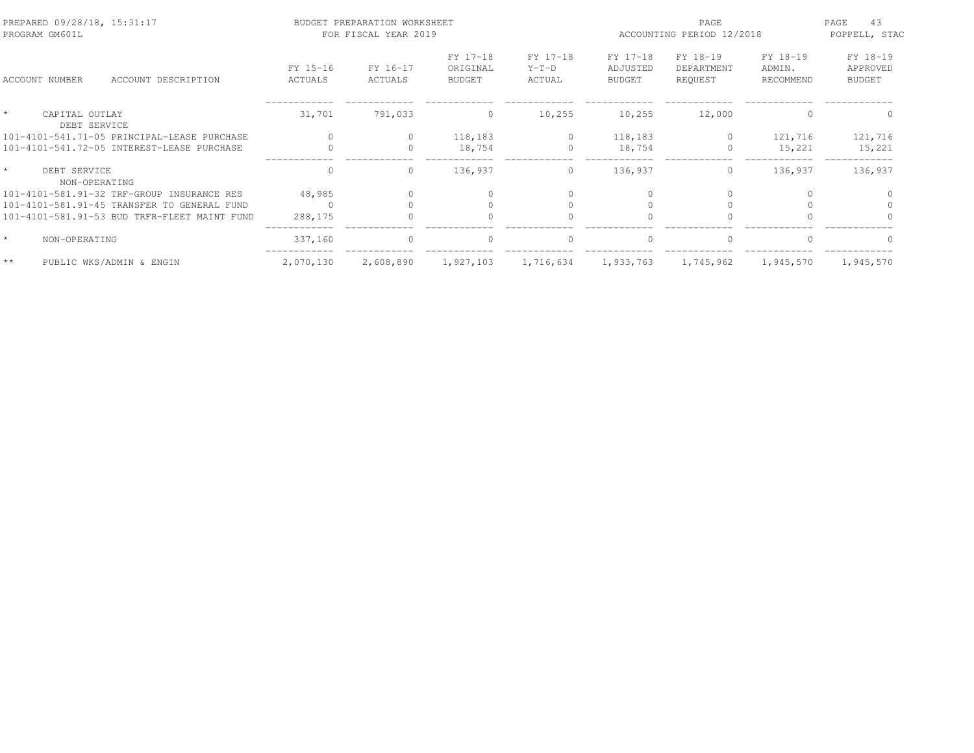| PREPARED 09/28/18, 15:31:17<br>PROGRAM GM601L |                     | BUDGET PREPARATION WORKSHEET<br>FOR FISCAL YEAR 2019 |                                       |                               | PAGE<br>ACCOUNTING PERIOD 12/2018     |                                   |                                 | 43<br>PAGE<br>POPPELL, STAC           |
|-----------------------------------------------|---------------------|------------------------------------------------------|---------------------------------------|-------------------------------|---------------------------------------|-----------------------------------|---------------------------------|---------------------------------------|
| ACCOUNT NUMBER<br>ACCOUNT DESCRIPTION         | FY 15-16<br>ACTUALS | FY 16-17<br>ACTUALS                                  | FY 17-18<br>ORIGINAL<br><b>BUDGET</b> | FY 17-18<br>$Y-T-D$<br>ACTUAL | FY 17-18<br>ADJUSTED<br><b>BUDGET</b> | FY 18-19<br>DEPARTMENT<br>REQUEST | FY 18-19<br>ADMIN.<br>RECOMMEND | FY 18-19<br>APPROVED<br><b>BUDGET</b> |
| CAPITAL OUTLAY<br>DEBT SERVICE                | 31,701              | 791,033                                              | $\Omega$                              | 10,255                        | 10,255                                | 12,000                            | ∩                               |                                       |
| 101-4101-541.71-05 PRINCIPAL-LEASE PURCHASE   | $\Omega$            |                                                      | 118,183                               | $\circ$                       | 118,183                               | $\circ$                           | 121,716                         | 121,716                               |
| 101-4101-541.72-05 INTEREST-LEASE PURCHASE    |                     | $\Omega$                                             | 18,754                                | $\Omega$                      | 18,754                                | 0                                 | 15,221                          | 15,221                                |
| $\star$<br>DEBT SERVICE<br>NON-OPERATING      | $\Omega$            | $\circ$                                              | 136,937                               | $\circ$                       | 136,937                               | $\circ$                           | 136,937                         | 136,937                               |
| 101-4101-581.91-32 TRF-GROUP INSURANCE RES    | 48,985              |                                                      |                                       |                               |                                       |                                   |                                 |                                       |
| 101-4101-581.91-45 TRANSFER TO GENERAL FUND   |                     |                                                      |                                       |                               |                                       |                                   |                                 |                                       |
| 101-4101-581.91-53 BUD TRFR-FLEET MAINT FUND  | 288,175             |                                                      |                                       |                               |                                       |                                   |                                 |                                       |
| $\star$<br>NON-OPERATING                      | 337,160             | $\Omega$                                             | $\Omega$                              | $\Omega$                      | $\bigcap$                             | $\Omega$                          |                                 |                                       |
| $\star\star$<br>PUBLIC WKS/ADMIN & ENGIN      | 2,070,130           | 2,608,890                                            | 1,927,103                             | 1,716,634                     | 1,933,763                             | 1,745,962                         | 1,945,570                       | 1,945,570                             |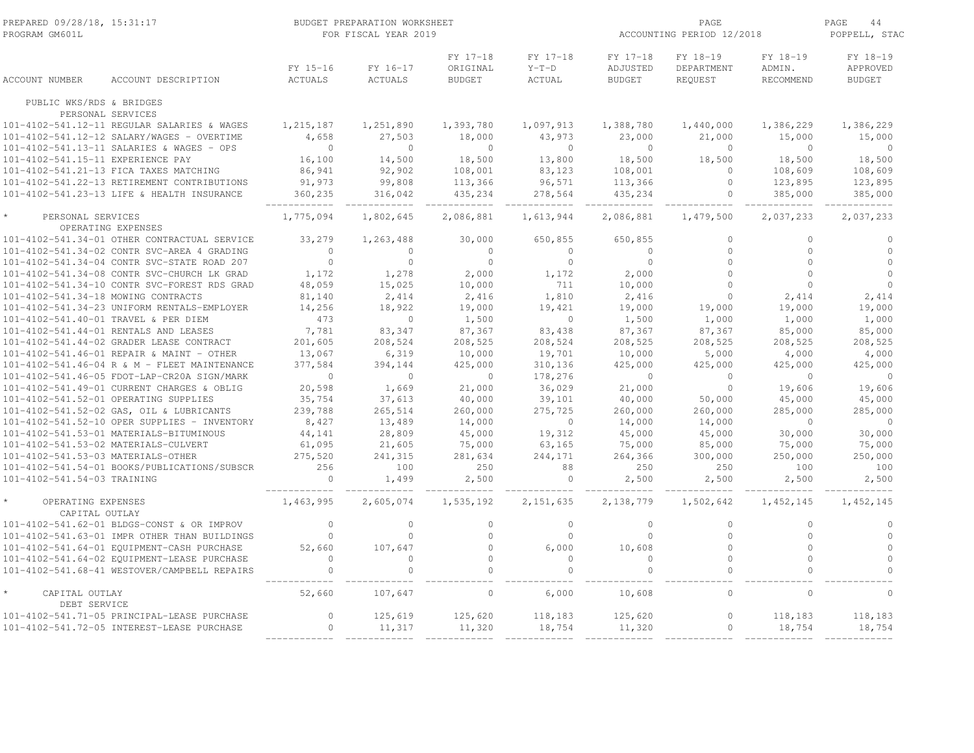| PREPARED 09/28/18, 15:31:17<br>PROGRAM GM601L |                                              |                            | BUDGET PREPARATION WORKSHEET<br>FOR FISCAL YEAR 2019 |                                       | ACCOUNTING PERIOD 12/2018            | PAGE<br>44<br>POPPELL, STAC           |                                   |                                 |                                       |
|-----------------------------------------------|----------------------------------------------|----------------------------|------------------------------------------------------|---------------------------------------|--------------------------------------|---------------------------------------|-----------------------------------|---------------------------------|---------------------------------------|
| ACCOUNT NUMBER                                | ACCOUNT DESCRIPTION                          | FY 15-16<br><b>ACTUALS</b> | FY 16-17<br>ACTUALS                                  | FY 17-18<br>ORIGINAL<br><b>BUDGET</b> | FY 17-18<br>$Y-T-D$<br><b>ACTUAL</b> | FY 17-18<br>ADJUSTED<br><b>BUDGET</b> | FY 18-19<br>DEPARTMENT<br>REQUEST | FY 18-19<br>ADMIN.<br>RECOMMEND | FY 18-19<br>APPROVED<br><b>BUDGET</b> |
|                                               |                                              |                            |                                                      |                                       |                                      |                                       |                                   |                                 |                                       |
| PUBLIC WKS/RDS & BRIDGES                      | PERSONAL SERVICES                            |                            |                                                      |                                       |                                      |                                       |                                   |                                 |                                       |
|                                               | 101-4102-541.12-11 REGULAR SALARIES & WAGES  | 1,215,187                  | 1,251,890                                            | 1,393,780                             | 1,097,913                            | 1,388,780                             | 1,440,000                         | 1,386,229                       | 1,386,229                             |
|                                               | 101-4102-541.12-12 SALARY/WAGES - OVERTIME   | 4,658                      | 27,503                                               | 18,000                                | 43,973                               | 23,000                                | 21,000                            | 15,000                          | 15,000                                |
|                                               | 101-4102-541.13-11 SALARIES & WAGES - OPS    | $\overline{0}$             | $\circ$                                              | $\overline{0}$                        | $\circ$                              | $\overline{0}$                        | $\circ$                           | $\circ$                         | $\circ$                               |
| 101-4102-541.15-11 EXPERIENCE PAY             |                                              | 16,100                     | 14,500                                               | 18,500                                | 13,800                               | 18,500                                | 18,500                            | 18,500                          | 18,500                                |
|                                               | 101-4102-541.21-13 FICA TAXES MATCHING       | 86,941                     | 92,902                                               | 108,001                               | 83,123                               | 108,001                               | $\circ$                           | 108,609                         | 108,609                               |
|                                               | 101-4102-541.22-13 RETIREMENT CONTRIBUTIONS  | 91,973                     | 99,808                                               | 113,366                               | 96,571                               | 113,366                               | $\mathbb O$                       | 123,895                         | 123,895                               |
|                                               | 101-4102-541.23-13 LIFE & HEALTH INSURANCE   | 360,235                    | 316,042                                              | 435,234                               | 278,564                              | 435,234                               | $\mathbf{0}$                      | 385,000                         | 385,000                               |
| PERSONAL SERVICES                             | OPERATING EXPENSES                           | 1,775,094                  | 1,802,645                                            | 2,086,881                             | 1,613,944                            | 2,086,881                             | 1,479,500                         | 2,037,233                       | 2,037,233                             |
|                                               | 101-4102-541.34-01 OTHER CONTRACTUAL SERVICE | 33,279                     | 1,263,488                                            | 30,000                                | 650,855                              | 650,855                               | $\circ$                           | $\circ$                         | $\circ$                               |
|                                               | 101-4102-541.34-02 CONTR SVC-AREA 4 GRADING  | $\Omega$                   | $\Omega$                                             | $\Omega$                              | $\overline{0}$                       | $\Omega$                              | $\circ$                           | $\Omega$                        | $\Omega$                              |
|                                               | 101-4102-541.34-04 CONTR SVC-STATE ROAD 207  | $\circ$                    | $\circ$                                              | $\circ$                               | $\mathbf{0}$                         | $\overline{0}$                        | $\circ$                           | $\circ$                         | $\circ$                               |
|                                               | 101-4102-541.34-08 CONTR SVC-CHURCH LK GRAD  | 1,172                      | 1,278                                                | 2,000                                 | 1,172                                | 2,000                                 | $\Omega$                          | $\Omega$                        | $\Omega$                              |
|                                               | 101-4102-541.34-10 CONTR SVC-FOREST RDS GRAD | 48,059                     | 15,025                                               | 10,000                                | 711                                  | 10,000                                | $\Omega$                          | $\Omega$                        | $\Omega$                              |
| 101-4102-541.34-18 MOWING CONTRACTS           |                                              | 81,140                     | 2,414                                                | 2,416                                 | 1,810                                | 2,416                                 | $\mathbf{0}$                      | 2,414                           | 2,414                                 |
|                                               | 101-4102-541.34-23 UNIFORM RENTALS-EMPLOYER  | 14,256                     | 18,922                                               | 19,000                                | 19,421                               | 19,000                                | 19,000                            | 19,000                          | 19,000                                |
| 101-4102-541.40-01 TRAVEL & PER DIEM          |                                              | 473                        | $\circ$                                              | 1,500                                 | $\overline{0}$                       | 1,500                                 | 1,000                             | 1,000                           | 1,000                                 |
|                                               | 101-4102-541.44-01 RENTALS AND LEASES        | 7,781                      | 83,347                                               | 87,367                                | 83,438                               | 87,367                                | 87,367                            | 85,000                          | 85,000                                |
|                                               | 101-4102-541.44-02 GRADER LEASE CONTRACT     | 201,605                    | 208,524                                              | 208,525                               | 208,524                              | 208,525                               | 208,525                           | 208,525                         | 208,525                               |
|                                               | 101-4102-541.46-01 REPAIR & MAINT - OTHER    | 13,067                     | 6,319                                                | 10,000                                | 19,701                               | 10,000                                | 5,000                             | 4,000                           | 4,000                                 |
|                                               | 101-4102-541.46-04 R & M - FLEET MAINTENANCE | 377,584                    | 394,144                                              | 425,000                               | 310,136                              | 425,000                               | 425,000                           | 425,000                         | 425,000                               |
|                                               | 101-4102-541.46-05 FDOT-LAP-CR20A SIGN/MARK  | $\mathbf{0}$               | $\circ$                                              | $\circ$                               | 178,276                              | $\overline{0}$                        | $\circ$                           | $\circ$                         | $\circ$                               |
|                                               | 101-4102-541.49-01 CURRENT CHARGES & OBLIG   | 20,598                     | 1,669                                                | 21,000                                | 36,029                               | 21,000                                | $\mathbf{0}$                      | 19,606                          | 19,606                                |
|                                               | 101-4102-541.52-01 OPERATING SUPPLIES        | 35,754                     | 37,613                                               | 40,000                                | 39,101                               | 40,000                                | 50,000                            | 45,000                          | 45,000                                |
|                                               | 101-4102-541.52-02 GAS, OIL & LUBRICANTS     | 239,788                    | 265,514                                              | 260,000                               | 275,725                              | 260,000                               | 260,000                           | 285,000                         | 285,000                               |
|                                               | 101-4102-541.52-10 OPER SUPPLIES - INVENTORY | 8,427                      | 13,489                                               | 14,000                                | $\overline{0}$                       | 14,000                                | 14,000                            | $\circ$                         | $\overline{0}$                        |
|                                               | 101-4102-541.53-01 MATERIALS-BITUMINOUS      | 44,141                     | 28,809                                               | 45,000                                | 19,312                               | 45,000                                | 45,000                            | 30,000                          | 30,000                                |
| 101-4102-541.53-02 MATERIALS-CULVERT          |                                              | 61,095                     | 21,605                                               | 75,000                                | 63,165                               | 75,000                                | 85,000                            | 75,000                          | 75,000                                |
| 101-4102-541.53-03 MATERIALS-OTHER            |                                              | 275,520                    | 241,315                                              | 281,634                               | 244,171                              | 264,366                               | 300,000                           | 250,000                         | 250,000                               |
|                                               | 101-4102-541.54-01 BOOKS/PUBLICATIONS/SUBSCR | 256                        | 100                                                  | 250                                   | 88                                   | 250                                   | 250                               | 100                             | 100                                   |
| 101-4102-541.54-03 TRAINING                   |                                              | $\overline{0}$             | 1,499                                                | 2,500                                 | $\circ$                              | 2,500                                 | 2,500                             | 2,500                           | 2,500                                 |
| OPERATING EXPENSES<br>CAPITAL OUTLAY          |                                              | 1,463,995                  | 2,605,074                                            | 1,535,192                             | 2, 151, 635                          | 2,138,779                             | 1,502,642                         | 1,452,145                       | 1,452,145                             |
|                                               | 101-4102-541.62-01 BLDGS-CONST & OR IMPROV   | $\mathbf{0}$               | $\circ$                                              | $\circ$                               | $\mathbf{0}$                         | $\circ$                               | $\mathbf{0}$                      | $\circ$                         | $\circ$                               |
|                                               | 101-4102-541.63-01 IMPR OTHER THAN BUILDINGS | $\mathbf{0}$               | $\circ$                                              | $\circ$                               | $\overline{0}$                       | $\mathbf{0}$                          | $\circ$                           | $\circ$                         | $\circ$                               |
|                                               | 101-4102-541.64-01 EQUIPMENT-CASH PURCHASE   | 52,660                     | 107,647                                              | $\circ$                               | 6,000                                | 10,608                                | $\circ$                           | $\circ$                         | $\circ$                               |
|                                               | 101-4102-541.64-02 EQUIPMENT-LEASE PURCHASE  | $\Omega$                   | $\Omega$                                             | $\Omega$                              | $\Omega$                             | $\Omega$                              | $\Omega$                          | $\Omega$                        | $\Omega$                              |
|                                               | 101-4102-541.68-41 WESTOVER/CAMPBELL REPAIRS | $\mathbf{0}$               |                                                      | $\circ$                               | $\mathbf 0$                          | $\Omega$                              | $\circ$                           | $\circ$                         | $\cap$                                |
| CAPITAL OUTLAY<br>DEBT SERVICE                |                                              | 52,660                     | 107,647                                              | $\Omega$                              | 6,000                                | 10,608                                | $\Omega$                          | $\Omega$                        | $\Omega$                              |
|                                               | 101-4102-541.71-05 PRINCIPAL-LEASE PURCHASE  | $\circ$                    | 125,619                                              | 125,620                               | 118,183                              | 125,620                               | $\mathbb O$                       | 118,183                         | 118,183                               |
|                                               | 101-4102-541.72-05 INTEREST-LEASE PURCHASE   | $\circ$                    | 11,317                                               | 11,320                                | 18,754                               | 11,320                                | $\circ$                           | 18,754                          | 18,754                                |
|                                               |                                              |                            |                                                      |                                       |                                      |                                       |                                   |                                 |                                       |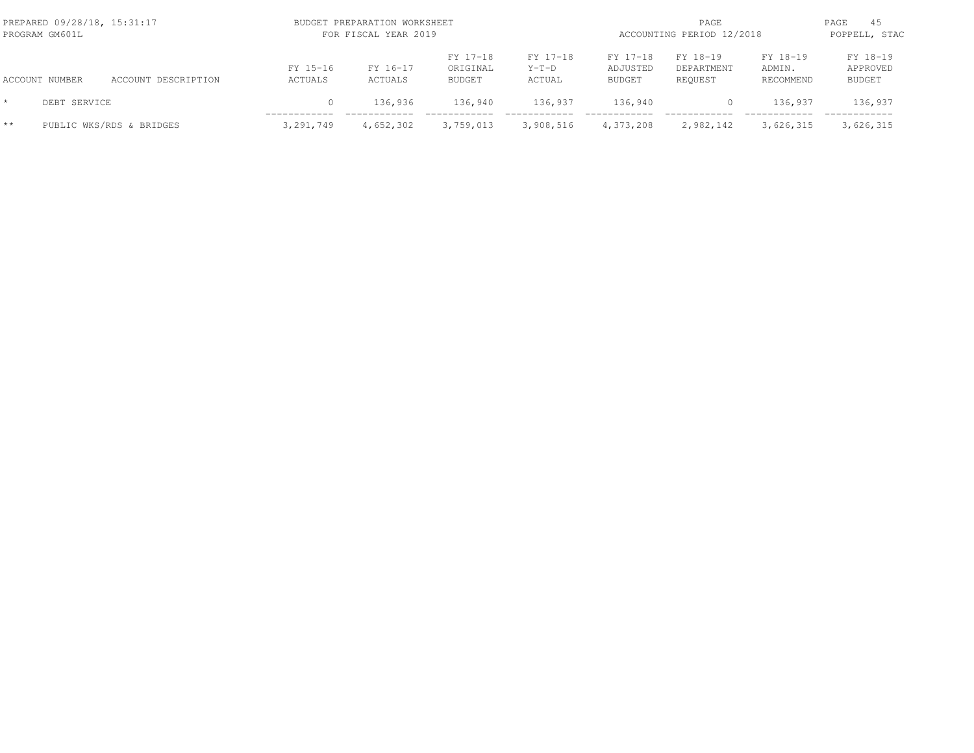| PREPARED 09/28/18, 15:31:17<br>PROGRAM GM601L |                |                          |                     | BUDGET PREPARATION WORKSHEET<br>FOR FISCAL YEAR 2019 |                                       |                               |                                       |                                   | PAGE<br>ACCOUNTING PERIOD 12/2018 |                                       |  |
|-----------------------------------------------|----------------|--------------------------|---------------------|------------------------------------------------------|---------------------------------------|-------------------------------|---------------------------------------|-----------------------------------|-----------------------------------|---------------------------------------|--|
|                                               | ACCOUNT NUMBER | ACCOUNT DESCRIPTION      | FY 15-16<br>ACTUALS | FY 16-17<br>ACTUALS                                  | FY 17-18<br>ORIGINAL<br><b>BUDGET</b> | FY 17-18<br>$Y-T-D$<br>ACTUAL | FY 17-18<br>ADJUSTED<br><b>BUDGET</b> | FY 18-19<br>DEPARTMENT<br>REOUEST | FY 18-19<br>ADMIN.<br>RECOMMEND   | FY 18-19<br>APPROVED<br><b>BUDGET</b> |  |
|                                               | DEBT SERVICE   |                          | $\Omega$            | 136,936                                              | 136,940                               | 136,937                       | 136,940                               | 0                                 | 136,937                           | 136,937                               |  |
| $**$                                          |                | PUBLIC WKS/RDS & BRIDGES | 3,291,749           | 4,652,302                                            | 3,759,013                             | 3,908,516                     | 4,373,208                             | 2,982,142                         | 3,626,315                         | 3,626,315                             |  |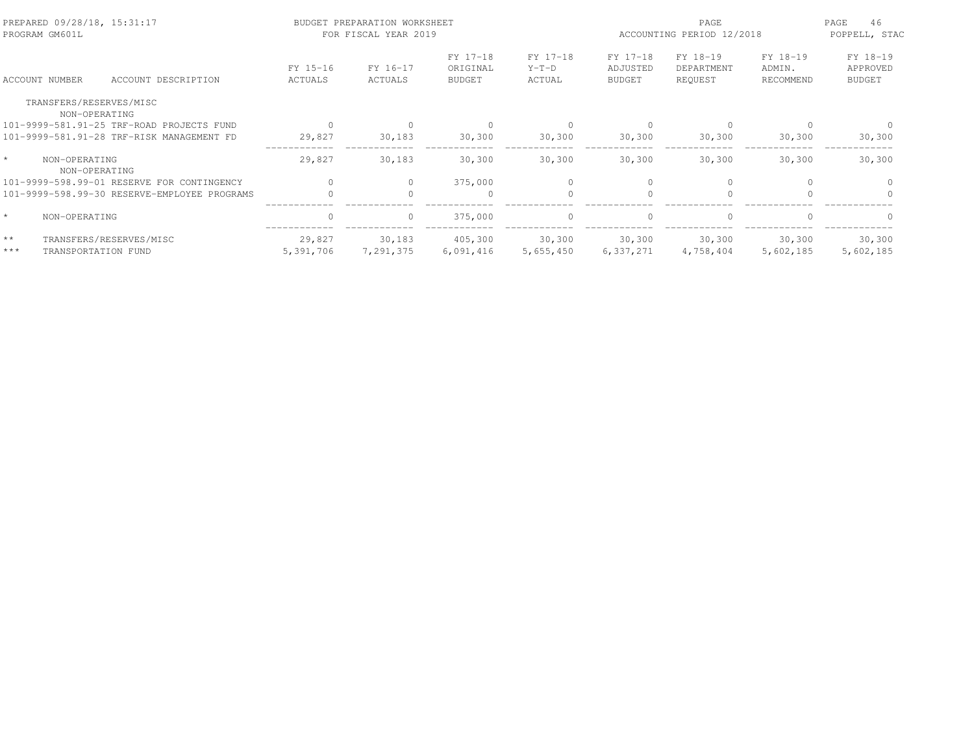| PREPARED 09/28/18, 15:31:17<br>PROGRAM GM601L |                                              |                     | BUDGET PREPARATION WORKSHEET<br>FOR FISCAL YEAR 2019 |                                       |                               | PAGE<br>ACCOUNTING PERIOD 12/2018     |                                   |                                 | PAGE<br>46<br>POPPELL, STAC           |
|-----------------------------------------------|----------------------------------------------|---------------------|------------------------------------------------------|---------------------------------------|-------------------------------|---------------------------------------|-----------------------------------|---------------------------------|---------------------------------------|
| ACCOUNT NUMBER                                | ACCOUNT DESCRIPTION                          | FY 15-16<br>ACTUALS | FY 16-17<br>ACTUALS                                  | FY 17-18<br>ORIGINAL<br><b>BUDGET</b> | FY 17-18<br>$Y-T-D$<br>ACTUAL | FY 17-18<br>ADJUSTED<br><b>BUDGET</b> | FY 18-19<br>DEPARTMENT<br>REQUEST | FY 18-19<br>ADMIN.<br>RECOMMEND | FY 18-19<br>APPROVED<br><b>BUDGET</b> |
| TRANSFERS/RESERVES/MISC                       |                                              |                     |                                                      |                                       |                               |                                       |                                   |                                 |                                       |
| NON-OPERATING                                 |                                              |                     |                                                      |                                       |                               |                                       |                                   |                                 |                                       |
|                                               | 101-9999-581.91-25 TRF-ROAD PROJECTS FUND    |                     |                                                      |                                       |                               |                                       | $\Omega$                          |                                 |                                       |
|                                               | 101-9999-581.91-28 TRF-RISK MANAGEMENT FD    | 29,827              | 30,183                                               | 30,300                                | 30,300                        | 30,300                                | 30,300                            | 30,300                          | 30, 300                               |
| $\star$<br>NON-OPERATING<br>NON-OPERATING     |                                              | 29,827              | 30,183                                               | 30,300                                | 30,300                        | 30,300                                | 30,300                            | 30,300                          | 30,300                                |
|                                               | 101-9999-598.99-01 RESERVE FOR CONTINGENCY   |                     |                                                      | 375,000                               |                               |                                       | $\Omega$                          |                                 |                                       |
|                                               | 101-9999-598.99-30 RESERVE-EMPLOYEE PROGRAMS |                     |                                                      | $\Omega$                              |                               | $\cap$                                | $\Omega$                          |                                 |                                       |
| $\star$<br>NON-OPERATING                      |                                              |                     | $\circ$                                              | 375,000                               | $\circ$                       | $\Omega$                              | $\mathbf{0}$                      | $\Omega$                        | $\Omega$                              |
| $* *$                                         | TRANSFERS/RESERVES/MISC                      | 29,827              | 30,183                                               | 405,300                               | 30,300                        | 30,300                                | 30,300                            | 30,300                          | 30,300                                |
| $***$                                         | TRANSPORTATION FUND                          | 5,391,706           | 7,291,375                                            | 6,091,416                             | 5,655,450                     | 6,337,271                             | 4,758,404                         | 5,602,185                       | 5,602,185                             |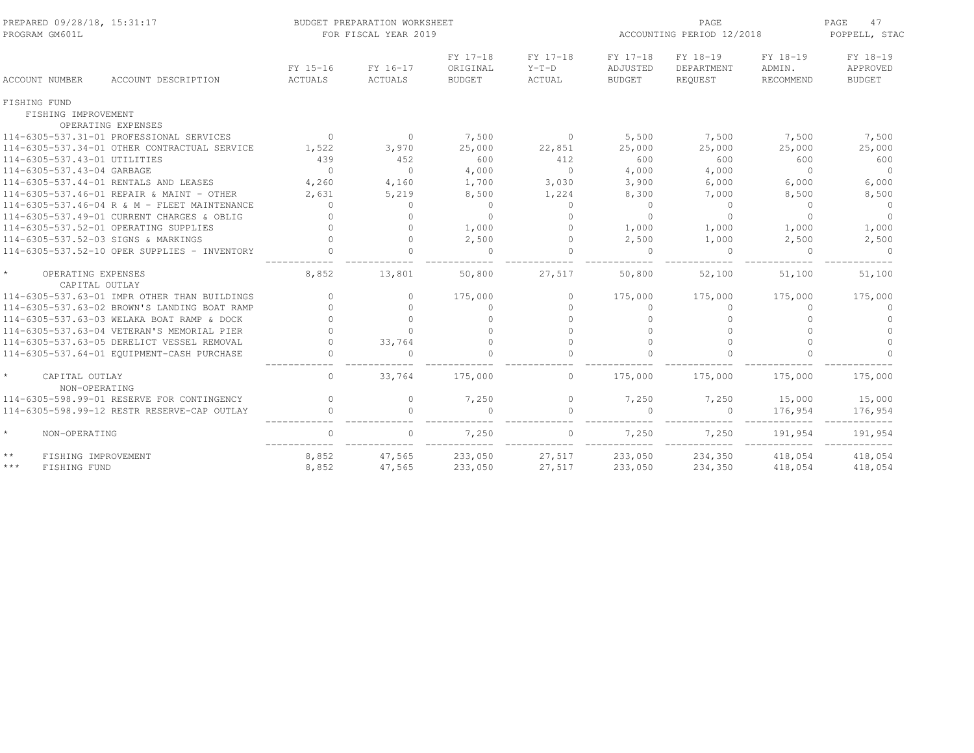| PREPARED 09/28/18, 15:31:17<br>PROGRAM GM601L   |                                              |                     | BUDGET PREPARATION WORKSHEET<br>FOR FISCAL YEAR 2019 |                                       | ACCOUNTING PERIOD 12/2018     | PAGE<br>47<br>POPPELL, STAC           |                                   |                                 |                                       |
|-------------------------------------------------|----------------------------------------------|---------------------|------------------------------------------------------|---------------------------------------|-------------------------------|---------------------------------------|-----------------------------------|---------------------------------|---------------------------------------|
| <b>ACCOUNT NUMBER</b>                           | ACCOUNT DESCRIPTION                          | FY 15-16<br>ACTUALS | FY 16-17<br>ACTUALS                                  | FY 17-18<br>ORIGINAL<br><b>BUDGET</b> | FY 17-18<br>$Y-T-D$<br>ACTUAL | FY 17-18<br>ADJUSTED<br><b>BUDGET</b> | FY 18-19<br>DEPARTMENT<br>REOUEST | FY 18-19<br>ADMIN.<br>RECOMMEND | FY 18-19<br>APPROVED<br><b>BUDGET</b> |
| FISHING FUND                                    |                                              |                     |                                                      |                                       |                               |                                       |                                   |                                 |                                       |
| FISHING IMPROVEMENT                             |                                              |                     |                                                      |                                       |                               |                                       |                                   |                                 |                                       |
|                                                 | OPERATING EXPENSES                           |                     |                                                      |                                       |                               |                                       |                                   |                                 |                                       |
|                                                 | 114-6305-537.31-01 PROFESSIONAL SERVICES     | $\bigcirc$          | $\circ$                                              | 7,500                                 | $\circ$                       | 5,500                                 | 7,500                             | 7,500                           | 7,500                                 |
|                                                 | 114-6305-537.34-01 OTHER CONTRACTUAL SERVICE | 1,522               | 3,970                                                | 25,000                                | 22,851                        | 25,000                                | 25,000                            | 25,000                          | 25,000                                |
| 114-6305-537.43-01 UTILITIES                    |                                              | 439                 | 452                                                  | 600                                   | 412                           | 600                                   | 600                               | 600                             | 600                                   |
| 114-6305-537.43-04 GARBAGE                      |                                              | $\bigcap$           | $\cap$                                               | 4,000                                 | $\Omega$                      | 4,000                                 | 4,000                             | $\Omega$                        | $\Omega$                              |
|                                                 | 114-6305-537.44-01 RENTALS AND LEASES        | 4,260               | 4,160                                                | 1,700                                 | 3,030                         | 3,900                                 | 6,000                             | 6,000                           | 6,000                                 |
|                                                 | 114-6305-537.46-01 REPAIR & MAINT - OTHER    | 2,631               | 5,219                                                | 8,500                                 | 1,224                         | 8,300                                 | 7,000                             | 8,500                           | 8,500                                 |
|                                                 | 114-6305-537.46-04 R & M - FLEET MAINTENANCE | $\mathbf{0}$        | $\circ$                                              | $\circ$                               | $\circ$                       | $\circ$                               | $\circ$                           | $\circ$                         | $\overline{0}$                        |
|                                                 | 114-6305-537.49-01 CURRENT CHARGES & OBLIG   |                     | $\Omega$                                             | $\Omega$                              | $\Omega$                      | $\Omega$                              | $\Omega$                          | $\Omega$                        | $\Omega$                              |
|                                                 | 114-6305-537.52-01 OPERATING SUPPLIES        |                     | $\Omega$                                             | 1,000                                 | $\Omega$                      | 1,000                                 | 1,000                             | 1,000                           | 1,000                                 |
| 114-6305-537.52-03 SIGNS & MARKINGS             |                                              |                     | $\Omega$                                             | 2,500                                 | $\Omega$                      | 2,500                                 | 1,000                             | 2,500                           | 2,500                                 |
|                                                 | 114-6305-537.52-10 OPER SUPPLIES - INVENTORY |                     |                                                      | $\mathbf{0}$                          | $\Omega$                      | $\Omega$                              | $\mathbf{0}$                      | $\Omega$                        | $\Omega$                              |
| $\star$<br>OPERATING EXPENSES<br>CAPITAL OUTLAY |                                              | 8,852               | 13,801                                               | 50,800                                | 27,517                        | 50,800                                | 52,100                            | 51,100                          | 51,100                                |
|                                                 | 114-6305-537.63-01 IMPR OTHER THAN BUILDINGS | $\Omega$            | $\Omega$                                             | 175,000                               | $\circ$                       | 175,000                               | 175,000                           | 175,000                         | 175,000                               |
|                                                 | 114-6305-537.63-02 BROWN'S LANDING BOAT RAMP |                     | $\Omega$                                             | $\Omega$                              | $\Omega$                      | $\Omega$                              | $\Omega$                          | $\Omega$                        | $\Omega$                              |
|                                                 | 114-6305-537.63-03 WELAKA BOAT RAMP & DOCK   |                     | $\cap$                                               | $\cap$                                | $\Omega$                      |                                       |                                   | $\Omega$                        | $\Omega$                              |
|                                                 | 114-6305-537.63-04 VETERAN'S MEMORIAL PIER   |                     | $\cap$                                               |                                       | $\Omega$                      | $\cap$                                |                                   | $\cap$                          | $\cap$                                |
|                                                 | 114-6305-537.63-05 DERELICT VESSEL REMOVAL   | $\cap$              | 33,764                                               | $\mathbf{0}$                          | $\Omega$                      | $\Omega$                              | $\Omega$                          | $\Omega$                        | $\Omega$                              |
|                                                 | 114-6305-537.64-01 EQUIPMENT-CASH PURCHASE   |                     |                                                      | $\cap$                                |                               |                                       |                                   |                                 |                                       |
| $\star$<br>CAPITAL OUTLAY<br>NON-OPERATING      |                                              | $\Omega$            | 33,764                                               | 175,000                               | $\Omega$                      | 175,000                               | 175,000                           | 175,000                         | 175,000                               |
|                                                 | 114-6305-598.99-01 RESERVE FOR CONTINGENCY   | $\Omega$            | 0                                                    | 7,250                                 | $\circ$                       | 7,250                                 | 7,250                             | 15,000                          | 15,000                                |
|                                                 | 114-6305-598.99-12 RESTR RESERVE-CAP OUTLAY  | $\Omega$            | $\cap$                                               | $\Omega$                              | $\Omega$                      | $\Omega$                              | $\Omega$                          | 176,954                         | 176,954                               |
| $\star$<br>NON-OPERATING                        |                                              | $\mathbf{0}$        | $\Omega$                                             | 7,250                                 | $\circ$                       | 7,250                                 | 7,250                             | 191,954                         | 191,954                               |
| $\star\star$<br>FISHING IMPROVEMENT             |                                              | 8,852               | 47,565                                               | 233,050                               | 27,517                        | 233,050                               | 234,350                           | 418,054                         | 418,054                               |
| $***$<br>FISHING FUND                           |                                              | 8,852               | 47,565                                               | 233,050                               | 27,517                        | 233,050                               | 234,350                           | 418,054                         | 418,054                               |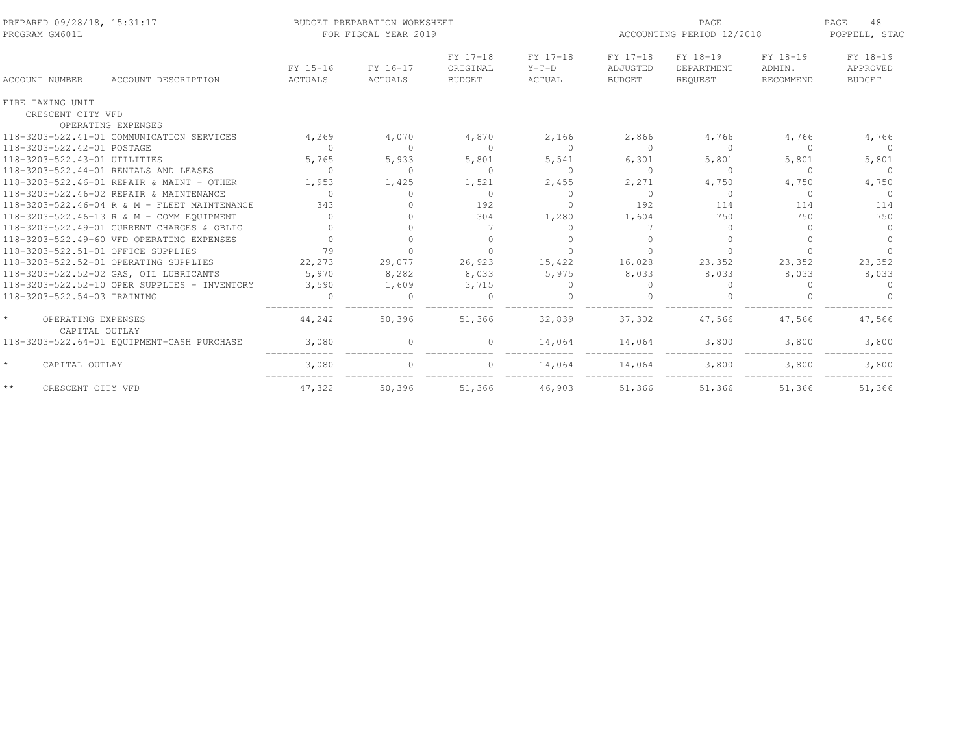| PREPARED 09/28/18, 15:31:17<br>PROGRAM GM601L |                     | BUDGET PREPARATION WORKSHEET<br>FOR FISCAL YEAR 2019 |                                       |                               | PAGE<br>ACCOUNTING PERIOD 12/2018     |                                   |                                 | 48<br>PAGE<br>POPPELL, STAC           |  |
|-----------------------------------------------|---------------------|------------------------------------------------------|---------------------------------------|-------------------------------|---------------------------------------|-----------------------------------|---------------------------------|---------------------------------------|--|
| <b>ACCOUNT NUMBER</b><br>ACCOUNT DESCRIPTION  | FY 15-16<br>ACTUALS | FY 16-17<br>ACTUALS                                  | FY 17-18<br>ORIGINAL<br><b>BUDGET</b> | FY 17-18<br>$Y-T-D$<br>ACTUAL | FY 17-18<br>ADJUSTED<br><b>BUDGET</b> | FY 18-19<br>DEPARTMENT<br>REOUEST | FY 18-19<br>ADMIN.<br>RECOMMEND | FY 18-19<br>APPROVED<br><b>BUDGET</b> |  |
| FIRE TAXING UNIT                              |                     |                                                      |                                       |                               |                                       |                                   |                                 |                                       |  |
| CRESCENT CITY VFD                             |                     |                                                      |                                       |                               |                                       |                                   |                                 |                                       |  |
| OPERATING EXPENSES                            |                     |                                                      |                                       |                               |                                       |                                   |                                 |                                       |  |
| 118-3203-522.41-01 COMMUNICATION SERVICES     | 4,269               | 4,070                                                | 4,870                                 | 2,166                         | 2,866                                 | 4,766                             | 4,766                           | 4,766                                 |  |
| 118-3203-522.42-01 POSTAGE                    | $\bigcap$           | $\Omega$                                             | $\Omega$                              | $\bigcap$                     | $\Omega$                              | $\Omega$                          | $\cap$                          | $\Omega$                              |  |
| 118-3203-522.43-01 UTILITIES                  | 5,765               | 5,933                                                | 5,801                                 | 5,541                         | 6,301                                 | 5,801                             | 5,801                           | 5,801                                 |  |
| 118-3203-522.44-01 RENTALS AND LEASES         | $\Omega$            | $\Omega$                                             | $\Omega$                              | $\bigcap$                     | $\Omega$                              | $\circ$                           | $\Omega$                        | $\Omega$                              |  |
| 118-3203-522.46-01 REPAIR & MAINT - OTHER     | 1,953               | 1,425                                                | 1,521                                 | 2,455                         | 2,271                                 | 4,750                             | 4,750                           | 4,750                                 |  |
| 118-3203-522.46-02 REPAIR & MAINTENANCE       | $\Omega$            | $\bigcap$                                            | $\Omega$                              | $\bigcap$                     | $\cap$                                | $\Omega$                          | $\Omega$                        | $\Omega$                              |  |
| 118-3203-522.46-04 R & M - FLEET MAINTENANCE  | 343                 |                                                      | 192                                   | $\bigcap$                     | 192                                   | 114                               | 114                             | 114                                   |  |
| 118-3203-522.46-13 R & M - COMM EQUIPMENT     | $\bigcap$           | $\cap$                                               | 304                                   | 1,280                         | 1,604                                 | 750                               | 750                             | 750                                   |  |
| 118-3203-522.49-01 CURRENT CHARGES & OBLIG    |                     | $\Omega$                                             | 7                                     | $\Omega$                      |                                       | $\Omega$                          |                                 | $\Omega$                              |  |
| 118-3203-522.49-60 VFD OPERATING EXPENSES     | $\cap$              | $\Omega$                                             | $\Omega$                              |                               | $\bigcap$                             | $\Omega$                          |                                 |                                       |  |
| 118-3203-522.51-01 OFFICE SUPPLIES            | 79                  |                                                      |                                       |                               |                                       | $\Omega$                          |                                 |                                       |  |
| 118-3203-522.52-01 OPERATING SUPPLIES         | 22,273              | 29,077                                               | 26,923                                | 15,422                        | 16,028                                | 23,352                            | 23,352                          | 23,352                                |  |
| 118-3203-522.52-02 GAS, OIL LUBRICANTS        | 5,970               | 8,282                                                | 8,033                                 | 5,975                         | 8,033                                 | 8,033                             | 8,033                           | 8,033                                 |  |
| 118-3203-522.52-10 OPER SUPPLIES - INVENTORY  | 3,590               | 1,609                                                | 3,715                                 |                               | $\bigcap$                             | $\Omega$                          |                                 | $\Omega$                              |  |
| 118-3203-522.54-03 TRAINING                   |                     | $\Omega$                                             | $\Omega$                              |                               |                                       |                                   |                                 |                                       |  |
| OPERATING EXPENSES<br>CAPITAL OUTLAY          | 44,242              | 50,396                                               | 51,366                                | 32,839                        | 37,302                                | 47,566                            | 47,566                          | 47,566                                |  |
| 118-3203-522.64-01 EQUIPMENT-CASH PURCHASE    | 3,080               | $\circ$                                              | 0                                     | 14,064                        | 14,064                                | 3,800                             | 3,800                           | 3,800                                 |  |
| $\star$<br>CAPITAL OUTLAY                     | 3,080               | $\Omega$                                             | $\Omega$                              | 14,064                        | 14,064                                | 3,800                             | 3,800                           | 3,800                                 |  |
| $\star\,\star$<br>CRESCENT CITY VFD           | 47,322              | 50,396                                               | 51,366                                | 46,903                        | 51,366                                | 51,366                            | 51,366                          | 51,366                                |  |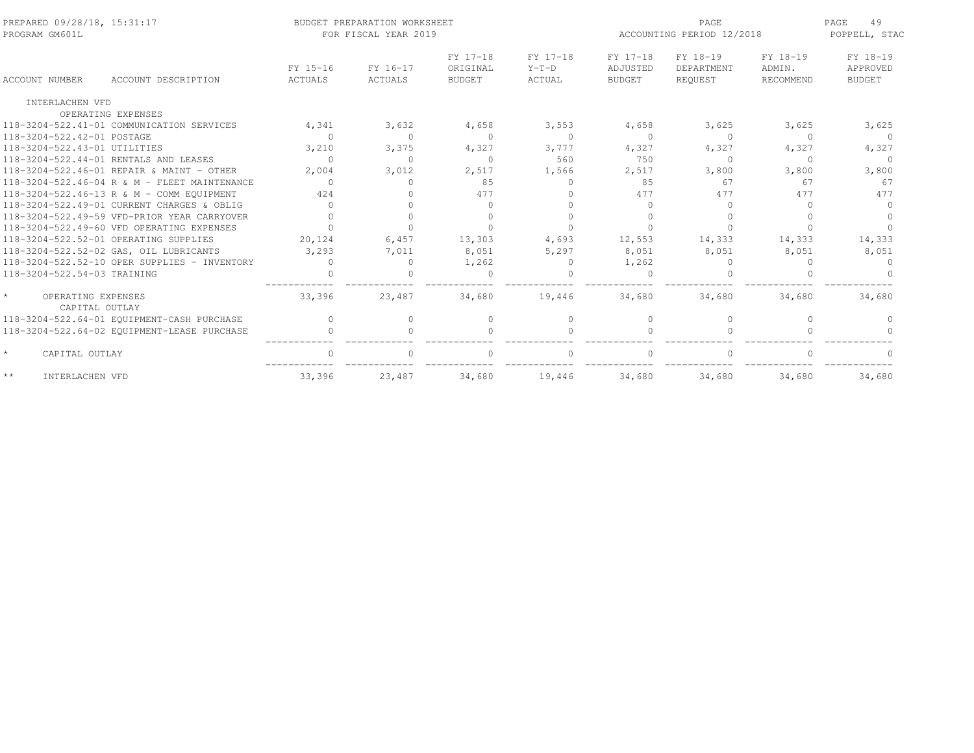| PREPARED 09/28/18, 15:31:17<br>PROGRAM GM601L   |                                              |                            | BUDGET PREPARATION WORKSHEET<br>FOR FISCAL YEAR 2019 |                                       | PAGE<br>ACCOUNTING PERIOD 12/2018 |                                       |                                          | PAGE<br>49<br>POPPELL, STAC     |                                       |
|-------------------------------------------------|----------------------------------------------|----------------------------|------------------------------------------------------|---------------------------------------|-----------------------------------|---------------------------------------|------------------------------------------|---------------------------------|---------------------------------------|
| ACCOUNT NUMBER                                  | ACCOUNT DESCRIPTION                          | FY 15-16<br><b>ACTUALS</b> | FY 16-17<br><b>ACTUALS</b>                           | FY 17-18<br>ORIGINAL<br><b>BUDGET</b> | FY 17-18<br>$Y-T-D$<br>ACTUAL     | FY 17-18<br>ADJUSTED<br><b>BUDGET</b> | FY 18-19<br>DEPARTMENT<br><b>REOUEST</b> | FY 18-19<br>ADMIN.<br>RECOMMEND | FY 18-19<br>APPROVED<br><b>BUDGET</b> |
|                                                 |                                              |                            |                                                      |                                       |                                   |                                       |                                          |                                 |                                       |
| INTERLACHEN VFD                                 |                                              |                            |                                                      |                                       |                                   |                                       |                                          |                                 |                                       |
| OPERATING EXPENSES                              |                                              |                            |                                                      |                                       |                                   |                                       |                                          |                                 |                                       |
| 118-3204-522.41-01 COMMUNICATION SERVICES       |                                              | 4,341                      | 3,632                                                | 4,658                                 | 3,553                             | 4,658                                 | 3,625                                    | 3,625                           | 3,625                                 |
| 118-3204-522.42-01 POSTAGE                      |                                              | $\circ$                    | $\Omega$                                             | $\Omega$                              | $\circ$                           | $\bigcap$                             | $\Omega$                                 | $\Omega$                        | $\Omega$                              |
| 118-3204-522.43-01 UTILITIES                    |                                              | 3,210                      | 3,375                                                | 4,327                                 | 3,777                             | 4,327                                 | 4,327                                    | 4,327                           | 4,327                                 |
| 118-3204-522.44-01 RENTALS AND LEASES           |                                              | $\cap$                     | $\Omega$                                             | $\Omega$                              | 560                               | 750                                   | $\Omega$                                 | $\Omega$                        | $\Omega$                              |
| 118-3204-522.46-01 REPAIR & MAINT - OTHER       |                                              | 2,004                      | 3,012                                                | 2,517                                 | 1,566                             | 2,517                                 | 3,800                                    | 3,800                           | 3,800                                 |
|                                                 | 118-3204-522.46-04 R & M - FLEET MAINTENANCE | $\Omega$                   | $\cap$                                               | 85                                    | $\Omega$                          | 85                                    | 67                                       | 67                              | 67                                    |
| 118-3204-522.46-13 R & M - COMM EQUIPMENT       |                                              | 424                        | $\cap$                                               | 477                                   | $\cap$                            | 477                                   | 477                                      | 477                             | 477                                   |
| 118-3204-522.49-01 CURRENT CHARGES & OBLIG      |                                              |                            |                                                      |                                       |                                   |                                       | $\Omega$                                 | $\cap$                          |                                       |
| 118-3204-522.49-59 VFD-PRIOR YEAR CARRYOVER     |                                              |                            |                                                      |                                       | $\Omega$                          |                                       |                                          |                                 |                                       |
| 118-3204-522.49-60 VFD OPERATING EXPENSES       |                                              |                            | $\cap$                                               | $\cap$                                | $\Omega$                          |                                       | $\cap$                                   | $\cap$                          |                                       |
| 118-3204-522.52-01 OPERATING SUPPLIES           |                                              | 20,124                     | 6.457                                                | 13,303                                | 4.693                             | 12,553                                | 14,333                                   | 14,333                          | 14,333                                |
| 118-3204-522.52-02 GAS, OIL LUBRICANTS          |                                              | 3,293                      | 7,011                                                | 8,051                                 | 5,297                             | 8,051                                 | 8,051                                    | 8,051                           | 8,051                                 |
|                                                 | 118-3204-522.52-10 OPER SUPPLIES - INVENTORY | $\cap$                     | $\Omega$                                             | 1,262                                 | $\Omega$                          | 1,262                                 | $\Omega$                                 | ∩                               | $\Omega$                              |
| 118-3204-522.54-03 TRAINING                     |                                              |                            |                                                      | $\Omega$                              |                                   |                                       |                                          |                                 |                                       |
| $\star$<br>OPERATING EXPENSES<br>CAPITAL OUTLAY |                                              | 33,396                     | 23,487                                               | 34,680                                | 19,446                            | 34,680                                | 34,680                                   | 34,680                          | 34,680                                |
| 118-3204-522.64-01 EQUIPMENT-CASH PURCHASE      |                                              | $\bigcap$                  | $\Omega$                                             | $\Omega$                              | $\Omega$                          | $\bigcap$                             | $\Omega$                                 | $\Omega$                        |                                       |
| 118-3204-522.64-02 EQUIPMENT-LEASE PURCHASE     |                                              | $\Omega$                   | $\bigcap$                                            |                                       | $\Omega$                          |                                       | $\Omega$                                 |                                 |                                       |
| $\star$<br>CAPITAL OUTLAY                       |                                              | $\cap$                     | $\cap$                                               |                                       | $\bigcap$                         |                                       | $\cap$                                   |                                 |                                       |
| $\star\,\star$<br>INTERLACHEN VFD               |                                              | 33,396                     | 23,487                                               | 34,680                                | 19,446                            | 34,680                                | 34,680                                   | 34,680                          | 34,680                                |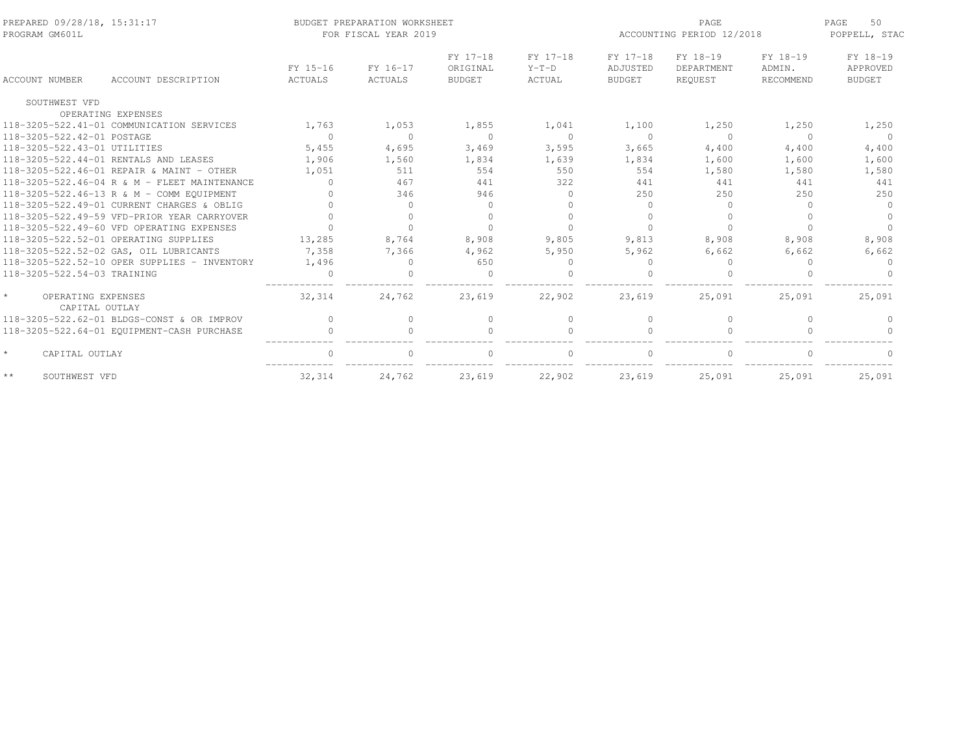| PREPARED 09/28/18, 15:31:17<br>PROGRAM GM601L |                                              |                     | BUDGET PREPARATION WORKSHEET<br>FOR FISCAL YEAR 2019 |                                       |                               | <b>PAGE</b><br>ACCOUNTING PERIOD 12/2018 |                                   |                                 | 50<br>PAGE<br>POPPELL, STAC           |
|-----------------------------------------------|----------------------------------------------|---------------------|------------------------------------------------------|---------------------------------------|-------------------------------|------------------------------------------|-----------------------------------|---------------------------------|---------------------------------------|
| ACCOUNT NUMBER                                | ACCOUNT DESCRIPTION                          | FY 15-16<br>ACTUALS | FY 16-17<br>ACTUALS                                  | FY 17-18<br>ORIGINAL<br><b>BUDGET</b> | FY 17-18<br>$Y-T-D$<br>ACTUAL | FY 17-18<br>ADJUSTED<br><b>BUDGET</b>    | FY 18-19<br>DEPARTMENT<br>REOUEST | FY 18-19<br>ADMIN.<br>RECOMMEND | FY 18-19<br>APPROVED<br><b>BUDGET</b> |
|                                               |                                              |                     |                                                      |                                       |                               |                                          |                                   |                                 |                                       |
| SOUTHWEST VFD                                 |                                              |                     |                                                      |                                       |                               |                                          |                                   |                                 |                                       |
|                                               | OPERATING EXPENSES                           |                     |                                                      |                                       |                               |                                          |                                   |                                 |                                       |
|                                               | 118-3205-522.41-01 COMMUNICATION SERVICES    | 1,763               | 1,053                                                | 1,855                                 | 1,041                         | 1,100                                    | 1,250                             | 1,250                           | 1,250                                 |
| 118-3205-522.42-01 POSTAGE                    |                                              | $\mathbf{0}$        | $\Omega$                                             | $\Omega$                              | $\circ$                       | $\Omega$                                 | $\Omega$                          | $\Omega$                        | $\Omega$                              |
| 118-3205-522.43-01 UTILITIES                  |                                              | 5,455               | 4,695                                                | 3,469                                 | 3,595                         | 3,665                                    | 4,400                             | 4,400                           | 4,400                                 |
|                                               | 118-3205-522.44-01 RENTALS AND LEASES        | 1,906               | 1,560                                                | 1,834                                 | 1,639                         | 1,834                                    | 1,600                             | 1,600                           | 1,600                                 |
|                                               | 118-3205-522.46-01 REPAIR & MAINT - OTHER    | 1,051               | 511                                                  | 554                                   | 550                           | 554                                      | 1,580                             | 1,580                           | 1,580                                 |
|                                               | 118-3205-522.46-04 R & M - FLEET MAINTENANCE | $\Omega$            | 467                                                  | 441                                   | 322                           | 441                                      | 441                               | 441                             | 441                                   |
|                                               | 118-3205-522.46-13 R & M - COMM EQUIPMENT    |                     | 346                                                  | 946                                   | $\bigcap$                     | 250                                      | 250                               | 2.50                            | 250                                   |
|                                               | 118-3205-522.49-01 CURRENT CHARGES & OBLIG   |                     | $\cap$                                               | $\Omega$                              |                               |                                          | $\cap$                            | $\cap$                          | $\Omega$                              |
|                                               | 118-3205-522.49-59 VFD-PRIOR YEAR CARRYOVER  |                     | $\Omega$                                             |                                       | $\bigcap$                     |                                          |                                   |                                 | $\Omega$                              |
|                                               | 118-3205-522.49-60 VFD OPERATING EXPENSES    |                     | $\cap$                                               | $\Omega$                              | $\bigcap$                     |                                          | $\bigcap$                         | $\cap$                          |                                       |
|                                               | 118-3205-522.52-01 OPERATING SUPPLIES        | 13,285              | 8,764                                                | 8,908                                 | 9,805                         | 9,813                                    | 8,908                             | 8,908                           | 8,908                                 |
|                                               | 118-3205-522.52-02 GAS, OIL LUBRICANTS       | 7,358               | 7,366                                                | 4,962                                 | 5,950                         | 5,962                                    | 6,662                             | 6,662                           | 6,662                                 |
|                                               | 118-3205-522.52-10 OPER SUPPLIES - INVENTORY | 1,496               | $\Omega$                                             | 650                                   | $\Omega$                      |                                          | $\Omega$                          | ∩                               | $\Omega$                              |
| 118-3205-522.54-03 TRAINING                   |                                              | $\cap$              |                                                      | $\cap$                                | $\cap$                        |                                          |                                   |                                 |                                       |
| OPERATING EXPENSES<br>CAPITAL OUTLAY          |                                              | 32,314              | 24,762                                               | 23,619                                | 22,902                        | 23,619                                   | 25,091                            | 25,091                          | 25,091                                |
|                                               | 118-3205-522.62-01 BLDGS-CONST & OR IMPROV   | $\bigcap$           | $\Omega$                                             | $\Omega$                              | $\Omega$                      | $\bigcap$                                | $\Omega$                          | $\Omega$                        |                                       |
|                                               | 118-3205-522.64-01 EQUIPMENT-CASH PURCHASE   | $\cap$              | $\cap$                                               |                                       | $\Omega$                      |                                          |                                   |                                 |                                       |
| $\star$<br>CAPITAL OUTLAY                     |                                              | $\cap$              |                                                      |                                       | $\cap$                        |                                          | $\cap$                            |                                 |                                       |
| $\star\star$<br>SOUTHWEST VFD                 |                                              | 32, 314             | 24,762                                               | 23,619                                | 22,902                        | 23,619                                   | 25,091                            | 25,091                          | 25,091                                |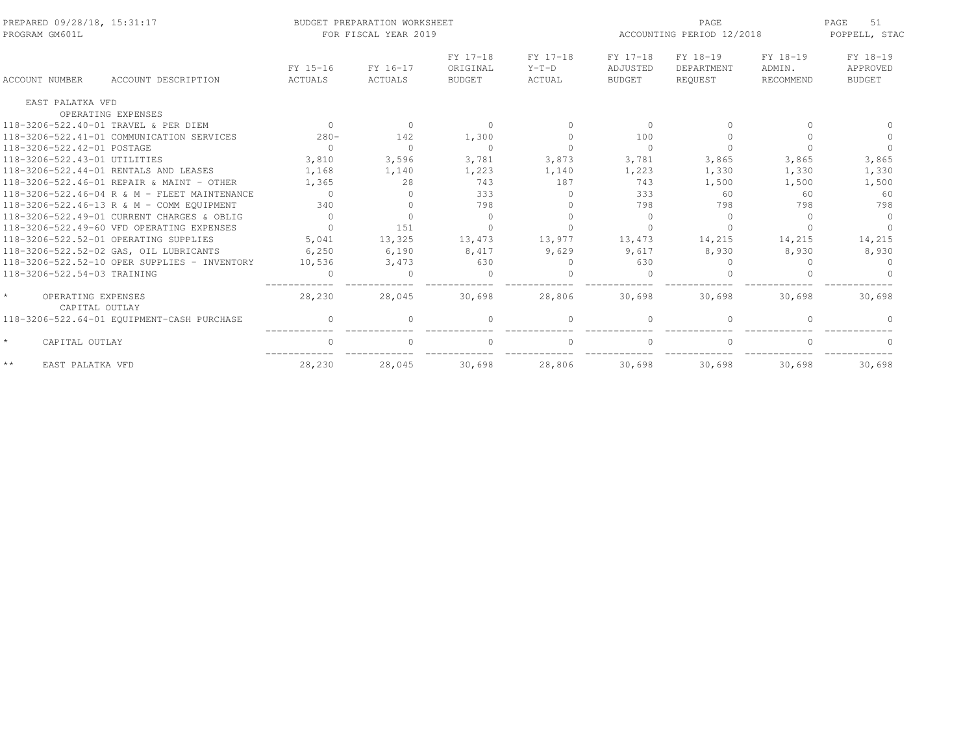| PREPARED 09/28/18, 15:31:17<br>PROGRAM GM601L              |                     | BUDGET PREPARATION WORKSHEET<br>FOR FISCAL YEAR 2019 |                                       | PAGE<br>ACCOUNTING PERIOD 12/2018 |                                       |                                   | 51<br>PAGE<br>POPPELL, STAC     |                                       |
|------------------------------------------------------------|---------------------|------------------------------------------------------|---------------------------------------|-----------------------------------|---------------------------------------|-----------------------------------|---------------------------------|---------------------------------------|
| ACCOUNT NUMBER<br>ACCOUNT DESCRIPTION                      | FY 15-16<br>ACTUALS | FY 16-17<br>ACTUALS                                  | FY 17-18<br>ORIGINAL<br><b>BUDGET</b> | FY 17-18<br>$Y-T-D$<br>ACTUAL     | FY 17-18<br>ADJUSTED<br><b>BUDGET</b> | FY 18-19<br>DEPARTMENT<br>REQUEST | FY 18-19<br>ADMIN.<br>RECOMMEND | FY 18-19<br>APPROVED<br><b>BUDGET</b> |
|                                                            |                     |                                                      |                                       |                                   |                                       |                                   |                                 |                                       |
| EAST PALATKA VFD                                           |                     |                                                      |                                       |                                   |                                       |                                   |                                 |                                       |
| OPERATING EXPENSES<br>118-3206-522.40-01 TRAVEL & PER DIEM | $\Omega$            | $\Omega$                                             | $\Omega$                              | $\Omega$                          |                                       | $\bigcap$                         |                                 |                                       |
| 118-3206-522.41-01 COMMUNICATION SERVICES                  | $280 -$             | 142                                                  | 1,300                                 | $\bigcap$                         | 100                                   |                                   |                                 |                                       |
| 118-3206-522.42-01 POSTAGE                                 | $\Omega$            | $\Omega$                                             | $\Omega$                              | $\Omega$                          | $\Omega$                              | $\Omega$                          | $\cap$                          |                                       |
| 118-3206-522.43-01 UTILITIES                               | 3,810               | 3,596                                                | 3,781                                 | 3,873                             | 3,781                                 | 3,865                             | 3,865                           | 3,865                                 |
| 118-3206-522.44-01 RENTALS AND LEASES                      | 1,168               | 1,140                                                | 1,223                                 | 1,140                             | 1,223                                 | 1,330                             | 1,330                           | 1,330                                 |
| 118-3206-522.46-01 REPAIR & MAINT - OTHER                  | 1,365               | 2.8                                                  | 743                                   | 187                               | 743                                   | 1,500                             | 1,500                           | 1,500                                 |
| 118-3206-522.46-04 R & M - FLEET MAINTENANCE               | $\cap$              | $\Omega$                                             | 333                                   | $\bigcap$                         | 333                                   | 60                                | 60                              | 60                                    |
| 118-3206-522.46-13 R & M - COMM EQUIPMENT                  | 340                 | $\Omega$                                             | 798                                   | $\Omega$                          | 798                                   | 798                               | 798                             | 798                                   |
| 118-3206-522.49-01 CURRENT CHARGES & OBLIG                 | $\bigcap$           |                                                      | $\Omega$                              |                                   | $\bigcap$                             | $\bigcap$                         | $\cap$                          | $\cap$                                |
| 118-3206-522.49-60 VFD OPERATING EXPENSES                  | $\bigcap$           | 151                                                  |                                       |                                   |                                       |                                   |                                 |                                       |
| 118-3206-522.52-01 OPERATING SUPPLIES                      | 5,041               | 13,325                                               | 13,473                                | 13,977                            | 13,473                                | 14,215                            | 14,215                          | 14,215                                |
| 118-3206-522.52-02 GAS, OIL LUBRICANTS                     | 6,250               | 6,190                                                | 8,417                                 | 9,629                             | 9.617                                 | 8,930                             | 8,930                           | 8,930                                 |
| 118-3206-522.52-10 OPER SUPPLIES - INVENTORY               | 10,536              | 3,473                                                | 630                                   | $\Omega$                          | 630                                   | $\Omega$                          | $\cap$                          |                                       |
| 118-3206-522.54-03 TRAINING                                | $\Omega$            | $\Omega$                                             | $\circ$                               | $\Omega$                          |                                       | $\Omega$                          |                                 |                                       |
| OPERATING EXPENSES<br>CAPITAL OUTLAY                       | 28,230              | 28,045                                               | 30,698                                | 28,806                            | 30,698                                | 30,698                            | 30,698                          | 30,698                                |
| 118-3206-522.64-01 EQUIPMENT-CASH PURCHASE                 |                     |                                                      |                                       | $\Omega$                          |                                       |                                   |                                 |                                       |
| $\star$<br>CAPITAL OUTLAY                                  |                     | $\cap$                                               | $\Omega$                              | $\bigcap$                         |                                       | $\bigcap$                         |                                 |                                       |
| $\star$ $\star$<br>EAST PALATKA VFD                        | 28,230              | 28,045                                               | 30,698                                | 28,806                            | 30,698                                | 30,698                            | 30,698                          | 30,698                                |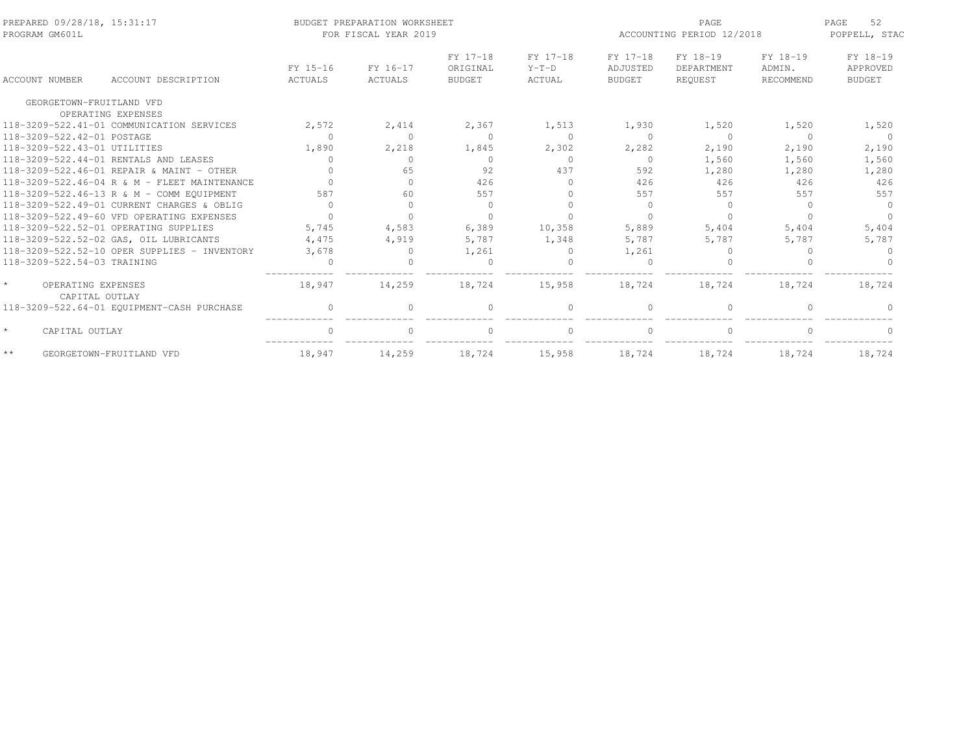| PREPARED 09/28/18, 15:31:17<br>PROGRAM GM601L |                                              |                     | BUDGET PREPARATION WORKSHEET<br>FOR FISCAL YEAR 2019 |                                       |                               | PAGE<br>ACCOUNTING PERIOD 12/2018     |                                   |                                 |                                       |
|-----------------------------------------------|----------------------------------------------|---------------------|------------------------------------------------------|---------------------------------------|-------------------------------|---------------------------------------|-----------------------------------|---------------------------------|---------------------------------------|
| <b>ACCOUNT NUMBER</b>                         | ACCOUNT DESCRIPTION                          | FY 15-16<br>ACTUALS | FY 16-17<br>ACTUALS                                  | FY 17-18<br>ORIGINAL<br><b>BUDGET</b> | FY 17-18<br>$Y-T-D$<br>ACTUAL | FY 17-18<br>ADJUSTED<br><b>BUDGET</b> | FY 18-19<br>DEPARTMENT<br>REQUEST | FY 18-19<br>ADMIN.<br>RECOMMEND | FY 18-19<br>APPROVED<br><b>BUDGET</b> |
| GEORGETOWN-FRUITLAND VFD                      |                                              |                     |                                                      |                                       |                               |                                       |                                   |                                 |                                       |
|                                               | OPERATING EXPENSES                           |                     |                                                      |                                       |                               |                                       |                                   |                                 |                                       |
|                                               | 118-3209-522.41-01 COMMUNICATION SERVICES    | 2,572               | 2,414                                                | 2,367                                 | 1,513                         | 1,930                                 | 1,520                             | 1,520                           | 1,520                                 |
| 118-3209-522.42-01 POSTAGE                    |                                              | $\Omega$            | $\Omega$                                             | $\Omega$                              | $\Omega$                      | $\Omega$                              | $\Omega$                          | $\Omega$                        | $\Omega$                              |
| 118-3209-522.43-01 UTILITIES                  |                                              | 1,890               | 2,218                                                | 1,845                                 | 2,302                         | 2,282                                 | 2,190                             | 2,190                           | 2,190                                 |
|                                               | 118-3209-522.44-01 RENTALS AND LEASES        | $\bigcap$           | $\Omega$                                             | $\Omega$                              | $\Omega$                      | $\Omega$                              | 1,560                             | 1,560                           | 1,560                                 |
|                                               | 118-3209-522.46-01 REPAIR & MAINT - OTHER    | $\Omega$            | 65                                                   | 92                                    | 437                           | 592                                   | 1,280                             | 1,280                           | 1,280                                 |
|                                               | 118-3209-522.46-04 R & M - FLEET MAINTENANCE |                     | $\Omega$                                             | 426                                   | $\Omega$                      | 426                                   | 426                               | 426                             | 426                                   |
|                                               | 118-3209-522.46-13 R & M - COMM EOUIPMENT    | 587                 | 60                                                   | 557                                   | $\bigcap$                     | 557                                   | 557                               | 557                             | 557                                   |
|                                               | 118-3209-522.49-01 CURRENT CHARGES & OBLIG   | $\Omega$            | $\Omega$                                             | $\Omega$                              | $\cap$                        | $\Omega$                              | $\Omega$                          | $\cap$                          | $\Omega$                              |
|                                               | 118-3209-522.49-60 VFD OPERATING EXPENSES    | $\bigcap$           | $\cap$                                               | $\cap$                                |                               |                                       |                                   |                                 |                                       |
|                                               | 118-3209-522.52-01 OPERATING SUPPLIES        | 5,745               | 4,583                                                | 6,389                                 | 10,358                        | 5,889                                 | 5,404                             | 5,404                           | 5,404                                 |
|                                               | 118-3209-522.52-02 GAS, OIL LUBRICANTS       | 4,475               | 4,919                                                | 5,787                                 | 1,348                         | 5,787                                 | 5,787                             | 5,787                           | 5,787                                 |
|                                               | 118-3209-522.52-10 OPER SUPPLIES - INVENTORY | 3,678               | $\Omega$                                             | 1,261                                 | $\Omega$                      | 1,261                                 | 0                                 |                                 | $\Omega$                              |
| 118-3209-522.54-03 TRAINING                   |                                              |                     |                                                      |                                       |                               |                                       |                                   |                                 |                                       |
| OPERATING EXPENSES<br>CAPITAL OUTLAY          |                                              | 18,947              | 14,259                                               | 18,724                                | 15,958                        | 18,724                                | 18,724                            | 18.724                          | 18,724                                |
|                                               | 118-3209-522.64-01 EQUIPMENT-CASH PURCHASE   | $\Omega$            | $\Omega$                                             | $\Omega$                              | $\Omega$                      |                                       | $\Omega$                          |                                 |                                       |
| $\star$<br>CAPITAL OUTLAY                     |                                              | $\Omega$            | $\Omega$                                             | $\Omega$                              | $\Omega$                      |                                       | $\Omega$                          | $\cap$                          | $\Omega$                              |
| $\star\star$                                  | GEORGETOWN-FRUITLAND VFD                     | 18,947              | 14,259                                               | 18,724                                | 15,958                        | 18,724                                | 18,724                            | 18,724                          | 18,724                                |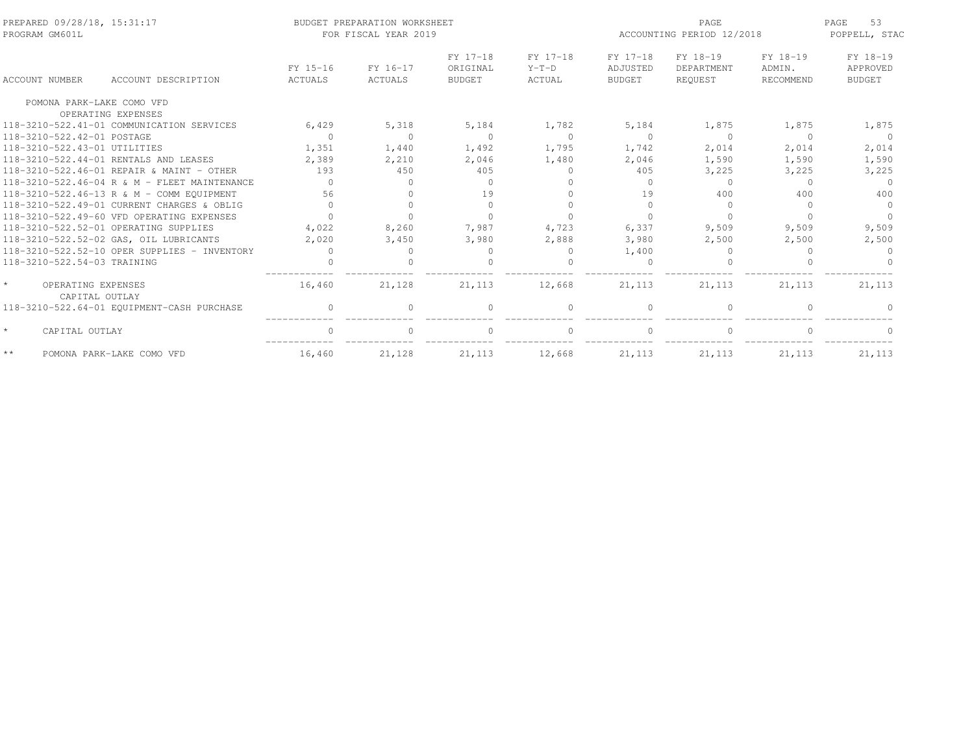| PREPARED 09/28/18, 15:31:17<br>PROGRAM GM601L   |                                              |                     | BUDGET PREPARATION WORKSHEET<br>FOR FISCAL YEAR 2019 |                                       | ACCOUNTING PERIOD 12/2018     | 53<br>PAGE<br>POPPELL, STAC           |                                   |                                 |                                       |
|-------------------------------------------------|----------------------------------------------|---------------------|------------------------------------------------------|---------------------------------------|-------------------------------|---------------------------------------|-----------------------------------|---------------------------------|---------------------------------------|
| <b>ACCOUNT NUMBER</b>                           | ACCOUNT DESCRIPTION                          | FY 15-16<br>ACTUALS | FY 16-17<br>ACTUALS                                  | FY 17-18<br>ORIGINAL<br><b>BUDGET</b> | FY 17-18<br>$Y-T-D$<br>ACTUAL | FY 17-18<br>ADJUSTED<br><b>BUDGET</b> | FY 18-19<br>DEPARTMENT<br>REQUEST | FY 18-19<br>ADMIN.<br>RECOMMEND | FY 18-19<br>APPROVED<br><b>BUDGET</b> |
| POMONA PARK-LAKE COMO VFD                       |                                              |                     |                                                      |                                       |                               |                                       |                                   |                                 |                                       |
|                                                 | OPERATING EXPENSES                           |                     |                                                      |                                       |                               |                                       |                                   |                                 |                                       |
|                                                 | 118-3210-522.41-01 COMMUNICATION SERVICES    | 6,429               | 5,318                                                | 5,184                                 | 1,782                         | 5,184                                 | 1,875                             | 1,875                           | 1,875                                 |
| 118-3210-522.42-01 POSTAGE                      |                                              | $\Omega$            | $\Omega$                                             | $\Omega$                              | $\Omega$                      | $\Omega$                              | $\Omega$                          | $\Omega$                        | $\Omega$                              |
| 118-3210-522.43-01 UTILITIES                    |                                              | 1,351               | 1,440                                                | 1,492                                 | 1,795                         | 1,742                                 | 2,014                             | 2,014                           | 2,014                                 |
|                                                 | 118-3210-522.44-01 RENTALS AND LEASES        | 2,389               | 2,210                                                | 2,046                                 | 1,480                         | 2,046                                 | 1,590                             | 1,590                           | 1,590                                 |
|                                                 | 118-3210-522.46-01 REPAIR & MAINT - OTHER    | 193                 | 450                                                  | 405                                   | $\Omega$                      | 405                                   | 3,225                             | 3,225                           | 3,225                                 |
|                                                 | 118-3210-522.46-04 R & M - FLEET MAINTENANCE | $\bigcap$           | $\Omega$                                             | $\Omega$                              | $\cap$                        | $\Omega$                              | $\Omega$                          | $\Omega$                        | $\Omega$                              |
|                                                 | 118-3210-522.46-13 R & M - COMM EOUIPMENT    | 56                  | $\Omega$                                             | 19                                    |                               | 19                                    | 400                               | 400                             | 400                                   |
|                                                 | 118-3210-522.49-01 CURRENT CHARGES & OBLIG   | $\bigcap$           | $\Omega$                                             | $\Omega$                              |                               | $\Omega$                              | $\Omega$                          | $\cap$                          | $\Omega$                              |
|                                                 | 118-3210-522.49-60 VFD OPERATING EXPENSES    | $\Omega$            | $\cap$                                               |                                       |                               |                                       |                                   |                                 |                                       |
|                                                 | 118-3210-522.52-01 OPERATING SUPPLIES        | 4,022               | 8,260                                                | 7,987                                 | 4,723                         | 6,337                                 | 9,509                             | 9,509                           | 9,509                                 |
|                                                 | 118-3210-522.52-02 GAS, OIL LUBRICANTS       | 2,020               | 3,450                                                | 3,980                                 | 2,888                         | 3,980                                 | 2,500                             | 2,500                           | 2,500                                 |
|                                                 | 118-3210-522.52-10 OPER SUPPLIES - INVENTORY | $\Omega$            | <sup>0</sup>                                         | $\Omega$                              | $\Omega$                      | 1,400                                 | $\Omega$                          |                                 |                                       |
| 118-3210-522.54-03 TRAINING                     |                                              |                     |                                                      |                                       |                               |                                       |                                   |                                 |                                       |
| $\star$<br>OPERATING EXPENSES<br>CAPITAL OUTLAY |                                              | 16,460              | 21,128                                               | 21, 113                               | 12,668                        | 21, 113                               | 21, 113                           | 21,113                          | 21,113                                |
|                                                 | 118-3210-522.64-01 EQUIPMENT-CASH PURCHASE   | $\Omega$            | $\Omega$                                             | $\Omega$                              | $\Omega$                      |                                       | $\cap$                            |                                 |                                       |
| $\star$<br>CAPITAL OUTLAY                       |                                              | $\Omega$            | $\Omega$                                             | $\Omega$                              | $\Omega$                      |                                       | $\Omega$                          |                                 | $\Omega$                              |
| $\star\,\star$                                  | POMONA PARK-LAKE COMO VFD                    | 16,460              | 21,128                                               | 21, 113                               | 12,668                        | 21, 113                               | 21, 113                           | 21,113                          | 21, 113                               |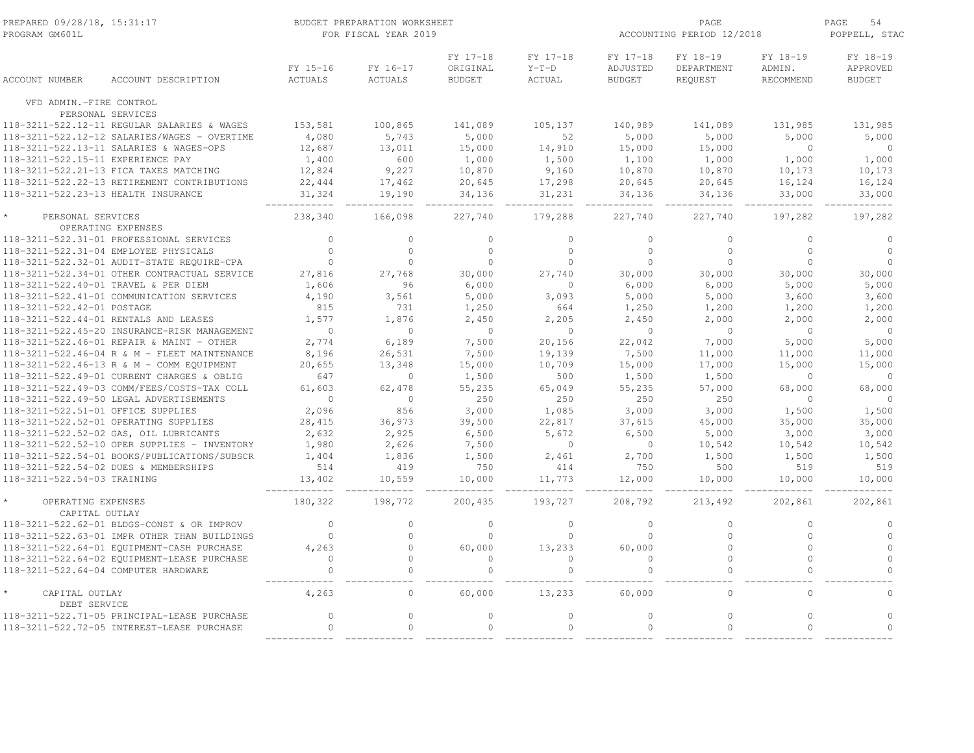| PREPARED 09/28/18, 15:31:17<br>PROGRAM GM601L                        | BUDGET PREPARATION WORKSHEET<br>FOR FISCAL YEAR 2019 |                      |                                       | ACCOUNTING PERIOD 12/2018     | PAGE<br>54<br>POPPELL, STAC           |                                   |                                 |                                       |
|----------------------------------------------------------------------|------------------------------------------------------|----------------------|---------------------------------------|-------------------------------|---------------------------------------|-----------------------------------|---------------------------------|---------------------------------------|
| ACCOUNT NUMBER<br>ACCOUNT DESCRIPTION                                | FY 15-16<br>ACTUALS                                  | FY 16-17<br>ACTUALS  | FY 17-18<br>ORIGINAL<br><b>BUDGET</b> | FY 17-18<br>$Y-T-D$<br>ACTUAL | FY 17-18<br>ADJUSTED<br><b>BUDGET</b> | FY 18-19<br>DEPARTMENT<br>REQUEST | FY 18-19<br>ADMIN.<br>RECOMMEND | FY 18-19<br>APPROVED<br><b>BUDGET</b> |
| VFD ADMIN.-FIRE CONTROL                                              |                                                      |                      |                                       |                               |                                       |                                   |                                 |                                       |
| PERSONAL SERVICES<br>118-3211-522.12-11 REGULAR SALARIES & WAGES     | 153,581                                              | 100,865              | 141,089                               | 105,137                       | 140,989                               | 141,089                           | 131,985                         | 131,985                               |
| 118-3211-522.12-12 SALARIES/WAGES - OVERTIME                         | 4,080                                                | 5,743                | 5,000                                 | 52                            | 5,000                                 | 5,000                             | 5,000                           | 5,000                                 |
| 118-3211-522.13-11 SALARIES & WAGES-OPS                              | 12,687                                               | 13,011               | 15,000                                | 14,910                        | 15,000                                | 15,000                            | $\circ$                         | $\overline{0}$                        |
| 118-3211-522.15-11 EXPERIENCE PAY                                    | 1,400                                                | 600                  | 1,000                                 | 1,500                         | 1,100                                 | 1,000                             | 1,000                           | 1,000                                 |
| 118-3211-522.21-13 FICA TAXES MATCHING                               | 12,824                                               | 9,227                | 10,870                                | 9,160                         | 10,870                                | 10,870                            | 10,173                          | 10,173                                |
| 118-3211-522.22-13 RETIREMENT CONTRIBUTIONS                          | 22,444                                               | 17,462               | 20,645                                | 17,298                        | 20,645                                | 20,645                            | 16,124                          | 16,124                                |
| 118-3211-522.23-13 HEALTH INSURANCE                                  | 31,324                                               | 19,190               | 34,136                                | 31,231                        | 34,136                                | 34,136                            | 33,000                          | 33,000                                |
| PERSONAL SERVICES                                                    | 238,340                                              | 166,098              | 227,740                               | 179,288                       | 227,740                               | 227,740                           | 197,282                         | 197,282                               |
| OPERATING EXPENSES                                                   |                                                      |                      |                                       |                               |                                       |                                   |                                 |                                       |
| 118-3211-522.31-01 PROFESSIONAL SERVICES                             | $\Omega$                                             | $\Omega$             | $\circ$                               | $\Omega$                      | $\Omega$                              | $\Omega$                          | $\Omega$                        | $\Omega$                              |
| 118-3211-522.31-04 EMPLOYEE PHYSICALS                                | $\Omega$                                             | $\Omega$             | $\Omega$                              | $\Omega$                      | $\Omega$                              | $\Omega$                          | $\Omega$                        | $\Omega$                              |
| 118-3211-522.32-01 AUDIT-STATE REQUIRE-CPA                           | $\circ$                                              | $\circ$              | $\circ$                               | $\circ$                       | $\mathbf{0}$                          | $\mathbb O$                       | $\circ$                         | $\circ$                               |
| 118-3211-522.34-01 OTHER CONTRACTUAL SERVICE                         | 27,816                                               | 27,768               | 30,000                                | 27,740                        | 30,000                                | 30,000                            | 30,000                          | 30,000                                |
| 118-3211-522.40-01 TRAVEL & PER DIEM                                 | 1,606                                                | 96                   | 6,000                                 | $\circ$                       | 6,000                                 | 6,000                             | 5,000                           | 5,000                                 |
| 118-3211-522.41-01 COMMUNICATION SERVICES                            | 4,190                                                | 3,561                | 5,000                                 | 3,093                         | 5,000                                 | 5,000                             | 3,600                           | 3,600                                 |
| 118-3211-522.42-01 POSTAGE                                           | 815                                                  | 731                  | 1,250                                 | 664                           | 1,250                                 | 1,200                             | 1,200                           | 1,200                                 |
| 118-3211-522.44-01 RENTALS AND LEASES                                | 1,577                                                | 1,876                | 2,450                                 | 2,205                         | 2,450                                 | 2,000                             | 2,000                           | 2,000                                 |
| 118-3211-522.45-20 INSURANCE-RISK MANAGEMENT                         | $\Omega$                                             | $\Omega$             | $\Omega$                              | $\Omega$                      | $\overline{0}$                        | $\Omega$                          | $\Omega$                        | $\Omega$                              |
| 118-3211-522.46-01 REPAIR & MAINT - OTHER                            | 2,774                                                | 6,189                | 7,500                                 | 20,156                        | 22,042                                | 7,000                             | 5,000                           | 5,000                                 |
| 118-3211-522.46-04 R & M - FLEET MAINTENANCE                         | 8,196                                                | 26,531               | 7,500                                 | 19,139                        | 7,500                                 | 11,000                            | 11,000                          | 11,000                                |
| 118-3211-522.46-13 R & M - COMM EQUIPMENT                            | 20,655                                               | 13,348               | 15,000                                | 10,709                        | 15,000                                | 17,000                            | 15,000                          | 15,000                                |
| 118-3211-522.49-01 CURRENT CHARGES & OBLIG                           | 647                                                  | $\circ$              | 1,500                                 | 500                           | 1,500                                 | 1,500                             | $\circ$                         | $\circ$                               |
| 118-3211-522.49-03 COMM/FEES/COSTS-TAX COLL                          | 61,603                                               | 62,478               | 55,235                                | 65,049                        | 55,235                                | 57,000                            | 68,000                          | 68,000                                |
| 118-3211-522.49-50 LEGAL ADVERTISEMENTS                              | $\Omega$                                             | $\Omega$             | 250                                   | 250                           | 250                                   | 250                               | $\Omega$                        | $\Omega$                              |
| 118-3211-522.51-01 OFFICE SUPPLIES                                   | 2,096                                                | 856                  | 3,000                                 | 1,085                         | 3,000                                 | 3,000                             | 1,500                           | 1,500                                 |
| 118-3211-522.52-01 OPERATING SUPPLIES                                | 28,415                                               | 36,973               | 39,500                                | 22,817                        | 37,615                                | 45,000                            | 35,000                          | 35,000                                |
| 118-3211-522.52-02 GAS, OIL LUBRICANTS                               | 2,632                                                | 2,925                | 6,500                                 | 5,672                         | 6,500                                 | 5,000                             | 3,000                           | 3,000                                 |
| 118-3211-522.52-10 OPER SUPPLIES - INVENTORY                         | 1,980                                                | 2,626                | 7,500                                 | $\circ$                       | $\overline{0}$                        | 10,542                            | 10,542                          | 10,542                                |
| 118-3211-522.54-01 BOOKS/PUBLICATIONS/SUBSCR                         | 1,404                                                | 1,836                | 1,500<br>750                          | 2,461                         | 2,700<br>750                          | 1,500                             | 1,500                           | 1,500                                 |
| 118-3211-522.54-02 DUES & MEMBERSHIPS<br>118-3211-522.54-03 TRAINING | 514<br>13,402                                        | 419<br>10,559        | 10,000                                | 414<br>11,773                 | 12,000                                | 500<br>10,000                     | 519<br>10,000                   | 519<br>10,000                         |
| OPERATING EXPENSES                                                   | 180,322                                              | 198,772              | 200,435                               | 193,727                       | 208,792                               | 213,492                           | 202,861                         | 202,861                               |
| CAPITAL OUTLAY                                                       |                                                      |                      |                                       |                               |                                       |                                   |                                 |                                       |
| 118-3211-522.62-01 BLDGS-CONST & OR IMPROV                           | $\mathbf{0}$                                         | $\circ$              | $\circ$                               | $\circ$                       | $\mathbf{0}$                          | $\mathbf 0$                       | $\circ$                         | $\circ$                               |
| 118-3211-522.63-01 IMPR OTHER THAN BUILDINGS                         | $\mathbf{0}$                                         | $\circ$              | $\circ$                               | $\circ$                       | $\mathbf{0}$                          | $\mathbf{0}$                      | $\circ$                         | $\circ$                               |
| 118-3211-522.64-01 EOUIPMENT-CASH PURCHASE                           | 4,263                                                | $\circ$              | 60,000                                | 13,233                        | 60,000                                | $\mathbf{0}$                      | $\circ$                         | $\circ$                               |
| 118-3211-522.64-02 EQUIPMENT-LEASE PURCHASE                          | $\Omega$<br>$\circ$                                  | $\Omega$<br>$\Omega$ | $\Omega$<br>$\Omega$                  | $\Omega$                      | $\Omega$                              | $\Omega$                          | $\Omega$                        | $\Omega$<br>$\Omega$                  |
| 118-3211-522.64-04 COMPUTER HARDWARE                                 |                                                      |                      |                                       | $\mathbb O$                   | $\mathbf{0}$                          | $\mathbf{0}$                      | $\circ$                         |                                       |
| CAPITAL OUTLAY<br>DEBT SERVICE                                       | 4,263                                                | $\Omega$             | 60,000                                | 13,233                        | 60,000                                | $\bigcap$                         | $\cap$                          | $\Omega$                              |
| 118-3211-522.71-05 PRINCIPAL-LEASE PURCHASE                          | $\circ$                                              | $\circ$              | $\circ$                               | $\circ$                       | $\circ$                               | $\mathbb O$                       | $\circ$                         | $\circ$                               |
| 118-3211-522.72-05 INTEREST-LEASE PURCHASE                           | $\Omega$                                             | $\circ$              | $\Omega$                              | $\circ$                       | $\Omega$                              | $\Omega$                          | $\Omega$                        | $\Omega$                              |
|                                                                      |                                                      |                      |                                       |                               |                                       |                                   |                                 |                                       |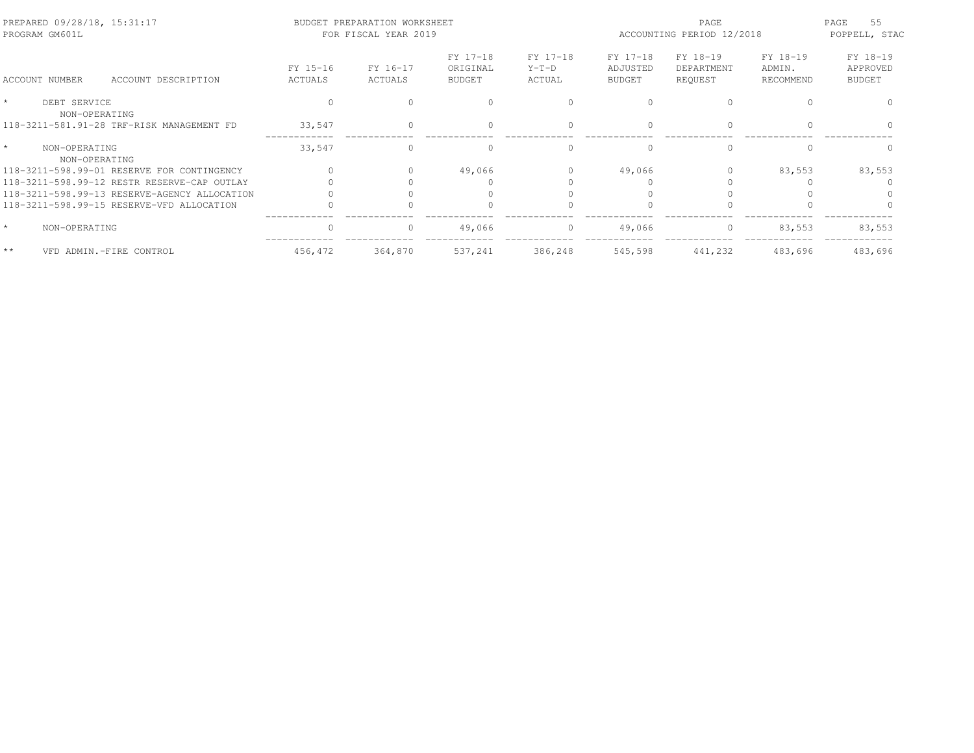| PREPARED 09/28/18, 15:31:17<br>PROGRAM GM601L              | PAGE<br>BUDGET PREPARATION WORKSHEET<br>FOR FISCAL YEAR 2019<br>ACCOUNTING PERIOD 12/2018 |                     |                                       |                               |                                       | 55<br>PAGE<br>POPPELL, STAC       |                                 |                                       |
|------------------------------------------------------------|-------------------------------------------------------------------------------------------|---------------------|---------------------------------------|-------------------------------|---------------------------------------|-----------------------------------|---------------------------------|---------------------------------------|
| ACCOUNT NUMBER<br>ACCOUNT DESCRIPTION                      | FY 15-16<br>ACTUALS                                                                       | FY 16-17<br>ACTUALS | FY 17-18<br>ORIGINAL<br><b>BUDGET</b> | FY 17-18<br>$Y-T-D$<br>ACTUAL | FY 17-18<br>ADJUSTED<br><b>BUDGET</b> | FY 18-19<br>DEPARTMENT<br>REQUEST | FY 18-19<br>ADMIN.<br>RECOMMEND | FY 18-19<br>APPROVED<br><b>BUDGET</b> |
| $\star$<br>DEBT SERVICE                                    |                                                                                           |                     |                                       |                               |                                       |                                   |                                 |                                       |
| NON-OPERATING<br>118-3211-581.91-28 TRF-RISK MANAGEMENT FD | 33,547                                                                                    |                     | $\Omega$                              | $\Omega$                      | $\bigcap$                             |                                   |                                 |                                       |
| $\star$<br>NON-OPERATING<br>NON-OPERATING                  | 33,547                                                                                    |                     | $\Omega$                              | $\cap$                        | $\cap$                                | $\cap$                            |                                 |                                       |
| 118-3211-598.99-01 RESERVE FOR CONTINGENCY                 |                                                                                           |                     | 49,066                                |                               | 49,066                                |                                   | 83,553                          | 83,553                                |
| 118-3211-598.99-12 RESTR RESERVE-CAP OUTLAY                |                                                                                           |                     |                                       |                               |                                       |                                   |                                 |                                       |
| 118-3211-598.99-13 RESERVE-AGENCY ALLOCATION               |                                                                                           |                     |                                       |                               |                                       |                                   |                                 |                                       |
| 118-3211-598.99-15 RESERVE-VFD ALLOCATION                  |                                                                                           |                     |                                       |                               |                                       |                                   |                                 |                                       |
| $\star$<br>NON-OPERATING                                   |                                                                                           |                     | 49,066                                | $\Omega$                      | 49,066                                | $\mathbf{0}$                      | 83,553                          | 83,553                                |
| $**$<br>VFD ADMIN.-FIRE CONTROL                            | 456,472                                                                                   | 364,870             | 537,241                               | 386,248                       | 545,598                               | 441,232                           | 483,696                         | 483,696                               |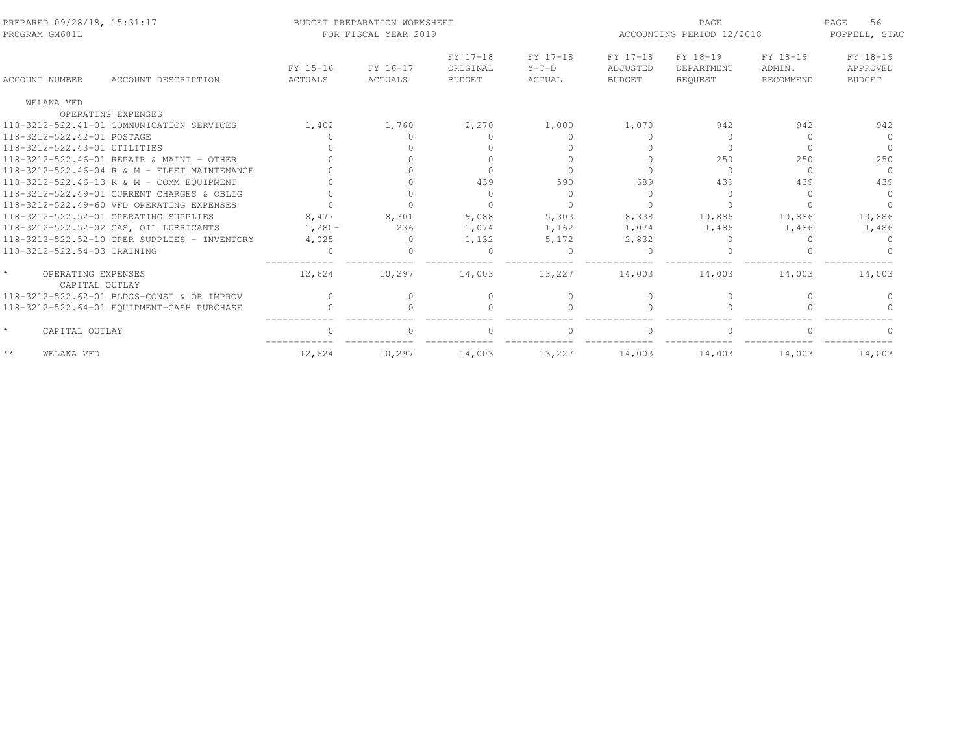| PREPARED 09/28/18, 15:31:17<br>PROGRAM GM601L   |                                              |          | BUDGET PREPARATION WORKSHEET<br>FOR FISCAL YEAR 2019 |                      | PAGE<br>ACCOUNTING PERIOD 12/2018 |                      |                        | 56<br>PAGE<br>POPPELL, STAC |                      |
|-------------------------------------------------|----------------------------------------------|----------|------------------------------------------------------|----------------------|-----------------------------------|----------------------|------------------------|-----------------------------|----------------------|
|                                                 |                                              | FY 15-16 | FY 16-17                                             | FY 17-18<br>ORIGINAL | FY 17-18<br>$Y-T-D$               | FY 17-18<br>ADJUSTED | FY 18-19<br>DEPARTMENT | FY 18-19<br>ADMIN.          | FY 18-19<br>APPROVED |
| <b>ACCOUNT NUMBER</b>                           | ACCOUNT DESCRIPTION                          | ACTUALS  | ACTUALS                                              | <b>BUDGET</b>        | ACTUAL                            | <b>BUDGET</b>        | REQUEST                | RECOMMEND                   | <b>BUDGET</b>        |
| WELAKA VFD                                      |                                              |          |                                                      |                      |                                   |                      |                        |                             |                      |
|                                                 | OPERATING EXPENSES                           |          |                                                      |                      |                                   |                      |                        |                             |                      |
|                                                 | 118-3212-522.41-01 COMMUNICATION SERVICES    | 1,402    | 1,760                                                | 2,270                | 1,000                             | 1,070                | 942                    | 942                         | 942                  |
| 118-3212-522.42-01 POSTAGE                      |                                              |          |                                                      |                      |                                   |                      | $\cap$                 | $\cap$                      | $\cap$               |
| 118-3212-522.43-01 UTILITIES                    |                                              |          |                                                      |                      |                                   |                      | $\Omega$               | $\Omega$                    | $\Omega$             |
|                                                 | 118-3212-522.46-01 REPAIR & MAINT - OTHER    |          |                                                      |                      |                                   |                      | 250                    | 250                         | 250                  |
|                                                 | 118-3212-522.46-04 R & M - FLEET MAINTENANCE |          |                                                      |                      |                                   |                      | $\Omega$               | $\Omega$                    | $\Omega$             |
|                                                 | 118-3212-522.46-13 R & M - COMM EQUIPMENT    |          |                                                      | 439                  | 590                               | 689                  | 439                    | 439                         | 439                  |
|                                                 | 118-3212-522.49-01 CURRENT CHARGES & OBLIG   |          |                                                      | $\Omega$             | $\bigcap$                         |                      | $\bigcap$              | $\cap$                      | $\Omega$             |
|                                                 | 118-3212-522.49-60 VFD OPERATING EXPENSES    |          |                                                      | $\cap$               | $\Omega$                          |                      | $\cap$                 | $\cap$                      |                      |
|                                                 | 118-3212-522.52-01 OPERATING SUPPLIES        | 8,477    | 8,301                                                | 9,088                | 5,303                             | 8,338                | 10,886                 | 10,886                      | 10,886               |
|                                                 | 118-3212-522.52-02 GAS, OIL LUBRICANTS       | $1,280-$ | 236                                                  | 1,074                | 1,162                             | 1,074                | 1,486                  | 1,486                       | 1,486                |
|                                                 | 118-3212-522.52-10 OPER SUPPLIES - INVENTORY | 4,025    | $\Omega$                                             | 1,132                | 5,172                             | 2,832                |                        |                             |                      |
| 118-3212-522.54-03 TRAINING                     |                                              |          |                                                      |                      | $\bigcap$                         |                      |                        |                             |                      |
| $\star$<br>OPERATING EXPENSES<br>CAPITAL OUTLAY |                                              | 12,624   | 10,297                                               | 14,003               | 13,227                            | 14,003               | 14,003                 | 14,003                      | 14,003               |
|                                                 | 118-3212-522.62-01 BLDGS-CONST & OR IMPROV   | $\Omega$ | $\bigcap$                                            | $\mathbf{0}$         | $\Omega$                          | $\bigcap$            | $\Omega$               |                             |                      |
|                                                 | 118-3212-522.64-01 EQUIPMENT-CASH PURCHASE   |          |                                                      |                      |                                   |                      |                        |                             |                      |
| $\star$<br>CAPITAL OUTLAY                       |                                              | $\cap$   | $\cap$                                               | $\Omega$             | $\bigcap$                         |                      | $\bigcap$              | $\cap$                      |                      |
| $\star$ $\star$<br>WELAKA VFD                   |                                              | 12,624   | 10,297                                               | 14,003               | 13,227                            | 14,003               | 14,003                 | 14,003                      | 14,003               |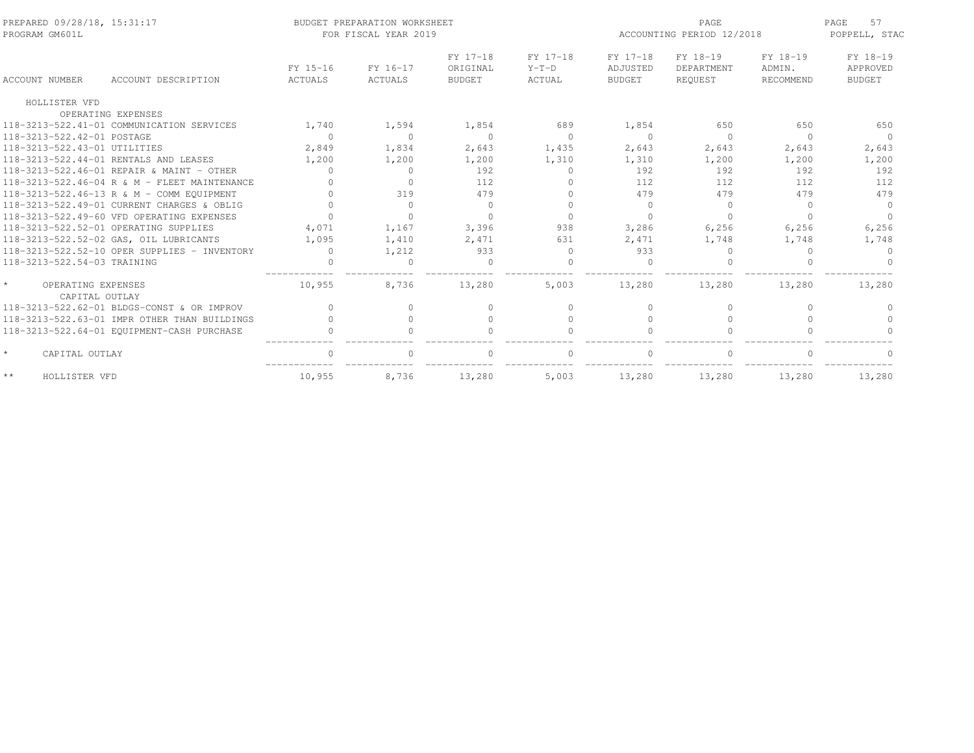| PREPARED 09/28/18, 15:31:17<br>PROGRAM GM601L   |                                              |                            | BUDGET PREPARATION WORKSHEET<br>FOR FISCAL YEAR 2019 |                                       |                               |                                       | PAGE<br>ACCOUNTING PERIOD 12/2018 |                                 | 57<br>PAGE<br>POPPELL, STAC           |
|-------------------------------------------------|----------------------------------------------|----------------------------|------------------------------------------------------|---------------------------------------|-------------------------------|---------------------------------------|-----------------------------------|---------------------------------|---------------------------------------|
| ACCOUNT NUMBER                                  | ACCOUNT DESCRIPTION                          | FY 15-16<br><b>ACTUALS</b> | FY 16-17<br>ACTUALS                                  | FY 17-18<br>ORIGINAL<br><b>BUDGET</b> | FY 17-18<br>$Y-T-D$<br>ACTUAL | FY 17-18<br>ADJUSTED<br><b>BUDGET</b> | FY 18-19<br>DEPARTMENT<br>REOUEST | FY 18-19<br>ADMIN.<br>RECOMMEND | FY 18-19<br>APPROVED<br><b>BUDGET</b> |
|                                                 |                                              |                            |                                                      |                                       |                               |                                       |                                   |                                 |                                       |
| HOLLISTER VFD                                   |                                              |                            |                                                      |                                       |                               |                                       |                                   |                                 |                                       |
|                                                 | OPERATING EXPENSES                           |                            |                                                      |                                       |                               |                                       |                                   |                                 |                                       |
|                                                 | 118-3213-522.41-01 COMMUNICATION SERVICES    | 1,740                      | 1,594                                                | 1,854                                 | 689                           | 1,854                                 | 650                               | 650                             | 650                                   |
| 118-3213-522.42-01 POSTAGE                      |                                              | $\circ$                    | $\Omega$                                             | $\Omega$                              | $\circ$                       | $\Omega$                              | $\circ$                           | $\Omega$                        | $\Omega$                              |
| 118-3213-522.43-01 UTILITIES                    |                                              | 2,849                      | 1,834                                                | 2,643                                 | 1,435                         | 2,643                                 | 2,643                             | 2,643                           | 2,643                                 |
|                                                 | 118-3213-522.44-01 RENTALS AND LEASES        | 1,200                      | 1,200                                                | 1,200                                 | 1,310                         | 1,310                                 | 1,200                             | 1,200                           | 1,200                                 |
|                                                 | 118-3213-522.46-01 REPAIR & MAINT - OTHER    | $\Omega$                   | $\Omega$                                             | 192                                   | $\circ$                       | 192                                   | 192                               | 192                             | 192                                   |
|                                                 | 118-3213-522.46-04 R & M - FLEET MAINTENANCE |                            | $\Omega$                                             | 112                                   | $\Omega$                      | 112                                   | 112                               | 112                             | 112                                   |
|                                                 | 118-3213-522.46-13 R & M - COMM EQUIPMENT    | $\cap$                     | 319                                                  | 479                                   | $\bigcap$                     | 479                                   | 479                               | 479                             | 479                                   |
|                                                 | 118-3213-522.49-01 CURRENT CHARGES & OBLIG   |                            | $\Omega$                                             | $\bigcap$                             | $\cap$                        | $\Omega$                              | $\Omega$                          | $\Omega$                        | $\Omega$                              |
|                                                 | 118-3213-522.49-60 VFD OPERATING EXPENSES    | $\cap$                     | $\Omega$                                             | $\cap$                                | $\Omega$                      |                                       | $\Omega$                          | $\Omega$                        | $\Omega$                              |
|                                                 | 118-3213-522.52-01 OPERATING SUPPLIES        | 4,071                      | 1,167                                                | 3,396                                 | 938                           | 3,286                                 | 6,256                             | 6,256                           | 6,256                                 |
|                                                 | 118-3213-522.52-02 GAS, OIL LUBRICANTS       | 1,095                      | 1,410                                                | 2,471                                 | 631                           | 2,471                                 | 1,748                             | 1,748                           | 1,748                                 |
|                                                 | 118-3213-522.52-10 OPER SUPPLIES - INVENTORY | $\mathbf{0}$               | 1,212                                                | 933                                   | $\circ$                       | 933                                   | $\mathbf{0}$                      | $\Omega$                        | $\Omega$                              |
| 118-3213-522.54-03 TRAINING                     |                                              |                            | $\Omega$                                             | $\Omega$                              | $\bigcap$                     | $\cap$                                | $\Omega$                          |                                 |                                       |
| $\star$<br>OPERATING EXPENSES<br>CAPITAL OUTLAY |                                              | 10,955                     | 8,736                                                | 13,280                                | 5,003                         | 13,280                                | 13,280                            | 13,280                          | 13,280                                |
|                                                 | 118-3213-522.62-01 BLDGS-CONST & OR IMPROV   | $\bigcap$                  | $\Omega$                                             | $\cap$                                | $\bigcap$                     | $\cap$                                | $\bigcap$                         | $\Omega$                        |                                       |
|                                                 | 118-3213-522.63-01 IMPR OTHER THAN BUILDINGS |                            | $\Omega$                                             |                                       | $\cap$                        |                                       | $\cap$                            | $\cap$                          |                                       |
|                                                 | 118-3213-522.64-01 EQUIPMENT-CASH PURCHASE   |                            |                                                      |                                       | $\Omega$                      |                                       | $\Omega$                          |                                 |                                       |
| $\star$<br>CAPITAL OUTLAY                       |                                              | $\Omega$                   | $\cap$                                               |                                       | $\bigcap$                     |                                       | $\Omega$                          |                                 |                                       |
| $\star\star$<br>HOLLISTER VFD                   |                                              | 10,955                     | 8,736                                                | 13,280                                | 5,003                         | 13,280                                | 13,280                            | 13,280                          | 13,280                                |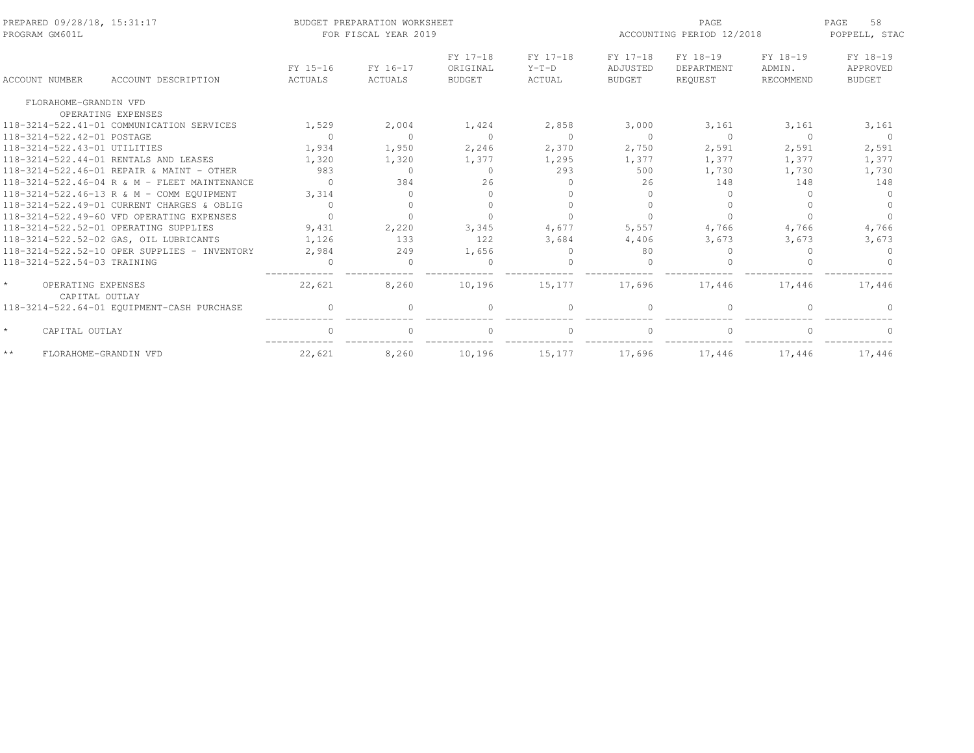| PREPARED 09/28/18, 15:31:17<br>PROGRAM GM601L   |                                              | BUDGET PREPARATION WORKSHEET<br>FOR FISCAL YEAR 2019 | ACCOUNTING PERIOD 12/2018 | 58<br>PAGE<br>POPPELL, STAC           |                               |                                       |                                   |                                 |                                       |
|-------------------------------------------------|----------------------------------------------|------------------------------------------------------|---------------------------|---------------------------------------|-------------------------------|---------------------------------------|-----------------------------------|---------------------------------|---------------------------------------|
| <b>ACCOUNT NUMBER</b>                           | ACCOUNT DESCRIPTION                          | FY 15-16<br>ACTUALS                                  | FY 16-17<br>ACTUALS       | FY 17-18<br>ORIGINAL<br><b>BUDGET</b> | FY 17-18<br>$Y-T-D$<br>ACTUAL | FY 17-18<br>ADJUSTED<br><b>BUDGET</b> | FY 18-19<br>DEPARTMENT<br>REOUEST | FY 18-19<br>ADMIN.<br>RECOMMEND | FY 18-19<br>APPROVED<br><b>BUDGET</b> |
| FLORAHOME-GRANDIN VFD                           |                                              |                                                      |                           |                                       |                               |                                       |                                   |                                 |                                       |
|                                                 | OPERATING EXPENSES                           |                                                      |                           |                                       |                               |                                       |                                   |                                 |                                       |
|                                                 | 118-3214-522.41-01 COMMUNICATION SERVICES    | 1,529                                                | 2,004                     | 1,424                                 | 2,858                         | 3,000                                 | 3,161                             | 3,161                           | 3,161                                 |
| 118-3214-522.42-01 POSTAGE                      |                                              | $\Omega$                                             | $\Omega$                  | $\Omega$                              | $\Omega$                      | $\Omega$                              | $\Omega$                          | $\Omega$                        | $\Omega$                              |
| 118-3214-522.43-01 UTILITIES                    |                                              | 1,934                                                | 1,950                     | 2,246                                 | 2,370                         | 2,750                                 | 2,591                             | 2,591                           | 2,591                                 |
| 118-3214-522.44-01 RENTALS AND LEASES           |                                              | 1,320                                                | 1,320                     | 1,377                                 | 1,295                         | 1,377                                 | 1,377                             | 1,377                           | 1,377                                 |
|                                                 | 118-3214-522.46-01 REPAIR & MAINT - OTHER    | 983                                                  | $\Omega$                  | $\Omega$                              | 293                           | 500                                   | 1,730                             | 1,730                           | 1,730                                 |
|                                                 | 118-3214-522.46-04 R & M - FLEET MAINTENANCE | $\cap$                                               | 384                       | 2.6                                   | $\Omega$                      | 2.6                                   | 148                               | 148                             | 148                                   |
|                                                 | 118-3214-522.46-13 R & M - COMM EQUIPMENT    | 3,314                                                | $\cap$                    |                                       | $\bigcap$                     |                                       |                                   | ∩                               |                                       |
|                                                 | 118-3214-522.49-01 CURRENT CHARGES & OBLIG   | $\Omega$                                             | $\Omega$                  | $\cap$                                | $\bigcap$                     |                                       |                                   | ∩                               |                                       |
|                                                 | 118-3214-522.49-60 VFD OPERATING EXPENSES    | $\bigcap$                                            | $\cap$                    |                                       |                               |                                       |                                   |                                 |                                       |
| 118-3214-522.52-01 OPERATING SUPPLIES           |                                              | 9,431                                                | 2,220                     | 3,345                                 | 4,677                         | 5,557                                 | 4,766                             | 4,766                           | 4,766                                 |
|                                                 | 118-3214-522.52-02 GAS, OIL LUBRICANTS       | 1,126                                                | 133                       | 122                                   | 3,684                         | 4,406                                 | 3,673                             | 3,673                           | 3,673                                 |
|                                                 | 118-3214-522.52-10 OPER SUPPLIES - INVENTORY | 2,984                                                | 249                       | 1,656                                 | $\Omega$                      | 80                                    | 0                                 |                                 |                                       |
| 118-3214-522.54-03 TRAINING                     |                                              |                                                      | $\cap$                    |                                       |                               |                                       |                                   |                                 |                                       |
| $\star$<br>OPERATING EXPENSES<br>CAPITAL OUTLAY |                                              | 22,621                                               | 8,260                     | 10,196                                | 15,177                        | 17.696                                | 17.446                            | 17.446                          | 17,446                                |
|                                                 | 118-3214-522.64-01 EQUIPMENT-CASH PURCHASE   | $\Omega$                                             |                           | $\Omega$                              | $\Omega$                      |                                       | $\Omega$                          |                                 |                                       |
| $\star$<br>CAPITAL OUTLAY                       |                                              | $\Omega$                                             | $\bigcap$                 | $\Omega$                              | $\Omega$                      |                                       | $\Omega$                          | $\cap$                          |                                       |
| $\star\,\star$<br>FLORAHOME-GRANDIN VFD         |                                              | 22,621                                               | 8,260                     | 10,196                                | 15,177                        | 17,696                                | 17,446                            | 17,446                          | 17,446                                |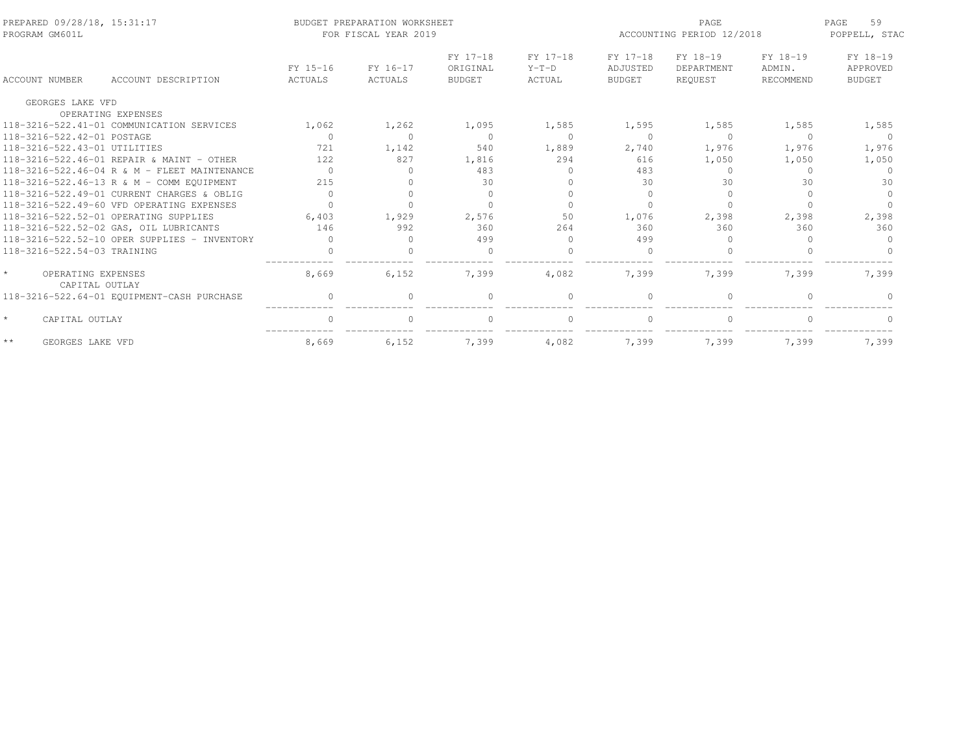| PREPARED 09/28/18, 15:31:17<br>PROGRAM GM601L   |                                              |                     | BUDGET PREPARATION WORKSHEET<br>FOR FISCAL YEAR 2019 |                                       |                               | PAGE<br>ACCOUNTING PERIOD 12/2018     |                                   |                                 |                                       |
|-------------------------------------------------|----------------------------------------------|---------------------|------------------------------------------------------|---------------------------------------|-------------------------------|---------------------------------------|-----------------------------------|---------------------------------|---------------------------------------|
| <b>ACCOUNT NUMBER</b>                           | ACCOUNT DESCRIPTION                          | FY 15-16<br>ACTUALS | FY 16-17<br><b>ACTUALS</b>                           | FY 17-18<br>ORIGINAL<br><b>BUDGET</b> | FY 17-18<br>$Y-T-D$<br>ACTUAL | FY 17-18<br>ADJUSTED<br><b>BUDGET</b> | FY 18-19<br>DEPARTMENT<br>REQUEST | FY 18-19<br>ADMIN.<br>RECOMMEND | FY 18-19<br>APPROVED<br><b>BUDGET</b> |
| GEORGES LAKE VFD                                |                                              |                     |                                                      |                                       |                               |                                       |                                   |                                 |                                       |
|                                                 | OPERATING EXPENSES                           |                     |                                                      |                                       |                               |                                       |                                   |                                 |                                       |
|                                                 | 118-3216-522.41-01 COMMUNICATION SERVICES    | 1,062               | 1,262                                                | 1,095                                 | 1,585                         | 1,595                                 | 1,585                             | 1,585                           | 1,585                                 |
| 118-3216-522.42-01 POSTAGE                      |                                              | $\Omega$            | $\Omega$                                             | $\Omega$                              | $\Omega$                      | $\bigcap$                             | $\Omega$                          | $\Omega$                        | $\Omega$                              |
| 118-3216-522.43-01 UTILITIES                    |                                              | 721                 | 1,142                                                | 540                                   | 1,889                         | 2,740                                 | 1,976                             | 1,976                           | 1,976                                 |
|                                                 | 118-3216-522.46-01 REPATR & MAINT - OTHER    | 122                 | 827                                                  | 1,816                                 | 294                           | 616                                   | 1,050                             | 1,050                           | 1,050                                 |
|                                                 | 118-3216-522.46-04 R & M - FLEET MAINTENANCE | $\Omega$            | <sup>0</sup>                                         | 483                                   | $\Omega$                      | 483                                   | $\Omega$                          |                                 | $\Omega$                              |
|                                                 | 118-3216-522.46-13 R & M - COMM EQUIPMENT    | 215                 | ∩                                                    | 30                                    |                               | 30                                    | 30                                | 30                              | 30                                    |
|                                                 | 118-3216-522.49-01 CURRENT CHARGES & OBLIG   | $\Omega$            | $\Omega$                                             | $\Omega$                              |                               | $\Omega$                              | $\Omega$                          |                                 | $\Omega$                              |
|                                                 | 118-3216-522.49-60 VFD OPERATING EXPENSES    |                     |                                                      |                                       |                               |                                       |                                   |                                 |                                       |
|                                                 | 118-3216-522.52-01 OPERATING SUPPLIES        | 6,403               | 1,929                                                | 2,576                                 | 50                            | 1,076                                 | 2,398                             | 2,398                           | 2,398                                 |
|                                                 | 118-3216-522.52-02 GAS, OIL LUBRICANTS       | 146                 | 992                                                  | 360                                   | 264                           | 360                                   | 360                               | 360                             | 360                                   |
|                                                 | 118-3216-522.52-10 OPER SUPPLIES - INVENTORY | $\bigcap$           | $\Omega$                                             | 499                                   | $\bigcap$                     | 499                                   | $\cup$                            |                                 | $\Omega$                              |
| 118-3216-522.54-03 TRAINING                     |                                              | $\cap$              |                                                      | $\cap$                                |                               | $\cap$                                |                                   |                                 |                                       |
| $\star$<br>OPERATING EXPENSES<br>CAPITAL OUTLAY |                                              | 8,669               | 6,152                                                | 7,399                                 | 4,082                         | 7,399                                 | 7,399                             | 7,399                           | 7,399                                 |
|                                                 | 118-3216-522.64-01 EQUIPMENT-CASH PURCHASE   | $\Omega$            | $\cap$                                               | $\cap$                                | $\Omega$                      | $\cap$                                | $\cap$                            |                                 |                                       |
| CAPITAL OUTLAY                                  |                                              | $\Omega$            | $\Omega$                                             | $\Omega$                              | $\Omega$                      | $\Omega$                              | $\Omega$                          | $\cap$                          | $\Omega$                              |
| $\star\star$<br>GEORGES LAKE VFD                |                                              | 8,669               | 6,152                                                | 7,399                                 | 4,082                         | 7,399                                 | 7,399                             | 7,399                           | 7,399                                 |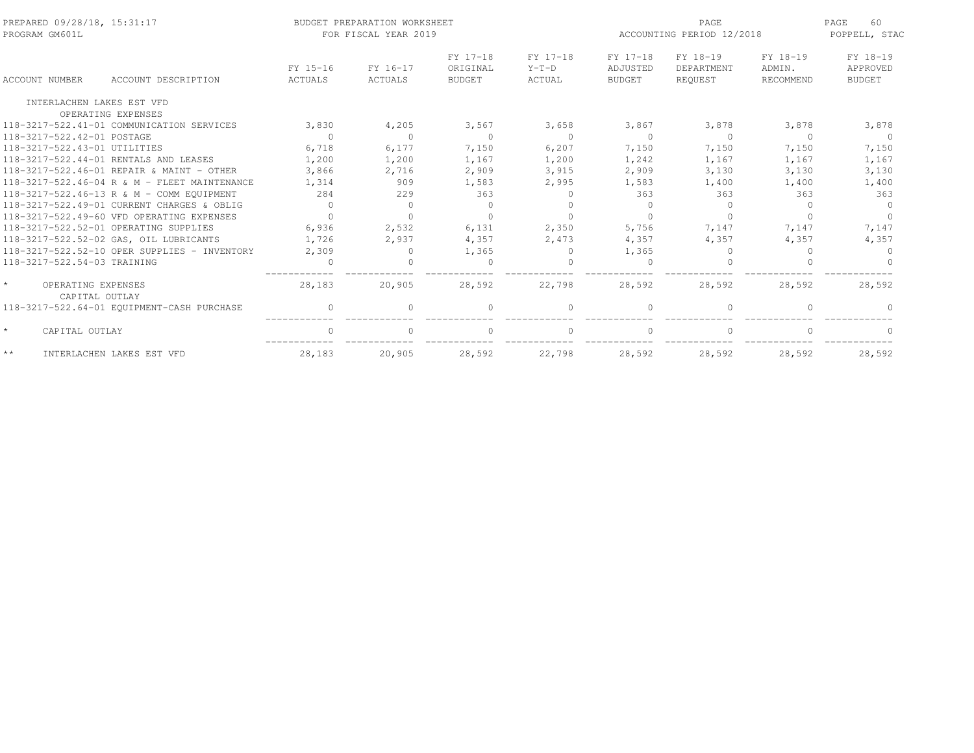| PREPARED 09/28/18, 15:31:17<br>PROGRAM GM601L   |                     |                     | BUDGET PREPARATION WORKSHEET<br>FOR FISCAL YEAR 2019 |                                       |                               |                                       | PAGE<br>ACCOUNTING PERIOD 12/2018 |                                 |                                       |
|-------------------------------------------------|---------------------|---------------------|------------------------------------------------------|---------------------------------------|-------------------------------|---------------------------------------|-----------------------------------|---------------------------------|---------------------------------------|
| ACCOUNT NUMBER                                  | ACCOUNT DESCRIPTION | FY 15-16<br>ACTUALS | FY 16-17<br>ACTUALS                                  | FY 17-18<br>ORIGINAL<br><b>BUDGET</b> | FY 17-18<br>$Y-T-D$<br>ACTUAL | FY 17-18<br>ADJUSTED<br><b>BUDGET</b> | FY 18-19<br>DEPARTMENT<br>REQUEST | FY 18-19<br>ADMIN.<br>RECOMMEND | FY 18-19<br>APPROVED<br><b>BUDGET</b> |
| INTERLACHEN LAKES EST VFD                       |                     |                     |                                                      |                                       |                               |                                       |                                   |                                 |                                       |
| OPERATING EXPENSES                              |                     |                     |                                                      |                                       |                               |                                       |                                   |                                 |                                       |
| 118-3217-522.41-01 COMMUNICATION SERVICES       |                     | 3,830               | 4,205                                                | 3,567                                 | 3,658                         | 3,867                                 | 3,878                             | 3,878                           | 3,878                                 |
| 118-3217-522.42-01 POSTAGE                      |                     | $\Omega$            | $\Omega$                                             | $\Omega$                              | $\bigcirc$                    | $\Omega$                              | $\Omega$                          | $\Omega$                        | $\Omega$                              |
| 118-3217-522.43-01 UTILITIES                    |                     | 6,718               | 6,177                                                | 7,150                                 | 6,207                         | 7,150                                 | 7,150                             | 7,150                           | 7,150                                 |
| 118-3217-522.44-01 RENTALS AND LEASES           |                     | 1,200               | 1,200                                                | 1,167                                 | 1,200                         | 1,242                                 | 1,167                             | 1,167                           | 1,167                                 |
| 118-3217-522.46-01 REPAIR & MAINT - OTHER       |                     | 3,866               | 2,716                                                | 2,909                                 | 3,915                         | 2,909                                 | 3,130                             | 3,130                           | 3,130                                 |
| 118-3217-522.46-04 R & M - FLEET MAINTENANCE    |                     | 1,314               | 909                                                  | 1,583                                 | 2,995                         | 1,583                                 | 1,400                             | 1,400                           | 1,400                                 |
| 118-3217-522.46-13 R & M - COMM EOUIPMENT       |                     | 284                 | 229                                                  | 363                                   | $\Omega$                      | 363                                   | 363                               | 363                             | 363                                   |
| 118-3217-522.49-01 CURRENT CHARGES & OBLIG      |                     | $\Omega$            | $\Omega$                                             | $\Omega$                              | $\cap$                        | $\Omega$                              | $\Omega$                          | $\cap$                          | $\Omega$                              |
| 118-3217-522.49-60 VFD OPERATING EXPENSES       |                     | $\bigcap$           | $\Omega$                                             | $\Omega$                              |                               |                                       |                                   |                                 | $\cap$                                |
| 118-3217-522.52-01 OPERATING SUPPLIES           |                     | 6,936               | 2,532                                                | 6,131                                 | 2,350                         | 5,756                                 | 7,147                             | 7,147                           | 7,147                                 |
| 118-3217-522.52-02 GAS, OIL LUBRICANTS          |                     | 1,726               | 2,937                                                | 4,357                                 | 2,473                         | 4,357                                 | 4,357                             | 4,357                           | 4,357                                 |
| 118-3217-522.52-10 OPER SUPPLIES - INVENTORY    |                     | 2,309               | $\Omega$                                             | 1,365                                 | $\Omega$                      | 1,365                                 | 0                                 |                                 | $\Omega$                              |
| 118-3217-522.54-03 TRAINING                     |                     |                     |                                                      |                                       |                               |                                       |                                   |                                 |                                       |
| $\star$<br>OPERATING EXPENSES<br>CAPITAL OUTLAY |                     | 28,183              | 20,905                                               | 28,592                                | 22,798                        | 28,592                                | 28,592                            | 28,592                          | 28,592                                |
| 118-3217-522.64-01 EQUIPMENT-CASH PURCHASE      |                     | $\cap$              | $\Omega$                                             | $\Omega$                              | $\bigcap$                     |                                       | $\Omega$                          |                                 |                                       |
| $\star$<br>CAPITAL OUTLAY                       |                     | $\cap$              | $\Omega$                                             | $\Omega$                              | $\Omega$                      |                                       | $\Omega$                          |                                 | $\Omega$                              |
| $\star\star$<br>INTERLACHEN LAKES EST VFD       |                     | 28,183              | 20,905                                               | 28,592                                | 22,798                        | 28,592                                | 28,592                            | 28,592                          | 28,592                                |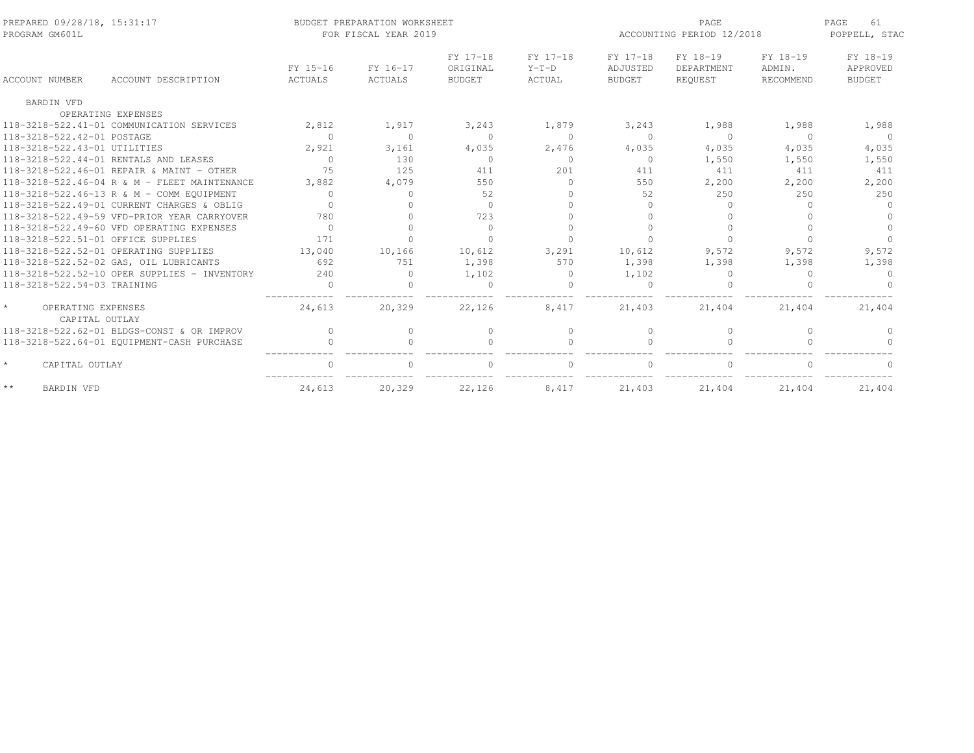| PREPARED 09/28/18, 15:31:17<br>PROGRAM GM601L |                                              |                     | BUDGET PREPARATION WORKSHEET<br>FOR FISCAL YEAR 2019 | ACCOUNTING PERIOD 12/2018             | PAGE<br>61<br>POPPELL, STAC   |                                       |                                   |                                 |                                       |
|-----------------------------------------------|----------------------------------------------|---------------------|------------------------------------------------------|---------------------------------------|-------------------------------|---------------------------------------|-----------------------------------|---------------------------------|---------------------------------------|
| ACCOUNT NUMBER                                | ACCOUNT DESCRIPTION                          | FY 15-16<br>ACTUALS | FY 16-17<br>ACTUALS                                  | FY 17-18<br>ORIGINAL<br><b>BUDGET</b> | FY 17-18<br>$Y-T-D$<br>ACTUAL | FY 17-18<br>ADJUSTED<br><b>BUDGET</b> | FY 18-19<br>DEPARTMENT<br>REOUEST | FY 18-19<br>ADMIN.<br>RECOMMEND | FY 18-19<br>APPROVED<br><b>BUDGET</b> |
| <b>BARDIN VFD</b>                             |                                              |                     |                                                      |                                       |                               |                                       |                                   |                                 |                                       |
|                                               | OPERATING EXPENSES                           |                     |                                                      |                                       |                               |                                       |                                   |                                 |                                       |
|                                               | 118-3218-522.41-01 COMMUNICATION SERVICES    | 2,812               | 1,917                                                | 3,243                                 | 1,879                         | 3,243                                 | 1,988                             | 1,988                           | 1,988                                 |
| 118-3218-522.42-01 POSTAGE                    |                                              | $\Omega$            | $\Omega$                                             | $\Omega$                              | $\Omega$                      | $\Omega$                              | $\Omega$                          | $\Omega$                        | $\Omega$                              |
| 118-3218-522.43-01 UTILITIES                  |                                              | 2,921               | 3,161                                                | 4,035                                 | 2,476                         | 4,035                                 | 4,035                             | 4,035                           | 4,035                                 |
| 118-3218-522.44-01 RENTALS AND LEASES         |                                              | $\Omega$            | 130                                                  | $\Omega$                              | $\Omega$                      | $\Omega$                              | 1,550                             | 1,550                           | 1,550                                 |
|                                               | 118-3218-522.46-01 REPAIR & MAINT - OTHER    | 75                  | 125                                                  | 411                                   | 201                           | 411                                   | 411                               | 411                             | 411                                   |
|                                               | 118-3218-522.46-04 R & M - FLEET MAINTENANCE | 3,882               | 4,079                                                | 550                                   | $\Omega$                      | 550                                   | 2,200                             | 2,200                           | 2,200                                 |
|                                               | 118-3218-522.46-13 R & M - COMM EQUIPMENT    | $\bigcap$           | $\Omega$                                             | 52                                    | $\cap$                        | 52                                    | 250                               | 250                             | 250                                   |
|                                               | 118-3218-522.49-01 CURRENT CHARGES & OBLIG   | $\bigcap$           | $\cap$                                               | $\Omega$                              |                               |                                       | <sup>n</sup>                      | $\cap$                          | $\Omega$                              |
|                                               | 118-3218-522.49-59 VFD-PRIOR YEAR CARRYOVER  | 780                 | $\Omega$                                             | 723                                   | $\Omega$                      |                                       |                                   |                                 | $\Omega$                              |
|                                               | 118-3218-522.49-60 VFD OPERATING EXPENSES    | $\Omega$            | $\Omega$                                             | $\Omega$                              | $\Omega$                      |                                       |                                   |                                 | $\Omega$                              |
| 118-3218-522.51-01 OFFICE SUPPLIES            |                                              | 171                 | $\cap$                                               | $\Omega$                              |                               |                                       |                                   |                                 |                                       |
| 118-3218-522.52-01 OPERATING SUPPLIES         |                                              | 13,040              | 10,166                                               | 10,612                                | 3,291                         | 10,612                                | 9,572                             | 9,572                           | 9,572                                 |
|                                               | 118-3218-522.52-02 GAS, OIL LUBRICANTS       | 692                 | 751                                                  | 1,398                                 | 570                           | 1,398                                 | 1,398                             | 1,398                           | 1,398                                 |
|                                               | 118-3218-522.52-10 OPER SUPPLIES - INVENTORY | 240                 | $\Omega$                                             | 1,102                                 | $\mathbf{0}$                  | 1,102                                 | $\Omega$                          | $\Omega$                        | $\Omega$                              |
| 118-3218-522.54-03 TRAINING                   |                                              | $\Omega$            | $\cap$                                               | $\Omega$                              | $\cap$                        |                                       |                                   |                                 |                                       |
| OPERATING EXPENSES<br>CAPITAL OUTLAY          |                                              | 24,613              | 20,329                                               | 22,126                                | 8,417                         | 21,403                                | 21,404                            | 21,404                          | 21,404                                |
|                                               | 118-3218-522.62-01 BLDGS-CONST & OR IMPROV   | $\Omega$            | $\Omega$                                             | $\mathbf{0}$                          | $\Omega$                      | $\Omega$                              | $\Omega$                          | $\Omega$                        | $\Omega$                              |
|                                               | 118-3218-522.64-01 EQUIPMENT-CASH PURCHASE   | $\bigcap$           | $\cap$                                               | $\Omega$                              | $\bigcap$                     |                                       | $\bigcap$                         |                                 | $\cap$                                |
| $\star$<br>CAPITAL OUTLAY                     |                                              | $\cap$              | $\cap$                                               |                                       | $\cap$                        |                                       |                                   |                                 |                                       |
| $\star\,\star$<br>BARDIN VFD                  |                                              | 24,613              | 20,329                                               | 22,126                                | 8,417                         | 21,403                                | 21,404                            | 21,404                          | 21,404                                |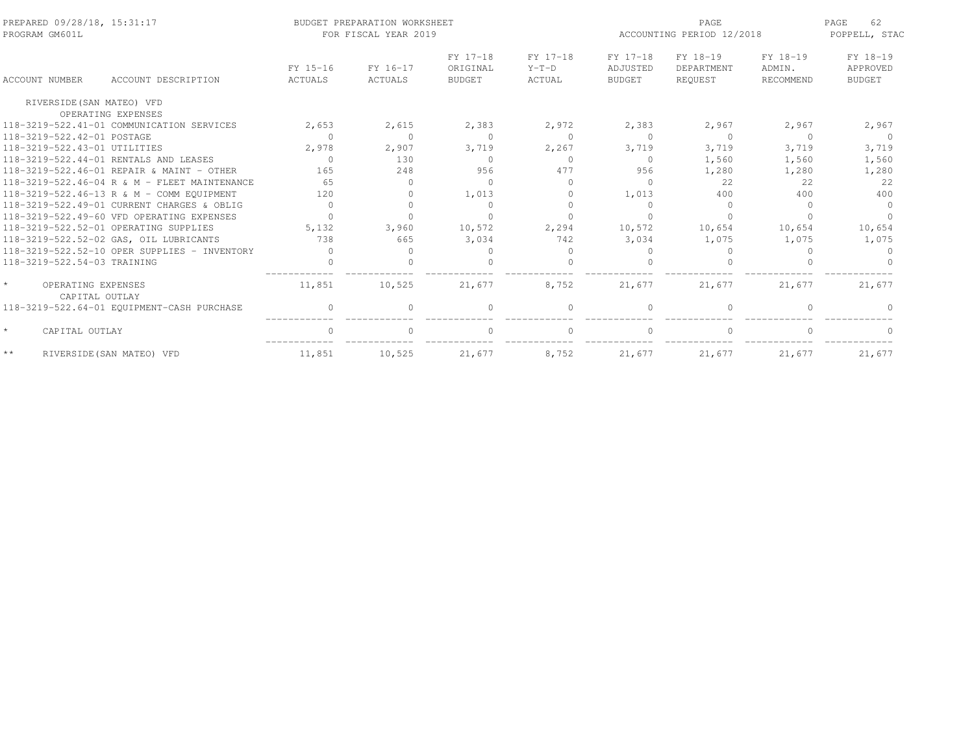| PREPARED 09/28/18, 15:31:17<br>PROGRAM GM601L |                                              |                     | BUDGET PREPARATION WORKSHEET<br>FOR FISCAL YEAR 2019 |                                       |                               | PAGE<br>ACCOUNTING PERIOD 12/2018     |                                   |                                 | 62<br>PAGE<br>POPPELL, STAC           |  |
|-----------------------------------------------|----------------------------------------------|---------------------|------------------------------------------------------|---------------------------------------|-------------------------------|---------------------------------------|-----------------------------------|---------------------------------|---------------------------------------|--|
| <b>ACCOUNT NUMBER</b>                         | ACCOUNT DESCRIPTION                          | FY 15-16<br>ACTUALS | FY 16-17<br>ACTUALS                                  | FY 17-18<br>ORIGINAL<br><b>BUDGET</b> | FY 17-18<br>$Y-T-D$<br>ACTUAL | FY 17-18<br>ADJUSTED<br><b>BUDGET</b> | FY 18-19<br>DEPARTMENT<br>REQUEST | FY 18-19<br>ADMIN.<br>RECOMMEND | FY 18-19<br>APPROVED<br><b>BUDGET</b> |  |
| RIVERSIDE (SAN MATEO) VFD                     |                                              |                     |                                                      |                                       |                               |                                       |                                   |                                 |                                       |  |
|                                               | OPERATING EXPENSES                           |                     |                                                      |                                       |                               |                                       |                                   |                                 |                                       |  |
|                                               | 118-3219-522.41-01 COMMUNICATION SERVICES    | 2,653               | 2,615                                                | 2,383                                 | 2,972                         | 2,383                                 | 2,967                             | 2,967                           | 2,967                                 |  |
| 118-3219-522.42-01 POSTAGE                    |                                              | $\Omega$            | $\Omega$                                             | $\Omega$                              | $\Omega$                      | $\Omega$                              | $\Omega$                          | $\Omega$                        | $\Omega$                              |  |
| 118-3219-522.43-01 UTILITIES                  |                                              | 2,978               | 2,907                                                | 3,719                                 | 2,267                         | 3,719                                 | 3,719                             | 3,719                           | 3,719                                 |  |
|                                               | 118-3219-522.44-01 RENTALS AND LEASES        | $\Omega$            | 130                                                  | $\Omega$                              | $\Omega$                      | $\Omega$                              | 1,560                             | 1,560                           | 1,560                                 |  |
|                                               | 118-3219-522.46-01 REPAIR & MAINT - OTHER    | 165                 | 248                                                  | 956                                   | 477                           | 956                                   | 1,280                             | 1,280                           | 1,280                                 |  |
|                                               | 118-3219-522.46-04 R & M - FLEET MAINTENANCE | 65                  | $\Omega$                                             | $\Omega$                              | $\Omega$                      | $\Omega$                              | 22                                | 22.2                            | 22                                    |  |
|                                               | 118-3219-522.46-13 R & M - COMM EOUIPMENT    | 120                 | $\Omega$                                             | 1,013                                 | $\Omega$                      | 1,013                                 | 400                               | 400                             | 400                                   |  |
|                                               | 118-3219-522.49-01 CURRENT CHARGES & OBLIG   | $\Omega$            | $\Omega$                                             | $\Omega$                              | $\Omega$                      |                                       | $\Omega$                          | ∩                               | $\Omega$                              |  |
|                                               | 118-3219-522.49-60 VFD OPERATING EXPENSES    | $\Omega$            | $\cap$                                               | $\cap$                                |                               |                                       |                                   |                                 |                                       |  |
|                                               | 118-3219-522.52-01 OPERATING SUPPLIES        | 5,132               | 3,960                                                | 10,572                                | 2,294                         | 10,572                                | 10,654                            | 10,654                          | 10,654                                |  |
|                                               | 118-3219-522.52-02 GAS, OIL LUBRICANTS       | 738                 | 665                                                  | 3,034                                 | 742                           | 3,034                                 | 1,075                             | 1,075                           | 1,075                                 |  |
|                                               | 118-3219-522.52-10 OPER SUPPLIES - INVENTORY | $\Omega$            | <sup>0</sup>                                         | $\Omega$                              | $\Omega$                      |                                       |                                   |                                 |                                       |  |
| 118-3219-522.54-03 TRAINING                   |                                              |                     |                                                      |                                       |                               |                                       |                                   |                                 |                                       |  |
| OPERATING EXPENSES<br>CAPITAL OUTLAY          |                                              | 11,851              | 10,525                                               | 21,677                                | 8,752                         | 21,677                                | 21,677                            | 21,677                          | 21,677                                |  |
|                                               | 118-3219-522.64-01 EQUIPMENT-CASH PURCHASE   | $\Omega$            | $\Omega$                                             | $\Omega$                              | $\Omega$                      |                                       | $\Omega$                          |                                 |                                       |  |
| $\star$<br>CAPITAL OUTLAY                     |                                              | $\Omega$            | $\Omega$                                             | $\Omega$                              | $\Omega$                      |                                       | $\bigcap$                         | ∩                               | $\Omega$                              |  |
| $\star\,\star$                                | RIVERSIDE (SAN MATEO) VFD                    | 11,851              | 10,525                                               | 21,677                                | 8,752                         | 21,677                                | 21,677                            | 21,677                          | 21,677                                |  |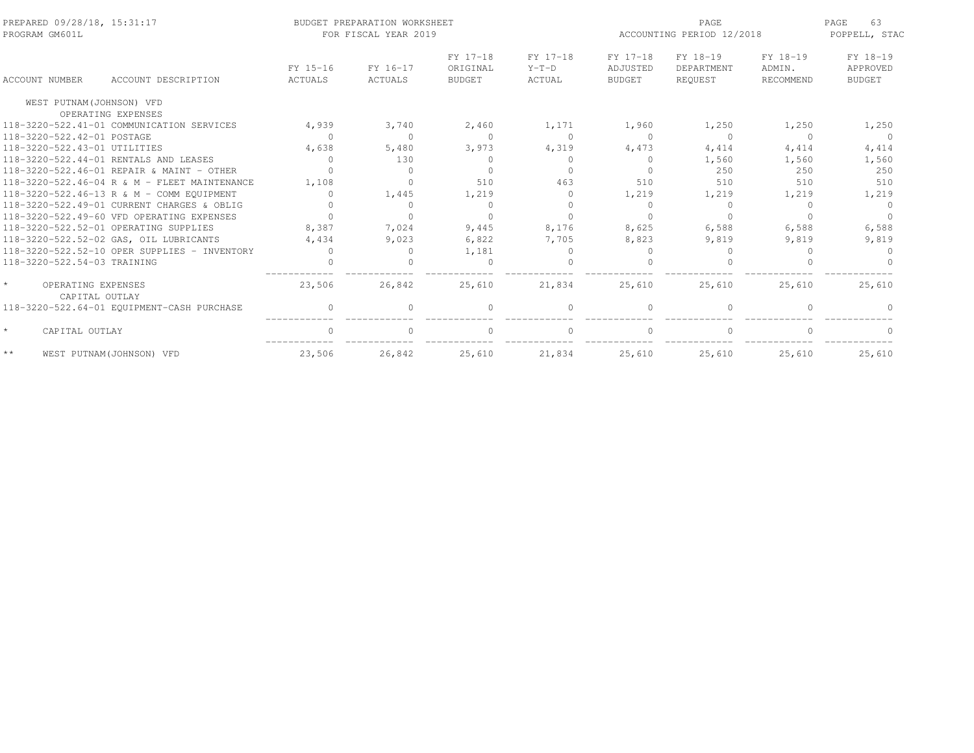| PREPARED 09/28/18, 15:31:17<br>PROGRAM GM601L   |                                              |                     | BUDGET PREPARATION WORKSHEET<br>FOR FISCAL YEAR 2019 |                                       |                               | PAGE<br>ACCOUNTING PERIOD 12/2018     |                                   |                                 |                                       |
|-------------------------------------------------|----------------------------------------------|---------------------|------------------------------------------------------|---------------------------------------|-------------------------------|---------------------------------------|-----------------------------------|---------------------------------|---------------------------------------|
| <b>ACCOUNT NUMBER</b>                           | ACCOUNT DESCRIPTION                          | FY 15-16<br>ACTUALS | FY 16-17<br>ACTUALS                                  | FY 17-18<br>ORIGINAL<br><b>BUDGET</b> | FY 17-18<br>$Y-T-D$<br>ACTUAL | FY 17-18<br>ADJUSTED<br><b>BUDGET</b> | FY 18-19<br>DEPARTMENT<br>REQUEST | FY 18-19<br>ADMIN.<br>RECOMMEND | FY 18-19<br>APPROVED<br><b>BUDGET</b> |
| WEST PUTNAM (JOHNSON) VFD                       |                                              |                     |                                                      |                                       |                               |                                       |                                   |                                 |                                       |
|                                                 | OPERATING EXPENSES                           |                     |                                                      |                                       |                               |                                       |                                   |                                 |                                       |
|                                                 | 118-3220-522.41-01 COMMUNICATION SERVICES    | 4,939               | 3,740                                                | 2,460                                 | 1,171                         | 1,960                                 | 1,250                             | 1,250                           | 1,250                                 |
| 118-3220-522.42-01 POSTAGE                      |                                              | $\bigcap$           | $\Omega$                                             | $\Omega$                              | $\Omega$                      | $\Omega$                              | $\bigcap$                         | $\Omega$                        | $\cap$                                |
| 118-3220-522.43-01 UTILITIES                    |                                              | 4,638               | 5,480                                                | 3,973                                 | 4,319                         | 4,473                                 | 4,414                             | 4,414                           | 4,414                                 |
|                                                 | 118-3220-522.44-01 RENTALS AND LEASES        | $\bigcap$           | 130                                                  | $\Omega$                              | $\bigcap$                     | $\bigcap$                             | 1,560                             | 1,560                           | 1,560                                 |
|                                                 | 118-3220-522.46-01 REPAIR & MAINT - OTHER    |                     | $\Omega$                                             | $\cap$                                | $\cap$                        |                                       | 250                               | 250                             | 250                                   |
|                                                 | 118-3220-522.46-04 R & M - FLEET MAINTENANCE | 1,108               | $\Omega$                                             | 510                                   | 463                           | 510                                   | 510                               | 510                             | 510                                   |
|                                                 | 118-3220-522.46-13 R & M - COMM EOUIPMENT    | $\cup$              | 1,445                                                | 1,219                                 | $\Omega$                      | 1,219                                 | 1,219                             | 1,219                           | 1,219                                 |
|                                                 | 118-3220-522.49-01 CURRENT CHARGES & OBLIG   |                     | $\Omega$                                             | $\Omega$                              | $\cap$                        | $\Omega$                              | $\Omega$                          | ∩                               | $\Omega$                              |
|                                                 | 118-3220-522.49-60 VFD OPERATING EXPENSES    |                     | $\cap$                                               | $\cap$                                |                               |                                       |                                   |                                 |                                       |
|                                                 | 118-3220-522.52-01 OPERATING SUPPLIES        | 8,387               | 7,024                                                | 9,445                                 | 8,176                         | 8,625                                 | 6,588                             | 6,588                           | 6,588                                 |
|                                                 | 118-3220-522.52-02 GAS, OIL LUBRICANTS       | 4,434               | 9,023                                                | 6,822                                 | 7,705                         | 8,823                                 | 9,819                             | 9,819                           | 9,819                                 |
|                                                 | 118-3220-522.52-10 OPER SUPPLIES - INVENTORY |                     | $\Omega$                                             | 1,181                                 | $\Omega$                      |                                       |                                   |                                 |                                       |
| 118-3220-522.54-03 TRAINING                     |                                              |                     |                                                      |                                       |                               |                                       |                                   |                                 |                                       |
| $\star$<br>OPERATING EXPENSES<br>CAPITAL OUTLAY |                                              | 23,506              | 26,842                                               | 25,610                                | 21,834                        | 25,610                                | 25,610                            | 25,610                          | 25,610                                |
|                                                 | 118-3220-522.64-01 EQUIPMENT-CASH PURCHASE   | $\Omega$            | $\Omega$                                             | $\Omega$                              | $\bigcap$                     |                                       | $\Omega$                          |                                 |                                       |
| $\star$<br>CAPITAL OUTLAY                       |                                              | $\cap$              | $\Omega$                                             | $\Omega$                              | $\Omega$                      |                                       | $\cap$                            |                                 | $\Omega$                              |
| $\star\star$                                    | WEST PUTNAM(JOHNSON) VFD                     | 23,506              | 26,842                                               | 25,610                                | 21,834                        | 25,610                                | 25,610                            | 25,610                          | 25,610                                |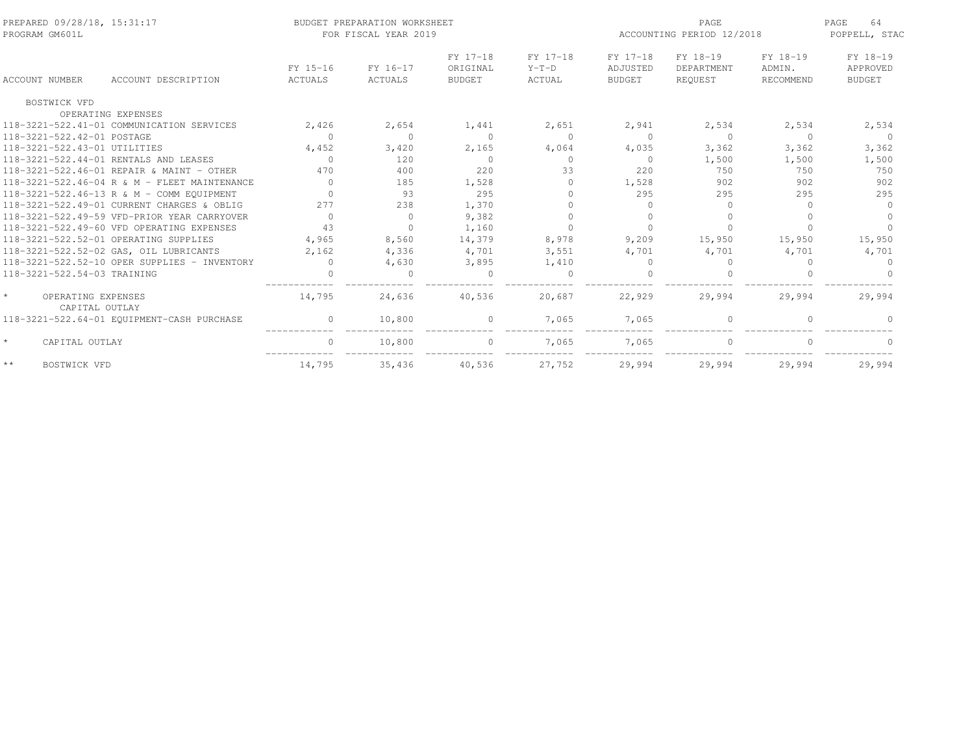| PREPARED 09/28/18, 15:31:17<br>PROGRAM GM601L  |                            | BUDGET PREPARATION WORKSHEET<br>FOR FISCAL YEAR 2019 |                                       |                               | ACCOUNTING PERIOD 12/2018             | 64<br>PAGE<br>POPPELL, STAC       |                                 |                                       |
|------------------------------------------------|----------------------------|------------------------------------------------------|---------------------------------------|-------------------------------|---------------------------------------|-----------------------------------|---------------------------------|---------------------------------------|
| <b>ACCOUNT NUMBER</b><br>ACCOUNT DESCRIPTION   | FY 15-16<br><b>ACTUALS</b> | FY 16-17<br><b>ACTUALS</b>                           | FY 17-18<br>ORIGINAL<br><b>BUDGET</b> | FY 17-18<br>$Y-T-D$<br>ACTUAL | FY 17-18<br>ADJUSTED<br><b>BUDGET</b> | FY 18-19<br>DEPARTMENT<br>REOUEST | FY 18-19<br>ADMIN.<br>RECOMMEND | FY 18-19<br>APPROVED<br><b>BUDGET</b> |
| BOSTWICK VFD                                   |                            |                                                      |                                       |                               |                                       |                                   |                                 |                                       |
| OPERATING EXPENSES                             |                            |                                                      |                                       |                               |                                       |                                   |                                 |                                       |
| 118-3221-522.41-01 COMMUNICATION SERVICES      | 2,426                      | 2,654                                                | 1,441                                 | 2,651                         | 2,941                                 | 2,534                             | 2,534                           | 2,534                                 |
| 118-3221-522.42-01 POSTAGE                     | $\Omega$                   | $\Omega$                                             | $\Omega$                              | $\Omega$                      | $\Omega$                              | $\Omega$                          | $\Omega$                        | $\Omega$                              |
| 118-3221-522.43-01 UTILITIES                   | 4,452                      | 3,420                                                | 2,165                                 | 4,064                         | 4,035                                 | 3,362                             | 3,362                           | 3,362                                 |
| 118-3221-522.44-01 RENTALS AND LEASES          | $\Omega$                   | 120                                                  | $\Omega$                              | $\Omega$                      | $\Omega$                              | 1,500                             | 1,500                           | 1,500                                 |
| 118-3221-522.46-01 REPAIR & MAINT - OTHER      | 470                        | 400                                                  | 220                                   | 33                            | 220                                   | 750                               | 750                             | 750                                   |
| 118-3221-522.46-04 R & M - FLEET MAINTENANCE   | $\Omega$                   | 185                                                  | 1,528                                 | $\bigcap$                     | 1,528                                 | 902                               | 902                             | 902                                   |
| 118-3221-522.46-13 R & M - COMM EQUIPMENT      | $\Omega$                   | 93                                                   | 295                                   |                               | 295                                   | 295                               | 295                             | 295                                   |
| 118-3221-522.49-01 CURRENT CHARGES & OBLIG     | 277                        | 238                                                  | 1,370                                 | $\Omega$                      |                                       | $\cap$                            |                                 | $\Omega$                              |
| 118-3221-522.49-59 VFD-PRIOR YEAR CARRYOVER    | $\Omega$                   | $\Omega$                                             | 9,382                                 |                               |                                       |                                   |                                 | $\cap$                                |
| 118-3221-522.49-60 VFD OPERATING EXPENSES      | 43                         | $\Omega$                                             | 1,160                                 | $\Omega$                      |                                       |                                   |                                 | $\Omega$                              |
| 118-3221-522.52-01 OPERATING SUPPLIES          | 4,965                      | 8,560                                                | 14,379                                | 8,978                         | 9,209                                 | 15,950                            | 15,950                          | 15,950                                |
| 118-3221-522.52-02 GAS, OIL LUBRICANTS         | 2,162                      | 4,336                                                | 4,701                                 | 3,551                         | 4,701                                 | 4,701                             | 4,701                           | 4,701                                 |
| $118-3221-522.52-10$ OPER SUPPLIES - INVENTORY | $\Omega$                   | 4,630                                                | 3,895                                 | 1,410                         |                                       | $\Omega$                          | $\cap$                          | $\Omega$                              |
| 118-3221-522.54-03 TRAINING                    | $\bigcap$                  | $\Omega$                                             | $\Omega$                              | $\Omega$                      |                                       | $\Omega$                          |                                 | $\Omega$                              |
| OPERATING EXPENSES<br>CAPITAL OUTLAY           | 14,795                     | 24,636                                               | 40,536                                | 20,687                        | 22,929                                | 29,994                            | 29,994                          | 29,994                                |
| 118-3221-522.64-01 EQUIPMENT-CASH PURCHASE     | $\Omega$                   | 10,800                                               | $\Omega$                              | 7,065                         | 7,065                                 | $\Omega$                          |                                 |                                       |
| $\star$<br>CAPITAL OUTLAY                      | $\Omega$                   | 10,800                                               | $\mathbf{0}$                          | 7,065                         | 7.065                                 | $\Omega$                          |                                 |                                       |
| $\star\,\star$<br><b>BOSTWICK VFD</b>          | 14,795                     | 35,436                                               | 40,536                                | 27,752                        | 29,994                                | 29,994                            | 29,994                          | 29,994                                |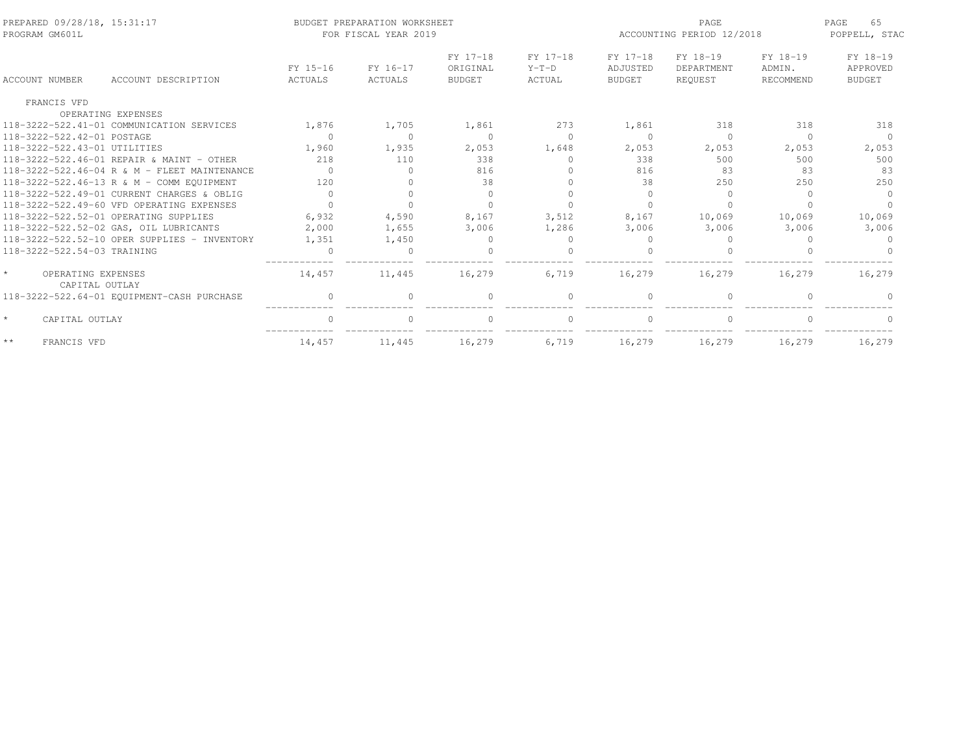| PREPARED 09/28/18, 15:31:17<br>PROGRAM GM601L |                                              |                            | BUDGET PREPARATION WORKSHEET<br>FOR FISCAL YEAR 2019 |                                       | PAGE<br>ACCOUNTING PERIOD 12/2018 |                                       |                                   | 65<br>PAGE<br>POPPELL, STAC     |                                       |
|-----------------------------------------------|----------------------------------------------|----------------------------|------------------------------------------------------|---------------------------------------|-----------------------------------|---------------------------------------|-----------------------------------|---------------------------------|---------------------------------------|
| <b>ACCOUNT NUMBER</b>                         | ACCOUNT DESCRIPTION                          | FY 15-16<br><b>ACTUALS</b> | FY 16-17<br>ACTUALS                                  | FY 17-18<br>ORIGINAL<br><b>BUDGET</b> | FY 17-18<br>$Y-T-D$<br>ACTUAL     | FY 17-18<br>ADJUSTED<br><b>BUDGET</b> | FY 18-19<br>DEPARTMENT<br>REQUEST | FY 18-19<br>ADMIN.<br>RECOMMEND | FY 18-19<br>APPROVED<br><b>BUDGET</b> |
| FRANCIS VFD                                   |                                              |                            |                                                      |                                       |                                   |                                       |                                   |                                 |                                       |
|                                               | OPERATING EXPENSES                           |                            |                                                      |                                       |                                   |                                       |                                   |                                 |                                       |
|                                               | 118-3222-522.41-01 COMMUNICATION SERVICES    | 1,876                      | 1,705                                                | 1,861                                 | 273                               | 1,861                                 | 318                               | 318                             | 318                                   |
| 118-3222-522.42-01 POSTAGE                    |                                              | $\Omega$                   | $\Omega$                                             | $\Omega$                              | $\Omega$                          | $\bigcap$                             | $\Omega$                          | $\cap$                          | $\Omega$                              |
| 118-3222-522.43-01 UTILITIES                  |                                              | 1,960                      | 1,935                                                | 2,053                                 | 1,648                             | 2,053                                 | 2,053                             | 2,053                           | 2,053                                 |
|                                               | 118-3222-522.46-01 REPATR & MAINT - OTHER    | 218                        | 110                                                  | 338                                   | $\bigcap$                         | 338                                   | 500                               | 500                             | 500                                   |
|                                               | 118-3222-522.46-04 R & M - FLEET MAINTENANCE | $\Omega$                   | <sup>0</sup>                                         | 816                                   |                                   | 816                                   | 83                                | 83                              | 83                                    |
|                                               | 118-3222-522.46-13 R & M - COMM EQUIPMENT    | 120                        | ∩                                                    | 38                                    |                                   | 38                                    | 250                               | 250                             | 250                                   |
|                                               | 118-3222-522.49-01 CURRENT CHARGES & OBLIG   | $\Omega$                   |                                                      | $\Omega$                              |                                   |                                       | $\cup$                            |                                 | $\Omega$                              |
|                                               | 118-3222-522.49-60 VFD OPERATING EXPENSES    |                            |                                                      |                                       |                                   |                                       |                                   |                                 |                                       |
|                                               | 118-3222-522.52-01 OPERATING SUPPLIES        | 6,932                      | 4,590                                                | 8,167                                 | 3,512                             | 8,167                                 | 10,069                            | 10,069                          | 10,069                                |
|                                               | 118-3222-522.52-02 GAS, OIL LUBRICANTS       | 2,000                      | 1,655                                                | 3,006                                 | 1,286                             | 3,006                                 | 3,006                             | 3,006                           | 3,006                                 |
|                                               | 118-3222-522.52-10 OPER SUPPLIES - INVENTORY | 1,351                      | 1,450                                                | $\Omega$                              | $\bigcap$                         |                                       |                                   |                                 | $\Omega$                              |
| 118-3222-522.54-03 TRAINING                   |                                              | $\Omega$                   | $\cap$                                               |                                       |                                   |                                       |                                   |                                 |                                       |
| OPERATING EXPENSES<br>CAPITAL OUTLAY          |                                              | 14,457                     | 11,445                                               | 16,279                                | 6,719                             | 16,279                                | 16,279                            | 16,279                          | 16,279                                |
|                                               | 118-3222-522.64-01 EQUIPMENT-CASH PURCHASE   | $\Omega$                   | $\cap$                                               | $\cap$                                | $\Omega$                          | $\cap$                                | $\cap$                            |                                 |                                       |
| CAPITAL OUTLAY                                |                                              | $\Omega$                   | $\Omega$                                             | $\Omega$                              | $\Omega$                          | $\Omega$                              | $\Omega$                          | $\cap$                          |                                       |
| $\star\star$<br>FRANCIS VFD                   |                                              | 14,457                     | 11,445                                               | 16,279                                | 6,719                             | 16,279                                | 16,279                            | 16,279                          | 16,279                                |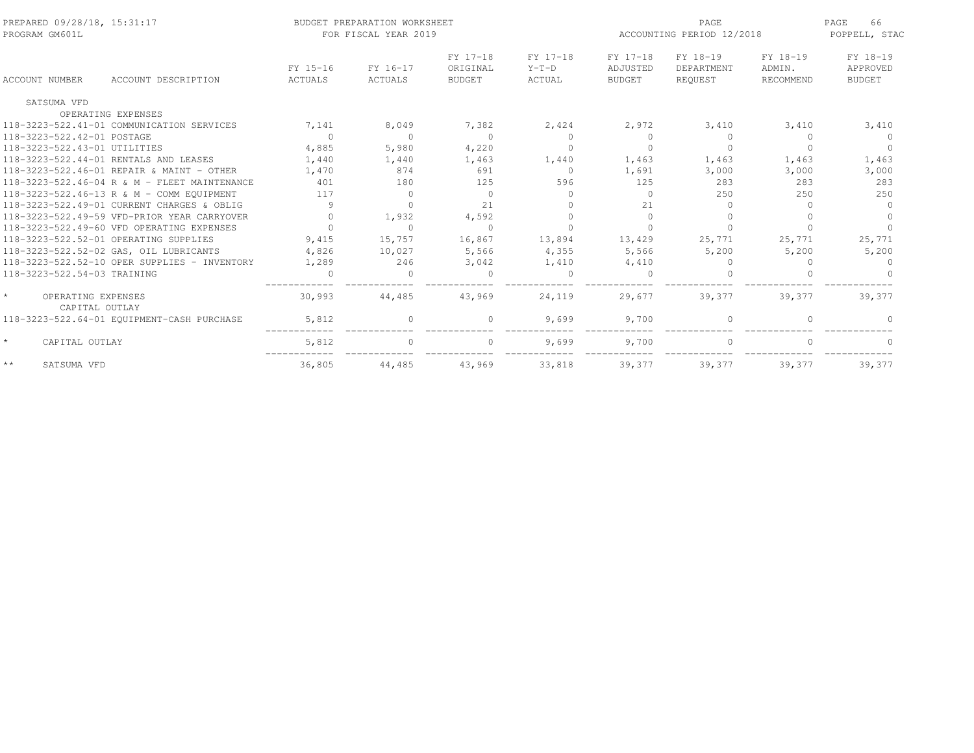| PREPARED 09/28/18, 15:31:17<br>PROGRAM GM601L |                            | BUDGET PREPARATION WORKSHEET<br>FOR FISCAL YEAR 2019 |                                       |                               | ACCOUNTING PERIOD 12/2018             | 66<br>PAGE<br>POPPELL, STAC       |                                 |                                       |
|-----------------------------------------------|----------------------------|------------------------------------------------------|---------------------------------------|-------------------------------|---------------------------------------|-----------------------------------|---------------------------------|---------------------------------------|
| <b>ACCOUNT NUMBER</b><br>ACCOUNT DESCRIPTION  | FY 15-16<br><b>ACTUALS</b> | FY 16-17<br>ACTUALS                                  | FY 17-18<br>ORIGINAL<br><b>BUDGET</b> | FY 17-18<br>$Y-T-D$<br>ACTUAL | FY 17-18<br>ADJUSTED<br><b>BUDGET</b> | FY 18-19<br>DEPARTMENT<br>REOUEST | FY 18-19<br>ADMIN.<br>RECOMMEND | FY 18-19<br>APPROVED<br><b>BUDGET</b> |
| SATSUMA VFD                                   |                            |                                                      |                                       |                               |                                       |                                   |                                 |                                       |
| OPERATING EXPENSES                            |                            |                                                      |                                       |                               |                                       |                                   |                                 |                                       |
| 118-3223-522.41-01 COMMUNICATION SERVICES     | 7,141                      | 8,049                                                | 7,382                                 | 2,424                         | 2,972                                 | 3,410                             | 3,410                           | 3,410                                 |
| 118-3223-522.42-01 POSTAGE                    | $\Omega$                   | $\Omega$                                             | $\Omega$                              | $\Omega$                      | $\cap$                                | $\Omega$                          | $\Omega$                        | $\Omega$                              |
| 118-3223-522.43-01 UTILITIES                  | 4,885                      | 5,980                                                | 4,220                                 | $\Omega$                      | $\Omega$                              | $\Omega$                          | $\Omega$                        | $\Omega$                              |
| 118-3223-522.44-01 RENTALS AND LEASES         | 1,440                      | 1,440                                                | 1,463                                 | 1,440                         | 1,463                                 | 1,463                             | 1,463                           | 1,463                                 |
| 118-3223-522.46-01 REPAIR & MAINT - OTHER     | 1,470                      | 874                                                  | 691                                   | $\Omega$                      | 1,691                                 | 3,000                             | 3,000                           | 3,000                                 |
| 118-3223-522.46-04 R & M - FLEET MAINTENANCE  | 401                        | 180                                                  | 125                                   | 596                           | 125                                   | 283                               | 283                             | 283                                   |
| 118-3223-522.46-13 R & M - COMM EQUIPMENT     | 117                        | $\Omega$                                             | $\Omega$                              | $\bigcap$                     |                                       | 250                               | 250                             | 250                                   |
| 118-3223-522.49-01 CURRENT CHARGES & OBLIG    | 9                          | $\Omega$                                             | 21                                    |                               | 21                                    | $\Omega$                          |                                 | $\Omega$                              |
| 118-3223-522.49-59 VFD-PRIOR YEAR CARRYOVER   | $\cap$                     | 1,932                                                | 4,592                                 |                               | $\bigcap$                             |                                   |                                 | $\cap$                                |
| 118-3223-522.49-60 VFD OPERATING EXPENSES     | $\bigcap$                  | $\Omega$                                             | $\Omega$                              |                               |                                       |                                   |                                 |                                       |
| 118-3223-522.52-01 OPERATING SUPPLIES         | 9,415                      | 15,757                                               | 16,867                                | 13,894                        | 13,429                                | 25,771                            | 25,771                          | 25,771                                |
| 118-3223-522.52-02 GAS, OIL LUBRICANTS        | 4,826                      | 10,027                                               | 5,566                                 | 4,355                         | 5,566                                 | 5,200                             | 5,200                           | 5,200                                 |
| 118-3223-522.52-10 OPER SUPPLIES - INVENTORY  | 1,289                      | 246                                                  | 3,042                                 | 1,410                         | 4,410                                 | $\Omega$                          | $\cap$                          | $\Omega$                              |
| 118-3223-522.54-03 TRAINING                   | $\bigcap$                  | $\Omega$                                             | $\Omega$                              | $\Omega$                      | $\bigcap$                             | $\Omega$                          |                                 |                                       |
| OPERATING EXPENSES<br>CAPITAL OUTLAY          | 30,993                     | 44,485                                               | 43,969                                | 24,119                        | 29.677                                | 39,377                            | 39.377                          | 39,377                                |
| 118-3223-522.64-01 EQUIPMENT-CASH PURCHASE    | 5,812                      | <sup>0</sup>                                         | $\Omega$                              | 9,699                         | 9,700                                 | $\Omega$                          |                                 |                                       |
| $\star$<br>CAPITAL OUTLAY                     | 5,812                      | $\Omega$                                             | $\Omega$                              | 9,699                         | 9,700                                 | $\Omega$                          |                                 |                                       |
| $\star\,\star$<br>SATSUMA VFD                 | 36,805                     | 44,485                                               | 43,969                                | 33,818                        | 39,377                                | 39,377                            | 39,377                          | 39,377                                |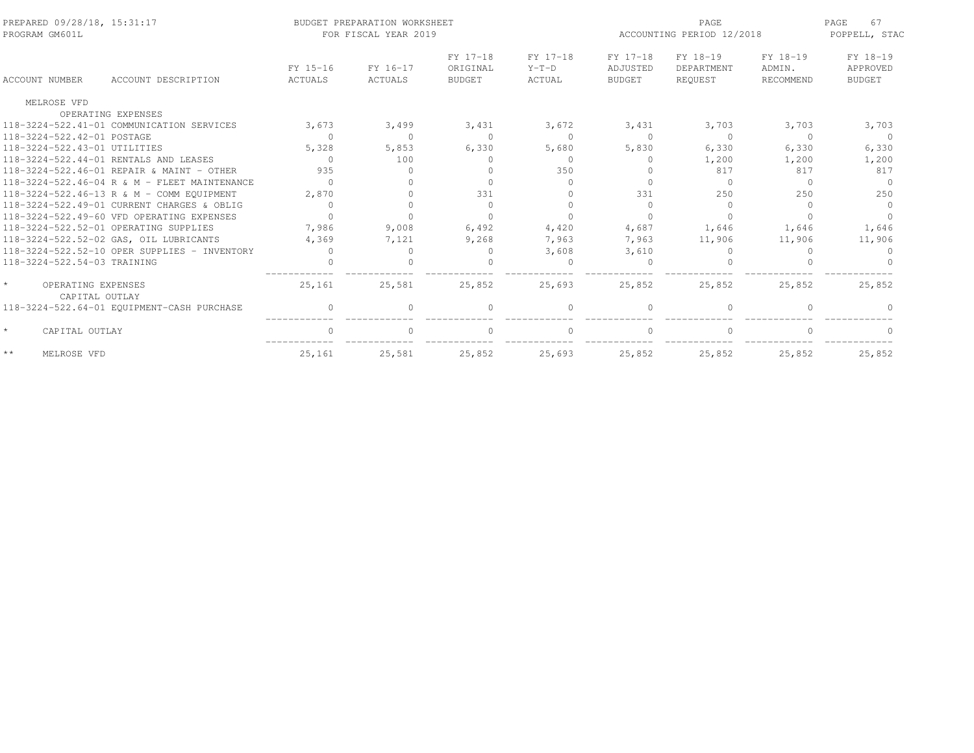| PREPARED 09/28/18, 15:31:17<br>PROGRAM GM601L   |                                              |           | BUDGET PREPARATION WORKSHEET<br>FOR FISCAL YEAR 2019 |                      |                     | PAGE<br>ACCOUNTING PERIOD 12/2018 |                        |                    | 67<br>PAGE<br>POPPELL, STAC |  |
|-------------------------------------------------|----------------------------------------------|-----------|------------------------------------------------------|----------------------|---------------------|-----------------------------------|------------------------|--------------------|-----------------------------|--|
|                                                 |                                              | FY 15-16  | FY 16-17                                             | FY 17-18<br>ORIGINAL | FY 17-18<br>$Y-T-D$ | FY 17-18<br>ADJUSTED              | FY 18-19<br>DEPARTMENT | FY 18-19<br>ADMIN. | FY 18-19<br>APPROVED        |  |
| <b>ACCOUNT NUMBER</b>                           | ACCOUNT DESCRIPTION                          | ACTUALS   | ACTUALS                                              | <b>BUDGET</b>        | ACTUAL              | BUDGET                            | REOUEST                | RECOMMEND          | <b>BUDGET</b>               |  |
| MELROSE VFD                                     |                                              |           |                                                      |                      |                     |                                   |                        |                    |                             |  |
|                                                 | OPERATING EXPENSES                           |           |                                                      |                      |                     |                                   |                        |                    |                             |  |
|                                                 | 118-3224-522.41-01 COMMUNICATION SERVICES    | 3,673     | 3,499                                                | 3,431                | 3,672               | 3,431                             | 3,703                  | 3,703              | 3,703                       |  |
| 118-3224-522.42-01 POSTAGE                      |                                              | $\Omega$  | $\Omega$                                             | $\Omega$             | $\Omega$            | $\bigcap$                         | $\Omega$               | $\Omega$           | $\Omega$                    |  |
| 118-3224-522.43-01 UTILITIES                    |                                              | 5,328     | 5,853                                                | 6,330                | 5,680               | 5,830                             | 6,330                  | 6,330              | 6,330                       |  |
|                                                 | 118-3224-522.44-01 RENTALS AND LEASES        | $\bigcap$ | 100                                                  | $\cup$               | $\Omega$            |                                   | 1,200                  | 1,200              | 1,200                       |  |
|                                                 | 118-3224-522.46-01 REPAIR & MAINT - OTHER    | 935       |                                                      | $\cup$               | 350                 |                                   | 817                    | 817                | 817                         |  |
|                                                 | 118-3224-522.46-04 R & M - FLEET MAINTENANCE | $\cap$    |                                                      |                      | $\bigcap$           |                                   | $\Omega$               | $\Omega$           | $\cap$                      |  |
|                                                 | 118-3224-522.46-13 R & M - COMM EOUIPMENT    | 2,870     |                                                      | 331                  | $\bigcap$           | 331                               | 250                    | 250                | 250                         |  |
|                                                 | 118-3224-522.49-01 CURRENT CHARGES & OBLIG   | $\bigcap$ |                                                      | $\Omega$             | $\bigcap$           |                                   | $\Omega$               | $\Omega$           | $\Omega$                    |  |
|                                                 | 118-3224-522.49-60 VFD OPERATING EXPENSES    | $\bigcap$ |                                                      |                      |                     |                                   |                        |                    |                             |  |
|                                                 | 118-3224-522.52-01 OPERATING SUPPLIES        | 7,986     | 9,008                                                | 6,492                | 4,420               | 4,687                             | 1,646                  | 1,646              | 1,646                       |  |
|                                                 | 118-3224-522.52-02 GAS, OIL LUBRICANTS       | 4,369     | 7,121                                                | 9,268                | 7,963               | 7,963                             | 11,906                 | 11,906             | 11,906                      |  |
|                                                 | 118-3224-522.52-10 OPER SUPPLIES - INVENTORY |           |                                                      | $\Omega$             | 3,608               | 3,610                             | 0                      |                    |                             |  |
| 118-3224-522.54-03 TRAINING                     |                                              |           |                                                      |                      |                     |                                   |                        |                    |                             |  |
| $\star$<br>OPERATING EXPENSES<br>CAPITAL OUTLAY |                                              | 25,161    | 25,581                                               | 25,852               | 25,693              | 25,852                            | 25,852                 | 25,852             | 25,852                      |  |
|                                                 | 118-3224-522.64-01 EQUIPMENT-CASH PURCHASE   | $\Omega$  |                                                      | $\Omega$             | $\Omega$            |                                   | $\Omega$               |                    |                             |  |
| $\star$<br>CAPITAL OUTLAY                       |                                              | $\cap$    | $\cap$                                               | $\Omega$             | $\Omega$            |                                   | $\Omega$               | $\cap$             | $\Omega$                    |  |
| $\star\star$<br>MELROSE VFD                     |                                              | 25,161    | 25,581                                               | 25,852               | 25,693              | 25,852                            | 25,852                 | 25,852             | 25,852                      |  |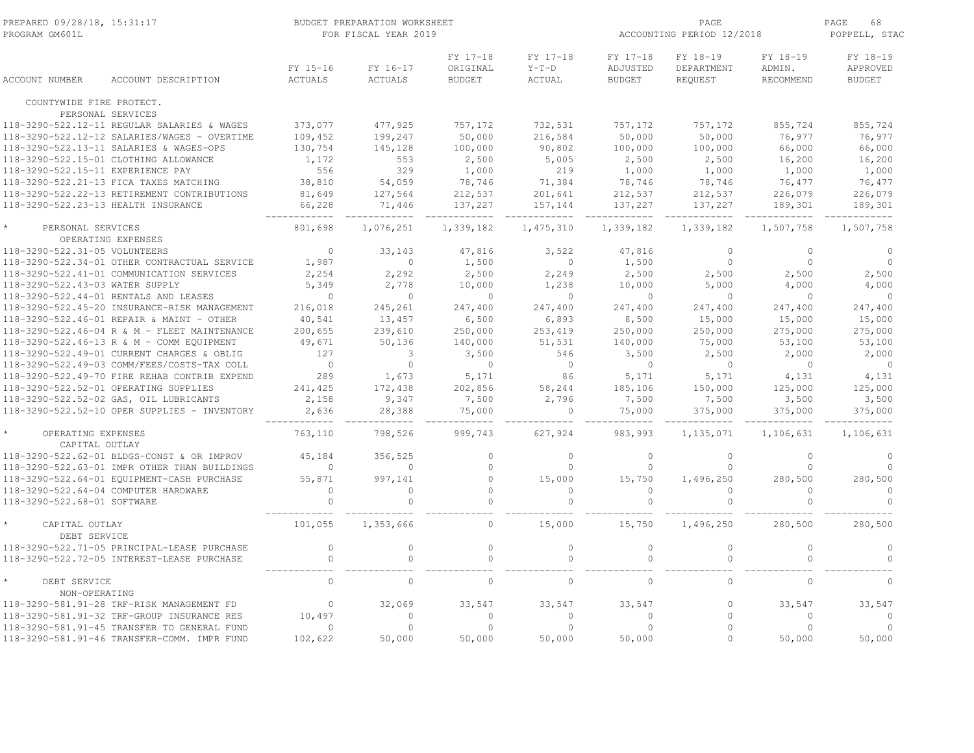| PREPARED 09/28/18, 15:31:17<br>PROGRAM GM601L                                         |                     | BUDGET PREPARATION WORKSHEET<br>FOR FISCAL YEAR 2019 |                            |                                       |                               |                                       | PAGE<br>ACCOUNTING PERIOD 12/2018 |                                 |                                       |  |
|---------------------------------------------------------------------------------------|---------------------|------------------------------------------------------|----------------------------|---------------------------------------|-------------------------------|---------------------------------------|-----------------------------------|---------------------------------|---------------------------------------|--|
| <b>ACCOUNT NUMBER</b>                                                                 | ACCOUNT DESCRIPTION | FY 15-16<br><b>ACTUALS</b>                           | FY 16-17<br><b>ACTUALS</b> | FY 17-18<br>ORIGINAL<br><b>BUDGET</b> | FY 17-18<br>$Y-T-D$<br>ACTUAL | FY 17-18<br>ADJUSTED<br><b>BUDGET</b> | FY 18-19<br>DEPARTMENT<br>REQUEST | FY 18-19<br>ADMIN.<br>RECOMMEND | FY 18-19<br>APPROVED<br><b>BUDGET</b> |  |
| COUNTYWIDE FIRE PROTECT.                                                              |                     |                                                      |                            |                                       |                               |                                       |                                   |                                 |                                       |  |
| PERSONAL SERVICES                                                                     |                     |                                                      |                            |                                       |                               |                                       |                                   |                                 |                                       |  |
| 118-3290-522.12-11 REGULAR SALARIES & WAGES                                           |                     | 373,077                                              | 477,925                    | 757,172                               | 732,531                       | 757,172                               | 757,172                           | 855,724                         | 855,724                               |  |
| 118-3290-522.12-12 SALARIES/WAGES - OVERTIME                                          |                     | 109,452                                              | 199,247                    | 50,000                                | 216,584                       | 50,000                                | 50,000                            | 76,977                          | 76,977                                |  |
| 118-3290-522.13-11 SALARIES & WAGES-OPS                                               |                     | 130,754                                              | 145,128                    | 100,000                               | 90,802                        | 100,000                               | 100,000                           | 66,000                          | 66,000                                |  |
| 118-3290-522.15-01 CLOTHING ALLOWANCE                                                 |                     | 1,172                                                | 553                        | 2,500                                 | 5,005                         | 2,500                                 | 2,500                             | 16,200                          | 16,200                                |  |
| 118-3290-522.15-11 EXPERIENCE PAY                                                     |                     | 556                                                  | 329                        | 1,000                                 | 219                           | 1,000                                 | 1,000                             | 1,000                           | 1,000                                 |  |
| 118-3290-522.21-13 FICA TAXES MATCHING<br>118-3290-522.22-13 RETIREMENT CONTRIBUTIONS |                     | 38,810                                               | 54,059                     | 78,746                                | 71,384                        | 78,746                                | 78,746                            | 76,477                          | 76,477                                |  |
| 118-3290-522.23-13 HEALTH INSURANCE                                                   |                     | 81,649                                               | 127,564                    | 212,537                               | 201,641                       | 212,537                               | 212,537                           | 226,079                         | 226,079                               |  |
|                                                                                       |                     | 66,228                                               | 71,446                     | 137,227                               | 157,144                       | 137,227                               | 137,227                           | 189,301                         | 189,301                               |  |
| PERSONAL SERVICES<br>OPERATING EXPENSES                                               |                     | 801,698                                              | 1,076,251                  | 1,339,182                             | 1,475,310                     | 1,339,182                             | 1,339,182                         | 1,507,758                       | 1,507,758                             |  |
| 118-3290-522.31-05 VOLUNTEERS                                                         |                     | $\mathbf{0}$                                         | 33,143                     | 47,816                                | 3,522                         | 47,816                                | $\mathbf{0}$                      | $\Omega$                        | $\circ$                               |  |
| 118-3290-522.34-01 OTHER CONTRACTUAL SERVICE                                          |                     | 1,987                                                | $\circ$                    | 1,500                                 | $\mathbf{0}$                  | 1,500                                 | $\mathbf{0}$                      | $\circ$                         | $\circ$                               |  |
| 118-3290-522.41-01 COMMUNICATION SERVICES                                             |                     | 2,254                                                | 2,292                      | 2,500                                 | 2,249                         | 2,500                                 | 2,500                             | 2,500                           | 2,500                                 |  |
| 118-3290-522.43-03 WATER SUPPLY                                                       |                     | 5,349                                                | 2,778                      | 10,000                                | 1,238                         | 10,000                                | 5,000                             | 4,000                           | 4,000                                 |  |
| 118-3290-522.44-01 RENTALS AND LEASES                                                 |                     | $\circ$                                              | $\Omega$                   | $\mathbf{0}$                          | $\mathbf{0}$                  | $\overline{0}$                        | $\mathbf{0}$                      | $\mathbf 0$                     | $\circ$                               |  |
| 118-3290-522.45-20 INSURANCE-RISK MANAGEMENT                                          |                     | 216,018                                              | 245,261                    | 247,400                               | 247,400                       | 247,400                               | 247,400                           | 247,400                         | 247,400                               |  |
| 118-3290-522.46-01 REPAIR & MAINT - OTHER                                             |                     | 40,541                                               | 13,457                     | 6,500                                 | 6,893                         | 8,500                                 | 15,000                            | 15,000                          | 15,000                                |  |
| 118-3290-522.46-04 R & M - FLEET MAINTENANCE                                          |                     | 200,655                                              | 239,610                    | 250,000                               | 253,419                       | 250,000                               | 250,000                           | 275,000                         | 275,000                               |  |
| 118-3290-522.46-13 R & M - COMM EQUIPMENT                                             |                     | 49,671                                               | 50,136                     | 140,000                               | 51,531                        | 140,000                               | 75,000                            | 53,100                          | 53,100                                |  |
| 118-3290-522.49-01 CURRENT CHARGES & OBLIG                                            |                     | 127                                                  | 3                          | 3,500                                 | 546                           | 3,500                                 | 2,500                             | 2,000                           | 2,000                                 |  |
| 118-3290-522.49-03 COMM/FEES/COSTS-TAX COLL                                           |                     | $\bigcirc$                                           | $\Omega$                   | $\Omega$                              | $\Omega$                      | $\bigcirc$                            | $\Omega$                          | $\Omega$                        | $\Omega$                              |  |
| 118-3290-522.49-70 FIRE REHAB CONTRIB EXPEND                                          |                     | 289                                                  | 1,673                      | 5,171                                 | 86                            | 5,171                                 | 5,171                             | 4,131                           | 4,131                                 |  |
| 118-3290-522.52-01 OPERATING SUPPLIES                                                 |                     | 241,425                                              | 172,438                    | 202,856                               | 58,244                        | 185,106                               | 150,000                           | 125,000                         | 125,000                               |  |
| 118-3290-522.52-02 GAS, OIL LUBRICANTS                                                |                     | 2,158                                                | 9,347                      | 7,500                                 | 2,796                         | 7,500                                 | 7,500                             | 3,500                           | 3,500                                 |  |
| 118-3290-522.52-10 OPER SUPPLIES - INVENTORY                                          |                     | 2,636                                                | 28,388                     | 75,000                                | $\circ$                       | 75,000                                | 375,000                           | 375,000                         | 375,000                               |  |
| OPERATING EXPENSES<br>CAPITAL OUTLAY                                                  |                     | 763,110                                              | 798,526                    | 999,743                               | 627,924                       | 983,993                               | 1,135,071                         | 1,106,631                       | 1,106,631                             |  |
| 118-3290-522.62-01 BLDGS-CONST & OR IMPROV                                            |                     | 45,184                                               | 356,525                    | $\circ$                               | $\mathbf{0}$                  | $\overline{0}$                        | $\circ$                           | $\circ$                         | $\circ$                               |  |
| 118-3290-522.63-01 IMPR OTHER THAN BUILDINGS                                          |                     | $\mathbf{0}$                                         | $\mathbf{0}$               | $\circ$                               | $\mathbf{0}$                  | $\mathbf{0}$                          | $\mathbf{0}$                      | 0                               | $\circ$                               |  |
| 118-3290-522.64-01 EQUIPMENT-CASH PURCHASE                                            |                     | 55,871                                               | 997,141                    | $\circ$                               | 15,000                        | 15,750                                | 1,496,250                         | 280,500                         | 280,500                               |  |
| 118-3290-522.64-04 COMPUTER HARDWARE                                                  |                     | $\mathbf{0}$                                         | $\Omega$                   | $\circ$                               | $\circ$                       | $\circ$                               | $\mathbf{0}$                      | $\circ$                         | $\circ$                               |  |
| 118-3290-522.68-01 SOFTWARE                                                           |                     | $\Omega$                                             | $\Omega$                   | $\circ$                               | $\circ$                       | $\Omega$                              | $\Omega$                          | $\Omega$                        | $\Omega$                              |  |
| CAPITAL OUTLAY<br>DEBT SERVICE                                                        |                     | 101,055                                              | 1,353,666                  | $\mathbf{0}$                          | 15,000                        | 15,750                                | 1,496,250                         | 280,500                         | 280,500                               |  |
| 118-3290-522.71-05 PRINCIPAL-LEASE PURCHASE                                           |                     | $\mathbb O$                                          | $\circ$                    | $\circ$                               | $\circ$                       | $\circ$                               | $\mathbb O$                       | $\circ$                         | $\circ$                               |  |
| 118-3290-522.72-05 INTEREST-LEASE PURCHASE                                            |                     | $\mathbf{0}$                                         | $\Omega$                   | $\Omega$                              | $\circ$                       | $\Omega$                              | $\mathbf{0}$                      | $\Omega$                        | $\Omega$                              |  |
| DEBT SERVICE<br>NON-OPERATING                                                         |                     | $\Omega$                                             | $\Omega$                   | $\Omega$                              | $\Omega$                      | $\Omega$                              | $\Omega$                          | $\Omega$                        | $\Omega$                              |  |
| 118-3290-581.91-28 TRF-RISK MANAGEMENT FD                                             |                     | $\mathbb O$                                          | 32,069                     | 33,547                                | 33,547                        | 33,547                                | $\mathbf{0}$                      | 33,547                          | 33,547                                |  |
| 118-3290-581.91-32 TRF-GROUP INSURANCE RES                                            |                     | 10,497                                               | $\cap$                     | $\circ$                               | $\mathbf{0}$                  | $\Omega$                              | $\circ$                           | $\Omega$                        | $\circ$                               |  |
| 118-3290-581.91-45 TRANSFER TO GENERAL FUND                                           |                     | $\mathbf{0}$                                         | $\Omega$                   | $\circ$                               | $\Omega$                      | $\Omega$                              | $\Omega$                          | $\Omega$                        | $\circ$                               |  |
| 118-3290-581.91-46 TRANSFER-COMM. IMPR FUND                                           |                     | 102,622                                              | 50,000                     | 50,000                                | 50,000                        | 50,000                                | $\Omega$                          | 50,000                          | 50,000                                |  |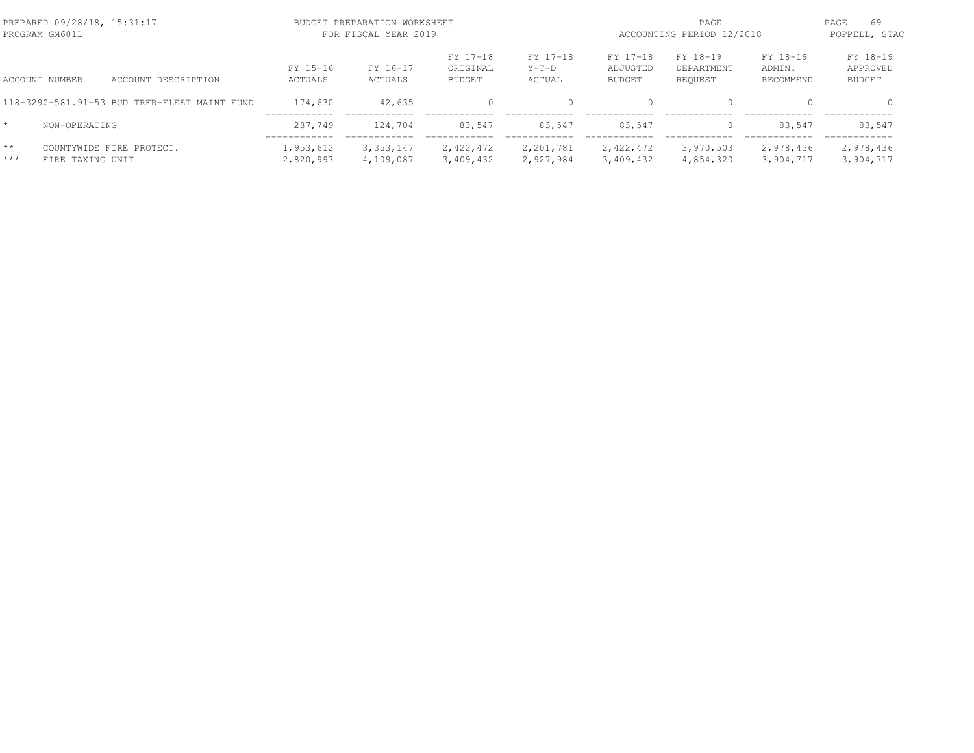|               | PREPARED 09/28/18, 15:31:17<br>PROGRAM GM601L |                                              |                        | BUDGET PREPARATION WORKSHEET<br>FOR FISCAL YEAR 2019 |                                       |                               | PAGE<br>ACCOUNTING PERIOD 12/2018     |                                   |                                 | PAGE<br>69<br>POPPELL, STAC           |  |
|---------------|-----------------------------------------------|----------------------------------------------|------------------------|------------------------------------------------------|---------------------------------------|-------------------------------|---------------------------------------|-----------------------------------|---------------------------------|---------------------------------------|--|
|               | <b>ACCOUNT NUMBER</b>                         | ACCOUNT DESCRIPTION                          | FY 15-16<br>ACTUALS    | FY 16-17<br>ACTUALS                                  | FY 17-18<br>ORIGINAL<br><b>BUDGET</b> | FY 17-18<br>$Y-T-D$<br>ACTUAL | FY 17-18<br>ADJUSTED<br><b>BUDGET</b> | FY 18-19<br>DEPARTMENT<br>REQUEST | FY 18-19<br>ADMIN.<br>RECOMMEND | FY 18-19<br>APPROVED<br><b>BUDGET</b> |  |
|               |                                               | 118-3290-581.91-53 BUD TRFR-FLEET MAINT FUND | 174,630                | 42,635                                               | $\Omega$                              |                               | $\bigcap$                             | $\Omega$                          |                                 |                                       |  |
| $\star$       | NON-OPERATING                                 |                                              | 287.749                | 124,704                                              | 83.547                                | 83.547                        | 83.547                                | $\mathbf{0}$                      | 83.547                          | 83,547                                |  |
| $**$<br>$***$ | FIRE TAXING UNIT                              | COUNTYWIDE FIRE PROTECT.                     | 1,953,612<br>2,820,993 | 3, 353, 147<br>4,109,087                             | 2,422,472<br>3,409,432                | 2,201,781<br>2,927,984        | 2,422,472<br>3,409,432                | 3,970,503<br>4,854,320            | 2,978,436<br>3,904,717          | 2,978,436<br>3,904,717                |  |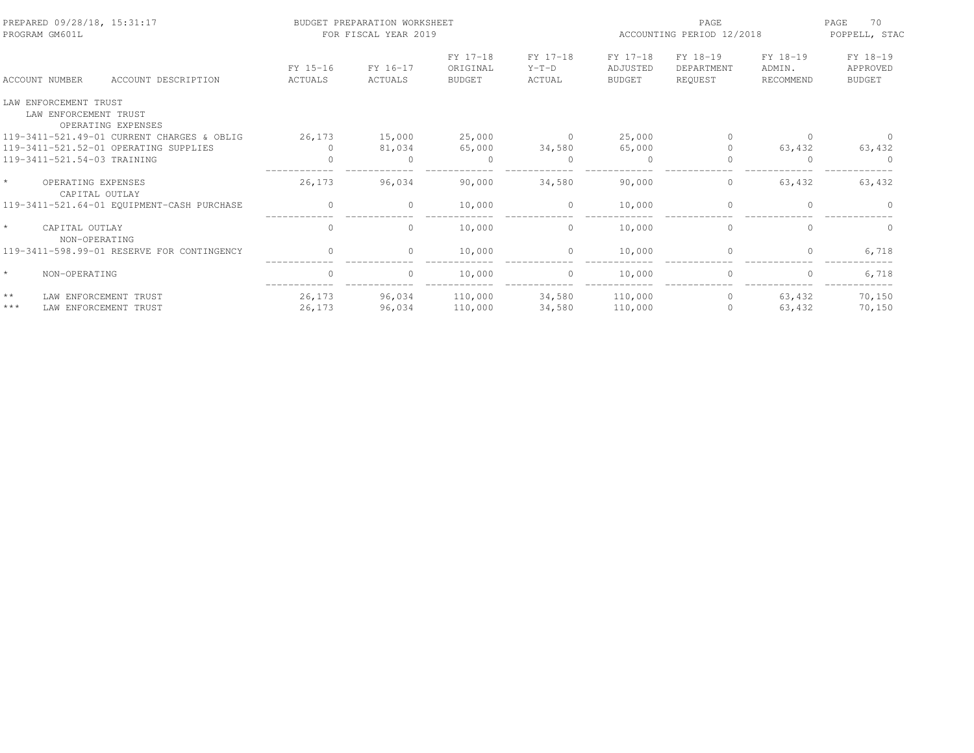| PREPARED 09/28/18, 15:31:17<br>PROGRAM GM601L |                                                |                                                |                     | BUDGET PREPARATION WORKSHEET<br>FOR FISCAL YEAR 2019 |                                       |                               | ACCOUNTING PERIOD 12/2018             | 70<br>PAGE<br>POPPELL, STAC       |                                 |                                       |
|-----------------------------------------------|------------------------------------------------|------------------------------------------------|---------------------|------------------------------------------------------|---------------------------------------|-------------------------------|---------------------------------------|-----------------------------------|---------------------------------|---------------------------------------|
|                                               | <b>ACCOUNT NUMBER</b>                          | ACCOUNT DESCRIPTION                            | FY 15-16<br>ACTUALS | FY 16-17<br>ACTUALS                                  | FY 17-18<br>ORIGINAL<br><b>BUDGET</b> | FY 17-18<br>$Y-T-D$<br>ACTUAL | FY 17-18<br>ADJUSTED<br><b>BUDGET</b> | FY 18-19<br>DEPARTMENT<br>REQUEST | FY 18-19<br>ADMIN.<br>RECOMMEND | FY 18-19<br>APPROVED<br><b>BUDGET</b> |
|                                               | LAW ENFORCEMENT TRUST<br>LAW ENFORCEMENT TRUST | OPERATING EXPENSES                             |                     |                                                      |                                       |                               |                                       |                                   |                                 |                                       |
|                                               |                                                | 119-3411-521.49-01 CURRENT CHARGES & OBLIG     | 26,173              | 15,000                                               | 25,000                                | $\sim$ 0                      | 25,000                                | $\Omega$                          | <sup>0</sup>                    |                                       |
|                                               |                                                | 119-3411-521.52-01 OPERATING SUPPLIES          | $\Omega$            | 81,034                                               | 65,000                                | 34,580                        | 65,000                                |                                   | 63,432                          | 63,432                                |
|                                               | 119-3411-521.54-03 TRAINING                    |                                                | $\Omega$            | $\Omega$                                             | $\Omega$                              | $\Omega$                      | $\Omega$                              |                                   | $\Omega$                        |                                       |
| $\star$                                       | OPERATING EXPENSES<br>CAPITAL OUTLAY           |                                                | 26,173              | 96,034                                               | 90,000                                | 34,580                        | 90,000                                | 0                                 | 63,432                          | 63,432                                |
|                                               |                                                | 119-3411-521.64-01 EQUIPMENT-CASH PURCHASE     | $\mathbf 0$         | $\circ$                                              | 10,000                                | $\circ$                       | 10,000                                | $\mathbf{0}$                      |                                 |                                       |
|                                               | CAPITAL OUTLAY<br>NON-OPERATING                |                                                | $\circ$             | 0                                                    | 10,000                                | $\circ$                       | 10,000                                | $\mathbf{0}$                      | $\Omega$                        | $\Omega$                              |
|                                               |                                                | 119-3411-598.99-01 RESERVE FOR CONTINGENCY     | $\Omega$            | $\Omega$                                             | 10,000                                | $\circ$                       | 10,000                                | $\Omega$                          | $\Omega$                        | 6,718                                 |
|                                               | NON-OPERATING                                  |                                                | $\circ$             | $\circ$                                              | 10,000                                | $\circ$                       | 10,000                                | $\mathbf{0}$                      | 0                               | 6,718                                 |
| $\star\star$<br>$***$                         |                                                | LAW ENFORCEMENT TRUST<br>LAW ENFORCEMENT TRUST | 26,173<br>26,173    | 96,034<br>96,034                                     | 110,000<br>110,000                    | 34,580<br>34,580              | 110,000<br>110,000                    | $\circ$<br>$\Omega$               | 63,432<br>63,432                | 70,150<br>70,150                      |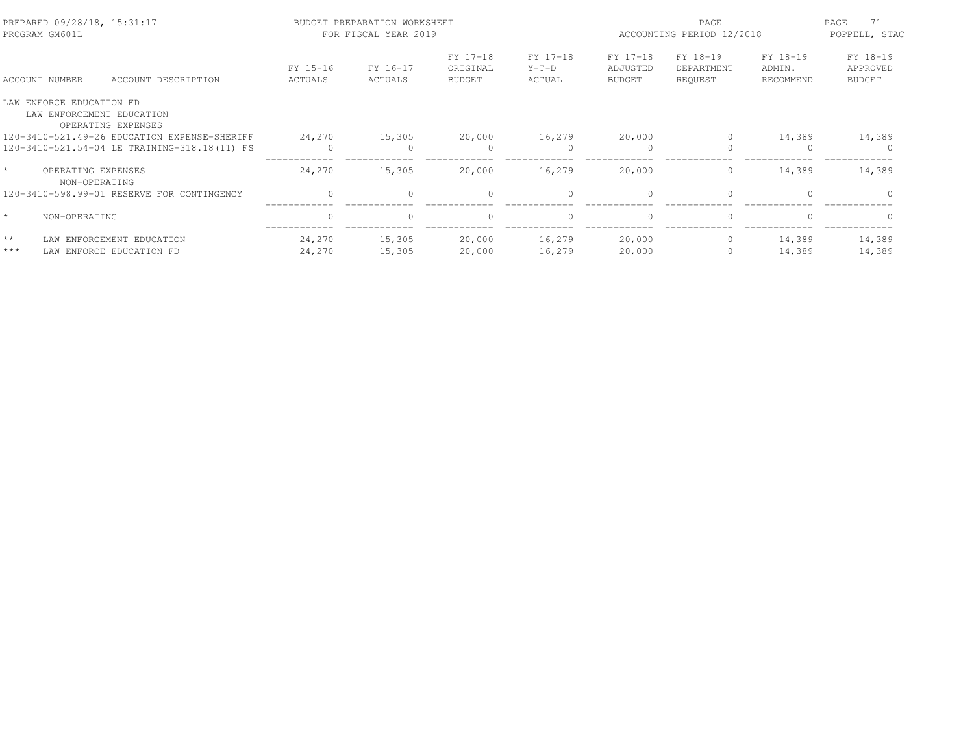| PREPARED 09/28/18, 15:31:17<br>PROGRAM GM601L   |                     | BUDGET PREPARATION WORKSHEET<br>FOR FISCAL YEAR 2019 |                                       |                               | PAGE<br>ACCOUNTING PERIOD 12/2018     |                                   |                                 | 71<br>PAGE<br>POPPELL, STAC           |
|-------------------------------------------------|---------------------|------------------------------------------------------|---------------------------------------|-------------------------------|---------------------------------------|-----------------------------------|---------------------------------|---------------------------------------|
| ACCOUNT DESCRIPTION<br>ACCOUNT NUMBER           | FY 15-16<br>ACTUALS | FY 16-17<br>ACTUALS                                  | FY 17-18<br>ORIGINAL<br><b>BUDGET</b> | FY 17-18<br>$Y-T-D$<br>ACTUAL | FY 17-18<br>ADJUSTED<br><b>BUDGET</b> | FY 18-19<br>DEPARTMENT<br>REOUEST | FY 18-19<br>ADMIN.<br>RECOMMEND | FY 18-19<br>APPROVED<br><b>BUDGET</b> |
| LAW ENFORCE EDUCATION FD                        |                     |                                                      |                                       |                               |                                       |                                   |                                 |                                       |
| LAW ENFORCEMENT EDUCATION<br>OPERATING EXPENSES |                     |                                                      |                                       |                               |                                       |                                   |                                 |                                       |
| 120-3410-521.49-26 EDUCATION EXPENSE-SHERIFF    | 24,270              | 15,305                                               | 20,000                                | 16,279                        | 20,000                                | $\bigcap$                         | 14,389                          | 14,389                                |
| 120-3410-521.54-04 LE TRAINING-318.18(11) FS    | $\bigcap$           |                                                      | $\Omega$                              |                               |                                       |                                   |                                 |                                       |
| $\star$<br>OPERATING EXPENSES<br>NON-OPERATING  | 24,270              | 15,305                                               | 20,000                                | 16,279                        | 20,000                                | $\circ$                           | 14,389                          | 14,389                                |
| 120-3410-598.99-01 RESERVE FOR CONTINGENCY      | $\Omega$            | $\Omega$                                             | $\Omega$                              | $\Omega$                      | $\bigcap$                             | $\Omega$                          |                                 |                                       |
| $\star$<br>NON-OPERATING                        | $\mathbf{0}$        | $\circ$                                              | $\mathbf{0}$                          | $\mathbf{0}$                  | $\Omega$                              | $\mathbf{0}$                      |                                 | $\Omega$                              |
| $\star\star$<br>LAW ENFORCEMENT EDUCATION       | 24,270              | 15,305                                               | 20,000                                | 16,279                        | 20,000                                | $\circ$                           | 14,389                          | 14,389                                |
| $***$<br>LAW ENFORCE EDUCATION FD               | 24,270              | 15,305                                               | 20,000                                | 16,279                        | 20,000                                | $\mathbf{0}$                      | 14,389                          | 14,389                                |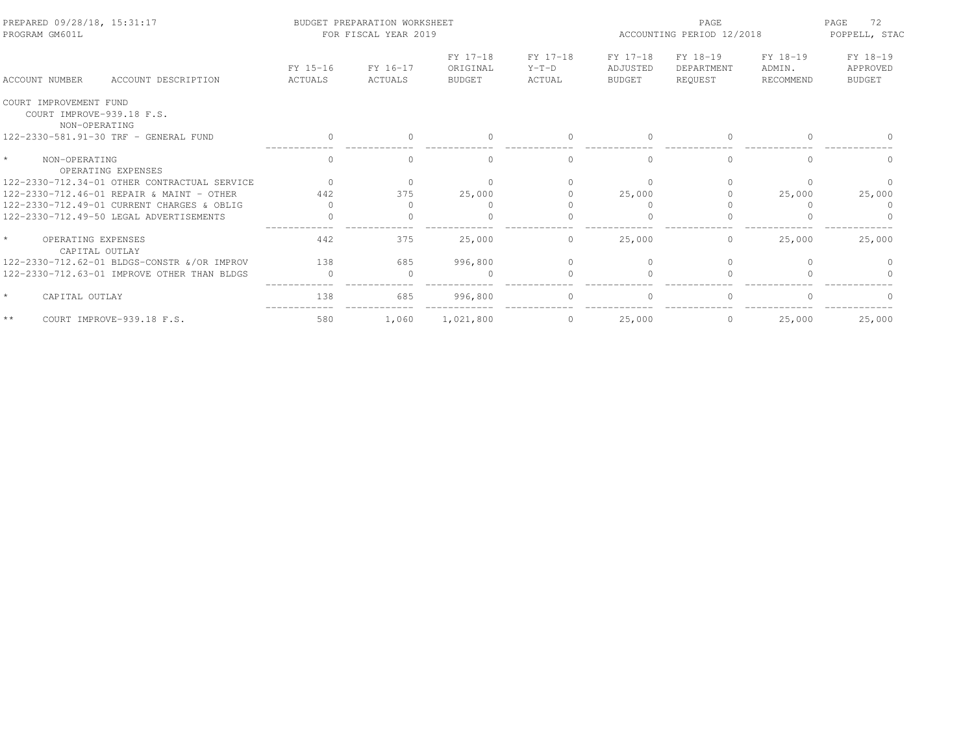| PREPARED 09/28/18, 15:31:17<br>PROGRAM GM601L                        |                     | BUDGET PREPARATION WORKSHEET<br>FOR FISCAL YEAR 2019 |                                       |                               | PAGE<br>ACCOUNTING PERIOD 12/2018     |                                   |                                 | 72<br>PAGE<br>POPPELL, STAC           |
|----------------------------------------------------------------------|---------------------|------------------------------------------------------|---------------------------------------|-------------------------------|---------------------------------------|-----------------------------------|---------------------------------|---------------------------------------|
| ACCOUNT DESCRIPTION<br>ACCOUNT NUMBER                                | FY 15-16<br>ACTUALS | FY 16-17<br>ACTUALS                                  | FY 17-18<br>ORIGINAL<br><b>BUDGET</b> | FY 17-18<br>$Y-T-D$<br>ACTUAL | FY 17-18<br>ADJUSTED<br><b>BUDGET</b> | FY 18-19<br>DEPARTMENT<br>REOUEST | FY 18-19<br>ADMIN.<br>RECOMMEND | FY 18-19<br>APPROVED<br><b>BUDGET</b> |
| COURT IMPROVEMENT FUND<br>COURT IMPROVE-939.18 F.S.<br>NON-OPERATING |                     |                                                      |                                       |                               |                                       |                                   |                                 |                                       |
| 122-2330-581.91-30 TRF - GENERAL FUND                                |                     |                                                      |                                       |                               |                                       | $\Omega$                          |                                 |                                       |
| $\star$<br>NON-OPERATING<br>OPERATING EXPENSES                       | $\Omega$            | $\cap$                                               | $\cap$                                | $\Omega$                      | $\cap$                                | $\Omega$                          | $\Omega$                        | $\Omega$                              |
| 122-2330-712.34-01 OTHER CONTRACTUAL SERVICE                         | $\bigcap$           |                                                      |                                       |                               |                                       | $\bigcap$                         | $\cap$                          |                                       |
| 122-2330-712.46-01 REPAIR & MAINT - OTHER                            | 442                 | 375                                                  | 25,000                                |                               | 25,000                                |                                   | 25,000                          | 25,000                                |
| 122-2330-712.49-01 CURRENT CHARGES & OBLIG                           |                     |                                                      |                                       |                               |                                       |                                   |                                 |                                       |
| 122-2330-712.49-50 LEGAL ADVERTISEMENTS                              | $\bigcap$           |                                                      |                                       |                               |                                       |                                   |                                 |                                       |
| $\star$<br>OPERATING EXPENSES<br>CAPITAL OUTLAY                      | 442                 | 375                                                  | 25,000                                | $\overline{0}$                | 25,000                                | $\overline{0}$                    | 25,000                          | 25,000                                |
| 122-2330-712.62-01 BLDGS-CONSTR & OR IMPROV                          | 138                 | 685                                                  | 996,800                               | $\Omega$                      |                                       | $\Omega$                          |                                 |                                       |
| 122-2330-712.63-01 IMPROVE OTHER THAN BLDGS                          | $\Omega$            | $\Omega$                                             | $\Omega$                              |                               |                                       | $\Omega$                          |                                 |                                       |
| $\star$<br>CAPITAL OUTLAY                                            | 138                 | 685                                                  | 996,800                               |                               |                                       |                                   |                                 |                                       |
| $\star$ $\star$<br>COURT IMPROVE-939.18 F.S.                         | 580                 | 1,060                                                | 1,021,800                             | $\circ$                       | 25,000                                | $\circ$                           | 25,000                          | 25,000                                |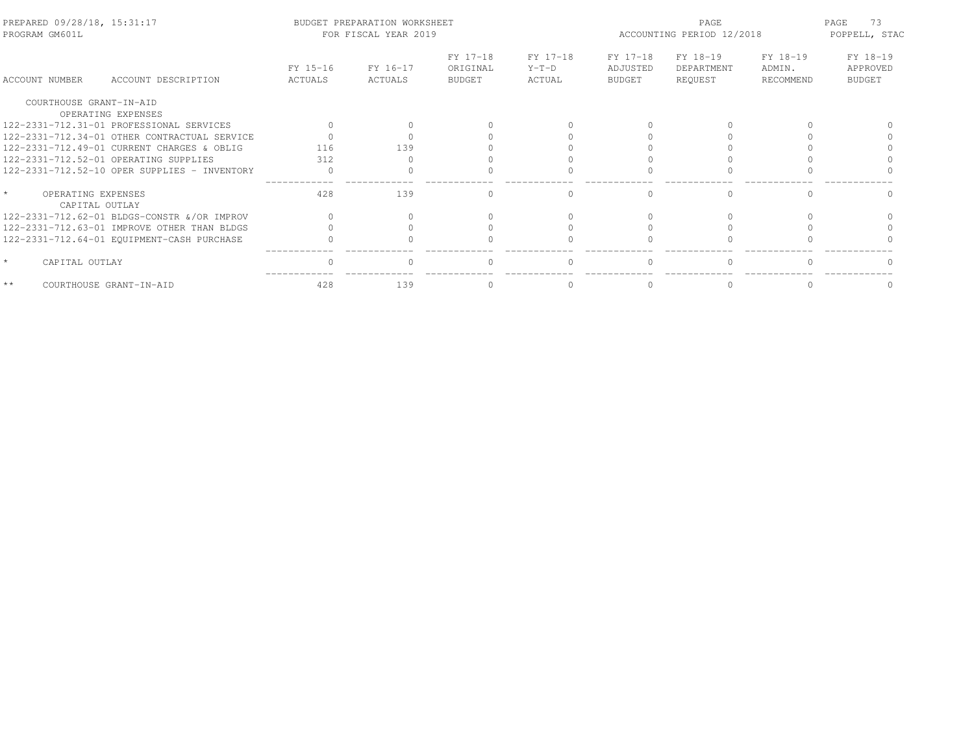| PREPARED 09/28/18, 15:31:17<br>PROGRAM GM601L |                                              |                     | BUDGET PREPARATION WORKSHEET<br>FOR FISCAL YEAR 2019 |                                       |                               | PAGE<br>ACCOUNTING PERIOD 12/2018     |                                   |                                 | 73<br>PAGE<br>POPPELL, STAC           |
|-----------------------------------------------|----------------------------------------------|---------------------|------------------------------------------------------|---------------------------------------|-------------------------------|---------------------------------------|-----------------------------------|---------------------------------|---------------------------------------|
| ACCOUNT NUMBER                                | ACCOUNT DESCRIPTION                          | FY 15-16<br>ACTUALS | FY 16-17<br>ACTUALS                                  | FY 17-18<br>ORIGINAL<br><b>BUDGET</b> | FY 17-18<br>$Y-T-D$<br>ACTUAL | FY 17-18<br>ADJUSTED<br><b>BUDGET</b> | FY 18-19<br>DEPARTMENT<br>REQUEST | FY 18-19<br>ADMIN.<br>RECOMMEND | FY 18-19<br>APPROVED<br><b>BUDGET</b> |
| COURTHOUSE GRANT-IN-AID                       |                                              |                     |                                                      |                                       |                               |                                       |                                   |                                 |                                       |
|                                               | OPERATING EXPENSES                           |                     |                                                      |                                       |                               |                                       |                                   |                                 |                                       |
|                                               | 122-2331-712.31-01 PROFESSIONAL SERVICES     |                     |                                                      |                                       |                               |                                       |                                   |                                 |                                       |
|                                               | 122-2331-712.34-01 OTHER CONTRACTUAL SERVICE |                     |                                                      |                                       |                               |                                       |                                   |                                 |                                       |
|                                               | 122-2331-712.49-01 CURRENT CHARGES & OBLIG   | 116                 | 139                                                  |                                       |                               |                                       |                                   |                                 |                                       |
|                                               | 122-2331-712.52-01 OPERATING SUPPLIES        | 312                 |                                                      |                                       |                               |                                       |                                   |                                 |                                       |
|                                               | 122-2331-712.52-10 OPER SUPPLIES - INVENTORY |                     |                                                      |                                       |                               |                                       |                                   |                                 |                                       |
| $\star$<br>OPERATING EXPENSES                 | CAPITAL OUTLAY                               | 428                 | 139                                                  | $\cap$                                | $\Omega$                      | $\bigcap$                             | $\bigcap$                         | ∩                               |                                       |
|                                               | 122-2331-712.62-01 BLDGS-CONSTR & OR IMPROV  |                     |                                                      |                                       |                               |                                       |                                   |                                 |                                       |
|                                               | 122-2331-712.63-01 IMPROVE OTHER THAN BLDGS  |                     |                                                      |                                       |                               |                                       |                                   |                                 |                                       |
|                                               | 122-2331-712.64-01 EQUIPMENT-CASH PURCHASE   |                     |                                                      |                                       |                               |                                       |                                   |                                 |                                       |
| $\star$<br>CAPITAL OUTLAY                     |                                              |                     |                                                      |                                       |                               |                                       |                                   |                                 |                                       |
| $**$                                          | COURTHOUSE GRANT-IN-AID                      | 428                 | 139                                                  |                                       |                               |                                       |                                   |                                 |                                       |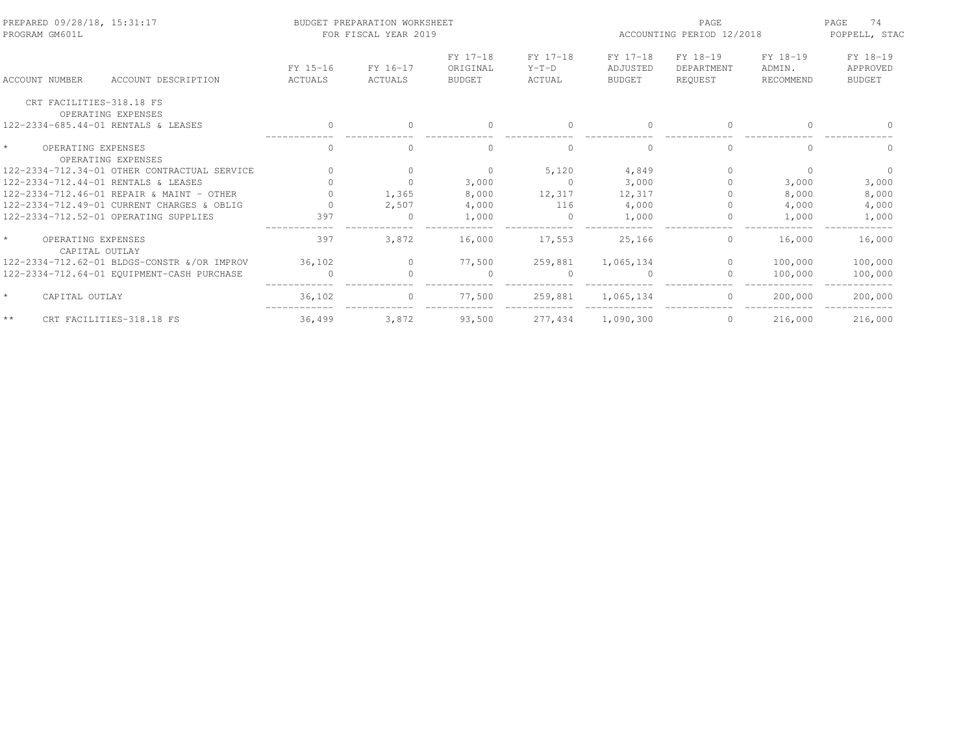| PREPARED 09/28/18, 15:31:17<br>PROGRAM GM601L       |                     | BUDGET PREPARATION WORKSHEET<br>FOR FISCAL YEAR 2019 |                                       |                               | PAGE<br>ACCOUNTING PERIOD 12/2018     |                                   |                                 | 74<br>PAGE<br>POPPELL, STAC           |
|-----------------------------------------------------|---------------------|------------------------------------------------------|---------------------------------------|-------------------------------|---------------------------------------|-----------------------------------|---------------------------------|---------------------------------------|
| ACCOUNT DESCRIPTION<br>ACCOUNT NUMBER               | FY 15-16<br>ACTUALS | FY 16-17<br>ACTUALS                                  | FY 17-18<br>ORIGINAL<br><b>BUDGET</b> | FY 17-18<br>$Y-T-D$<br>ACTUAL | FY 17-18<br>ADJUSTED<br><b>BUDGET</b> | FY 18-19<br>DEPARTMENT<br>REOUEST | FY 18-19<br>ADMIN.<br>RECOMMEND | FY 18-19<br>APPROVED<br><b>BUDGET</b> |
| CRT FACILITIES-318.18 FS<br>OPERATING EXPENSES      |                     |                                                      |                                       |                               |                                       |                                   |                                 |                                       |
| 122-2334-685.44-01 RENTALS & LEASES                 | $\mathbf{0}$        | $\Omega$                                             | $\bigcap$                             | $\Omega$                      | $\bigcap$                             | $\Omega$                          | $\Omega$                        |                                       |
| $\star$<br>OPERATING EXPENSES<br>OPERATING EXPENSES | $\mathbf{0}$        | 0                                                    |                                       | $\mathbf{0}$                  |                                       | $\mathbf{0}$                      | $\Omega$                        |                                       |
| 122-2334-712.34-01 OTHER CONTRACTUAL SERVICE        |                     | $\Omega$                                             | $\mathbf{0}$                          | 5,120                         | 4,849                                 | $\Omega$                          | $\Omega$                        | $\Omega$                              |
| 122-2334-712.44-01 RENTALS & LEASES                 |                     |                                                      | 3,000                                 | $\circ$                       | 3,000                                 | $\Omega$                          | 3,000                           | 3,000                                 |
| 122-2334-712.46-01 REPAIR & MAINT - OTHER           |                     | 1,365                                                | 8,000                                 | 12,317                        | 12,317                                |                                   | 8,000                           | 8,000                                 |
| 122-2334-712.49-01 CURRENT CHARGES & OBLIG          |                     | 2,507                                                | 4,000                                 | 116                           | 4,000                                 |                                   | 4,000                           | 4,000                                 |
| 122-2334-712.52-01 OPERATING SUPPLIES               | 397                 | $\Omega$                                             | 1,000                                 | $\Omega$                      | 1,000                                 | $\mathbf{0}$                      | 1,000                           | 1,000                                 |
| $\star$<br>OPERATING EXPENSES<br>CAPITAL OUTLAY     | 397                 | 3,872                                                | 16,000                                | 17,553                        | 25,166                                | $\circ$                           | 16,000                          | 16,000                                |
| 122-2334-712.62-01 BLDGS-CONSTR & OR IMPROV         | 36,102              | $\Omega$                                             | 77,500                                | 259,881                       | 1,065,134                             | $\Omega$                          | 100,000                         | 100,000                               |
| 122-2334-712.64-01 EOUIPMENT-CASH PURCHASE          | $\overline{0}$      |                                                      | $\Omega$                              | $\Omega$                      |                                       | $\mathbf{0}$                      | 100,000                         | 100,000                               |
| $\star$<br>CAPITAL OUTLAY                           | 36,102              |                                                      | 77,500                                | 259,881                       | 1,065,134                             | $\mathbf{0}$                      | 200,000                         | 200,000                               |
| $\star$ $\star$<br>CRT FACILITIES-318.18 FS         | 36,499              | 3,872                                                | 93,500                                | 277,434                       | 1,090,300                             | $\Omega$                          | 216,000                         | 216,000                               |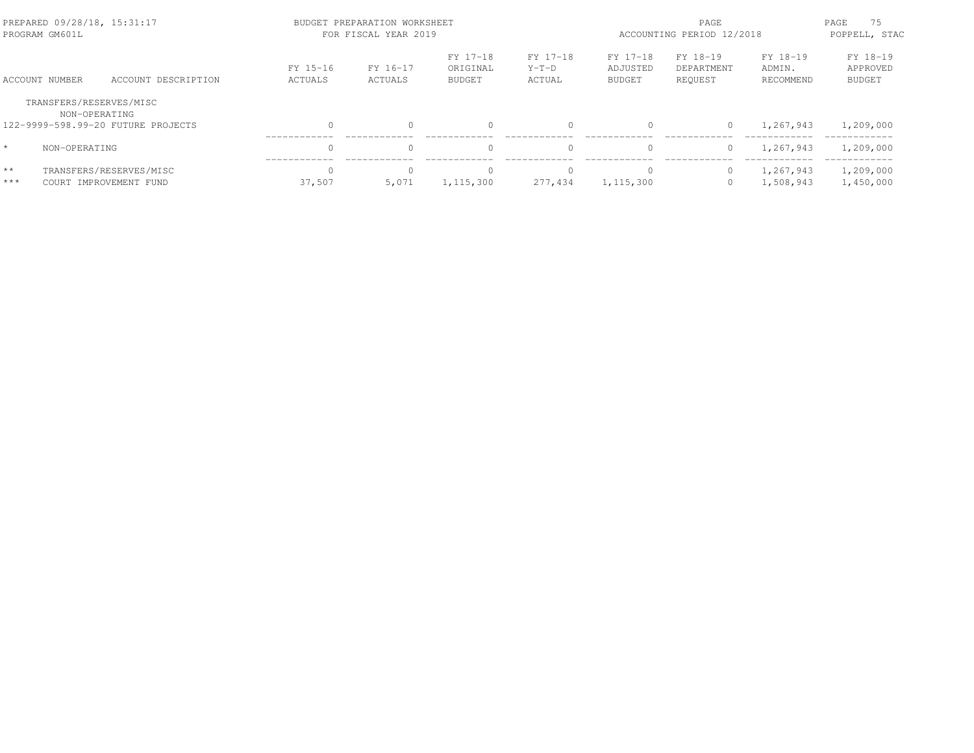| PREPARED 09/28/18, 15:31:17<br>PROGRAM GM601L                                  |                                                   | BUDGET PREPARATION WORKSHEET<br>FOR FISCAL YEAR 2019 | PAGE<br>ACCOUNTING PERIOD 12/2018 |                                       |                               | 75<br>PAGE<br>POPPELL, STAC           |                                   |                                 |                                       |
|--------------------------------------------------------------------------------|---------------------------------------------------|------------------------------------------------------|-----------------------------------|---------------------------------------|-------------------------------|---------------------------------------|-----------------------------------|---------------------------------|---------------------------------------|
| ACCOUNT NUMBER                                                                 | ACCOUNT DESCRIPTION                               | FY 15-16<br>ACTUALS                                  | FY 16-17<br>ACTUALS               | FY 17-18<br>ORIGINAL<br><b>BUDGET</b> | FY 17-18<br>$Y-T-D$<br>ACTUAL | FY 17-18<br>ADJUSTED<br><b>BUDGET</b> | FY 18-19<br>DEPARTMENT<br>REQUEST | FY 18-19<br>ADMIN.<br>RECOMMEND | FY 18-19<br>APPROVED<br><b>BUDGET</b> |
| TRANSFERS/RESERVES/MISC<br>NON-OPERATING<br>122-9999-598.99-20 FUTURE PROJECTS |                                                   | $\Omega$                                             |                                   | $\Omega$                              | 0                             |                                       | $\circ$                           | 1,267,943                       | 1,209,000                             |
| $\star$<br>NON-OPERATING                                                       |                                                   | $\Omega$                                             |                                   | 0                                     | $\Omega$                      |                                       | $\circ$                           | 1,267,943                       | 1,209,000                             |
| $\star\star$<br>***                                                            | TRANSFERS/RESERVES/MISC<br>COURT IMPROVEMENT FUND | $\bigcap$<br>37,507                                  | 5,071                             | $\Omega$<br>1, 115, 300               | $\Omega$<br>277,434           | 1, 115, 300                           | $\circ$<br>$\circ$                | 1,267,943<br>1,508,943          | 1,209,000<br>1,450,000                |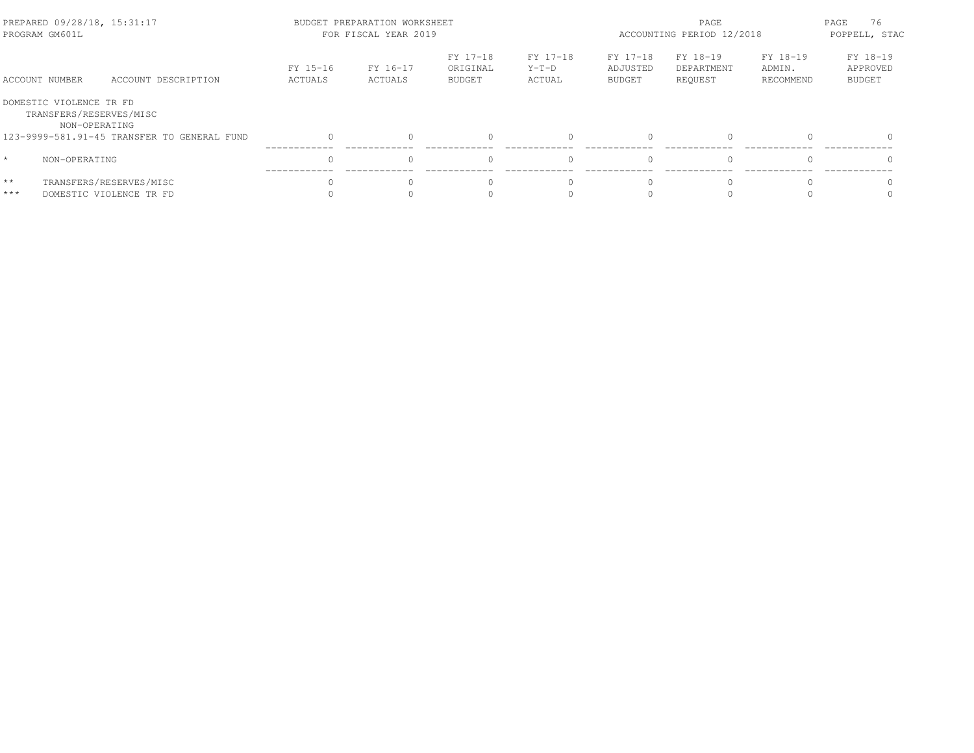| PREPARED 09/28/18, 15:31:17<br>PROGRAM GM601L |                                                                     |                                                    |                     | BUDGET PREPARATION WORKSHEET<br>FOR FISCAL YEAR 2019 |                                       | PAGE<br>ACCOUNTING PERIOD 12/2018 |                                |                                   | 76<br>PAGE<br>POPPELL, STAC     |                                       |
|-----------------------------------------------|---------------------------------------------------------------------|----------------------------------------------------|---------------------|------------------------------------------------------|---------------------------------------|-----------------------------------|--------------------------------|-----------------------------------|---------------------------------|---------------------------------------|
| ACCOUNT NUMBER                                |                                                                     | ACCOUNT DESCRIPTION                                | FY 15-16<br>ACTUALS | FY 16-17<br>ACTUALS                                  | FY 17-18<br>ORIGINAL<br><b>BUDGET</b> | FY 17-18<br>$Y-T-D$<br>ACTUAL     | FY 17-18<br>ADJUSTED<br>BUDGET | FY 18-19<br>DEPARTMENT<br>REOUEST | FY 18-19<br>ADMIN.<br>RECOMMEND | FY 18-19<br>APPROVED<br><b>BUDGET</b> |
|                                               | DOMESTIC VIOLENCE TR FD<br>TRANSFERS/RESERVES/MISC<br>NON-OPERATING |                                                    |                     |                                                      |                                       |                                   |                                |                                   |                                 |                                       |
|                                               |                                                                     | 123-9999-581.91-45 TRANSFER TO GENERAL FUND        |                     |                                                      |                                       |                                   | $\bigcap$                      | $\Omega$                          |                                 |                                       |
| $\star$                                       | NON-OPERATING                                                       |                                                    |                     |                                                      |                                       |                                   | $\bigcap$                      | $\Omega$                          |                                 |                                       |
| $\star\star$<br>$***$                         |                                                                     | TRANSFERS/RESERVES/MISC<br>DOMESTIC VIOLENCE TR FD |                     |                                                      |                                       |                                   |                                |                                   |                                 |                                       |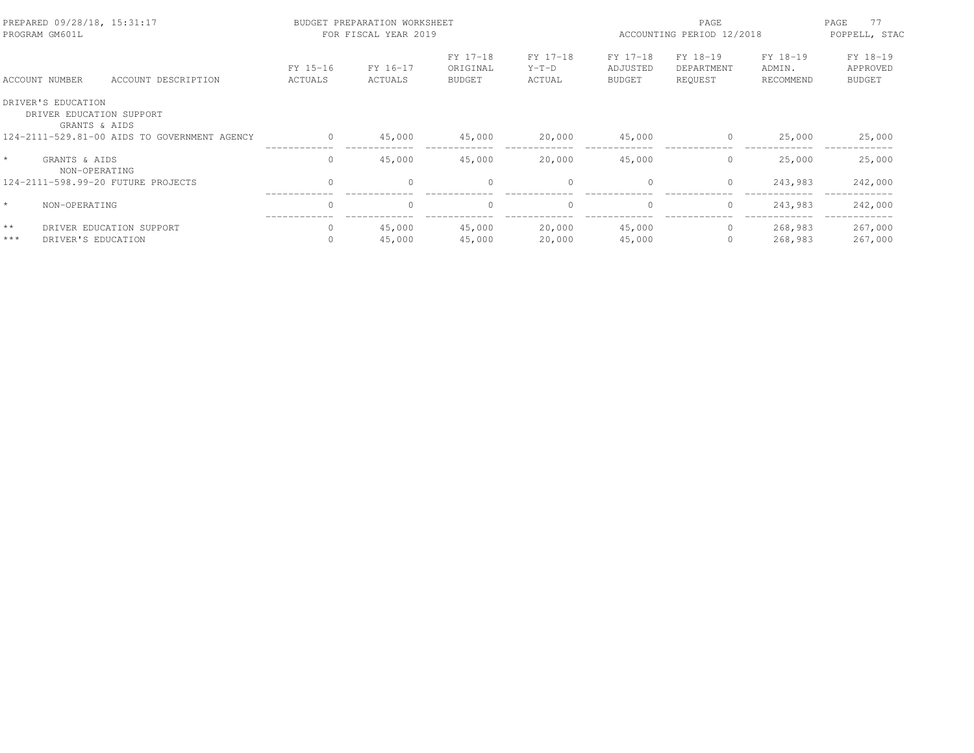| PREPARED 09/28/18, 15:31:17<br>PROGRAM GM601L |                                                                 |                                              |                          | BUDGET PREPARATION WORKSHEET<br>FOR FISCAL YEAR 2019 |                                       |                               | PAGE<br>ACCOUNTING PERIOD 12/2018     |                                   |                                 | 77<br>PAGE<br>POPPELL, STAC           |
|-----------------------------------------------|-----------------------------------------------------------------|----------------------------------------------|--------------------------|------------------------------------------------------|---------------------------------------|-------------------------------|---------------------------------------|-----------------------------------|---------------------------------|---------------------------------------|
|                                               | ACCOUNT NUMBER                                                  | ACCOUNT DESCRIPTION                          | FY 15-16<br>ACTUALS      | FY 16-17<br>ACTUALS                                  | FY 17-18<br>ORIGINAL<br><b>BUDGET</b> | FY 17-18<br>$Y-T-D$<br>ACTUAL | FY 17-18<br>ADJUSTED<br><b>BUDGET</b> | FY 18-19<br>DEPARTMENT<br>REOUEST | FY 18-19<br>ADMIN.<br>RECOMMEND | FY 18-19<br>APPROVED<br><b>BUDGET</b> |
|                                               | DRIVER'S EDUCATION<br>DRIVER EDUCATION SUPPORT<br>GRANTS & AIDS |                                              |                          |                                                      |                                       |                               |                                       |                                   |                                 |                                       |
|                                               |                                                                 | 124-2111-529.81-00 AIDS TO GOVERNMENT AGENCY | $\circ$                  | 45,000                                               | 45,000                                | 20,000                        | 45,000<br>$\circ$                     |                                   | 25,000                          | 25,000                                |
| $\star$                                       | GRANTS & AIDS<br>NON-OPERATING                                  |                                              | 0                        | 45,000                                               | 45,000                                | 20,000                        | 45,000                                | 0                                 | 25,000                          | 25,000                                |
|                                               |                                                                 | 124-2111-598.99-20 FUTURE PROJECTS           | $\circ$                  | $\circ$                                              | $\mathbf{0}$                          |                               | $\circ$                               | $\circ$                           | 243,983                         | 242,000                               |
| $\star$                                       | NON-OPERATING                                                   |                                              | $\Omega$                 | $\Omega$                                             | $\Omega$                              |                               | $\Omega$                              | $\circ$                           | 243,983                         | 242,000                               |
| $\star\star$<br>$***$                         | DRIVER'S EDUCATION                                              | DRIVER EDUCATION SUPPORT                     | $\mathbf{0}$<br>$\Omega$ | 45,000<br>45,000                                     | 45,000<br>45,000                      | 20,000<br>20,000              | 45,000<br>45,000                      | $\circ$<br>0                      | 268,983<br>268,983              | 267,000<br>267,000                    |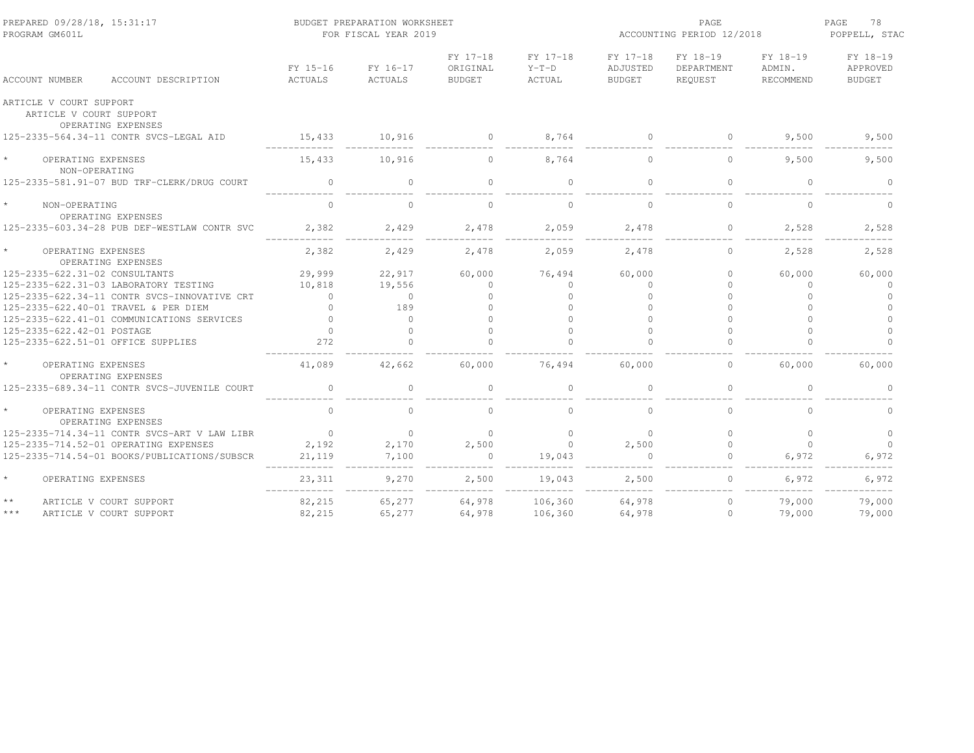| PREPARED 09/28/18, 15:31:17<br>PROGRAM GM601L                            |                     | BUDGET PREPARATION WORKSHEET<br>FOR FISCAL YEAR 2019 |                                       | PAGE<br>ACCOUNTING PERIOD 12/2018 |                                       |                                   | PAGE<br>78<br>POPPELL, STAC     |                                       |
|--------------------------------------------------------------------------|---------------------|------------------------------------------------------|---------------------------------------|-----------------------------------|---------------------------------------|-----------------------------------|---------------------------------|---------------------------------------|
| ACCOUNT DESCRIPTION<br>ACCOUNT NUMBER                                    | FY 15-16<br>ACTUALS | FY 16-17<br>ACTUALS                                  | FY 17-18<br>ORIGINAL<br><b>BUDGET</b> | FY 17-18<br>$Y-T-D$<br>ACTUAL     | FY 17-18<br>ADJUSTED<br><b>BUDGET</b> | FY 18-19<br>DEPARTMENT<br>REQUEST | FY 18-19<br>ADMIN.<br>RECOMMEND | FY 18-19<br>APPROVED<br><b>BUDGET</b> |
| ARTICLE V COURT SUPPORT<br>ARTICLE V COURT SUPPORT<br>OPERATING EXPENSES |                     |                                                      |                                       |                                   |                                       |                                   |                                 |                                       |
| 125-2335-564.34-11 CONTR SVCS-LEGAL AID                                  | 15,433              | 10,916                                               | $\overline{0}$                        | 8,764                             | $\overline{0}$                        | $\overline{0}$                    | 9,500                           | 9,500                                 |
| OPERATING EXPENSES<br>NON-OPERATING                                      | 15,433              | 10,916                                               | $\Omega$                              | 8,764                             | $\Omega$                              | $\circ$                           | 9,500                           | 9,500                                 |
| 125-2335-581.91-07 BUD TRF-CLERK/DRUG COURT                              | $\circ$             | $\circ$                                              | $\Omega$                              | $\circ$                           | $\Omega$                              | $\mathbf{0}$                      | $\circ$                         | $\Omega$                              |
| $\star$<br>NON-OPERATING<br>OPERATING EXPENSES                           | $\circ$             | $\circ$                                              | $\Omega$                              | $\mathbf{0}$                      | $\Omega$                              | $\circ$                           | $\circ$                         | $\circ$                               |
| 125-2335-603.34-28 PUB DEF-WESTLAW CONTR SVC                             | 2,382               | 2,429                                                | 2,478                                 | 2,059                             | 2,478                                 | $\circ$                           | 2,528                           | 2,528                                 |
| $\star$<br>OPERATING EXPENSES<br>OPERATING EXPENSES                      | 2,382               | 2,429                                                | 2,478                                 | 2,059                             | 2,478                                 | $\Omega$                          | 2,528                           | 2,528                                 |
| 125-2335-622.31-02 CONSULTANTS                                           | 29,999              | 22,917                                               | 60,000                                | 76,494                            | 60,000                                | $\Omega$                          | 60,000                          | 60,000                                |
| 125-2335-622.31-03 LABORATORY TESTING                                    | 10,818              | 19,556                                               | $\Omega$                              | $\Omega$                          | $\bigcap$                             |                                   | $\Omega$                        | $\Omega$                              |
| 125-2335-622.34-11 CONTR SVCS-INNOVATIVE CRT                             | $\Omega$            | $\Omega$                                             | $\Omega$                              | $\Omega$                          | $\cap$                                |                                   | $\Omega$                        | $\Omega$                              |
| 125-2335-622.40-01 TRAVEL & PER DIEM                                     | $\Omega$            | 189                                                  |                                       | $\Omega$                          | $\cap$                                |                                   | $\Omega$                        |                                       |
| 125-2335-622.41-01 COMMUNICATIONS SERVICES                               | $\cap$              | $\Omega$                                             |                                       | $\cap$                            | $\cap$                                |                                   |                                 |                                       |
| 125-2335-622.42-01 POSTAGE                                               | $\Omega$            | $\Omega$                                             |                                       | $\cap$                            | $\cap$                                |                                   | $\Omega$                        | $\cap$                                |
| 125-2335-622.51-01 OFFICE SUPPLIES                                       | 272                 | $\Omega$                                             |                                       | $\bigcap$                         |                                       |                                   |                                 | $\cap$                                |
| $\star$<br>OPERATING EXPENSES<br>OPERATING EXPENSES                      | 41,089              | 42,662                                               | 60,000                                | 76,494                            | 60,000                                | $\circ$                           | 60,000                          | 60,000                                |
| 125-2335-689.34-11 CONTR SVCS-JUVENILE COURT                             | $\mathbf{0}$        | $\Omega$                                             | $\Omega$                              | $\bigcap$                         | $\bigcap$                             | $\Omega$                          | $\Omega$                        | $\cap$                                |
| $\star$<br>OPERATING EXPENSES<br>OPERATING EXPENSES                      | $\Omega$            | $\Omega$                                             | $\cap$                                | $\Omega$                          | $\bigcap$                             | $\bigcap$                         | $\Omega$                        | $\cap$                                |
| 125-2335-714.34-11 CONTR SVCS-ART V LAW LIBR                             | $\overline{0}$      | $\circ$                                              | $\Omega$                              | $\Omega$                          | $\Omega$                              | $\Omega$                          | $\Omega$                        | $\Omega$                              |
| 125-2335-714.52-01 OPERATING EXPENSES                                    | 2,192               | 2,170                                                | 2,500                                 | $\bigcirc$                        | 2,500                                 | $\circ$                           | $\Omega$                        | $\Omega$                              |
| 125-2335-714.54-01 BOOKS/PUBLICATIONS/SUBSCR                             | 21,119              | 7,100                                                | $\sim$ 0                              | 19,043                            |                                       |                                   | 6,972                           | 6,972                                 |
| $\star$<br>OPERATING EXPENSES                                            | 23,311              | 9,270                                                | 2,500                                 | 19,043                            | 2,500                                 | $\Omega$                          | 6,972                           | 6,972                                 |
| $\star$ $\star$<br>ARTICLE V COURT SUPPORT                               | 82,215              | 65,277                                               | 64,978                                | 106,360                           | 64,978                                | $\mathbf{0}$                      | 79,000                          | 79,000                                |
| $***$<br>ARTICLE V COURT SUPPORT                                         | 82,215              | 65,277                                               | 64,978                                | 106,360                           | 64,978                                | $\circ$                           | 79,000                          | 79,000                                |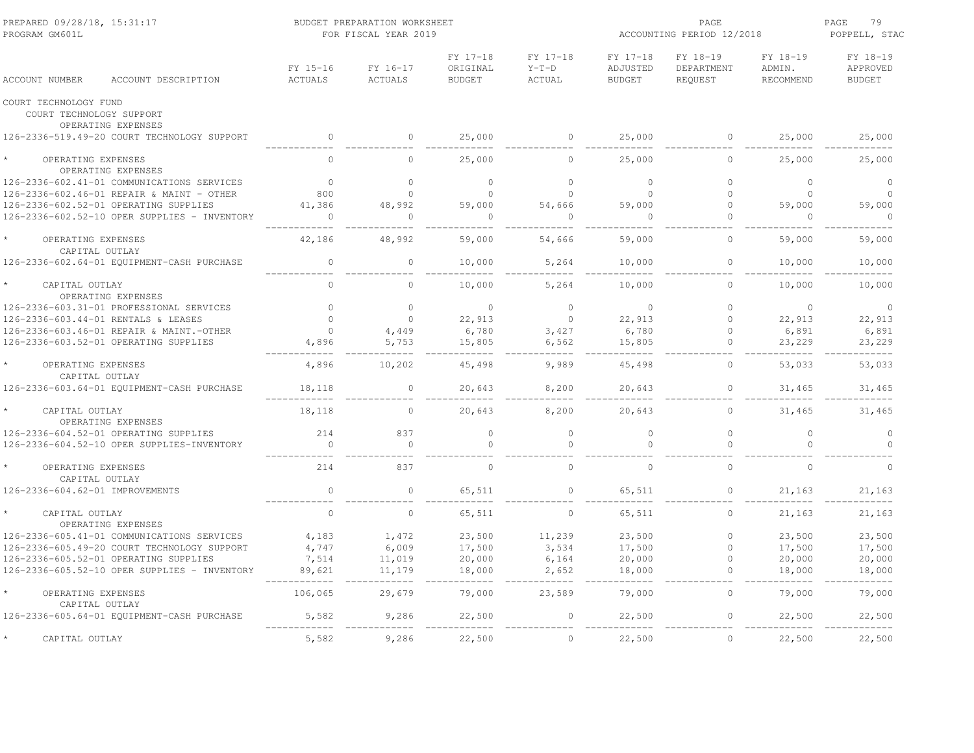| PREPARED 09/28/18, 15:31:17<br>PROGRAM GM601L                |                            | BUDGET PREPARATION WORKSHEET<br>FOR FISCAL YEAR 2019 |                                       | ACCOUNTING PERIOD 12/2018     | PAGE<br>79<br>POPPELL, STAC           |                                   |                                 |                                       |
|--------------------------------------------------------------|----------------------------|------------------------------------------------------|---------------------------------------|-------------------------------|---------------------------------------|-----------------------------------|---------------------------------|---------------------------------------|
| ACCOUNT DESCRIPTION<br><b>ACCOUNT NUMBER</b>                 | FY 15-16<br><b>ACTUALS</b> | FY 16-17<br><b>ACTUALS</b>                           | FY 17-18<br>ORIGINAL<br><b>BUDGET</b> | FY 17-18<br>$Y-T-D$<br>ACTUAL | FY 17-18<br>ADJUSTED<br><b>BUDGET</b> | FY 18-19<br>DEPARTMENT<br>REQUEST | FY 18-19<br>ADMIN.<br>RECOMMEND | FY 18-19<br>APPROVED<br><b>BUDGET</b> |
| COURT TECHNOLOGY FUND<br>COURT TECHNOLOGY SUPPORT            |                            |                                                      |                                       |                               |                                       |                                   |                                 |                                       |
| OPERATING EXPENSES                                           |                            |                                                      |                                       |                               |                                       |                                   |                                 |                                       |
| 126-2336-519.49-20 COURT TECHNOLOGY SUPPORT                  | $\mathbf 0$                | $\circ$                                              | 25,000                                | $\circ$                       | 25,000                                | $\circ$                           | 25,000                          | 25,000                                |
| OPERATING EXPENSES<br>OPERATING EXPENSES                     | $\Omega$                   | $\Omega$                                             | 25,000                                | $\Omega$                      | 25,000                                | $\circ$                           | 25,000                          | 25,000                                |
| 126-2336-602.41-01 COMMUNICATIONS SERVICES                   | $\mathbf{0}$               | 0                                                    | $\circ$                               | $\circ$                       | $\mathbf{0}$                          | $\mathbf{0}$                      | $\circ$                         | $\circ$                               |
| 126-2336-602.46-01 REPAIR & MAINT - OTHER                    | 800                        | $\circ$                                              | $\circ$                               | $\Omega$                      | $\Omega$                              | $\circ$                           | $\circ$                         | $\circ$                               |
| 126-2336-602.52-01 OPERATING SUPPLIES                        | 41,386                     | 48,992                                               | 59,000                                | 54,666                        | 59,000                                | $\circ$                           | 59,000                          | 59,000                                |
| 126-2336-602.52-10 OPER SUPPLIES - INVENTORY                 | $\circ$                    | 0                                                    | $\mathbf{0}$                          | $\mathbf{0}$                  |                                       | $\circ$                           | $\Omega$                        | $\circ$                               |
| OPERATING EXPENSES                                           | 42,186                     | 48,992                                               | 59,000                                | 54,666                        | 59,000                                | $\Omega$                          | 59,000                          | 59,000                                |
| CAPITAL OUTLAY<br>126-2336-602.64-01 EQUIPMENT-CASH PURCHASE | $\mathbb O$                | $\circ$                                              | 10,000                                | 5,264                         | 10,000                                | $\mathbf{0}$                      | 10,000                          | 10,000                                |
| CAPITAL OUTLAY<br>OPERATING EXPENSES                         | $\Omega$                   | $\circ$                                              | 10,000                                | 5,264                         | 10,000                                | $\mathbf{0}$                      | 10,000                          | 10,000                                |
| 126-2336-603.31-01 PROFESSIONAL SERVICES                     | $\Omega$                   | $\Omega$                                             | $\Omega$                              | $\Omega$                      | $\Omega$                              | $\Omega$                          | $\Omega$                        | $\circ$                               |
| 126-2336-603.44-01 RENTALS & LEASES                          | $\Omega$                   | $\circ$                                              | 22,913                                | $\circ$                       | 22,913                                | $\circ$                           | 22,913                          | 22,913                                |
| 126-2336-603.46-01 REPAIR & MAINT.-OTHER                     | $\mathbf{0}$               | 4,449                                                | 6,780                                 | 3,427                         | 6,780                                 | $\circ$                           | 6,891                           | 6,891                                 |
| 126-2336-603.52-01 OPERATING SUPPLIES                        | 4,896                      | 5,753                                                | 15,805                                | 6,562                         | 15,805                                | $\mathbf{0}$                      | 23,229                          | 23,229                                |
| OPERATING EXPENSES<br>CAPITAL OUTLAY                         | 4,896                      | 10,202                                               | 45,498                                | 9,989                         | 45,498                                | $\circ$                           | 53,033                          | 53,033                                |
| 126-2336-603.64-01 EOUIPMENT-CASH PURCHASE                   | 18,118                     | 0                                                    | 20,643                                | 8,200                         | 20,643                                | $\mathbf{0}$                      | 31,465                          | 31,465                                |
| CAPITAL OUTLAY<br>OPERATING EXPENSES                         | 18,118                     | $\circ$                                              | 20,643                                | 8,200                         | 20,643                                | $\circ$                           | 31,465                          | 31,465                                |
| 126-2336-604.52-01 OPERATING SUPPLIES                        | 214                        | 837                                                  | $\circ$                               | $\circ$                       | $\mathbf{0}$                          | $\mathbb O$                       | $\circ$                         | $\circ$                               |
| 126-2336-604.52-10 OPER SUPPLIES-INVENTORY                   | $\mathbf 0$                | $\circ$                                              | $\Omega$                              | $\Omega$                      |                                       | $\Omega$                          | $\Omega$                        | $\Omega$                              |
| OPERATING EXPENSES<br>CAPITAL OUTLAY                         | 214                        | 837                                                  | $\Omega$                              | $\mathbf{0}$                  | $\Omega$                              | $\circ$                           | $\circ$                         | $\circ$                               |
| 126-2336-604.62-01 IMPROVEMENTS                              | $\mathbb O$                | $\circ$                                              | 65,511                                | $\circ$                       | 65,511                                | $\circ$                           | 21,163                          | 21,163                                |
| CAPITAL OUTLAY<br>OPERATING EXPENSES                         | $\Omega$                   | $\Omega$                                             | 65,511                                | $\Omega$                      | 65,511                                | $\circ$                           | 21,163                          | 21,163                                |
| 126-2336-605.41-01 COMMUNICATIONS SERVICES                   | 4,183                      | 1,472                                                | 23,500                                | 11,239                        | 23,500                                | $\Omega$                          | 23,500                          | 23,500                                |
| 126-2336-605.49-20 COURT TECHNOLOGY SUPPORT                  | 4,747                      | 6,009                                                | 17,500                                | 3,534                         | 17,500                                | 0                                 | 17,500                          | 17,500                                |
| 126-2336-605.52-01 OPERATING SUPPLIES                        | 7,514                      | 11,019                                               | 20,000                                | 6,164                         | 20,000                                | $\Omega$                          | 20,000                          | 20,000                                |
| 126-2336-605.52-10 OPER SUPPLIES - INVENTORY                 | 89,621                     | 11,179                                               | 18,000                                | 2,652                         | 18,000                                | $\circ$                           | 18,000                          | 18,000                                |
| OPERATING EXPENSES<br>CAPITAL OUTLAY                         | 106,065                    | 29,679                                               | 79,000                                | 23,589                        | 79,000                                | $\circ$                           | 79,000                          | 79,000                                |
| 126-2336-605.64-01 EQUIPMENT-CASH PURCHASE                   | 5,582                      | 9,286                                                | 22,500                                | $\circ$                       | 22,500                                | $\mathbf{0}$                      | 22,500                          | 22,500                                |
| CAPITAL OUTLAY                                               | 5,582                      | 9,286                                                | 22,500                                | $\circ$                       | 22,500                                | $\circ$                           | 22,500                          | 22,500                                |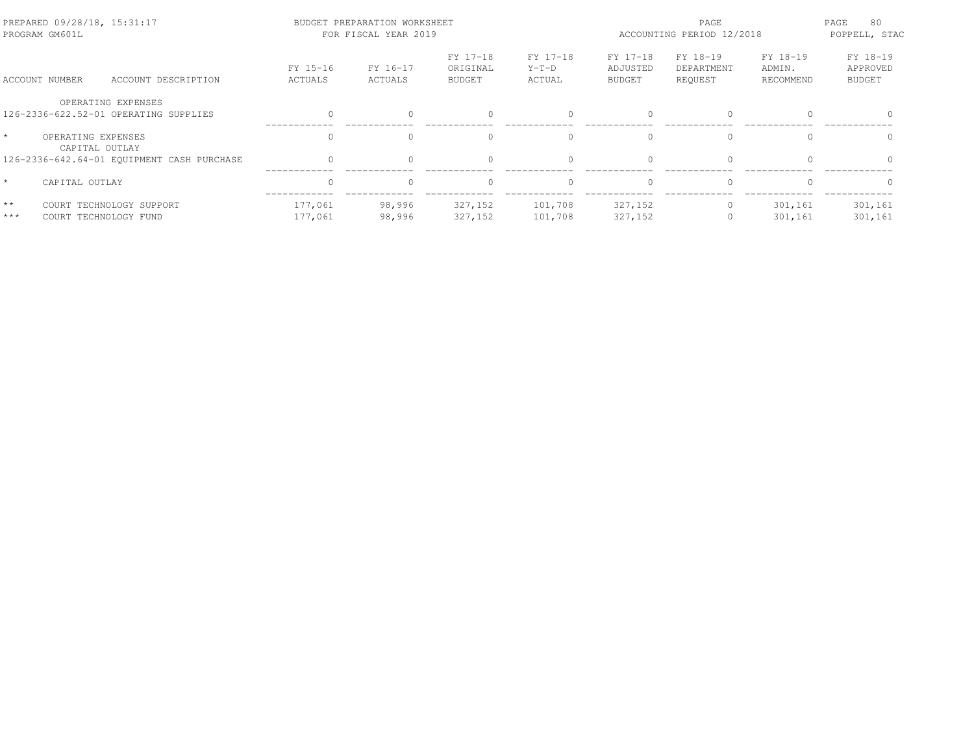| PREPARED 09/28/18, 15:31:17<br>PROGRAM GM601L |                                      |                                                             |                     | BUDGET PREPARATION WORKSHEET<br>FOR FISCAL YEAR 2019 |                                       | PAGE<br>ACCOUNTING PERIOD 12/2018 |                                       |                                   | PAGE<br>80<br>POPPELL, STAC     |                                       |
|-----------------------------------------------|--------------------------------------|-------------------------------------------------------------|---------------------|------------------------------------------------------|---------------------------------------|-----------------------------------|---------------------------------------|-----------------------------------|---------------------------------|---------------------------------------|
|                                               | ACCOUNT NUMBER                       | ACCOUNT DESCRIPTION                                         | FY 15-16<br>ACTUALS | FY 16-17<br>ACTUALS                                  | FY 17-18<br>ORIGINAL<br><b>BUDGET</b> | FY 17-18<br>$Y-T-D$<br>ACTUAL     | FY 17-18<br>ADJUSTED<br><b>BUDGET</b> | FY 18-19<br>DEPARTMENT<br>REOUEST | FY 18-19<br>ADMIN.<br>RECOMMEND | FY 18-19<br>APPROVED<br><b>BUDGET</b> |
|                                               |                                      | OPERATING EXPENSES<br>126-2336-622.52-01 OPERATING SUPPLIES | $\Omega$            | $\Omega$                                             | $\Omega$                              | $\circ$                           | $\Omega$                              | $\Omega$                          | $\cap$                          |                                       |
|                                               | OPERATING EXPENSES<br>CAPITAL OUTLAY |                                                             | $\Omega$            | $\Omega$                                             | $\Omega$                              | $\Omega$                          | $\cap$                                | $\Omega$                          | $\cap$                          | $\Omega$                              |
|                                               |                                      | 126-2336-642.64-01 EQUIPMENT CASH PURCHASE                  | $\Omega$            | 0                                                    | $\mathbf{0}$                          | $\circ$                           | $\Omega$                              | $\mathbf{0}$                      | $\Omega$                        |                                       |
|                                               | CAPITAL OUTLAY                       |                                                             | $\circ$             | $\Omega$                                             | $\mathbf{0}$                          | $\circ$                           | $\Omega$                              | $\mathbf{0}$                      | $\Omega$                        | $\Omega$                              |
| $**$<br>$***$                                 | COURT TECHNOLOGY FUND                | COURT TECHNOLOGY SUPPORT                                    | 177,061<br>177,061  | 98,996<br>98,996                                     | 327,152<br>327,152                    | 101,708<br>101,708                | 327,152<br>327,152                    | 0                                 | 301,161<br>301,161              | 301,161<br>301,161                    |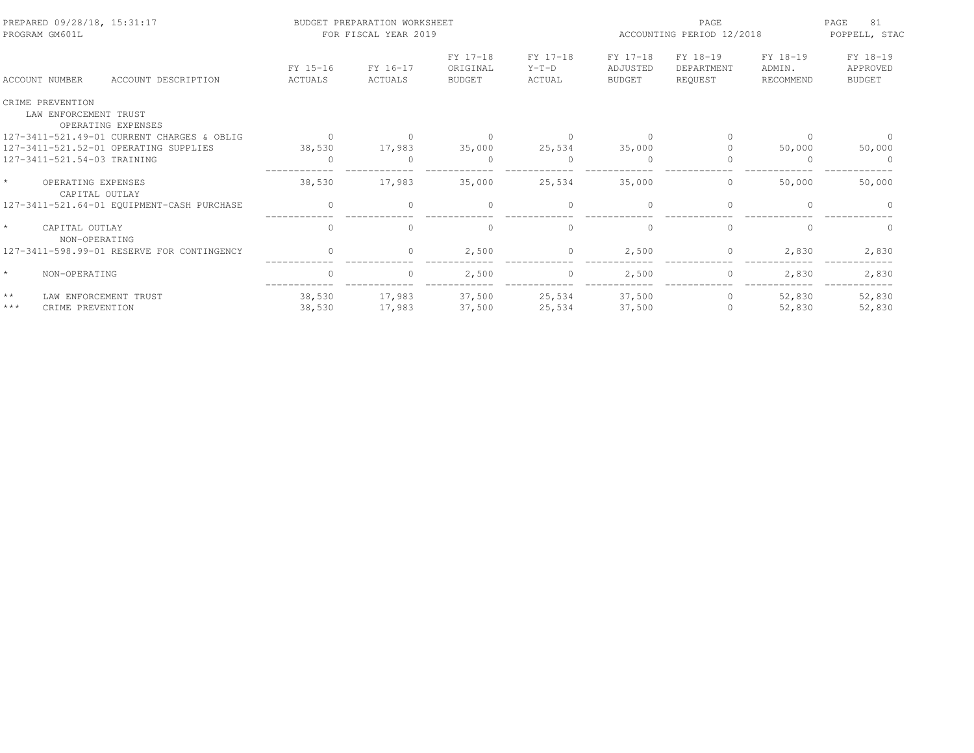| PREPARED 09/28/18, 15:31:17<br>PROGRAM GM601L |                                           |                                            |                     | BUDGET PREPARATION WORKSHEET<br>FOR FISCAL YEAR 2019 |                                       | PAGE<br>ACCOUNTING PERIOD 12/2018 |                                       |                                   | 81<br>PAGE<br>POPPELL, STAC     |                                       |
|-----------------------------------------------|-------------------------------------------|--------------------------------------------|---------------------|------------------------------------------------------|---------------------------------------|-----------------------------------|---------------------------------------|-----------------------------------|---------------------------------|---------------------------------------|
|                                               | <b>ACCOUNT NUMBER</b>                     | ACCOUNT DESCRIPTION                        | FY 15-16<br>ACTUALS | FY 16-17<br>ACTUALS                                  | FY 17-18<br>ORIGINAL<br><b>BUDGET</b> | FY 17-18<br>$Y-T-D$<br>ACTUAL     | FY 17-18<br>ADJUSTED<br><b>BUDGET</b> | FY 18-19<br>DEPARTMENT<br>REQUEST | FY 18-19<br>ADMIN.<br>RECOMMEND | FY 18-19<br>APPROVED<br><b>BUDGET</b> |
|                                               | CRIME PREVENTION<br>LAW ENFORCEMENT TRUST | OPERATING EXPENSES                         |                     |                                                      |                                       |                                   |                                       |                                   |                                 |                                       |
|                                               |                                           | 127-3411-521.49-01 CURRENT CHARGES & OBLIG | $\Omega$            |                                                      |                                       | $\Omega$                          | $\bigcap$                             |                                   | ∩                               |                                       |
|                                               |                                           | 127-3411-521.52-01 OPERATING SUPPLIES      | 38,530              | 17,983                                               | 35,000                                | 25,534                            | 35,000                                |                                   | 50,000                          | 50,000                                |
|                                               | 127-3411-521.54-03 TRAINING               |                                            | $\Omega$            |                                                      | $\Omega$                              | $\Omega$                          | $\bigcap$                             |                                   | $\Omega$                        | $\Omega$                              |
| $\star$                                       | OPERATING EXPENSES<br>CAPITAL OUTLAY      |                                            | 38,530              | 17,983                                               | 35,000                                | 25,534                            | 35,000                                | 0                                 | 50,000                          | 50,000                                |
|                                               |                                           | 127-3411-521.64-01 EQUIPMENT-CASH PURCHASE | $\Omega$            | $\Omega$                                             | $\Omega$                              | $\Omega$                          | $\cap$                                | $\Omega$                          |                                 |                                       |
|                                               | CAPITAL OUTLAY<br>NON-OPERATING           |                                            | $\Omega$            | $\Omega$                                             | $\Omega$                              | $\Omega$                          | $\cap$                                | $\Omega$                          |                                 | $\Omega$                              |
|                                               |                                           | 127-3411-598.99-01 RESERVE FOR CONTINGENCY | $\bigcap$           | $\cap$                                               | 2,500                                 | $\circ$                           | 2,500                                 | $\Omega$                          | 2,830                           | 2,830                                 |
|                                               | NON-OPERATING                             |                                            | $\circ$             | $\circ$                                              | 2,500                                 | $\circ$                           | 2,500                                 | $\circ$                           | 2,830                           | 2,830                                 |
| $\star\star$<br>$***$                         | LAW ENFORCEMENT TRUST<br>CRIME PREVENTION |                                            | 38,530<br>38,530    | 17,983<br>17,983                                     | 37,500<br>37,500                      | 25,534<br>25,534                  | 37,500<br>37,500                      | $\circ$<br>$\Omega$               | 52,830<br>52,830                | 52,830<br>52,830                      |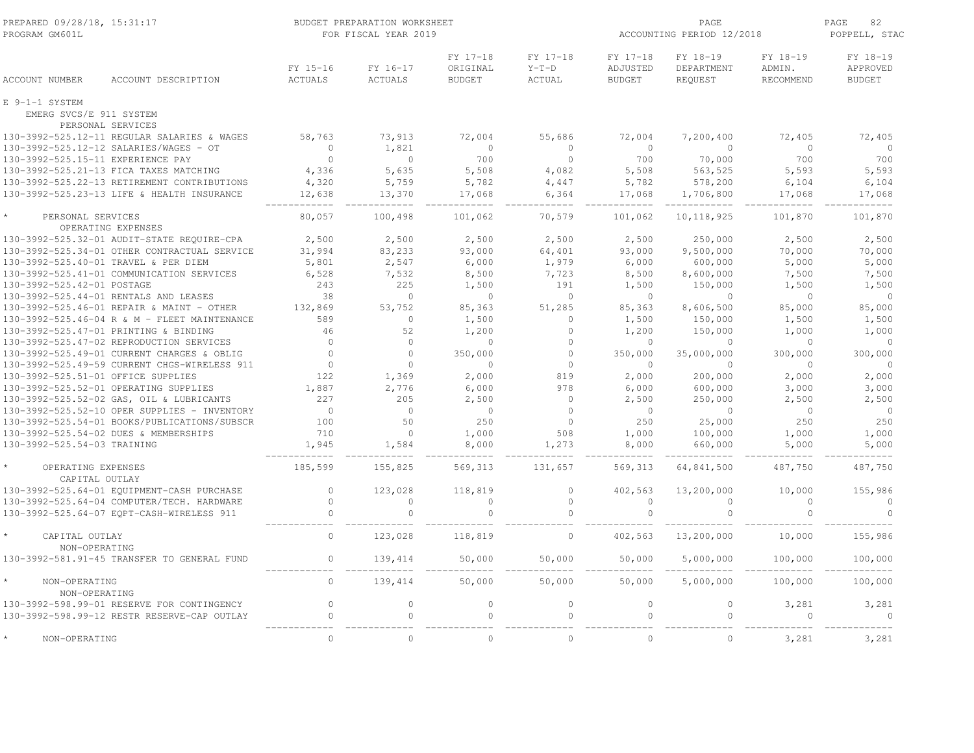| PREPARED 09/28/18, 15:31:17<br>PROGRAM GM601L |                                              |                     | BUDGET PREPARATION WORKSHEET<br>FOR FISCAL YEAR 2019 |                                       | ACCOUNTING PERIOD 12/2018     | 82<br>PAGE<br>POPPELL, STAC           |                                   |                                        |                                       |
|-----------------------------------------------|----------------------------------------------|---------------------|------------------------------------------------------|---------------------------------------|-------------------------------|---------------------------------------|-----------------------------------|----------------------------------------|---------------------------------------|
| <b>ACCOUNT NUMBER</b>                         | ACCOUNT DESCRIPTION                          | FY 15-16<br>ACTUALS | FY 16-17<br><b>ACTUALS</b>                           | FY 17-18<br>ORIGINAL<br><b>BUDGET</b> | FY 17-18<br>$Y-T-D$<br>ACTUAL | FY 17-18<br>ADJUSTED<br><b>BUDGET</b> | FY 18-19<br>DEPARTMENT<br>REQUEST | FY 18-19<br>ADMIN.<br><b>RECOMMEND</b> | FY 18-19<br>APPROVED<br><b>BUDGET</b> |
| E 9-1-1 SYSTEM<br>EMERG SVCS/E 911 SYSTEM     |                                              |                     |                                                      |                                       |                               |                                       |                                   |                                        |                                       |
|                                               | PERSONAL SERVICES                            |                     |                                                      |                                       |                               |                                       |                                   |                                        |                                       |
|                                               | 130-3992-525.12-11 REGULAR SALARIES & WAGES  | 58,763              | 73,913                                               | 72,004                                | 55,686                        | 72,004                                | 7,200,400                         | 72,405                                 | 72,405                                |
|                                               | 130-3992-525.12-12 SALARIES/WAGES - OT       | $\mathbf{0}$        | 1,821                                                | $\circ$                               | $\circ$                       | $\Omega$                              | $\circ$                           | $\circ$                                | $\circ$                               |
| 130-3992-525.15-11 EXPERIENCE PAY             |                                              | $\circ$             | $\circ$                                              | 700                                   | $\circ$                       | 700                                   | 70,000                            | 700                                    | 700                                   |
|                                               | 130-3992-525.21-13 FICA TAXES MATCHING       | 4,336               | 5,635                                                | 5,508                                 | 4,082                         | 5,508                                 | 563,525                           | 5,593                                  | 5,593                                 |
|                                               | 130-3992-525.22-13 RETIREMENT CONTRIBUTIONS  | 4,320               | 5,759                                                | 5,782                                 | 4,447                         | 5,782                                 | 578,200                           | 6,104                                  | 6,104                                 |
|                                               | 130-3992-525.23-13 LIFE & HEALTH INSURANCE   | 12,638              | 13,370                                               | 17,068                                | 6,364                         | 17,068                                | 1,706,800                         | 17,068                                 | 17,068                                |
| PERSONAL SERVICES                             | OPERATING EXPENSES                           | 80,057              | 100,498                                              | 101,062                               | 70,579                        | 101,062                               | 10, 118, 925                      | 101,870                                | 101,870                               |
|                                               | 130-3992-525.32-01 AUDIT-STATE REQUIRE-CPA   | 2,500               | 2,500                                                | 2,500                                 | 2,500                         | 2,500                                 | 250,000                           | 2,500                                  | 2,500                                 |
|                                               | 130-3992-525.34-01 OTHER CONTRACTUAL SERVICE | 31,994              | 83,233                                               | 93,000                                | 64,401                        | 93,000                                | 9,500,000                         | 70,000                                 | 70,000                                |
|                                               | 130-3992-525.40-01 TRAVEL & PER DIEM         | 5,801               | 2,547                                                | 6,000                                 | 1,979                         | 6,000                                 | 600,000                           | 5,000                                  | 5,000                                 |
|                                               | 130-3992-525.41-01 COMMUNICATION SERVICES    | 6,528               | 7,532                                                | 8,500                                 | 7,723                         | 8,500                                 | 8,600,000                         | 7,500                                  | 7,500                                 |
| 130-3992-525.42-01 POSTAGE                    |                                              | 243                 | 225                                                  | 1,500                                 | 191                           | 1,500                                 | 150,000                           | 1,500                                  | 1,500                                 |
|                                               | 130-3992-525.44-01 RENTALS AND LEASES        | 38                  | $\Omega$                                             | $\Omega$                              | $\circ$                       | $\Omega$                              | $\Omega$                          | $\Omega$                               | $\Omega$                              |
|                                               | 130-3992-525.46-01 REPAIR & MAINT - OTHER    | 132,869             | 53,752                                               | 85,363                                | 51,285                        | 85,363                                | 8,606,500                         | 85,000                                 | 85,000                                |
|                                               | 130-3992-525.46-04 R & M - FLEET MAINTENANCE | 589                 | $\circ$                                              | 1,500                                 | $\mathbf{0}$                  | 1,500                                 | 150,000                           | 1,500                                  | 1,500                                 |
|                                               | 130-3992-525.47-01 PRINTING & BINDING        | 46                  | 52                                                   | 1,200                                 | $\circ$                       | 1,200                                 | 150,000                           | 1,000                                  | 1,000                                 |
|                                               | 130-3992-525.47-02 REPRODUCTION SERVICES     | $\circ$             | $\circ$                                              | $\circ$                               | $\circ$                       | $\overline{0}$                        | $\mathbf{0}$                      | $\overline{0}$                         | $\circ$                               |
|                                               | 130-3992-525.49-01 CURRENT CHARGES & OBLIG   | $\mathbf 0$         | $\circ$                                              | 350,000                               | $\mathbf{0}$                  | 350,000                               | 35,000,000                        | 300,000                                | 300,000                               |
|                                               | 130-3992-525.49-59 CURRENT CHGS-WIRELESS 911 | $\Omega$            | $\Omega$                                             | $\Omega$                              | $\Omega$                      | $\Omega$                              | $\Omega$                          | $\Omega$                               | $\Omega$                              |
| 130-3992-525.51-01 OFFICE SUPPLIES            |                                              | 122                 | 1,369                                                | 2,000                                 | 819                           | 2,000                                 | 200,000                           | 2,000                                  | 2,000                                 |
|                                               | 130-3992-525.52-01 OPERATING SUPPLIES        | 1,887               | 2,776                                                | 6,000                                 | 978                           | 6,000                                 | 600,000                           | 3,000                                  | 3,000                                 |
|                                               | 130-3992-525.52-02 GAS, OIL & LUBRICANTS     | 227                 | 205                                                  | 2,500                                 | $\circ$                       | 2,500                                 | 250,000                           | 2,500                                  | 2,500                                 |
|                                               | 130-3992-525.52-10 OPER SUPPLIES - INVENTORY | $\mathbf{0}$        | $\circ$                                              | $\circ$                               | $\circ$                       | $\overline{0}$                        | $\circ$                           | $\circ$                                | $\circ$                               |
|                                               | 130-3992-525.54-01 BOOKS/PUBLICATIONS/SUBSCR | 100                 | 50                                                   | 250                                   | $\circ$                       | 250                                   | 25,000                            | 250                                    | 250                                   |
|                                               | 130-3992-525.54-02 DUES & MEMBERSHIPS        | 710                 | $\circ$                                              | 1,000                                 | 508                           | 1,000                                 | 100,000                           | 1,000                                  | 1,000                                 |
| 130-3992-525.54-03 TRAINING                   |                                              | 1,945               | 1,584                                                | 8,000                                 | 1,273                         | 8,000                                 | 660,000                           | 5,000                                  | 5,000                                 |
|                                               |                                              |                     |                                                      |                                       |                               |                                       |                                   |                                        |                                       |
| OPERATING EXPENSES<br>CAPITAL OUTLAY          |                                              | 185,599             | 155,825                                              | 569,313                               | 131,657                       | 569,313                               | 64,841,500                        | 487,750                                | 487,750                               |
|                                               | 130-3992-525.64-01 EQUIPMENT-CASH PURCHASE   | $\mathbb O$         | 123,028                                              | 118,819                               | $\circ$                       | 402,563                               | 13,200,000                        | 10,000                                 | 155,986                               |
|                                               | 130-3992-525.64-04 COMPUTER/TECH. HARDWARE   | $\mathbb O$         | $\circ$                                              | $\circ$                               | $\circ$                       | $\circ$                               | $\mathbf{0}$                      | $\mathbf{0}$                           | $\circ$                               |
|                                               | 130-3992-525.64-07 EQPT-CASH-WIRELESS 911    | $\circ$             | $\circ$                                              | $\circ$                               | $\circ$                       | $\circ$                               | $\mathbb O$                       | $\circ$                                | $\circ$                               |
| CAPITAL OUTLAY<br>NON-OPERATING               |                                              | $\mathbf{0}$        | 123,028                                              | 118,819                               | $\mathbb O$                   | 402,563                               | 13,200,000                        | 10,000                                 | 155,986                               |
|                                               | 130-3992-581.91-45 TRANSFER TO GENERAL FUND  | $\Omega$            | 139,414                                              | 50,000                                | 50,000                        | 50,000                                | 5,000,000                         | 100,000                                | 100,000                               |
| NON-OPERATING                                 |                                              | $\mathbf{0}$        | 139,414                                              | 50,000                                | 50,000                        | 50,000                                | 5,000,000                         | 100,000                                | 100,000                               |
| NON-OPERATING                                 |                                              |                     |                                                      |                                       |                               |                                       |                                   |                                        |                                       |
|                                               | 130-3992-598.99-01 RESERVE FOR CONTINGENCY   | $\mathbb O$         | $\circ$                                              | $\circ$                               | $\mathbf 0$                   | $\mathbf 0$                           | $\mathbb O$                       | 3,281                                  | 3,281                                 |
|                                               | 130-3992-598.99-12 RESTR RESERVE-CAP OUTLAY  | $\Omega$            | $\Omega$                                             | $\Omega$                              | $\Omega$                      | $\Omega$                              | $\Omega$                          |                                        | $\Omega$                              |
| NON-OPERATING                                 |                                              | $\mathbf{0}$        | $\circ$                                              | $\circ$                               | $\mathbf{0}$                  | $\Omega$                              | $\circ$                           | 3,281                                  | 3,281                                 |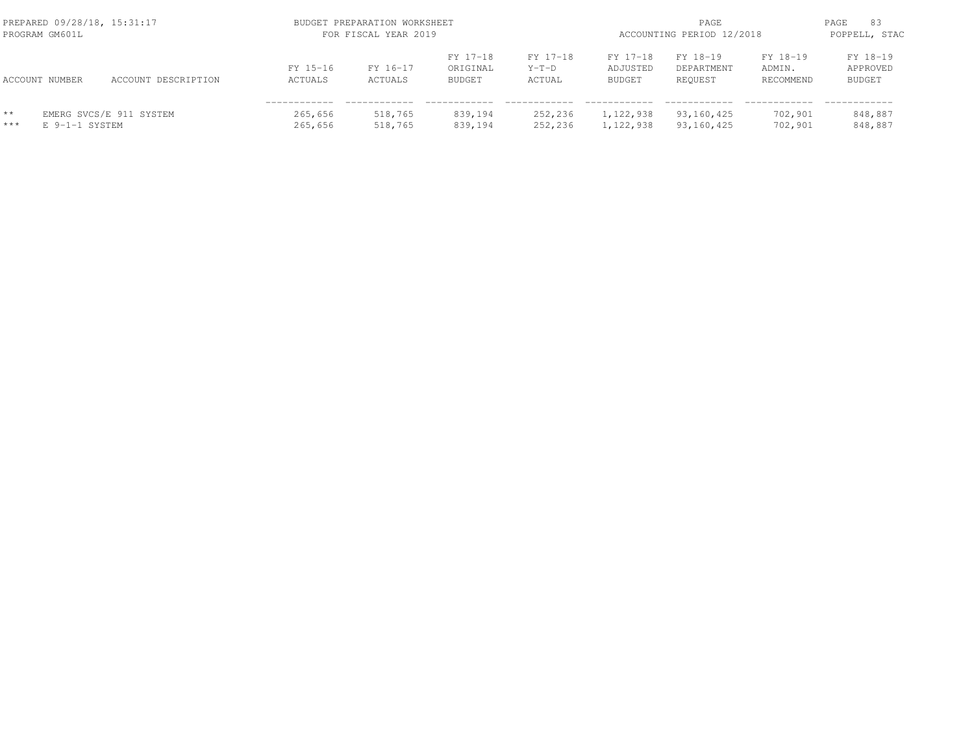|                       | PREPARED 09/28/18, 15:31:17<br>PROGRAM GM601L |                         |                     | BUDGET PREPARATION WORKSHEET<br>FOR FISCAL YEAR 2019 | ACCOUNTING PERIOD 12/2018             | PAGE<br>83<br>POPPELL, STAC   |                                       |                                   |                                 |                                       |
|-----------------------|-----------------------------------------------|-------------------------|---------------------|------------------------------------------------------|---------------------------------------|-------------------------------|---------------------------------------|-----------------------------------|---------------------------------|---------------------------------------|
|                       | ACCOUNT NUMBER                                | ACCOUNT DESCRIPTION     | FY 15-16<br>ACTUALS | FY 16-17<br>ACTUALS                                  | FY 17-18<br>ORIGINAL<br><b>BUDGET</b> | FY 17-18<br>$Y-T-D$<br>ACTUAL | FY 17-18<br>ADJUSTED<br><b>BUDGET</b> | FY 18-19<br>DEPARTMENT<br>REQUEST | FY 18-19<br>ADMIN.<br>RECOMMEND | FY 18-19<br>APPROVED<br><b>BUDGET</b> |
| $\star\star$<br>$***$ | E 9-1-1 SYSTEM                                | EMERG SVCS/E 911 SYSTEM | 265,656<br>265,656  | 518,765<br>518,765                                   | 839,194<br>839,194                    | 252,236<br>252,236            | 1,122,938<br>1,122,938                | 93,160,425<br>93,160,425          | 702,901<br>702,901              | 848,887<br>848,887                    |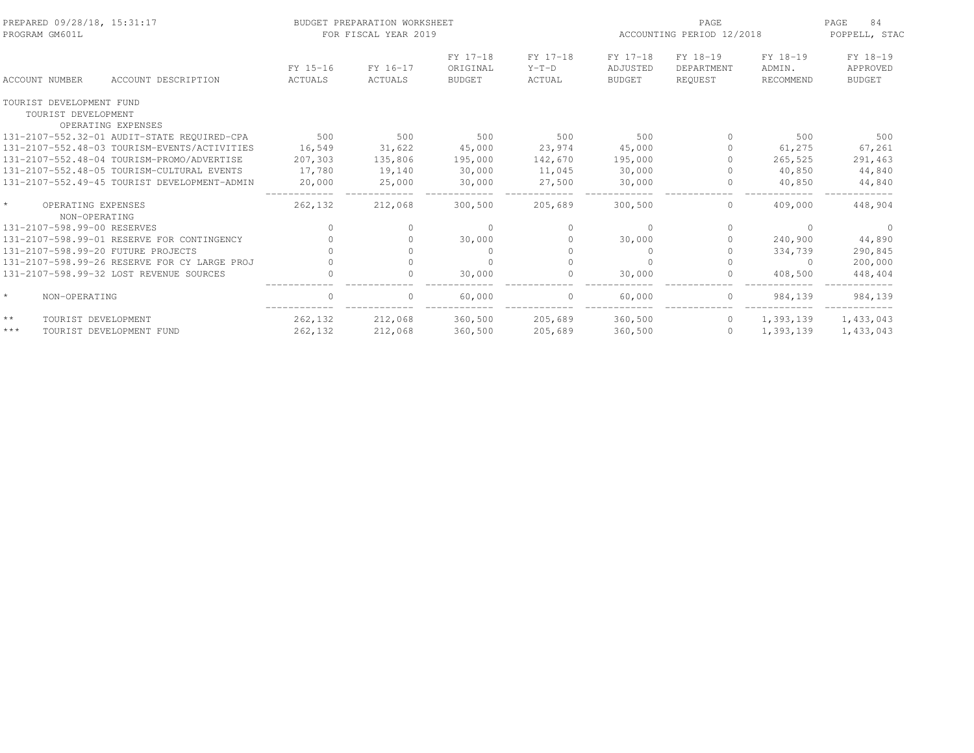| PREPARED 09/28/18, 15:31:17<br>PROGRAM GM601L   |                                              |                     | BUDGET PREPARATION WORKSHEET<br>FOR FISCAL YEAR 2019 |                                       |                               | PAGE<br>ACCOUNTING PERIOD 12/2018     |                                   |                                 | 84<br>PAGE<br>POPPELL, STAC           |
|-------------------------------------------------|----------------------------------------------|---------------------|------------------------------------------------------|---------------------------------------|-------------------------------|---------------------------------------|-----------------------------------|---------------------------------|---------------------------------------|
| ACCOUNT NUMBER                                  | ACCOUNT DESCRIPTION                          | FY 15-16<br>ACTUALS | FY 16-17<br>ACTUALS                                  | FY 17-18<br>ORIGINAL<br><b>BUDGET</b> | FY 17-18<br>$Y-T-D$<br>ACTUAL | FY 17-18<br>ADJUSTED<br><b>BUDGET</b> | FY 18-19<br>DEPARTMENT<br>REQUEST | FY 18-19<br>ADMIN.<br>RECOMMEND | FY 18-19<br>APPROVED<br><b>BUDGET</b> |
| TOURIST DEVELOPMENT FUND<br>TOURIST DEVELOPMENT | OPERATING EXPENSES                           |                     |                                                      |                                       |                               |                                       |                                   |                                 |                                       |
|                                                 | 131-2107-552.32-01 AUDIT-STATE REQUIRED-CPA  | 500                 | 500                                                  | 500                                   | 500                           | 500                                   | $\Omega$                          | 500                             | 500                                   |
|                                                 | 131-2107-552.48-03 TOURISM-EVENTS/ACTIVITIES | 16,549              | 31,622                                               | 45,000                                | 23,974                        | 45,000                                | 0                                 | 61,275                          | 67,261                                |
|                                                 | 131-2107-552.48-04 TOURISM-PROMO/ADVERTISE   | 207,303             | 135,806                                              | 195,000                               | 142,670                       | 195,000                               | $\bigcap$                         | 265,525                         | 291,463                               |
|                                                 | 131-2107-552.48-05 TOURISM-CULTURAL EVENTS   | 17,780              | 19,140                                               | 30,000                                | 11,045                        | 30,000                                | $\bigcap$                         | 40,850                          | 44,840                                |
|                                                 | 131-2107-552.49-45 TOURIST DEVELOPMENT-ADMIN | 20,000              | 25,000                                               | 30,000                                | 27,500                        | 30,000                                | $\Omega$                          | 40,850                          | 44,840                                |
| $\star$<br>OPERATING EXPENSES<br>NON-OPERATING  |                                              | 262,132             | 212,068                                              | 300,500                               | 205,689                       | 300,500                               | $\circ$                           | 409,000                         | 448,904                               |
| 131-2107-598.99-00 RESERVES                     |                                              | $\bigcap$           |                                                      | $\Omega$                              |                               | $\Omega$                              | $\Omega$                          | $\Omega$                        |                                       |
|                                                 | 131-2107-598.99-01 RESERVE FOR CONTINGENCY   |                     |                                                      | 30,000                                |                               | 30,000                                | 0                                 | 240,900                         | 44,890                                |
| 131-2107-598.99-20 FUTURE PROJECTS              |                                              |                     |                                                      |                                       |                               | $\Omega$                              | $\Omega$                          | 334,739                         | 290,845                               |
|                                                 | 131-2107-598.99-26 RESERVE FOR CY LARGE PROJ |                     |                                                      |                                       |                               |                                       | $\Omega$                          | $\Omega$                        | 200,000                               |
|                                                 | 131-2107-598.99-32 LOST REVENUE SOURCES      |                     |                                                      | 30,000                                |                               | 30,000                                | 0                                 | 408,500                         | 448,404                               |
| $\star$<br>NON-OPERATING                        |                                              |                     |                                                      | 60,000                                |                               | 60,000                                | 0                                 | 984,139                         | 984,139                               |
| $\star\star$<br>TOURIST DEVELOPMENT             |                                              | 262,132             | 212,068                                              | 360,500                               | 205,689                       | 360,500                               | $\circ$                           | 1,393,139                       | 1,433,043                             |
| $\star\star\star$                               | TOURIST DEVELOPMENT FUND                     | 262,132             | 212,068                                              | 360,500                               | 205,689                       | 360,500                               | $\circ$                           | 1,393,139                       | 1,433,043                             |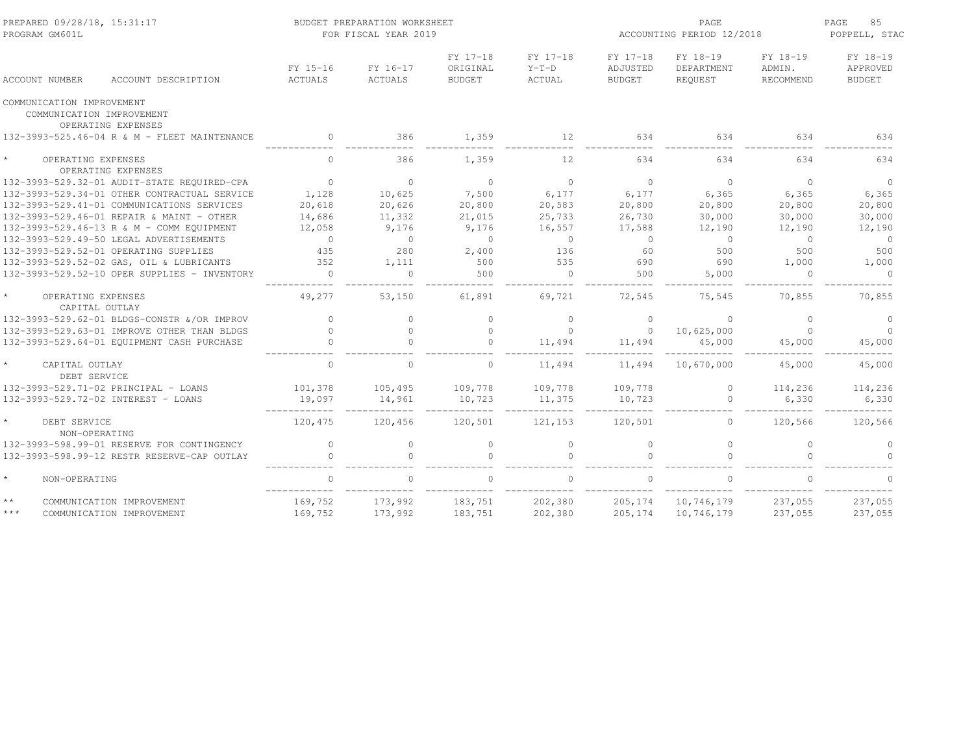| PREPARED 09/28/18, 15:31:17<br>PROGRAM GM601L                                |                     | BUDGET PREPARATION WORKSHEET<br>FOR FISCAL YEAR 2019 |                                       | ACCOUNTING PERIOD 12/2018            | PAGE<br>85<br>POPPELL, STAC           |                                   |                                        |                                       |
|------------------------------------------------------------------------------|---------------------|------------------------------------------------------|---------------------------------------|--------------------------------------|---------------------------------------|-----------------------------------|----------------------------------------|---------------------------------------|
| ACCOUNT DESCRIPTION<br><b>ACCOUNT NUMBER</b>                                 | FY 15-16<br>ACTUALS | FY 16-17<br><b>ACTUALS</b>                           | FY 17-18<br>ORIGINAL<br><b>BUDGET</b> | FY 17-18<br>$Y-T-D$<br><b>ACTUAL</b> | FY 17-18<br>ADJUSTED<br><b>BUDGET</b> | FY 18-19<br>DEPARTMENT<br>REQUEST | FY 18-19<br>ADMIN.<br><b>RECOMMEND</b> | FY 18-19<br>APPROVED<br><b>BUDGET</b> |
| COMMUNICATION IMPROVEMENT<br>COMMUNICATION IMPROVEMENT<br>OPERATING EXPENSES |                     |                                                      |                                       |                                      |                                       |                                   |                                        |                                       |
| 132-3993-525.46-04 R & M - FLEET MAINTENANCE                                 | $\circ$             | 386                                                  | 1,359                                 | 12                                   | 634                                   | 634                               | 634                                    | 634                                   |
| OPERATING EXPENSES<br>OPERATING EXPENSES                                     | $\Omega$            | 386                                                  | 1,359                                 | 12                                   | 634                                   | 634                               | 634                                    | 634                                   |
| 132-3993-529.32-01 AUDIT-STATE REQUIRED-CPA                                  | $\Omega$            | $\Omega$                                             | $\Omega$                              | $\Omega$                             | $\overline{0}$                        | $\Omega$                          | $\Omega$                               | $\Omega$                              |
| 132-3993-529.34-01 OTHER CONTRACTUAL SERVICE                                 | 1,128               | 10,625                                               | 7,500                                 | 6,177                                | 6,177                                 | 6,365                             | 6,365                                  | 6,365                                 |
| 132-3993-529.41-01 COMMUNICATIONS SERVICES                                   | 20,618              | 20,626                                               | 20,800                                | 20,583                               | 20,800                                | 20,800                            | 20,800                                 | 20,800                                |
| 132-3993-529.46-01 REPAIR & MAINT - OTHER                                    | 14,686              | 11,332                                               | 21,015                                | 25,733                               | 26,730                                | 30,000                            | 30,000                                 | 30,000                                |
| 132-3993-529.46-13 R & M - COMM EQUIPMENT                                    | 12,058              | 9,176                                                | 9,176                                 | 16,557                               | 17,588                                | 12,190                            | 12,190                                 | 12,190                                |
| 132-3993-529.49-50 LEGAL ADVERTISEMENTS                                      | $\Omega$            | $\overline{0}$                                       | $\Omega$                              | $\circ$                              | $\bigcirc$                            | $\circ$                           | $\Omega$                               | $\overline{0}$                        |
| 132-3993-529.52-01 OPERATING SUPPLIES                                        | 435                 | 280                                                  | 2,400                                 | 136                                  | 60                                    | 500                               | 500                                    | 500                                   |
| 132-3993-529.52-02 GAS, OIL & LUBRICANTS                                     | 352                 | 1,111                                                | 500                                   | 535                                  | 690                                   | 690                               | 1,000                                  | 1,000                                 |
| 132-3993-529.52-10 OPER SUPPLIES - INVENTORY                                 | $\Omega$            | $\Omega$                                             | 500                                   | $\Omega$                             | 500                                   | 5,000                             | $\Omega$                               | $\Omega$                              |
| OPERATING EXPENSES<br>CAPITAL OUTLAY                                         | 49,277              | 53,150                                               | 61,891                                | 69,721                               | 72,545                                | 75,545                            | 70,855                                 | 70,855                                |
| 132-3993-529.62-01 BLDGS-CONSTR & OR IMPROV                                  | $\Omega$            | $\Omega$                                             | $\Omega$                              | $\Omega$                             | $\Omega$                              | $\Omega$                          | $\Omega$                               | $\Omega$                              |
| 132-3993-529.63-01 IMPROVE OTHER THAN BLDGS                                  | $\Omega$            | $\Omega$                                             | $\Omega$                              | $\Omega$                             | $\Omega$                              | 10,625,000                        | $\Omega$                               | $\Omega$                              |
| 132-3993-529.64-01 EQUIPMENT CASH PURCHASE                                   |                     | $\cap$                                               | $\Omega$                              | 11,494                               | 11,494                                | 45,000                            | 45,000                                 | 45,000                                |
| CAPITAL OUTLAY<br>DEBT SERVICE                                               | $\circ$             | $\circ$                                              | $\mathbf{0}$                          | 11,494                               | 11,494                                | 10,670,000                        | ------<br>45,000                       | 45,000                                |
| 132-3993-529.71-02 PRINCIPAL - LOANS                                         | 101,378             | 105,495                                              | 109,778                               | 109,778                              | 109,778                               | $\circ$                           | 114,236                                | 114,236                               |
| 132-3993-529.72-02 INTEREST - LOANS                                          | 19,097              | 14,961                                               | 10,723                                | 11,375                               | 10,723                                | $\circ$                           | 6,330                                  | 6,330                                 |
| $\star$<br>DEBT SERVICE<br>NON-OPERATING                                     | 120,475             | 120,456                                              | 120,501                               | 121,153                              | 120,501                               | $\circ$                           | 120,566                                | 120,566                               |
| 132-3993-598.99-01 RESERVE FOR CONTINGENCY                                   | $\mathbf{0}$        | $\circ$                                              | $\circ$                               | $\circ$                              | $\circ$                               | $\circ$                           | $\circ$                                | $\circ$                               |
| 132-3993-598.99-12 RESTR RESERVE-CAP OUTLAY                                  | $\circ$             | $\cap$                                               | $\Omega$                              | $\bigcap$                            |                                       | $\Omega$                          |                                        |                                       |
| $\star$<br>NON-OPERATING                                                     | $\Omega$            | $\Omega$                                             |                                       | $\cap$                               |                                       | $\Omega$                          | $\cap$                                 |                                       |
| $\star$ $\star$<br>COMMUNICATION IMPROVEMENT                                 | 169,752             | 173,992                                              | 183,751                               | 202,380                              | 205,174                               | 10,746,179                        | 237,055                                | 237,055                               |
| $\star\star\star$<br>COMMUNICATION IMPROVEMENT                               | 169,752             | 173,992                                              | 183,751                               | 202,380                              | 205,174                               | 10,746,179                        | 237,055                                | 237,055                               |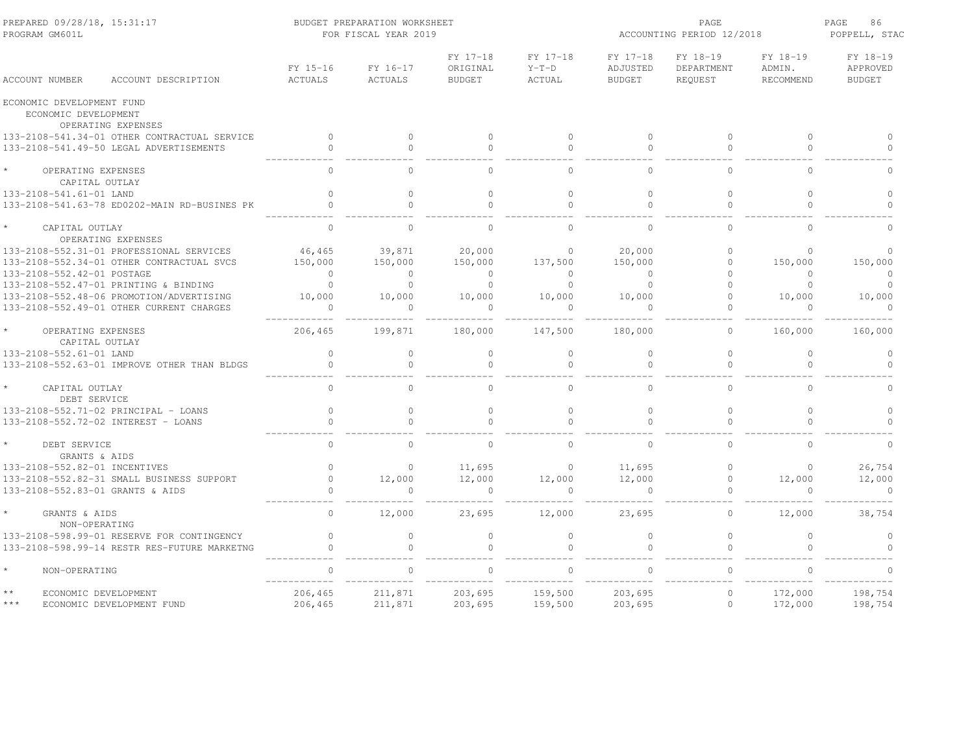| PREPARED 09/28/18, 15:31:17<br>PROGRAM GM601L |                                                                                      |                                  | BUDGET PREPARATION WORKSHEET<br>FOR FISCAL YEAR 2019 |                                |                               | ACCOUNTING PERIOD 12/2018        | PAGE<br>86<br>POPPELL, STAC       |                                 |                                       |
|-----------------------------------------------|--------------------------------------------------------------------------------------|----------------------------------|------------------------------------------------------|--------------------------------|-------------------------------|----------------------------------|-----------------------------------|---------------------------------|---------------------------------------|
| ACCOUNT NUMBER                                | ACCOUNT DESCRIPTION                                                                  | FY 15-16<br>ACTUALS              | FY 16-17<br>ACTUALS                                  | FY 17-18<br>ORIGINAL<br>BUDGET | FY 17-18<br>$Y-T-D$<br>ACTUAL | FY 17-18<br>ADJUSTED<br>BUDGET   | FY 18-19<br>DEPARTMENT<br>REQUEST | FY 18-19<br>ADMIN.<br>RECOMMEND | FY 18-19<br>APPROVED<br><b>BUDGET</b> |
| ECONOMIC DEVELOPMENT FUND                     |                                                                                      |                                  |                                                      |                                |                               |                                  |                                   |                                 |                                       |
| ECONOMIC DEVELOPMENT                          | OPERATING EXPENSES                                                                   |                                  |                                                      |                                |                               |                                  |                                   |                                 |                                       |
|                                               | 133-2108-541.34-01 OTHER CONTRACTUAL SERVICE                                         | $\sim$ 0                         | $\circ$                                              | $\circ$                        | $\overline{0}$                | $\circ$                          | $\circ$                           | $\circ$                         | $\Omega$                              |
|                                               | 133-2108-541.49-50 LEGAL ADVERTISEMENTS                                              | $\circ$                          | $\circ$                                              | $\circ$                        | $\circ$                       | $\circ$                          | $\mathbf{0}$                      | $\circ$                         | $\Omega$                              |
| OPERATING EXPENSES                            | CAPITAL OUTLAY                                                                       | $\bigcap$                        | $\Omega$                                             | $\cap$                         | $\Omega$                      |                                  | $\bigcap$                         |                                 |                                       |
| 133-2108-541.61-01 LAND                       |                                                                                      | $\Omega$                         | $\Omega$                                             | $\circ$                        | $\Omega$                      | $\Omega$                         | $\circ$                           | $\Omega$                        | $\circ$                               |
|                                               | 133-2108-541.63-78 ED0202-MAIN RD-BUSINES PK                                         |                                  | $\Omega$                                             | $\Omega$                       | $\Omega$                      | $\Omega$                         | $\Omega$                          | $\Omega$                        | $\cap$                                |
| $\star$<br>CAPITAL OUTLAY                     |                                                                                      | $\cap$                           | $\Omega$                                             | $\Omega$                       | $\cap$                        | $\cap$                           | $\cap$                            | $\Omega$                        | $\cap$                                |
|                                               | OPERATING EXPENSES                                                                   |                                  |                                                      |                                |                               |                                  |                                   |                                 |                                       |
|                                               | 133-2108-552.31-01 PROFESSIONAL SERVICES                                             | 46,465                           | 39,871                                               | 20,000                         | $\Omega$                      | 20,000                           | $\Omega$                          | $\Omega$                        | $\Omega$                              |
|                                               | 133-2108-552.34-01 OTHER CONTRACTUAL SVCS                                            | 150,000                          | 150,000                                              | 150,000                        | 137,500<br>$\sim$ 0           | 150,000                          | $\circ$<br>$\Omega$               | 150,000                         | 150,000                               |
| 133-2108-552.42-01 POSTAGE                    | 133-2108-552.47-01 PRINTING & BINDING                                                | $\overline{0}$<br>$\overline{0}$ | $\overline{0}$<br>$\overline{0}$                     | $\sim$ 0<br>$\bigcirc$         | $\overline{0}$                | $\overline{0}$<br>$\overline{0}$ | $\Omega$                          | $\overline{0}$<br>$\bigcirc$    | $\circ$<br>$\Omega$                   |
|                                               |                                                                                      |                                  |                                                      |                                |                               |                                  | $\circ$                           |                                 |                                       |
|                                               | 133-2108-552.48-06 PROMOTION/ADVERTISING<br>133-2108-552.49-01 OTHER CURRENT CHARGES | 10,000<br>$\sim$ 0               | 10,000<br>$\overline{0}$                             | 10,000<br>$\overline{0}$       | 10,000<br>$\overline{0}$      | 10,000<br>$\overline{0}$         | $\Omega$                          | 10,000<br>$\overline{0}$        | 10,000<br>$\overline{0}$              |
|                                               |                                                                                      |                                  | ---------                                            |                                |                               |                                  |                                   |                                 |                                       |
| OPERATING EXPENSES                            | CAPITAL OUTLAY                                                                       | 206,465                          | 199,871                                              | 180,000                        | 147,500                       | 180,000                          | $\Omega$                          | 160,000                         | 160,000                               |
| 133-2108-552.61-01 LAND                       |                                                                                      | $\circ$                          | $\circ$                                              | $\circ$                        | $\circ$                       | $\circ$                          | $\circ$                           | $\circ$                         | $\circ$                               |
|                                               | 133-2108-552.63-01 IMPROVE OTHER THAN BLDGS                                          | $\mathbf{0}$                     | $\circ$                                              | $\circ$                        | $\Omega$                      | $\mathbf{0}$                     | $\mathbf{0}$                      | $\Omega$                        | $\Omega$                              |
| CAPITAL OUTLAY<br>DEBT SERVICE                |                                                                                      | $\Omega$                         | $\cap$                                               | $\Omega$                       | $\cap$                        | $\Omega$                         | $\Omega$                          | $\Omega$                        | $\cap$                                |
|                                               | 133-2108-552.71-02 PRINCIPAL - LOANS                                                 | $\Omega$                         | $\Omega$                                             | $\circ$                        | $\Omega$                      | $\Omega$                         | $\Omega$                          | $\Omega$                        | $\Omega$                              |
|                                               | 133-2108-552.72-02 INTEREST - LOANS                                                  | $\Omega$                         | $\Omega$                                             | $\Omega$                       | $\Omega$                      | $\Omega$                         | $\Omega$                          | $\Omega$                        |                                       |
| DEBT SERVICE                                  | GRANTS & AIDS                                                                        | $\Omega$                         | $\Omega$                                             | $\Omega$                       | $\circ$                       | $\Omega$                         | $\circ$                           | $\Omega$                        | $\circ$                               |
| 133-2108-552.82-01 INCENTIVES                 |                                                                                      | $\Omega$                         | $\Omega$                                             | 11,695                         | $\overline{0}$                | 11,695                           | $\Omega$                          | $\bigcirc$                      | 26,754                                |
|                                               | 133-2108-552.82-31 SMALL BUSINESS SUPPORT                                            | $\overline{0}$                   | 12,000                                               | 12,000                         | 12,000                        | 12,000                           | $\circ$                           | 12,000                          | 12,000                                |
| 133-2108-552.83-01 GRANTS & AIDS              |                                                                                      |                                  |                                                      | $\sim$ 0                       | $\Omega$                      |                                  |                                   |                                 | $\sim$ 0                              |
| GRANTS & AIDS                                 | NON-OPERATING                                                                        | $\circ$                          | 12,000                                               | 23,695                         | 12,000                        | 23,695                           | $\circ$                           | 12,000                          | 38,754                                |
|                                               | 133-2108-598.99-01 RESERVE FOR CONTINGENCY                                           | $\circ$                          | $\Omega$                                             | $\circ$                        | $\circ$                       | $\Omega$                         | $\mathbb O$                       | $\Omega$                        | $\circ$                               |
|                                               | 133-2108-598.99-14 RESTR RES-FUTURE MARKETNG                                         | $\Omega$                         | $\Omega$                                             | $\Omega$                       | $\bigcirc$                    | $\Omega$                         | $\Omega$                          | $\Omega$                        | $\Omega$                              |
| $\star$<br>NON-OPERATING                      |                                                                                      |                                  |                                                      | $\Omega$                       | $\Omega$                      |                                  | $\Omega$                          |                                 |                                       |
| $\star\,\star$                                | ECONOMIC DEVELOPMENT                                                                 | 206,465                          | 211,871                                              | 203,695                        | 159,500                       | 203,695                          | $\circ$                           | 172,000                         | 198,754                               |
| $***$                                         | ECONOMIC DEVELOPMENT FUND                                                            | 206,465                          | 211,871                                              | 203,695                        | 159,500                       | 203,695                          | $\circ$                           | 172,000                         | 198,754                               |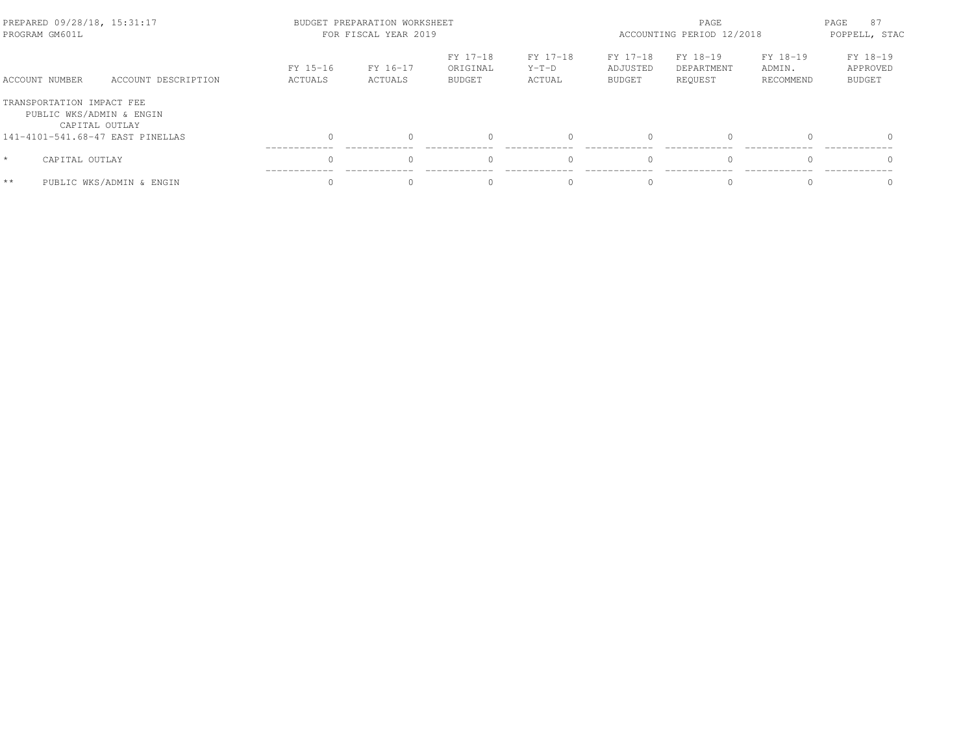| PREPARED 09/28/18, 15:31:17<br>PROGRAM GM601L         |                          |                     | BUDGET PREPARATION WORKSHEET<br>FOR FISCAL YEAR 2019 |                                       |                               | PAGE<br>ACCOUNTING PERIOD 12/2018 |                                   |                                 |                                       |
|-------------------------------------------------------|--------------------------|---------------------|------------------------------------------------------|---------------------------------------|-------------------------------|-----------------------------------|-----------------------------------|---------------------------------|---------------------------------------|
| ACCOUNT NUMBER                                        | ACCOUNT DESCRIPTION      | FY 15-16<br>ACTUALS | FY 16-17<br>ACTUALS                                  | FY 17-18<br>ORIGINAL<br><b>BUDGET</b> | FY 17-18<br>$Y-T-D$<br>ACTUAL | FY 17-18<br>ADJUSTED<br>BUDGET    | FY 18-19<br>DEPARTMENT<br>REOUEST | FY 18-19<br>ADMIN.<br>RECOMMEND | FY 18-19<br>APPROVED<br><b>BUDGET</b> |
| TRANSPORTATION IMPACT FEE<br>PUBLIC WKS/ADMIN & ENGIN | CAPITAL OUTLAY           |                     |                                                      |                                       |                               |                                   |                                   |                                 |                                       |
| 141-4101-541.68-47 EAST PINELLAS                      |                          |                     |                                                      |                                       |                               | $\bigcap$                         | $\Omega$                          |                                 |                                       |
| $\star$<br>CAPITAL OUTLAY                             |                          |                     |                                                      |                                       |                               | $\bigcap$                         | $\Omega$                          |                                 |                                       |
| $**$                                                  | PUBLIC WKS/ADMIN & ENGIN |                     |                                                      |                                       |                               |                                   |                                   |                                 |                                       |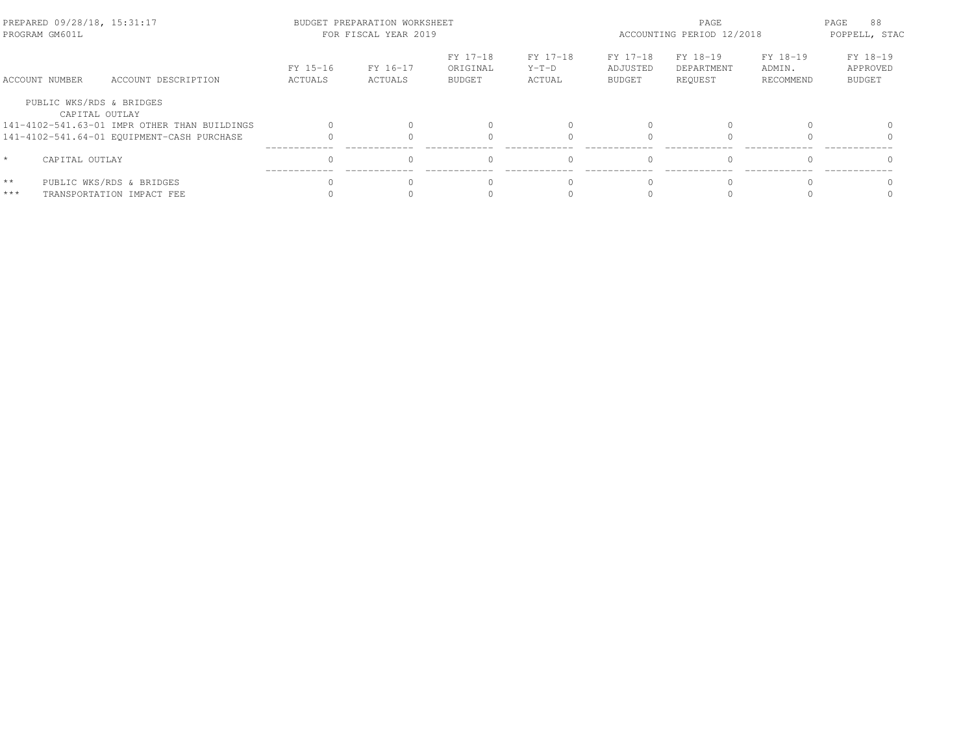| PREPARED 09/28/18, 15:31:17<br>PROGRAM GM601L |                                              |                     | BUDGET PREPARATION WORKSHEET<br>FOR FISCAL YEAR 2019 | PAGE<br>ACCOUNTING PERIOD 12/2018     |                               |                                       | PAGE<br>88<br>POPPELL, STAC       |                                 |                                       |
|-----------------------------------------------|----------------------------------------------|---------------------|------------------------------------------------------|---------------------------------------|-------------------------------|---------------------------------------|-----------------------------------|---------------------------------|---------------------------------------|
| ACCOUNT NUMBER                                | ACCOUNT DESCRIPTION                          | FY 15-16<br>ACTUALS | FY 16-17<br>ACTUALS                                  | FY 17-18<br>ORIGINAL<br><b>BUDGET</b> | FY 17-18<br>$Y-T-D$<br>ACTUAL | FY 17-18<br>ADJUSTED<br><b>BUDGET</b> | FY 18-19<br>DEPARTMENT<br>REOUEST | FY 18-19<br>ADMIN.<br>RECOMMEND | FY 18-19<br>APPROVED<br><b>BUDGET</b> |
| PUBLIC WKS/RDS & BRIDGES                      | CAPITAL OUTLAY                               |                     |                                                      |                                       |                               |                                       |                                   |                                 |                                       |
|                                               | 141-4102-541.63-01 IMPR OTHER THAN BUILDINGS |                     |                                                      |                                       |                               |                                       |                                   |                                 |                                       |
|                                               | 141-4102-541.64-01 EQUIPMENT-CASH PURCHASE   |                     |                                                      |                                       |                               |                                       |                                   |                                 |                                       |
| $\star$<br>CAPITAL OUTLAY                     |                                              |                     |                                                      |                                       |                               |                                       | $\Omega$                          |                                 |                                       |
| $\star\star$                                  | PUBLIC WKS/RDS & BRIDGES                     |                     |                                                      |                                       |                               |                                       |                                   |                                 |                                       |
| ***                                           | TRANSPORTATION IMPACT FEE                    |                     |                                                      |                                       |                               |                                       |                                   |                                 |                                       |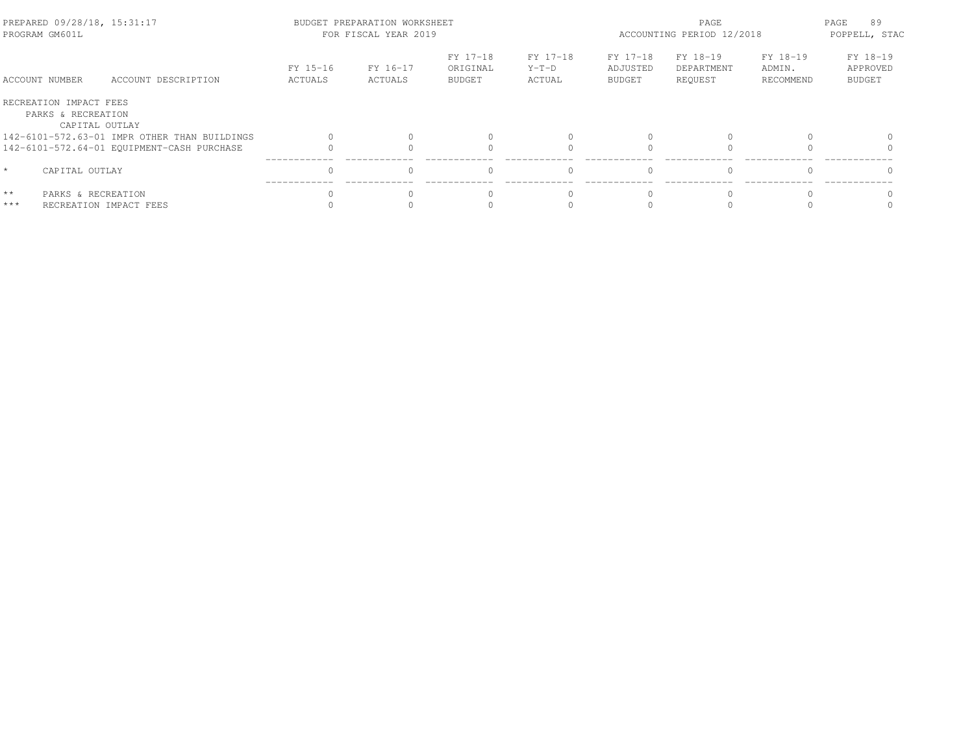| PREPARED 09/28/18, 15:31:17<br>PROGRAM GM601L                  |                                              |                     | BUDGET PREPARATION WORKSHEET<br>FOR FISCAL YEAR 2019 |                                       | ACCOUNTING PERIOD 12/2018     | PAGE<br>89<br>POPPELL, STAC           |                                   |                                 |                                       |
|----------------------------------------------------------------|----------------------------------------------|---------------------|------------------------------------------------------|---------------------------------------|-------------------------------|---------------------------------------|-----------------------------------|---------------------------------|---------------------------------------|
| ACCOUNT NUMBER                                                 | ACCOUNT DESCRIPTION                          | FY 15-16<br>ACTUALS | FY 16-17<br>ACTUALS                                  | FY 17-18<br>ORIGINAL<br><b>BUDGET</b> | FY 17-18<br>$Y-T-D$<br>ACTUAL | FY 17-18<br>ADJUSTED<br><b>BUDGET</b> | FY 18-19<br>DEPARTMENT<br>REQUEST | FY 18-19<br>ADMIN.<br>RECOMMEND | FY 18-19<br>APPROVED<br><b>BUDGET</b> |
| RECREATION IMPACT FEES<br>PARKS & RECREATION<br>CAPITAL OUTLAY |                                              |                     |                                                      |                                       |                               |                                       |                                   |                                 |                                       |
|                                                                | 142-6101-572.63-01 IMPR OTHER THAN BUILDINGS |                     |                                                      |                                       |                               |                                       |                                   |                                 |                                       |
|                                                                | 142-6101-572.64-01 EQUIPMENT-CASH PURCHASE   |                     |                                                      |                                       |                               |                                       |                                   |                                 |                                       |
| $\star$<br>CAPITAL OUTLAY                                      |                                              | $\cap$              |                                                      | $\Omega$                              | $\Omega$                      | $\cap$                                | $\Omega$                          |                                 |                                       |
| $* *$<br>PARKS & RECREATION<br>$***$                           | RECREATION IMPACT FEES                       |                     |                                                      |                                       |                               |                                       |                                   |                                 |                                       |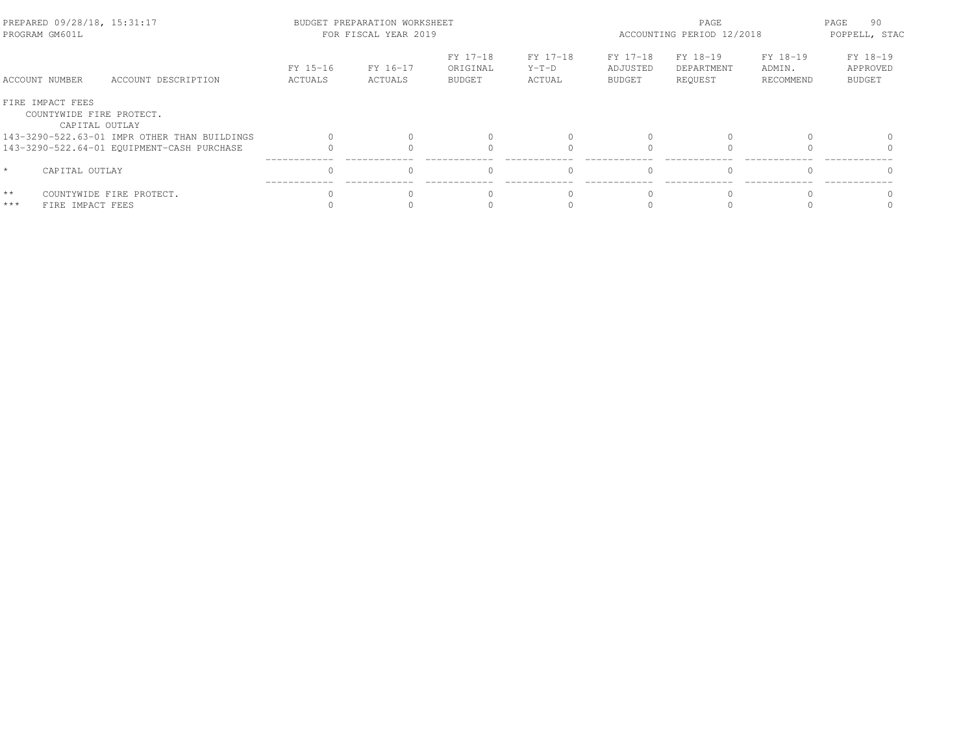| PREPARED 09/28/18, 15:31:17<br>PROGRAM GM601L                  |                                              |                     | BUDGET PREPARATION WORKSHEET<br>FOR FISCAL YEAR 2019 |                                       | ACCOUNTING PERIOD 12/2018     | PAGE<br>90<br>POPPELL, STAC           |                                   |                                 |                                       |
|----------------------------------------------------------------|----------------------------------------------|---------------------|------------------------------------------------------|---------------------------------------|-------------------------------|---------------------------------------|-----------------------------------|---------------------------------|---------------------------------------|
| ACCOUNT NUMBER                                                 | ACCOUNT DESCRIPTION                          | FY 15-16<br>ACTUALS | FY 16-17<br>ACTUALS                                  | FY 17-18<br>ORIGINAL<br><b>BUDGET</b> | FY 17-18<br>$Y-T-D$<br>ACTUAL | FY 17-18<br>ADJUSTED<br><b>BUDGET</b> | FY 18-19<br>DEPARTMENT<br>REQUEST | FY 18-19<br>ADMIN.<br>RECOMMEND | FY 18-19<br>APPROVED<br><b>BUDGET</b> |
| FIRE IMPACT FEES<br>COUNTYWIDE FIRE PROTECT.<br>CAPITAL OUTLAY |                                              |                     |                                                      |                                       |                               |                                       |                                   |                                 |                                       |
|                                                                | 143-3290-522.63-01 IMPR OTHER THAN BUILDINGS |                     |                                                      |                                       |                               |                                       |                                   |                                 |                                       |
|                                                                | 143-3290-522.64-01 EQUIPMENT-CASH PURCHASE   |                     |                                                      |                                       |                               |                                       |                                   |                                 |                                       |
| $\star$<br>CAPITAL OUTLAY                                      |                                              | $\cap$              |                                                      | $\Omega$                              | $\Omega$                      | $\cap$                                | $\Omega$                          |                                 |                                       |
| $\star\star$<br>$***$<br>FIRE IMPACT FEES                      | COUNTYWIDE FIRE PROTECT.                     |                     |                                                      |                                       |                               |                                       |                                   |                                 |                                       |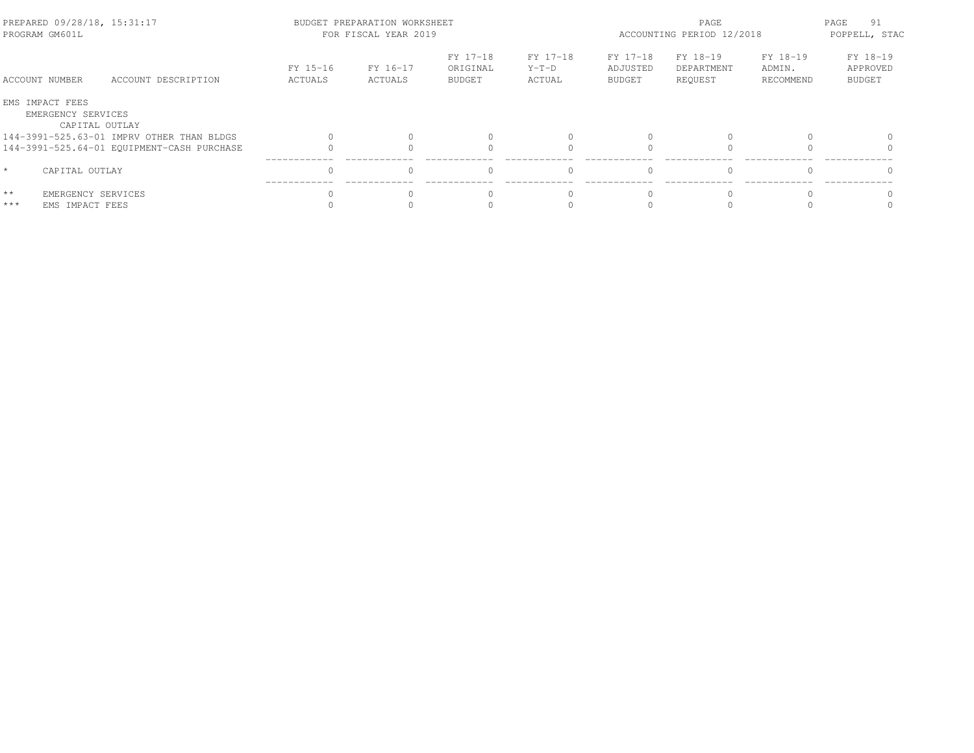| PREPARED 09/28/18, 15:31:17<br>PROGRAM GM601L                  |                                            |                     | BUDGET PREPARATION WORKSHEET<br>FOR FISCAL YEAR 2019 | ACCOUNTING PERIOD 12/2018             | PAGE<br>91<br>POPPELL, STAC   |                                       |                                   |                                 |                                       |
|----------------------------------------------------------------|--------------------------------------------|---------------------|------------------------------------------------------|---------------------------------------|-------------------------------|---------------------------------------|-----------------------------------|---------------------------------|---------------------------------------|
| ACCOUNT NUMBER                                                 | ACCOUNT DESCRIPTION                        | FY 15-16<br>ACTUALS | FY 16-17<br>ACTUALS                                  | FY 17-18<br>ORIGINAL<br><b>BUDGET</b> | FY 17-18<br>$Y-T-D$<br>ACTUAL | FY 17-18<br>ADJUSTED<br><b>BUDGET</b> | FY 18-19<br>DEPARTMENT<br>REQUEST | FY 18-19<br>ADMIN.<br>RECOMMEND | FY 18-19<br>APPROVED<br><b>BUDGET</b> |
| EMS IMPACT FEES<br>EMERGENCY SERVICES                          | CAPITAL OUTLAY                             |                     |                                                      |                                       |                               |                                       |                                   |                                 |                                       |
|                                                                | 144-3991-525.63-01 IMPRV OTHER THAN BLDGS  |                     |                                                      |                                       |                               |                                       |                                   |                                 |                                       |
|                                                                | 144-3991-525.64-01 EQUIPMENT-CASH PURCHASE |                     |                                                      |                                       |                               |                                       |                                   |                                 |                                       |
| $\star$<br>CAPITAL OUTLAY                                      |                                            | $\cap$              |                                                      | $\Omega$                              | $\Omega$                      | $\cap$                                | $\Omega$                          |                                 |                                       |
| $\star\star$<br>EMERGENCY SERVICES<br>$***$<br>EMS IMPACT FEES |                                            |                     |                                                      |                                       |                               |                                       |                                   |                                 |                                       |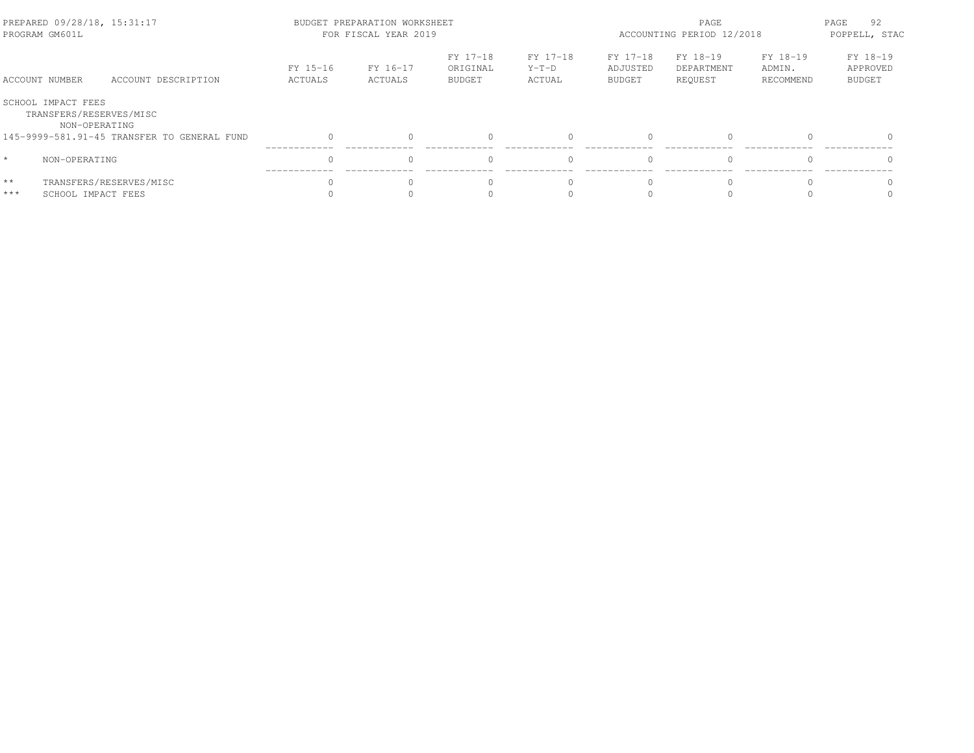| PREPARED 09/28/18, 15:31:17<br>PROGRAM GM601L |                                                                |                                             |                     | BUDGET PREPARATION WORKSHEET<br>FOR FISCAL YEAR 2019 |                                       | ACCOUNTING PERIOD 12/2018     | 92<br>PAGE<br>POPPELL, STAC    |                                   |                                 |                                       |
|-----------------------------------------------|----------------------------------------------------------------|---------------------------------------------|---------------------|------------------------------------------------------|---------------------------------------|-------------------------------|--------------------------------|-----------------------------------|---------------------------------|---------------------------------------|
|                                               | ACCOUNT NUMBER                                                 | ACCOUNT DESCRIPTION                         | FY 15-16<br>ACTUALS | FY 16-17<br>ACTUALS                                  | FY 17-18<br>ORIGINAL<br><b>BUDGET</b> | FY 17-18<br>$Y-T-D$<br>ACTUAL | FY 17-18<br>ADJUSTED<br>BUDGET | FY 18-19<br>DEPARTMENT<br>REOUEST | FY 18-19<br>ADMIN.<br>RECOMMEND | FY 18-19<br>APPROVED<br><b>BUDGET</b> |
|                                               | SCHOOL IMPACT FEES<br>TRANSFERS/RESERVES/MISC<br>NON-OPERATING |                                             |                     |                                                      |                                       |                               |                                |                                   |                                 |                                       |
|                                               |                                                                | 145-9999-581.91-45 TRANSFER TO GENERAL FUND |                     |                                                      |                                       |                               | $\bigcap$                      | $\Omega$                          |                                 |                                       |
| $\star$                                       | NON-OPERATING                                                  |                                             |                     |                                                      |                                       | $\Omega$                      | $\bigcap$                      | $\Omega$                          |                                 |                                       |
| $* *$<br>$***$                                | SCHOOL IMPACT FEES                                             | TRANSFERS/RESERVES/MISC                     |                     |                                                      |                                       |                               |                                |                                   |                                 |                                       |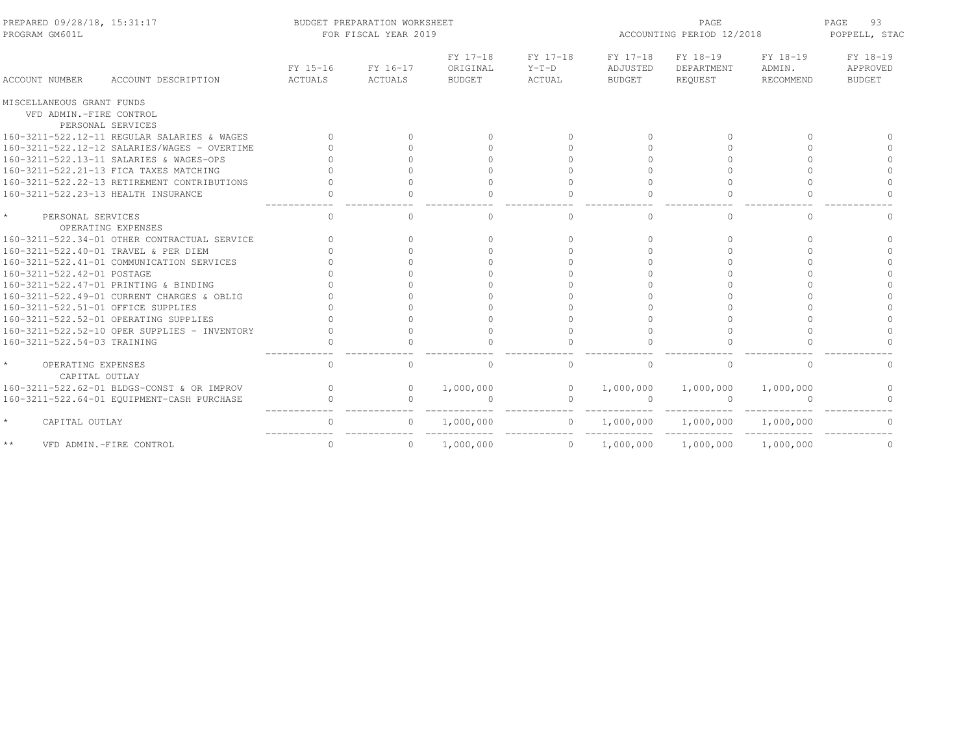| PREPARED 09/28/18, 15:31:17<br>PROGRAM GM601L                             |                     | BUDGET PREPARATION WORKSHEET<br>FOR FISCAL YEAR 2019 |                                       |                               | ACCOUNTING PERIOD 12/2018             | 93<br>PAGE<br>POPPELL, STAC       |                                 |                                       |
|---------------------------------------------------------------------------|---------------------|------------------------------------------------------|---------------------------------------|-------------------------------|---------------------------------------|-----------------------------------|---------------------------------|---------------------------------------|
| <b>ACCOUNT NUMBER</b><br>ACCOUNT DESCRIPTION                              | FY 15-16<br>ACTUALS | FY 16-17<br>ACTUALS                                  | FY 17-18<br>ORIGINAL<br><b>BUDGET</b> | FY 17-18<br>$Y-T-D$<br>ACTUAL | FY 17-18<br>ADJUSTED<br><b>BUDGET</b> | FY 18-19<br>DEPARTMENT<br>REQUEST | FY 18-19<br>ADMIN.<br>RECOMMEND | FY 18-19<br>APPROVED<br><b>BUDGET</b> |
| MISCELLANEOUS GRANT FUNDS<br>VFD ADMIN.-FIRE CONTROL<br>PERSONAL SERVICES |                     |                                                      |                                       |                               |                                       |                                   |                                 |                                       |
| 160-3211-522.12-11 REGULAR SALARIES & WAGES                               |                     | $\Omega$                                             | $\Omega$                              | $\Omega$                      | $\Omega$                              | $\cap$                            | $\cap$                          |                                       |
| 160-3211-522.12-12 SALARIES/WAGES - OVERTIME                              |                     | $\cap$                                               |                                       | $\Omega$                      | $\cap$                                |                                   | $\cap$                          |                                       |
| 160-3211-522.13-11 SALARIES & WAGES-OPS                                   |                     | $\cap$                                               |                                       | $\Omega$                      | $\cap$                                |                                   | $\cap$                          |                                       |
| 160-3211-522.21-13 FICA TAXES MATCHING                                    |                     |                                                      |                                       | $\Omega$                      |                                       |                                   |                                 |                                       |
| 160-3211-522.22-13 RETIREMENT CONTRIBUTIONS                               |                     | $\cap$                                               |                                       | $\Omega$                      |                                       |                                   | $\cap$                          | $\cap$                                |
| 160-3211-522.23-13 HEALTH INSURANCE                                       | $\bigcap$           | $\bigcap$                                            | $\cap$                                | $\Omega$                      |                                       | $\Omega$                          | $\cap$                          | $\cap$                                |
| $\star$<br>PERSONAL SERVICES<br>OPERATING EXPENSES                        | $\Omega$            | $\bigcap$                                            | $\Omega$                              | $\circ$                       | $\cap$                                | $\Omega$                          | $\Omega$                        | $\Omega$                              |
| 160-3211-522.34-01 OTHER CONTRACTUAL SERVICE                              |                     | $\cap$                                               | $\cap$                                | $\Omega$                      | $\cap$                                | $\cap$                            | $\cap$                          | $\cap$                                |
| 160-3211-522.40-01 TRAVEL & PER DIEM                                      |                     | $\cap$                                               |                                       | $\Omega$                      | $\cap$                                |                                   | $\cap$                          |                                       |
| 160-3211-522.41-01 COMMUNICATION SERVICES                                 |                     |                                                      |                                       | $\Omega$                      |                                       |                                   | $\cap$                          |                                       |
| 160-3211-522.42-01 POSTAGE                                                |                     |                                                      |                                       | $\Omega$                      |                                       |                                   | $\cap$                          |                                       |
| 160-3211-522.47-01 PRINTING & BINDING                                     |                     |                                                      |                                       | $\Omega$                      |                                       |                                   | $\cap$                          |                                       |
| 160-3211-522.49-01 CURRENT CHARGES & OBLIG                                |                     |                                                      |                                       | $\bigcap$                     | $\cap$                                |                                   |                                 |                                       |
| 160-3211-522.51-01 OFFICE SUPPLIES                                        |                     |                                                      |                                       | $\Omega$                      |                                       |                                   |                                 |                                       |
| 160-3211-522.52-01 OPERATING SUPPLIES                                     |                     |                                                      |                                       | $\Omega$                      |                                       |                                   | $\cap$                          |                                       |
| 160-3211-522.52-10 OPER SUPPLIES - INVENTORY                              |                     | $\Omega$                                             | $\Omega$                              | $\Omega$                      |                                       |                                   | $\Omega$                        | $\Omega$                              |
| 160-3211-522.54-03 TRAINING                                               |                     |                                                      |                                       |                               |                                       |                                   |                                 |                                       |
| OPERATING EXPENSES<br>CAPITAL OUTLAY                                      | $\circ$             | $\bigcap$                                            | 0                                     | 0                             | $\Omega$                              | 0                                 | $\Omega$                        | $\Omega$                              |
| 160-3211-522.62-01 BLDGS-CONST & OR IMPROV                                | $\Omega$            | $\Omega$                                             | 1,000,000                             | $\circ$                       | 1,000,000                             | 1,000,000                         | 1,000,000                       | $\cap$                                |
| 160-3211-522.64-01 EQUIPMENT-CASH PURCHASE                                | $\Omega$            | $\bigcap$                                            |                                       | $\mathbf{0}$                  |                                       | $\Omega$                          |                                 |                                       |
| $\star$<br>CAPITAL OUTLAY                                                 |                     | 0                                                    | 1,000,000                             | $\mathbf{0}$                  | 1,000,000                             | 1,000,000                         | 1,000,000                       |                                       |
| $\star\star$<br>VFD ADMIN.-FIRE CONTROL                                   | $\mathbf{0}$        | $\Omega$                                             | 1,000,000                             | $\overline{0}$                | 1,000,000                             | 1,000,000                         | 1,000,000                       | 0                                     |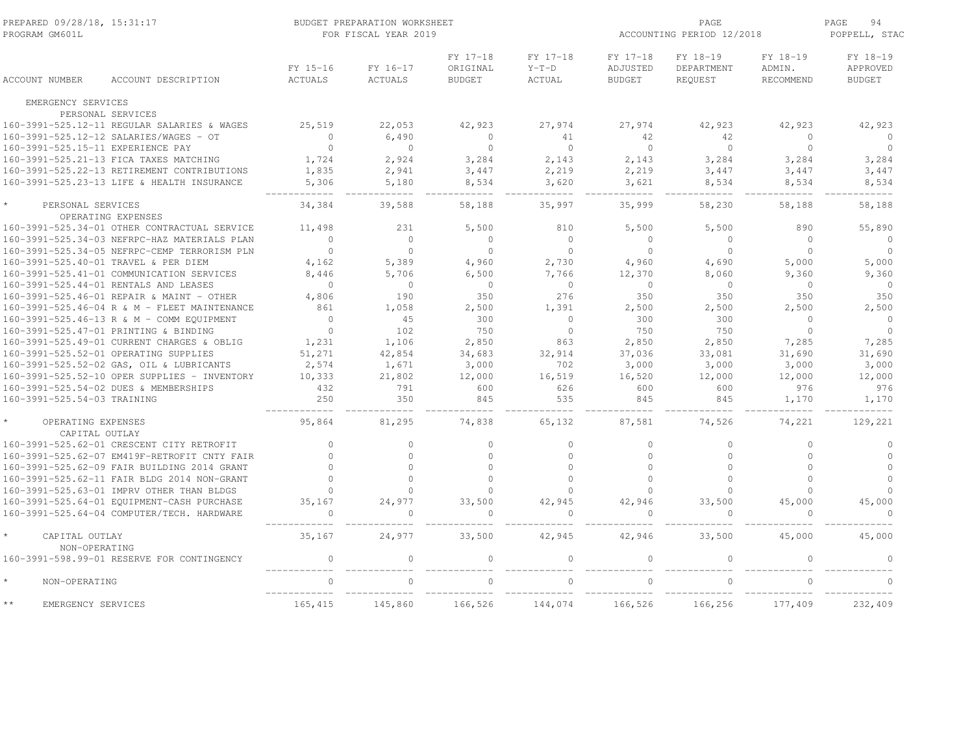| PREPARED 09/28/18, 15:31:17<br>PROGRAM GM601L |                                              |                     | BUDGET PREPARATION WORKSHEET<br>FOR FISCAL YEAR 2019 | PAGE<br>ACCOUNTING PERIOD 12/2018     |                                      |                                       |                                   |                                 |                                       |
|-----------------------------------------------|----------------------------------------------|---------------------|------------------------------------------------------|---------------------------------------|--------------------------------------|---------------------------------------|-----------------------------------|---------------------------------|---------------------------------------|
| <b>ACCOUNT NUMBER</b>                         | ACCOUNT DESCRIPTION                          | FY 15-16<br>ACTUALS | FY 16-17<br><b>ACTUALS</b>                           | FY 17-18<br>ORIGINAL<br><b>BUDGET</b> | FY 17-18<br>$Y-T-D$<br><b>ACTUAL</b> | FY 17-18<br>ADJUSTED<br><b>BUDGET</b> | FY 18-19<br>DEPARTMENT<br>REQUEST | FY 18-19<br>ADMIN.<br>RECOMMEND | FY 18-19<br>APPROVED<br><b>BUDGET</b> |
| EMERGENCY SERVICES                            |                                              |                     |                                                      |                                       |                                      |                                       |                                   |                                 |                                       |
|                                               | PERSONAL SERVICES                            |                     |                                                      |                                       |                                      |                                       |                                   |                                 |                                       |
|                                               | 160-3991-525.12-11 REGULAR SALARIES & WAGES  | 25,519              | 22,053                                               | 42,923                                | 27,974                               | 27,974                                | 42,923                            | 42,923                          | 42,923                                |
|                                               | 160-3991-525.12-12 SALARIES/WAGES - OT       | $\circ$             | 6,490                                                | $\mathbf{0}$                          | 41                                   | 42                                    | 42                                | $\Omega$                        | $\Omega$                              |
| 160-3991-525.15-11 EXPERIENCE PAY             |                                              | $\mathbf{0}$        | $\circ$                                              | $\circ$                               | $\Omega$                             | $\overline{0}$                        | $\overline{0}$                    | $\circ$                         | $\circ$                               |
|                                               | 160-3991-525.21-13 FICA TAXES MATCHING       | 1,724               | 2,924                                                | 3,284                                 | 2,143                                | 2,143                                 | 3,284                             | 3,284                           | 3,284                                 |
|                                               | 160-3991-525.22-13 RETIREMENT CONTRIBUTIONS  | 1,835               | 2,941                                                | 3,447                                 | 2,219                                | 2,219                                 | 3,447                             | 3,447                           | 3,447                                 |
|                                               | 160-3991-525.23-13 LIFE & HEALTH INSURANCE   | 5,306               | 5,180                                                | 8,534                                 | 3,620                                | 3,621                                 | 8,534                             | 8,534                           | 8,534                                 |
| PERSONAL SERVICES                             | OPERATING EXPENSES                           | 34,384              | 39,588                                               | 58,188                                | 35,997                               | 35,999                                | 58,230                            | 58,188                          | 58,188                                |
|                                               | 160-3991-525.34-01 OTHER CONTRACTUAL SERVICE | 11,498              | 231                                                  | 5,500                                 | 810                                  | 5,500                                 | 5,500                             | 890                             | 55,890                                |
|                                               | 160-3991-525.34-03 NEFRPC-HAZ MATERIALS PLAN | $\Omega$            | $\Omega$                                             | $\circ$                               | $\Omega$                             | $\Omega$                              | $\mathbf{0}$                      | $\Omega$                        | $\overline{0}$                        |
|                                               | 160-3991-525.34-05 NEFRPC-CEMP TERRORISM PLN | $\Omega$            | $\Omega$                                             | $\Omega$                              | $\Omega$                             | $\Omega$                              | $\Omega$                          | $\Omega$                        | $\circ$                               |
|                                               | 160-3991-525.40-01 TRAVEL & PER DIEM         | 4,162               | 5,389                                                | 4,960                                 | 2,730                                | 4,960                                 | 4,690                             | 5,000                           | 5,000                                 |
|                                               | 160-3991-525.41-01 COMMUNICATION SERVICES    | 8,446               | 5,706                                                | 6,500                                 | 7,766                                | 12,370                                | 8,060                             | 9,360                           | 9,360                                 |
|                                               | 160-3991-525.44-01 RENTALS AND LEASES        | $\mathbf{0}$        | $\circ$                                              | $\circ$                               | $\circ$                              | $\overline{0}$                        | $\mathbf{0}$                      | $\circ$                         | $\overline{0}$                        |
|                                               | 160-3991-525.46-01 REPAIR & MAINT - OTHER    | 4,806               | 190                                                  | 350                                   | 276                                  | 350                                   | 350                               | 350                             | 350                                   |
|                                               | 160-3991-525.46-04 R & M - FLEET MAINTENANCE | 861                 | 1,058                                                | 2,500                                 | 1,391                                | 2,500                                 | 2,500                             | 2,500                           | 2,500                                 |
|                                               | 160-3991-525.46-13 R & M - COMM EQUIPMENT    | $\circ$             | 45                                                   | 300                                   | $\circ$                              | 300                                   | 300                               | $\Omega$                        | $\circ$                               |
|                                               | 160-3991-525.47-01 PRINTING & BINDING        | $\Omega$            | 102                                                  | 750                                   | $\Omega$                             | 750                                   | 750                               | $\Omega$                        | $\Omega$                              |
|                                               | 160-3991-525.49-01 CURRENT CHARGES & OBLIG   | 1,231               | 1,106                                                | 2,850                                 | 863                                  | 2,850                                 | 2,850                             | 7,285                           | 7,285                                 |
|                                               | 160-3991-525.52-01 OPERATING SUPPLIES        | 51,271              | 42,854                                               | 34,683                                | 32,914                               | 37,036                                | 33,081                            | 31,690                          | 31,690                                |
|                                               | 160-3991-525.52-02 GAS, OIL & LUBRICANTS     | 2,574               | 1,671                                                | 3,000                                 | 702                                  | 3,000                                 | 3,000                             | 3,000                           | 3,000                                 |
|                                               | 160-3991-525.52-10 OPER SUPPLIES - INVENTORY | 10,333              | 21,802                                               | 12,000                                | 16,519                               | 16,520                                | 12,000                            | 12,000                          | 12,000                                |
|                                               | 160-3991-525.54-02 DUES & MEMBERSHIPS        | 432                 | 791                                                  | 600                                   | 626                                  | 600                                   | 600                               | 976                             | 976                                   |
| 160-3991-525.54-03 TRAINING                   |                                              | 250                 | 350                                                  | 845                                   | 535                                  | 845                                   | 845                               | 1,170                           | 1,170                                 |
| OPERATING EXPENSES<br>CAPITAL OUTLAY          |                                              | 95,864              | 81,295                                               | 74,838                                | 65,132                               | 87,581                                | 74,526                            | 74,221                          | 129,221                               |
|                                               | 160-3991-525.62-01 CRESCENT CITY RETROFIT    | $\mathbf{0}$        | $\Omega$                                             | $\circ$                               | $\mathbf{0}$                         | $\circ$                               | $\circ$                           | $\circ$                         | $\mathbf 0$                           |
|                                               | 160-3991-525.62-07 EM419F-RETROFIT CNTY FAIR | $\bigcap$           | $\Omega$                                             | $\Omega$                              | $\mathbf{0}$                         | $\bigcap$                             | $\mathbf{0}$                      | $\Omega$                        | $\circ$                               |
|                                               | 160-3991-525.62-09 FAIR BUILDING 2014 GRANT  | $\cap$              | $\cap$                                               | $\Omega$                              | $\circ$                              | $\cap$                                | $\cap$                            | $\cap$                          | $\circ$                               |
|                                               | 160-3991-525.62-11 FAIR BLDG 2014 NON-GRANT  | $\Omega$            | $\Omega$                                             | $\Omega$                              | $\Omega$                             | $\Omega$                              | $\Omega$                          | $\Omega$                        | $\Omega$                              |
|                                               | 160-3991-525.63-01 IMPRV OTHER THAN BLDGS    | $\cap$              | $\cap$                                               | $\cap$                                | $\Omega$                             | $\cap$                                | $\cap$                            | $\cap$                          |                                       |
|                                               | 160-3991-525.64-01 EOUIPMENT-CASH PURCHASE   | 35.167              | 24,977                                               | 33,500                                | 42,945                               | 42,946                                | 33,500                            | 45,000                          | 45,000                                |
|                                               | 160-3991-525.64-04 COMPUTER/TECH. HARDWARE   | $\Omega$            | $\Omega$                                             | $\Omega$                              | $\Omega$                             | $\cap$                                | $\Omega$                          | $\cap$                          | $\Omega$                              |
| CAPITAL OUTLAY<br>NON-OPERATING               |                                              | 35,167              | 24,977                                               | 33,500                                | 42,945                               | 42,946                                | 33,500                            | 45,000                          | 45,000                                |
|                                               | 160-3991-598.99-01 RESERVE FOR CONTINGENCY   | $\mathbf{0}$        | 0                                                    | $\mathbf{0}$                          | $\circ$                              | $\Omega$                              | $\mathbf{0}$                      | $\Omega$                        | $\Omega$                              |
| $\star$<br>NON-OPERATING                      |                                              | $\Omega$            |                                                      |                                       |                                      |                                       |                                   |                                 |                                       |
| $\star\star$<br>EMERGENCY SERVICES            |                                              | 165,415             | 145,860                                              | 166,526                               | 144,074                              | 166,526                               | 166,256                           | 177,409                         | 232,409                               |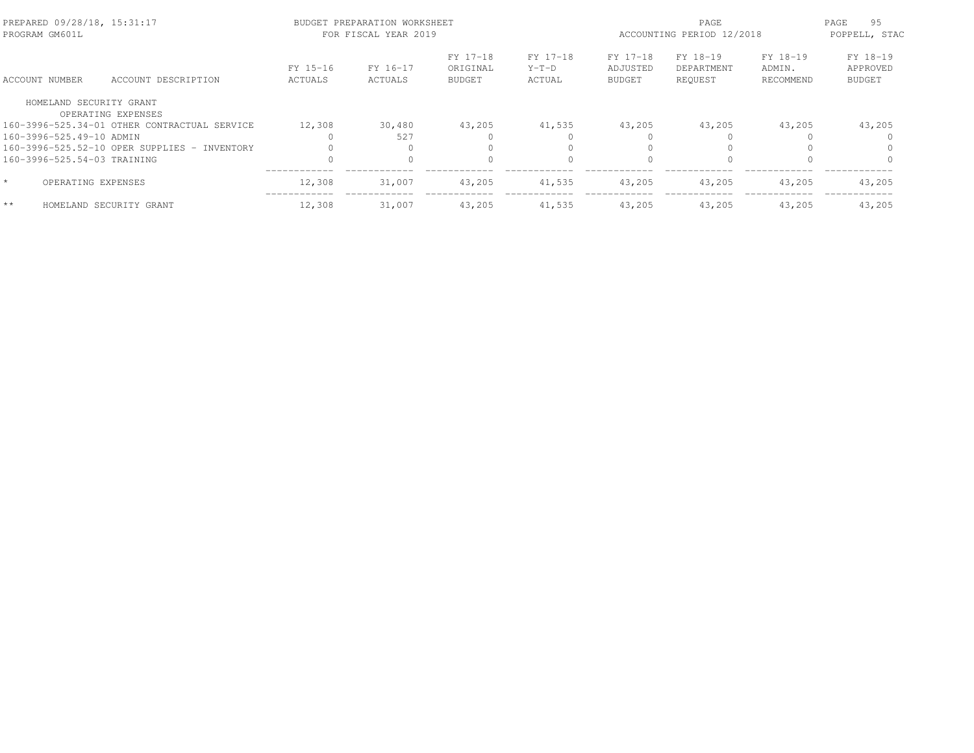| PREPARED 09/28/18, 15:31:17<br>PROGRAM GM601L |                                              |                            | BUDGET PREPARATION WORKSHEET<br>FOR FISCAL YEAR 2019 |                                       |                               | ACCOUNTING PERIOD 12/2018             | 95<br>PAGE<br>POPPELL, STAC       |                                 |                                       |
|-----------------------------------------------|----------------------------------------------|----------------------------|------------------------------------------------------|---------------------------------------|-------------------------------|---------------------------------------|-----------------------------------|---------------------------------|---------------------------------------|
| <b>ACCOUNT NUMBER</b>                         | ACCOUNT DESCRIPTION                          | FY 15-16<br><b>ACTUALS</b> | FY 16-17<br>ACTUALS                                  | FY 17-18<br>ORIGINAL<br><b>BUDGET</b> | FY 17-18<br>$Y-T-D$<br>ACTUAL | FY 17-18<br>ADJUSTED<br><b>BUDGET</b> | FY 18-19<br>DEPARTMENT<br>REOUEST | FY 18-19<br>ADMIN.<br>RECOMMEND | FY 18-19<br>APPROVED<br><b>BUDGET</b> |
| HOMELAND SECURITY GRANT                       | OPERATING EXPENSES                           |                            |                                                      |                                       |                               |                                       |                                   |                                 |                                       |
|                                               | 160-3996-525.34-01 OTHER CONTRACTUAL SERVICE | 12,308                     | 30,480                                               | 43,205                                | 41,535                        | 43,205                                | 43,205                            | 43,205                          | 43,205                                |
| 160-3996-525.49-10 ADMIN                      |                                              |                            | 527                                                  |                                       |                               |                                       |                                   |                                 |                                       |
|                                               | 160-3996-525.52-10 OPER SUPPLIES - INVENTORY |                            |                                                      |                                       | $\bigcap$                     |                                       |                                   |                                 |                                       |
| 160-3996-525.54-03 TRAINING                   |                                              |                            |                                                      |                                       |                               | $\cap$                                |                                   |                                 |                                       |
| OPERATING EXPENSES                            |                                              | 12,308                     | 31,007                                               | 43,205                                | 41,535                        | 43,205                                | 43,205                            | 43,205                          | 43,205                                |
| $**$                                          | HOMELAND SECURITY GRANT                      | 12,308                     | 31,007                                               | 43,205                                | 41,535                        | 43,205                                | 43,205                            | 43,205                          | 43,205                                |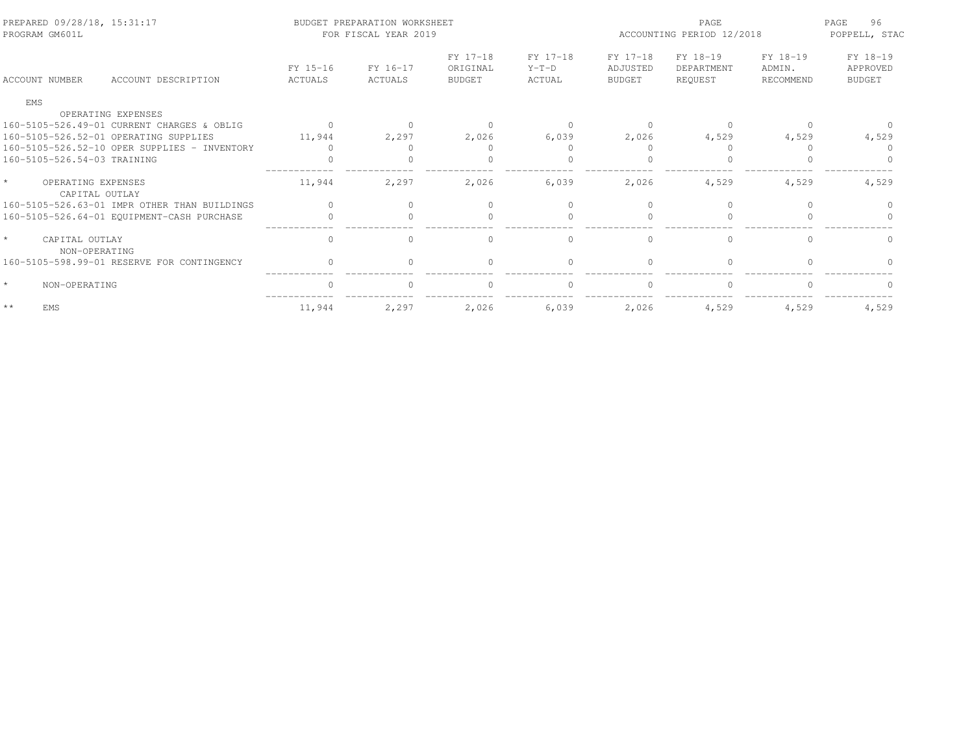| PREPARED 09/28/18, 15:31:17<br>PROGRAM GM601L   |                     | BUDGET PREPARATION WORKSHEET<br>FOR FISCAL YEAR 2019 |                                       |                               | ACCOUNTING PERIOD 12/2018             | 96<br>PAGE<br>POPPELL, STAC       |                                 |                                |
|-------------------------------------------------|---------------------|------------------------------------------------------|---------------------------------------|-------------------------------|---------------------------------------|-----------------------------------|---------------------------------|--------------------------------|
| <b>ACCOUNT NUMBER</b><br>ACCOUNT DESCRIPTION    | FY 15-16<br>ACTUALS | FY 16-17<br>ACTUALS                                  | FY 17-18<br>ORIGINAL<br><b>BUDGET</b> | FY 17-18<br>$Y-T-D$<br>ACTUAL | FY 17-18<br>ADJUSTED<br><b>BUDGET</b> | FY 18-19<br>DEPARTMENT<br>REOUEST | FY 18-19<br>ADMIN.<br>RECOMMEND | FY 18-19<br>APPROVED<br>BUDGET |
| EMS                                             |                     |                                                      |                                       |                               |                                       |                                   |                                 |                                |
| OPERATING EXPENSES                              |                     |                                                      |                                       |                               |                                       |                                   |                                 |                                |
| 160-5105-526.49-01 CURRENT CHARGES & OBLIG      | $\Omega$            |                                                      | $\cap$                                |                               |                                       |                                   |                                 |                                |
| 160-5105-526.52-01 OPERATING SUPPLIES           | 11,944              | 2,297                                                | 2,026                                 | 6,039                         | 2,026                                 | 4,529                             | 4,529                           | 4,529                          |
| 160-5105-526.52-10 OPER SUPPLIES - INVENTORY    | $\bigcap$           |                                                      |                                       |                               |                                       |                                   |                                 |                                |
| 160-5105-526.54-03 TRAINING                     |                     |                                                      | $\Omega$                              |                               |                                       |                                   |                                 |                                |
| $\star$<br>OPERATING EXPENSES<br>CAPITAL OUTLAY | 11,944              | 2,297                                                | 2,026                                 | 6,039                         | 2,026                                 | 4,529                             | 4,529                           | 4,529                          |
| 160-5105-526.63-01 IMPR OTHER THAN BUILDINGS    | $\bigcap$           | $\Omega$                                             | $\Omega$                              | $\cap$                        |                                       | $\Omega$                          |                                 |                                |
| 160-5105-526.64-01 EQUIPMENT-CASH PURCHASE      | $\Omega$            | $\Omega$                                             | $\Omega$                              | $\bigcap$                     | $\Omega$                              | $\Omega$                          |                                 |                                |
| $\star$<br>CAPITAL OUTLAY<br>NON-OPERATING      | 0                   | $\Omega$                                             | 0                                     | $\Omega$                      | $\Omega$                              | $\mathbf{0}$                      | $\Omega$                        |                                |
| 160-5105-598.99-01 RESERVE FOR CONTINGENCY      | $\Omega$            |                                                      | $\Omega$                              |                               |                                       | $\cap$                            |                                 |                                |
| $\star$<br>NON-OPERATING                        |                     |                                                      | $\Omega$                              |                               |                                       | $\cap$                            |                                 |                                |
| $\star\star$<br>EMS                             | 11,944              | 2,297                                                | 2.026                                 | 6.039                         | 2,026                                 | 4.529                             | 4,529                           | 4,529                          |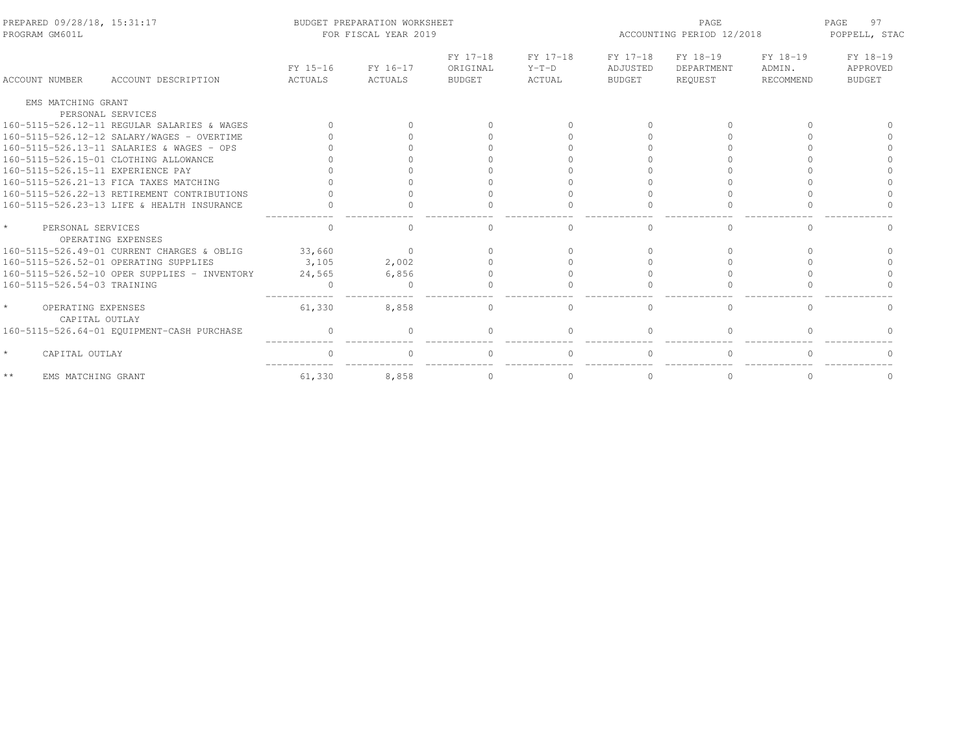| PREPARED 09/28/18, 15:31:17<br>PROGRAM GM601L      |                     | BUDGET PREPARATION WORKSHEET<br>FOR FISCAL YEAR 2019 |                                       | PAGE<br>ACCOUNTING PERIOD 12/2018 |                                       |                                   | 97<br>PAGE<br>POPPELL, STAC |                                       |
|----------------------------------------------------|---------------------|------------------------------------------------------|---------------------------------------|-----------------------------------|---------------------------------------|-----------------------------------|-----------------------------|---------------------------------------|
| ACCOUNT DESCRIPTION<br>ACCOUNT NUMBER              | FY 15-16<br>ACTUALS | FY 16-17<br>ACTUALS                                  | FY 17-18<br>ORIGINAL<br><b>BUDGET</b> | FY 17-18<br>$Y-T-D$<br>ACTUAL     | FY 17-18<br>ADJUSTED<br><b>BUDGET</b> | FY 18-19<br>DEPARTMENT<br>REOUEST | FY 18-19<br>ADMIN.          | FY 18-19<br>APPROVED<br><b>BUDGET</b> |
|                                                    |                     |                                                      |                                       |                                   |                                       |                                   | RECOMMEND                   |                                       |
| EMS MATCHING GRANT                                 |                     |                                                      |                                       |                                   |                                       |                                   |                             |                                       |
| PERSONAL SERVICES                                  |                     |                                                      |                                       |                                   |                                       |                                   |                             |                                       |
| 160-5115-526.12-11 REGULAR SALARIES & WAGES        |                     |                                                      |                                       |                                   |                                       | $\bigcap$                         |                             |                                       |
| 160-5115-526.12-12 SALARY/WAGES - OVERTIME         |                     |                                                      |                                       |                                   |                                       |                                   |                             |                                       |
| 160-5115-526.13-11 SALARIES & WAGES - OPS          |                     |                                                      |                                       |                                   |                                       |                                   |                             |                                       |
| 160-5115-526.15-01 CLOTHING ALLOWANCE              |                     |                                                      |                                       |                                   |                                       |                                   |                             |                                       |
| 160-5115-526.15-11 EXPERIENCE PAY                  |                     |                                                      |                                       |                                   |                                       |                                   |                             |                                       |
| 160-5115-526.21-13 FICA TAXES MATCHING             |                     |                                                      |                                       |                                   |                                       |                                   |                             |                                       |
| 160-5115-526.22-13 RETIREMENT CONTRIBUTIONS        |                     |                                                      |                                       |                                   |                                       |                                   |                             |                                       |
| 160-5115-526.23-13 LIFE & HEALTH INSURANCE         |                     |                                                      |                                       |                                   |                                       |                                   |                             |                                       |
| $\star$<br>PERSONAL SERVICES<br>OPERATING EXPENSES |                     |                                                      |                                       | 0                                 |                                       | $\Omega$                          | $\cap$                      |                                       |
| 160-5115-526.49-01 CURRENT CHARGES & OBLIG         | 33,660              | $\Omega$                                             |                                       |                                   |                                       |                                   |                             |                                       |
| 160-5115-526.52-01 OPERATING SUPPLIES              | 3,105               | 2,002                                                |                                       |                                   |                                       |                                   |                             |                                       |
| 160-5115-526.52-10 OPER SUPPLIES - INVENTORY       | 24,565              | 6,856                                                |                                       |                                   |                                       |                                   |                             |                                       |
| 160-5115-526.54-03 TRAINING                        | $\cap$              | ∩                                                    |                                       |                                   |                                       |                                   |                             |                                       |
| $\star$<br>OPERATING EXPENSES<br>CAPITAL OUTLAY    | 61,330              | 8,858                                                | $\cap$                                | $\mathbf{0}$                      | $\cap$                                | 0                                 | $\Omega$                    |                                       |
| 160-5115-526.64-01 EQUIPMENT-CASH PURCHASE         | $\mathbf{0}$        | $\Omega$                                             |                                       | $\Omega$                          |                                       | $\Omega$                          |                             |                                       |
| $\star$<br>CAPITAL OUTLAY                          |                     |                                                      |                                       |                                   |                                       | $\cap$                            |                             |                                       |
| $\star\,\star$<br>EMS MATCHING GRANT               | 61,330              | 8,858                                                | $\Omega$                              | $\Omega$                          |                                       | 0                                 | $\Omega$                    | $\Omega$                              |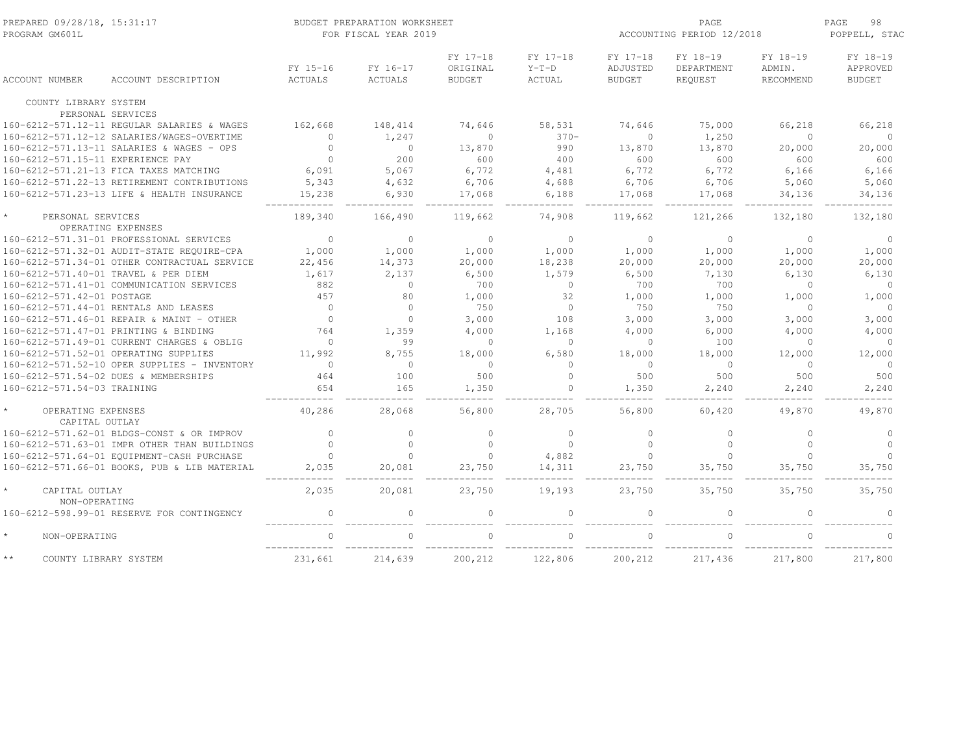| PREPARED 09/28/18, 15:31:17<br>PROGRAM GM601L |                     | BUDGET PREPARATION WORKSHEET<br>FOR FISCAL YEAR 2019 |                                       |                               |                                       | PAGE<br>ACCOUNTING PERIOD 12/2018 |                                 | PAGE<br>98<br>POPPELL, STAC           |
|-----------------------------------------------|---------------------|------------------------------------------------------|---------------------------------------|-------------------------------|---------------------------------------|-----------------------------------|---------------------------------|---------------------------------------|
| ACCOUNT DESCRIPTION<br><b>ACCOUNT NUMBER</b>  | FY 15-16<br>ACTUALS | FY 16-17<br><b>ACTUALS</b>                           | FY 17-18<br>ORIGINAL<br><b>BUDGET</b> | FY 17-18<br>$Y-T-D$<br>ACTUAL | FY 17-18<br>ADJUSTED<br><b>BUDGET</b> | FY 18-19<br>DEPARTMENT<br>REQUEST | FY 18-19<br>ADMIN.<br>RECOMMEND | FY 18-19<br>APPROVED<br><b>BUDGET</b> |
| COUNTY LIBRARY SYSTEM                         |                     |                                                      |                                       |                               |                                       |                                   |                                 |                                       |
| PERSONAL SERVICES                             |                     |                                                      |                                       |                               |                                       |                                   |                                 |                                       |
| 160-6212-571.12-11 REGULAR SALARIES & WAGES   | 162,668             | 148,414                                              | 74,646                                | 58,531                        | 74,646                                | 75,000                            | 66,218                          | 66,218                                |
| 160-6212-571.12-12 SALARIES/WAGES-OVERTIME    | $\circ$             | 1,247                                                | $\mathbf{0}$                          | $370-$                        | $\Omega$                              | 1,250                             | $\circ$                         | $\circ$                               |
| 160-6212-571.13-11 SALARIES & WAGES - OPS     | $\Omega$            | $\circ$                                              | 13,870                                | 990                           | 13,870                                | 13,870                            | 20,000                          | 20,000                                |
| 160-6212-571.15-11 EXPERIENCE PAY             | $\Omega$            | 200                                                  | 600                                   | 400                           | 600                                   | 600                               | 600                             | 600                                   |
| 160-6212-571.21-13 FICA TAXES MATCHING        | 6,091               | 5,067                                                | 6,772                                 | 4,481                         | 6,772                                 | 6,772                             | 6,166                           | 6,166                                 |
| 160-6212-571.22-13 RETIREMENT CONTRIBUTIONS   | 5,343               | 4,632                                                | 6,706                                 | 4,688                         | 6,706                                 | 6,706                             | 5,060                           | 5,060                                 |
| 160-6212-571.23-13 LIFE & HEALTH INSURANCE    | 15,238              | 6,930                                                | 17,068                                | 6,188                         | 17,068                                | 17,068                            | 34,136                          | 34,136                                |
| PERSONAL SERVICES<br>OPERATING EXPENSES       | 189,340             | 166,490                                              | 119,662                               | 74,908                        | 119,662                               | 121,266                           | 132,180                         | 132,180                               |
| 160-6212-571.31-01 PROFESSIONAL SERVICES      | $\Omega$            | $\Omega$                                             | $\Omega$                              | $\Omega$                      | $\Omega$                              | $\Omega$                          | $\Omega$                        | $\circ$                               |
| 160-6212-571.32-01 AUDIT-STATE REQUIRE-CPA    | 1,000               | 1,000                                                | 1,000                                 | 1,000                         | 1,000                                 | 1,000                             | 1,000                           | 1,000                                 |
| 160-6212-571.34-01 OTHER CONTRACTUAL SERVICE  | 22,456              | 14,373                                               | 20,000                                | 18,238                        | 20,000                                | 20,000                            | 20,000                          | 20,000                                |
| 160-6212-571.40-01 TRAVEL & PER DIEM          | 1,617               | 2,137                                                | 6,500                                 | 1,579                         | 6,500                                 | 7,130                             | 6,130                           | 6,130                                 |
| 160-6212-571.41-01 COMMUNICATION SERVICES     | 882                 | $\circ$                                              | 700                                   | $\Omega$                      | 700                                   | 700                               | $\Omega$                        | $\circ$                               |
| 160-6212-571.42-01 POSTAGE                    | 457                 | 80                                                   | 1,000                                 | 32                            | 1,000                                 | 1,000                             | 1,000                           | 1,000                                 |
| 160-6212-571.44-01 RENTALS AND LEASES         | $\circ$             | $\mathbf{0}$                                         | 750                                   | $\circ$                       | 750                                   | 750                               | $\Omega$                        | $\circ$                               |
| 160-6212-571.46-01 REPAIR & MAINT - OTHER     | $\overline{0}$      | $\circ$                                              | 3,000                                 | 108                           | 3,000                                 | 3,000                             | 3,000                           | 3,000                                 |
| 160-6212-571.47-01 PRINTING & BINDING         | 764                 | 1,359                                                | 4,000                                 | 1,168                         | 4,000                                 | 6,000                             | 4,000                           | 4,000                                 |
| 160-6212-571.49-01 CURRENT CHARGES & OBLIG    | $\mathbf{0}$        | 99                                                   | $\circ$                               | $\circ$                       | $\Omega$                              | 100                               | $\Omega$                        | $\overline{0}$                        |
| 160-6212-571.52-01 OPERATING SUPPLIES         | 11,992              | 8,755                                                | 18,000                                | 6,580                         | 18,000                                | 18,000                            | 12,000                          | 12,000                                |
| 160-6212-571.52-10 OPER SUPPLIES - INVENTORY  | $\Omega$            | $\mathbf{0}$                                         | $\Omega$                              | $\Omega$                      | $\Omega$                              | $\circ$                           | $\Omega$                        | $\overline{0}$                        |
| 160-6212-571.54-02 DUES & MEMBERSHIPS         | 464                 | 100                                                  | 500                                   | $\circ$                       | 500                                   | 500                               | 500                             | 500                                   |
| 160-6212-571.54-03 TRAINING                   | 654                 | 165                                                  | 1,350                                 | $\circ$                       | 1,350                                 | 2,240                             | 2,240                           | 2,240                                 |
|                                               |                     |                                                      |                                       |                               |                                       |                                   |                                 |                                       |
| OPERATING EXPENSES<br>CAPITAL OUTLAY          | 40,286              | 28,068                                               | 56,800                                | 28,705                        | 56,800                                | 60,420                            | 49,870                          | 49,870                                |
| 160-6212-571.62-01 BLDGS-CONST & OR IMPROV    | $\Omega$            | $\circ$                                              | $\Omega$                              | $\Omega$                      | $\Omega$                              | $\mathbf{0}$                      | $\Omega$                        | $\circ$                               |
| 160-6212-571.63-01 IMPR OTHER THAN BUILDINGS  | $\Omega$            | $\circ$                                              | $\Omega$                              | $\Omega$                      | $\cap$                                | $\circ$                           | $\Omega$                        | $\Omega$                              |
| 160-6212-571.64-01 EQUIPMENT-CASH PURCHASE    | $\circ$             | $\Omega$                                             | $\circ$                               | 4,882                         | $\Omega$                              | $\Omega$                          | $\Omega$                        | $\Omega$                              |
| 160-6212-571.66-01 BOOKS, PUB & LIB MATERIAL  | 2,035               | 20,081                                               | 23,750                                | 14,311                        | 23,750                                | 35,750                            | 35,750                          | 35,750                                |
| $\star$<br>CAPITAL OUTLAY<br>NON-OPERATING    | 2,035               | 20,081                                               | 23,750                                | 19,193                        | 23,750                                | 35,750                            | 35,750                          | 35,750                                |
| 160-6212-598.99-01 RESERVE FOR CONTINGENCY    | $\Omega$            |                                                      |                                       | $\Omega$                      |                                       | $\Omega$                          |                                 |                                       |
| $\star$<br>NON-OPERATING                      | $\cap$              |                                                      |                                       |                               |                                       |                                   |                                 |                                       |
| $\star\star$<br>COUNTY LIBRARY SYSTEM         | 231,661             | 214,639                                              | 200,212                               | 122,806                       | 200,212                               | 217,436                           | 217,800                         | 217,800                               |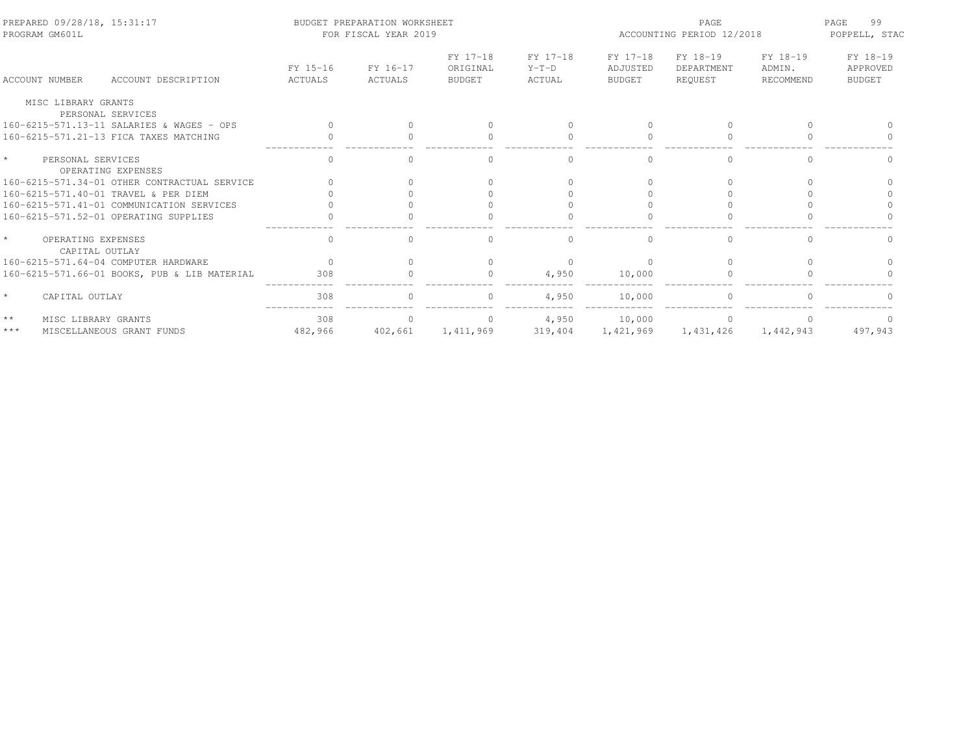| PROGRAM GM601L                        | PREPARED 09/28/18, 15:31:17<br>BUDGET PREPARATION WORKSHEET |                     |                     | FOR FISCAL YEAR 2019                  |                               |                                       | PAGE<br>ACCOUNTING PERIOD 12/2018 |                                 |                                       |
|---------------------------------------|-------------------------------------------------------------|---------------------|---------------------|---------------------------------------|-------------------------------|---------------------------------------|-----------------------------------|---------------------------------|---------------------------------------|
| <b>ACCOUNT NUMBER</b>                 | ACCOUNT DESCRIPTION                                         | FY 15-16<br>ACTUALS | FY 16-17<br>ACTUALS | FY 17-18<br>ORIGINAL<br><b>BUDGET</b> | FY 17-18<br>$Y-T-D$<br>ACTUAL | FY 17-18<br>ADJUSTED<br><b>BUDGET</b> | FY 18-19<br>DEPARTMENT<br>REOUEST | FY 18-19<br>ADMIN.<br>RECOMMEND | FY 18-19<br>APPROVED<br><b>BUDGET</b> |
| MISC LIBRARY GRANTS                   |                                                             |                     |                     |                                       |                               |                                       |                                   |                                 |                                       |
|                                       | PERSONAL SERVICES                                           |                     |                     |                                       |                               |                                       |                                   |                                 |                                       |
|                                       | 160-6215-571.13-11 SALARIES & WAGES - OPS                   |                     |                     |                                       |                               |                                       |                                   |                                 |                                       |
|                                       | 160-6215-571.21-13 FICA TAXES MATCHING                      |                     |                     | $\Omega$                              | $\bigcap$                     |                                       | $\cap$                            |                                 |                                       |
| $\star$<br>PERSONAL SERVICES          | OPERATING EXPENSES                                          |                     |                     |                                       |                               |                                       |                                   |                                 |                                       |
|                                       | 160-6215-571.34-01 OTHER CONTRACTUAL SERVICE                |                     |                     |                                       |                               |                                       |                                   |                                 |                                       |
|                                       | 160-6215-571.40-01 TRAVEL & PER DIEM                        |                     |                     |                                       |                               |                                       |                                   |                                 |                                       |
|                                       | 160-6215-571.41-01 COMMUNICATION SERVICES                   |                     |                     |                                       |                               |                                       |                                   |                                 |                                       |
|                                       | 160-6215-571.52-01 OPERATING SUPPLIES                       |                     |                     |                                       |                               |                                       |                                   |                                 |                                       |
| OPERATING EXPENSES<br>CAPITAL OUTLAY  |                                                             | $\mathbf{0}$        | $\Omega$            | $\Omega$                              | $\circ$                       |                                       | $\Omega$                          | $\Omega$                        |                                       |
|                                       | 160-6215-571.64-04 COMPUTER HARDWARE                        | $\bigcap$           |                     | $\Omega$                              | $\Omega$                      |                                       | $\bigcap$                         |                                 |                                       |
|                                       | 160-6215-571.66-01 BOOKS, PUB & LIB MATERIAL                | 308                 |                     |                                       | 4,950                         | 10,000                                |                                   |                                 |                                       |
| CAPITAL OUTLAY                        |                                                             | 308                 |                     |                                       | 4,950                         | 10,000                                |                                   |                                 |                                       |
| $\star\,\star$<br>MISC LIBRARY GRANTS |                                                             | 308                 | $\bigcap$           | $\Omega$                              | 4,950                         | 10,000                                | $\Omega$                          | $\cap$                          |                                       |
| $\star\star\star$                     | MISCELLANEOUS GRANT FUNDS                                   | 482,966             | 402,661             | 1,411,969                             | 319,404                       | 1,421,969                             | 1,431,426                         | 1,442,943                       | 497,943                               |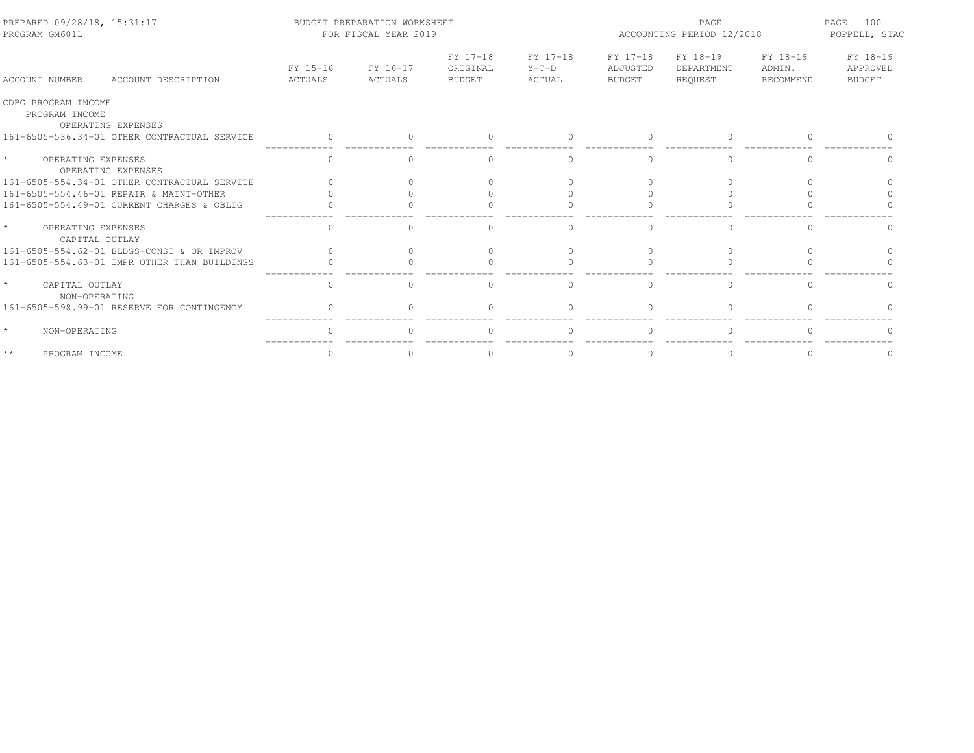| PREPARED 09/28/18, 15:31:17<br>PROGRAM GM601L               |                     | BUDGET PREPARATION WORKSHEET<br>FOR FISCAL YEAR 2019 |                                |                               |                                | PAGE.                             | ACCOUNTING PERIOD 12/2018       |                                       |
|-------------------------------------------------------------|---------------------|------------------------------------------------------|--------------------------------|-------------------------------|--------------------------------|-----------------------------------|---------------------------------|---------------------------------------|
| ACCOUNT DESCRIPTION<br>ACCOUNT NUMBER                       | FY 15-16<br>ACTUALS | FY 16-17<br>ACTUALS                                  | FY 17-18<br>ORIGINAL<br>BUDGET | FY 17-18<br>$Y-T-D$<br>ACTUAL | FY 17-18<br>ADJUSTED<br>BUDGET | FY 18-19<br>DEPARTMENT<br>REQUEST | FY 18-19<br>ADMIN.<br>RECOMMEND | FY 18-19<br>APPROVED<br><b>BUDGET</b> |
| CDBG PROGRAM INCOME<br>PROGRAM INCOME<br>OPERATING EXPENSES |                     |                                                      |                                |                               |                                |                                   |                                 |                                       |
| 161-6505-536.34-01 OTHER CONTRACTUAL SERVICE                | $\Omega$            |                                                      |                                | $\Omega$                      |                                | $\Omega$                          |                                 |                                       |
| $\star$<br>OPERATING EXPENSES<br>OPERATING EXPENSES         | ∩                   |                                                      |                                | $\bigcap$                     |                                | ∩                                 |                                 |                                       |
| 161-6505-554.34-01 OTHER CONTRACTUAL SERVICE                |                     |                                                      |                                |                               |                                |                                   |                                 |                                       |
| 161-6505-554.46-01 REPAIR & MAINT-OTHER                     |                     |                                                      |                                |                               |                                |                                   |                                 |                                       |
| 161-6505-554.49-01 CURRENT CHARGES & OBLIG                  |                     |                                                      |                                |                               |                                |                                   |                                 |                                       |
| $\star$<br>OPERATING EXPENSES<br>CAPITAL OUTLAY             | $\mathbf{0}$        | O.                                                   |                                | $\Omega$                      |                                | $\Omega$                          |                                 |                                       |
| 161-6505-554.62-01 BLDGS-CONST & OR IMPROV                  |                     |                                                      |                                | $\bigcap$                     |                                | $\Omega$                          |                                 |                                       |
| 161-6505-554.63-01 IMPR OTHER THAN BUILDINGS                |                     |                                                      |                                |                               |                                |                                   |                                 |                                       |
| $\star$<br>CAPITAL OUTLAY<br>NON-OPERATING                  | $\Omega$            | $\cap$                                               | $\cap$                         | $\Omega$                      |                                | $\cap$                            | $\Omega$                        | $\cap$                                |
| 161-6505-598.99-01 RESERVE FOR CONTINGENCY                  |                     |                                                      |                                |                               |                                |                                   |                                 |                                       |
| $\star$<br>NON-OPERATING                                    | $\cap$              |                                                      |                                | $\Omega$                      |                                | $\cap$                            | $\cap$                          |                                       |
| $\star\star$<br>PROGRAM INCOME                              |                     |                                                      |                                |                               |                                |                                   |                                 |                                       |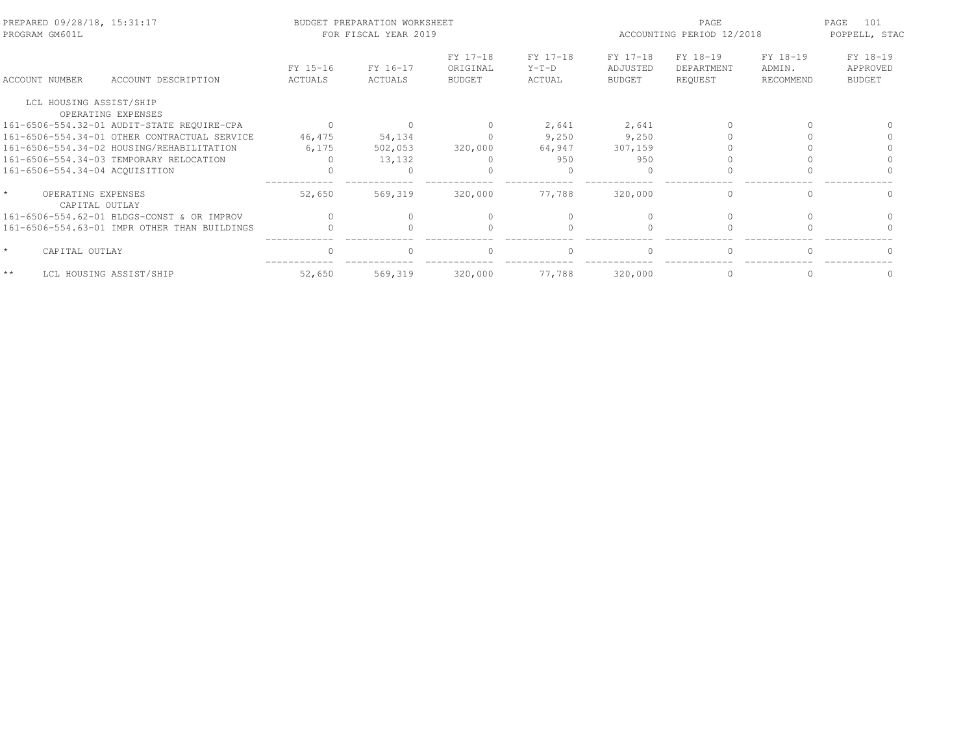| PREPARED 09/28/18, 15:31:17<br>PROGRAM GM601L |                                              |                     | BUDGET PREPARATION WORKSHEET<br>FOR FISCAL YEAR 2019 |                                       |                               | ACCOUNTING PERIOD 12/2018             | PAGE<br>101<br>POPPELL, STAC      |                                 |                                       |
|-----------------------------------------------|----------------------------------------------|---------------------|------------------------------------------------------|---------------------------------------|-------------------------------|---------------------------------------|-----------------------------------|---------------------------------|---------------------------------------|
| ACCOUNT NUMBER                                | ACCOUNT DESCRIPTION                          | FY 15-16<br>ACTUALS | FY 16-17<br>ACTUALS                                  | FY 17-18<br>ORIGINAL<br><b>BUDGET</b> | FY 17-18<br>$Y-T-D$<br>ACTUAL | FY 17-18<br>ADJUSTED<br><b>BUDGET</b> | FY 18-19<br>DEPARTMENT<br>REQUEST | FY 18-19<br>ADMIN.<br>RECOMMEND | FY 18-19<br>APPROVED<br><b>BUDGET</b> |
| LCL HOUSING ASSIST/SHIP                       |                                              |                     |                                                      |                                       |                               |                                       |                                   |                                 |                                       |
| OPERATING EXPENSES                            |                                              |                     |                                                      |                                       |                               |                                       |                                   |                                 |                                       |
|                                               | 161-6506-554.32-01 AUDIT-STATE REQUIRE-CPA   |                     |                                                      | $\mathbf{0}$                          | 2,641                         | 2,641                                 |                                   |                                 |                                       |
|                                               | 161-6506-554.34-01 OTHER CONTRACTUAL SERVICE | 46,475              | 54,134                                               |                                       | 9,250                         | 9,250                                 |                                   |                                 |                                       |
| 161-6506-554.34-02 HOUSING/REHABILITATION     |                                              | 6,175               | 502,053                                              | 320,000                               | 64,947                        | 307,159                               |                                   |                                 |                                       |
| 161-6506-554.34-03 TEMPORARY RELOCATION       |                                              |                     | 13,132                                               |                                       | 950                           | 950                                   |                                   |                                 |                                       |
| 161-6506-554.34-04 ACQUISITION                |                                              |                     |                                                      |                                       |                               |                                       |                                   |                                 |                                       |
| OPERATING EXPENSES<br>CAPITAL OUTLAY          |                                              | 52,650              | 569,319                                              | 320,000                               | 77.788                        | 320,000                               | $\Omega$                          | $\Omega$                        | $\Omega$                              |
|                                               | 161-6506-554.62-01 BLDGS-CONST & OR IMPROV   | $\bigcap$           |                                                      |                                       |                               |                                       |                                   |                                 |                                       |
|                                               | 161-6506-554.63-01 IMPR OTHER THAN BUILDINGS |                     |                                                      |                                       |                               |                                       |                                   |                                 |                                       |
| $\star$<br>CAPITAL OUTLAY                     |                                              | $\bigcap$           | $\Omega$                                             | $\Omega$                              | $\Omega$                      | $\bigcap$                             | $\Omega$                          | $\cap$                          |                                       |
| $\star\star$<br>LCL HOUSING ASSIST/SHIP       |                                              | 52,650              | 569,319                                              | 320,000                               | 77,788                        | 320,000                               | $\Omega$                          | $\Omega$                        |                                       |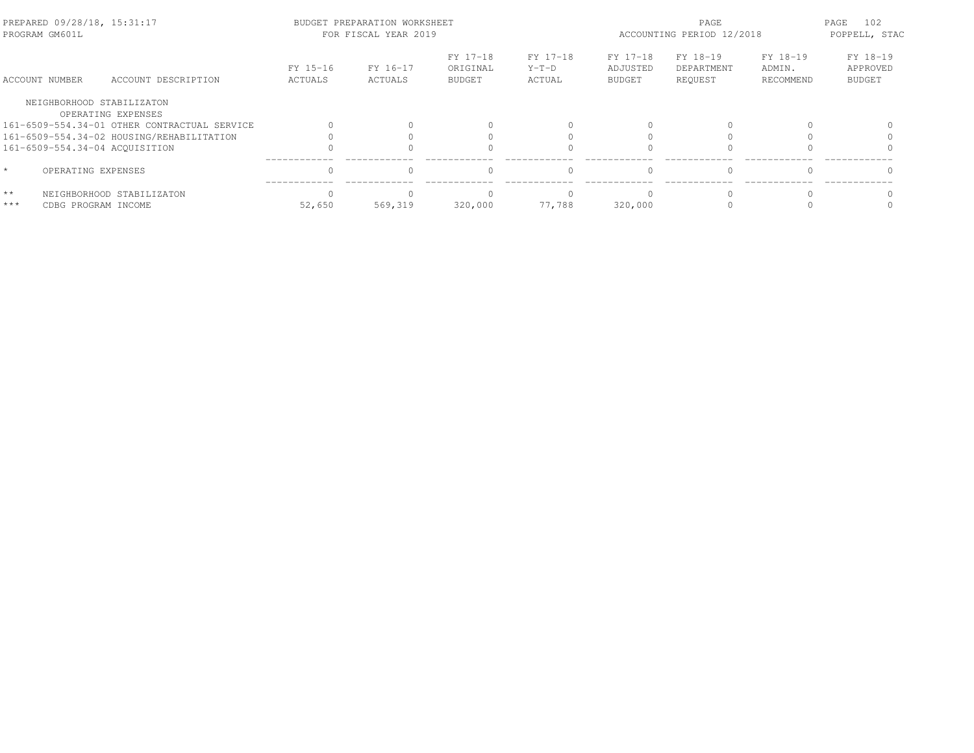| PROGRAM GM601L | PREPARED 09/28/18, 15:31:17                     |                     | BUDGET PREPARATION WORKSHEET<br>FOR FISCAL YEAR 2019 |                                       | PAGE<br>ACCOUNTING PERIOD 12/2018 |                                       |                                   | PAGE<br>102<br>POPPELL, STAC    |                                       |
|----------------|-------------------------------------------------|---------------------|------------------------------------------------------|---------------------------------------|-----------------------------------|---------------------------------------|-----------------------------------|---------------------------------|---------------------------------------|
| ACCOUNT NUMBER | ACCOUNT DESCRIPTION                             | FY 15-16<br>ACTUALS | FY 16-17<br>ACTUALS                                  | FY 17-18<br>ORIGINAL<br><b>BUDGET</b> | FY 17-18<br>$Y-T-D$<br>ACTUAL     | FY 17-18<br>ADJUSTED<br><b>BUDGET</b> | FY 18-19<br>DEPARTMENT<br>REQUEST | FY 18-19<br>ADMIN.<br>RECOMMEND | FY 18-19<br>APPROVED<br><b>BUDGET</b> |
|                | NEIGHBORHOOD STABILIZATON<br>OPERATING EXPENSES |                     |                                                      |                                       |                                   |                                       |                                   |                                 |                                       |
|                | 161-6509-554.34-01 OTHER CONTRACTUAL SERVICE    |                     |                                                      |                                       |                                   |                                       |                                   |                                 |                                       |
|                | 161-6509-554.34-02 HOUSING/REHABILITATION       |                     |                                                      |                                       |                                   |                                       |                                   |                                 |                                       |
|                | 161-6509-554.34-04 ACOUISITION                  |                     |                                                      |                                       |                                   |                                       |                                   |                                 |                                       |
| $\star$        | OPERATING EXPENSES                              | $\cap$              |                                                      | $\Omega$                              | $\Omega$                          | $\bigcap$                             | $\Omega$                          |                                 |                                       |
| $\star\star$   | NEIGHBORHOOD STABILIZATON                       |                     |                                                      |                                       |                                   |                                       |                                   |                                 |                                       |
| $***$          | CDBG PROGRAM INCOME                             | 52,650              | 569,319                                              | 320,000                               | 77.788                            | 320,000                               |                                   |                                 |                                       |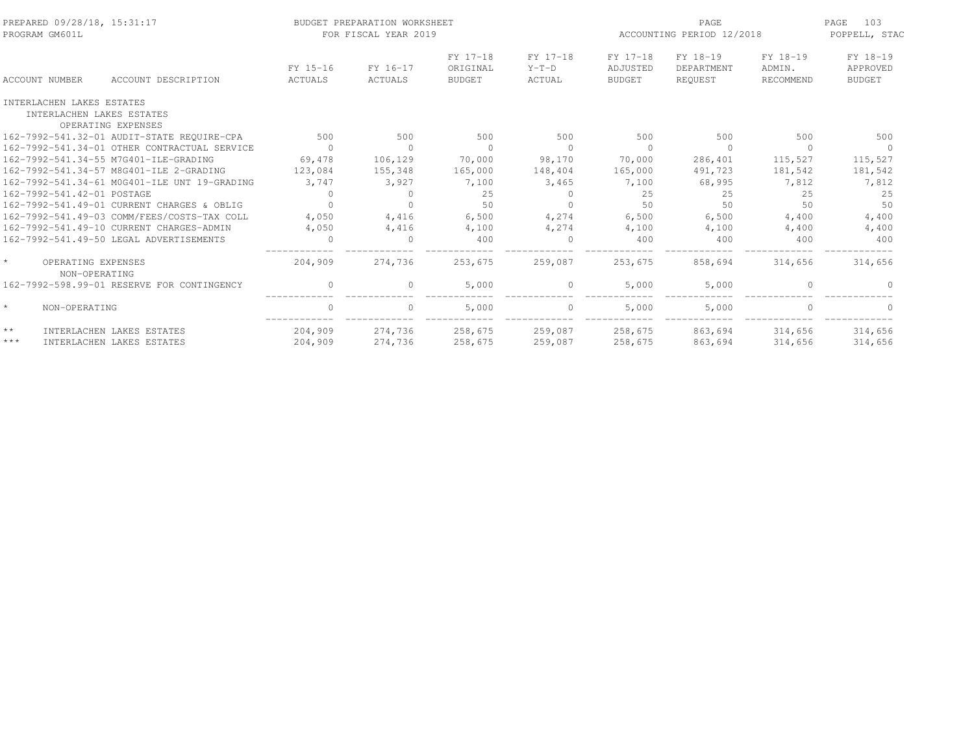| PREPARED 09/28/18, 15:31:17<br>PROGRAM GM601L                                |                     | BUDGET PREPARATION WORKSHEET<br>FOR FISCAL YEAR 2019 |                                       |                               |                                | PAGE<br>ACCOUNTING PERIOD 12/2018 |                                 | 103<br>PAGE<br>POPPELL, STAC          |
|------------------------------------------------------------------------------|---------------------|------------------------------------------------------|---------------------------------------|-------------------------------|--------------------------------|-----------------------------------|---------------------------------|---------------------------------------|
| <b>ACCOUNT NUMBER</b><br>ACCOUNT DESCRIPTION                                 | FY 15-16<br>ACTUALS | FY 16-17<br>ACTUALS                                  | FY 17-18<br>ORIGINAL<br><b>BUDGET</b> | FY 17-18<br>$Y-T-D$<br>ACTUAL | FY 17-18<br>ADJUSTED<br>BUDGET | FY 18-19<br>DEPARTMENT<br>REOUEST | FY 18-19<br>ADMIN.<br>RECOMMEND | FY 18-19<br>APPROVED<br><b>BUDGET</b> |
| INTERLACHEN LAKES ESTATES<br>INTERLACHEN LAKES ESTATES<br>OPERATING EXPENSES |                     |                                                      |                                       |                               |                                |                                   |                                 |                                       |
| 162-7992-541.32-01 AUDIT-STATE REQUIRE-CPA                                   | 500                 | 500                                                  | 500                                   | 500                           | 500                            | 500                               | 500                             | 500                                   |
| 162-7992-541.34-01 OTHER CONTRACTUAL SERVICE                                 | $\overline{0}$      | $\Omega$                                             | $\Omega$                              | $\Omega$                      | $\bigcirc$                     | $\Omega$                          | $\Omega$                        | $\Omega$                              |
| 162-7992-541.34-55 M7G401-ILE-GRADING                                        | 69,478              | 106,129                                              | 70,000                                | 98,170                        | 70,000                         | 286,401                           | 115,527                         | 115,527                               |
| 162-7992-541.34-57 M8G401-ILE 2-GRADING                                      | 123,084             | 155,348                                              | 165,000                               | 148,404                       | 165,000                        | 491,723                           | 181,542                         | 181,542                               |
| 162-7992-541.34-61 MOG401-ILE UNT 19-GRADING                                 | 3,747               | 3,927                                                | 7,100                                 | 3,465                         | 7,100                          | 68,995                            | 7,812                           | 7,812                                 |
| 162-7992-541.42-01 POSTAGE                                                   | $\circ$             | $\Omega$                                             | 25                                    | $\mathbf{0}$                  | 25                             | 25                                | 25                              | 25                                    |
| 162-7992-541.49-01 CURRENT CHARGES & OBLIG                                   | $\Omega$            |                                                      | 50                                    |                               | .50                            | 50                                | 50                              | 50                                    |
| 162-7992-541.49-03 COMM/FEES/COSTS-TAX COLL                                  | 4,050               | 4,416                                                | 6,500                                 | 4,274                         | 6,500                          | 6,500                             | 4,400                           | 4,400                                 |
| 162-7992-541.49-10 CURRENT CHARGES-ADMIN                                     | 4,050               | 4,416                                                | 4,100                                 | 4,274                         | 4,100                          | 4,100                             | 4,400                           | 4,400                                 |
| 162-7992-541.49-50 LEGAL ADVERTISEMENTS                                      | $\circ$             | $\Omega$                                             | 400                                   | $\circ$                       | 400                            | 400                               | 400                             | 400                                   |
| $\star$<br>OPERATING EXPENSES<br>NON-OPERATING                               | 204,909             | 274,736                                              | 253,675                               | 259,087                       | 253,675                        | 858,694                           | 314,656                         | 314,656                               |
| 162-7992-598.99-01 RESERVE FOR CONTINGENCY                                   | $\circ$             | $\Omega$                                             | 5,000                                 | $\mathbf{0}$                  | 5,000                          | 5,000                             |                                 | $\Omega$                              |
| $\star$<br>NON-OPERATING                                                     |                     |                                                      | 5,000                                 |                               | 5,000                          | 5,000                             |                                 |                                       |
| $\star\,\star$<br>INTERLACHEN LAKES ESTATES                                  | 204,909             | 274,736                                              | 258,675                               | 259,087                       | 258,675                        | 863,694                           | 314,656                         | 314,656                               |
| $***$<br>INTERLACHEN LAKES ESTATES                                           | 204,909             | 274,736                                              | 258,675                               | 259,087                       | 258,675                        | 863,694                           | 314,656                         | 314,656                               |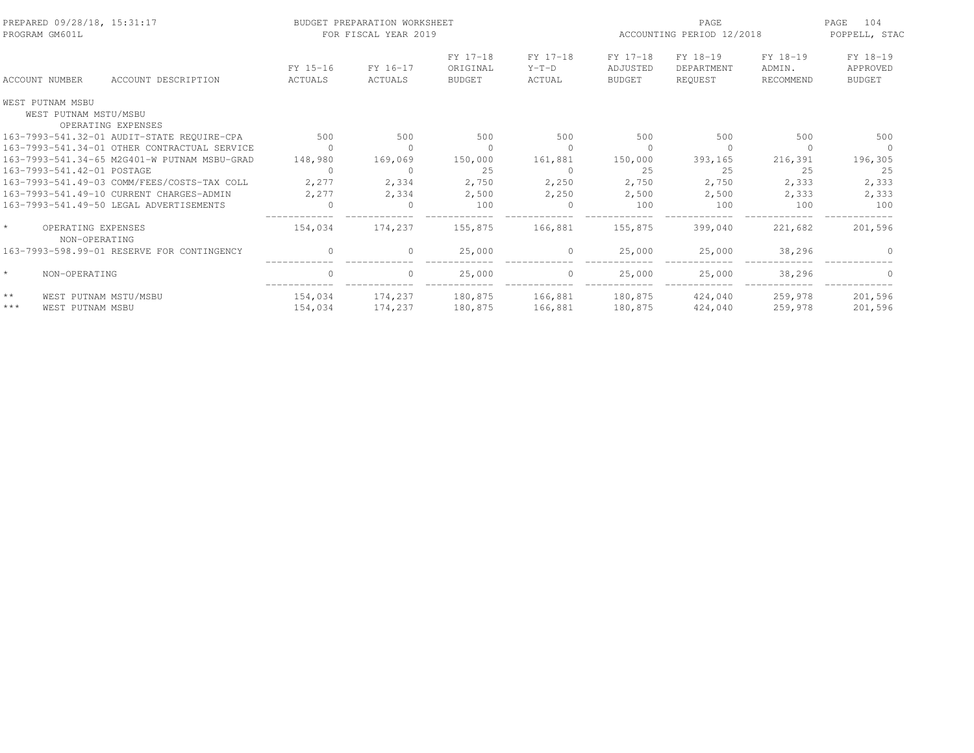| PREPARED 09/28/18, 15:31:17<br>PROGRAM GM601L |                                              |                            | BUDGET PREPARATION WORKSHEET<br>FOR FISCAL YEAR 2019 |                                       |                               | ACCOUNTING PERIOD 12/2018             | 104<br>PAGE<br>POPPELL, STAC      |                                 |                                       |
|-----------------------------------------------|----------------------------------------------|----------------------------|------------------------------------------------------|---------------------------------------|-------------------------------|---------------------------------------|-----------------------------------|---------------------------------|---------------------------------------|
| ACCOUNT NUMBER                                | ACCOUNT DESCRIPTION                          | FY 15-16<br><b>ACTUALS</b> | FY 16-17<br>ACTUALS                                  | FY 17-18<br>ORIGINAL<br><b>BUDGET</b> | FY 17-18<br>$Y-T-D$<br>ACTUAL | FY 17-18<br>ADJUSTED<br><b>BUDGET</b> | FY 18-19<br>DEPARTMENT<br>REOUEST | FY 18-19<br>ADMIN.<br>RECOMMEND | FY 18-19<br>APPROVED<br><b>BUDGET</b> |
| WEST PUTNAM MSBU<br>WEST PUTNAM MSTU/MSBU     | OPERATING EXPENSES                           |                            |                                                      |                                       |                               |                                       |                                   |                                 |                                       |
|                                               | 163-7993-541.32-01 AUDIT-STATE REQUIRE-CPA   | 500                        | 500                                                  | 500                                   | 500                           | 500                                   | 500                               | 500                             | 500                                   |
|                                               | 163-7993-541.34-01 OTHER CONTRACTUAL SERVICE | $\Omega$                   | $\Omega$                                             | $\Omega$                              | $\Omega$                      | $\cap$                                | $\Omega$                          |                                 |                                       |
|                                               | 163-7993-541.34-65 M2G401-W PUTNAM MSBU-GRAD | 148,980                    | 169,069                                              | 150,000                               | 161,881                       | 150,000                               | 393,165                           | 216,391                         | 196,305                               |
| 163-7993-541.42-01 POSTAGE                    |                                              | $\Omega$                   | $\circ$                                              | 25                                    | $\mathbf{0}$                  | 25                                    | 25                                | 25                              | 25                                    |
|                                               | 163-7993-541.49-03 COMM/FEES/COSTS-TAX COLL  | 2,277                      | 2,334                                                | 2,750                                 | 2,250                         | 2,750                                 | 2,750                             | 2,333                           | 2,333                                 |
|                                               | 163-7993-541.49-10 CURRENT CHARGES-ADMIN     | 2,277                      | 2,334                                                | 2,500                                 | 2,250                         | 2,500                                 | 2,500                             | 2,333                           | 2,333                                 |
|                                               | 163-7993-541.49-50 LEGAL ADVERTISEMENTS      | $\Omega$                   |                                                      | 100                                   |                               | 100                                   | 100                               | 100                             | 100                                   |
| OPERATING EXPENSES<br>NON-OPERATING           |                                              | 154,034                    | 174,237                                              | 155,875                               | 166,881                       | 155,875                               | 399,040                           | 221,682                         | 201,596                               |
|                                               | 163-7993-598.99-01 RESERVE FOR CONTINGENCY   | $\Omega$                   | $\Omega$                                             | 25,000                                | $\Omega$                      | 25,000                                | 25,000                            | 38,296                          |                                       |
| $\star$<br>NON-OPERATING                      |                                              | $\mathbf{0}$               | $\circ$                                              | 25,000                                | $\circ$                       | 25,000                                | 25,000                            | 38,296                          | $\Omega$                              |
| $\star\star$                                  | WEST PUTNAM MSTU/MSBU                        | 154,034                    | 174,237                                              | 180,875                               | 166,881                       | 180,875                               | 424,040                           | 259,978                         | 201,596                               |
| $***$<br>WEST PUTNAM MSBU                     |                                              | 154,034                    | 174,237                                              | 180,875                               | 166,881                       | 180,875                               | 424,040                           | 259,978                         | 201,596                               |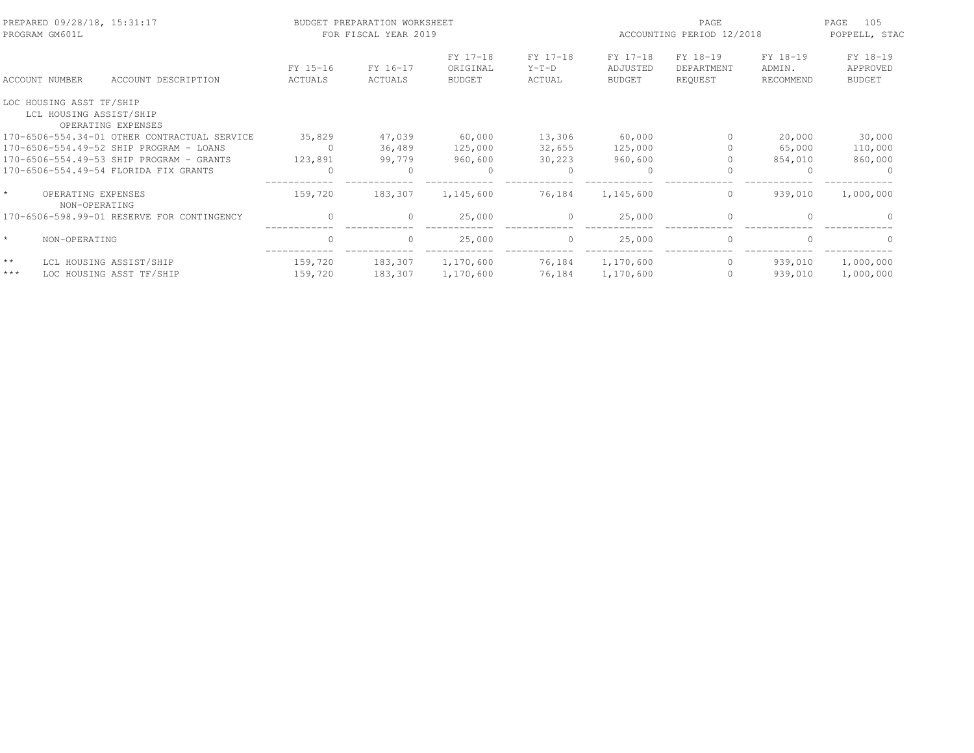| PREPARED 09/28/18, 15:31:17<br>PROGRAM GM601L                             |                     | BUDGET PREPARATION WORKSHEET<br>FOR FISCAL YEAR 2019 |                                       |                               |                                              | PAGE<br>ACCOUNTING PERIOD 12/2018 |                                 | 105<br>PAGE<br>POPPELL, STAC          |
|---------------------------------------------------------------------------|---------------------|------------------------------------------------------|---------------------------------------|-------------------------------|----------------------------------------------|-----------------------------------|---------------------------------|---------------------------------------|
| ACCOUNT NUMBER<br>ACCOUNT DESCRIPTION                                     | FY 15-16<br>ACTUALS | FY 16-17<br>ACTUALS                                  | FY 17-18<br>ORIGINAL<br><b>BUDGET</b> | FY 17-18<br>$Y-T-D$<br>ACTUAL | FY 17-18<br><b>ADJUSTED</b><br><b>BUDGET</b> | FY 18-19<br>DEPARTMENT<br>REQUEST | FY 18-19<br>ADMIN.<br>RECOMMEND | FY 18-19<br>APPROVED<br><b>BUDGET</b> |
| LOC HOUSING ASST TF/SHIP<br>LCL HOUSING ASSIST/SHIP<br>OPERATING EXPENSES |                     |                                                      |                                       |                               |                                              |                                   |                                 |                                       |
| 170-6506-554.34-01 OTHER CONTRACTUAL SERVICE                              | 35,829              | 47,039                                               | 60,000                                | 13,306                        | 60,000                                       | 0                                 | 20,000                          | 30,000                                |
| 170-6506-554.49-52 SHIP PROGRAM - LOANS                                   | $\Omega$            | 36,489                                               | 125,000                               | 32,655                        | 125,000                                      |                                   | 65,000                          | 110,000                               |
| 170-6506-554.49-53 SHIP PROGRAM - GRANTS                                  | 123,891             | 99,779                                               | 960,600                               | 30,223                        | 960,600                                      |                                   | 854,010                         | 860,000                               |
| 170-6506-554.49-54 FLORIDA FIX GRANTS                                     | $\Omega$            | $\Omega$                                             | $\circ$                               | $\circ$                       | $\circ$                                      |                                   | <sup>0</sup>                    |                                       |
| OPERATING EXPENSES<br>NON-OPERATING                                       | 159,720             | 183,307                                              | 1,145,600                             | 76,184                        | 1,145,600                                    | $\circ$                           | 939,010                         | 1,000,000                             |
| 170-6506-598.99-01 RESERVE FOR CONTINGENCY                                | $\Omega$            | $\Omega$                                             | 25,000                                | $\Omega$                      | 25,000                                       | $\Omega$                          | $\cap$                          |                                       |
| $\star$<br>NON-OPERATING                                                  | $\Omega$            | $\Omega$                                             | 25,000                                | $\circ$                       | 25,000                                       | $\mathbf{0}$                      | $\cap$                          |                                       |
| $\star\star$<br>LCL HOUSING ASSIST/SHIP                                   | 159,720             | 183,307                                              | 1,170,600                             | 76,184                        | 1,170,600                                    | $\circ$                           | 939,010                         | 1,000,000                             |
| $***$<br>LOC HOUSING ASST TF/SHIP                                         | 159,720             | 183,307                                              | 1,170,600                             | 76,184                        | 1,170,600                                    | $\bigcap$                         | 939,010                         | 1,000,000                             |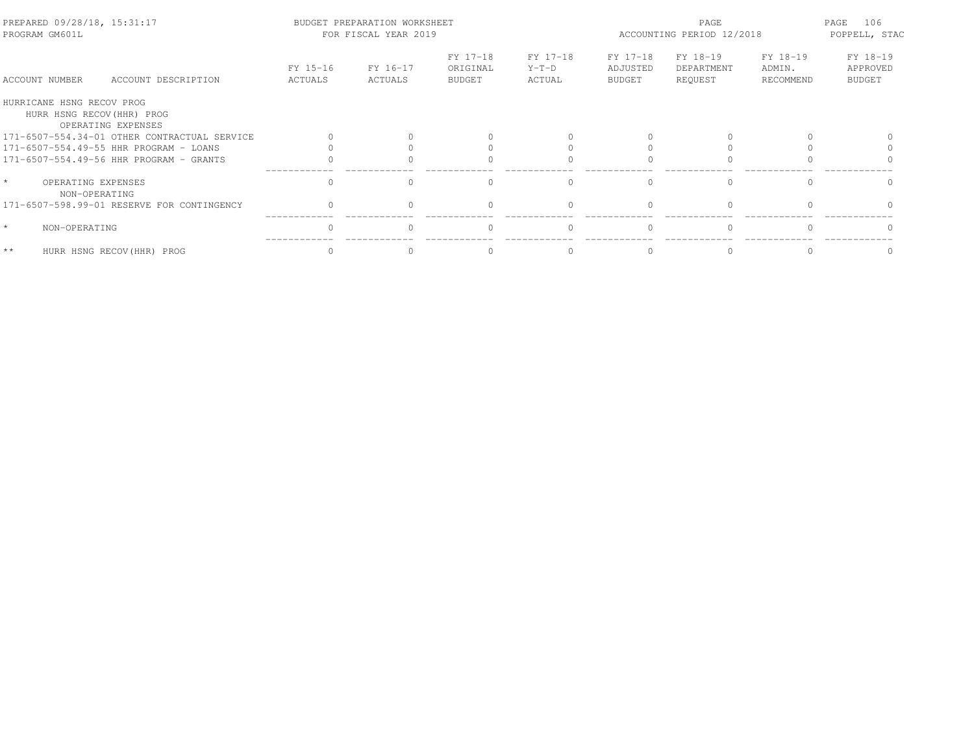| PREPARED 09/28/18, 15:31:17<br>PROGRAM GM601L           |                                              |                     | BUDGET PREPARATION WORKSHEET<br>FOR FISCAL YEAR 2019 |                                       |                               | PAGE<br>ACCOUNTING PERIOD 12/2018     |                                   |                                 | PAGE<br>106<br>POPPELL, STAC          |
|---------------------------------------------------------|----------------------------------------------|---------------------|------------------------------------------------------|---------------------------------------|-------------------------------|---------------------------------------|-----------------------------------|---------------------------------|---------------------------------------|
| ACCOUNT NUMBER                                          | ACCOUNT DESCRIPTION                          | FY 15-16<br>ACTUALS | FY 16-17<br>ACTUALS                                  | FY 17-18<br>ORIGINAL<br><b>BUDGET</b> | FY 17-18<br>$Y-T-D$<br>ACTUAL | FY 17-18<br>ADJUSTED<br><b>BUDGET</b> | FY 18-19<br>DEPARTMENT<br>REQUEST | FY 18-19<br>ADMIN.<br>RECOMMEND | FY 18-19<br>APPROVED<br><b>BUDGET</b> |
| HURRICANE HSNG RECOV PROG<br>HURR HSNG RECOV (HHR) PROG | OPERATING EXPENSES                           |                     |                                                      |                                       |                               |                                       |                                   |                                 |                                       |
|                                                         | 171-6507-554.34-01 OTHER CONTRACTUAL SERVICE |                     |                                                      |                                       |                               |                                       |                                   |                                 |                                       |
|                                                         | 171-6507-554.49-55 HHR PROGRAM - LOANS       |                     |                                                      |                                       |                               |                                       |                                   |                                 |                                       |
|                                                         | 171-6507-554.49-56 HHR PROGRAM - GRANTS      |                     |                                                      |                                       |                               |                                       |                                   |                                 |                                       |
| $\star$<br>OPERATING EXPENSES<br>NON-OPERATING          |                                              | $\cap$              |                                                      | $\cap$                                | $\Omega$                      | $\cap$                                | $\cap$                            |                                 |                                       |
|                                                         | 171-6507-598.99-01 RESERVE FOR CONTINGENCY   |                     |                                                      |                                       |                               |                                       |                                   |                                 |                                       |
| $\star$<br>NON-OPERATING                                |                                              |                     |                                                      | $\cap$                                | $\Omega$                      |                                       |                                   |                                 |                                       |
| $**$                                                    | HURR HSNG RECOV (HHR) PROG                   |                     |                                                      | $\Omega$                              | $\Omega$                      |                                       |                                   |                                 |                                       |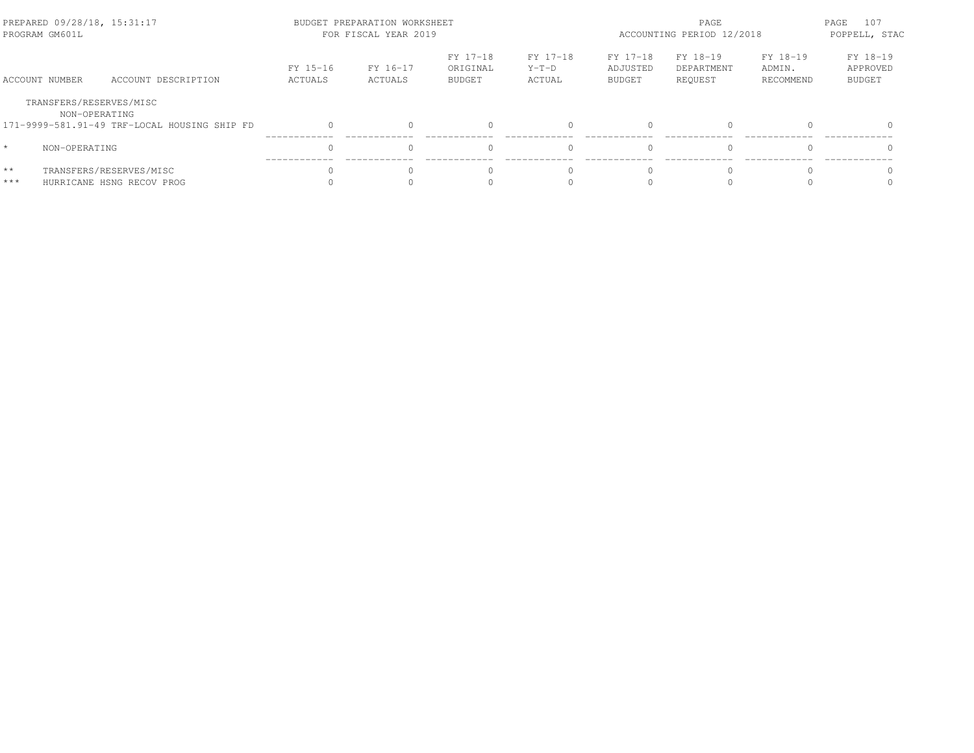| PREPARED 09/28/18, 15:31:17<br>PROGRAM GM601L |                                                               |                     | BUDGET PREPARATION WORKSHEET<br>FOR FISCAL YEAR 2019 |                                       |                               | PAGE<br>ACCOUNTING PERIOD 12/2018     |                                   |                                 | PAGE<br>107<br>POPPELL, STAC          |
|-----------------------------------------------|---------------------------------------------------------------|---------------------|------------------------------------------------------|---------------------------------------|-------------------------------|---------------------------------------|-----------------------------------|---------------------------------|---------------------------------------|
| ACCOUNT NUMBER                                | ACCOUNT DESCRIPTION                                           | FY 15-16<br>ACTUALS | FY 16-17<br>ACTUALS                                  | FY 17-18<br>ORIGINAL<br><b>BUDGET</b> | FY 17-18<br>$Y-T-D$<br>ACTUAL | FY 17-18<br>ADJUSTED<br><b>BUDGET</b> | FY 18-19<br>DEPARTMENT<br>REOUEST | FY 18-19<br>ADMIN.<br>RECOMMEND | FY 18-19<br>APPROVED<br><b>BUDGET</b> |
| TRANSFERS/RESERVES/MISC                       | NON-OPERATING<br>171-9999-581.91-49 TRF-LOCAL HOUSING SHIP FD |                     |                                                      |                                       |                               | $\bigcap$                             | $\Omega$                          |                                 |                                       |
| $\star$<br>NON-OPERATING                      |                                                               |                     |                                                      |                                       |                               | $\bigcap$                             | $\Omega$                          |                                 | $\Omega$                              |
| $\star\star$<br>$***$                         | TRANSFERS/RESERVES/MISC<br>HURRICANE HSNG RECOV PROG          |                     |                                                      |                                       |                               | $\bigcap$                             | U                                 |                                 |                                       |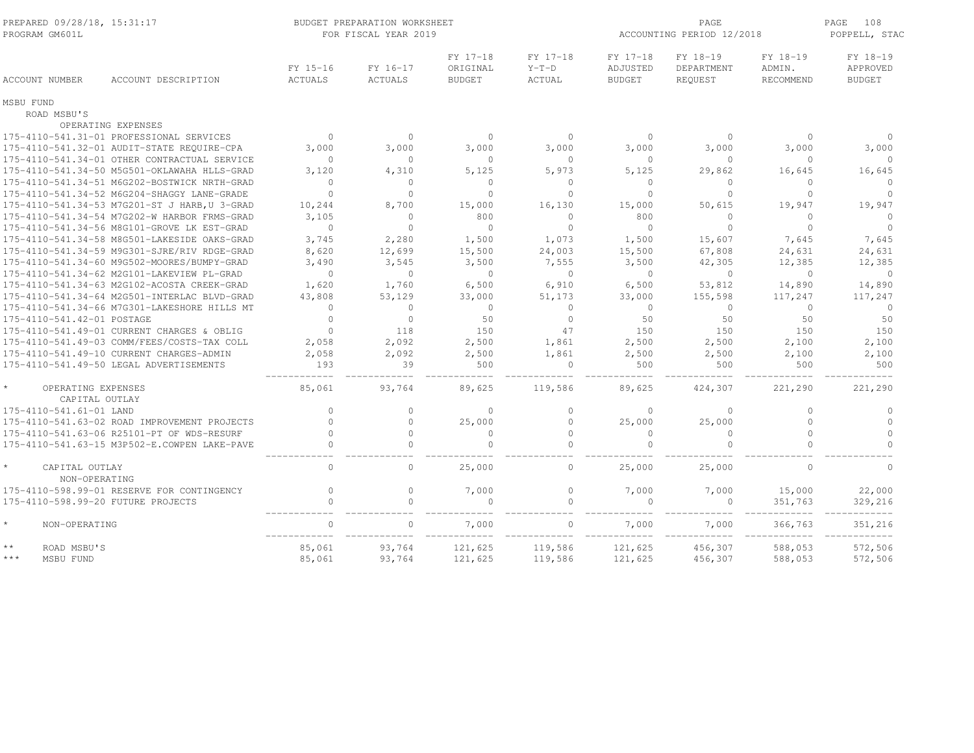| PREPARED 09/28/18, 15:31:17<br>PROGRAM GM601L   |                                               |                     | BUDGET PREPARATION WORKSHEET<br>FOR FISCAL YEAR 2019 |                                       |                               |                                       | PAGE<br>ACCOUNTING PERIOD 12/2018 |                                        | PAGE<br>108<br>POPPELL, STAC          |
|-------------------------------------------------|-----------------------------------------------|---------------------|------------------------------------------------------|---------------------------------------|-------------------------------|---------------------------------------|-----------------------------------|----------------------------------------|---------------------------------------|
| ACCOUNT NUMBER                                  | ACCOUNT DESCRIPTION                           | FY 15-16<br>ACTUALS | FY 16-17<br>ACTUALS                                  | FY 17-18<br>ORIGINAL<br><b>BUDGET</b> | FY 17-18<br>$Y-T-D$<br>ACTUAL | FY 17-18<br>ADJUSTED<br><b>BUDGET</b> | FY 18-19<br>DEPARTMENT<br>REQUEST | FY 18-19<br>ADMIN.<br><b>RECOMMEND</b> | FY 18-19<br>APPROVED<br><b>BUDGET</b> |
| MSBU FUND                                       |                                               |                     |                                                      |                                       |                               |                                       |                                   |                                        |                                       |
| ROAD MSBU'S                                     |                                               |                     |                                                      |                                       |                               |                                       |                                   |                                        |                                       |
|                                                 | OPERATING EXPENSES                            |                     |                                                      |                                       |                               |                                       |                                   |                                        |                                       |
|                                                 | 175-4110-541.31-01 PROFESSIONAL SERVICES      | $\overline{0}$      | $\Omega$                                             | $\Omega$                              | $\circ$                       | $\Omega$                              | $\Omega$                          | $\Omega$                               | $\cap$                                |
|                                                 | 175-4110-541.32-01 AUDIT-STATE REQUIRE-CPA    | 3,000               | 3,000                                                | 3,000                                 | 3,000                         | 3,000                                 | 3,000                             | 3,000                                  | 3,000                                 |
|                                                 | 175-4110-541.34-01 OTHER CONTRACTUAL SERVICE  | $\bigcap$           | $\Omega$                                             | $\Omega$                              | $\Omega$                      | $\Omega$                              | $\Omega$                          | $\Omega$                               | $\Omega$                              |
|                                                 | 175-4110-541.34-50 M5G501-OKLAWAHA HLLS-GRAD  | 3,120               | 4,310                                                | 5,125                                 | 5,973                         | 5,125                                 | 29,862                            | 16,645                                 | 16,645                                |
|                                                 | 175-4110-541.34-51 M6G202-BOSTWICK NRTH-GRAD  | $\Omega$            | $\Omega$                                             | $\Omega$                              | $\Omega$                      | $\Omega$                              | $\mathbf{0}$                      | $\Omega$                               | $\Omega$                              |
|                                                 | 175-4110-541.34-52 M6G204-SHAGGY LANE-GRADE   | $\Omega$            | $\Omega$                                             | $\Omega$                              | $\Omega$                      | $\Omega$                              | $\Omega$                          | $\Omega$                               | $\Omega$                              |
|                                                 | 175-4110-541.34-53 M7G201-ST J HARB, U 3-GRAD | 10,244              | 8,700                                                | 15,000                                | 16,130                        | 15,000                                | 50,615                            | 19,947                                 | 19,947                                |
|                                                 | 175-4110-541.34-54 M7G202-W HARBOR FRMS-GRAD  | 3,105               | $\Omega$                                             | 800                                   | $\Omega$                      | 800                                   | $\Omega$                          | $\Omega$                               | $\Omega$                              |
|                                                 | 175-4110-541.34-56 M8G101-GROVE LK EST-GRAD   | $\Omega$            | $\cap$                                               | $\Omega$                              | $\Omega$                      | $\Omega$                              | $\Omega$                          | $\Omega$                               | $\Omega$                              |
|                                                 | 175-4110-541.34-58 M8G501-LAKESIDE OAKS-GRAD  | 3,745               | 2,280                                                | 1,500                                 | 1,073                         | 1,500                                 | 15,607                            | 7,645                                  | 7,645                                 |
|                                                 | 175-4110-541.34-59 M9G301-SJRE/RIV RDGE-GRAD  | 8,620               | 12,699                                               | 15,500                                | 24,003                        | 15,500                                | 67,808                            | 24,631                                 | 24,631                                |
|                                                 | 175-4110-541.34-60 M9G502-MOORES/BUMPY-GRAD   | 3,490               | 3,545                                                | 3,500                                 | 7,555                         | 3,500                                 | 42,305                            | 12,385                                 | 12,385                                |
|                                                 | 175-4110-541.34-62 M2G101-LAKEVIEW PL-GRAD    | $\Omega$            | $\Omega$                                             | $\Omega$                              | $\Omega$                      | $\Omega$                              | $\Omega$                          | $\Omega$                               | $\Omega$                              |
|                                                 | 175-4110-541.34-63 M2G102-ACOSTA CREEK-GRAD   | 1,620               | 1,760                                                | 6,500                                 | 6,910                         | 6,500                                 | 53,812                            | 14,890                                 | 14,890                                |
|                                                 | 175-4110-541.34-64 M2G501-INTERLAC BLVD-GRAD  | 43,808              | 53,129                                               | 33,000                                | 51,173                        | 33,000                                | 155,598                           | 117,247                                | 117,247                               |
|                                                 | 175-4110-541.34-66 M7G301-LAKESHORE HILLS MT  | $\Omega$            | $\circ$                                              | $\circ$                               | $\Omega$                      | $\circ$                               | $\circ$                           | $\Omega$                               | $\circ$                               |
| 175-4110-541.42-01 POSTAGE                      |                                               | $\Omega$            | $\circ$                                              | 50                                    | $\mathbf{0}$                  | 50                                    | 50                                | 50                                     | 50                                    |
|                                                 | 175-4110-541.49-01 CURRENT CHARGES & OBLIG    | $\Omega$            | 118                                                  | 150                                   | 47                            | 150                                   | 150                               | 150                                    | 150                                   |
|                                                 | 175-4110-541.49-03 COMM/FEES/COSTS-TAX COLL   | 2,058               | 2,092                                                | 2,500                                 | 1,861                         | 2,500                                 | 2,500                             | 2,100                                  | 2,100                                 |
|                                                 | 175-4110-541.49-10 CURRENT CHARGES-ADMIN      | 2,058               | 2,092                                                | 2,500                                 | 1,861                         | 2,500                                 | 2,500                             | 2,100                                  | 2,100                                 |
|                                                 | 175-4110-541.49-50 LEGAL ADVERTISEMENTS       | 193                 | 39                                                   | 500                                   | $\Omega$                      | 500                                   | 500                               | 500                                    | 500                                   |
| $\star$<br>OPERATING EXPENSES<br>CAPITAL OUTLAY |                                               | 85,061              | 93,764                                               | 89,625                                | 119,586                       | 89,625                                | 424,307                           | 221,290                                | 221,290                               |
| 175-4110-541.61-01 LAND                         |                                               | $\Omega$            | $\Omega$                                             | $\Omega$                              | $\Omega$                      | $\Omega$                              | $\Omega$                          | $\Omega$                               | $\Omega$                              |
|                                                 | 175-4110-541.63-02 ROAD IMPROVEMENT PROJECTS  | $\bigcap$           | $\Omega$                                             | 25,000                                | $\Omega$                      | 25,000                                | 25,000                            | $\Omega$                               | $\Omega$                              |
|                                                 | 175-4110-541.63-06 R25101-PT OF WDS-RESURF    | $\bigcap$           | $\Omega$                                             | $\Omega$                              | $\Omega$                      | $\bigcap$                             | $\mathbf{0}$                      | $\cap$                                 | $\Omega$                              |
|                                                 | 175-4110-541.63-15 M3P502-E.COWPEN LAKE-PAVE  | $\bigcap$           | $\Omega$                                             | $\Omega$                              | $\bigcap$                     |                                       | $\Omega$                          | $\cap$                                 | $\cap$                                |
| CAPITAL OUTLAY<br>NON-OPERATING                 |                                               | $\Omega$            | $\Omega$                                             | 25,000                                | $\circ$                       | 25,000                                | 25,000                            | $\Omega$                               | $\Omega$                              |
|                                                 | 175-4110-598.99-01 RESERVE FOR CONTINGENCY    | $\bigcap$           | $\Omega$                                             | 7,000                                 | $\Omega$                      | 7,000                                 | 7,000                             | 15,000                                 | 22,000                                |
| 175-4110-598.99-20 FUTURE PROJECTS              |                                               | $\bigcap$           | $\Omega$                                             | $\Omega$                              | $\Omega$                      |                                       | $\mathbf{0}$                      | 351,763                                | 329,216                               |
| $^\star$<br>NON-OPERATING                       |                                               | $\Omega$            |                                                      | 7,000                                 |                               | 7,000                                 | 7,000                             | 366,763                                | 351,216                               |
| $\star\star$<br>ROAD MSBU'S                     |                                               | 85,061              | 93,764                                               | 121,625                               | 119,586                       | 121,625                               | 456,307                           | 588,053                                | 572,506                               |
| $***$<br>MSBU FUND                              |                                               | 85,061              | 93,764                                               | 121,625                               | 119,586                       | 121,625                               | 456,307                           | 588,053                                | 572,506                               |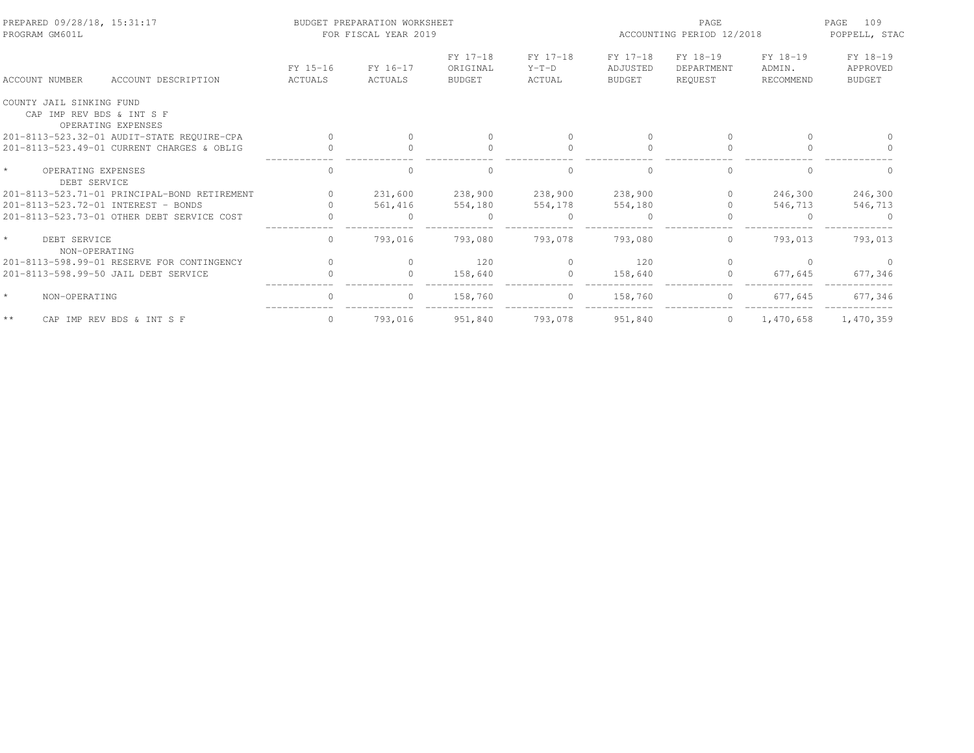| PREPARED 09/28/18, 15:31:17<br>PROGRAM GM601L         |                            | BUDGET PREPARATION WORKSHEET<br>FOR FISCAL YEAR 2019 |                                       |                               | PAGE<br>ACCOUNTING PERIOD 12/2018     |                                   |                                 | 109<br>PAGE<br>POPPELL, STAC          |
|-------------------------------------------------------|----------------------------|------------------------------------------------------|---------------------------------------|-------------------------------|---------------------------------------|-----------------------------------|---------------------------------|---------------------------------------|
| <b>ACCOUNT NUMBER</b><br>ACCOUNT DESCRIPTION          | FY 15-16<br><b>ACTUALS</b> | FY 16-17<br><b>ACTUALS</b>                           | FY 17-18<br>ORIGINAL<br><b>BUDGET</b> | FY 17-18<br>$Y-T-D$<br>ACTUAL | FY 17-18<br>ADJUSTED<br><b>BUDGET</b> | FY 18-19<br>DEPARTMENT<br>REOUEST | FY 18-19<br>ADMIN.<br>RECOMMEND | FY 18-19<br>APPROVED<br><b>BUDGET</b> |
| COUNTY JAIL SINKING FUND<br>CAP IMP REV BDS & INT S F |                            |                                                      |                                       |                               |                                       |                                   |                                 |                                       |
| OPERATING EXPENSES                                    |                            |                                                      |                                       |                               |                                       |                                   |                                 |                                       |
| 201-8113-523.32-01 AUDIT-STATE REQUIRE-CPA            |                            |                                                      | $\Omega$                              |                               | $\bigcap$                             | $\bigcap$                         | $\Omega$                        |                                       |
| 201-8113-523.49-01 CURRENT CHARGES & OBLIG            |                            |                                                      | $\Omega$                              |                               |                                       | $\mathbf{0}$                      |                                 |                                       |
| $\star$<br>OPERATING EXPENSES<br>DEBT SERVICE         |                            |                                                      |                                       |                               |                                       | $\bigcap$                         |                                 |                                       |
| 201-8113-523.71-01 PRINCIPAL-BOND RETIREMENT          |                            | 231,600                                              | 238,900                               | 238,900                       | 238,900                               | $\mathbf{0}$                      | 246,300                         | 246,300                               |
| 201-8113-523.72-01 INTEREST - BONDS                   |                            | 561,416                                              | 554,180                               | 554,178                       | 554,180                               | $\bigcap$                         | 546,713                         | 546,713                               |
| 201-8113-523.73-01 OTHER DEBT SERVICE COST            |                            | $\Omega$                                             | $\Omega$                              | $\Omega$                      | $\Omega$                              | $\Omega$                          | $\Omega$                        | - 0                                   |
| $\star$<br>DEBT SERVICE<br>NON-OPERATING              | 0                          | 793,016                                              | 793,080                               | 793,078                       | 793,080                               | $\circ$                           | 793,013                         | 793,013                               |
| 201-8113-598.99-01 RESERVE FOR CONTINGENCY            |                            |                                                      | 120                                   | $\Omega$                      | 120                                   | $\Omega$                          | $\Omega$                        |                                       |
| 201-8113-598.99-50 JAIL DEBT SERVICE                  |                            | $\Omega$                                             | 158,640                               | $\circ$                       | 158,640                               | $\circ$                           | 677,645                         | 677,346                               |
| $\star$<br>NON-OPERATING                              |                            | 0                                                    | 158,760                               | $\circ$                       | 158,760                               | $\circ$                           | 677,645                         | 677,346                               |
| $* *$<br>CAP IMP REV BDS & INT S F                    | $\Omega$                   | 793,016                                              | 951,840                               | 793,078                       | 951,840                               | $\circ$                           | 1,470,658                       | 1,470,359                             |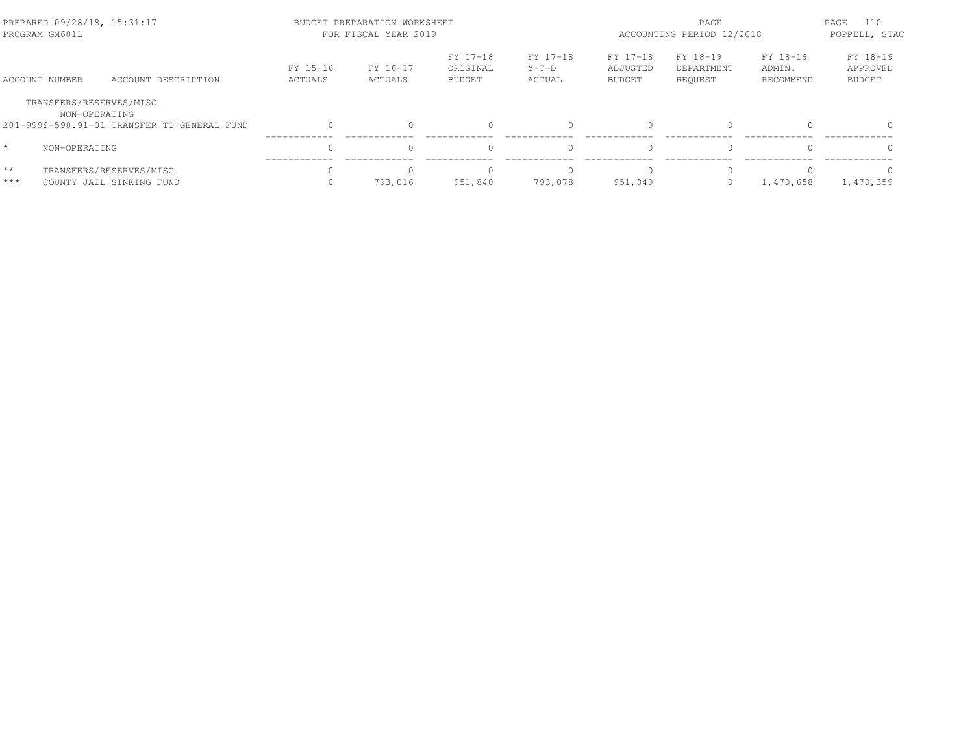| PREPARED 09/28/18, 15:31:17<br>PROGRAM GM601L |                                                              |                     | BUDGET PREPARATION WORKSHEET<br>FOR FISCAL YEAR 2019 | PAGE<br>ACCOUNTING PERIOD 12/2018     |                               |                                       | PAGE<br>110<br>POPPELL, STAC      |                                 |                                       |
|-----------------------------------------------|--------------------------------------------------------------|---------------------|------------------------------------------------------|---------------------------------------|-------------------------------|---------------------------------------|-----------------------------------|---------------------------------|---------------------------------------|
| ACCOUNT NUMBER                                | ACCOUNT DESCRIPTION                                          | FY 15-16<br>ACTUALS | FY 16-17<br>ACTUALS                                  | FY 17-18<br>ORIGINAL<br><b>BUDGET</b> | FY 17-18<br>$Y-T-D$<br>ACTUAL | FY 17-18<br>ADJUSTED<br><b>BUDGET</b> | FY 18-19<br>DEPARTMENT<br>REQUEST | FY 18-19<br>ADMIN.<br>RECOMMEND | FY 18-19<br>APPROVED<br><b>BUDGET</b> |
| TRANSFERS/RESERVES/MISC                       | NON-OPERATING<br>201-9999-598.91-01 TRANSFER TO GENERAL FUND |                     |                                                      |                                       |                               | $\Omega$                              | $\Omega$                          |                                 | $\Omega$                              |
| $\star$<br>NON-OPERATING                      |                                                              |                     |                                                      |                                       |                               | $\bigcap$                             | $\Omega$                          |                                 | $\Omega$                              |
| $**$<br>$***$                                 | TRANSFERS/RESERVES/MISC<br>COUNTY JAIL SINKING FUND          |                     | 793.016                                              | 951,840                               | 793.078                       | $\cap$<br>951,840                     | $\Omega$<br>$\mathbf{0}$          | 1,470,658                       | 1,470,359                             |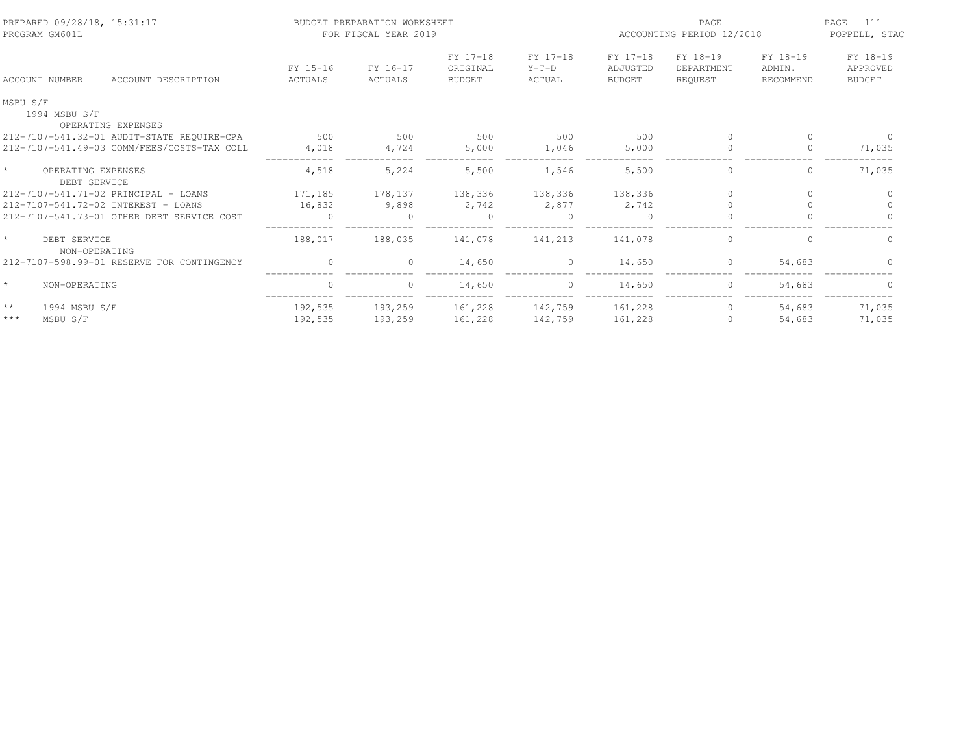| PREPARED 09/28/18, 15:31:17<br>PROGRAM GM601L |                     | BUDGET PREPARATION WORKSHEET<br>FOR FISCAL YEAR 2019 |                                       |                               | PAGE<br>ACCOUNTING PERIOD 12/2018     |                                   |                                 | 111<br>PAGE<br>POPPELL, STAC          |
|-----------------------------------------------|---------------------|------------------------------------------------------|---------------------------------------|-------------------------------|---------------------------------------|-----------------------------------|---------------------------------|---------------------------------------|
| ACCOUNT NUMBER<br>ACCOUNT DESCRIPTION         | FY 15-16<br>ACTUALS | FY 16-17<br>ACTUALS                                  | FY 17-18<br>ORIGINAL<br><b>BUDGET</b> | FY 17-18<br>$Y-T-D$<br>ACTUAL | FY 17-18<br>ADJUSTED<br><b>BUDGET</b> | FY 18-19<br>DEPARTMENT<br>REQUEST | FY 18-19<br>ADMIN.<br>RECOMMEND | FY 18-19<br>APPROVED<br><b>BUDGET</b> |
| MSBU S/F                                      |                     |                                                      |                                       |                               |                                       |                                   |                                 |                                       |
| 1994 MSBU S/F<br>OPERATING EXPENSES           |                     |                                                      |                                       |                               |                                       |                                   |                                 |                                       |
| 212-7107-541.32-01 AUDIT-STATE REQUIRE-CPA    | 500                 | 500                                                  | 500                                   | 500                           | 500                                   | $\cap$                            | $\Omega$                        |                                       |
| 212-7107-541.49-03 COMM/FEES/COSTS-TAX COLL   | 4,018               | 4,724                                                | 5,000                                 | 1,046                         | 5,000                                 | $\circ$                           | $\Omega$                        | 71,035                                |
| $\star$<br>OPERATING EXPENSES<br>DEBT SERVICE | 4,518               | 5,224                                                | 5,500                                 | 1,546                         | 5,500                                 | 0                                 | 0                               | 71,035                                |
| 212-7107-541.71-02 PRINCIPAL - LOANS          | 171,185             | 178,137                                              | 138,336                               | 138,336                       | 138,336                               | $\Omega$                          | $\Omega$                        | $\Omega$                              |
| 212-7107-541.72-02 INTEREST - LOANS           | 16,832              | 9,898                                                | 2,742                                 | 2,877                         | 2,742                                 |                                   |                                 |                                       |
| 212-7107-541.73-01 OTHER DEBT SERVICE COST    | $\Omega$            |                                                      | $\Omega$                              | $\Omega$                      | $\Omega$                              | $\Omega$                          | $\cap$                          | $\Omega$                              |
| $\star$<br>DEBT SERVICE<br>NON-OPERATING      | 188,017             | 188,035                                              | 141,078                               | 141,213                       | 141,078                               | $\circ$                           | $\Omega$                        | $\Omega$                              |
| 212-7107-598.99-01 RESERVE FOR CONTINGENCY    | $\Omega$            | $\Omega$                                             | 14,650                                | $\circ$                       | 14,650                                | $\circ$                           | 54,683                          |                                       |
| $\star$<br>NON-OPERATING                      | $\mathbf{0}$        | $\Omega$                                             | 14,650                                | $\circ$                       | 14,650                                | $\circ$                           | 54,683                          | $\Omega$                              |
| $\star\star$<br>1994 MSBU S/F                 | 192,535             | 193,259                                              | 161,228                               | 142,759                       | 161,228                               | $\circ$                           | 54,683                          | 71,035                                |
| $***$<br>MSBU S/F                             | 192,535             | 193,259                                              | 161,228                               | 142,759                       | 161,228                               | $\Omega$                          | 54,683                          | 71,035                                |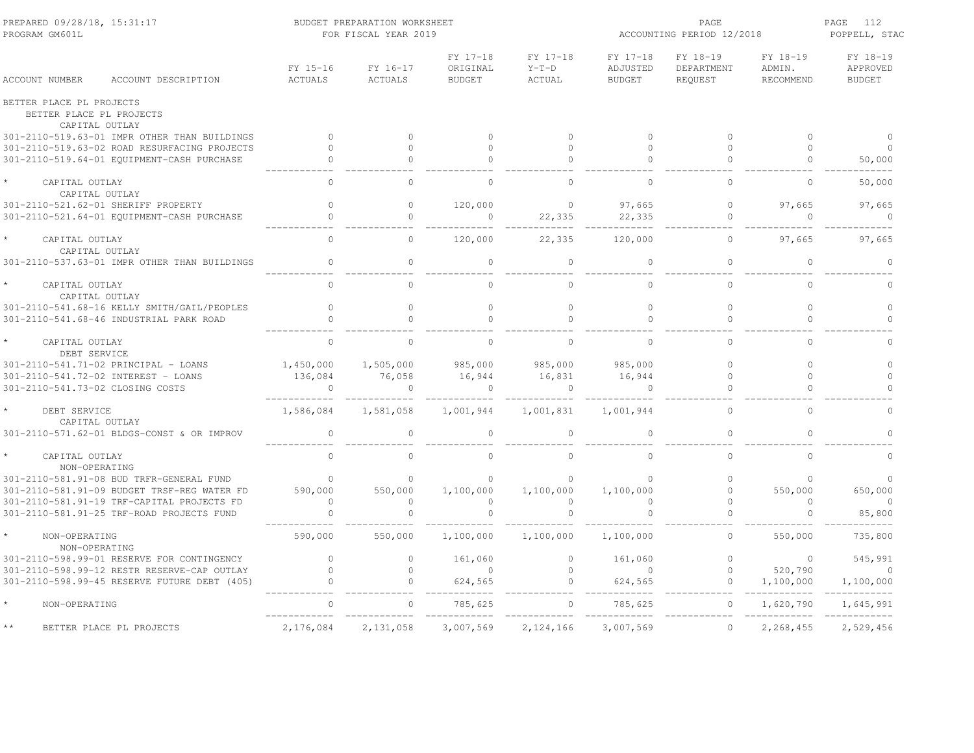| PREPARED 09/28/18, 15:31:17<br>PROGRAM GM601L                          |                     | BUDGET PREPARATION WORKSHEET<br>FOR FISCAL YEAR 2019 |                                       |                               | ACCOUNTING PERIOD 12/2018             | 112<br>PAGE<br>POPPELL, STAC      |                                 |                                       |
|------------------------------------------------------------------------|---------------------|------------------------------------------------------|---------------------------------------|-------------------------------|---------------------------------------|-----------------------------------|---------------------------------|---------------------------------------|
| ACCOUNT NUMBER<br>ACCOUNT DESCRIPTION                                  | FY 15-16<br>ACTUALS | FY 16-17<br><b>ACTUALS</b>                           | FY 17-18<br>ORIGINAL<br><b>BUDGET</b> | FY 17-18<br>$Y-T-D$<br>ACTUAL | FY 17-18<br>ADJUSTED<br><b>BUDGET</b> | FY 18-19<br>DEPARTMENT<br>REQUEST | FY 18-19<br>ADMIN.<br>RECOMMEND | FY 18-19<br>APPROVED<br><b>BUDGET</b> |
| BETTER PLACE PL PROJECTS<br>BETTER PLACE PL PROJECTS<br>CAPITAL OUTLAY |                     |                                                      |                                       |                               |                                       |                                   |                                 |                                       |
| 301-2110-519.63-01 IMPR OTHER THAN BUILDINGS                           | $\circ$             | $\circ$                                              | $\Omega$                              | $\circ$                       | $\mathbf{0}$                          | $\circ$                           | $\circ$                         |                                       |
| 301-2110-519.63-02 ROAD RESURFACING PROJECTS                           | $\Omega$            | $\Omega$                                             | $\Omega$                              | $\Omega$                      | $\Omega$                              | $\Omega$                          | $\Omega$                        | $\Omega$                              |
| 301-2110-519.64-01 EQUIPMENT-CASH PURCHASE                             |                     | $\Omega$                                             | $\Omega$                              | $\Omega$                      |                                       |                                   | $\Omega$                        | 50,000                                |
| CAPITAL OUTLAY<br>CAPITAL OUTLAY                                       | $\Omega$            | $\Omega$                                             | $\Omega$                              | $\Omega$                      | $\bigcap$                             | $\Omega$                          | $\Omega$                        | 50,000                                |
| 301-2110-521.62-01 SHERIFF PROPERTY                                    | $\Omega$            | $\Omega$                                             | 120,000                               | $\Omega$                      | 97,665                                | $\Omega$                          | 97,665                          | 97.665                                |
| 301-2110-521.64-01 EQUIPMENT-CASH PURCHASE                             | $\mathbb O$         | $\circ$                                              | $\circ$                               | 22,335                        | 22,335                                | $\mathbb O$                       | $\circ$                         | $\circ$                               |
| CAPITAL OUTLAY<br>CAPITAL OUTLAY                                       | $\Omega$            | $\Omega$                                             | 120,000                               | 22,335                        | 120,000                               | $\Omega$                          | 97,665                          | 97,665                                |
| 301-2110-537.63-01 IMPR OTHER THAN BUILDINGS                           |                     | $\circ$                                              | $\cap$                                | $\bigcap$                     |                                       | $\mathbf{0}$                      |                                 | $\cap$                                |
| CAPITAL OUTLAY<br>CAPITAL OUTLAY                                       | $\Omega$            | $\Omega$                                             | $\cap$                                | $\Omega$                      | $\cap$                                | $\Omega$                          | $\Omega$                        | $\Omega$                              |
| 301-2110-541.68-16 KELLY SMITH/GAIL/PEOPLES                            | $\mathbf{0}$        | $\circ$                                              | $\circ$                               | $\circ$                       | $\mathbf{0}$                          | $\mathbb O$                       | $\circ$                         | $\circ$                               |
| 301-2110-541.68-46 INDUSTRIAL PARK ROAD                                | $\Omega$            | $\Omega$                                             | $\Omega$                              | $\Omega$                      | $\Omega$                              | $\Omega$                          | $\Omega$                        | $\Omega$                              |
| CAPITAL OUTLAY<br>DEBT SERVICE                                         | $\Omega$            | $\Omega$                                             | $\cap$                                | $\Omega$                      |                                       |                                   | $\cap$                          |                                       |
| 301-2110-541.71-02 PRINCIPAL - LOANS                                   | 1,450,000           | 1,505,000                                            | 985,000                               | 985,000                       | 985,000                               | $\Omega$                          | $\Omega$                        | $\Omega$                              |
| 301-2110-541.72-02 INTEREST - LOANS                                    | 136,084             | 76,058                                               | 16,944                                | 16,831                        | 16,944                                | $\circ$                           | $\Omega$                        | $\circ$                               |
| 301-2110-541.73-02 CLOSING COSTS                                       | $\circ$             | $\circ$                                              | $\overline{0}$                        | $\overline{0}$                | $\overline{0}$                        | $\circ$                           | $\Omega$                        |                                       |
| DEBT SERVICE<br>CAPITAL OUTLAY                                         | 1,586,084           | 1,581,058                                            | 1,001,944                             | 1,001,831                     | 1,001,944                             | $\Omega$                          | $\Omega$                        | $\Omega$                              |
| 301-2110-571.62-01 BLDGS-CONST & OR IMPROV                             | $\mathbf{0}$        | $\Omega$                                             | $\cap$                                | $\Omega$                      | $\cap$                                | $\Omega$                          |                                 | $\cap$                                |
| CAPITAL OUTLAY<br>NON-OPERATING                                        | $\Omega$            | $\Omega$                                             | $\Omega$                              | $\Omega$                      |                                       | $\Omega$                          | $\Omega$                        |                                       |
| 301-2110-581.91-08 BUD TRFR-GENERAL FUND                               | $\Omega$            | $\Omega$                                             | $\Omega$                              | $\Omega$                      |                                       | $\Omega$                          | $\cap$                          |                                       |
| 301-2110-581.91-09 BUDGET TRSF-REG WATER FD                            | 590,000             | 550,000                                              | 1,100,000                             | 1,100,000                     | 1,100,000                             | $\circ$                           | 550,000                         | 650,000                               |
| 301-2110-581.91-19 TRF-CAPITAL PROJECTS FD                             | $\Omega$            | $\Omega$                                             | $\Omega$                              | $\Omega$                      |                                       | $\Omega$                          | $\Omega$                        | $\circ$                               |
| 301-2110-581.91-25 TRF-ROAD PROJECTS FUND                              |                     | $\circ$                                              |                                       | $\circ$                       |                                       | $\circ$                           | $\Omega$                        | 85,800                                |
| NON-OPERATING<br>NON-OPERATING                                         | 590,000             | 550,000                                              | 1,100,000                             | 1,100,000                     | 1,100,000                             | $\circ$                           | 550,000                         | 735,800                               |
| 301-2110-598.99-01 RESERVE FOR CONTINGENCY                             | $\circ$             | $\circ$                                              | 161,060                               | $\circ$                       | 161,060                               | $\mathbf{0}$                      | $\circ$                         | 545,991                               |
| 301-2110-598.99-12 RESTR RESERVE-CAP OUTLAY                            | $\Omega$            | $\Omega$                                             | $\Omega$                              | $\Omega$                      | $\bigcap$                             | $\circ$                           | 520,790                         | $\Omega$                              |
| 301-2110-598.99-45 RESERVE FUTURE DEBT (405)                           |                     | $\circ$                                              | 624,565                               | $\circ$                       | 624,565                               | $\circ$                           | 1,100,000                       | 1,100,000                             |
| NON-OPERATING                                                          |                     | $\circ$                                              | 785,625                               |                               | 785,625                               |                                   | 1,620,790                       | 1,645,991                             |
| BETTER PLACE PL PROJECTS                                               | 2,176,084           | 2,131,058                                            | 3,007,569                             | 2,124,166                     | 3,007,569                             | $\circ$                           | 2,268,455                       | 2,529,456                             |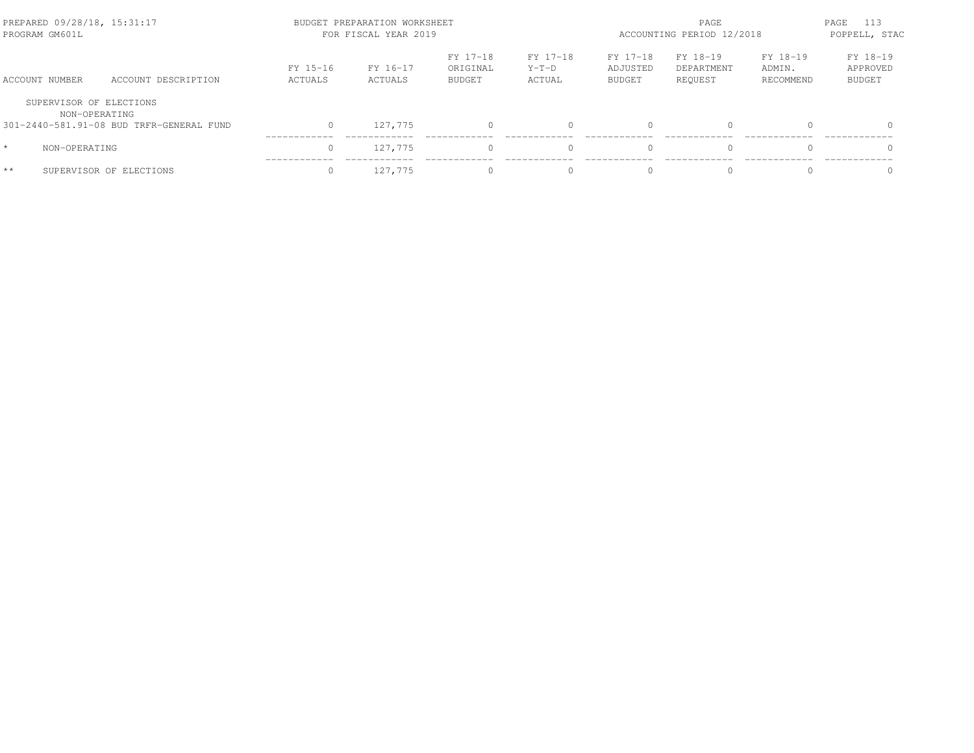| PREPARED 09/28/18, 15:31:17<br>PROGRAM GM601L |                                          |                     | BUDGET PREPARATION WORKSHEET<br>FOR FISCAL YEAR 2019 |                                       |                               |                                       |                                   | PAGE<br>ACCOUNTING PERIOD 12/2018 |                                       |  |
|-----------------------------------------------|------------------------------------------|---------------------|------------------------------------------------------|---------------------------------------|-------------------------------|---------------------------------------|-----------------------------------|-----------------------------------|---------------------------------------|--|
| ACCOUNT NUMBER                                | ACCOUNT DESCRIPTION                      | FY 15-16<br>ACTUALS | FY 16-17<br>ACTUALS                                  | FY 17-18<br>ORIGINAL<br><b>BUDGET</b> | FY 17-18<br>$Y-T-D$<br>ACTUAL | FY 17-18<br>ADJUSTED<br><b>BUDGET</b> | FY 18-19<br>DEPARTMENT<br>REOUEST | FY 18-19<br>ADMIN.<br>RECOMMEND   | FY 18-19<br>APPROVED<br><b>BUDGET</b> |  |
| SUPERVISOR OF ELECTIONS<br>NON-OPERATING      |                                          |                     |                                                      |                                       |                               |                                       |                                   |                                   |                                       |  |
|                                               | 301-2440-581.91-08 BUD TRFR-GENERAL FUND |                     | 127,775                                              |                                       |                               | $\bigcap$                             | $\Omega$                          |                                   | $\Omega$                              |  |
| $\star$<br>NON-OPERATING                      |                                          |                     | 127.775                                              |                                       |                               | $\bigcap$                             | $\Omega$                          |                                   | $\Omega$                              |  |
| $**$                                          | SUPERVISOR OF ELECTIONS                  |                     | 127,775                                              |                                       |                               | $\bigcap$                             | $\Omega$                          |                                   |                                       |  |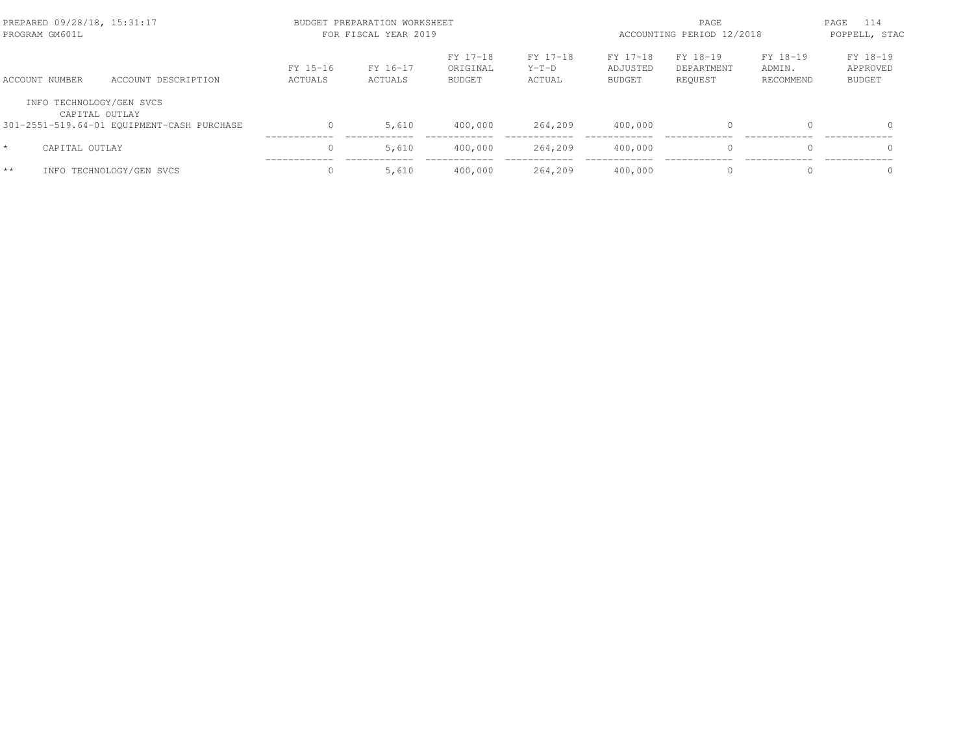| PREPARED 09/28/18, 15:31:17<br>PROGRAM GM601L |                                            |                     | BUDGET PREPARATION WORKSHEET<br>FOR FISCAL YEAR 2019 |                                       | PAGE<br>ACCOUNTING PERIOD 12/2018 |                                       |                                   | PAGE<br>114<br>POPPELL, STAC    |                                       |
|-----------------------------------------------|--------------------------------------------|---------------------|------------------------------------------------------|---------------------------------------|-----------------------------------|---------------------------------------|-----------------------------------|---------------------------------|---------------------------------------|
| ACCOUNT NUMBER                                | ACCOUNT DESCRIPTION                        | FY 15-16<br>ACTUALS | FY 16-17<br>ACTUALS                                  | FY 17-18<br>ORIGINAL<br><b>BUDGET</b> | FY 17-18<br>$Y-T-D$<br>ACTUAL     | FY 17-18<br>ADJUSTED<br><b>BUDGET</b> | FY 18-19<br>DEPARTMENT<br>REOUEST | FY 18-19<br>ADMIN.<br>RECOMMEND | FY 18-19<br>APPROVED<br><b>BUDGET</b> |
| INFO TECHNOLOGY/GEN SVCS                      | CAPITAL OUTLAY                             |                     |                                                      |                                       |                                   |                                       |                                   |                                 |                                       |
|                                               | 301-2551-519.64-01 EQUIPMENT-CASH PURCHASE |                     | 5,610                                                | 400,000                               | 264,209                           | 400,000                               | $\mathbf{0}$                      |                                 | $\Omega$                              |
| CAPITAL OUTLAY<br>$\star$                     |                                            |                     | 5,610                                                | 400,000                               | 264,209                           | 400,000                               | $\Omega$                          |                                 | $\Omega$                              |
| $**$                                          | INFO TECHNOLOGY/GEN SVCS                   |                     | 5,610                                                | 400,000                               | 264,209                           | 400,000                               | $\Omega$                          | $\Omega$                        | $\Omega$                              |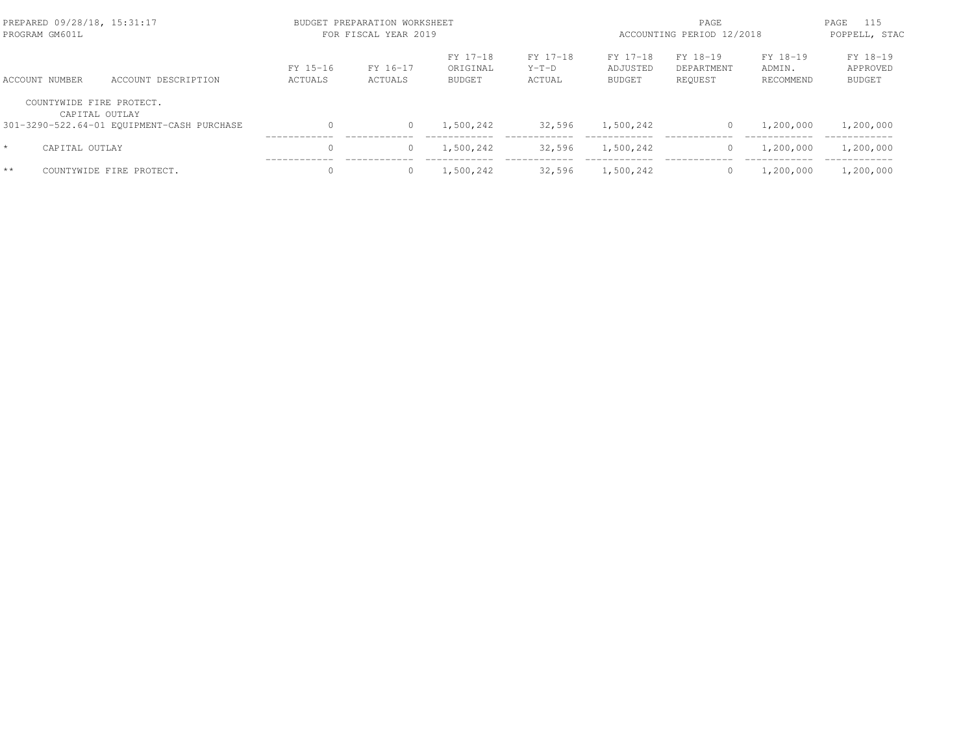| PREPARED 09/28/18, 15:31:17<br>PROGRAM GM601L |                                            |                     | BUDGET PREPARATION WORKSHEET<br>FOR FISCAL YEAR 2019 |                                       | ACCOUNTING PERIOD 12/2018     | 115<br>PAGE<br>POPPELL, STAC   |                                   |                                 |                                       |
|-----------------------------------------------|--------------------------------------------|---------------------|------------------------------------------------------|---------------------------------------|-------------------------------|--------------------------------|-----------------------------------|---------------------------------|---------------------------------------|
| ACCOUNT NUMBER                                | ACCOUNT DESCRIPTION                        | FY 15-16<br>ACTUALS | FY 16-17<br>ACTUALS                                  | FY 17-18<br>ORIGINAL<br><b>BUDGET</b> | FY 17-18<br>$Y-T-D$<br>ACTUAL | FY 17-18<br>ADJUSTED<br>BUDGET | FY 18-19<br>DEPARTMENT<br>REOUEST | FY 18-19<br>ADMIN.<br>RECOMMEND | FY 18-19<br>APPROVED<br><b>BUDGET</b> |
| COUNTYWIDE FIRE PROTECT.                      | CAPITAL OUTLAY                             |                     |                                                      |                                       |                               |                                |                                   |                                 |                                       |
|                                               | 301-3290-522.64-01 EQUIPMENT-CASH PURCHASE | $\Omega$            | $\Omega$                                             | 1,500,242                             | 32,596                        | 1,500,242                      | 0                                 | 1,200,000                       | 1,200,000                             |
| $\star$<br>CAPITAL OUTLAY                     |                                            | $\Omega$            |                                                      | 1,500,242                             | 32,596                        | 1,500,242                      | $\circ$                           | 1,200,000                       | 1,200,000                             |
| $**$                                          | COUNTYWIDE FIRE PROTECT.                   |                     |                                                      | 1,500,242                             | 32,596                        | 1,500,242                      | $\mathbf{0}$                      | 1,200,000                       | 1,200,000                             |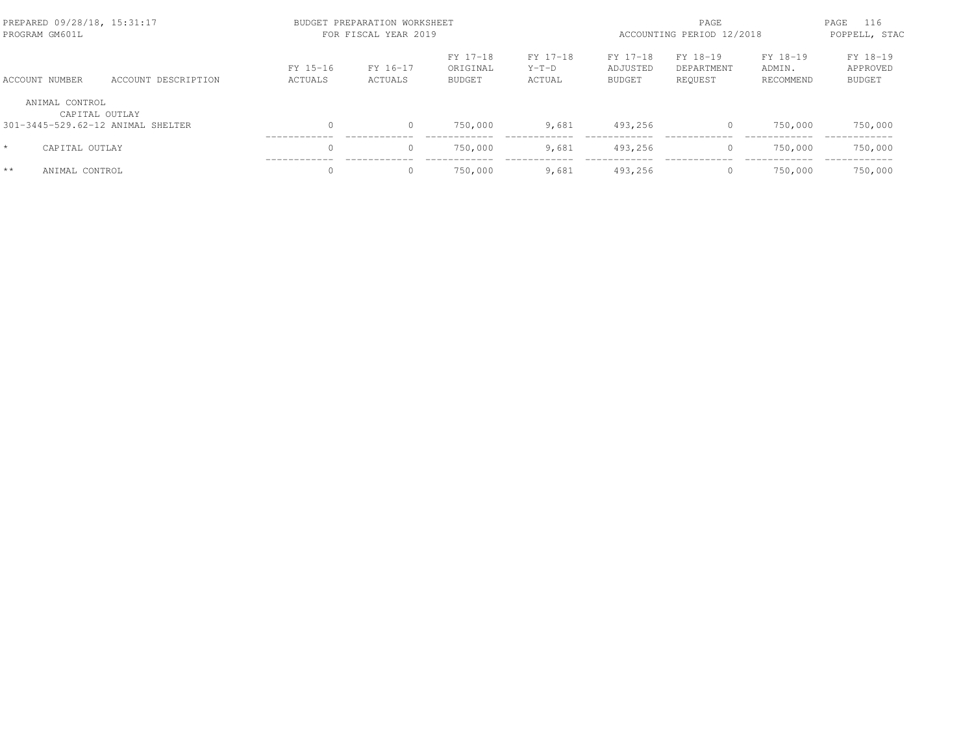| PREPARED 09/28/18, 15:31:17<br>PROGRAM GM601L |                     | BUDGET PREPARATION WORKSHEET<br>FOR FISCAL YEAR 2019 | ACCOUNTING PERIOD 12/2018 | 116<br>PAGE<br>POPPELL, STAC          |                               |                                       |                                   |                                 |                                       |
|-----------------------------------------------|---------------------|------------------------------------------------------|---------------------------|---------------------------------------|-------------------------------|---------------------------------------|-----------------------------------|---------------------------------|---------------------------------------|
| ACCOUNT NUMBER                                | ACCOUNT DESCRIPTION | FY 15-16<br>ACTUALS                                  | FY 16-17<br>ACTUALS       | FY 17-18<br>ORIGINAL<br><b>BUDGET</b> | FY 17-18<br>$Y-T-D$<br>ACTUAL | FY 17-18<br>ADJUSTED<br><b>BUDGET</b> | FY 18-19<br>DEPARTMENT<br>REOUEST | FY 18-19<br>ADMIN.<br>RECOMMEND | FY 18-19<br>APPROVED<br><b>BUDGET</b> |
| ANIMAL CONTROL                                | CAPITAL OUTLAY      |                                                      |                           |                                       |                               |                                       |                                   |                                 |                                       |
| 301-3445-529.62-12 ANIMAL SHELTER             |                     | 0                                                    | 0                         | 750,000                               | 9,681                         | 493,256                               | 0                                 | 750,000                         | 750,000                               |
| $\star$<br>CAPITAL OUTLAY                     |                     | $\Omega$                                             | $\circ$                   | 750,000                               | 9,681                         | 493.256                               | $\circ$                           | 750,000                         | 750,000                               |
| $**$<br>ANIMAL CONTROL                        |                     | $\Omega$                                             | 0                         | 750,000                               | 9,681                         | 493,256                               | $\mathbf{0}$                      | 750,000                         | 750,000                               |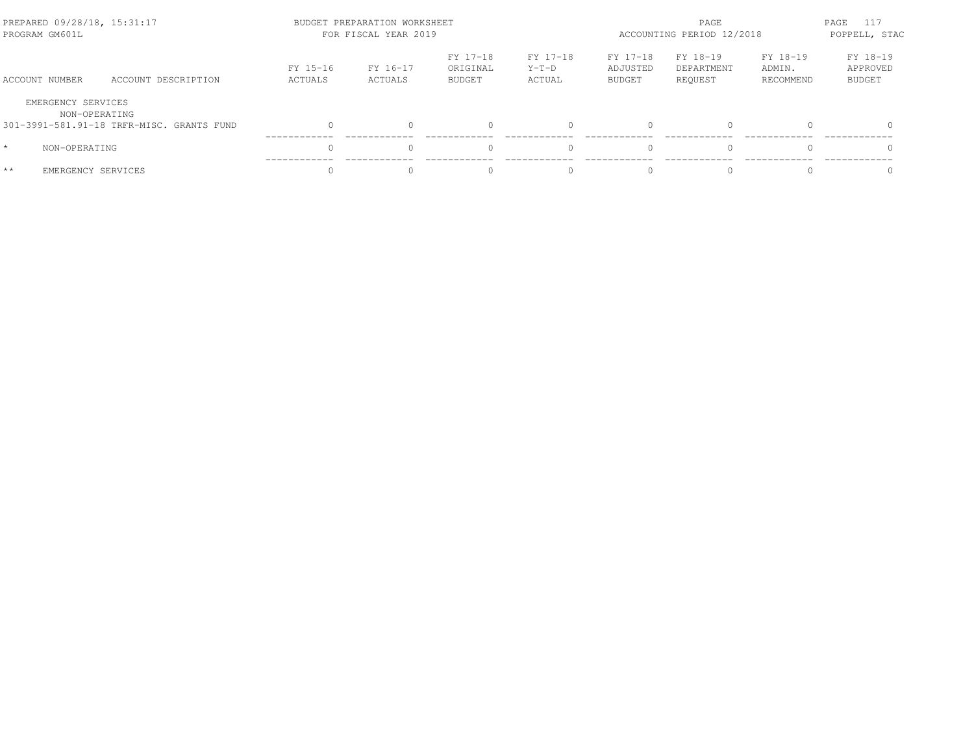| PREPARED 09/28/18, 15:31:17<br>PROGRAM GM601L |                                           | BUDGET PREPARATION WORKSHEET<br>FOR FISCAL YEAR 2019 | ACCOUNTING PERIOD 12/2018 | 117<br>PAGE<br>POPPELL, STAC          |                               |                                       |                                   |                                 |                                       |
|-----------------------------------------------|-------------------------------------------|------------------------------------------------------|---------------------------|---------------------------------------|-------------------------------|---------------------------------------|-----------------------------------|---------------------------------|---------------------------------------|
| ACCOUNT NUMBER                                | ACCOUNT DESCRIPTION                       | FY 15-16<br>ACTUALS                                  | FY 16-17<br>ACTUALS       | FY 17-18<br>ORIGINAL<br><b>BUDGET</b> | FY 17-18<br>$Y-T-D$<br>ACTUAL | FY 17-18<br>ADJUSTED<br><b>BUDGET</b> | FY 18-19<br>DEPARTMENT<br>REOUEST | FY 18-19<br>ADMIN.<br>RECOMMEND | FY 18-19<br>APPROVED<br><b>BUDGET</b> |
| EMERGENCY SERVICES                            | NON-OPERATING                             |                                                      |                           |                                       |                               |                                       |                                   |                                 |                                       |
|                                               | 301-3991-581.91-18 TRFR-MISC. GRANTS FUND | $\Omega$                                             |                           |                                       |                               |                                       | $\Omega$                          |                                 | $\bigcap$                             |
| $\star$<br>NON-OPERATING                      |                                           | $\Omega$                                             |                           |                                       |                               |                                       | $\Omega$                          |                                 | $\Omega$                              |
| $**$                                          | EMERGENCY SERVICES                        | U                                                    |                           |                                       | $\Omega$                      |                                       | $\Omega$                          |                                 |                                       |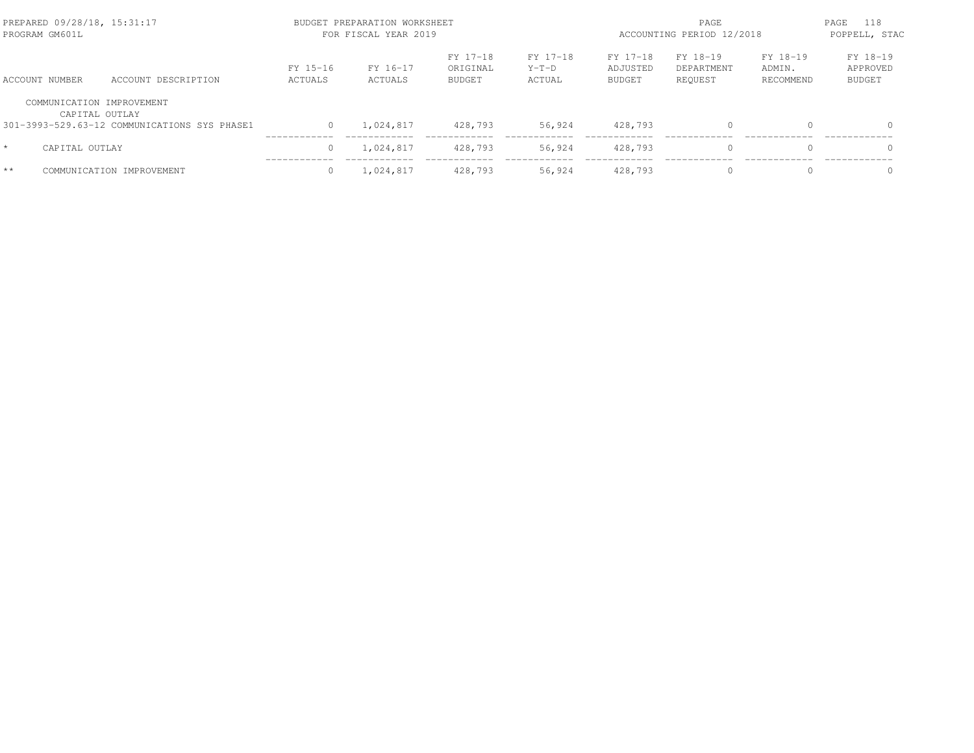| PREPARED 09/28/18, 15:31:17<br>PROGRAM GM601L |                                              |                     | BUDGET PREPARATION WORKSHEET<br>FOR FISCAL YEAR 2019 |                                       | ACCOUNTING PERIOD 12/2018     | 118<br>PAGE<br>POPPELL, STAC   |                                   |                                 |                                       |
|-----------------------------------------------|----------------------------------------------|---------------------|------------------------------------------------------|---------------------------------------|-------------------------------|--------------------------------|-----------------------------------|---------------------------------|---------------------------------------|
| ACCOUNT NUMBER                                | ACCOUNT DESCRIPTION                          | FY 15-16<br>ACTUALS | FY 16-17<br>ACTUALS                                  | FY 17-18<br>ORIGINAL<br><b>BUDGET</b> | FY 17-18<br>$Y-T-D$<br>ACTUAL | FY 17-18<br>ADJUSTED<br>BUDGET | FY 18-19<br>DEPARTMENT<br>REQUEST | FY 18-19<br>ADMIN.<br>RECOMMEND | FY 18-19<br>APPROVED<br><b>BUDGET</b> |
| COMMUNICATION IMPROVEMENT<br>CAPITAL OUTLAY   |                                              |                     |                                                      |                                       |                               |                                |                                   |                                 |                                       |
|                                               | 301-3993-529.63-12 COMMUNICATIONS SYS PHASE1 | $\circ$             | 1,024,817                                            | 428,793                               | 56,924                        | 428,793                        | $\Omega$                          | $\Omega$                        | $\Omega$                              |
| CAPITAL OUTLAY                                |                                              | 0                   | 1.024.817                                            | 428,793                               | 56,924                        | 428,793                        | $\Omega$                          | $\Omega$                        | $\Omega$                              |
| $**$                                          | COMMUNICATION IMPROVEMENT                    | $\Omega$            | 1,024,817                                            | 428,793                               | 56,924                        | 428,793                        | $\Omega$                          |                                 | $\Omega$                              |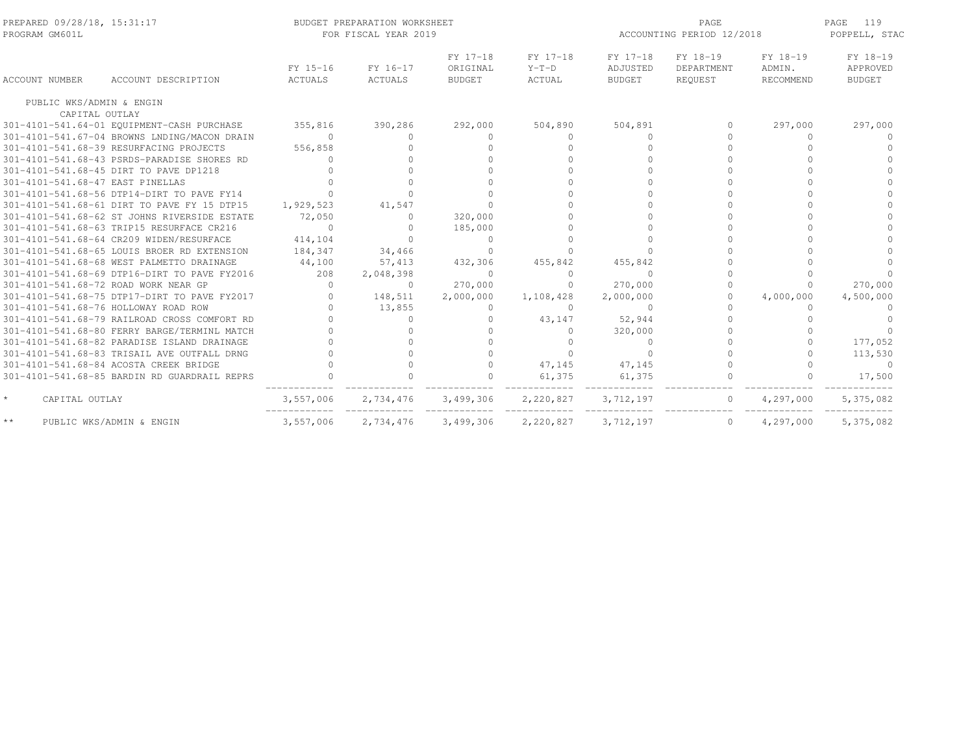| PREPARED 09/28/18, 15:31:17<br>PROGRAM GM601L |                                              |                     | BUDGET PREPARATION WORKSHEET<br>FOR FISCAL YEAR 2019 |                                       |                               | ACCOUNTING PERIOD 12/2018             |                                   | 119<br>PAGE<br>POPPELL, STAC    |                                       |
|-----------------------------------------------|----------------------------------------------|---------------------|------------------------------------------------------|---------------------------------------|-------------------------------|---------------------------------------|-----------------------------------|---------------------------------|---------------------------------------|
| ACCOUNT NUMBER                                | ACCOUNT DESCRIPTION                          | FY 15-16<br>ACTUALS | FY 16-17<br>ACTUALS                                  | FY 17-18<br>ORIGINAL<br><b>BUDGET</b> | FY 17-18<br>$Y-T-D$<br>ACTUAL | FY 17-18<br>ADJUSTED<br><b>BUDGET</b> | FY 18-19<br>DEPARTMENT<br>REQUEST | FY 18-19<br>ADMIN.<br>RECOMMEND | FY 18-19<br>APPROVED<br><b>BUDGET</b> |
| PUBLIC WKS/ADMIN & ENGIN                      |                                              |                     |                                                      |                                       |                               |                                       |                                   |                                 |                                       |
| CAPITAL OUTLAY                                |                                              |                     |                                                      |                                       |                               |                                       |                                   |                                 |                                       |
|                                               | 301-4101-541.64-01 EQUIPMENT-CASH PURCHASE   | 355,816             | 390,286                                              | 292,000                               | 504,890                       | 504,891                               | 0                                 | 297,000                         | 297,000                               |
|                                               | 301-4101-541.67-04 BROWNS LNDING/MACON DRAIN | $\Omega$            | $\Omega$                                             | $\Omega$                              | $\Omega$                      | $\Omega$                              |                                   | $\Omega$                        | $\Omega$                              |
|                                               | 301-4101-541.68-39 RESURFACING PROJECTS      | 556,858             |                                                      |                                       | $\bigcap$                     |                                       |                                   |                                 |                                       |
|                                               | 301-4101-541.68-43 PSRDS-PARADISE SHORES RD  | $\Omega$            |                                                      |                                       |                               |                                       |                                   |                                 |                                       |
|                                               | 301-4101-541.68-45 DIRT TO PAVE DP1218       |                     |                                                      |                                       |                               |                                       |                                   |                                 |                                       |
| 301-4101-541.68-47 EAST PINELLAS              |                                              |                     |                                                      |                                       |                               |                                       |                                   |                                 |                                       |
|                                               | 301-4101-541.68-56 DTP14-DIRT TO PAVE FY14   |                     |                                                      |                                       |                               |                                       |                                   |                                 |                                       |
|                                               | 301-4101-541.68-61 DIRT TO PAVE FY 15 DTP15  | 1,929,523           | 41,547                                               |                                       |                               |                                       |                                   |                                 |                                       |
|                                               | 301-4101-541.68-62 ST JOHNS RIVERSIDE ESTATE | 72,050              | $\Omega$                                             | 320,000                               |                               |                                       |                                   |                                 |                                       |
|                                               | 301-4101-541.68-63 TRIP15 RESURFACE CR216    | $\Omega$            |                                                      | 185,000                               |                               |                                       |                                   |                                 |                                       |
|                                               | 301-4101-541.68-64 CR209 WIDEN/RESURFACE     | 414,104             |                                                      | $\Omega$                              |                               |                                       |                                   |                                 |                                       |
|                                               | 301-4101-541.68-65 LOUIS BROER RD EXTENSION  | 184,347             | 34,466                                               | $\Omega$                              | $\bigcap$                     |                                       |                                   |                                 |                                       |
|                                               | 301-4101-541.68-68 WEST PALMETTO DRAINAGE    | 44,100              | 57,413                                               | 432,306                               | 455,842                       | 455,842                               |                                   |                                 |                                       |
|                                               | 301-4101-541.68-69 DTP16-DIRT TO PAVE FY2016 | 208                 | 2,048,398                                            | $\Omega$                              | $\circ$                       | $\Omega$                              |                                   |                                 |                                       |
| 301-4101-541.68-72 ROAD WORK NEAR GP          |                                              | $\Omega$            | $\Omega$                                             | 270,000                               | $\Omega$                      | 270,000                               |                                   |                                 | 270,000                               |
|                                               | 301-4101-541.68-75 DTP17-DIRT TO PAVE FY2017 | $\Omega$            | 148,511                                              | 2,000,000                             | 1,108,428                     | 2,000,000                             |                                   | 4,000,000                       | 4,500,000                             |
| 301-4101-541.68-76 HOLLOWAY ROAD ROW          |                                              |                     | 13,855                                               | $\circ$                               | $\Omega$                      | $\Omega$                              |                                   | $\Omega$                        |                                       |
|                                               | 301-4101-541.68-79 RAILROAD CROSS COMFORT RD |                     | $\Omega$                                             | $\circ$                               | 43,147                        | 52,944                                |                                   |                                 |                                       |
|                                               | 301-4101-541.68-80 FERRY BARGE/TERMINL MATCH |                     |                                                      |                                       | $\Omega$                      | 320,000                               |                                   |                                 |                                       |
|                                               | 301-4101-541.68-82 PARADISE ISLAND DRAINAGE  |                     |                                                      |                                       | $\mathbf{0}$                  | $\mathbf{0}$                          |                                   |                                 | 177,052                               |
|                                               | 301-4101-541.68-83 TRISAIL AVE OUTFALL DRNG  |                     |                                                      |                                       | $\Omega$                      | $\Omega$                              |                                   |                                 | 113,530                               |
|                                               | 301-4101-541.68-84 ACOSTA CREEK BRIDGE       |                     |                                                      | $\Omega$                              | 47,145                        | 47,145                                |                                   |                                 | $\Omega$                              |
|                                               | 301-4101-541.68-85 BARDIN RD GUARDRAIL REPRS |                     |                                                      |                                       | 61,375                        | 61,375                                |                                   |                                 | 17,500                                |
| $\star$<br>CAPITAL OUTLAY                     |                                              | 3,557,006           | 2,734,476                                            | 3,499,306                             | 2,220,827                     | 3,712,197                             | $\circ$                           | 4,297,000                       | 5,375,082                             |
| $\star\star$                                  | PUBLIC WKS/ADMIN & ENGIN                     | 3,557,006           | 2,734,476                                            | 3,499,306                             | 2,220,827                     | 3,712,197                             | $\circ$                           | 4,297,000                       | 5,375,082                             |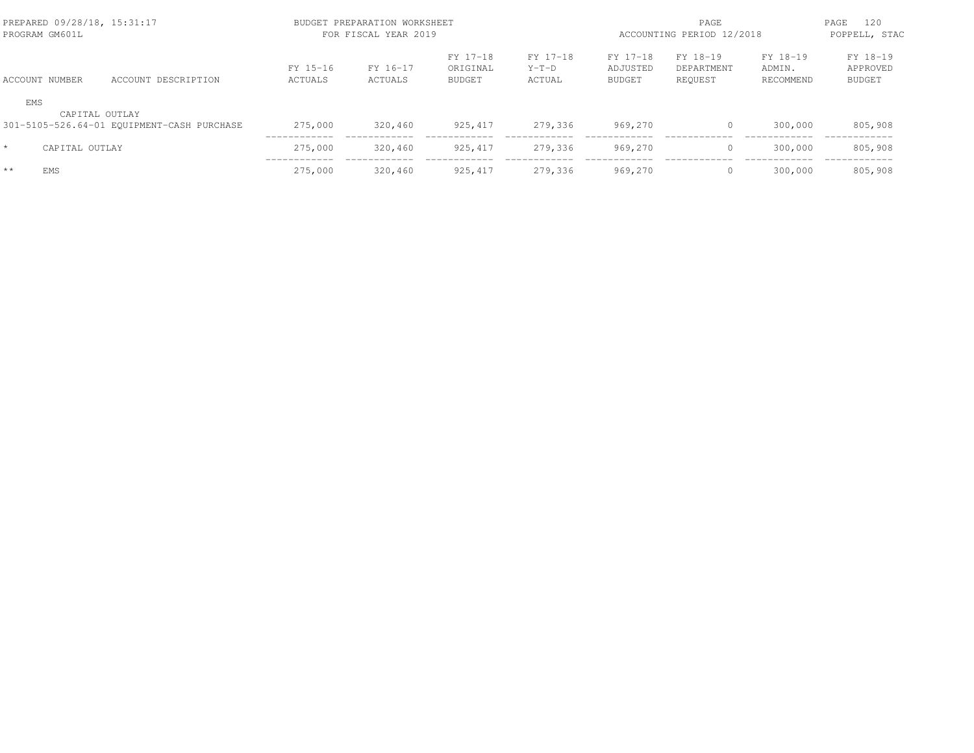|         | PREPARED 09/28/18, 15:31:17<br>PROGRAM GM601L |                                            |                     | BUDGET PREPARATION WORKSHEET<br>FOR FISCAL YEAR 2019 |                                |                               |                                       |                                   | PAGE<br>ACCOUNTING PERIOD 12/2018 |                                |  |
|---------|-----------------------------------------------|--------------------------------------------|---------------------|------------------------------------------------------|--------------------------------|-------------------------------|---------------------------------------|-----------------------------------|-----------------------------------|--------------------------------|--|
|         | ACCOUNT NUMBER                                | ACCOUNT DESCRIPTION                        | FY 15-16<br>ACTUALS | FY 16-17<br>ACTUALS                                  | FY 17-18<br>ORIGINAL<br>BUDGET | FY 17-18<br>$Y-T-D$<br>ACTUAL | FY 17-18<br>ADJUSTED<br><b>BUDGET</b> | FY 18-19<br>DEPARTMENT<br>REOUEST | FY 18-19<br>ADMIN.<br>RECOMMEND   | FY 18-19<br>APPROVED<br>BUDGET |  |
| EMS     | CAPITAL OUTLAY                                | 301-5105-526.64-01 EQUIPMENT-CASH PURCHASE | 275,000             | 320,460                                              | 925, 417                       | 279,336                       | 969,270                               | $\circ$                           | 300,000                           | 805,908                        |  |
| $\star$ | CAPITAL OUTLAY                                |                                            | 275,000             | 320,460                                              | 925, 417                       | 279,336                       | 969,270                               | $\mathbf{0}$                      | 300,000                           | 805,908                        |  |
| $**$    | <b>EMS</b>                                    |                                            | 275,000             | 320,460                                              | 925, 417                       | 279,336                       | 969,270                               | $\circ$                           | 300,000                           | 805,908                        |  |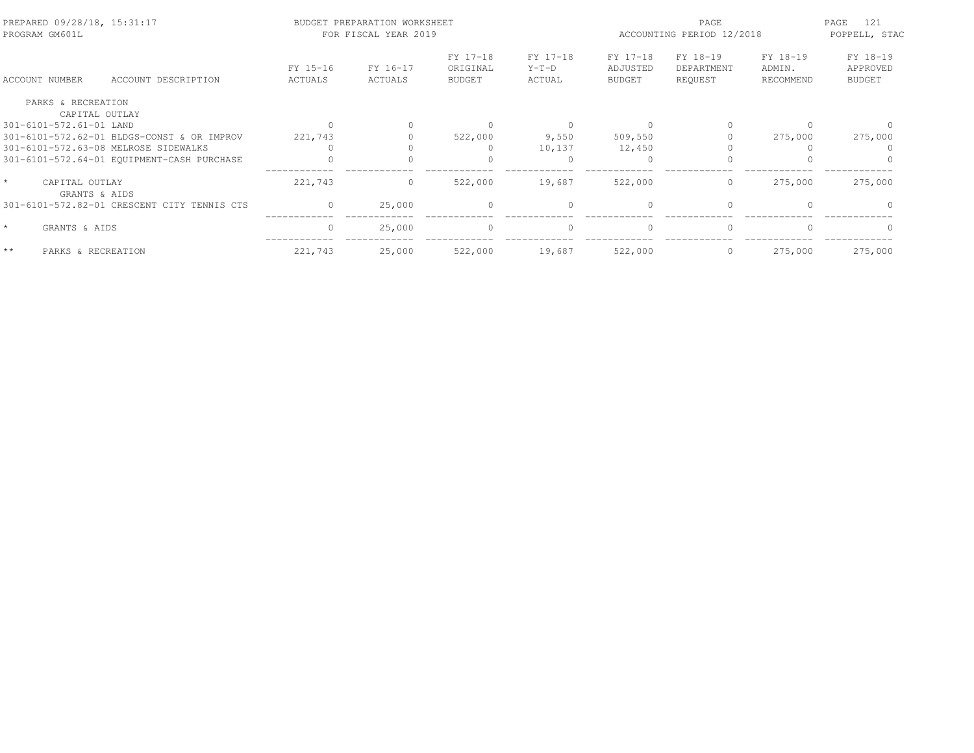| PREPARED 09/28/18, 15:31:17<br>PROGRAM GM601L |                                             |                     | BUDGET PREPARATION WORKSHEET<br>FOR FISCAL YEAR 2019 |                                       |                               | PAGE<br>ACCOUNTING PERIOD 12/2018     |                                   |                                 | PAGE<br>121<br>POPPELL, STAC          |  |
|-----------------------------------------------|---------------------------------------------|---------------------|------------------------------------------------------|---------------------------------------|-------------------------------|---------------------------------------|-----------------------------------|---------------------------------|---------------------------------------|--|
| ACCOUNT NUMBER                                | ACCOUNT DESCRIPTION                         | FY 15-16<br>ACTUALS | FY 16-17<br>ACTUALS                                  | FY 17-18<br>ORIGINAL<br><b>BUDGET</b> | FY 17-18<br>$Y-T-D$<br>ACTUAL | FY 17-18<br>ADJUSTED<br><b>BUDGET</b> | FY 18-19<br>DEPARTMENT<br>REQUEST | FY 18-19<br>ADMIN.<br>RECOMMEND | FY 18-19<br>APPROVED<br><b>BUDGET</b> |  |
| PARKS & RECREATION                            |                                             |                     |                                                      |                                       |                               |                                       |                                   |                                 |                                       |  |
| CAPITAL OUTLAY                                |                                             |                     |                                                      |                                       |                               |                                       |                                   |                                 |                                       |  |
| 301-6101-572.61-01 LAND                       |                                             |                     |                                                      | $\Omega$                              |                               |                                       |                                   |                                 |                                       |  |
|                                               | 301-6101-572.62-01 BLDGS-CONST & OR IMPROV  | 221,743             |                                                      | 522,000                               | 9,550                         | 509,550                               |                                   | 275,000                         | 275,000                               |  |
|                                               | 301-6101-572.63-08 MELROSE SIDEWALKS        |                     |                                                      |                                       | 10,137                        | 12,450                                |                                   |                                 |                                       |  |
|                                               | 301-6101-572.64-01 EQUIPMENT-CASH PURCHASE  |                     |                                                      |                                       |                               | $\bigcap$                             |                                   |                                 |                                       |  |
| CAPITAL OUTLAY<br>GRANTS & AIDS               |                                             | 221,743             | $\circ$                                              | 522,000                               | 19,687                        | 522,000                               | $\circ$                           | 275,000                         | 275,000                               |  |
|                                               | 301-6101-572.82-01 CRESCENT CITY TENNIS CTS | $\Omega$            | 25,000                                               | $\Omega$                              | $\Omega$                      | $\bigcap$                             |                                   |                                 |                                       |  |
| $\star$<br>GRANTS & AIDS                      |                                             | $\Omega$            | 25,000                                               | $\Omega$                              | $\Omega$                      | $\Omega$                              | $\Omega$                          |                                 |                                       |  |
| $**$<br>PARKS & RECREATION                    |                                             | 221,743             | 25,000                                               | 522,000                               | 19,687                        | 522,000                               | $\circ$                           | 275,000                         | 275,000                               |  |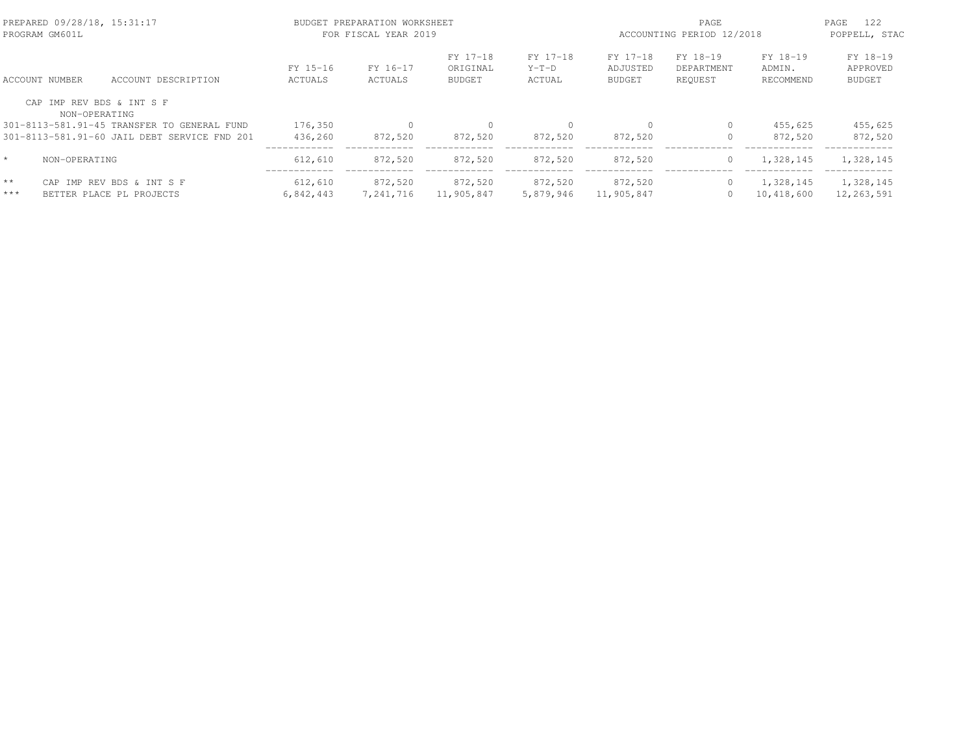|                       | PREPARED 09/28/18, 15:31:17<br>PROGRAM GM601L |                                                       |                            | BUDGET PREPARATION WORKSHEET<br>FOR FISCAL YEAR 2019 |                                       |                               | PAGE<br>ACCOUNTING PERIOD 12/2018     |                                   |                                 | 122<br>PAGE<br>POPPELL, STAC          |
|-----------------------|-----------------------------------------------|-------------------------------------------------------|----------------------------|------------------------------------------------------|---------------------------------------|-------------------------------|---------------------------------------|-----------------------------------|---------------------------------|---------------------------------------|
|                       | ACCOUNT NUMBER                                | ACCOUNT DESCRIPTION                                   | FY 15-16<br><b>ACTUALS</b> | FY 16-17<br>ACTUALS                                  | FY 17-18<br>ORIGINAL<br><b>BUDGET</b> | FY 17-18<br>$Y-T-D$<br>ACTUAL | FY 17-18<br>ADJUSTED<br><b>BUDGET</b> | FY 18-19<br>DEPARTMENT<br>REOUEST | FY 18-19<br>ADMIN.<br>RECOMMEND | FY 18-19<br>APPROVED<br><b>BUDGET</b> |
|                       | CAP IMP REV BDS & INT S F<br>NON-OPERATING    |                                                       |                            |                                                      |                                       |                               |                                       |                                   |                                 |                                       |
|                       |                                               | 301-8113-581.91-45 TRANSFER TO GENERAL FUND           | 176,350                    |                                                      | 0                                     |                               |                                       | $\circ$                           | 455,625                         | 455,625                               |
|                       |                                               | 301-8113-581.91-60 JAIL DEBT SERVICE FND 201          | 436,260                    | 872,520                                              | 872,520                               | 872,520                       | 872,520                               | 0                                 | 872,520                         | 872,520                               |
| $\star$               | NON-OPERATING                                 |                                                       | 612,610                    | 872,520                                              | 872,520                               | 872,520                       | 872,520                               | $\circ$                           | 1,328,145                       | 1,328,145                             |
| $\star\star$<br>$***$ |                                               | CAP IMP REV BDS & INT S F<br>BETTER PLACE PL PROJECTS | 612,610<br>6,842,443       | 872,520<br>7,241,716                                 | 872,520<br>11,905,847                 | 872,520<br>5,879,946          | 872,520<br>11,905,847                 | $\circ$<br>$\circ$                | 1,328,145<br>10,418,600         | 1,328,145<br>12,263,591               |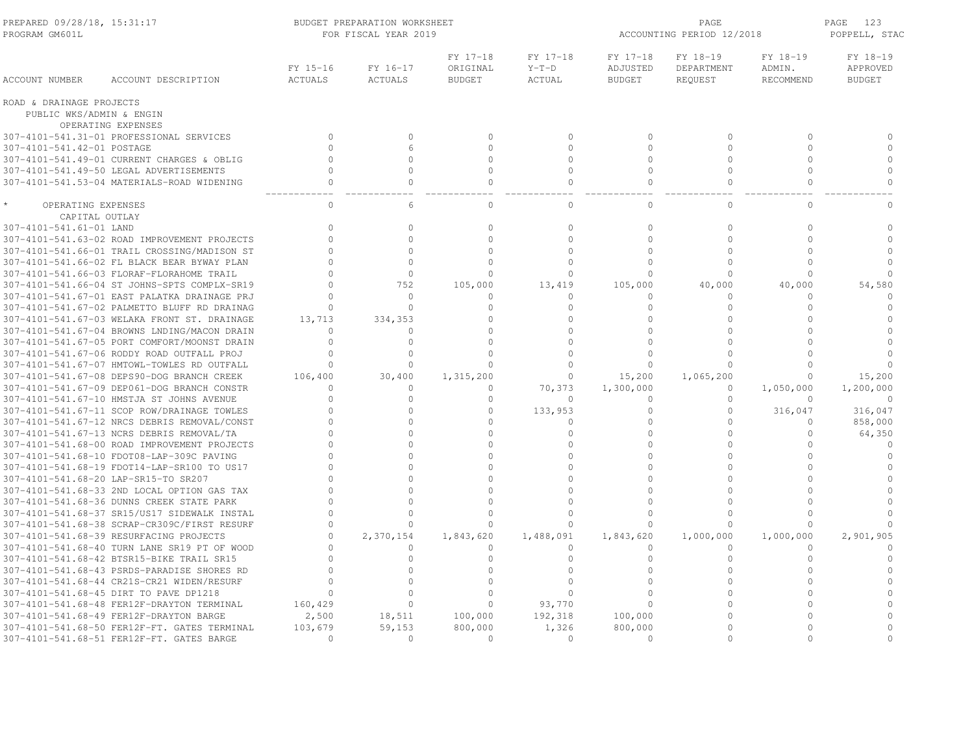| PREPARED 09/28/18, 15:31:17<br>PROGRAM GM601L |                                              | BUDGET PREPARATION WORKSHEET<br>FOR FISCAL YEAR 2019 |                            |                                       |                               |                                       | PAGE<br>ACCOUNTING PERIOD 12/2018 |                                 |                                       |
|-----------------------------------------------|----------------------------------------------|------------------------------------------------------|----------------------------|---------------------------------------|-------------------------------|---------------------------------------|-----------------------------------|---------------------------------|---------------------------------------|
| ACCOUNT NUMBER                                | ACCOUNT DESCRIPTION                          | FY 15-16<br><b>ACTUALS</b>                           | FY 16-17<br><b>ACTUALS</b> | FY 17-18<br>ORIGINAL<br><b>BUDGET</b> | FY 17-18<br>$Y-T-D$<br>ACTUAL | FY 17-18<br>ADJUSTED<br><b>BUDGET</b> | FY 18-19<br>DEPARTMENT<br>REQUEST | FY 18-19<br>ADMIN.<br>RECOMMEND | FY 18-19<br>APPROVED<br><b>BUDGET</b> |
| ROAD & DRAINAGE PROJECTS                      |                                              |                                                      |                            |                                       |                               |                                       |                                   |                                 |                                       |
| PUBLIC WKS/ADMIN & ENGIN                      |                                              |                                                      |                            |                                       |                               |                                       |                                   |                                 |                                       |
|                                               | OPERATING EXPENSES                           |                                                      |                            |                                       |                               |                                       |                                   |                                 |                                       |
|                                               | 307-4101-541.31-01 PROFESSIONAL SERVICES     | $\Omega$                                             | $\Omega$                   | $\Omega$                              | $\Omega$                      | $\Omega$                              | $\Omega$                          | $\Omega$                        | $\Omega$                              |
| 307-4101-541.42-01 POSTAGE                    |                                              | $\Omega$                                             | 6                          | $\Omega$                              | $\Omega$                      | $\bigcap$                             | $\Omega$                          | $\Omega$                        | $\circ$                               |
|                                               | 307-4101-541.49-01 CURRENT CHARGES & OBLIG   | $\Omega$                                             | $\cap$                     | $\circ$                               | $\cap$                        | $\cap$                                | $\Omega$                          | $\Omega$                        | $\circ$                               |
|                                               | 307-4101-541.49-50 LEGAL ADVERTISEMENTS      | $\Omega$                                             | $\Omega$                   | $\Omega$                              | $\Omega$                      | $\Omega$                              | $\Omega$                          | $\Omega$                        | $\circ$                               |
|                                               | 307-4101-541.53-04 MATERIALS-ROAD WIDENING   | $\Omega$                                             | $\Omega$                   | $\Omega$                              | $\Omega$                      | $\Omega$                              | $\Omega$                          | $\Omega$                        | $\Omega$                              |
| OPERATING EXPENSES                            |                                              | $\Omega$                                             | 6                          | $\cap$                                | $\cap$                        | $\bigcap$                             | $\Omega$                          | $\cap$                          | $\Omega$                              |
| CAPITAL OUTLAY                                |                                              |                                                      |                            |                                       |                               |                                       |                                   |                                 |                                       |
| 307-4101-541.61-01 LAND                       |                                              | $\Omega$                                             | $\Omega$                   | $\Omega$                              | $\Omega$                      | $\Omega$                              | $\Omega$                          | $\Omega$                        | $\circ$                               |
|                                               | 307-4101-541.63-02 ROAD IMPROVEMENT PROJECTS | $\Omega$                                             | $\cap$                     | $\Omega$                              | $\Omega$                      | $\bigcap$                             | $\Omega$                          | $\Omega$                        | $\circ$                               |
|                                               | 307-4101-541.66-01 TRAIL CROSSING/MADISON ST | $\circ$                                              | $\cap$                     | $\Omega$                              | $\Omega$                      | $\cap$                                | $\Omega$                          | $\Omega$                        | $\circ$                               |
|                                               | 307-4101-541.66-02 FL BLACK BEAR BYWAY PLAN  | $\circ$                                              | $\Omega$                   | $\Omega$                              | $\Omega$                      | $\cap$                                | $\circ$                           | $\cap$                          | $\circ$                               |
|                                               | 307-4101-541.66-03 FLORAF-FLORAHOME TRAIL    | $\Omega$                                             | $\Omega$                   | $\Omega$                              | $\cap$                        | $\cap$                                | $\circ$                           | $\Omega$                        | $\circ$                               |
|                                               | 307-4101-541.66-04 ST JOHNS-SPTS COMPLX-SR19 | $\Omega$                                             | 752                        | 105,000                               | 13,419                        | 105,000                               | 40,000                            | 40,000                          | 54,580                                |
|                                               | 307-4101-541.67-01 EAST PALATKA DRAINAGE PRJ | $\circ$                                              | $\Omega$                   | $\Omega$                              | $\mathbf{0}$                  | $\Omega$                              | $\Omega$                          | $\Omega$                        | $\Omega$                              |
|                                               | 307-4101-541.67-02 PALMETTO BLUFF RD DRAINAG | $\Omega$                                             | $\Omega$                   | $\Omega$                              | $\Omega$                      | $\circ$                               | $\circ$                           | $\Omega$                        | $\circ$                               |
|                                               | 307-4101-541.67-03 WELAKA FRONT ST. DRAINAGE | 13,713                                               | 334,353                    | $\Omega$                              | $\Omega$                      | $\Omega$                              | $\Omega$                          | $\Omega$                        | $\Omega$                              |
|                                               | 307-4101-541.67-04 BROWNS LNDING/MACON DRAIN | $\Omega$                                             | $\Omega$                   | $\Omega$                              | $\Omega$                      | $\Omega$                              | $\Omega$                          | $\Omega$                        | $\circ$                               |
|                                               | 307-4101-541.67-05 PORT COMFORT/MOONST DRAIN | $\Omega$                                             | $\Omega$                   | $\Omega$                              | $\Omega$                      | $\Omega$                              | $\Omega$                          | $\Omega$                        | $\circ$                               |
|                                               | 307-4101-541.67-06 RODDY ROAD OUTFALL PROJ   | $\Omega$                                             | $\cap$                     | $\Omega$                              | $\cap$                        | $\Omega$                              | $\Omega$                          | $\cap$                          | $\Omega$                              |
|                                               | 307-4101-541.67-07 HMTOWL-TOWLES RD OUTFALL  | $\Omega$                                             | $\Omega$                   | $\cap$                                | $\cap$                        |                                       | $\Omega$                          | $\cap$                          |                                       |
|                                               | 307-4101-541.67-08 DEPS90-DOG BRANCH CREEK   | 106,400                                              | 30,400                     | 1,315,200                             | $\circ$                       | 15,200                                | 1,065,200                         | $\circ$                         | 15,200                                |
|                                               | 307-4101-541.67-09 DEP061-DOG BRANCH CONSTR  | $\Omega$                                             | $\Omega$                   | $\Omega$                              | 70,373                        | 1,300,000                             | $\mathbf{0}$                      | 1,050,000                       | 1,200,000                             |
|                                               | 307-4101-541.67-10 HMSTJA ST JOHNS AVENUE    | $\Omega$                                             | $\Omega$                   | $\Omega$                              | $\Omega$                      | $\mathbf{0}$                          | $\circ$                           | $\Omega$                        | $\overline{0}$                        |
|                                               | 307-4101-541.67-11 SCOP ROW/DRAINAGE TOWLES  | $\Omega$                                             | $\Omega$                   | $\Omega$                              | 133,953                       | $\circ$                               | $\circ$                           | 316,047                         | 316,047                               |
|                                               | 307-4101-541.67-12 NRCS DEBRIS REMOVAL/CONST | $\Omega$                                             | $\Omega$                   | $\Omega$                              | $\Omega$                      | $\Omega$                              | $\mathbf{0}$                      | $\Omega$                        | 858,000                               |
|                                               | 307-4101-541.67-13 NCRS DEBRIS REMOVAL/TA    | $\Omega$                                             | $\cap$                     | $\Omega$                              | $\Omega$                      | $\Omega$                              | $\Omega$                          | $\Omega$                        | 64,350                                |
|                                               | 307-4101-541.68-00 ROAD IMPROVEMENT PROJECTS | $\Omega$                                             | $\Omega$                   | $\Omega$                              | $\Omega$                      | $\Omega$                              | $\Omega$                          | $\Omega$                        | $\circ$                               |
|                                               | 307-4101-541.68-10 FDOT08-LAP-309C PAVING    | $\Omega$                                             | $\cap$                     | $\cap$                                | $\cap$                        | $\Omega$                              | $\cap$                            | $\Omega$                        | $\circ$                               |
|                                               | 307-4101-541.68-19 FDOT14-LAP-SR100 TO US17  | $\Omega$                                             | $\cap$                     |                                       |                               | $\Omega$                              | $\Omega$                          | $\Omega$                        | $\circ$                               |
|                                               | 307-4101-541.68-20 LAP-SR15-TO SR207         | $\Omega$                                             | $\cap$                     | $\Omega$                              |                               | $\cap$                                | $\Omega$                          | $\Omega$                        | $\circ$                               |
|                                               | 307-4101-541.68-33 2ND LOCAL OPTION GAS TAX  | $\circ$                                              | $\cap$                     | $\Omega$                              | $\cap$                        | $\cap$                                | $\Omega$                          | $\Omega$                        | $\circ$                               |
|                                               | 307-4101-541.68-36 DUNNS CREEK STATE PARK    | $\Omega$                                             | $\Omega$                   |                                       |                               |                                       | $\Omega$                          | $\Omega$                        | $\circ$                               |
|                                               | 307-4101-541.68-37 SR15/US17 SIDEWALK INSTAL | $\Omega$                                             | $\cap$                     | $\Omega$                              | $\cap$                        | $\cap$                                | $\Omega$                          | $\Omega$                        | $\Omega$                              |
|                                               | 307-4101-541.68-38 SCRAP-CR309C/FIRST RESURF | $\Omega$                                             | $\Omega$                   |                                       | $\Omega$                      |                                       | $\Omega$                          | $\Omega$                        |                                       |
|                                               | 307-4101-541.68-39 RESURFACING PROJECTS      | $\Omega$                                             | 2,370,154                  | 1,843,620                             | 1,488,091                     | 1,843,620                             | 1,000,000                         | 1,000,000                       | 2,901,905                             |
|                                               | 307-4101-541.68-40 TURN LANE SR19 PT OF WOOD | $\Omega$                                             | $\bigcap$                  | $\mathbf{0}$                          | $\Omega$                      | $\Omega$                              | 0                                 | $\Omega$                        | $\circ$                               |
|                                               | 307-4101-541.68-42 BTSR15-BIKE TRAIL SR15    | $\Omega$                                             | $\Omega$                   | $\Omega$                              | $\Omega$                      | $\Omega$                              | $\Omega$                          | $\Omega$                        | $\circ$                               |
|                                               | 307-4101-541.68-43 PSRDS-PARADISE SHORES RD  | $\Omega$                                             | $\Omega$                   | $\Omega$                              | $\Omega$                      | $\Omega$                              | $\Omega$                          | $\Omega$                        | $\circ$                               |
|                                               | 307-4101-541.68-44 CR21S-CR21 WIDEN/RESURF   | $\Omega$                                             | $\cap$                     |                                       | $\Omega$                      | $\Omega$                              | $\Omega$                          | $\Omega$                        | $\circ$                               |
|                                               | 307-4101-541.68-45 DIRT TO PAVE DP1218       | $\cap$                                               | $\cap$                     | $\cap$                                | $\Omega$                      | $\cap$                                | $\cap$                            | $\cap$                          | $\circ$                               |
|                                               | 307-4101-541.68-48 FER12F-DRAYTON TERMINAL   | 160,429                                              | $\Omega$                   | $\circ$                               | 93,770                        | $\mathbf{0}$                          |                                   | $\Omega$                        | $\circ$                               |
|                                               | 307-4101-541.68-49 FER12F-DRAYTON BARGE      | 2,500                                                | 18,511                     | 100,000                               | 192,318                       | 100,000                               | $\Omega$                          | $\Omega$                        | $\circ$                               |
|                                               | 307-4101-541.68-50 FER12F-FT. GATES TERMINAL | 103,679                                              | 59,153                     | 800,000                               | 1,326                         | 800,000                               | $\Omega$                          | $\Omega$                        | $\circ$                               |
|                                               | 307-4101-541.68-51 FER12F-FT. GATES BARGE    | $\mathbf{0}$                                         | $\Omega$                   | $\Omega$                              | $\Omega$                      | $\Omega$                              | $\Omega$                          | $\Omega$                        | $\circ$                               |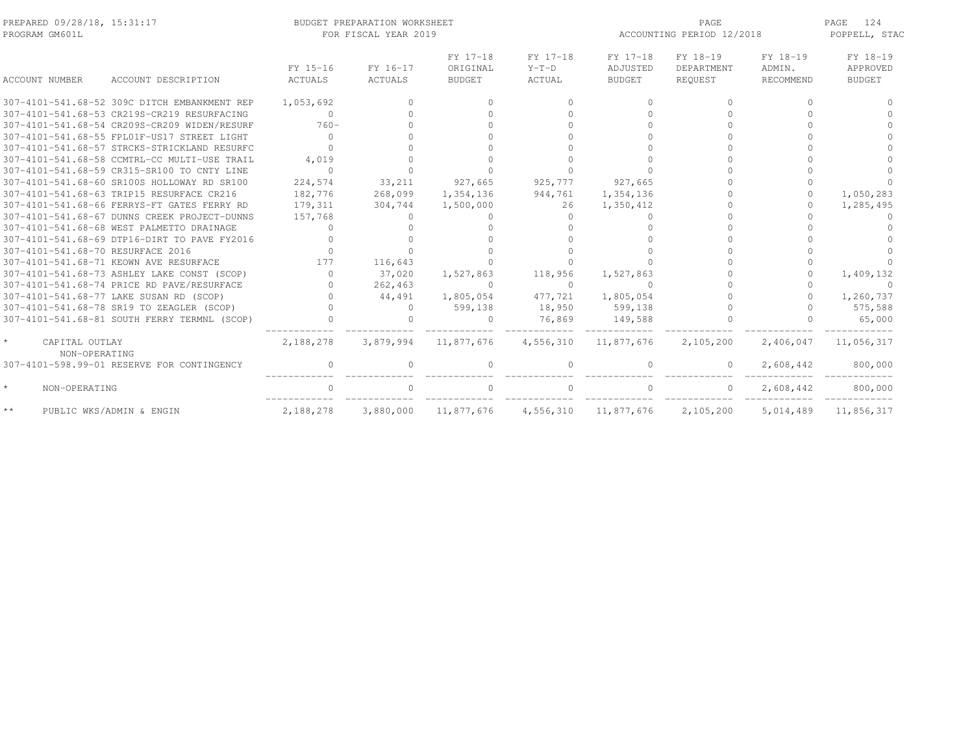| PREPARED 09/28/18, 15:31:17<br>PROGRAM GM601L |                                              |                     | BUDGET PREPARATION WORKSHEET<br>FOR FISCAL YEAR 2019 |                                       | ACCOUNTING PERIOD 12/2018     | PAGE<br>124<br>POPPELL, STAC          |                                   |                                 |                                       |
|-----------------------------------------------|----------------------------------------------|---------------------|------------------------------------------------------|---------------------------------------|-------------------------------|---------------------------------------|-----------------------------------|---------------------------------|---------------------------------------|
| <b>ACCOUNT NUMBER</b>                         | ACCOUNT DESCRIPTION                          | FY 15-16<br>ACTUALS | FY 16-17<br>ACTUALS                                  | FY 17-18<br>ORIGINAL<br><b>BUDGET</b> | FY 17-18<br>$Y-T-D$<br>ACTUAL | FY 17-18<br>ADJUSTED<br><b>BUDGET</b> | FY 18-19<br>DEPARTMENT<br>REOUEST | FY 18-19<br>ADMIN.<br>RECOMMEND | FY 18-19<br>APPROVED<br><b>BUDGET</b> |
|                                               | 307-4101-541.68-52 309C DITCH EMBANKMENT REP | 1,053,692           |                                                      |                                       | $\Omega$                      |                                       | $\cap$                            | ∩                               |                                       |
|                                               | 307-4101-541.68-53 CR219S-CR219 RESURFACING  | $\circ$             |                                                      |                                       |                               |                                       |                                   |                                 |                                       |
|                                               | 307-4101-541.68-54 CR209S-CR209 WIDEN/RESURF | $760-$              |                                                      |                                       |                               |                                       |                                   |                                 |                                       |
|                                               | 307-4101-541.68-55 FPL01F-US17 STREET LIGHT  | $\Omega$            |                                                      |                                       |                               |                                       |                                   |                                 |                                       |
|                                               | 307-4101-541.68-57 STRCKS-STRICKLAND RESURFC |                     |                                                      |                                       |                               |                                       |                                   |                                 |                                       |
|                                               | 307-4101-541.68-58 CCMTRL-CC MULTI-USE TRAIL | 4,019               |                                                      |                                       |                               |                                       |                                   |                                 |                                       |
|                                               | 307-4101-541.68-59 CR315-SR100 TO CNTY LINE  | $\cap$              |                                                      |                                       |                               |                                       |                                   |                                 |                                       |
|                                               | 307-4101-541.68-60 SR100S HOLLOWAY RD SR100  | 224,574             | 33,211                                               | 927,665                               | 925,777                       | 927,665                               |                                   | $\Omega$                        |                                       |
|                                               | 307-4101-541.68-63 TRIP15 RESURFACE CR216    | 182,776             | 268,099                                              | 1,354,136                             | 944,761                       | 1,354,136                             |                                   |                                 | 1,050,283                             |
|                                               | 307-4101-541.68-66 FERRYS-FT GATES FERRY RD  | 179,311             | 304,744                                              | 1,500,000                             | 26                            | 1,350,412                             |                                   |                                 | 1,285,495                             |
|                                               | 307-4101-541.68-67 DUNNS CREEK PROJECT-DUNNS | 157,768             | $\bigcap$                                            |                                       | $\Omega$                      |                                       |                                   |                                 |                                       |
|                                               | 307-4101-541.68-68 WEST PALMETTO DRAINAGE    | $\cap$              |                                                      |                                       |                               |                                       |                                   |                                 |                                       |
|                                               | 307-4101-541.68-69 DTP16-DIRT TO PAVE FY2016 |                     |                                                      |                                       |                               |                                       |                                   |                                 |                                       |
| 307-4101-541.68-70 RESURFACE 2016             |                                              |                     |                                                      |                                       |                               |                                       |                                   |                                 |                                       |
|                                               | 307-4101-541.68-71 KEOWN AVE RESURFACE       | 177                 | 116,643                                              |                                       |                               |                                       |                                   |                                 |                                       |
|                                               | 307-4101-541.68-73 ASHLEY LAKE CONST (SCOP)  | $\bigcap$           | 37,020                                               | 1,527,863                             | 118,956                       | 1,527,863                             |                                   |                                 | 1,409,132                             |
|                                               | 307-4101-541.68-74 PRICE RD PAVE/RESURFACE   | $\cap$              | 262,463                                              | $\Omega$                              | $\circ$                       | $\Omega$                              |                                   |                                 | $\cap$                                |
|                                               | 307-4101-541.68-77 LAKE SUSAN RD (SCOP)      |                     | 44,491                                               | 1,805,054                             | 477,721                       | 1,805,054                             |                                   |                                 | 1,260,737                             |
|                                               | 307-4101-541.68-78 SR19 TO ZEAGLER (SCOP)    |                     | $\Omega$                                             | 599,138                               | 18,950                        | 599,138                               |                                   |                                 | 575,588                               |
|                                               | 307-4101-541.68-81 SOUTH FERRY TERMNL (SCOP) |                     |                                                      | $\Omega$                              | 76,869                        | 149,588                               |                                   |                                 | 65,000                                |
| CAPITAL OUTLAY                                |                                              | 2,188,278           | 3,879,994                                            | 11,877,676                            | 4,556,310                     | 11,877,676                            | 2,105,200                         | 2,406,047                       | 11,056,317                            |
| NON-OPERATING                                 |                                              |                     |                                                      |                                       |                               |                                       |                                   |                                 |                                       |
|                                               | 307-4101-598.99-01 RESERVE FOR CONTINGENCY   |                     |                                                      |                                       | $\Omega$                      |                                       | $\Omega$                          | 2,608,442                       | 800,000                               |
| NON-OPERATING                                 |                                              |                     |                                                      |                                       |                               |                                       | $\circ$                           | 2,608,442                       | 800,000                               |
| $\star\star$                                  | PUBLIC WKS/ADMIN & ENGIN                     | 2,188,278           | 3,880,000                                            | 11,877,676                            |                               | 4,556,310 11,877,676                  | 2,105,200                         | 5,014,489                       | 11,856,317                            |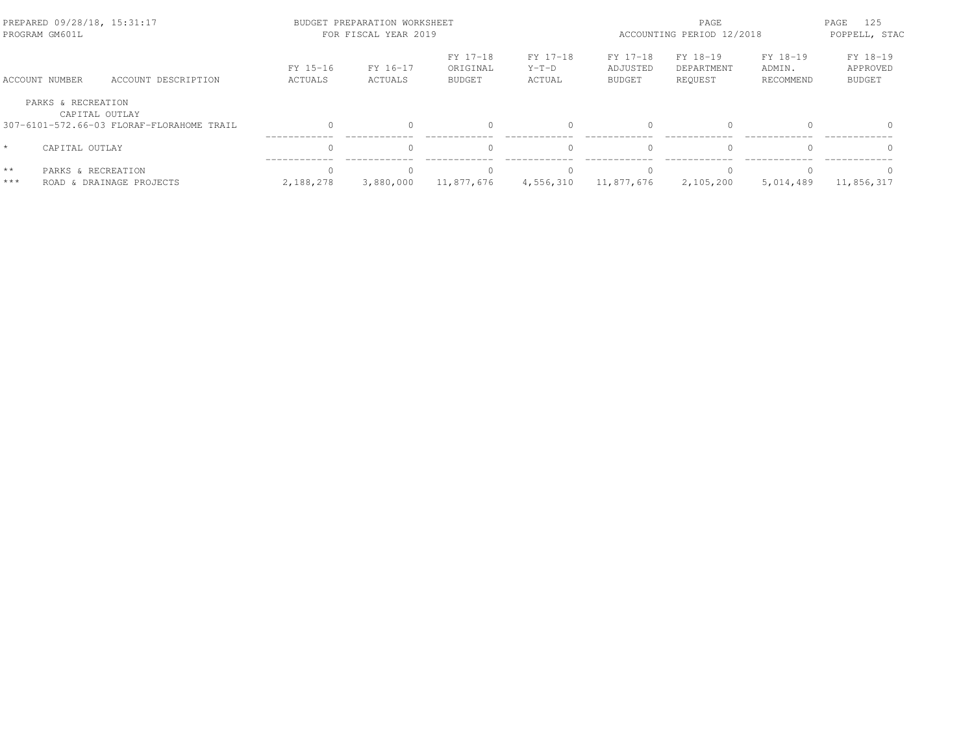| PREPARED 09/28/18, 15:31:17<br>PROGRAM GM601L |                                                             | BUDGET PREPARATION WORKSHEET<br>FOR FISCAL YEAR 2019 |                     | PAGE<br>ACCOUNTING PERIOD 12/2018     |                               |                                       |                                   |                                 |                                       |
|-----------------------------------------------|-------------------------------------------------------------|------------------------------------------------------|---------------------|---------------------------------------|-------------------------------|---------------------------------------|-----------------------------------|---------------------------------|---------------------------------------|
| ACCOUNT NUMBER                                | ACCOUNT DESCRIPTION                                         | FY 15-16<br>ACTUALS                                  | FY 16-17<br>ACTUALS | FY 17-18<br>ORIGINAL<br><b>BUDGET</b> | FY 17-18<br>$Y-T-D$<br>ACTUAL | FY 17-18<br>ADJUSTED<br><b>BUDGET</b> | FY 18-19<br>DEPARTMENT<br>REOUEST | FY 18-19<br>ADMIN.<br>RECOMMEND | FY 18-19<br>APPROVED<br><b>BUDGET</b> |
| PARKS & RECREATION                            | CAPITAL OUTLAY<br>307-6101-572.66-03 FLORAF-FLORAHOME TRAIL | $\Omega$                                             |                     |                                       |                               | $\Omega$                              | $\Omega$                          |                                 | $\Omega$                              |
| $\star$<br>CAPITAL OUTLAY                     |                                                             | $\Omega$                                             |                     |                                       |                               |                                       | $\Omega$                          |                                 | $\Omega$                              |
| $\star\star$<br>PARKS & RECREATION<br>***     | ROAD & DRAINAGE PROJECTS                                    | $\Omega$<br>2,188,278                                | 3,880,000           | 11,877,676                            | 4,556,310                     | 11,877,676                            | $\bigcap$<br>2,105,200            | 5,014,489                       | $\Omega$<br>11,856,317                |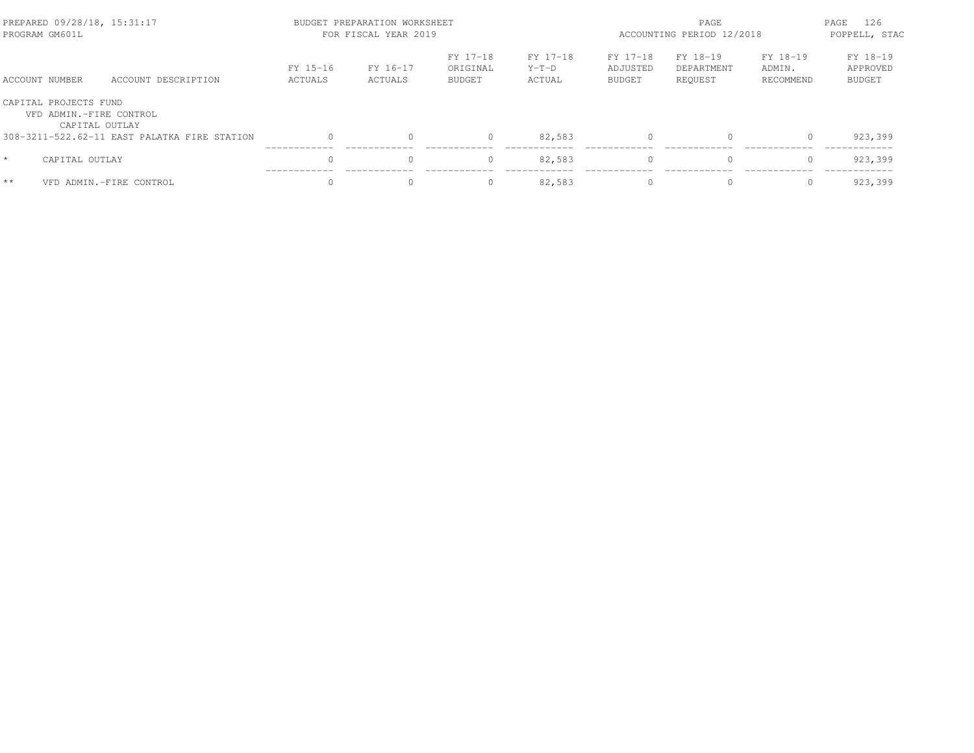|      | PREPARED 09/28/18, 15:31:17<br>PROGRAM GM601L                      |                                              |                     | BUDGET PREPARATION WORKSHEET<br>FOR FISCAL YEAR 2019 |                                       | PAGE<br>ACCOUNTING PERIOD 12/2018 |                                       |                                   | PAGE<br>126<br>POPPELL, STAC    |                                       |
|------|--------------------------------------------------------------------|----------------------------------------------|---------------------|------------------------------------------------------|---------------------------------------|-----------------------------------|---------------------------------------|-----------------------------------|---------------------------------|---------------------------------------|
|      | ACCOUNT NUMBER                                                     | ACCOUNT DESCRIPTION                          | FY 15-16<br>ACTUALS | FY 16-17<br>ACTUALS                                  | FY 17-18<br>ORIGINAL<br><b>BUDGET</b> | FY 17-18<br>$Y-T-D$<br>ACTUAL     | FY 17-18<br>ADJUSTED<br><b>BUDGET</b> | FY 18-19<br>DEPARTMENT<br>REOUEST | FY 18-19<br>ADMIN.<br>RECOMMEND | FY 18-19<br>APPROVED<br><b>BUDGET</b> |
|      | CAPITAL PROJECTS FUND<br>VFD ADMIN.-FIRE CONTROL<br>CAPITAL OUTLAY |                                              |                     |                                                      |                                       |                                   |                                       |                                   |                                 |                                       |
|      |                                                                    | 308-3211-522.62-11 EAST PALATKA FIRE STATION |                     |                                                      | 0                                     | 82,583                            | $\Omega$                              | 0                                 |                                 | 923,399                               |
|      | CAPITAL OUTLAY                                                     |                                              | $\Omega$            |                                                      | 0                                     | 82,583                            | $\Omega$                              | $\mathbf{0}$                      |                                 | 923,399                               |
| $**$ |                                                                    | VFD ADMIN.-FIRE CONTROL                      |                     |                                                      | 0                                     | 82,583                            | $\Omega$                              | $\Omega$                          |                                 | 923,399                               |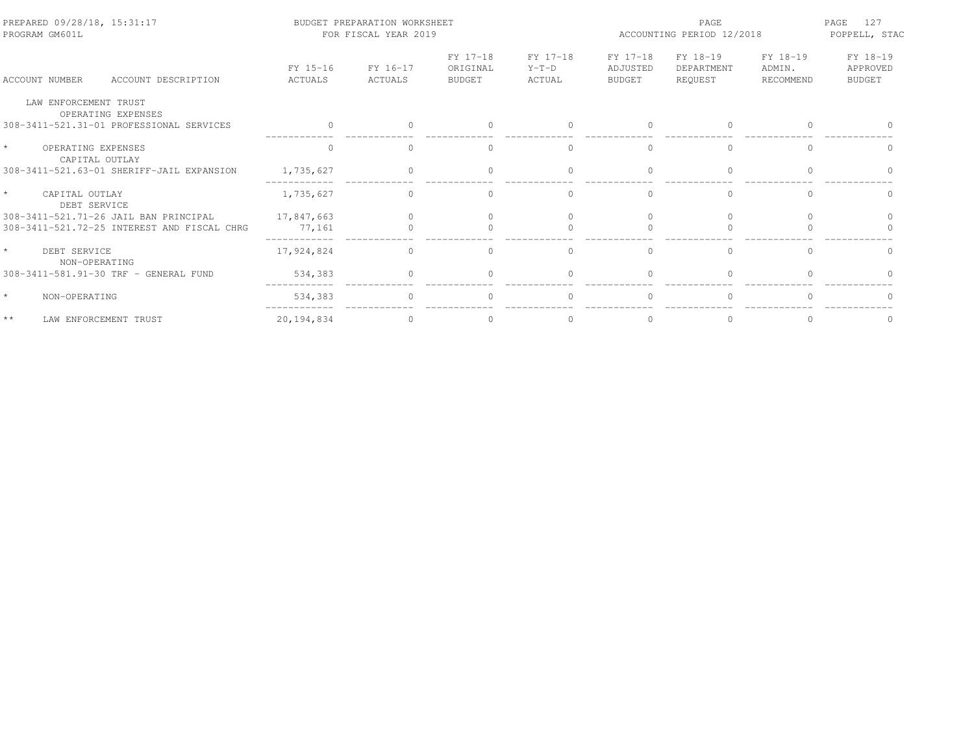| PREPARED 09/28/18, 15:31:17<br>PROGRAM GM601L   |                     | BUDGET PREPARATION WORKSHEET<br>FOR FISCAL YEAR 2019 |                                       | PAGE<br>ACCOUNTING PERIOD 12/2018 |                                       |                                   | 127<br>PAGE<br>POPPELL, STAC    |                                       |
|-------------------------------------------------|---------------------|------------------------------------------------------|---------------------------------------|-----------------------------------|---------------------------------------|-----------------------------------|---------------------------------|---------------------------------------|
| ACCOUNT DESCRIPTION<br>ACCOUNT NUMBER           | FY 15-16<br>ACTUALS | FY 16-17<br>ACTUALS                                  | FY 17-18<br>ORIGINAL<br><b>BUDGET</b> | FY 17-18<br>$Y-T-D$<br>ACTUAL     | FY 17-18<br>ADJUSTED<br><b>BUDGET</b> | FY 18-19<br>DEPARTMENT<br>REQUEST | FY 18-19<br>ADMIN.<br>RECOMMEND | FY 18-19<br>APPROVED<br><b>BUDGET</b> |
| LAW ENFORCEMENT TRUST<br>OPERATING EXPENSES     |                     |                                                      |                                       |                                   |                                       |                                   |                                 |                                       |
| 308-3411-521.31-01 PROFESSIONAL SERVICES        |                     |                                                      |                                       | $\Omega$                          |                                       | $\Omega$                          |                                 |                                       |
| $\star$<br>OPERATING EXPENSES<br>CAPITAL OUTLAY |                     |                                                      |                                       | $\mathbf{0}$                      |                                       | $\mathbf{0}$                      |                                 |                                       |
| 308-3411-521.63-01 SHERIFF-JAIL EXPANSION       | 1,735,627           |                                                      |                                       |                                   |                                       | $\Omega$                          |                                 |                                       |
| $\star$<br>CAPITAL OUTLAY<br>DEBT SERVICE       | 1,735,627           | $\Omega$                                             | $\cap$                                | $\Omega$                          | $\cap$                                | $\Omega$                          | $\cap$                          | $\cap$                                |
| 308-3411-521.71-26 JAIL BAN PRINCIPAL           | 17,847,663          |                                                      |                                       |                                   |                                       | $\bigcap$                         |                                 |                                       |
| 308-3411-521.72-25 INTEREST AND FISCAL CHRG     | 77,161              |                                                      |                                       |                                   |                                       |                                   |                                 |                                       |
| $\star$<br>DEBT SERVICE<br>NON-OPERATING        | 17,924,824          | $\Omega$                                             | $\bigcap$                             | $\Omega$                          | $\cap$                                | $\Omega$                          | $\Omega$                        | $\Omega$                              |
| 308-3411-581.91-30 TRF - GENERAL FUND           | 534,383             | $\Omega$                                             |                                       | $\Omega$                          |                                       | $\Omega$                          |                                 |                                       |
| $\star$<br>NON-OPERATING                        | 534,383             |                                                      |                                       |                                   |                                       |                                   |                                 |                                       |
| $\star\star$<br>LAW ENFORCEMENT TRUST           | 20,194,834          | $\cap$                                               |                                       |                                   |                                       | $\Omega$                          |                                 |                                       |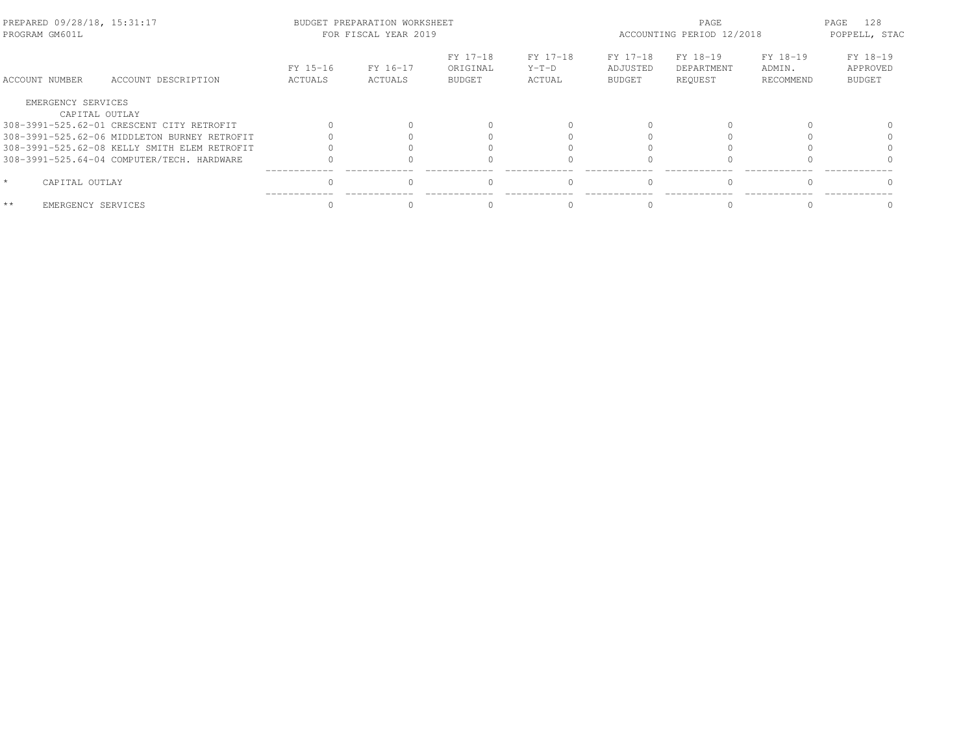| PREPARED 09/28/18, 15:31:17<br>PROGRAM GM601L |                                              |                     | BUDGET PREPARATION WORKSHEET<br>FOR FISCAL YEAR 2019 |                                       |                               | ACCOUNTING PERIOD 12/2018             | 128<br>PAGE<br>POPPELL, STAC      |                                 |                                       |
|-----------------------------------------------|----------------------------------------------|---------------------|------------------------------------------------------|---------------------------------------|-------------------------------|---------------------------------------|-----------------------------------|---------------------------------|---------------------------------------|
| ACCOUNT NUMBER                                | ACCOUNT DESCRIPTION                          | FY 15-16<br>ACTUALS | FY 16-17<br>ACTUALS                                  | FY 17-18<br>ORIGINAL<br><b>BUDGET</b> | FY 17-18<br>$Y-T-D$<br>ACTUAL | FY 17-18<br>ADJUSTED<br><b>BUDGET</b> | FY 18-19<br>DEPARTMENT<br>REOUEST | FY 18-19<br>ADMIN.<br>RECOMMEND | FY 18-19<br>APPROVED<br><b>BUDGET</b> |
| EMERGENCY SERVICES                            |                                              |                     |                                                      |                                       |                               |                                       |                                   |                                 |                                       |
|                                               | CAPITAL OUTLAY                               |                     |                                                      |                                       |                               |                                       |                                   |                                 |                                       |
|                                               | 308-3991-525.62-01 CRESCENT CITY RETROFIT    |                     |                                                      |                                       |                               |                                       |                                   |                                 |                                       |
|                                               | 308-3991-525.62-06 MIDDLETON BURNEY RETROFIT |                     |                                                      |                                       |                               |                                       |                                   |                                 |                                       |
|                                               | 308-3991-525.62-08 KELLY SMITH ELEM RETROFIT |                     |                                                      |                                       |                               |                                       |                                   |                                 |                                       |
|                                               | 308-3991-525.64-04 COMPUTER/TECH. HARDWARE   |                     |                                                      |                                       |                               |                                       |                                   |                                 |                                       |
| $\star$<br>CAPITAL OUTLAY                     |                                              |                     |                                                      |                                       |                               |                                       |                                   |                                 |                                       |
| $**$                                          | EMERGENCY SERVICES                           |                     |                                                      |                                       |                               |                                       |                                   |                                 |                                       |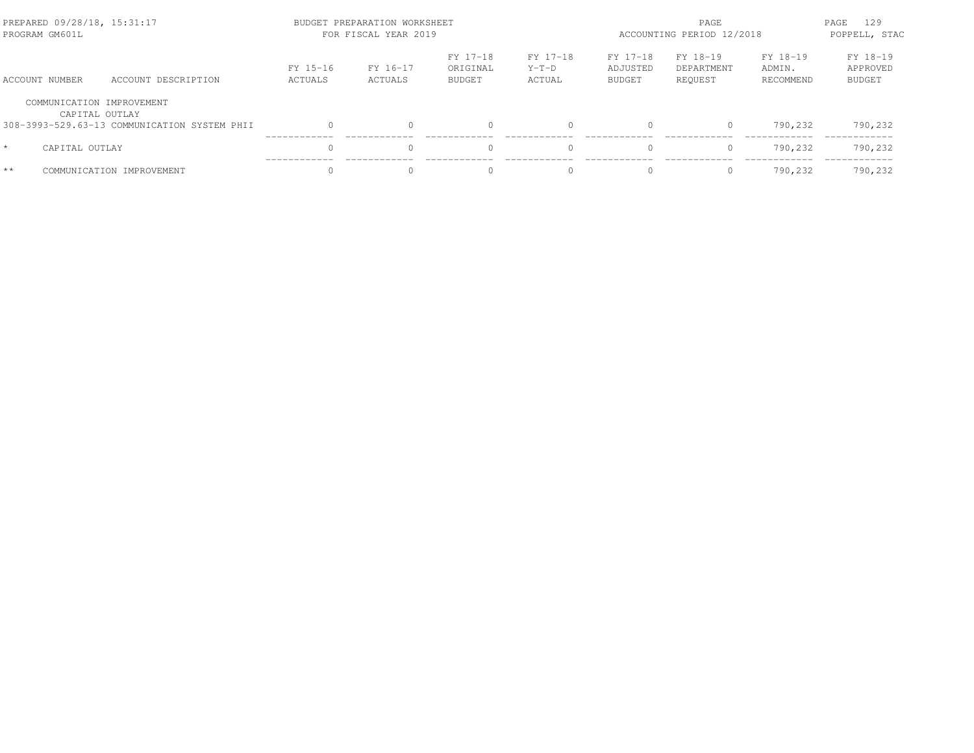| PREPARED 09/28/18, 15:31:17<br>PROGRAM GM601L |                                              |                     | BUDGET PREPARATION WORKSHEET<br>FOR FISCAL YEAR 2019 |                                       | PAGE<br>ACCOUNTING PERIOD 12/2018 |                                       |                                   | 129<br>PAGE<br>POPPELL, STAC    |                                       |
|-----------------------------------------------|----------------------------------------------|---------------------|------------------------------------------------------|---------------------------------------|-----------------------------------|---------------------------------------|-----------------------------------|---------------------------------|---------------------------------------|
| ACCOUNT NUMBER                                | ACCOUNT DESCRIPTION                          | FY 15-16<br>ACTUALS | FY 16-17<br>ACTUALS                                  | FY 17-18<br>ORIGINAL<br><b>BUDGET</b> | FY 17-18<br>$Y-T-D$<br>ACTUAL     | FY 17-18<br>ADJUSTED<br><b>BUDGET</b> | FY 18-19<br>DEPARTMENT<br>REOUEST | FY 18-19<br>ADMIN.<br>RECOMMEND | FY 18-19<br>APPROVED<br><b>BUDGET</b> |
| COMMUNICATION IMPROVEMENT<br>CAPITAL OUTLAY   |                                              |                     |                                                      |                                       |                                   |                                       |                                   |                                 |                                       |
|                                               | 308-3993-529.63-13 COMMUNICATION SYSTEM PHII | $\bigcap$           |                                                      | $\Omega$                              | $\Omega$                          | $\Omega$                              | $\mathbf{0}$                      | 790,232                         | 790,232                               |
| $\star$<br>CAPITAL OUTLAY                     |                                              |                     |                                                      | $\Omega$                              | $\Omega$                          | $\Omega$                              | $\mathbf{0}$                      | 790,232                         | 790,232                               |
| $**$                                          | COMMUNICATION IMPROVEMENT                    |                     |                                                      | $\Omega$                              | $\Omega$                          |                                       | $\Omega$                          | 790.232                         | 790,232                               |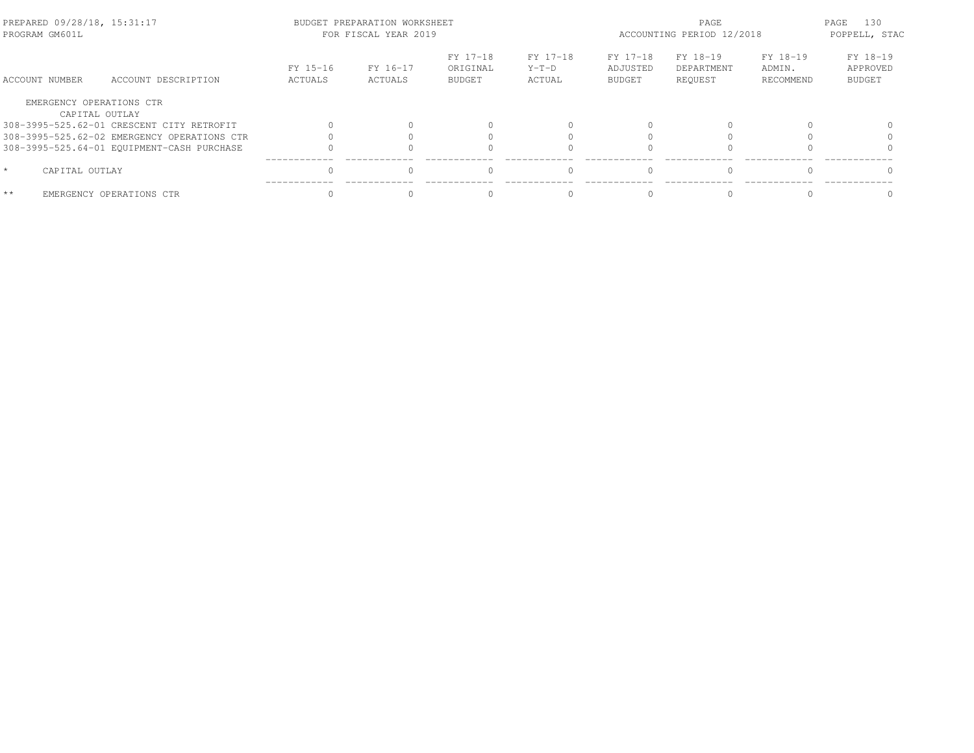| PREPARED 09/28/18, 15:31:17<br>PROGRAM GM601L |                                             |                     | BUDGET PREPARATION WORKSHEET<br>FOR FISCAL YEAR 2019 |                                       |                             | PAGE<br>ACCOUNTING PERIOD 12/2018     |                                   |                                 | 130<br>PAGE<br>POPPELL, STAC   |  |
|-----------------------------------------------|---------------------------------------------|---------------------|------------------------------------------------------|---------------------------------------|-----------------------------|---------------------------------------|-----------------------------------|---------------------------------|--------------------------------|--|
| ACCOUNT NUMBER                                | ACCOUNT DESCRIPTION                         | FY 15-16<br>ACTUALS | FY 16-17<br>ACTUALS                                  | FY 17-18<br>ORIGINAL<br><b>BUDGET</b> | FY 17-18<br>Y-T-D<br>ACTUAL | FY 17-18<br>ADJUSTED<br><b>BUDGET</b> | FY 18-19<br>DEPARTMENT<br>REQUEST | FY 18-19<br>ADMIN.<br>RECOMMEND | FY 18-19<br>APPROVED<br>BUDGET |  |
| EMERGENCY OPERATIONS CTR                      |                                             |                     |                                                      |                                       |                             |                                       |                                   |                                 |                                |  |
|                                               | CAPITAL OUTLAY                              |                     |                                                      |                                       |                             |                                       |                                   |                                 |                                |  |
|                                               | 308-3995-525.62-01 CRESCENT CITY RETROFIT   |                     |                                                      |                                       |                             |                                       |                                   |                                 |                                |  |
|                                               | 308-3995-525.62-02 EMERGENCY OPERATIONS CTR |                     |                                                      |                                       |                             |                                       |                                   |                                 |                                |  |
|                                               | 308-3995-525.64-01 EQUIPMENT-CASH PURCHASE  |                     |                                                      |                                       |                             |                                       |                                   |                                 |                                |  |
| $\star$<br>CAPITAL OUTLAY                     |                                             |                     |                                                      |                                       |                             | $\cap$                                | $\bigcap$                         |                                 |                                |  |
| $**$                                          | EMERGENCY OPERATIONS CTR                    |                     |                                                      |                                       |                             |                                       |                                   |                                 |                                |  |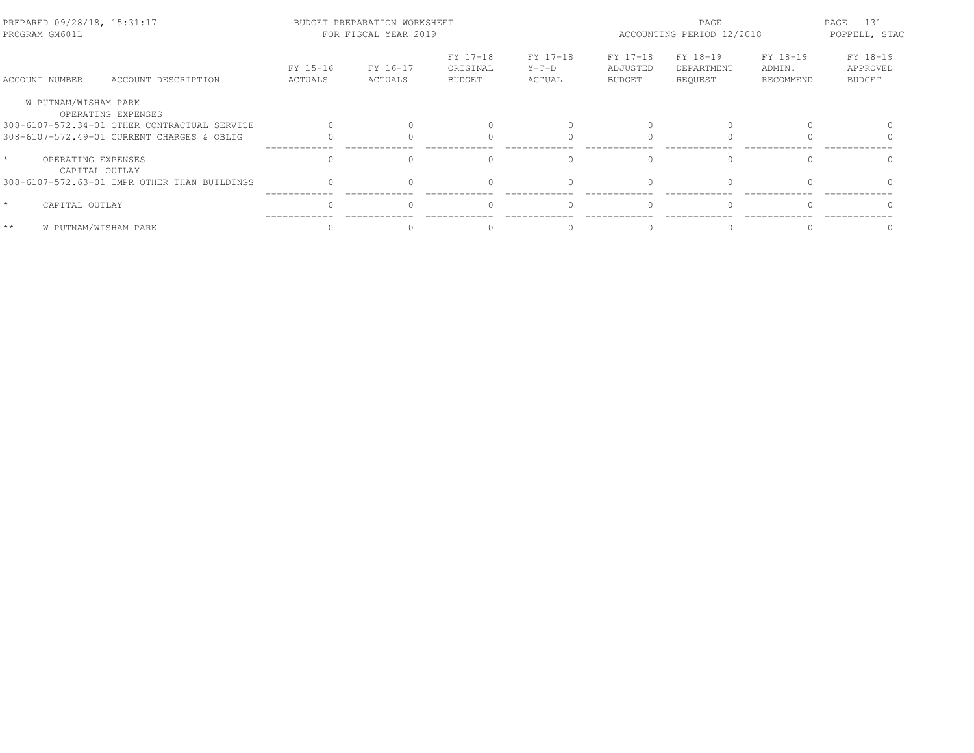| PREPARED 09/28/18, 15:31:17<br>PROGRAM GM601L |                                              |                     | BUDGET PREPARATION WORKSHEET<br>FOR FISCAL YEAR 2019 |                                       |                               | PAGE<br>ACCOUNTING PERIOD 12/2018     |                                   |                                 | 131<br>PAGE<br>POPPELL, STAC          |
|-----------------------------------------------|----------------------------------------------|---------------------|------------------------------------------------------|---------------------------------------|-------------------------------|---------------------------------------|-----------------------------------|---------------------------------|---------------------------------------|
| ACCOUNT NUMBER                                | ACCOUNT DESCRIPTION                          | FY 15-16<br>ACTUALS | FY 16-17<br>ACTUALS                                  | FY 17-18<br>ORIGINAL<br><b>BUDGET</b> | FY 17-18<br>$Y-T-D$<br>ACTUAL | FY 17-18<br>ADJUSTED<br><b>BUDGET</b> | FY 18-19<br>DEPARTMENT<br>REQUEST | FY 18-19<br>ADMIN.<br>RECOMMEND | FY 18-19<br>APPROVED<br><b>BUDGET</b> |
| W PUTNAM/WISHAM PARK                          | OPERATING EXPENSES                           |                     |                                                      |                                       |                               |                                       |                                   |                                 |                                       |
|                                               | 308-6107-572.34-01 OTHER CONTRACTUAL SERVICE |                     |                                                      |                                       |                               |                                       |                                   |                                 |                                       |
|                                               | 308-6107-572.49-01 CURRENT CHARGES & OBLIG   |                     |                                                      |                                       |                               |                                       |                                   |                                 |                                       |
| $\star$<br>OPERATING EXPENSES                 | CAPITAL OUTLAY                               |                     |                                                      |                                       |                               |                                       | $\cap$                            |                                 |                                       |
|                                               | 308-6107-572.63-01 IMPR OTHER THAN BUILDINGS |                     |                                                      |                                       |                               |                                       |                                   |                                 |                                       |
| $\star$<br>CAPITAL OUTLAY                     |                                              | $\cap$              |                                                      | $\Omega$                              |                               | $\bigcap$                             | $\Omega$                          | $\cap$                          |                                       |
| $**$                                          | W PUTNAM/WISHAM PARK                         |                     |                                                      |                                       |                               |                                       |                                   |                                 |                                       |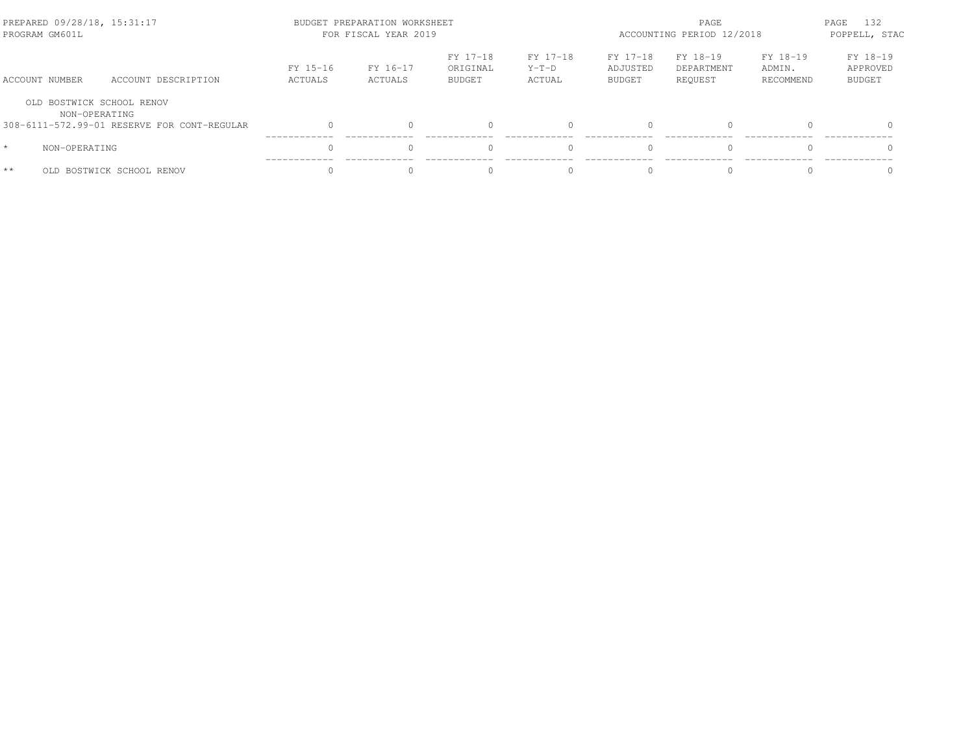|         | PREPARED 09/28/18, 15:31:17<br>PROGRAM GM601L |                                             |                     | BUDGET PREPARATION WORKSHEET<br>FOR FISCAL YEAR 2019 |                                       | PAGE<br>ACCOUNTING PERIOD 12/2018 |                                       |                                   | PAGE<br>132<br>POPPELL, STAC    |                                       |
|---------|-----------------------------------------------|---------------------------------------------|---------------------|------------------------------------------------------|---------------------------------------|-----------------------------------|---------------------------------------|-----------------------------------|---------------------------------|---------------------------------------|
|         | ACCOUNT NUMBER                                | ACCOUNT DESCRIPTION                         | FY 15-16<br>ACTUALS | FY 16-17<br>ACTUALS                                  | FY 17-18<br>ORIGINAL<br><b>BUDGET</b> | FY 17-18<br>$Y-T-D$<br>ACTUAL     | FY 17-18<br>ADJUSTED<br><b>BUDGET</b> | FY 18-19<br>DEPARTMENT<br>REOUEST | FY 18-19<br>ADMIN.<br>RECOMMEND | FY 18-19<br>APPROVED<br><b>BUDGET</b> |
|         | OLD BOSTWICK SCHOOL RENOV<br>NON-OPERATING    |                                             |                     |                                                      |                                       |                                   |                                       |                                   |                                 |                                       |
|         |                                               | 308-6111-572.99-01 RESERVE FOR CONT-REGULAR | $\cap$              |                                                      |                                       |                                   |                                       | $\Omega$                          |                                 | $\Omega$                              |
| $\star$ | NON-OPERATING                                 |                                             |                     |                                                      |                                       |                                   |                                       | $\Omega$                          |                                 |                                       |
| $**$    | OLD.                                          | BOSTWICK SCHOOL RENOV                       | $\cap$              |                                                      |                                       | $\cap$                            |                                       | $\cap$                            |                                 |                                       |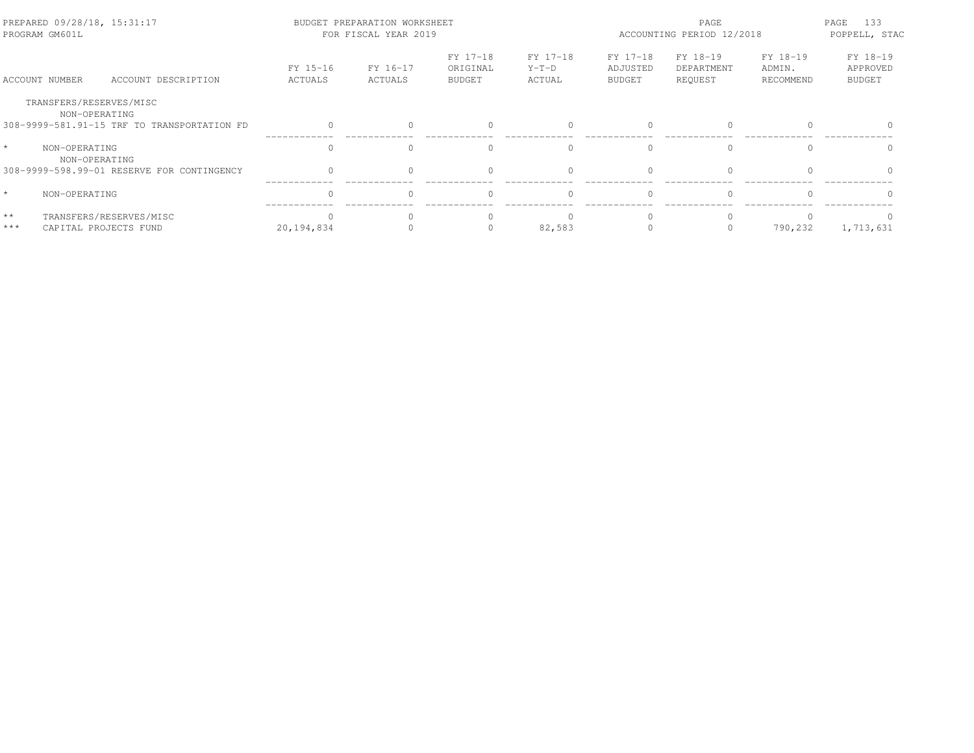| PREPARED 09/28/18, 15:31:17<br>PROGRAM GM601L |                                                  |                     | BUDGET PREPARATION WORKSHEET<br>FOR FISCAL YEAR 2019 |                                       | PAGE<br>ACCOUNTING PERIOD 12/2018 |                                       |                                   | 133<br>PAGE<br>POPPELL, STAC    |                                       |
|-----------------------------------------------|--------------------------------------------------|---------------------|------------------------------------------------------|---------------------------------------|-----------------------------------|---------------------------------------|-----------------------------------|---------------------------------|---------------------------------------|
| ACCOUNT NUMBER                                | ACCOUNT DESCRIPTION                              | FY 15-16<br>ACTUALS | FY 16-17<br>ACTUALS                                  | FY 17-18<br>ORIGINAL<br><b>BUDGET</b> | FY 17-18<br>$Y-T-D$<br>ACTUAL     | FY 17-18<br>ADJUSTED<br><b>BUDGET</b> | FY 18-19<br>DEPARTMENT<br>REOUEST | FY 18-19<br>ADMIN.<br>RECOMMEND | FY 18-19<br>APPROVED<br><b>BUDGET</b> |
| TRANSFERS/RESERVES/MISC<br>NON-OPERATING      | 308-9999-581.91-15 TRF TO TRANSPORTATION FD      |                     |                                                      |                                       |                                   |                                       |                                   |                                 |                                       |
| $\star$<br>NON-OPERATING<br>NON-OPERATING     |                                                  | $\bigcap$           |                                                      |                                       | $\bigcap$                         |                                       | $\bigcap$                         |                                 |                                       |
|                                               | 308-9999-598.99-01 RESERVE FOR CONTINGENCY       | $\Omega$            |                                                      |                                       |                                   |                                       | $\Omega$                          |                                 |                                       |
| $\star$<br>NON-OPERATING                      |                                                  | $\Omega$            |                                                      |                                       | $\Omega$                          | $\cap$                                | $\Omega$                          |                                 | $\cap$                                |
| $\star\,\star$<br>$***$                       | TRANSFERS/RESERVES/MISC<br>CAPITAL PROJECTS FUND | 20,194,834          |                                                      |                                       | 82,583                            |                                       | $\Omega$<br>0                     | 790,232                         | 1,713,631                             |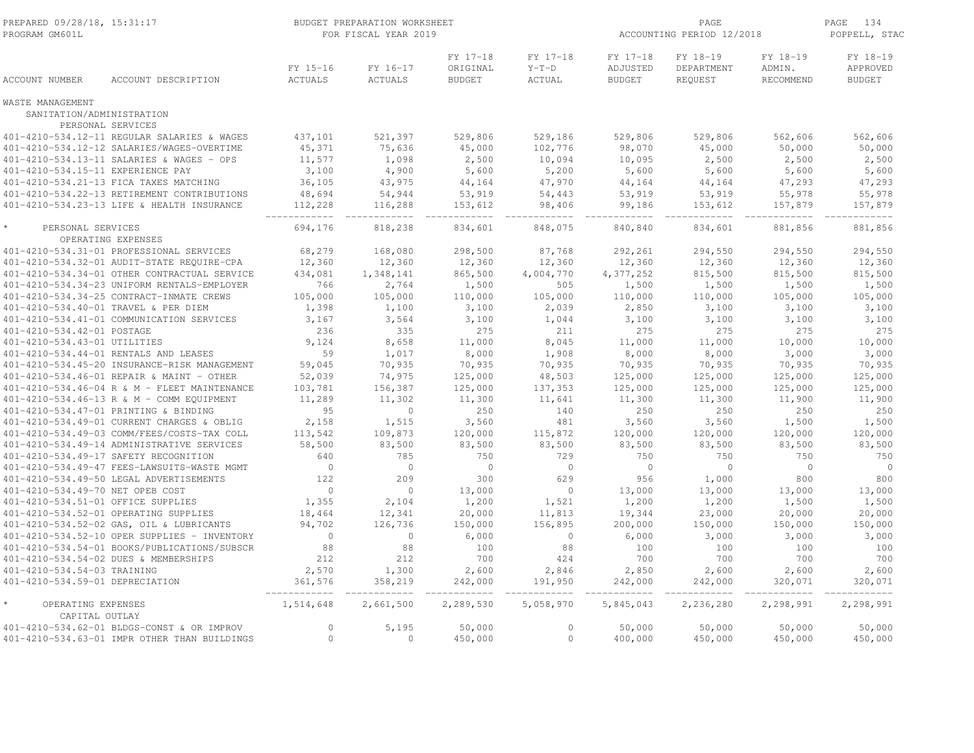| PREPARED 09/28/18, 15:31:17<br>PROGRAM GM601L |                                              |                     | BUDGET PREPARATION WORKSHEET<br>FOR FISCAL YEAR 2019 |                                       |                               | ACCOUNTING PERIOD 12/2018             | PAGE<br>134<br>POPPELL, STAC      |                                 |                                       |
|-----------------------------------------------|----------------------------------------------|---------------------|------------------------------------------------------|---------------------------------------|-------------------------------|---------------------------------------|-----------------------------------|---------------------------------|---------------------------------------|
| <b>ACCOUNT NUMBER</b>                         | ACCOUNT DESCRIPTION                          | FY 15-16<br>ACTUALS | FY 16-17<br>ACTUALS                                  | FY 17-18<br>ORIGINAL<br><b>BUDGET</b> | FY 17-18<br>$Y-T-D$<br>ACTUAL | FY 17-18<br>ADJUSTED<br><b>BUDGET</b> | FY 18-19<br>DEPARTMENT<br>REQUEST | FY 18-19<br>ADMIN.<br>RECOMMEND | FY 18-19<br>APPROVED<br><b>BUDGET</b> |
| WASTE MANAGEMENT                              |                                              |                     |                                                      |                                       |                               |                                       |                                   |                                 |                                       |
| SANITATION/ADMINISTRATION                     | PERSONAL SERVICES                            |                     |                                                      |                                       |                               |                                       |                                   |                                 |                                       |
|                                               | 401-4210-534.12-11 REGULAR SALARIES & WAGES  | 437,101             | 521,397                                              | 529,806                               | 529,186                       | 529,806                               | 529,806                           | 562,606                         | 562,606                               |
|                                               | 401-4210-534.12-12 SALARIES/WAGES-OVERTIME   | 45,371              | 75,636                                               | 45,000                                | 102,776                       | 98,070                                | 45,000                            | 50,000                          | 50,000                                |
|                                               | 401-4210-534.13-11 SALARIES & WAGES - OPS    | 11,577              | 1,098                                                | 2,500                                 | 10,094                        | 10,095                                | 2,500                             | 2,500                           | 2,500                                 |
| 401-4210-534.15-11 EXPERIENCE PAY             |                                              | 3,100               | 4,900                                                | 5,600                                 | 5,200                         | 5,600                                 | 5,600                             | 5,600                           | 5,600                                 |
|                                               | 401-4210-534.21-13 FICA TAXES MATCHING       | 36,105              | 43,975                                               | 44,164                                | 47,970                        | 44,164                                | 44,164                            | 47,293                          | 47,293                                |
|                                               | 401-4210-534.22-13 RETIREMENT CONTRIBUTIONS  | 48,694              | 54,944                                               | 53,919                                | 54,443                        | 53,919                                | 53,919                            | 55,978                          | 55,978                                |
|                                               | 401-4210-534.23-13 LIFE & HEALTH INSURANCE   | 112,228             | 116,288                                              | 153,612                               | 98,406                        | 99,186                                | 153,612                           | 157,879                         | 157,879                               |
|                                               |                                              |                     |                                                      |                                       |                               |                                       |                                   |                                 |                                       |
| PERSONAL SERVICES                             |                                              | 694,176             | 818,238                                              | 834,601                               | 848,075                       | 840,840                               | 834,601                           | 881,856                         | 881,856                               |
|                                               | OPERATING EXPENSES                           |                     |                                                      |                                       |                               |                                       |                                   |                                 |                                       |
|                                               | 401-4210-534.31-01 PROFESSIONAL SERVICES     | 68,279              | 168,080                                              | 298,500                               | 87,768                        | 292,261                               | 294,550                           | 294,550                         | 294,550                               |
|                                               | 401-4210-534.32-01 AUDIT-STATE REQUIRE-CPA   | 12,360              | 12,360                                               | 12,360                                | 12,360                        | 12,360                                | 12,360                            | 12,360                          | 12,360                                |
|                                               | 401-4210-534.34-01 OTHER CONTRACTUAL SERVICE | 434,081             | 1,348,141                                            | 865,500                               | 4,004,770                     | 4,377,252                             | 815,500                           | 815,500                         | 815,500                               |
|                                               | 401-4210-534.34-23 UNIFORM RENTALS-EMPLOYER  | 766                 | 2,764                                                | 1,500                                 | 505                           | 1,500                                 | 1,500                             | 1,500                           | 1,500                                 |
|                                               | 401-4210-534.34-25 CONTRACT-INMATE CREWS     | 105,000             | 105,000                                              | 110,000                               | 105,000                       | 110,000                               | 110,000                           | 105,000                         | 105,000                               |
|                                               | 401-4210-534.40-01 TRAVEL & PER DIEM         | 1,398               | 1,100                                                | 3,100                                 | 2,039                         | 2,850                                 | 3,100                             | 3,100                           | 3,100                                 |
|                                               | 401-4210-534.41-01 COMMUNICATION SERVICES    | 3,167               | 3,564                                                | 3,100                                 | 1,044                         | 3,100                                 | 3,100                             | 3,100                           | 3,100                                 |
| 401-4210-534.42-01 POSTAGE                    |                                              | 236                 | 335                                                  | 275                                   | 211                           | 275                                   | 275                               | 275                             | 275                                   |
| 401-4210-534.43-01 UTILITIES                  |                                              | 9,124               | 8,658                                                | 11,000                                | 8,045                         | 11,000                                | 11,000                            | 10,000                          | 10,000                                |
|                                               | 401-4210-534.44-01 RENTALS AND LEASES        | 59                  | 1,017                                                | 8,000                                 | 1,908                         | 8,000                                 | 8,000                             | 3,000                           | 3,000                                 |
|                                               | 401-4210-534.45-20 INSURANCE-RISK MANAGEMENT | 59,045              | 70,935                                               | 70,935                                | 70,935                        | 70,935                                | 70,935                            | 70,935                          | 70,935                                |
|                                               | 401-4210-534.46-01 REPAIR & MAINT - OTHER    | 52,039              | 74,975                                               | 125,000                               | 48,503                        | 125,000                               | 125,000                           | 125,000                         | 125,000                               |
|                                               | 401-4210-534.46-04 R & M - FLEET MAINTENANCE | 103,781             | 156,387                                              | 125,000                               | 137,353                       | 125,000                               | 125,000                           | 125,000                         | 125,000                               |
|                                               | 401-4210-534.46-13 R & M - COMM EQUIPMENT    | 11,289              | 11,302                                               | 11,300                                | 11,641                        | 11,300                                | 11,300                            | 11,900                          | 11,900                                |
|                                               | 401-4210-534.47-01 PRINTING & BINDING        | 95                  | $\circ$                                              | 250                                   | 140                           | 250                                   | 250                               | 250                             | 250                                   |
|                                               | 401-4210-534.49-01 CURRENT CHARGES & OBLIG   | 2,158               | 1,515                                                | 3,560                                 | 481                           | 3,560                                 | 3,560                             | 1,500                           | 1,500                                 |
|                                               | 401-4210-534.49-03 COMM/FEES/COSTS-TAX COLL  | 113,542             | 109,873                                              | 120,000                               | 115,872                       | 120,000                               | 120,000                           | 120,000                         | 120,000                               |
|                                               | 401-4210-534.49-14 ADMINISTRATIVE SERVICES   | 58,500              | 83,500                                               | 83,500                                | 83,500                        | 83,500                                | 83,500                            | 83,500                          | 83,500                                |
|                                               | 401-4210-534.49-17 SAFETY RECOGNITION        | 640                 | 785                                                  | 750                                   | 729                           | 750                                   | 750                               | 750                             | 750                                   |
|                                               | 401-4210-534.49-47 FEES-LAWSUITS-WASTE MGMT  | $\overline{0}$      | $\circ$                                              | $\circ$                               | $\circ$                       | $\overline{0}$                        | $\circ$                           | $\Omega$                        | $\overline{0}$                        |
|                                               | 401-4210-534.49-50 LEGAL ADVERTISEMENTS      | 122                 | 209                                                  | 300                                   | 629                           | 956                                   | 1,000                             | 800                             | 800                                   |
| 401-4210-534.49-70 NET OPEB COST              |                                              | $\circ$             | $\circ$                                              | 13,000                                | $\circ$                       | 13,000                                | 13,000                            | 13,000                          | 13,000                                |
| 401-4210-534.51-01 OFFICE SUPPLIES            |                                              | 1,355               | 2,104                                                | 1,200                                 | 1,521                         | 1,200                                 | 1,200                             | 1,500                           | 1,500                                 |
|                                               | 401-4210-534.52-01 OPERATING SUPPLIES        | 18,464              | 12,341                                               | 20,000                                | 11,813                        | 19,344                                | 23,000                            | 20,000                          | 20,000                                |
|                                               | 401-4210-534.52-02 GAS, OIL & LUBRICANTS     | 94,702              | 126,736                                              | 150,000                               | 156,895                       | 200,000                               | 150,000                           | 150,000                         | 150,000                               |
|                                               | 401-4210-534.52-10 OPER SUPPLIES - INVENTORY | $\circ$             | $\circ$                                              | 6,000                                 | $\circ$                       | 6,000                                 | 3,000                             | 3,000                           | 3,000                                 |
|                                               | 401-4210-534.54-01 BOOKS/PUBLICATIONS/SUBSCR | 88                  | 88                                                   | 100                                   | 88                            | 100                                   | 100                               | 100                             | 100                                   |
|                                               | 401-4210-534.54-02 DUES & MEMBERSHIPS        | 212                 | 212                                                  | 700                                   | 424                           | 700                                   | 700                               | 700                             | 700                                   |
| 401-4210-534.54-03 TRAINING                   |                                              | 2,570               | 1,300                                                | 2,600                                 | 2,846                         | 2,850                                 | 2,600                             | 2,600                           | 2,600                                 |
| 401-4210-534.59-01 DEPRECIATION               |                                              | 361,576             | 358,219                                              | 242,000                               | 191,950                       | 242,000                               | 242,000                           | 320,071                         | 320,071                               |
| OPERATING EXPENSES<br>CAPITAL OUTLAY          |                                              | 1,514,648           | 2,661,500                                            | 2,289,530                             | 5,058,970                     | 5,845,043                             | 2,236,280                         | 2,298,991                       | 2,298,991                             |
|                                               | 401-4210-534.62-01 BLDGS-CONST & OR IMPROV   | $\circ$             | 5,195                                                | 50,000                                | $\circ$                       | 50,000                                | 50,000                            | 50,000                          | 50,000                                |
|                                               | 401-4210-534.63-01 IMPR OTHER THAN BUILDINGS | $\mathbf{0}$        | $\circ$                                              | 450,000                               | $\circ$                       | 400,000                               | 450,000                           | 450,000                         | 450,000                               |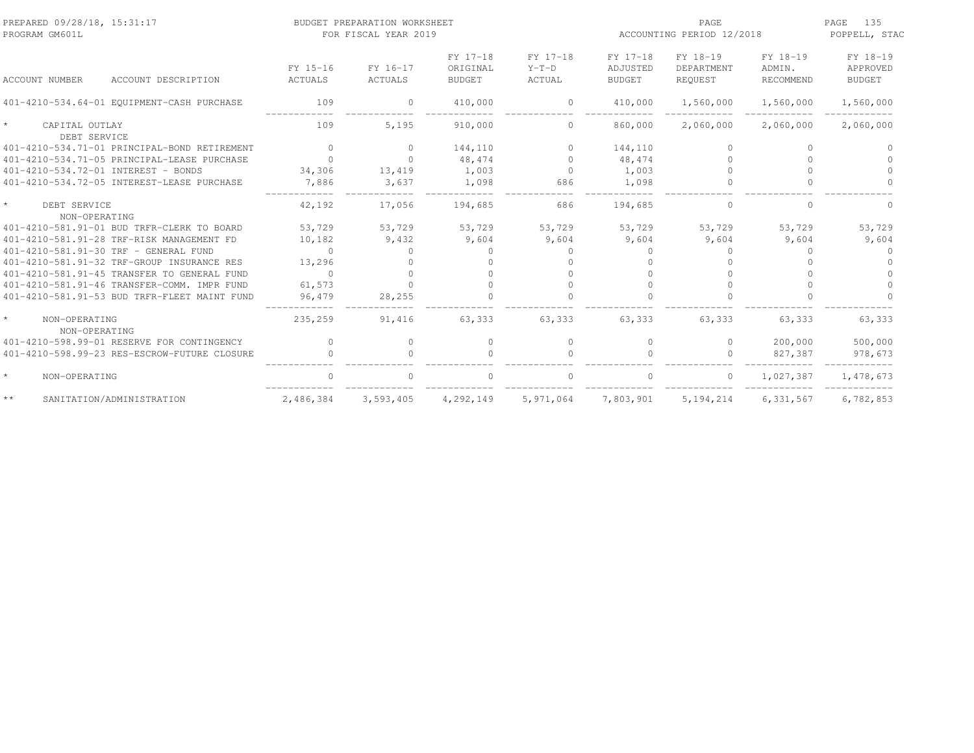| PREPARED 09/28/18, 15:31:17<br>PROGRAM GM601L |                            | BUDGET PREPARATION WORKSHEET<br>FOR FISCAL YEAR 2019 |                                       |                                      | PAGE<br>ACCOUNTING PERIOD 12/2018     |                                   |                                        | 135<br>PAGE<br>POPPELL, STAC          |
|-----------------------------------------------|----------------------------|------------------------------------------------------|---------------------------------------|--------------------------------------|---------------------------------------|-----------------------------------|----------------------------------------|---------------------------------------|
| <b>ACCOUNT NUMBER</b><br>ACCOUNT DESCRIPTION  | FY 15-16<br><b>ACTUALS</b> | FY 16-17<br><b>ACTUALS</b>                           | FY 17-18<br>ORIGINAL<br><b>BUDGET</b> | FY 17-18<br>$Y-T-D$<br><b>ACTUAL</b> | FY 17-18<br>ADJUSTED<br><b>BUDGET</b> | FY 18-19<br>DEPARTMENT<br>REQUEST | FY 18-19<br>ADMIN.<br><b>RECOMMEND</b> | FY 18-19<br>APPROVED<br><b>BUDGET</b> |
| 401-4210-534.64-01 EQUIPMENT-CASH PURCHASE    | 109                        | $\Omega$                                             | 410,000                               | $\Omega$                             | 410,000                               | 1,560,000                         | 1,560,000                              | 1,560,000                             |
| CAPITAL OUTLAY<br>DEBT SERVICE                | 109                        | 5,195                                                | 910,000                               | $\Omega$                             | 860,000                               | 2,060,000                         | 2,060,000                              | 2,060,000                             |
| 401-4210-534.71-01 PRINCIPAL-BOND RETIREMENT  | $\Omega$                   | $\Omega$                                             | 144,110                               | $\Omega$                             | 144,110                               | $\bigcap$                         | $\Omega$                               |                                       |
| 401-4210-534.71-05 PRINCIPAL-LEASE PURCHASE   | $\Omega$                   | $\cap$                                               | 48,474                                | $\Omega$                             | 48,474                                |                                   | $\cap$                                 |                                       |
| 401-4210-534.72-01 INTEREST - BONDS           | 34,306                     | 13,419                                               | 1,003                                 | $\Omega$                             | 1,003                                 |                                   | $\Omega$                               |                                       |
| 401-4210-534.72-05 INTEREST-LEASE PURCHASE    | 7,886                      | 3,637                                                | 1,098                                 | 686                                  | 1,098                                 | $\Omega$                          | $\Omega$                               | $\cap$                                |
| $\star$<br>DEBT SERVICE<br>NON-OPERATING      | 42,192                     | 17,056                                               | 194,685                               | 686                                  | 194,685                               | $\Omega$                          | $\Omega$                               | $\cap$                                |
| 401-4210-581.91-01 BUD TRFR-CLERK TO BOARD    | 53,729                     | 53,729                                               | 53,729                                | 53,729                               | 53,729                                | 53,729                            | 53,729                                 | 53,729                                |
| 401-4210-581.91-28 TRF-RISK MANAGEMENT FD     | 10,182                     | 9,432                                                | 9,604                                 | 9,604                                | 9,604                                 | 9,604                             | 9,604                                  | 9,604                                 |
| 401-4210-581.91-30 TRF - GENERAL FUND         | $\cap$                     | $\Omega$                                             | $\cup$                                | $\bigcap$                            | $\bigcap$                             | $\bigcap$                         | $\Omega$                               |                                       |
| 401-4210-581.91-32 TRF-GROUP INSURANCE RES    | 13,296                     | $\Omega$                                             | $\cap$                                | $\bigcap$                            | $\cap$                                |                                   | $\cap$                                 |                                       |
| 401-4210-581.91-45 TRANSFER TO GENERAL FUND   | $\cap$                     | $\cap$                                               |                                       | $\cap$                               |                                       |                                   |                                        |                                       |
| 401-4210-581.91-46 TRANSFER-COMM. IMPR FUND   | 61,573                     |                                                      |                                       |                                      |                                       |                                   |                                        |                                       |
| 401-4210-581.91-53 BUD TRFR-FLEET MAINT FUND  | 96,479                     | 28,255                                               |                                       |                                      |                                       |                                   |                                        |                                       |
| NON-OPERATING<br>NON-OPERATING                | 235,259                    | 91,416                                               | 63,333                                | 63,333                               | 63,333                                | 63,333                            | 63,333                                 | 63,333                                |
| 401-4210-598.99-01 RESERVE FOR CONTINGENCY    | $\Omega$                   | $\Omega$                                             | $\circ$                               | $\Omega$                             | $\Omega$                              | $\Omega$                          | 200,000                                | 500,000                               |
| 401-4210-598.99-23 RES-ESCROW-FUTURE CLOSURE  |                            |                                                      | $\cap$                                |                                      |                                       | $\bigcap$                         | 827,387                                | 978,673                               |
| $\star$<br>NON-OPERATING                      |                            |                                                      |                                       |                                      |                                       | $\Omega$                          | 1,027,387                              | 1,478,673                             |
| $\star\,\star$<br>SANITATION/ADMINISTRATION   | 2,486,384                  | 3,593,405                                            | 4,292,149                             | 5,971,064                            | 7,803,901                             | 5, 194, 214                       | 6,331,567                              | 6,782,853                             |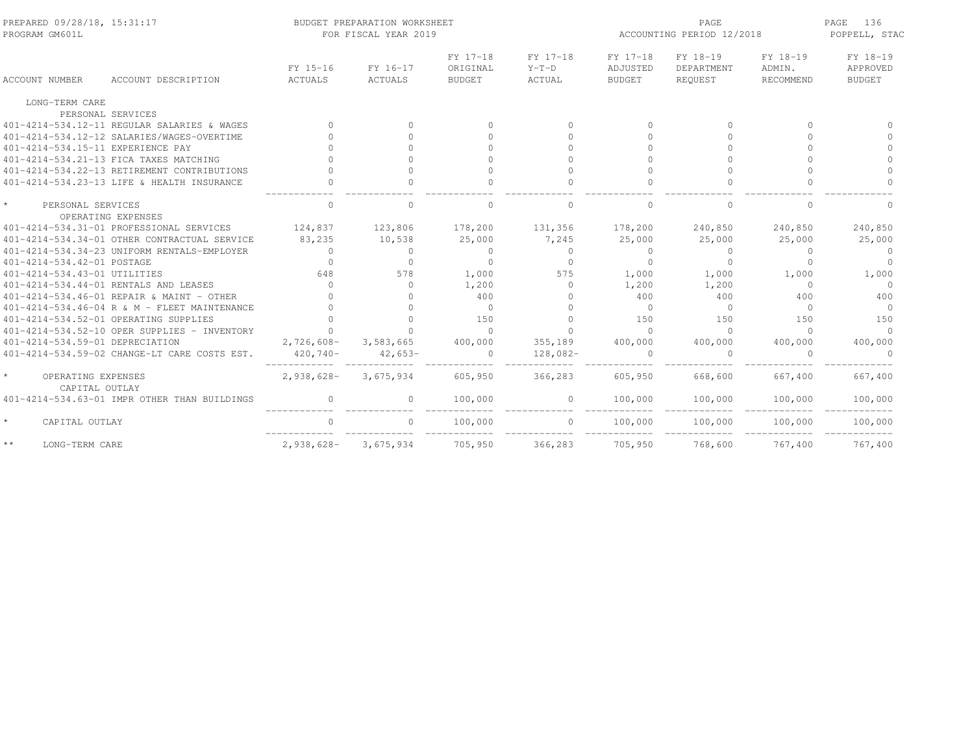| PREPARED 09/28/18, 15:31:17<br>PROGRAM GM601L |                            | BUDGET PREPARATION WORKSHEET<br>FOR FISCAL YEAR 2019 |                                       |                               | ACCOUNTING PERIOD 12/2018             | PAGE<br>136<br>POPPELL, STAC      |                                 |                                       |
|-----------------------------------------------|----------------------------|------------------------------------------------------|---------------------------------------|-------------------------------|---------------------------------------|-----------------------------------|---------------------------------|---------------------------------------|
| ACCOUNT DESCRIPTION<br><b>ACCOUNT NUMBER</b>  | FY 15-16<br><b>ACTUALS</b> | FY 16-17<br><b>ACTUALS</b>                           | FY 17-18<br>ORIGINAL<br><b>BUDGET</b> | FY 17-18<br>$Y-T-D$<br>ACTUAL | FY 17-18<br>ADJUSTED<br><b>BUDGET</b> | FY 18-19<br>DEPARTMENT<br>REQUEST | FY 18-19<br>ADMIN.<br>RECOMMEND | FY 18-19<br>APPROVED<br><b>BUDGET</b> |
| LONG-TERM CARE                                |                            |                                                      |                                       |                               |                                       |                                   |                                 |                                       |
| PERSONAL SERVICES                             |                            |                                                      |                                       |                               |                                       |                                   |                                 |                                       |
| 401-4214-534.12-11 REGULAR SALARIES & WAGES   | $\bigcap$                  | $\Omega$                                             | $\Omega$                              | $\Omega$                      | $\Omega$                              | $\Omega$                          | $\Omega$                        |                                       |
| 401-4214-534.12-12 SALARIES/WAGES-OVERTIME    |                            | $\cap$                                               |                                       | $\Omega$                      |                                       |                                   | $\Omega$                        |                                       |
| 401-4214-534.15-11 EXPERIENCE PAY             |                            | $\cap$                                               |                                       | $\Omega$                      |                                       |                                   | $\Omega$                        |                                       |
| 401-4214-534.21-13 FICA TAXES MATCHING        |                            | $\cap$                                               |                                       | $\Omega$                      |                                       |                                   |                                 |                                       |
| 401-4214-534.22-13 RETIREMENT CONTRIBUTIONS   |                            | $\cap$                                               | $\Omega$                              | $\Omega$                      | $\cap$                                | $\cap$                            | $\cap$                          | $\Omega$                              |
| 401-4214-534.23-13 LIFE & HEALTH INSURANCE    | $\cap$                     | $\bigcap$                                            | $\Omega$                              | $\Omega$                      | $\cap$                                | $\Omega$                          | $\Omega$                        | $\Omega$                              |
| PERSONAL SERVICES<br>OPERATING EXPENSES       | $\Omega$                   | $\Omega$                                             | $\Omega$                              | $\circ$                       |                                       | $\Omega$                          | $\cap$                          | $\cap$                                |
| 401-4214-534.31-01 PROFESSIONAL SERVICES      | 124,837                    | 123,806                                              | 178,200                               | 131,356                       | 178,200                               | 240,850                           | 240,850                         | 240,850                               |
| 401-4214-534.34-01 OTHER CONTRACTUAL SERVICE  | 83,235                     | 10,538                                               | 25,000                                | 7,245                         | 25,000                                | 25,000                            | 25,000                          | 25,000                                |
| 401-4214-534.34-23 UNIFORM RENTALS-EMPLOYER   | $\Omega$                   | $\Omega$                                             | $\Omega$                              | $\Omega$                      | $\Omega$                              | $\Omega$                          | $\Omega$                        | $\Omega$                              |
| 401-4214-534.42-01 POSTAGE                    | $\cap$                     | $\Omega$                                             | $\Omega$                              | $\Omega$                      |                                       | $\Omega$                          | $\cap$                          | $\Omega$                              |
| 401-4214-534.43-01 UTILITIES                  | 648                        | 578                                                  | 1,000                                 | 575                           | 1,000                                 | 1,000                             | 1,000                           | 1,000                                 |
| 401-4214-534.44-01 RENTALS AND LEASES         | $\bigcap$                  | $\Omega$                                             | 1,200                                 | $\mathbf{0}$                  | 1,200                                 | 1,200                             | $\Omega$                        | $\Omega$                              |
| 401-4214-534.46-01 REPAIR & MAINT - OTHER     |                            | $\bigcap$                                            | 400                                   | $\Omega$                      | 400                                   | 400                               | 400                             | 400                                   |
| 401-4214-534.46-04 R & M - FLEET MAINTENANCE  |                            | $\bigcap$                                            | $\Omega$                              | $\Omega$                      | $\bigcap$                             | $\circ$                           | $\Omega$                        | $\Omega$                              |
| 401-4214-534.52-01 OPERATING SUPPLIES         |                            | $\cap$                                               | 150                                   | $\Omega$                      | 150                                   | 150                               | 150                             | 150                                   |
| 401-4214-534.52-10 OPER SUPPLIES - INVENTORY  |                            |                                                      | $\mathbf{0}$                          | $\Omega$                      | $\Omega$                              | $\Omega$                          | $\Omega$                        | $\Omega$                              |
| 401-4214-534.59-01 DEPRECIATION               | $2,726,608-$               | 3,583,665                                            | 400,000                               | 355,189                       | 400,000                               | 400,000                           | 400,000                         | 400,000                               |
| 401-4214-534.59-02 CHANGE-LT CARE COSTS EST.  | $420,740-$                 | $42,653-$                                            | $\mathbf{0}$                          | $128,082-$                    |                                       | $\Omega$                          | $\Omega$                        | $\Omega$                              |
| OPERATING EXPENSES<br>CAPITAL OUTLAY          | $2,938,628-$               | 3,675,934                                            | 605,950                               | 366,283                       | 605,950                               | 668,600                           | 667,400                         | 667,400                               |
| 401-4214-534.63-01 IMPR OTHER THAN BUILDINGS  | $\circ$                    | $\circ$                                              | 100,000                               | $\circ$                       | 100,000                               | 100,000                           | 100,000                         | 100,000                               |
| $\star$<br>CAPITAL OUTLAY                     |                            |                                                      | 100,000                               |                               | 100,000                               | 100,000                           | 100,000                         | 100,000                               |
| $\star\star$<br>LONG-TERM CARE                | $2,938,628-$               | 3,675,934                                            | 705,950                               | 366,283                       | 705,950                               | 768,600                           | 767,400                         | 767,400                               |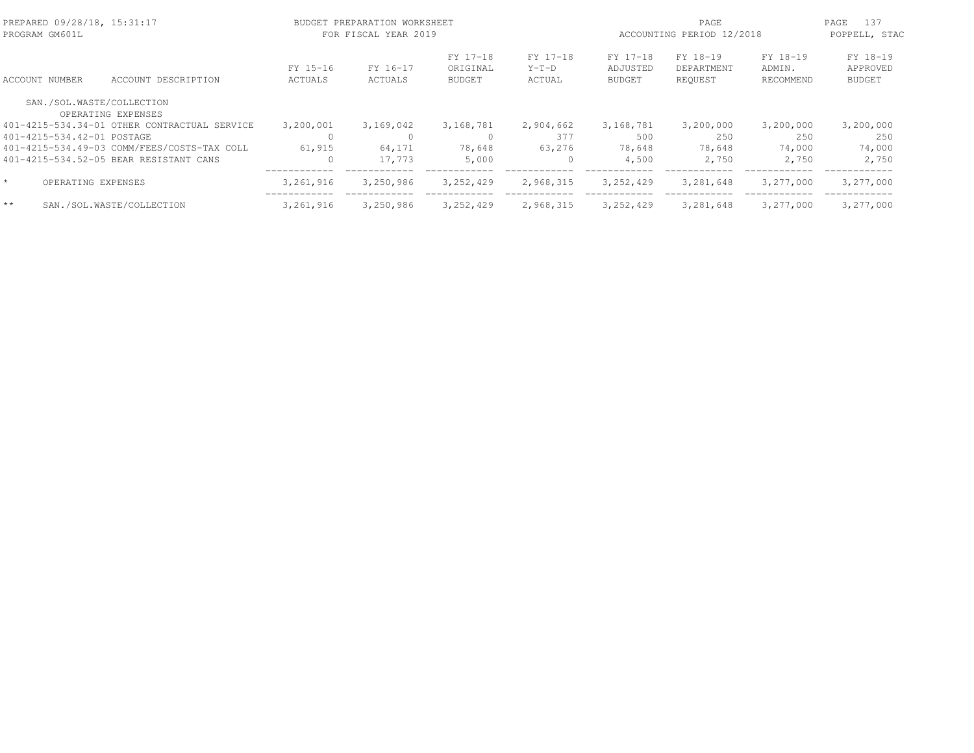| PREPARED 09/28/18, 15:31:17<br>PROGRAM GM601L |                            |                                                 |                            | BUDGET PREPARATION WORKSHEET<br>FOR FISCAL YEAR 2019 |                                       |                               | PAGE<br>ACCOUNTING PERIOD 12/2018     |                                   |                                 | 137<br>PAGE<br>POPPELL, STAC          |  |
|-----------------------------------------------|----------------------------|-------------------------------------------------|----------------------------|------------------------------------------------------|---------------------------------------|-------------------------------|---------------------------------------|-----------------------------------|---------------------------------|---------------------------------------|--|
|                                               | ACCOUNT NUMBER             | ACCOUNT DESCRIPTION                             | FY 15-16<br><b>ACTUALS</b> | FY 16-17<br>ACTUALS                                  | FY 17-18<br>ORIGINAL<br><b>BUDGET</b> | FY 17-18<br>$Y-T-D$<br>ACTUAL | FY 17-18<br>ADJUSTED<br><b>BUDGET</b> | FY 18-19<br>DEPARTMENT<br>REOUEST | FY 18-19<br>ADMIN.<br>RECOMMEND | FY 18-19<br>APPROVED<br><b>BUDGET</b> |  |
|                                               |                            | SAN./SOL.WASTE/COLLECTION<br>OPERATING EXPENSES |                            |                                                      |                                       |                               |                                       |                                   |                                 |                                       |  |
|                                               |                            | 401-4215-534.34-01 OTHER CONTRACTUAL SERVICE    | 3,200,001                  | 3,169,042                                            | 3,168,781                             | 2,904,662                     | 3,168,781                             | 3,200,000                         | 3,200,000                       | 3,200,000                             |  |
|                                               | 401-4215-534.42-01 POSTAGE |                                                 | 0                          | 0                                                    |                                       | 377                           | 500                                   | 250                               | 250                             | 250                                   |  |
|                                               |                            | 401-4215-534.49-03 COMM/FEES/COSTS-TAX COLL     | 61,915                     | 64,171                                               | 78,648                                | 63,276                        | 78,648                                | 78,648                            | 74,000                          | 74,000                                |  |
|                                               |                            | 401-4215-534.52-05 BEAR RESISTANT CANS          | $\Omega$                   | 17.773                                               | 5,000                                 | $\mathbf{0}$                  | 4,500                                 | 2,750                             | 2,750                           | 2,750                                 |  |
|                                               | OPERATING EXPENSES         |                                                 | 3,261,916                  | 3,250,986                                            | 3, 252, 429                           | 2,968,315                     | 3, 252, 429                           | 3,281,648                         | 3,277,000                       | 3,277,000                             |  |
| $**$                                          |                            | SAN./SOL.WASTE/COLLECTION                       | 3,261,916                  | 3,250,986                                            | 3, 252, 429                           | 2,968,315                     | 3,252,429                             | 3,281,648                         | 3,277,000                       | 3,277,000                             |  |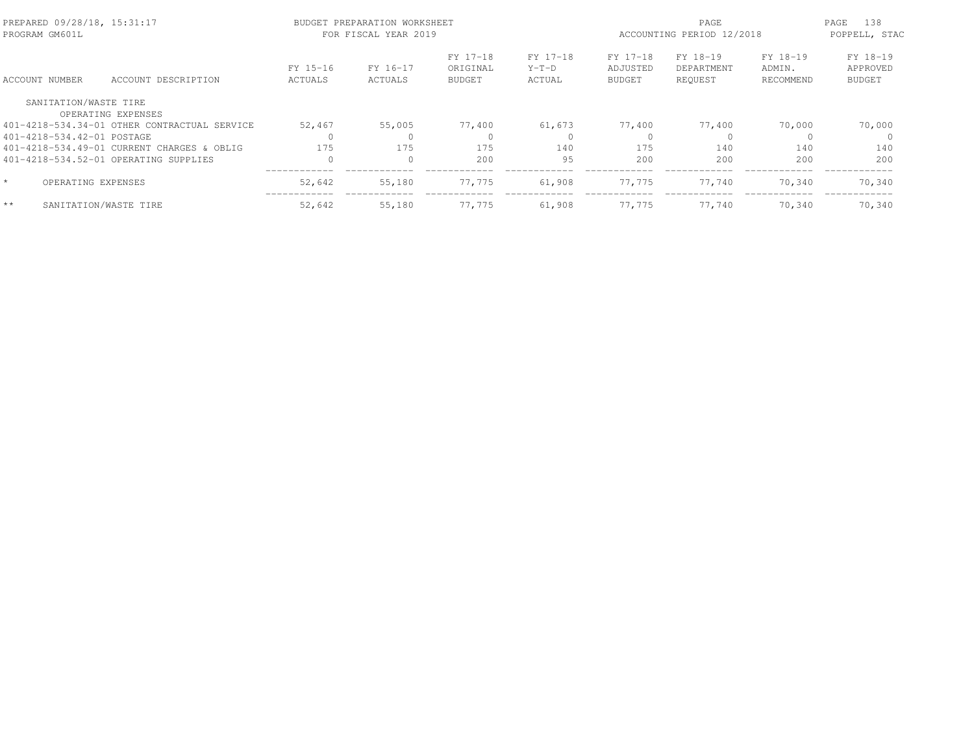| PROGRAM GM601L | PREPARED 09/28/18, 15:31:17 |                                              |                            | BUDGET PREPARATION WORKSHEET<br>FOR FISCAL YEAR 2019 |                                       |                               | ACCOUNTING PERIOD 12/2018             | 138<br>PAGE<br>POPPELL, STAC      |                                 |                                       |
|----------------|-----------------------------|----------------------------------------------|----------------------------|------------------------------------------------------|---------------------------------------|-------------------------------|---------------------------------------|-----------------------------------|---------------------------------|---------------------------------------|
| ACCOUNT NUMBER |                             | ACCOUNT DESCRIPTION                          | FY 15-16<br><b>ACTUALS</b> | FY 16-17<br>ACTUALS                                  | FY 17-18<br>ORIGINAL<br><b>BUDGET</b> | FY 17-18<br>$Y-T-D$<br>ACTUAL | FY 17-18<br>ADJUSTED<br><b>BUDGET</b> | FY 18-19<br>DEPARTMENT<br>REQUEST | FY 18-19<br>ADMIN.<br>RECOMMEND | FY 18-19<br>APPROVED<br><b>BUDGET</b> |
|                | SANITATION/WASTE TIRE       |                                              |                            |                                                      |                                       |                               |                                       |                                   |                                 |                                       |
|                |                             | OPERATING EXPENSES                           |                            |                                                      |                                       |                               |                                       |                                   |                                 |                                       |
|                |                             | 401-4218-534.34-01 OTHER CONTRACTUAL SERVICE | 52,467                     | 55,005                                               | 77,400                                | 61,673                        | 77,400                                | 77,400                            | 70,000                          | 70,000                                |
|                | 401-4218-534.42-01 POSTAGE  |                                              |                            |                                                      |                                       | $\Omega$                      |                                       |                                   |                                 |                                       |
|                |                             | 401-4218-534.49-01 CURRENT CHARGES & OBLIG   | 175                        | 175                                                  | 175                                   | 140                           | 175                                   | 140                               | 140                             | 140                                   |
|                |                             | 401-4218-534.52-01 OPERATING SUPPLIES        | $\bigcap$                  | $\Omega$                                             | 200                                   | 95                            | 200                                   | 200                               | 200                             | 200                                   |
|                | OPERATING EXPENSES          |                                              | 52,642                     | 55,180                                               | 77.775                                | 61,908                        | 77.775                                | 77.740                            | 70,340                          | 70,340                                |
| $**$           | SANITATION/WASTE TIRE       |                                              | 52,642                     | 55,180                                               | 77.775                                | 61,908                        | 77.775                                | 77.740                            | 70,340                          | 70,340                                |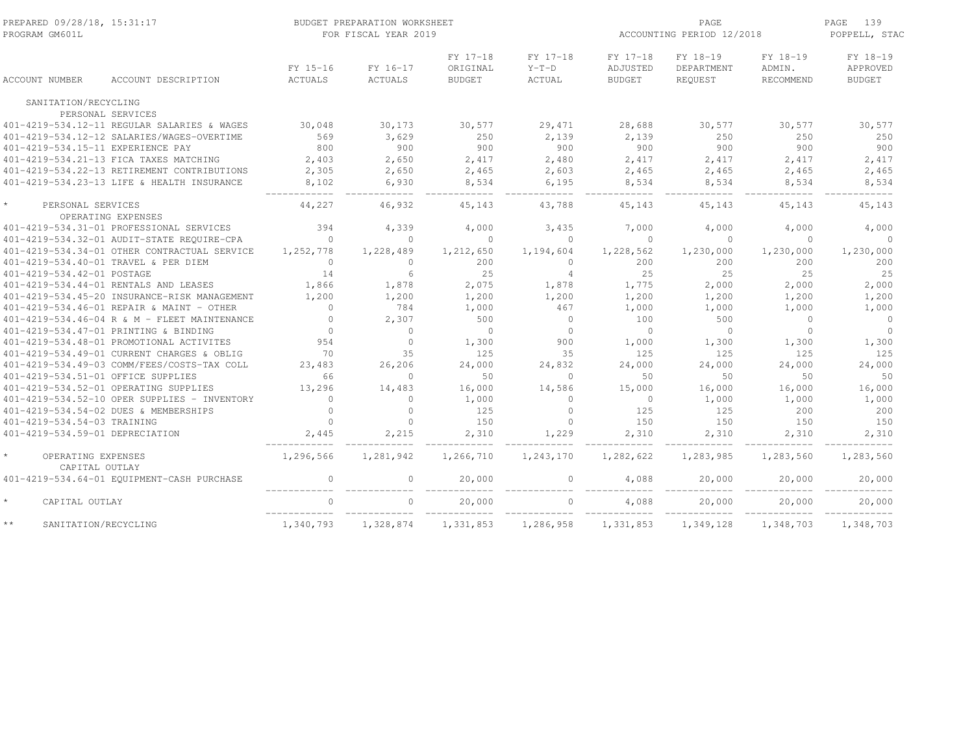| PREPARED 09/28/18, 15:31:17<br>PROGRAM GM601L |                                              |                | BUDGET PREPARATION WORKSHEET<br>FOR FISCAL YEAR 2019 |                      | PAGE<br>ACCOUNTING PERIOD 12/2018 |                      |                        | PAGE<br>139<br>POPPELL, STAC |                      |
|-----------------------------------------------|----------------------------------------------|----------------|------------------------------------------------------|----------------------|-----------------------------------|----------------------|------------------------|------------------------------|----------------------|
|                                               |                                              | FY 15-16       | FY 16-17                                             | FY 17-18<br>ORIGINAL | FY 17-18<br>$Y-T-D$               | FY 17-18<br>ADJUSTED | FY 18-19<br>DEPARTMENT | FY 18-19<br>ADMIN.           | FY 18-19<br>APPROVED |
| <b>ACCOUNT NUMBER</b>                         | ACCOUNT DESCRIPTION                          | <b>ACTUALS</b> | <b>ACTUALS</b>                                       | <b>BUDGET</b>        | <b>ACTUAL</b>                     | <b>BUDGET</b>        | REQUEST                | RECOMMEND                    | <b>BUDGET</b>        |
| SANITATION/RECYCLING                          |                                              |                |                                                      |                      |                                   |                      |                        |                              |                      |
|                                               | PERSONAL SERVICES                            |                |                                                      |                      |                                   |                      |                        |                              |                      |
|                                               | 401-4219-534.12-11 REGULAR SALARIES & WAGES  | 30,048         | 30,173                                               | 30,577               | 29,471                            | 28,688               | 30,577                 | 30,577                       | 30,577               |
|                                               | 401-4219-534.12-12 SALARIES/WAGES-OVERTIME   | 569            | 3,629                                                | 250                  | 2,139                             | 2,139                | 250                    | 250                          | 250                  |
| 401-4219-534.15-11 EXPERIENCE PAY             |                                              | 800            | 900                                                  | 900                  | 900                               | 900                  | 900                    | 900                          | 900                  |
|                                               | 401-4219-534.21-13 FICA TAXES MATCHING       | 2,403          | 2,650                                                | 2,417                | 2,480                             | 2,417                | 2,417                  | 2,417                        | 2,417                |
|                                               | 401-4219-534.22-13 RETIREMENT CONTRIBUTIONS  | 2,305          | 2,650                                                | 2,465                | 2,603                             | 2,465                | 2,465                  | 2,465                        | 2,465                |
|                                               | 401-4219-534.23-13 LIFE & HEALTH INSURANCE   | 8,102          | 6,930                                                | 8,534                | 6,195                             | 8,534                | 8,534                  | 8,534                        | 8,534                |
| $\star$<br>PERSONAL SERVICES                  |                                              | 44,227         | 46,932                                               | 45,143               | 43,788                            | 45,143               | 45,143                 | 45,143                       | 45,143               |
|                                               | OPERATING EXPENSES                           |                |                                                      |                      |                                   |                      |                        |                              |                      |
|                                               | 401-4219-534.31-01 PROFESSIONAL SERVICES     | 394            | 4,339                                                | 4,000                | 3,435                             | 7,000                | 4,000                  | 4,000                        | 4,000                |
|                                               | 401-4219-534.32-01 AUDIT-STATE REQUIRE-CPA   | $\Omega$       | $\Omega$                                             | $\Omega$             | $\Omega$                          | $\Omega$             | $\Omega$               | $\Omega$                     | $\Omega$             |
|                                               | 401-4219-534.34-01 OTHER CONTRACTUAL SERVICE | 1,252,778      | 1,228,489                                            | 1,212,650            | 1,194,604                         | 1,228,562            | 1,230,000              | 1,230,000                    | 1,230,000            |
|                                               | 401-4219-534.40-01 TRAVEL & PER DIEM         | $\Omega$       | $\Omega$                                             | 200                  | $\Omega$                          | 200                  | 200                    | 200                          | 200                  |
| 401-4219-534.42-01 POSTAGE                    |                                              | 14             | 6                                                    | 25                   | $\overline{4}$                    | 25                   | 25                     | 25                           | 25                   |
|                                               | 401-4219-534.44-01 RENTALS AND LEASES        | 1,866          | 1,878                                                | 2,075                | 1,878                             | 1,775                | 2,000                  | 2,000                        | 2,000                |
|                                               | 401-4219-534.45-20 INSURANCE-RISK MANAGEMENT | 1,200          | 1,200                                                | 1,200                | 1,200                             | 1,200                | 1,200                  | 1,200                        | 1,200                |
|                                               | 401-4219-534.46-01 REPAIR & MAINT - OTHER    | $\Omega$       | 784                                                  | 1,000                | 467                               | 1,000                | 1,000                  | 1,000                        | 1,000                |
|                                               | 401-4219-534.46-04 R & M - FLEET MAINTENANCE | $\circ$        | 2,307                                                | 500                  | $\circ$                           | 100                  | 500                    | $\Omega$                     | $\overline{0}$       |
|                                               | 401-4219-534.47-01 PRINTING & BINDING        | $\circ$        | $\Omega$                                             | $\Omega$             | $\circ$                           | $\bigcirc$           | $\circ$                | $\Omega$                     | $\Omega$             |
|                                               | 401-4219-534.48-01 PROMOTIONAL ACTIVITES     | 954            | $\Omega$                                             | 1,300                | 900                               | 1,000                | 1,300                  | 1,300                        | 1,300                |
|                                               | 401-4219-534.49-01 CURRENT CHARGES & OBLIG   | 70             | 35                                                   | 125                  | 35                                | 125                  | 125                    | 125                          | 125                  |
|                                               | 401-4219-534.49-03 COMM/FEES/COSTS-TAX COLL  | 23,483         | 26,206                                               | 24,000               | 24,832                            | 24,000               | 24,000                 | 24,000                       | 24,000               |
| 401-4219-534.51-01 OFFICE SUPPLIES            |                                              | 66             | $\circ$                                              | 50                   | $\circ$                           | 50                   | 50                     | 50                           | 50                   |
|                                               | 401-4219-534.52-01 OPERATING SUPPLIES        | 13,296         | 14,483                                               | 16,000               | 14,586                            | 15,000               | 16,000                 | 16,000                       | 16,000               |
|                                               | 401-4219-534.52-10 OPER SUPPLIES - INVENTORY | $\Omega$       | $\cap$                                               | 1,000                | $\Omega$                          | $\Omega$             | 1,000                  | 1,000                        | 1,000                |
|                                               | 401-4219-534.54-02 DUES & MEMBERSHIPS        | $\Omega$       | $\Omega$                                             | 125                  | $\Omega$                          | 125                  | 125                    | 200                          | 200                  |
| 401-4219-534.54-03 TRAINING                   |                                              | $\Omega$       | $\Omega$                                             | 150                  | $\Omega$                          | 150                  | 150                    | 150                          | 150                  |
| 401-4219-534.59-01 DEPRECIATION               |                                              | 2,445          | 2,215                                                | 2,310                | 1,229                             | 2,310                | 2,310                  | 2,310                        | 2,310                |
| OPERATING EXPENSES<br>CAPITAL OUTLAY          |                                              | 1,296,566      | 1,281,942                                            | 1,266,710            | 1,243,170                         | 1,282,622            | 1,283,985              | 1,283,560                    | 1,283,560            |
|                                               | 401-4219-534.64-01 EOUIPMENT-CASH PURCHASE   | $\circ$        | $\circ$                                              | 20,000               | $\circ$                           | 4,088                | 20,000                 | 20,000                       | 20,000               |
| $\star$<br>CAPITAL OUTLAY                     |                                              | $\bigcap$      | $\Omega$                                             | 20,000               | $\Omega$                          | 4,088                | 20,000                 | 20,000                       | 20,000               |
| $\star\star$<br>SANITATION/RECYCLING          |                                              | 1,340,793      | 1,328,874                                            | 1,331,853            | 1,286,958                         | 1,331,853            | 1,349,128              | 1,348,703                    | 1,348,703            |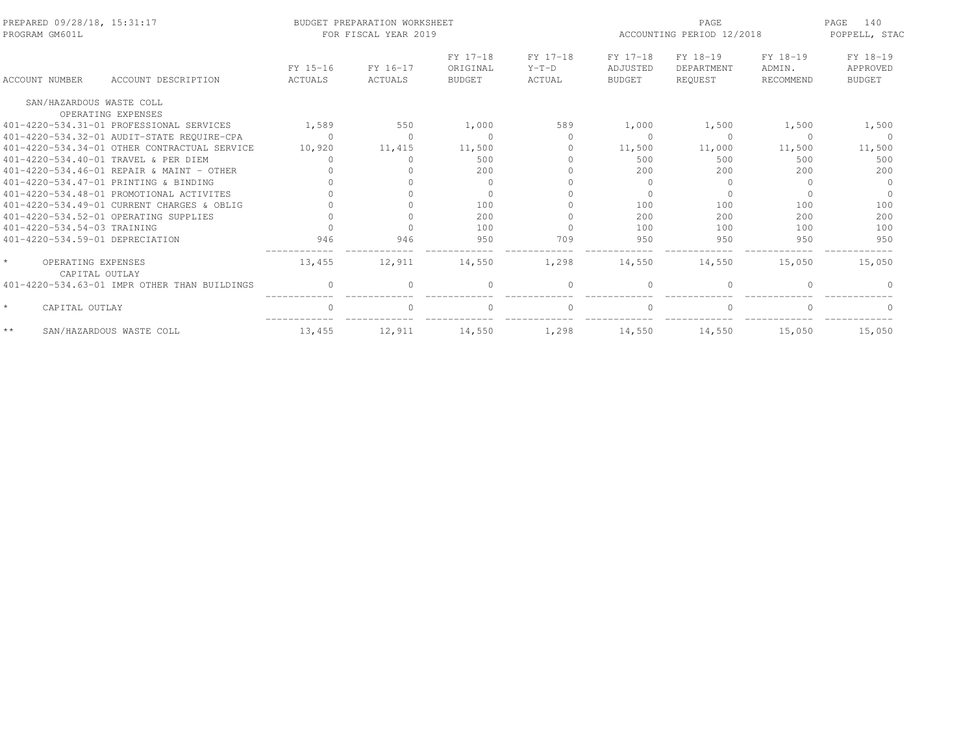| PREPARED 09/28/18, 15:31:17<br>PROGRAM GM601L   |                                              |          | BUDGET PREPARATION WORKSHEET<br>FOR FISCAL YEAR 2019 |                      |                     | PAGE<br>ACCOUNTING PERIOD 12/2018 |                        |                    | 140<br>PAGE<br>POPPELL, STAC |  |
|-------------------------------------------------|----------------------------------------------|----------|------------------------------------------------------|----------------------|---------------------|-----------------------------------|------------------------|--------------------|------------------------------|--|
|                                                 |                                              | FY 15-16 | FY 16-17                                             | FY 17-18<br>ORIGINAL | FY 17-18<br>$Y-T-D$ | FY 17-18<br>ADJUSTED              | FY 18-19<br>DEPARTMENT | FY 18-19<br>ADMIN. | FY 18-19<br>APPROVED         |  |
| ACCOUNT NUMBER                                  | ACCOUNT DESCRIPTION                          | ACTUALS  | ACTUALS                                              | BUDGET               | ACTUAL              | BUDGET                            | REQUEST                | RECOMMEND          | BUDGET                       |  |
| SAN/HAZARDOUS WASTE COLL                        | OPERATING EXPENSES                           |          |                                                      |                      |                     |                                   |                        |                    |                              |  |
|                                                 | 401-4220-534.31-01 PROFESSIONAL SERVICES     | 1,589    | 550                                                  | 1,000                | 589                 | 1,000                             | 1,500                  | 1,500              | 1,500                        |  |
|                                                 | 401-4220-534.32-01 AUDIT-STATE REQUIRE-CPA   | $\Omega$ |                                                      | $\Omega$             | $\Omega$            |                                   | $\Omega$               | $\Omega$           | - 0                          |  |
|                                                 | 401-4220-534.34-01 OTHER CONTRACTUAL SERVICE | 10,920   | 11,415                                               | 11,500               | $\Omega$            | 11,500                            | 11,000                 | 11,500             | 11,500                       |  |
|                                                 | 401-4220-534.40-01 TRAVEL & PER DIEM         |          |                                                      | 500                  |                     | 500                               | 500                    | 500                | 500                          |  |
|                                                 | 401-4220-534.46-01 REPAIR & MAINT - OTHER    |          |                                                      | 200                  |                     | 200                               | 200                    | 200                | 200                          |  |
|                                                 | 401-4220-534.47-01 PRINTING & BINDING        |          |                                                      |                      |                     | $\Omega$                          | $\Omega$               | $\Omega$           | $\Omega$                     |  |
|                                                 | 401-4220-534.48-01 PROMOTIONAL ACTIVITES     |          |                                                      |                      |                     |                                   | $\Omega$               |                    | $\Omega$                     |  |
|                                                 | 401-4220-534.49-01 CURRENT CHARGES & OBLIG   |          |                                                      | 100                  |                     | 100                               | 100                    | 100                | 100                          |  |
|                                                 | 401-4220-534.52-01 OPERATING SUPPLIES        |          |                                                      | 200                  |                     | 200                               | 200                    | 200                | 200                          |  |
| 401-4220-534.54-03 TRAINING                     |                                              |          |                                                      | 100                  |                     | 100                               | 100                    | 100                | 100                          |  |
| 401-4220-534.59-01 DEPRECIATION                 |                                              | 946      | 946                                                  | 950                  | 709                 | 950                               | 950                    | 950                | 950                          |  |
| $\star$<br>OPERATING EXPENSES<br>CAPITAL OUTLAY |                                              | 13,455   | 12,911                                               | 14,550               | 1,298               | 14,550                            | 14,550                 | 15,050             | 15,050                       |  |
|                                                 | 401-4220-534.63-01 IMPR OTHER THAN BUILDINGS |          |                                                      |                      |                     |                                   |                        |                    |                              |  |
| $\star$<br>CAPITAL OUTLAY                       |                                              |          | $\Omega$                                             |                      | $\circ$             |                                   | $\circ$                | $\Omega$           |                              |  |
| $\star\star$                                    | SAN/HAZARDOUS WASTE COLL                     | 13,455   | 12,911                                               | 14,550               | 1,298               | 14,550                            | 14,550                 | 15,050             | 15,050                       |  |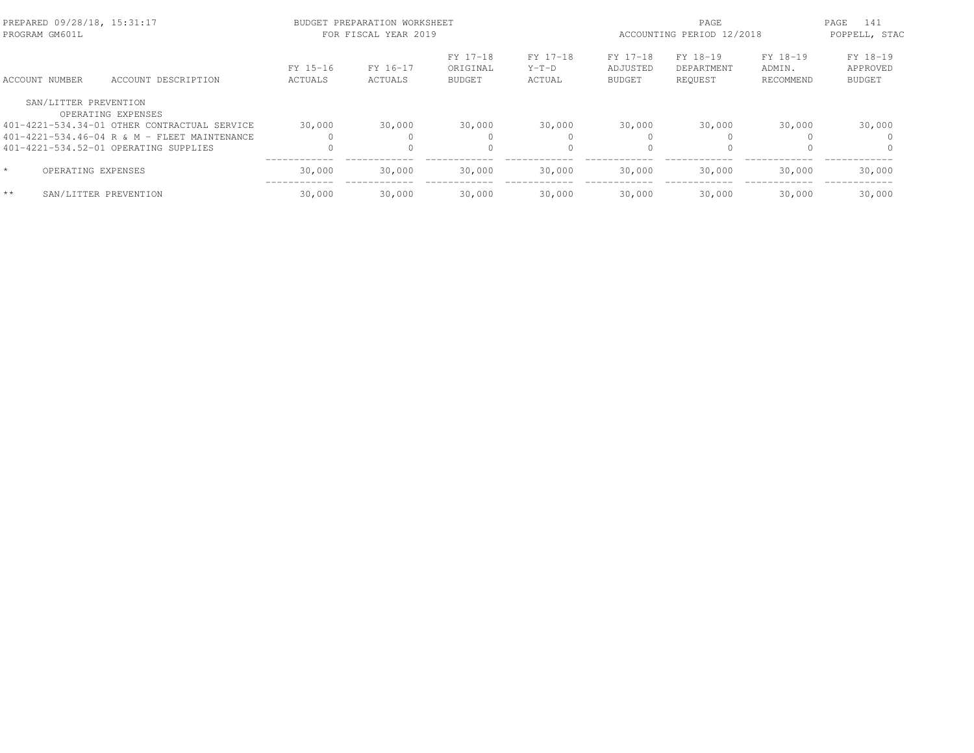| PREPARED 09/28/18, 15:31:17<br>PROGRAM GM601L |                                                |                     | BUDGET PREPARATION WORKSHEET<br>FOR FISCAL YEAR 2019 |                                       |                               | PAGE<br>ACCOUNTING PERIOD 12/2018     |                                   |                                 | PAGE<br>141<br>POPPELL, STAC          |  |
|-----------------------------------------------|------------------------------------------------|---------------------|------------------------------------------------------|---------------------------------------|-------------------------------|---------------------------------------|-----------------------------------|---------------------------------|---------------------------------------|--|
| ACCOUNT NUMBER                                | ACCOUNT DESCRIPTION                            | FY 15-16<br>ACTUALS | FY 16-17<br>ACTUALS                                  | FY 17-18<br>ORIGINAL<br><b>BUDGET</b> | FY 17-18<br>$Y-T-D$<br>ACTUAL | FY 17-18<br>ADJUSTED<br><b>BUDGET</b> | FY 18-19<br>DEPARTMENT<br>REQUEST | FY 18-19<br>ADMIN.<br>RECOMMEND | FY 18-19<br>APPROVED<br><b>BUDGET</b> |  |
| SAN/LITTER PREVENTION                         | OPERATING EXPENSES                             |                     |                                                      |                                       |                               |                                       |                                   |                                 |                                       |  |
|                                               | 401-4221-534.34-01 OTHER CONTRACTUAL SERVICE   | 30,000              | 30,000                                               | 30,000                                | 30,000                        | 30,000                                | 30,000                            | 30,000                          | 30,000                                |  |
|                                               | $401-4221-534.46-04$ R & M - FLEET MAINTENANCE |                     |                                                      | $\Omega$                              |                               | $\bigcap$                             |                                   |                                 | $\Omega$                              |  |
|                                               | 401-4221-534.52-01 OPERATING SUPPLIES          | $\Omega$            |                                                      | $\Omega$                              |                               | $\Omega$                              |                                   |                                 | $\Omega$                              |  |
| $\star$<br>OPERATING EXPENSES                 |                                                | 30,000              | 30,000                                               | 30,000                                | 30,000                        | 30,000                                | 30,000                            | 30,000                          | 30,000                                |  |
| $**$                                          | SAN/LITTER PREVENTION                          | 30,000              | 30,000                                               | 30,000                                | 30,000                        | 30,000                                | 30,000                            | 30,000                          | 30,000                                |  |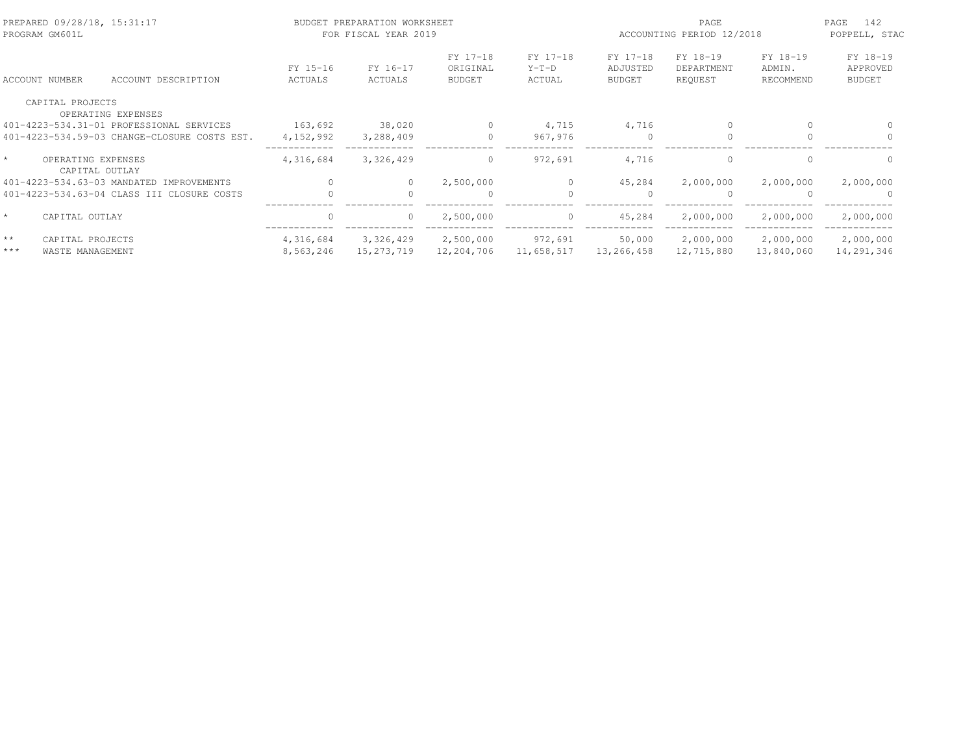| PREPARED 09/28/18, 15:31:17<br>PROGRAM GM601L   |                     | BUDGET PREPARATION WORKSHEET<br>FOR FISCAL YEAR 2019 |                     |                                       | PAGE<br>ACCOUNTING PERIOD 12/2018 |                                       |                                   | PAGE<br>142<br>POPPELL, STAC    |                                       |
|-------------------------------------------------|---------------------|------------------------------------------------------|---------------------|---------------------------------------|-----------------------------------|---------------------------------------|-----------------------------------|---------------------------------|---------------------------------------|
| ACCOUNT NUMBER                                  | ACCOUNT DESCRIPTION | FY 15-16<br>ACTUALS                                  | FY 16-17<br>ACTUALS | FY 17-18<br>ORIGINAL<br><b>BUDGET</b> | FY 17-18<br>$Y-T-D$<br>ACTUAL     | FY 17-18<br>ADJUSTED<br><b>BUDGET</b> | FY 18-19<br>DEPARTMENT<br>REQUEST | FY 18-19<br>ADMIN.<br>RECOMMEND | FY 18-19<br>APPROVED<br><b>BUDGET</b> |
| CAPITAL PROJECTS                                |                     |                                                      |                     |                                       |                                   |                                       |                                   |                                 |                                       |
| OPERATING EXPENSES                              |                     |                                                      |                     |                                       |                                   |                                       |                                   |                                 |                                       |
| 401-4223-534.31-01 PROFESSIONAL SERVICES        |                     | 163,692                                              | 38,020              | $\Omega$                              | 4,715                             | 4,716                                 | $\mathbf{0}$                      |                                 |                                       |
| 401-4223-534.59-03 CHANGE-CLOSURE COSTS EST.    |                     | 4,152,992                                            | 3,288,409           | $\Omega$                              | 967,976                           | $\Omega$                              | $\Omega$                          |                                 |                                       |
| $\star$<br>OPERATING EXPENSES<br>CAPITAL OUTLAY |                     | 4,316,684                                            | 3,326,429           | $\circ$                               | 972,691                           | 4,716                                 | $\mathbf{0}$                      | $\Omega$                        | $\Omega$                              |
| 401-4223-534.63-03 MANDATED IMPROVEMENTS        |                     |                                                      |                     | 2,500,000                             | $\bigcap$                         | 45,284                                | 2,000,000                         | 2,000,000                       | 2,000,000                             |
| 401-4223-534.63-04 CLASS III CLOSURE COSTS      |                     |                                                      |                     | $\Omega$                              |                                   |                                       | $\Omega$                          |                                 | $\cap$                                |
| $\star$<br>CAPITAL OUTLAY                       |                     | $\Omega$                                             | $\circ$             | 2,500,000                             | $\circ$                           | 45,284                                | 2,000,000                         | 2,000,000                       | 2,000,000                             |
| $* *$<br>CAPITAL PROJECTS                       |                     | 4,316,684                                            | 3,326,429           | 2,500,000                             | 972,691                           | 50,000                                | 2,000,000                         | 2,000,000                       | 2,000,000                             |
| $***$<br>WASTE MANAGEMENT                       |                     | 8,563,246                                            | 15, 273, 719        | 12,204,706                            | 11,658,517                        | 13,266,458                            | 12,715,880                        | 13,840,060                      | 14,291,346                            |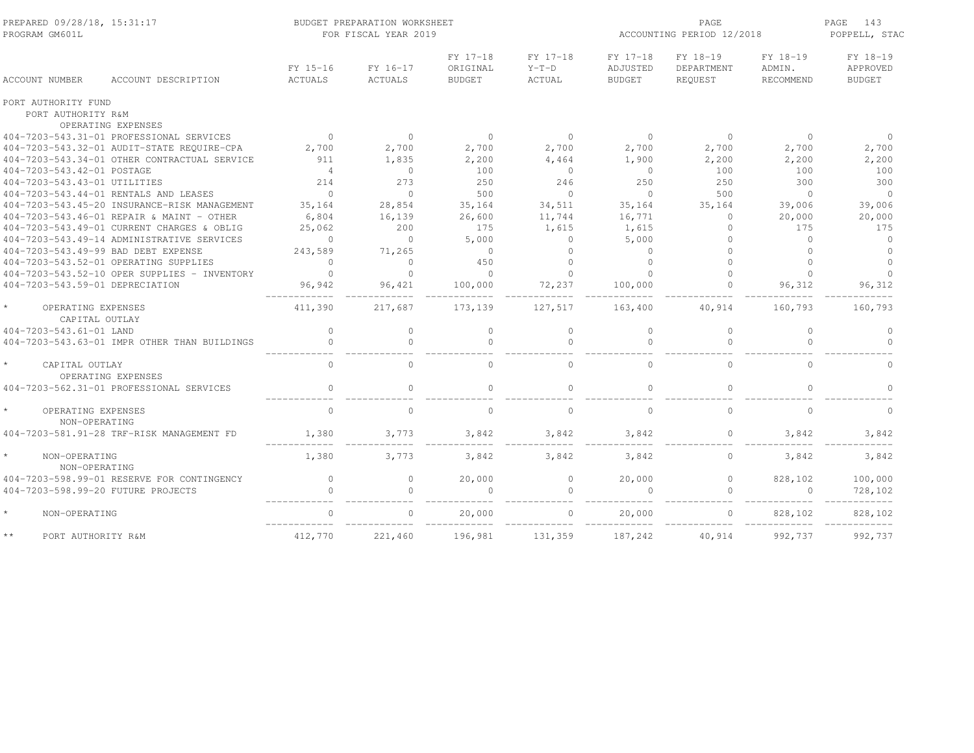| PREPARED 09/28/18, 15:31:17<br>PROGRAM GM601L   |                                              | BUDGET PREPARATION WORKSHEET<br>FOR FISCAL YEAR 2019 |                     |                                       |                               |                                       | PAGE<br>ACCOUNTING PERIOD 12/2018 |                                 |                                       |  |
|-------------------------------------------------|----------------------------------------------|------------------------------------------------------|---------------------|---------------------------------------|-------------------------------|---------------------------------------|-----------------------------------|---------------------------------|---------------------------------------|--|
| ACCOUNT NUMBER                                  | ACCOUNT DESCRIPTION                          | FY 15-16<br>ACTUALS                                  | FY 16-17<br>ACTUALS | FY 17-18<br>ORIGINAL<br><b>BUDGET</b> | FY 17-18<br>$Y-T-D$<br>ACTUAL | FY 17-18<br>ADJUSTED<br><b>BUDGET</b> | FY 18-19<br>DEPARTMENT<br>REQUEST | FY 18-19<br>ADMIN.<br>RECOMMEND | FY 18-19<br>APPROVED<br><b>BUDGET</b> |  |
| PORT AUTHORITY FUND                             |                                              |                                                      |                     |                                       |                               |                                       |                                   |                                 |                                       |  |
| PORT AUTHORITY R&M                              |                                              |                                                      |                     |                                       |                               |                                       |                                   |                                 |                                       |  |
| OPERATING EXPENSES                              |                                              |                                                      |                     |                                       |                               |                                       |                                   |                                 |                                       |  |
| 404-7203-543.31-01 PROFESSIONAL SERVICES        |                                              | $\overline{0}$                                       | $\circ$             | $\circ$                               | $\overline{0}$                | $\overline{0}$                        | $\circ$                           | $\overline{0}$                  | $\Omega$                              |  |
| 404-7203-543.32-01 AUDIT-STATE REQUIRE-CPA      |                                              | 2,700                                                | 2,700               | 2,700                                 | 2,700                         | 2,700                                 | 2,700                             | 2,700                           | 2,700                                 |  |
|                                                 | 404-7203-543.34-01 OTHER CONTRACTUAL SERVICE | 911                                                  | 1,835               | 2,200                                 | 4,464                         | 1,900                                 | 2,200                             | 2,200                           | 2,200                                 |  |
| 404-7203-543.42-01 POSTAGE                      |                                              | $\overline{4}$                                       | $\Omega$            | 100                                   | $\circ$                       | $\bigcirc$                            | 100                               | 100                             | 100                                   |  |
| 404-7203-543.43-01 UTILITIES                    |                                              | 214                                                  | 273                 | 250                                   | 246                           | 250                                   | 250                               | 300                             | 300                                   |  |
| 404-7203-543.44-01 RENTALS AND LEASES           |                                              | $\Omega$                                             | $\Omega$            | 500                                   | $\Omega$                      | $\Omega$                              | 500                               | $\Omega$                        | $\Omega$                              |  |
|                                                 | 404-7203-543.45-20 INSURANCE-RISK MANAGEMENT | 35,164                                               | 28,854              | 35,164                                | 34,511                        | 35,164                                | 35,164                            | 39,006                          | 39,006                                |  |
| 404-7203-543.46-01 REPAIR & MAINT - OTHER       |                                              | 6,804                                                | 16,139              | 26,600                                | 11,744                        | 16,771                                | $\circ$                           | 20,000                          | 20,000                                |  |
| 404-7203-543.49-01 CURRENT CHARGES & OBLIG      |                                              | 25,062                                               | 200                 | 175                                   | 1,615                         | 1,615                                 | $\circ$                           | 175                             | 175                                   |  |
| 404-7203-543.49-14 ADMINISTRATIVE SERVICES      |                                              | $\mathbf{0}$                                         | $\circ$             | 5,000                                 | $\circ$                       | 5,000                                 | $\Omega$                          | $\Omega$                        | $\circ$                               |  |
| 404-7203-543.49-99 BAD DEBT EXPENSE             |                                              | 243,589                                              | 71,265              | $\Omega$                              | $\Omega$                      | $\Omega$                              |                                   | $\Omega$                        | $\Omega$                              |  |
| 404-7203-543.52-01 OPERATING SUPPLIES           |                                              | $\circ$                                              | $\Omega$            | 450                                   | $\Omega$                      | $\Omega$                              | $\cap$                            | $\cap$                          | $\Omega$                              |  |
|                                                 | 404-7203-543.52-10 OPER SUPPLIES - INVENTORY | $\Omega$                                             | $\Omega$            | $\Omega$                              | $\Omega$                      |                                       |                                   | $\Omega$                        | $\circ$                               |  |
| 404-7203-543.59-01 DEPRECIATION                 |                                              | 96,942                                               | 96,421              | 100,000                               | 72,237                        | 100,000                               |                                   | 96,312                          | 96,312                                |  |
| OPERATING EXPENSES<br>CAPITAL OUTLAY            |                                              | 411,390                                              | 217,687             | 173,139                               | 127,517                       | 163,400                               | 40,914                            | 160,793                         | 160,793                               |  |
| 404-7203-543.61-01 LAND                         |                                              | $\mathbf{0}$                                         | $\circ$             | $\Omega$                              | $\circ$                       | $\Omega$                              | $\mathbf{0}$                      | $\Omega$                        | $\circ$                               |  |
|                                                 | 404-7203-543.63-01 IMPR OTHER THAN BUILDINGS | $\mathbf{0}$                                         | $\circ$             | $\Omega$                              | $\circ$                       | $\Omega$                              | $\Omega$                          | $\Omega$                        | $\Omega$                              |  |
| $\star$<br>CAPITAL OUTLAY<br>OPERATING EXPENSES |                                              | $\mathbf{0}$                                         | $\circ$             | $\Omega$                              | $\circ$                       | $\Omega$                              | $\mathbf{0}$                      | $\Omega$                        | $\Omega$                              |  |
| 404-7203-562.31-01 PROFESSIONAL SERVICES        |                                              | $\Omega$                                             | $\Omega$            | $\Omega$                              | $\bigcap$                     | $\Omega$                              | $\Omega$                          | $\Omega$                        | $\Omega$                              |  |
| $\star$<br>OPERATING EXPENSES<br>NON-OPERATING  |                                              | $\mathbf{0}$                                         | $\Omega$            | $\Omega$                              | $\mathbf{0}$                  | $\Omega$                              | $\circ$                           | $\Omega$                        | $\Omega$                              |  |
| 404-7203-581.91-28 TRF-RISK MANAGEMENT FD       |                                              | 1,380                                                | 3,773               | 3,842                                 | 3,842                         | 3,842                                 | $\mathbf{0}$                      | 3,842                           | 3,842                                 |  |
| $\star$<br>NON-OPERATING<br>NON-OPERATING       |                                              | 1,380                                                | 3,773               | 3,842                                 | 3,842                         | 3,842                                 | $\circ$                           | 3,842                           | 3,842                                 |  |
| 404-7203-598.99-01 RESERVE FOR CONTINGENCY      |                                              | $\circ$                                              | 0                   | 20,000                                | $\circ$                       | 20,000                                | $\circ$                           | 828,102                         | 100,000                               |  |
| 404-7203-598.99-20 FUTURE PROJECTS              |                                              | $\Omega$                                             | $\Omega$            | $\Omega$                              | $\cap$                        |                                       | $\Omega$                          |                                 | 728,102                               |  |
| $\star$<br>NON-OPERATING                        |                                              | $\cap$                                               | $\Omega$            | 20,000                                | $\Omega$                      | 20,000                                | $\bigcap$                         | 828,102                         | 828,102                               |  |
| $\star\star$<br>PORT AUTHORITY R&M              |                                              | 412,770                                              | 221,460             | 196,981                               | 131,359                       | 187,242                               | 40,914                            | 992,737                         | 992,737                               |  |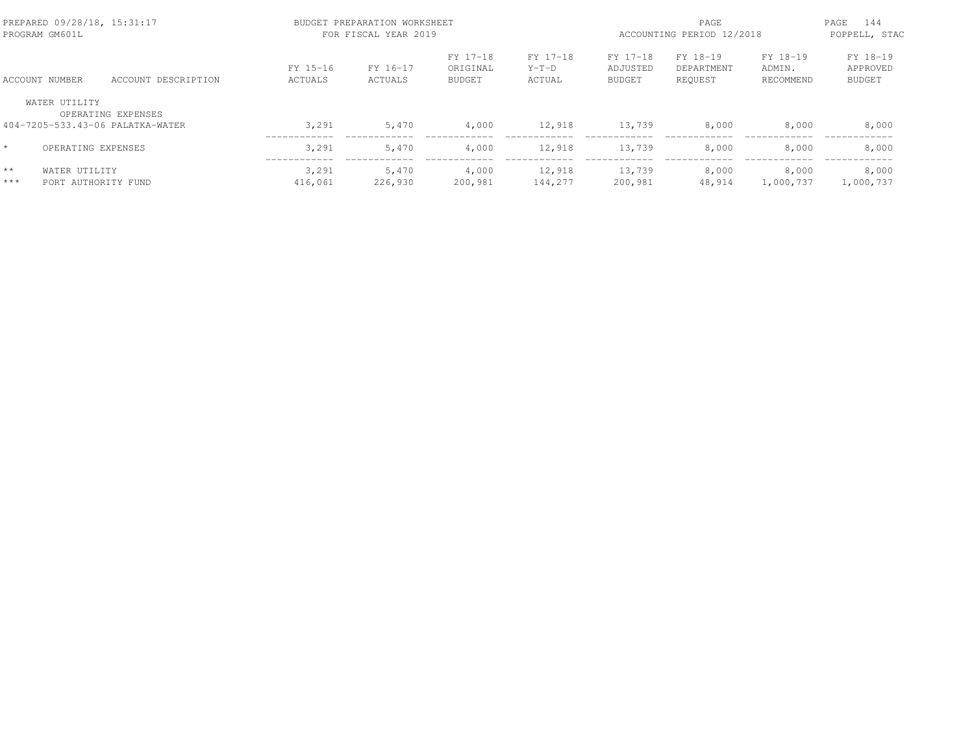|               | PREPARED 09/28/18, 15:31:17<br>PROGRAM GM601L |                                                        |                     | BUDGET PREPARATION WORKSHEET<br>FOR FISCAL YEAR 2019 |                                       | ACCOUNTING PERIOD 12/2018     | 144<br>PAGE<br>POPPELL, STAC   |                                   |                                 |                                       |
|---------------|-----------------------------------------------|--------------------------------------------------------|---------------------|------------------------------------------------------|---------------------------------------|-------------------------------|--------------------------------|-----------------------------------|---------------------------------|---------------------------------------|
|               | ACCOUNT NUMBER                                | ACCOUNT DESCRIPTION                                    | FY 15-16<br>ACTUALS | FY 16-17<br>ACTUALS                                  | FY 17-18<br>ORIGINAL<br><b>BUDGET</b> | FY 17-18<br>$Y-T-D$<br>ACTUAL | FY 17-18<br>ADJUSTED<br>BUDGET | FY 18-19<br>DEPARTMENT<br>REQUEST | FY 18-19<br>ADMIN.<br>RECOMMEND | FY 18-19<br>APPROVED<br><b>BUDGET</b> |
|               | WATER UTILITY                                 | OPERATING EXPENSES<br>404-7205-533.43-06 PALATKA-WATER | 3,291               | 5,470                                                | 4,000                                 | 12,918                        | 13,739                         | 8,000                             | 8,000                           | 8,000                                 |
|               | OPERATING EXPENSES                            |                                                        | 3,291               | 5,470                                                | 4,000                                 | 12,918                        | 13,739                         | 8,000                             | 8,000                           | 8,000                                 |
| $**$<br>$***$ | WATER UTILITY<br>PORT AUTHORITY FUND          |                                                        | 3,291<br>416,061    | 5,470<br>226,930                                     | 4,000<br>200,981                      | 12,918<br>144,277             | 13,739<br>200,981              | 8,000<br>48,914                   | 8,000<br>1,000,737              | 8,000<br>1,000,737                    |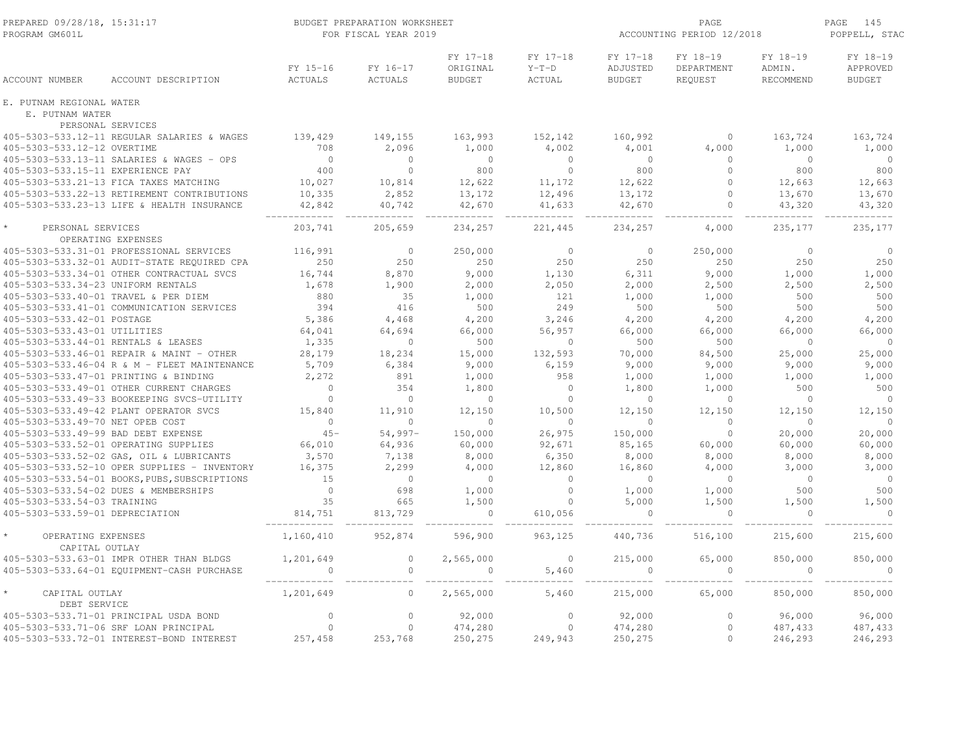| PREPARED 09/28/18, 15:31:17<br>PROGRAM GM601L |                                               |                                     | BUDGET PREPARATION WORKSHEET<br>FOR FISCAL YEAR 2019 |                                       | ACCOUNTING PERIOD 12/2018            | PAGE<br>145<br>POPPELL, STAC          |                                   |                                 |                                       |
|-----------------------------------------------|-----------------------------------------------|-------------------------------------|------------------------------------------------------|---------------------------------------|--------------------------------------|---------------------------------------|-----------------------------------|---------------------------------|---------------------------------------|
| <b>ACCOUNT NUMBER</b>                         | ACCOUNT DESCRIPTION                           | FY 15-16<br>ACTUALS                 | FY 16-17<br>ACTUALS                                  | FY 17-18<br>ORIGINAL<br><b>BUDGET</b> | FY 17-18<br>$Y-T-D$<br><b>ACTUAL</b> | FY 17-18<br>ADJUSTED<br><b>BUDGET</b> | FY 18-19<br>DEPARTMENT<br>REQUEST | FY 18-19<br>ADMIN.<br>RECOMMEND | FY 18-19<br>APPROVED<br><b>BUDGET</b> |
| E. PUTNAM REGIONAL WATER<br>E. PUTNAM WATER   |                                               |                                     |                                                      |                                       |                                      |                                       |                                   |                                 |                                       |
| PERSONAL SERVICES                             |                                               |                                     |                                                      |                                       |                                      |                                       |                                   |                                 |                                       |
|                                               | 405-5303-533.12-11 REGULAR SALARIES & WAGES   | 139,429                             | 149,155                                              | 163,993                               | 152,142                              | 160,992                               | $\circ$                           | 163,724                         | 163,724                               |
| 405-5303-533.12-12 OVERTIME                   |                                               | 708                                 | 2,096                                                | 1,000                                 | 4,002                                | 4,001                                 | 4,000                             | 1,000                           | 1,000                                 |
|                                               | 405-5303-533.13-11 SALARIES & WAGES - OPS     |                                     | $\overline{0}$                                       | $\overline{0}$                        | $\overline{0}$                       | $\overline{0}$                        | $\circ$                           | $\overline{0}$                  | $\overline{0}$                        |
| 405-5303-533.15-11 EXPERIENCE PAY             |                                               | $\begin{array}{c}0\\400\end{array}$ | $\bigcirc$                                           | 800                                   | $\overline{0}$                       | 800                                   | $\Omega$                          | 800                             | 800                                   |
|                                               | 405-5303-533.21-13 FICA TAXES MATCHING        | 10,027                              | 10,814                                               | 12,622                                | 11,172                               | 12,622                                | $\mathbf{0}$                      | 12,663                          | 12,663                                |
|                                               | 405-5303-533.22-13 RETIREMENT CONTRIBUTIONS   | 10,335                              | 2,852                                                | 13,172                                | 12,496                               | 13,172                                | $\circ$                           | 13,670                          | 13,670                                |
|                                               | 405-5303-533.23-13 LIFE & HEALTH INSURANCE    | 42,842<br>____________              | 40,742                                               | 42,670<br>-------------               | 41,633<br>___________                | 42,670<br>_________                   | $\circ$                           | 43,320<br>---------             | 43,320<br>--------                    |
| PERSONAL SERVICES                             |                                               | 203,741                             | 205,659                                              | 234,257                               | 221,445                              | 234,257                               | 4,000                             | 235, 177                        | 235,177                               |
|                                               | OPERATING EXPENSES                            |                                     |                                                      |                                       |                                      |                                       |                                   |                                 |                                       |
|                                               | 405-5303-533.31-01 PROFESSIONAL SERVICES      | 116,991                             | $\overline{0}$                                       | 250,000                               | $\overline{0}$                       | $\overline{0}$                        | 250,000                           | $\bigcirc$                      | $\circ$                               |
|                                               | 405-5303-533.32-01 AUDIT-STATE REQUIRED CPA   | 250                                 | 250                                                  | 250                                   | 250                                  | 250                                   | 250                               | 250                             | 250                                   |
|                                               | 405-5303-533.34-01 OTHER CONTRACTUAL SVCS     | 16,744                              | 8,870                                                | 9,000                                 | 1,130                                | 6,311                                 | 9,000                             | 1,000                           | 1,000                                 |
| 405-5303-533.34-23 UNIFORM RENTALS            |                                               | 1,678                               | 1,900                                                | 2,000                                 | 2,050                                | 2,000                                 | 2,500                             | 2,500                           | 2,500                                 |
| 405-5303-533.40-01 TRAVEL & PER DIEM          |                                               | 880                                 | 35                                                   | 1,000                                 | 121                                  | 1,000                                 | 1,000                             | 500                             | 500                                   |
|                                               | 405-5303-533.41-01 COMMUNICATION SERVICES     | 394                                 | 416                                                  | 500                                   | 249                                  | 500                                   | 500                               | 500                             | 500                                   |
| 405-5303-533.42-01 POSTAGE                    |                                               | 5,386                               | 4,468                                                | 4,200                                 | 3,246                                | 4,200                                 | 4,200                             | 4,200                           | 4,200                                 |
| 405-5303-533.43-01 UTILITIES                  |                                               | 64,041                              | 64,694                                               | 66,000                                | 56,957                               | 66,000                                | 66,000                            | 66,000                          | 66,000                                |
| 405-5303-533.44-01 RENTALS & LEASES           |                                               | 1,335                               | $\circ$                                              | 500                                   | $\circ$                              | 500                                   | 500                               | $\circ$                         | $\circ$                               |
|                                               | 405-5303-533.46-01 REPAIR & MAINT - OTHER     | 28,179                              | 18,234                                               | 15,000                                | 132,593                              | 70,000                                | 84,500                            | 25,000                          | 25,000                                |
|                                               | 405-5303-533.46-04 R & M - FLEET MAINTENANCE  | 5,709                               | 6,384                                                | 9,000                                 | 6,159                                | 9,000                                 | 9,000                             | 9,000                           | 9,000                                 |
|                                               | 405-5303-533.47-01 PRINTING & BINDING         | 2,272                               | 891                                                  | 1,000                                 | 958                                  | 1,000                                 | 1,000                             | 1,000                           | 1,000                                 |
|                                               | 405-5303-533.49-01 OTHER CURRENT CHARGES      | $\overline{0}$                      | 354                                                  | 1,800                                 | $\Omega$                             | 1,800                                 | 1,000                             | 500                             | 500                                   |
|                                               | 405-5303-533.49-33 BOOKEEPING SVCS-UTILITY    | $\Omega$                            | $\bigcirc$                                           | $\bigcirc$                            | $\Omega$                             | $\bigcirc$                            | $\Omega$                          | $\bigcirc$                      | $\bigcirc$                            |
|                                               | 405-5303-533.49-42 PLANT OPERATOR SVCS        | 15,840                              | 11,910                                               | 12,150                                | 10,500                               | 12,150                                | 12,150                            | 12,150                          | 12,150                                |
| 405-5303-533.49-70 NET OPEB COST              |                                               | $\overline{0}$                      | $\overline{0}$                                       | $\overline{0}$                        | $\mathbf{0}$                         | $\bigcirc$                            | $\circ$                           | $\overline{0}$                  | $\overline{0}$                        |
| 405-5303-533.49-99 BAD DEBT EXPENSE           |                                               | $45-$                               | $54,997-$                                            | 150,000                               | 26,975                               | 150,000                               | $\circ$                           | 20,000                          | 20,000                                |
|                                               | 405-5303-533.52-01 OPERATING SUPPLIES         | 66,010                              | 64,936                                               | 60,000                                | 92,671                               | 85,165                                | 60,000                            | 60,000                          | 60,000                                |
|                                               | 405-5303-533.52-02 GAS, OIL & LUBRICANTS      | 3,570                               | 7,138                                                | 8,000                                 | 6,350                                | 8,000                                 | 8,000                             | 8,000                           | 8,000                                 |
|                                               | 405-5303-533.52-10 OPER SUPPLIES - INVENTORY  | 16,375                              | 2,299                                                | 4,000                                 | 12,860                               | 16,860                                | 4,000                             | 3,000                           | 3,000                                 |
|                                               | 405-5303-533.54-01 BOOKS, PUBS, SUBSCRIPTIONS | 15                                  | $\overline{0}$                                       | $\overline{0}$                        | $\Omega$                             | $\bigcirc$                            | $\circ$                           | $\overline{0}$                  | $\overline{0}$                        |
|                                               | 405-5303-533.54-02 DUES & MEMBERSHIPS         | $\overline{0}$<br>$\frac{1}{35}$    | 698                                                  | 1,000                                 | $\circ$                              | 1,000                                 | 1,000                             | 500                             | 500                                   |
| 405-5303-533.54-03 TRAINING                   |                                               |                                     | 665                                                  | 1,500                                 | $\circ$                              | 5,000                                 | 1,500                             | 1,500                           | 1,500                                 |
| 405-5303-533.59-01 DEPRECIATION               |                                               | 814,751                             | 813,729                                              | $\overline{0}$                        | 610,056                              | $\overline{0}$                        | $\overline{0}$                    | $\overline{0}$                  | $\bigcirc$                            |
| OPERATING EXPENSES<br>CAPITAL OUTLAY          |                                               | 1,160,410                           | 952,874                                              | 596,900                               | 963,125                              | 440,736                               | 516,100                           | 215,600                         | 215,600                               |
|                                               | 405-5303-533.63-01 IMPR OTHER THAN BLDGS      | 1,201,649                           | $\circ$                                              | 2,565,000                             | $\circ$                              | 215,000                               | 65,000                            | 850,000                         | 850,000                               |
|                                               | 405-5303-533.64-01 EQUIPMENT-CASH PURCHASE    |                                     | $\circ$                                              | $\circ$                               | 5,460                                | $\overline{0}$                        | $\mathbf{0}$                      | $\overline{0}$                  | $\bigcirc$                            |
| CAPITAL OUTLAY<br>DEBT SERVICE                |                                               | 1,201,649                           | $\circ$                                              | 2,565,000                             | 5,460                                | 215,000                               | 65,000                            | 850,000                         | 850,000                               |
|                                               | 405-5303-533.71-01 PRINCIPAL USDA BOND        | $\circ$                             | $\circ$                                              | 92,000                                | $\mathbf 0$                          | 92,000                                | $\mathbf{0}$                      | 96,000                          | 96,000                                |
|                                               | 405-5303-533.71-06 SRF LOAN PRINCIPAL         | $\Omega$                            | $\circ$                                              | 474,280                               | $\overline{0}$                       | 474,280                               | $\circ$                           | 487,433                         | 487,433                               |
|                                               | 405-5303-533.72-01 INTEREST-BOND INTEREST     | 257,458                             | 253,768                                              | 250,275                               | 249,943                              | 250,275                               | $\circ$                           | 246,293                         | 246,293                               |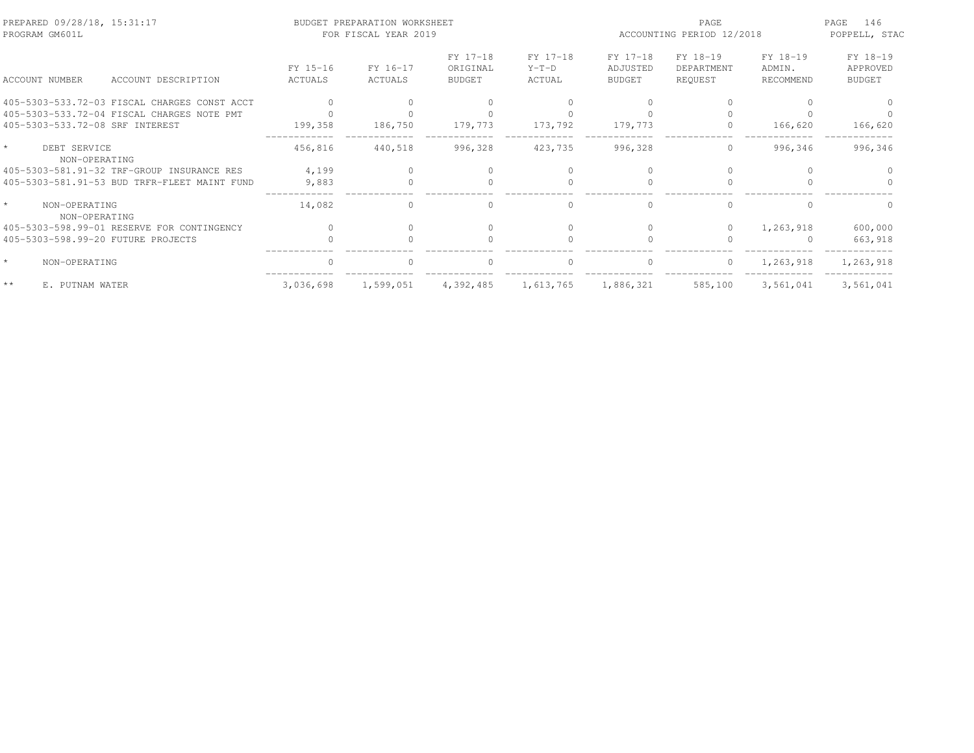| PREPARED 09/28/18, 15:31:17<br>PROGRAM GM601L                                 |                     | BUDGET PREPARATION WORKSHEET<br>FOR FISCAL YEAR 2019 |                                       |                               | PAGE<br>ACCOUNTING PERIOD 12/2018     |                                   |                                 | 146<br>PAGE<br>POPPELL, STAC          |
|-------------------------------------------------------------------------------|---------------------|------------------------------------------------------|---------------------------------------|-------------------------------|---------------------------------------|-----------------------------------|---------------------------------|---------------------------------------|
| ACCOUNT NUMBER<br>ACCOUNT DESCRIPTION                                         | FY 15-16<br>ACTUALS | FY 16-17<br>ACTUALS                                  | FY 17-18<br>ORIGINAL<br><b>BUDGET</b> | FY 17-18<br>$Y-T-D$<br>ACTUAL | FY 17-18<br>ADJUSTED<br><b>BUDGET</b> | FY 18-19<br>DEPARTMENT<br>REQUEST | FY 18-19<br>ADMIN.<br>RECOMMEND | FY 18-19<br>APPROVED<br><b>BUDGET</b> |
| 405-5303-533.72-03 FISCAL CHARGES CONST ACCT                                  |                     |                                                      |                                       |                               |                                       |                                   |                                 |                                       |
| 405-5303-533.72-04 FISCAL CHARGES NOTE PMT<br>405-5303-533.72-08 SRF INTEREST | 199,358             | 186,750                                              | 179,773                               | 173,792                       | 179,773                               | 0                                 | 166,620                         | 166,620                               |
| DEBT SERVICE<br>NON-OPERATING                                                 | 456,816             | 440,518                                              | 996,328                               | 423,735                       | 996,328                               | $\circ$                           | 996,346                         | 996,346                               |
| 405-5303-581.91-32 TRF-GROUP INSURANCE RES                                    | 4,199               |                                                      |                                       |                               |                                       |                                   |                                 |                                       |
| 405-5303-581.91-53 BUD TRFR-FLEET MAINT FUND                                  | 9,883               |                                                      |                                       |                               |                                       |                                   |                                 |                                       |
| NON-OPERATING<br>NON-OPERATING                                                | 14,082              |                                                      | $\cap$                                | $\Omega$                      | $\cap$                                |                                   | $\cap$                          |                                       |
| 405-5303-598.99-01 RESERVE FOR CONTINGENCY                                    | $\bigcap$           |                                                      |                                       | $\Omega$                      | $\bigcap$                             | $\Omega$                          | 1,263,918                       | 600,000                               |
| 405-5303-598.99-20 FUTURE PROJECTS                                            |                     |                                                      | $\cap$                                | $\cap$                        |                                       | $\cap$                            | <sup>0</sup>                    | 663,918                               |
| NON-OPERATING                                                                 | $\cap$              | $\Omega$                                             | $\Omega$                              | $\circ$                       | $\Omega$                              | $\circ$                           | 1,263,918                       | 1,263,918                             |
| $**$<br>E. PUTNAM WATER                                                       | 3,036,698           | 1,599,051                                            | 4,392,485                             | 1,613,765                     | 1,886,321                             | 585,100                           | 3,561,041                       | 3,561,041                             |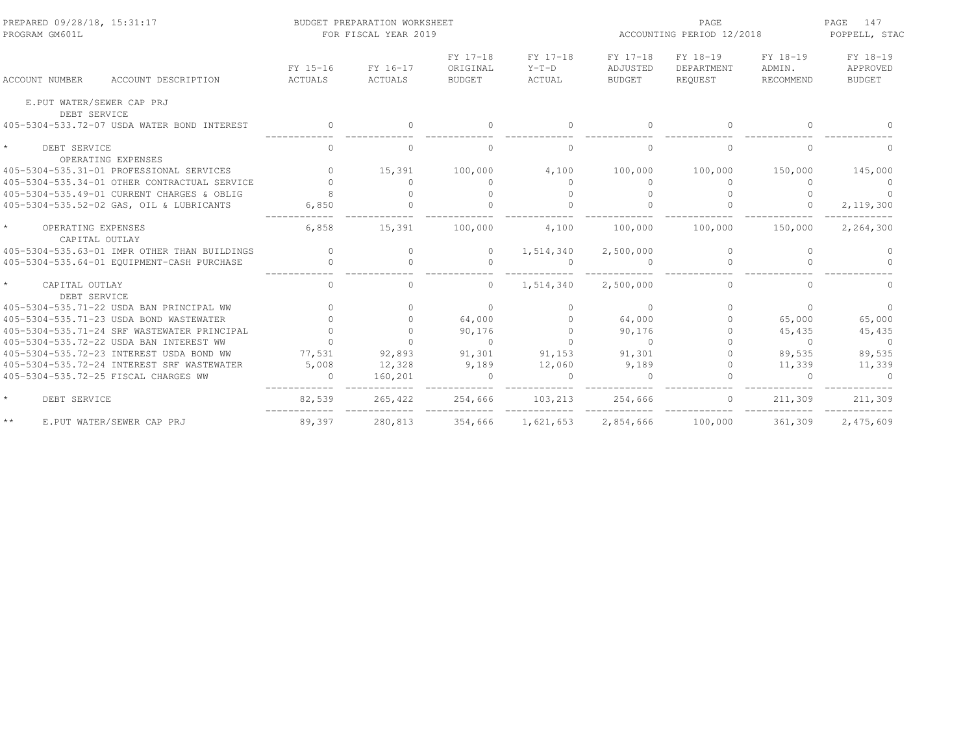| PREPARED 09/28/18, 15:31:17<br>PROGRAM GM601L   |                     | BUDGET PREPARATION WORKSHEET<br>FOR FISCAL YEAR 2019 |                                       |                               | ACCOUNTING PERIOD 12/2018             | PAGE<br>147<br>POPPELL, STAC      |                                 |                                       |
|-------------------------------------------------|---------------------|------------------------------------------------------|---------------------------------------|-------------------------------|---------------------------------------|-----------------------------------|---------------------------------|---------------------------------------|
| ACCOUNT DESCRIPTION<br><b>ACCOUNT NUMBER</b>    | FY 15-16<br>ACTUALS | FY 16-17<br>ACTUALS                                  | FY 17-18<br>ORIGINAL<br><b>BUDGET</b> | FY 17-18<br>$Y-T-D$<br>ACTUAL | FY 17-18<br>ADJUSTED<br><b>BUDGET</b> | FY 18-19<br>DEPARTMENT<br>REQUEST | FY 18-19<br>ADMIN.<br>RECOMMEND | FY 18-19<br>APPROVED<br><b>BUDGET</b> |
| E.PUT WATER/SEWER CAP PRJ<br>DEBT SERVICE       |                     |                                                      |                                       |                               |                                       |                                   |                                 |                                       |
| 405-5304-533.72-07 USDA WATER BOND INTEREST     | $\mathbf{0}$        | $\Omega$                                             | $\Omega$                              | $\Omega$                      | $\Omega$                              | $\Omega$                          | $\Omega$                        |                                       |
| $\star$<br>DEBT SERVICE<br>OPERATING EXPENSES   | $\circ$             | 0                                                    | $\mathbf{0}$                          | $\circ$                       | $\mathbf{0}$                          | $\circ$                           | $\circ$                         |                                       |
| 405-5304-535.31-01 PROFESSIONAL SERVICES        | $\Omega$            | 15,391                                               | 100,000                               | 4,100                         | 100,000                               | 100,000                           | 150,000                         | 145,000                               |
| 405-5304-535.34-01 OTHER CONTRACTUAL SERVICE    |                     | $\Omega$                                             | $\Omega$                              | $\Omega$                      | $\Omega$                              | $\Omega$                          | $\Omega$                        | $\Omega$                              |
| 405-5304-535.49-01 CURRENT CHARGES & OBLIG      |                     | $\cap$                                               | $\Omega$                              | $\Omega$                      | $\Omega$                              | $\bigcap$                         | $\Omega$                        |                                       |
| 405-5304-535.52-02 GAS, OIL & LUBRICANTS        | 6,850               |                                                      | $\Omega$                              | $\Omega$                      |                                       |                                   | $\Omega$                        | 2,119,300                             |
| $\star$<br>OPERATING EXPENSES<br>CAPITAL OUTLAY | 6,858               | 15,391                                               | 100,000                               | 4,100                         | 100,000                               | 100,000                           | 150,000                         | 2,264,300                             |
| 405-5304-535.63-01 IMPR OTHER THAN BUILDINGS    | $\Omega$            | $\circ$                                              | $\circ$                               | 1,514,340                     | 2,500,000                             | $\circ$                           | $\Omega$                        | $\Omega$                              |
| 405-5304-535.64-01 EQUIPMENT-CASH PURCHASE      | $\bigcap$           |                                                      | $\Omega$                              | $\cap$                        | $\Omega$                              | $\Omega$                          |                                 |                                       |
| $\star$<br>CAPITAL OUTLAY<br>DEBT SERVICE       | $\Omega$            | $\Omega$                                             | $\Omega$                              | 1,514,340                     | 2,500,000                             | $\Omega$                          | $\cap$                          | $\cap$                                |
| 405-5304-535.71-22 USDA BAN PRINCIPAL WW        | $\cap$              | $\cap$                                               | $\Omega$                              | $\Omega$                      | $\Omega$                              | $\bigcap$                         | $\Omega$                        | $\Omega$                              |
| 405-5304-535.71-23 USDA BOND WASTEWATER         |                     | $\cap$                                               | 64,000                                | $\Omega$                      | 64,000                                | $\Omega$                          | 65,000                          | 65,000                                |
| 405-5304-535.71-24 SRF WASTEWATER PRINCIPAL     |                     | $\Omega$                                             | 90,176                                | $\Omega$                      | 90,176                                | $\circ$                           | 45,435                          | 45,435                                |
| 405-5304-535.72-22 USDA BAN INTEREST WW         |                     | $\cap$                                               | $\Omega$                              | $\Omega$                      | $\Omega$                              |                                   | $\Omega$                        | $\Omega$                              |
| 405-5304-535.72-23 INTEREST USDA BOND WW        | 77,531              | 92,893                                               | 91,301                                | 91,153                        | 91,301                                | $\Omega$                          | 89,535                          | 89,535                                |
| 405-5304-535.72-24 INTEREST SRF WASTEWATER      | 5,008               | 12,328                                               | 9,189                                 | 12,060                        | 9,189                                 | $\mathbf{0}$                      | 11,339                          | 11,339                                |
| 405-5304-535.72-25 FISCAL CHARGES WW            | $\cap$              | 160,201                                              | $\Omega$                              |                               |                                       |                                   |                                 |                                       |
| $\star$<br>DEBT SERVICE                         | 82,539              | 265,422                                              | 254,666                               | 103,213                       | 254,666                               |                                   | 211,309                         | 211,309                               |
| $\star\star$<br>E.PUT WATER/SEWER CAP PRJ       | 89,397              | 280,813                                              | 354,666                               | 1,621,653                     | 2,854,666                             | 100,000                           | 361,309                         | 2,475,609                             |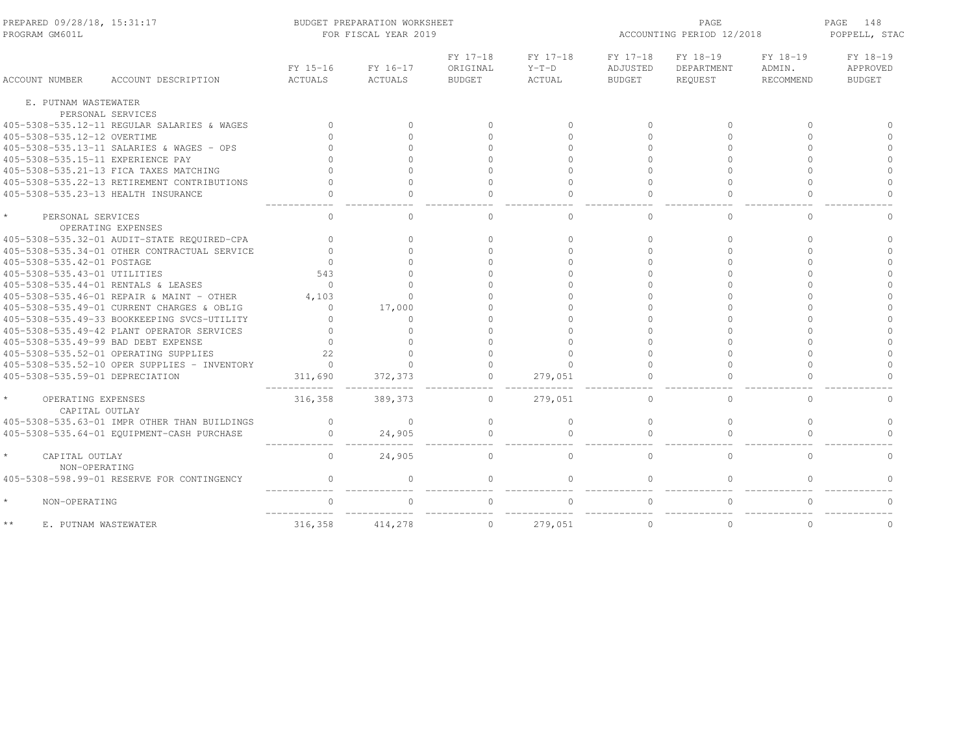| PREPARED 09/28/18, 15:31:17<br>PROGRAM GM601L |                                              | BUDGET PREPARATION WORKSHEET<br>FOR FISCAL YEAR 2019 |          |                      |                     |                      | PAGE<br>ACCOUNTING PERIOD 12/2018 |                    |                      |  |
|-----------------------------------------------|----------------------------------------------|------------------------------------------------------|----------|----------------------|---------------------|----------------------|-----------------------------------|--------------------|----------------------|--|
|                                               |                                              | FY 15-16                                             | FY 16-17 | FY 17-18<br>ORIGINAL | FY 17-18<br>$Y-T-D$ | FY 17-18<br>ADJUSTED | FY 18-19<br>DEPARTMENT            | FY 18-19<br>ADMIN. | FY 18-19<br>APPROVED |  |
| <b>ACCOUNT NUMBER</b>                         | ACCOUNT DESCRIPTION                          | ACTUALS                                              | ACTUALS  | <b>BUDGET</b>        | ACTUAL              | <b>BUDGET</b>        | REOUEST                           | RECOMMEND          | <b>BUDGET</b>        |  |
| E. PUTNAM WASTEWATER                          |                                              |                                                      |          |                      |                     |                      |                                   |                    |                      |  |
| PERSONAL SERVICES                             |                                              |                                                      |          |                      |                     |                      |                                   |                    |                      |  |
| 405-5308-535.12-11 REGULAR SALARIES & WAGES   |                                              | $\mathbf{0}$                                         | $\circ$  | $\bigcap$            | $\circ$             | $\Omega$             | $\Omega$                          | $\Omega$           |                      |  |
| 405-5308-535.12-12 OVERTIME                   |                                              |                                                      | $\Omega$ |                      | $\Omega$            | $\cap$               | $\cap$                            | $\cap$             |                      |  |
| 405-5308-535.13-11 SALARIES & WAGES - OPS     |                                              |                                                      | $\Omega$ |                      | $\Omega$            | $\cap$               |                                   | $\Omega$           |                      |  |
| 405-5308-535.15-11 EXPERIENCE PAY             |                                              |                                                      | $\Omega$ |                      | $\Omega$            | $\cap$               |                                   | $\cap$             | $\Omega$             |  |
| 405-5308-535.21-13 FICA TAXES MATCHING        |                                              |                                                      | $\Omega$ |                      | $\Omega$            | $\cap$               |                                   | $\cap$             | $\cap$               |  |
| 405-5308-535.22-13 RETIREMENT CONTRIBUTIONS   |                                              | $\cap$                                               | $\Omega$ |                      | $\Omega$            | $\cap$               | $\cap$                            | $\cap$             | $\Omega$             |  |
| 405-5308-535.23-13 HEALTH INSURANCE           |                                              |                                                      | $\Omega$ |                      | $\Omega$            |                      |                                   |                    |                      |  |
| PERSONAL SERVICES<br>OPERATING EXPENSES       |                                              | $\mathbf{0}$                                         | $\Omega$ | $\Omega$             | $\circ$             | $\Omega$             | $\Omega$                          | $\Omega$           | ∩                    |  |
| 405-5308-535.32-01 AUDIT-STATE REQUIRED-CPA   |                                              | $\Omega$                                             | $\circ$  | $\bigcap$            | $\Omega$            | $\Omega$             | $\Omega$                          | $\Omega$           | $\Omega$             |  |
|                                               | 405-5308-535.34-01 OTHER CONTRACTUAL SERVICE | $\cap$                                               | $\Omega$ |                      | $\cap$              | $\bigcap$            | $\cap$                            | $\Omega$           | $\cap$               |  |
| 405-5308-535.42-01 POSTAGE                    |                                              | $\Omega$                                             | $\Omega$ |                      | $\Omega$            | $\cap$               |                                   | $\cap$             | $\cap$               |  |
| 405-5308-535.43-01 UTILITIES                  |                                              | 543                                                  | $\cap$   |                      | $\cap$              |                      |                                   |                    |                      |  |
| 405-5308-535.44-01 RENTALS & LEASES           |                                              | $\Omega$                                             | $\Omega$ |                      | $\Omega$            | $\Omega$             |                                   | $\Omega$           |                      |  |
| 405-5308-535.46-01 REPAIR & MAINT - OTHER     |                                              | 4,103                                                | $\Omega$ |                      | $\cap$              | $\cap$               |                                   |                    |                      |  |
| 405-5308-535.49-01 CURRENT CHARGES & OBLIG    |                                              | $\Omega$                                             | 17,000   |                      | $\cap$              | $\cap$               |                                   |                    |                      |  |
| 405-5308-535.49-33 BOOKKEEPING SVCS-UTILITY   |                                              |                                                      | 0        |                      | $\cap$              |                      |                                   | $\cap$             |                      |  |
| 405-5308-535.49-42 PLANT OPERATOR SERVICES    |                                              |                                                      | $\Omega$ |                      | $\cap$              |                      |                                   |                    |                      |  |
| 405-5308-535.49-99 BAD DEBT EXPENSE           |                                              | $\cap$                                               | $\Omega$ |                      | $\cap$              |                      |                                   | $\cap$             | $\cap$               |  |
| 405-5308-535.52-01 OPERATING SUPPLIES         |                                              | 22                                                   | $\cap$   |                      | $\Omega$            |                      |                                   |                    |                      |  |
|                                               | 405-5308-535.52-10 OPER SUPPLIES - INVENTORY | $\Omega$                                             | $\Omega$ |                      | $\Omega$            |                      |                                   | $\Omega$           | $\Omega$             |  |
| 405-5308-535.59-01 DEPRECIATION               |                                              | 311,690                                              | 372,373  | $\Omega$             | 279,051             |                      |                                   |                    |                      |  |
| OPERATING EXPENSES<br>CAPITAL OUTLAY          |                                              | 316,358                                              | 389,373  | $\mathbf{0}$         | 279,051             | $\cap$               | 0                                 | $\Omega$           | $\Omega$             |  |
|                                               | 405-5308-535.63-01 IMPR OTHER THAN BUILDINGS | $\mathbf{0}$                                         | $\circ$  | $\Omega$             | $\circ$             | $\mathbf{0}$         | $\circ$                           | $\Omega$           | $\circ$              |  |
| 405-5308-535.64-01 EQUIPMENT-CASH PURCHASE    |                                              | 0                                                    | 24,905   | $\bigcap$            | $\bigcap$           |                      | $\Omega$                          |                    | $\cap$               |  |
| CAPITAL OUTLAY<br>NON-OPERATING               |                                              | $\circ$                                              | 24,905   | 0                    | $\circ$             | $\mathbf{0}$         | 0                                 | $\mathbf{0}$       | $\mathbf{0}$         |  |
| 405-5308-598.99-01 RESERVE FOR CONTINGENCY    |                                              | $\circ$                                              | $\circ$  | $\Omega$             | $\circ$             | $\Omega$             | $\circ$                           | $\Omega$           | $\Omega$             |  |
| $\star$<br>NON-OPERATING                      |                                              | $\Omega$                                             | $\Omega$ | $\Omega$             | $\Omega$            | $\Omega$             | $\Omega$                          | $\Omega$           | $\Omega$             |  |
| $\star\star$<br>E. PUTNAM WASTEWATER          |                                              | 316,358                                              | 414,278  | $\mathbf 0$          | 279,051             | $\mathbf{0}$         | $\circ$                           | $\circ$            | $\mathbf 0$          |  |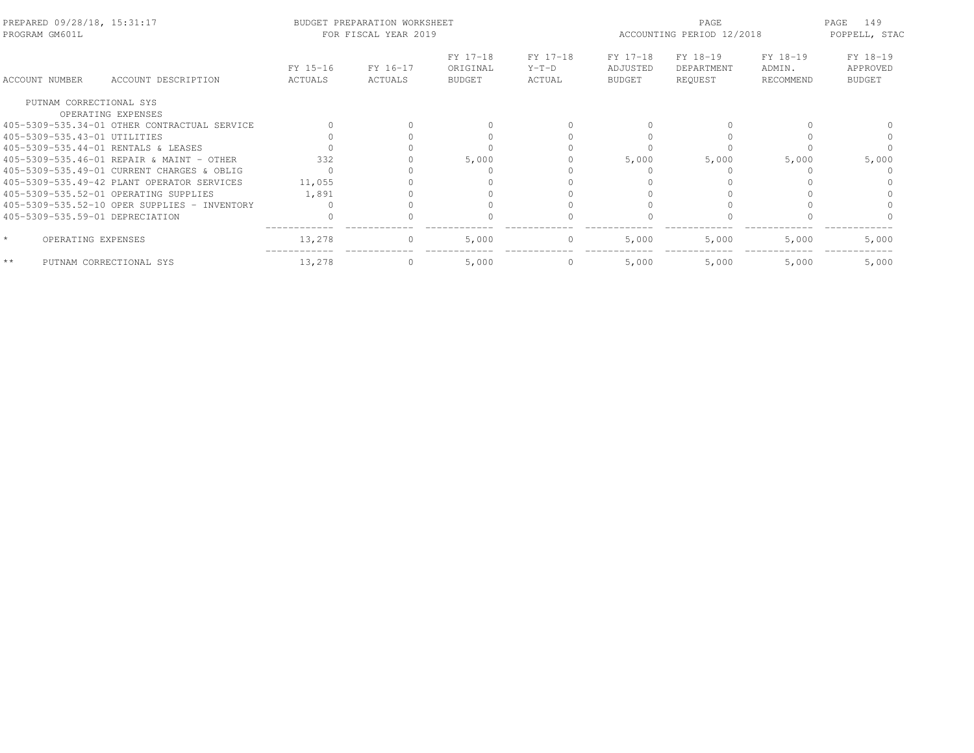| PREPARED 09/28/18, 15:31:17<br>PROGRAM GM601L |                                              | BUDGET PREPARATION WORKSHEET<br>FOR FISCAL YEAR 2019 |                     |                                       | ACCOUNTING PERIOD 12/2018     | 149<br>PAGE<br>POPPELL, STAC          |                                   |                                 |                                       |
|-----------------------------------------------|----------------------------------------------|------------------------------------------------------|---------------------|---------------------------------------|-------------------------------|---------------------------------------|-----------------------------------|---------------------------------|---------------------------------------|
| <b>ACCOUNT NUMBER</b>                         | ACCOUNT DESCRIPTION                          | FY 15-16<br>ACTUALS                                  | FY 16-17<br>ACTUALS | FY 17-18<br>ORIGINAL<br><b>BUDGET</b> | FY 17-18<br>$Y-T-D$<br>ACTUAL | FY 17-18<br>ADJUSTED<br><b>BUDGET</b> | FY 18-19<br>DEPARTMENT<br>REOUEST | FY 18-19<br>ADMIN.<br>RECOMMEND | FY 18-19<br>APPROVED<br><b>BUDGET</b> |
| PUTNAM CORRECTIONAL SYS                       |                                              |                                                      |                     |                                       |                               |                                       |                                   |                                 |                                       |
| OPERATING EXPENSES                            | 405-5309-535.34-01 OTHER CONTRACTUAL SERVICE |                                                      |                     |                                       |                               |                                       |                                   |                                 |                                       |
| 405-5309-535.43-01 UTILITIES                  |                                              |                                                      |                     |                                       |                               |                                       |                                   |                                 |                                       |
| 405-5309-535.44-01 RENTALS & LEASES           |                                              |                                                      |                     |                                       |                               |                                       |                                   |                                 |                                       |
| 405-5309-535.46-01 REPAIR & MAINT - OTHER     |                                              | 332                                                  |                     | 5,000                                 |                               | 5,000                                 | 5,000                             | 5,000                           | 5,000                                 |
|                                               | 405-5309-535.49-01 CURRENT CHARGES & OBLIG   |                                                      |                     |                                       |                               |                                       |                                   |                                 |                                       |
|                                               | 405-5309-535.49-42 PLANT OPERATOR SERVICES   | 11,055                                               |                     |                                       |                               |                                       |                                   |                                 |                                       |
| 405-5309-535.52-01 OPERATING SUPPLIES         |                                              | 1,891                                                |                     |                                       |                               |                                       |                                   |                                 |                                       |
|                                               | 405-5309-535.52-10 OPER SUPPLIES - INVENTORY |                                                      |                     |                                       |                               |                                       |                                   |                                 |                                       |
| 405-5309-535.59-01 DEPRECIATION               |                                              |                                                      |                     |                                       |                               |                                       |                                   |                                 |                                       |
| $\star$<br>OPERATING EXPENSES                 |                                              | 13,278                                               | 0                   | 5,000                                 | $\circ$                       | 5,000                                 | 5,000                             | 5,000                           | 5,000                                 |
| $\star\star$<br>PUTNAM CORRECTIONAL SYS       |                                              | 13,278                                               |                     | 5,000                                 | $\circ$                       | 5,000                                 | 5,000                             | 5,000                           | 5,000                                 |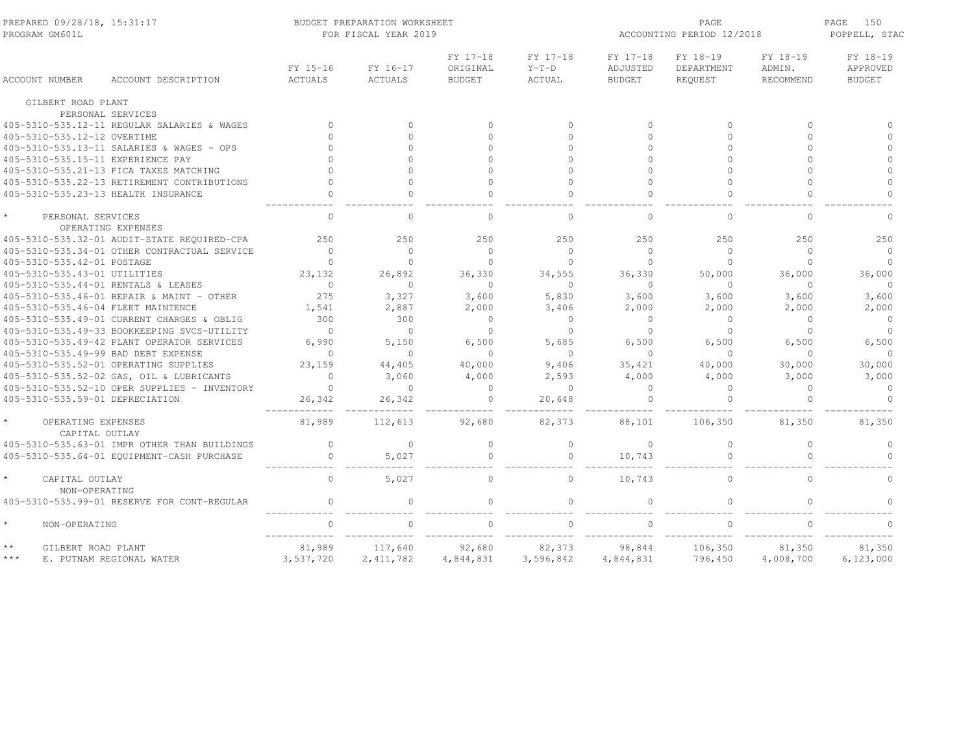| PREPARED 09/28/18, 15:31:17<br>PROGRAM GM601L |                                              | BUDGET PREPARATION WORKSHEET<br>FOR FISCAL YEAR 2019 |                     |                                       |                               |                                       | PAGE<br>ACCOUNTING PERIOD 12/2018 |                                        |                                       |  |
|-----------------------------------------------|----------------------------------------------|------------------------------------------------------|---------------------|---------------------------------------|-------------------------------|---------------------------------------|-----------------------------------|----------------------------------------|---------------------------------------|--|
| <b>ACCOUNT NUMBER</b>                         | ACCOUNT DESCRIPTION                          | FY 15-16<br><b>ACTUALS</b>                           | FY 16-17<br>ACTUALS | FY 17-18<br>ORIGINAL<br><b>BUDGET</b> | FY 17-18<br>$Y-T-D$<br>ACTUAL | FY 17-18<br>ADJUSTED<br><b>BUDGET</b> | FY 18-19<br>DEPARTMENT<br>REQUEST | FY 18-19<br>ADMIN.<br><b>RECOMMEND</b> | FY 18-19<br>APPROVED<br><b>BUDGET</b> |  |
|                                               | GILBERT ROAD PLANT                           |                                                      |                     |                                       |                               |                                       |                                   |                                        |                                       |  |
|                                               | PERSONAL SERVICES                            |                                                      |                     |                                       |                               |                                       |                                   |                                        |                                       |  |
|                                               | 405-5310-535.12-11 REGULAR SALARIES & WAGES  | $\Omega$                                             | $\Omega$            | $\Omega$                              | $\Omega$                      | $\Omega$                              | $\Omega$                          | $\Omega$                               | $\cap$                                |  |
|                                               | 405-5310-535.12-12 OVERTIME                  | $\cap$                                               | $\cap$              | $\cap$                                | $\Omega$                      | $\bigcap$                             | $\Omega$                          | $\Omega$                               | $\Omega$                              |  |
|                                               | 405-5310-535.13-11 SALARIES & WAGES - OPS    | $\cap$                                               | $\Omega$            | $\Omega$                              | $\Omega$                      | $\bigcap$                             | $\Omega$                          | $\Omega$                               | $\Omega$                              |  |
|                                               | 405-5310-535.15-11 EXPERIENCE PAY            |                                                      | $\Omega$            | $\cap$                                | $\Omega$                      | $\bigcap$                             | $\cap$                            | $\cap$                                 | $\Omega$                              |  |
|                                               | 405-5310-535.21-13 FICA TAXES MATCHING       |                                                      | $\Omega$            | $\Omega$                              | $\Omega$                      | $\bigcap$                             | $\cap$                            | $\cap$                                 | $\Omega$                              |  |
|                                               | 405-5310-535.22-13 RETIREMENT CONTRIBUTIONS  |                                                      | $\Omega$            | $\Omega$                              | $\Omega$                      | $\bigcap$                             | $\Omega$                          | $\cap$                                 | $\Omega$                              |  |
|                                               | 405-5310-535.23-13 HEALTH INSURANCE          |                                                      | $\Omega$            | $\cap$                                | $\cap$                        | $\cap$                                | $\Omega$                          | $\cap$                                 | $\Omega$                              |  |
|                                               | PERSONAL SERVICES<br>OPERATING EXPENSES      | $\bigcap$                                            | $\cap$              | $\cap$                                | $\Omega$                      | $\cap$                                | $\Omega$                          | $\cap$                                 | $\cap$                                |  |
|                                               | 405-5310-535.32-01 AUDIT-STATE REQUIRED-CPA  | 250                                                  | 250                 | 250                                   | 250                           | 250                                   | 250                               | 250                                    | 250                                   |  |
|                                               | 405-5310-535.34-01 OTHER CONTRACTUAL SERVICE | $\Omega$                                             | $\Omega$            | $\Omega$                              | $\Omega$                      | $\bigcap$                             | $\Omega$                          | $\Omega$                               | $\Omega$                              |  |
|                                               | 405-5310-535.42-01 POSTAGE                   | $\Omega$                                             | $\Omega$            | $\Omega$                              | $\bigcap$                     | $\Omega$                              | $\Omega$                          | $\Omega$                               | $\Omega$                              |  |
|                                               | 405-5310-535.43-01 UTILITIES                 | 23, 132                                              | 26,892              | 36,330                                | 34,555                        | 36,330                                | 50,000                            | 36,000                                 | 36,000                                |  |
|                                               | 405-5310-535.44-01 RENTALS & LEASES          | $\Omega$                                             | $\Omega$            | $\Omega$                              | $\bigcap$                     | $\bigcap$                             | $\Omega$                          | $\Omega$                               | $\Omega$                              |  |
|                                               | 405-5310-535.46-01 REPAIR & MAINT - OTHER    | 275                                                  | 3,327               | 3,600                                 | 5,830                         | 3,600                                 | 3,600                             | 3,600                                  | 3,600                                 |  |
|                                               | 405-5310-535.46-04 FLEET MAINTENCE           | 1,541                                                | 2,887               | 2,000                                 | 3,406                         | 2,000                                 | 2,000                             | 2,000                                  | 2,000                                 |  |
|                                               | 405-5310-535.49-01 CURRENT CHARGES & OBLIG   | 300                                                  | 300                 | $\mathbf{0}$                          | $\circ$                       | $\Omega$                              | $\mathbf{0}$                      | $\Omega$                               | $\circ$                               |  |
|                                               | 405-5310-535.49-33 BOOKKEEPING SVCS-UTILITY  | $\Omega$                                             | $\Omega$            | $\mathbf{0}$                          | $\circ$                       | $\Omega$                              | $\circ$                           | $\Omega$                               | $\circ$                               |  |
|                                               | 405-5310-535.49-42 PLANT OPERATOR SERVICES   | 6,990                                                | 5,150               | 6,500                                 | 5,685                         | 6,500                                 | 6,500                             | 6,500                                  | 6,500                                 |  |
|                                               | 405-5310-535.49-99 BAD DEBT EXPENSE          | $\Omega$                                             | $\Omega$            | $\Omega$                              | $\Omega$                      | $\cap$                                | $\Omega$                          | $\Omega$                               | $\Omega$                              |  |
|                                               | 405-5310-535.52-01 OPERATING SUPPLIES        | 23,159                                               | 44,405              | 40,000                                | 9,406                         | 35,421                                | 40,000                            | 30,000                                 | 30,000                                |  |
|                                               | 405-5310-535.52-02 GAS, OIL & LUBRICANTS     | $\Omega$                                             | 3,060               | 4,000                                 | 2,593                         | 4,000                                 | 4,000                             | 3,000                                  | 3,000                                 |  |
|                                               | 405-5310-535.52-10 OPER SUPPLIES - INVENTORY | $\Omega$                                             | $\Omega$            | $\Omega$                              | $\Omega$                      | $\Omega$                              | $\Omega$                          | $\Omega$                               | $\circ$                               |  |
|                                               | 405-5310-535.59-01 DEPRECIATION              | 26,342                                               | 26,342              | $\mathbf{0}$                          | 20,648                        |                                       | $\Omega$                          | $\Omega$                               | $\Omega$                              |  |
|                                               | OPERATING EXPENSES<br>CAPITAL OUTLAY         | 81,989                                               | 112,613             | 92,680                                | 82,373                        | 88,101                                | 106,350                           | 81,350                                 | 81,350                                |  |
|                                               | 405-5310-535.63-01 IMPR OTHER THAN BUILDINGS | $\Omega$                                             | $\Omega$            | $\circ$                               | $\Omega$                      | $\Omega$                              | $\circ$                           | $\Omega$                               | $\Omega$                              |  |
|                                               | 405-5310-535.64-01 EQUIPMENT-CASH PURCHASE   | $\circ$                                              | 5,027               | $\Omega$                              | $\circ$                       | 10,743                                | $\Omega$                          | $\Omega$                               | $\Omega$                              |  |
|                                               | CAPITAL OUTLAY<br>NON-OPERATING              | $\Omega$                                             | 5,027               | $\Omega$                              | $\Omega$                      | 10,743                                | $\Omega$                          | $\Omega$                               | $\Omega$                              |  |
|                                               | 405-5310-535.99-01 RESERVE FOR CONT-REGULAR  | $\Omega$                                             | $\Omega$            | $\Omega$                              | $\Omega$                      | $\bigcap$                             | $\Omega$                          | $\cap$                                 | $\cap$                                |  |
| $\star$                                       | NON-OPERATING                                | $\cap$                                               |                     |                                       | $\Omega$                      |                                       |                                   |                                        |                                       |  |
| $\star\star$                                  | GILBERT ROAD PLANT                           | 81,989                                               | 117,640             | 92,680                                | 82,373                        | 98,844                                | 106,350                           | 81,350                                 | 81,350                                |  |
| $***$                                         | E. PUTNAM REGIONAL WATER                     | 3,537,720                                            | 2, 411, 782         | 4,844,831                             | 3,596,842                     | 4,844,831                             | 796,450                           | 4,008,700                              | 6,123,000                             |  |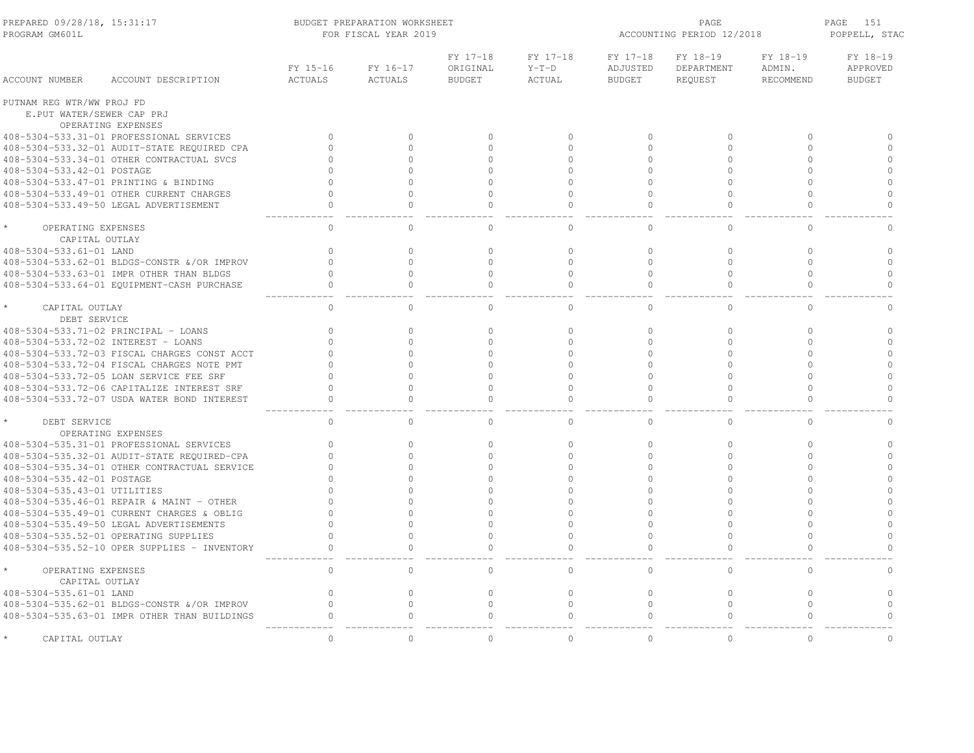| PREPARED 09/28/18, 15:31:17<br>PROGRAM GM601L | BUDGET PREPARATION WORKSHEET<br>FOR FISCAL YEAR 2019 |                     |                                       |                               |                                       | PAGE<br>ACCOUNTING PERIOD 12/2018 |                                 |                                       |  |
|-----------------------------------------------|------------------------------------------------------|---------------------|---------------------------------------|-------------------------------|---------------------------------------|-----------------------------------|---------------------------------|---------------------------------------|--|
| <b>ACCOUNT NUMBER</b><br>ACCOUNT DESCRIPTION  | FY 15-16<br><b>ACTUALS</b>                           | FY 16-17<br>ACTUALS | FY 17-18<br>ORIGINAL<br><b>BUDGET</b> | FY 17-18<br>$Y-T-D$<br>ACTUAL | FY 17-18<br>ADJUSTED<br><b>BUDGET</b> | FY 18-19<br>DEPARTMENT<br>REQUEST | FY 18-19<br>ADMIN.<br>RECOMMEND | FY 18-19<br>APPROVED<br><b>BUDGET</b> |  |
| PUTNAM REG WTR/WW PROJ FD                     |                                                      |                     |                                       |                               |                                       |                                   |                                 |                                       |  |
| E.PUT WATER/SEWER CAP PRJ                     |                                                      |                     |                                       |                               |                                       |                                   |                                 |                                       |  |
| OPERATING EXPENSES                            |                                                      |                     |                                       |                               |                                       |                                   |                                 |                                       |  |
| 408-5304-533.31-01 PROFESSIONAL SERVICES      | $\circ$                                              | $\Omega$            | $\mathbf{0}$                          | $\mathbf{0}$                  | $\Omega$                              | $\mathbf{0}$                      | $\circ$                         | $\Omega$                              |  |
| 408-5304-533.32-01 AUDIT-STATE REQUIRED CPA   | $\Omega$                                             | $\Omega$            | $\Omega$                              | $\mathbf{0}$                  | $\bigcap$                             | $\circ$                           | $\circ$                         | $\Omega$                              |  |
| 408-5304-533.34-01 OTHER CONTRACTUAL SVCS     |                                                      | $\Omega$            | $\Omega$                              | $\Omega$                      | $\Omega$                              | $\Omega$                          | $\Omega$                        | $\circ$                               |  |
| 408-5304-533.42-01 POSTAGE                    |                                                      | $\cap$              | $\Omega$                              | $\Omega$                      | $\cap$                                | $\Omega$                          | $\Omega$                        | $\Omega$                              |  |
| 408-5304-533.47-01 PRINTING & BINDING         | $\cap$                                               | $\Omega$            | $\Omega$                              | $\Omega$                      | $\bigcap$                             | $\Omega$                          | $\Omega$                        | $\Omega$                              |  |
| 408-5304-533.49-01 OTHER CURRENT CHARGES      | $\Omega$                                             | $\Omega$            | $\Omega$                              | $\Omega$                      |                                       | $\Omega$                          | $\Omega$                        | $\Omega$                              |  |
| 408-5304-533.49-50 LEGAL ADVERTISEMENT        | $\Omega$                                             | $\cap$              | $\Omega$                              | $\circ$                       | $\cap$                                | $\Omega$                          | $\circ$                         | $\Omega$                              |  |
| OPERATING EXPENSES                            | $\mathbf{0}$                                         | $\Omega$            | $\Omega$                              | $\circ$                       | $\cap$                                | $\mathbf{0}$                      | $\circ$                         | $\cap$                                |  |
| CAPITAL OUTLAY                                |                                                      |                     |                                       |                               |                                       |                                   |                                 |                                       |  |
| 408-5304-533.61-01 LAND                       | $\Omega$                                             | $\Omega$            | $\Omega$                              | $\circ$                       | $\Omega$                              | $\Omega$                          | $\Omega$                        | $\Omega$                              |  |
| 408-5304-533.62-01 BLDGS-CONSTR & OR IMPROV   | $\Omega$                                             | $\Omega$            | $\Omega$                              | $\Omega$                      | $\cap$                                | $\Omega$                          | $\Omega$                        | $\Omega$                              |  |
| 408-5304-533.63-01 IMPR OTHER THAN BLDGS      | $\Omega$                                             | $\Omega$            | $\Omega$                              | $\mathbf{0}$                  | $\Omega$                              | $\Omega$                          | $\Omega$                        | $\circ$                               |  |
| 408-5304-533.64-01 EQUIPMENT-CASH PURCHASE    | $\Omega$                                             | $\Omega$            | $\Omega$                              | $\mathbf{0}$                  | $\Omega$                              | $\mathbf{0}$                      | $\Omega$                        | $\Omega$                              |  |
| $\star$<br>CAPITAL OUTLAY                     | $\circ$                                              | 0                   | $\mathbf{0}$                          | $\mathbf{0}$                  | $\mathbf{0}$                          | $\mathbf{0}$                      | $\circ$                         | $\circ$                               |  |
| DEBT SERVICE                                  |                                                      |                     |                                       |                               |                                       |                                   |                                 |                                       |  |
| 408-5304-533.71-02 PRINCIPAL - LOANS          | $\Omega$                                             | $\Omega$            | $\Omega$                              | $\mathbf{0}$                  | $\mathbf{0}$                          | $\mathbf{0}$                      | $\circ$                         | $\Omega$                              |  |
| 408-5304-533.72-02 INTEREST - LOANS           | $\Omega$                                             | $\Omega$            | $\Omega$                              | $\circ$                       | $\Omega$                              | $\Omega$                          | $\Omega$                        | $\Omega$                              |  |
| 408-5304-533.72-03 FISCAL CHARGES CONST ACCT  | $\cap$                                               | $\Omega$            | $\Omega$                              | $\Omega$                      | $\Omega$                              | $\Omega$                          | $\Omega$                        | $\Omega$                              |  |
| 408-5304-533.72-04 FISCAL CHARGES NOTE PMT    |                                                      | $\cap$              | $\cap$                                | $\Omega$                      |                                       | $\Omega$                          | $\Omega$                        | $\Omega$                              |  |
| 408-5304-533.72-05 LOAN SERVICE FEE SRF       | $\cap$                                               | $\Omega$            | $\Omega$                              | $\Omega$                      | $\bigcap$                             | $\Omega$                          | $\Omega$                        | $\Omega$                              |  |
| 408-5304-533.72-06 CAPITALIZE INTEREST SRF    | $\Omega$                                             | $\Omega$            | $\Omega$                              | $\Omega$                      |                                       | $\Omega$                          | $\Omega$                        | $\Omega$                              |  |
| 408-5304-533.72-07 USDA WATER BOND INTEREST   | $\cap$                                               | $\cap$              | $\cap$                                | $\cap$                        | $\cap$                                | $\Omega$                          | $\cap$                          | $\cap$                                |  |
| DEBT SERVICE                                  | $\circ$                                              | $\Omega$            | $\circ$                               | $\circ$                       | $\Omega$                              | $\mathbf{0}$                      | $\Omega$                        | $\Omega$                              |  |
| OPERATING EXPENSES                            |                                                      |                     |                                       |                               |                                       |                                   |                                 |                                       |  |
| 408-5304-535.31-01 PROFESSIONAL SERVICES      | $\Omega$                                             | $\Omega$            | $\Omega$                              | $\mathbf{0}$                  | $\Omega$                              | $\mathbf{0}$                      | $\circ$                         | $\circ$                               |  |
| 408-5304-535.32-01 AUDIT-STATE REQUIRED-CPA   | $\cap$                                               | $\Omega$            | $\Omega$                              | $\Omega$                      | $\bigcap$                             | $\Omega$                          | $\Omega$                        | $\Omega$                              |  |
| 408-5304-535.34-01 OTHER CONTRACTUAL SERVICE  |                                                      | $\Omega$            | $\Omega$                              | $\Omega$                      | $\Omega$                              | $\Omega$                          | $\Omega$                        | $\circ$                               |  |
| 408-5304-535.42-01 POSTAGE                    |                                                      | $\Omega$            | $\Omega$                              | $\Omega$                      | $\cap$                                | $\Omega$                          | $\Omega$                        | $\Omega$                              |  |
| 408-5304-535.43-01 UTILITIES                  |                                                      | $\Omega$            | $\cap$                                | $\Omega$                      | $\Omega$                              | $\Omega$                          | $\Omega$                        | $\Omega$                              |  |
| 408-5304-535.46-01 REPAIR & MAINT - OTHER     |                                                      | $\cap$              |                                       | $\Omega$                      |                                       | $\cap$                            | $\circ$                         | $\Omega$                              |  |
| 408-5304-535.49-01 CURRENT CHARGES & OBLIG    | $\cap$                                               | $\cap$              | $\cap$                                | $\Omega$                      | $\cap$                                | $\Omega$                          | $\Omega$                        | $\circ$                               |  |
| 408-5304-535.49-50 LEGAL ADVERTISEMENTS       | $\Omega$                                             | $\Omega$            | $\Omega$                              | $\Omega$                      | $\Omega$                              | $\Omega$                          | $\Omega$                        | $\Omega$                              |  |
| 408-5304-535.52-01 OPERATING SUPPLIES         | $\Omega$                                             | $\Omega$            | $\Omega$                              | $\circ$                       | $\Omega$                              | $\Omega$                          | $\circ$                         | $\circ$                               |  |
| 408-5304-535.52-10 OPER SUPPLIES - INVENTORY  | $\Omega$                                             | $\Omega$            | $\Omega$                              | $\mathbf{0}$                  | $\Omega$                              | $\circ$                           | $\circ$                         | $\Omega$                              |  |
| OPERATING EXPENSES<br>CAPITAL OUTLAY          | $\circ$                                              | $\circ$             | $\circ$                               | $\circ$                       | $\Omega$                              | $\mathbf{0}$                      | $\circ$                         | $\Omega$                              |  |
| 408-5304-535.61-01 LAND                       | $\mathbf{0}$                                         | $\Omega$            | $\circ$                               | $\mathbb O$                   | $\mathbf{0}$                          | $\circ$                           | $\circ$                         | $\circ$                               |  |
| 408-5304-535.62-01 BLDGS-CONSTR &/OR IMPROV   | $\mathbf{0}$                                         | $\circ$             | $\mathbf{0}$                          | $\mathbb O$                   | $\mathbf{0}$                          | $\circ$                           | $\circ$                         | $\circ$                               |  |
| 408-5304-535.63-01 IMPR OTHER THAN BUILDINGS  | $\Omega$                                             | $\Omega$            | $\Omega$                              | $\Omega$                      |                                       | $\Omega$                          | $\Omega$                        | $\Omega$                              |  |
| CAPITAL OUTLAY                                | $\mathbf{0}$                                         | $\circ$             | $\Omega$                              | $\mathbf{0}$                  | $\mathbf{0}$                          | $\mathbf{0}$                      | $\circ$                         | $\Omega$                              |  |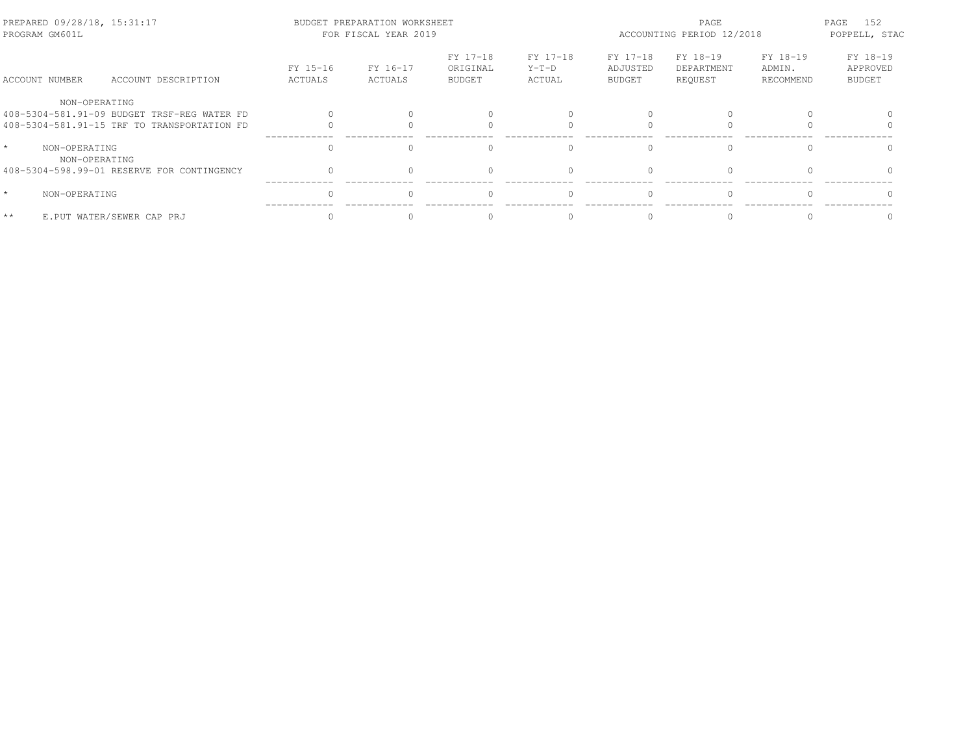| PREPARED 09/28/18, 15:31:17<br>PROGRAM GM601L |                                |                                             |                     | BUDGET PREPARATION WORKSHEET<br>FOR FISCAL YEAR 2019 |                                       |                               | PAGE<br>ACCOUNTING PERIOD 12/2018     |                                   |                                 |                                       |
|-----------------------------------------------|--------------------------------|---------------------------------------------|---------------------|------------------------------------------------------|---------------------------------------|-------------------------------|---------------------------------------|-----------------------------------|---------------------------------|---------------------------------------|
|                                               | ACCOUNT NUMBER                 | ACCOUNT DESCRIPTION                         | FY 15-16<br>ACTUALS | FY 16-17<br>ACTUALS                                  | FY 17-18<br>ORIGINAL<br><b>BUDGET</b> | FY 17-18<br>$Y-T-D$<br>ACTUAL | FY 17-18<br>ADJUSTED<br><b>BUDGET</b> | FY 18-19<br>DEPARTMENT<br>REQUEST | FY 18-19<br>ADMIN.<br>RECOMMEND | FY 18-19<br>APPROVED<br><b>BUDGET</b> |
|                                               | NON-OPERATING                  |                                             |                     |                                                      |                                       |                               |                                       |                                   |                                 |                                       |
|                                               |                                | 408-5304-581.91-09 BUDGET TRSF-REG WATER FD |                     |                                                      |                                       |                               |                                       |                                   |                                 |                                       |
|                                               |                                | 408-5304-581.91-15 TRF TO TRANSPORTATION FD |                     |                                                      |                                       |                               |                                       |                                   |                                 |                                       |
| $\star$                                       | NON-OPERATING<br>NON-OPERATING |                                             |                     |                                                      | $\cap$                                |                               | $\cap$                                | $\cap$                            |                                 |                                       |
|                                               |                                | 408-5304-598.99-01 RESERVE FOR CONTINGENCY  |                     |                                                      | $\Omega$                              |                               | $\bigcap$                             |                                   |                                 |                                       |
| $\star$                                       | NON-OPERATING                  |                                             | $\Omega$            |                                                      | $\Omega$                              | $\Omega$                      | $\bigcap$                             | $\Omega$                          |                                 |                                       |
| $\star\star$                                  |                                | E.PUT WATER/SEWER CAP PRJ                   |                     |                                                      |                                       |                               |                                       |                                   |                                 |                                       |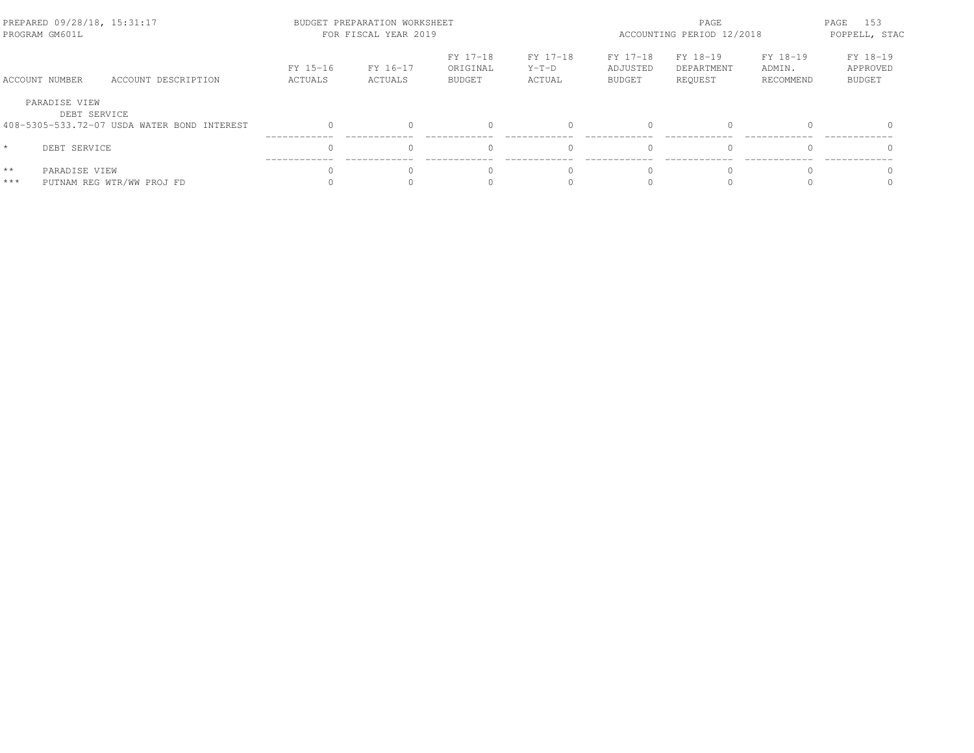| PREPARED 09/28/18, 15:31:17<br>PROGRAM GM601L |                                             |                     | BUDGET PREPARATION WORKSHEET<br>FOR FISCAL YEAR 2019 |                                       | PAGE<br>ACCOUNTING PERIOD 12/2018 |                                |                                   | PAGE<br>153<br>POPPELL, STAC    |                                       |
|-----------------------------------------------|---------------------------------------------|---------------------|------------------------------------------------------|---------------------------------------|-----------------------------------|--------------------------------|-----------------------------------|---------------------------------|---------------------------------------|
| ACCOUNT NUMBER                                | ACCOUNT DESCRIPTION                         | FY 15-16<br>ACTUALS | FY 16-17<br>ACTUALS                                  | FY 17-18<br>ORIGINAL<br><b>BUDGET</b> | FY 17-18<br>$Y-T-D$<br>ACTUAL     | FY 17-18<br>ADJUSTED<br>BUDGET | FY 18-19<br>DEPARTMENT<br>REOUEST | FY 18-19<br>ADMIN.<br>RECOMMEND | FY 18-19<br>APPROVED<br><b>BUDGET</b> |
| PARADISE VIEW<br>DEBT SERVICE                 | 408-5305-533.72-07 USDA WATER BOND INTEREST |                     |                                                      |                                       |                                   | $\Omega$                       | $\Omega$                          |                                 |                                       |
| $\star$<br>DEBT SERVICE                       |                                             |                     |                                                      |                                       |                                   | $\bigcap$                      | $\Omega$                          |                                 | $\Omega$                              |
| $\star\star$<br>PARADISE VIEW<br>$***$        | PUTNAM REG WTR/WW PROJ FD                   |                     |                                                      |                                       |                                   | $\bigcap$                      | U                                 |                                 |                                       |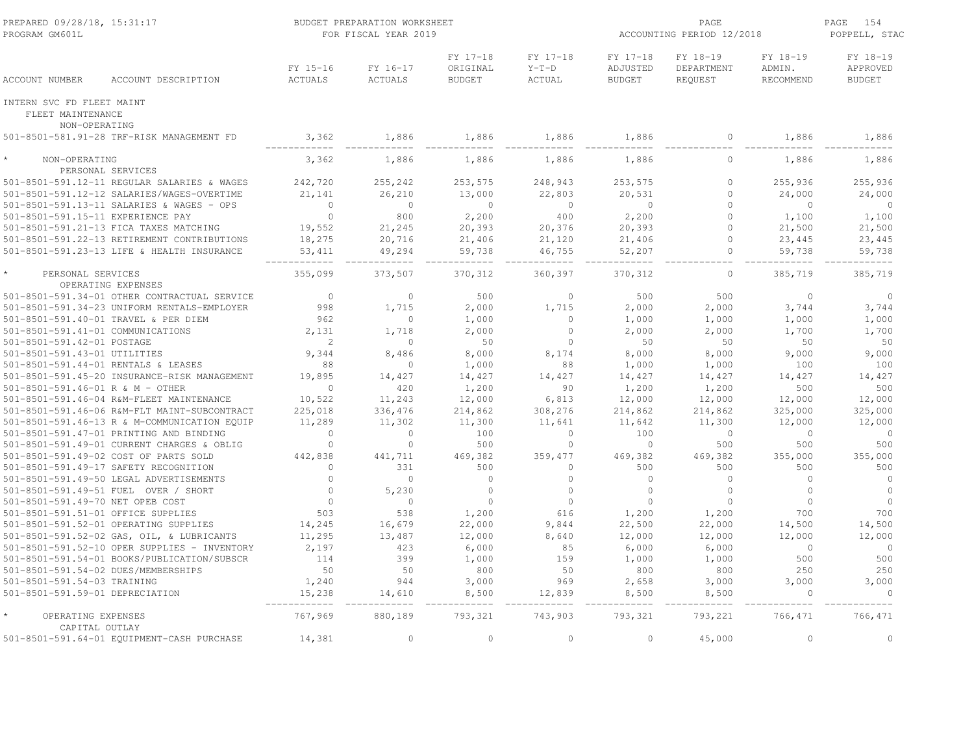| PREPARED 09/28/18, 15:31:17<br>PROGRAM GM601L  |                                              |                            | BUDGET PREPARATION WORKSHEET<br>FOR FISCAL YEAR 2019 |                                       |                               | ACCOUNTING PERIOD 12/2018             | PAGE<br>154<br>POPPELL, STAC      |                                 |                                       |
|------------------------------------------------|----------------------------------------------|----------------------------|------------------------------------------------------|---------------------------------------|-------------------------------|---------------------------------------|-----------------------------------|---------------------------------|---------------------------------------|
| ACCOUNT NUMBER                                 | ACCOUNT DESCRIPTION                          | FY 15-16<br><b>ACTUALS</b> | FY 16-17<br>ACTUALS                                  | FY 17-18<br>ORIGINAL<br><b>BUDGET</b> | FY 17-18<br>$Y-T-D$<br>ACTUAL | FY 17-18<br>ADJUSTED<br><b>BUDGET</b> | FY 18-19<br>DEPARTMENT<br>REQUEST | FY 18-19<br>ADMIN.<br>RECOMMEND | FY 18-19<br>APPROVED<br><b>BUDGET</b> |
| INTERN SVC FD FLEET MAINT<br>FLEET MAINTENANCE |                                              |                            |                                                      |                                       |                               |                                       |                                   |                                 |                                       |
| NON-OPERATING                                  | 501-8501-581.91-28 TRF-RISK MANAGEMENT FD    | 3,362                      | 1,886                                                | 1,886                                 | 1,886                         | 1,886                                 | $\circ$                           | 1,886                           | 1,886                                 |
|                                                |                                              |                            |                                                      |                                       |                               |                                       |                                   |                                 |                                       |
| NON-OPERATING                                  | PERSONAL SERVICES                            | 3,362                      | 1,886                                                | 1,886                                 | 1,886                         | 1,886                                 | $\mathbf 0$                       | 1,886                           | 1,886                                 |
|                                                | 501-8501-591.12-11 REGULAR SALARIES & WAGES  | 242,720                    | 255,242                                              | 253,575                               | 248,943                       | 253,575                               | $\mathbf{0}$                      | 255,936                         | 255,936                               |
|                                                | 501-8501-591.12-12 SALARIES/WAGES-OVERTIME   | 21,141                     | 26,210                                               | 13,000                                | 22,803                        | 20,531                                | $\circ$                           | 24,000                          | 24,000                                |
|                                                | 501-8501-591.13-11 SALARIES & WAGES - OPS    | $\mathbf{0}$               | $\overline{0}$                                       | $\Omega$                              | $\overline{0}$                | $\mathbf{0}$                          | $\Omega$                          | $\circ$                         | $\overline{0}$                        |
| 501-8501-591.15-11 EXPERIENCE PAY              |                                              | $\circ$                    | 800                                                  | 2,200                                 | 400                           | 2,200                                 | $\circ$                           | 1,100                           | 1,100                                 |
|                                                | 501-8501-591.21-13 FICA TAXES MATCHING       | 19,552                     | 21,245                                               | 20,393                                | 20,376                        | 20,393                                | $\Omega$                          | 21,500                          | 21,500                                |
|                                                | 501-8501-591.22-13 RETIREMENT CONTRIBUTIONS  | 18,275                     | 20,716                                               | 21,406                                | 21,120                        | 21,406                                | $\Omega$                          | 23,445                          | 23,445                                |
|                                                | 501-8501-591.23-13 LIFE & HEALTH INSURANCE   | 53, 411                    | 49,294                                               | 59,738                                | 46,755                        | 52,207                                | $\circ$                           | 59,738                          | 59,738                                |
| PERSONAL SERVICES                              |                                              | 355,099                    | 373,507                                              | 370, 312                              | 360,397                       | 370, 312                              | $\circ$                           | 385,719                         | 385,719                               |
|                                                | OPERATING EXPENSES                           |                            |                                                      |                                       |                               |                                       |                                   |                                 |                                       |
|                                                | 501-8501-591.34-01 OTHER CONTRACTUAL SERVICE | $\overline{0}$             | $\circ$                                              | 500                                   | $\mathbf{0}$                  | 500                                   | 500                               | $\circ$                         | $\overline{0}$                        |
|                                                | 501-8501-591.34-23 UNIFORM RENTALS-EMPLOYER  | 998                        | 1,715                                                | 2,000                                 | 1,715                         | 2,000                                 | 2,000                             | 3,744                           | 3,744                                 |
| 501-8501-591.40-01 TRAVEL & PER DIEM           |                                              | 962                        | $\circ$                                              | 1,000                                 | $\Omega$                      | 1,000                                 | 1,000                             | 1,000                           | 1,000                                 |
| 501-8501-591.41-01 COMMUNICATIONS              |                                              | 2,131                      | 1,718                                                | 2,000                                 | $\Omega$                      | 2,000                                 | 2,000                             | 1,700                           | 1,700                                 |
| 501-8501-591.42-01 POSTAGE                     |                                              | $\overline{c}$             | $\circ$                                              | 50                                    | $\circ$                       | 50                                    | 50                                | 50                              | 50                                    |
| 501-8501-591.43-01 UTILITIES                   |                                              | 9,344                      | 8,486                                                | 8,000                                 | 8,174                         | 8,000                                 | 8,000                             | 9,000                           | 9,000                                 |
| 501-8501-591.44-01 RENTALS & LEASES            |                                              | 88                         | $\Omega$                                             | 1,000                                 | 88                            | 1,000                                 | 1,000                             | 100                             | 100                                   |
|                                                | 501-8501-591.45-20 INSURANCE-RISK MANAGEMENT | 19,895<br>$\Omega$         | 14,427<br>420                                        | 14,427                                | 14,427<br>90                  | 14,427                                | 14,427                            | 14,427                          | 14,427                                |
| 501-8501-591.46-01 R & M - OTHER               | 501-8501-591.46-04 R&M-FLEET MAINTENANCE     | 10,522                     | 11,243                                               | 1,200<br>12,000                       | 6,813                         | 1,200<br>12,000                       | 1,200<br>12,000                   | 500<br>12,000                   | 500<br>12,000                         |
|                                                | 501-8501-591.46-06 R&M-FLT MAINT-SUBCONTRACT | 225,018                    | 336,476                                              | 214,862                               | 308,276                       | 214,862                               | 214,862                           | 325,000                         | 325,000                               |
|                                                | 501-8501-591.46-13 R & M-COMMUNICATION EQUIP | 11,289                     | 11,302                                               | 11,300                                | 11,641                        | 11,642                                | 11,300                            | 12,000                          | 12,000                                |
|                                                | 501-8501-591.47-01 PRINTING AND BINDING      | $\circ$                    | $\circ$                                              | 100                                   | $\circ$                       | 100                                   | $\mathbf{0}$                      | $\circ$                         | $\overline{0}$                        |
|                                                | 501-8501-591.49-01 CURRENT CHARGES & OBLIG   | $\mathbf{0}$               | $\circ$                                              | 500                                   | $\circ$                       | $\overline{0}$                        | 500                               | 500                             | 500                                   |
|                                                | 501-8501-591.49-02 COST OF PARTS SOLD        | 442,838                    | 441,711                                              | 469,382                               | 359,477                       | 469,382                               | 469,382                           | 355,000                         | 355,000                               |
|                                                | 501-8501-591.49-17 SAFETY RECOGNITION        | $\Omega$                   | 331                                                  | 500                                   | $\circ$                       | 500                                   | 500                               | 500                             | 500                                   |
|                                                | 501-8501-591.49-50 LEGAL ADVERTISEMENTS      | $\Omega$                   | $\Omega$                                             | $\Omega$                              | $\Omega$                      | $\Omega$                              | $\Omega$                          | $\Omega$                        | $\circ$                               |
|                                                | 501-8501-591.49-51 FUEL OVER / SHORT         | $\mathbf 0$                | 5,230                                                | $\circ$                               | $\circ$                       | $\Omega$                              | $\mathbf{0}$                      | $\Omega$                        | $\circ$                               |
| 501-8501-591.49-70 NET OPEB COST               |                                              | $\Omega$                   | $\Omega$                                             | $\Omega$                              | $\Omega$                      | $\Omega$                              | $\Omega$                          | $\Omega$                        | $\circ$                               |
| 501-8501-591.51-01 OFFICE SUPPLIES             |                                              | 503                        | 538                                                  | 1,200                                 | 616                           | 1,200                                 | 1,200                             | 700                             | 700                                   |
|                                                | 501-8501-591.52-01 OPERATING SUPPLIES        | 14,245                     | 16,679                                               | 22,000                                | 9,844                         | 22,500                                | 22,000                            | 14,500                          | 14,500                                |
|                                                | 501-8501-591.52-02 GAS, OIL, & LUBRICANTS    | 11,295                     | 13,487                                               | 12,000                                | 8,640                         | 12,000                                | 12,000                            | 12,000                          | 12,000                                |
|                                                | 501-8501-591.52-10 OPER SUPPLIES - INVENTORY | 2,197                      | 423                                                  | 6,000                                 | 85                            | 6,000                                 | 6,000                             | $\circ$                         | $\overline{0}$                        |
|                                                | 501-8501-591.54-01 BOOKS/PUBLICATION/SUBSCR  | 114                        | 399                                                  | 1,000                                 | 159                           | 1,000                                 | 1,000                             | 500                             | 500                                   |
| 501-8501-591.54-02 DUES/MEMBERSHIPS            |                                              | 50                         | 50                                                   | 800                                   | 50                            | 800                                   | 800                               | 250                             | 250                                   |
| 501-8501-591.54-03 TRAINING                    |                                              | 1,240                      | 944                                                  | 3,000                                 | 969                           | 2,658                                 | 3,000                             | 3,000                           | 3,000                                 |
| 501-8501-591.59-01 DEPRECIATION                |                                              | 15,238                     | 14,610                                               | 8,500                                 | 12,839                        | 8,500                                 | 8,500                             | $\Omega$                        | $\Omega$                              |
| OPERATING EXPENSES<br>CAPITAL OUTLAY           |                                              | 767,969                    | 880,189                                              | 793,321                               | 743,903                       | 793,321                               | 793,221                           | 766,471                         | 766,471                               |
|                                                | 501-8501-591.64-01 EQUIPMENT-CASH PURCHASE   | 14,381                     | $\circ$                                              | $\Omega$                              | $\circ$                       | $\circ$                               | 45,000                            | $\circ$                         | $\circ$                               |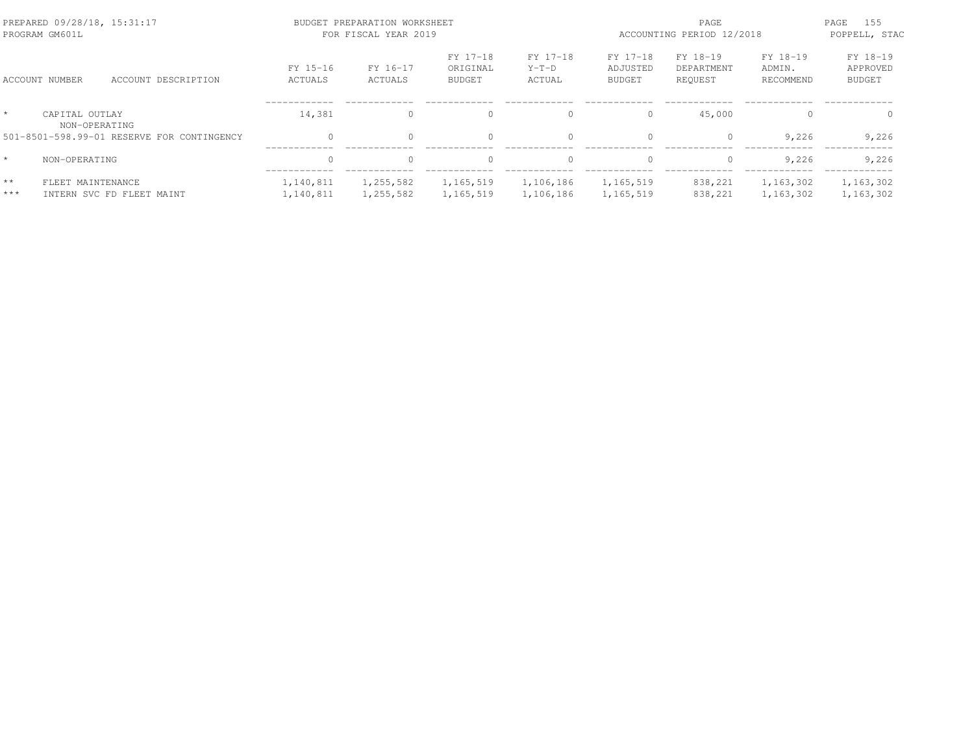|                       | PREPARED 09/28/18, 15:31:17<br>PROGRAM GM601L |                                            |                        | BUDGET PREPARATION WORKSHEET<br>FOR FISCAL YEAR 2019 |                                |                               | PAGE<br>ACCOUNTING PERIOD 12/2018     |                                   |                                 |                                       |
|-----------------------|-----------------------------------------------|--------------------------------------------|------------------------|------------------------------------------------------|--------------------------------|-------------------------------|---------------------------------------|-----------------------------------|---------------------------------|---------------------------------------|
|                       | ACCOUNT NUMBER                                | ACCOUNT DESCRIPTION                        | FY 15-16<br>ACTUALS    | FY 16-17<br>ACTUALS                                  | FY 17-18<br>ORIGINAL<br>BUDGET | FY 17-18<br>$Y-T-D$<br>ACTUAL | FY 17-18<br>ADJUSTED<br><b>BUDGET</b> | FY 18-19<br>DEPARTMENT<br>REQUEST | FY 18-19<br>ADMIN.<br>RECOMMEND | FY 18-19<br>APPROVED<br><b>BUDGET</b> |
| $\star$               | CAPITAL OUTLAY<br>NON-OPERATING               |                                            | 14,381                 | $\Omega$                                             | $\mathbf{0}$                   | $\Omega$                      | $\Omega$                              | 45,000                            |                                 | $\Omega$                              |
|                       |                                               | 501-8501-598.99-01 RESERVE FOR CONTINGENCY | $\Omega$               |                                                      | $\Omega$                       | $\Omega$                      | $\Omega$                              | 0                                 | 9,226                           | 9,226                                 |
| $\star$               | NON-OPERATING                                 |                                            | $\Omega$               | $\Omega$                                             | $\Omega$                       | $\Omega$                      | $\Omega$                              | $\Omega$                          | 9.226                           | 9,226                                 |
| $\star\star$<br>$***$ | FLEET MAINTENANCE                             | INTERN SVC FD FLEET MAINT                  | 1,140,811<br>1,140,811 | 1,255,582<br>1,255,582                               | 1,165,519<br>1,165,519         | 1,106,186<br>1,106,186        | 1,165,519<br>1,165,519                | 838,221<br>838,221                | 1,163,302<br>1,163,302          | 1,163,302<br>1,163,302                |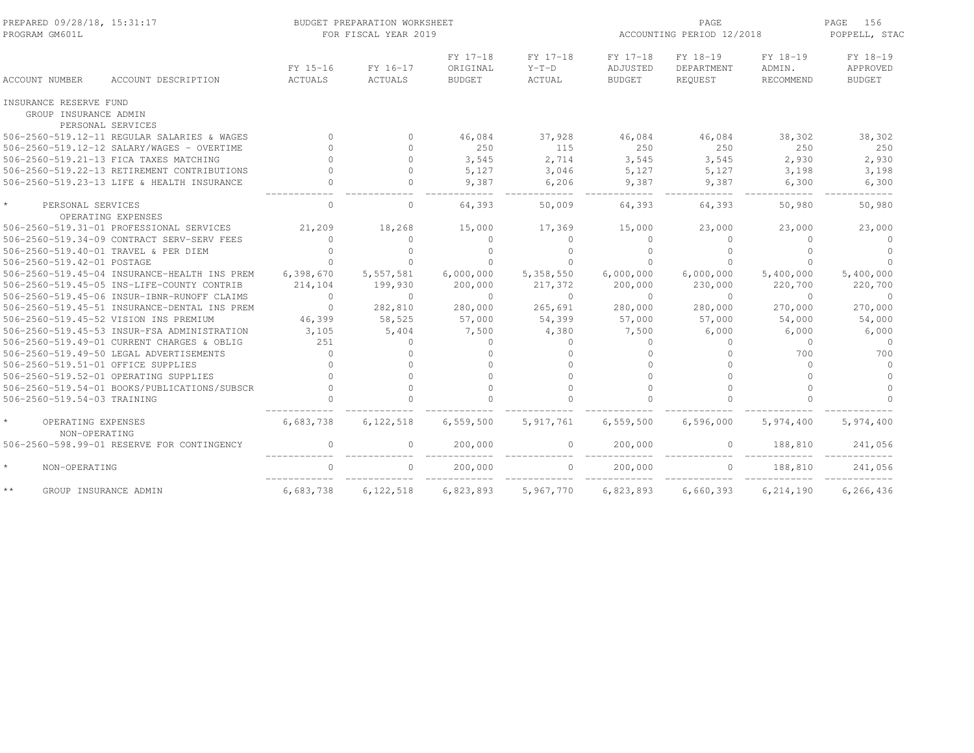| PREPARED 09/28/18, 15:31:17<br>PROGRAM GM601L   |                                              |                     | BUDGET PREPARATION WORKSHEET<br>FOR FISCAL YEAR 2019 |                                       |                               | ACCOUNTING PERIOD 12/2018             | PAGE<br>156<br>POPPELL, STAC      |                                        |                                       |
|-------------------------------------------------|----------------------------------------------|---------------------|------------------------------------------------------|---------------------------------------|-------------------------------|---------------------------------------|-----------------------------------|----------------------------------------|---------------------------------------|
| <b>ACCOUNT NUMBER</b>                           | ACCOUNT DESCRIPTION                          | FY 15-16<br>ACTUALS | FY 16-17<br>ACTUALS                                  | FY 17-18<br>ORIGINAL<br><b>BUDGET</b> | FY 17-18<br>$Y-T-D$<br>ACTUAL | FY 17-18<br>ADJUSTED<br><b>BUDGET</b> | FY 18-19<br>DEPARTMENT<br>REQUEST | FY 18-19<br>ADMIN.<br><b>RECOMMEND</b> | FY 18-19<br>APPROVED<br><b>BUDGET</b> |
| INSURANCE RESERVE FUND<br>GROUP INSURANCE ADMIN | PERSONAL SERVICES                            |                     |                                                      |                                       |                               |                                       |                                   |                                        |                                       |
|                                                 | 506-2560-519.12-11 REGULAR SALARIES & WAGES  | $\Omega$            | $\circ$                                              | 46,084                                | 37,928                        | 46,084                                | 46,084                            | 38,302                                 | 38,302                                |
|                                                 | 506-2560-519.12-12 SALARY/WAGES - OVERTIME   |                     | $\Omega$                                             | 250                                   | 115                           | 250                                   | 250                               | 250                                    | 250                                   |
|                                                 | 506-2560-519.21-13 FICA TAXES MATCHING       |                     | $\Omega$                                             | 3,545                                 | 2,714                         | 3,545                                 | 3,545                             | 2,930                                  | 2,930                                 |
|                                                 | 506-2560-519.22-13 RETIREMENT CONTRIBUTIONS  |                     | $\Omega$                                             | 5,127                                 | 3,046                         | 5,127                                 | 5,127                             | 3,198                                  | 3,198                                 |
|                                                 | 506-2560-519.23-13 LIFE & HEALTH INSURANCE   |                     | $\Omega$                                             | 9,387                                 | 6,206                         | 9,387                                 | 9,387                             | 6,300                                  | 6,300                                 |
| PERSONAL SERVICES                               |                                              | $\mathbf{0}$        | 0                                                    | 64,393                                | 50,009                        | 64,393                                | 64,393                            | 50,980                                 | 50,980                                |
|                                                 | OPERATING EXPENSES                           |                     |                                                      |                                       |                               |                                       |                                   |                                        |                                       |
|                                                 | 506-2560-519.31-01 PROFESSIONAL SERVICES     | 21,209              | 18,268                                               | 15,000                                | 17,369                        | 15,000                                | 23,000                            | 23,000                                 | 23,000                                |
|                                                 | 506-2560-519.34-09 CONTRACT SERV-SERV FEES   | $\circ$             | $\Omega$                                             | $\mathbf{0}$                          | $\mathbf{0}$                  | $\Omega$                              | $\mathbf{0}$                      | $\Omega$                               | $\Omega$                              |
|                                                 | 506-2560-519.40-01 TRAVEL & PER DIEM         | $\Omega$            | $\cap$                                               |                                       | $\Omega$                      |                                       |                                   | $\cap$                                 |                                       |
| 506-2560-519.42-01 POSTAGE                      |                                              | $\cap$              | $\Omega$                                             |                                       | $\Omega$                      |                                       |                                   | $\cap$                                 |                                       |
|                                                 | 506-2560-519.45-04 INSURANCE-HEALTH INS PREM | 6,398,670           | 5,557,581                                            | 6,000,000                             | 5,358,550                     | 6,000,000                             | 6,000,000                         | 5,400,000                              | 5,400,000                             |
|                                                 | 506-2560-519.45-05 INS-LIFE-COUNTY CONTRIB   | 214,104             | 199,930                                              | 200,000                               | 217,372                       | 200,000                               | 230,000                           | 220,700                                | 220,700                               |
|                                                 | 506-2560-519.45-06 INSUR-IBNR-RUNOFF CLAIMS  | $\Omega$            | $\Omega$                                             | $\Omega$                              | $\Omega$                      | $\Omega$                              | $\Omega$                          | $\Omega$                               | $\Omega$                              |
|                                                 | 506-2560-519.45-51 INSURANCE-DENTAL INS PREM | $\Omega$            | 282,810                                              | 280,000                               | 265,691                       | 280,000                               | 280,000                           | 270,000                                | 270,000                               |
|                                                 | 506-2560-519.45-52 VISION INS PREMIUM        | 46,399              | 58,525                                               | 57,000                                | 54,399                        | 57,000                                | 57,000                            | 54,000                                 | 54,000                                |
|                                                 | 506-2560-519.45-53 INSUR-FSA ADMINISTRATION  | 3,105               | 5,404                                                | 7,500                                 | 4,380                         | 7,500                                 | 6,000                             | 6,000                                  | 6,000                                 |
|                                                 | 506-2560-519.49-01 CURRENT CHARGES & OBLIG   | 251                 | $\mathbf{0}$                                         | $\Omega$                              | $\mathbf{0}$                  | $\Omega$                              | $\Omega$                          | $\mathbf 0$                            | $\Omega$                              |
|                                                 | 506-2560-519.49-50 LEGAL ADVERTISEMENTS      | $\Omega$            | $\Omega$                                             |                                       | $\Omega$                      |                                       |                                   | 700                                    | 700                                   |
| 506-2560-519.51-01 OFFICE SUPPLIES              |                                              | $\Omega$            | $\cap$                                               |                                       | $\Omega$                      | $\cap$                                |                                   | $\Omega$                               | $\Omega$                              |
|                                                 | 506-2560-519.52-01 OPERATING SUPPLIES        |                     | $\cap$                                               |                                       | $\Omega$                      |                                       |                                   | $\Omega$                               | $\Omega$                              |
|                                                 | 506-2560-519.54-01 BOOKS/PUBLICATIONS/SUBSCR |                     | $\Omega$                                             | $\cap$                                | $\Omega$                      |                                       | $\cap$                            | $\cap$                                 | $\Omega$                              |
| 506-2560-519.54-03 TRAINING                     |                                              |                     |                                                      |                                       |                               |                                       |                                   |                                        |                                       |
| OPERATING EXPENSES<br>NON-OPERATING             |                                              | 6,683,738           | 6,122,518                                            | 6,559,500                             | 5, 917, 761                   | 6,559,500                             | 6,596,000                         | 5,974,400                              | 5,974,400                             |
|                                                 | 506-2560-598.99-01 RESERVE FOR CONTINGENCY   | $\mathbf 0$         | 0                                                    | 200,000                               | 0                             | 200,000                               | 0                                 | 188,810                                | 241,056                               |
| NON-OPERATING                                   |                                              | $\Omega$            | $\circ$                                              | 200,000                               | $\circ$                       | 200,000                               | $\circ$                           | 188,810                                | 241,056                               |
| $\star$ $\star$<br>GROUP INSURANCE ADMIN        |                                              | 6,683,738           | 6, 122, 518                                          | 6,823,893                             | 5,967,770                     | 6,823,893                             | 6,660,393                         | 6, 214, 190                            | 6,266,436                             |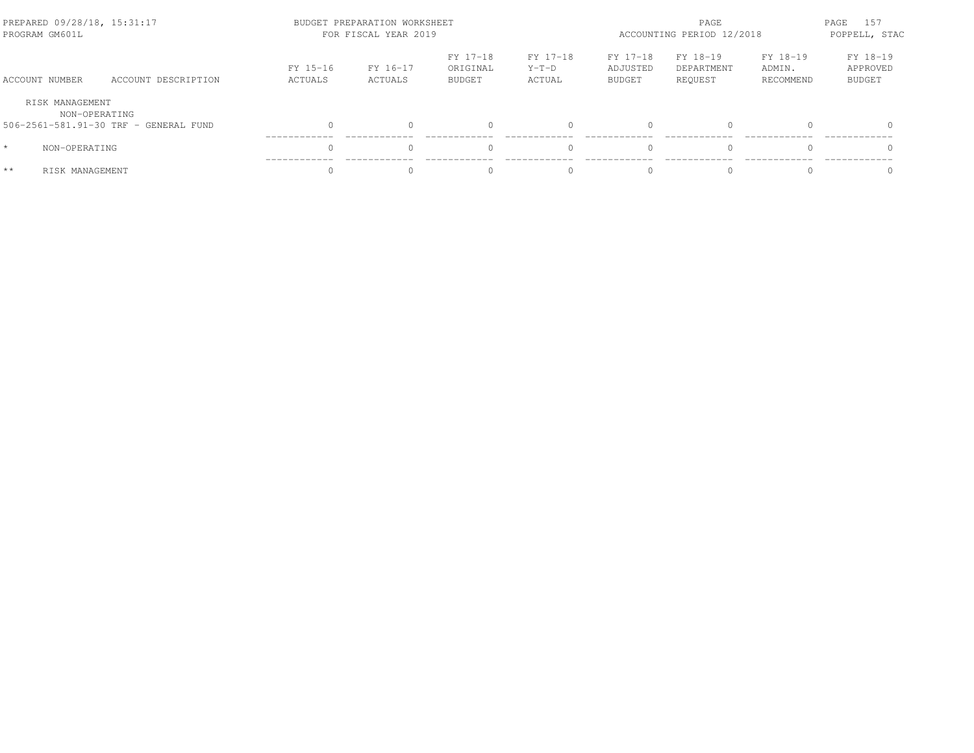| PREPARED 09/28/18, 15:31:17<br>PROGRAM GM601L |                                       | BUDGET PREPARATION WORKSHEET<br>FOR FISCAL YEAR 2019 |                     |                                       |                               | PAGE<br>ACCOUNTING PERIOD 12/2018     |                                   |                                 | 157<br>PAGE<br>POPPELL, STAC          |  |
|-----------------------------------------------|---------------------------------------|------------------------------------------------------|---------------------|---------------------------------------|-------------------------------|---------------------------------------|-----------------------------------|---------------------------------|---------------------------------------|--|
| ACCOUNT NUMBER                                | ACCOUNT DESCRIPTION                   | FY 15-16<br>ACTUALS                                  | FY 16-17<br>ACTUALS | FY 17-18<br>ORIGINAL<br><b>BUDGET</b> | FY 17-18<br>$Y-T-D$<br>ACTUAL | FY 17-18<br>ADJUSTED<br><b>BUDGET</b> | FY 18-19<br>DEPARTMENT<br>REOUEST | FY 18-19<br>ADMIN.<br>RECOMMEND | FY 18-19<br>APPROVED<br><b>BUDGET</b> |  |
| RISK MANAGEMENT<br>NON-OPERATING              |                                       |                                                      |                     |                                       |                               |                                       |                                   |                                 |                                       |  |
|                                               | 506-2561-581.91-30 TRF - GENERAL FUND | $\bigcap$                                            | $\Omega$            | $\Omega$                              |                               | $\bigcap$                             |                                   |                                 |                                       |  |
| $\star$<br>NON-OPERATING                      |                                       | $\cap$                                               |                     | $\Omega$                              |                               | $\bigcap$                             |                                   |                                 |                                       |  |
| $**$<br>RISK MANAGEMENT                       |                                       |                                                      |                     |                                       |                               | $\bigcap$                             |                                   |                                 |                                       |  |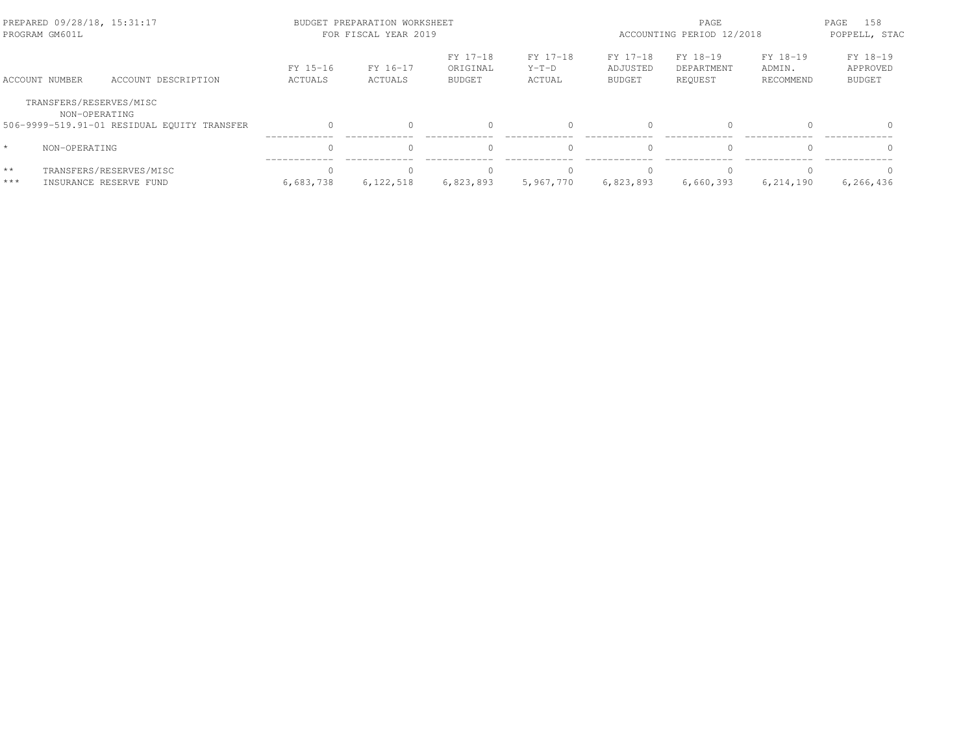| PREPARED 09/28/18, 15:31:17<br>PROGRAM GM601L |                                                              |                       | BUDGET PREPARATION WORKSHEET<br>FOR FISCAL YEAR 2019 |                                       | PAGE<br>ACCOUNTING PERIOD 12/2018 |                                       |                                   | PAGE<br>158<br>POPPELL, STAC    |                                       |
|-----------------------------------------------|--------------------------------------------------------------|-----------------------|------------------------------------------------------|---------------------------------------|-----------------------------------|---------------------------------------|-----------------------------------|---------------------------------|---------------------------------------|
| ACCOUNT NUMBER                                | ACCOUNT DESCRIPTION                                          | FY 15-16<br>ACTUALS   | FY 16-17<br>ACTUALS                                  | FY 17-18<br>ORIGINAL<br><b>BUDGET</b> | FY 17-18<br>$Y-T-D$<br>ACTUAL     | FY 17-18<br>ADJUSTED<br><b>BUDGET</b> | FY 18-19<br>DEPARTMENT<br>REOUEST | FY 18-19<br>ADMIN.<br>RECOMMEND | FY 18-19<br>APPROVED<br><b>BUDGET</b> |
| TRANSFERS/RESERVES/MISC                       | NON-OPERATING<br>506-9999-519.91-01 RESIDUAL EQUITY TRANSFER |                       |                                                      |                                       |                                   | $\cap$                                | $\Omega$                          |                                 | $\Omega$                              |
| $\star$<br>NON-OPERATING                      |                                                              | $\Omega$              |                                                      |                                       |                                   |                                       | $\Omega$                          |                                 | $\Omega$                              |
| $\star\star$<br>$***$                         | TRANSFERS/RESERVES/MISC<br>INSURANCE RESERVE FUND            | $\Omega$<br>6,683,738 | 6,122,518                                            | 6,823,893                             | 5,967,770                         | 6,823,893                             | $\bigcap$<br>6,660,393            | 6,214,190                       | $\Omega$<br>6,266,436                 |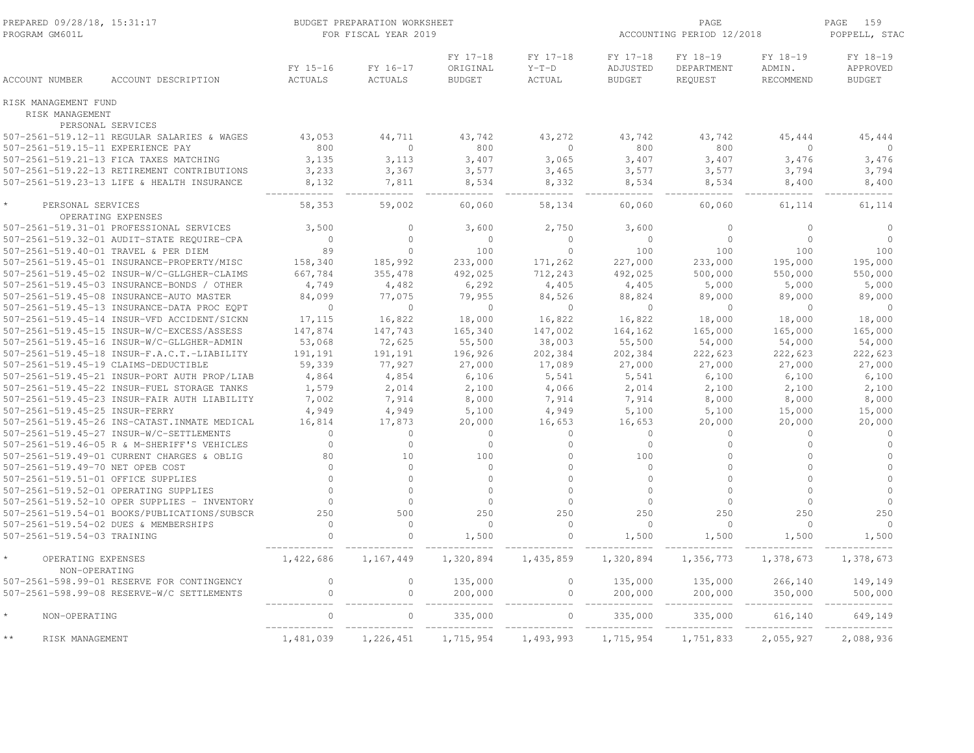| PREPARED 09/28/18, 15:31:17<br>PROGRAM GM601L |                                               |                            | BUDGET PREPARATION WORKSHEET<br>FOR FISCAL YEAR 2019 |                                       |                               | ACCOUNTING PERIOD 12/2018             | PAGE<br>159<br>POPPELL, STAC      |                                 |                                       |
|-----------------------------------------------|-----------------------------------------------|----------------------------|------------------------------------------------------|---------------------------------------|-------------------------------|---------------------------------------|-----------------------------------|---------------------------------|---------------------------------------|
| <b>ACCOUNT NUMBER</b>                         | ACCOUNT DESCRIPTION                           | FY 15-16<br><b>ACTUALS</b> | FY 16-17<br><b>ACTUALS</b>                           | FY 17-18<br>ORIGINAL<br><b>BUDGET</b> | FY 17-18<br>$Y-T-D$<br>ACTUAL | FY 17-18<br>ADJUSTED<br><b>BUDGET</b> | FY 18-19<br>DEPARTMENT<br>REQUEST | FY 18-19<br>ADMIN.<br>RECOMMEND | FY 18-19<br>APPROVED<br><b>BUDGET</b> |
| RISK MANAGEMENT FUND<br>RISK MANAGEMENT       |                                               |                            |                                                      |                                       |                               |                                       |                                   |                                 |                                       |
|                                               | PERSONAL SERVICES                             |                            |                                                      |                                       |                               |                                       |                                   |                                 |                                       |
|                                               | 507-2561-519.12-11 REGULAR SALARIES & WAGES   | 43,053                     | 44,711                                               | 43,742                                | 43,272                        | 43,742                                | 43,742                            | 45,444                          | 45,444                                |
| 507-2561-519.15-11 EXPERIENCE PAY             |                                               | 800                        | $\circ$                                              | 800                                   | $\mathbf 0$                   | 800                                   | 800                               | $\circ$                         | $\mathbf{0}$                          |
|                                               | 507-2561-519.21-13 FICA TAXES MATCHING        | 3,135                      | 3,113                                                | 3,407                                 | 3,065                         | 3,407                                 | 3,407                             | 3,476                           | 3,476                                 |
|                                               | 507-2561-519.22-13 RETIREMENT CONTRIBUTIONS   | 3,233                      | 3,367                                                | 3,577                                 | 3,465                         | 3,577                                 | 3,577                             | 3,794                           | 3,794                                 |
|                                               | 507-2561-519.23-13 LIFE & HEALTH INSURANCE    | 8,132                      | 7,811                                                | 8,534                                 | 8,332                         | 8,534                                 | 8,534                             | 8,400                           | 8,400                                 |
| PERSONAL SERVICES                             | OPERATING EXPENSES                            | 58,353                     | 59,002                                               | 60,060                                | 58,134                        | 60,060                                | 60,060                            | 61,114                          | 61,114                                |
|                                               | 507-2561-519.31-01 PROFESSIONAL SERVICES      | 3,500                      | $\Omega$                                             | 3,600                                 | 2,750                         | 3,600                                 | $\mathbf{0}$                      | $\circ$                         | $\circ$                               |
|                                               | 507-2561-519.32-01 AUDIT-STATE REQUIRE-CPA    | $\mathbf 0$                | $\Omega$                                             | $\circ$                               | $\mathbf 0$                   | $\Omega$                              | $\mathbb O$                       | $\circ$                         | $\Omega$                              |
|                                               | 507-2561-519.40-01 TRAVEL & PER DIEM          | 89                         | $\Omega$                                             | 100                                   | $\mathbb O$                   | 100                                   | 100                               | 100                             | 100                                   |
|                                               | 507-2561-519.45-01 INSURANCE-PROPERTY/MISC    | 158,340                    | 185,992                                              | 233,000                               | 171,262                       | 227,000                               | 233,000                           | 195,000                         | 195,000                               |
|                                               | 507-2561-519.45-02 INSUR-W/C-GLLGHER-CLAIMS   | 667,784                    | 355,478                                              | 492,025                               | 712,243                       | 492,025                               | 500,000                           | 550,000                         | 550,000                               |
|                                               | 507-2561-519.45-03 INSURANCE-BONDS / OTHER    | 4,749                      | 4,482                                                | 6,292                                 | 4,405                         | 4,405                                 | 5,000                             | 5,000                           | 5,000                                 |
|                                               | 507-2561-519.45-08 INSURANCE-AUTO MASTER      | 84,099                     | 77,075                                               | 79,955                                | 84,526                        | 88,824                                | 89,000                            | 89,000                          | 89,000                                |
|                                               | 507-2561-519.45-13 INSURANCE-DATA PROC EQPT   | $\circ$                    | $\circ$                                              | $\circ$                               | $\overline{0}$                | $\overline{0}$                        | $\overline{0}$                    | $\circ$                         | $\circ$                               |
|                                               | 507-2561-519.45-14 INSUR-VFD ACCIDENT/SICKN   | 17,115                     | 16,822                                               | 18,000                                | 16,822                        | 16,822                                | 18,000                            | 18,000                          | 18,000                                |
|                                               | 507-2561-519.45-15 INSUR-W/C-EXCESS/ASSESS    | 147,874                    | 147,743                                              | 165,340                               | 147,002                       | 164,162                               | 165,000                           | 165,000                         | 165,000                               |
|                                               | 507-2561-519.45-16 INSUR-W/C-GLLGHER-ADMIN    | 53,068                     | 72,625                                               | 55,500                                | 38,003                        | 55,500                                | 54,000                            | 54,000                          | 54,000                                |
|                                               | 507-2561-519.45-18 INSUR-F.A.C.T.-LIABILITY   | 191,191                    | 191,191                                              | 196,926                               | 202,384                       | 202,384                               | 222,623                           | 222,623                         | 222,623                               |
|                                               | 507-2561-519.45-19 CLAIMS-DEDUCTIBLE          | 59,339                     | 77,927                                               | 27,000                                | 17,089                        | 27,000                                | 27,000                            | 27,000                          | 27,000                                |
|                                               | 507-2561-519.45-21 INSUR-PORT AUTH PROP/LIAB  | 4,864                      | 4,854                                                | 6,106                                 | 5,541                         | 5,541                                 | 6,100                             | 6,100                           | 6,100                                 |
|                                               | 507-2561-519.45-22 INSUR-FUEL STORAGE TANKS   | 1,579                      | 2,014                                                | 2,100                                 | 4,066                         | 2,014                                 | 2,100                             | 2,100                           | 2,100                                 |
|                                               | 507-2561-519.45-23 INSUR-FAIR AUTH LIABILITY  | 7,002                      | 7,914                                                | 8,000                                 | 7,914                         | 7,914                                 | 8,000                             | 8,000                           | 8,000                                 |
| 507-2561-519.45-25 INSUR-FERRY                |                                               | 4,949                      | 4,949                                                | 5,100                                 | 4,949                         | 5,100                                 | 5,100                             | 15,000                          | 15,000                                |
|                                               | 507-2561-519.45-26 INS-CATAST. INMATE MEDICAL | 16,814                     | 17,873                                               | 20,000                                | 16,653                        | 16,653                                | 20,000                            | 20,000                          | 20,000                                |
|                                               | 507-2561-519.45-27 INSUR-W/C-SETTLEMENTS      | $\Omega$                   | $\circ$                                              | $\circ$                               | $\mathbf{0}$                  | $\Omega$                              | $\circ$                           | $\circ$                         | $\circ$                               |
|                                               | 507-2561-519.46-05 R & M-SHERIFF'S VEHICLES   | $\circ$                    | $\circ$                                              | $\circ$                               | $\mathbf{0}$                  | $\circ$                               | $\circ$                           | $\circ$                         | $\circ$                               |
|                                               | 507-2561-519.49-01 CURRENT CHARGES & OBLIG    | 80                         | 10                                                   | 100                                   | $\mathbf{0}$                  | 100                                   | $\mathbf{0}$                      | $\Omega$                        | $\Omega$                              |
| 507-2561-519.49-70 NET OPEB COST              |                                               | $\Omega$                   | $\Omega$                                             | $\circ$                               | $\circ$                       | $\Omega$                              | $\Omega$                          | $\Omega$                        | $\Omega$                              |
| 507-2561-519.51-01 OFFICE SUPPLIES            |                                               | $\Omega$                   | $\Omega$                                             | $\Omega$                              | $\Omega$                      | $\Omega$                              | $\Omega$                          | $\Omega$                        | $\Omega$                              |
|                                               | 507-2561-519.52-01 OPERATING SUPPLIES         | $\Omega$                   | $\circ$                                              | $\circ$                               | $\circ$                       | $\circ$                               | $\circ$                           | $\circ$                         | $\Omega$                              |
|                                               | 507-2561-519.52-10 OPER SUPPLIES - INVENTORY  | $\mathbf{0}$               | $\circ$                                              | $\circ$                               | $\overline{0}$                | $\circ$                               | $\circ$                           | $\circ$                         | $\circ$                               |
|                                               | 507-2561-519.54-01 BOOKS/PUBLICATIONS/SUBSCR  | 250                        | 500                                                  | 250                                   | 250                           | 250                                   | 250                               | 250                             | 250                                   |
|                                               | 507-2561-519.54-02 DUES & MEMBERSHIPS         | $\mathbf{0}$               | $\Omega$                                             | $\circ$                               | $\circ$                       | $\Omega$                              | $\circ$                           | $\circ$                         | $\circ$                               |
| 507-2561-519.54-03 TRAINING                   |                                               | $\mathbb O$                | $\circ$                                              | 1,500                                 | $\mathbb O$                   | 1,500                                 | 1,500                             | 1,500                           | 1,500                                 |
| OPERATING EXPENSES<br>NON-OPERATING           |                                               | 1,422,686                  | 1,167,449                                            | 1,320,894                             | 1,435,859                     | 1,320,894                             | 1,356,773                         | 1,378,673                       | 1,378,673                             |
|                                               | 507-2561-598.99-01 RESERVE FOR CONTINGENCY    | $\circ$                    | 0                                                    | 135,000                               | $\mathbf 0$                   | 135,000                               | 135,000                           | 266,140                         | 149,149                               |
|                                               | 507-2561-598.99-08 RESERVE-W/C SETTLEMENTS    | $\mathbf{0}$               | $\circ$                                              | 200,000                               | $\mathbb O$                   | 200,000                               | 200,000                           | 350,000                         | 500,000                               |
| NON-OPERATING                                 |                                               | $\mathbf 0$                | 0                                                    | 335,000                               | $\mathbf 0$                   | 335,000                               | 335,000                           | 616,140                         | 649,149                               |
| $\star\star$<br>RISK MANAGEMENT               |                                               | ____________<br>1,481,039  | 1,226,451                                            | 1,715,954                             | 1,493,993                     | 1,715,954                             | 1,751,833                         | 2,055,927                       | 2,088,936                             |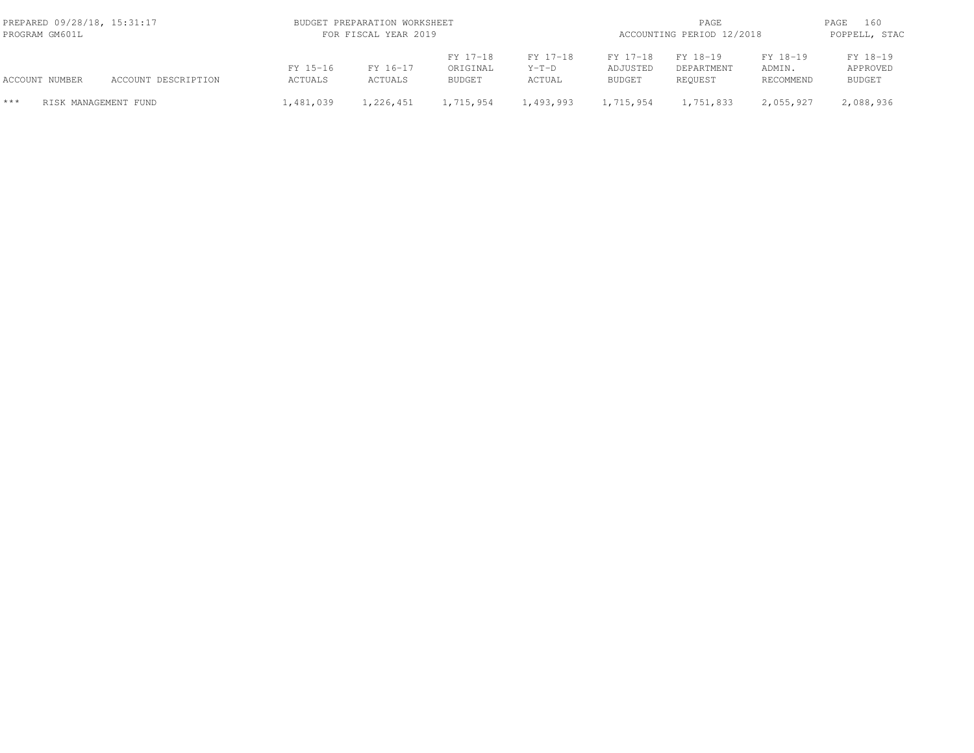|       | PREPARED 09/28/18, 15:31:17<br>PROGRAM GM601L |                     |                     | BUDGET PREPARATION WORKSHEET<br>FOR FISCAL YEAR 2019 |                                       |                               | PAGE<br>ACCOUNTING PERIOD 12/2018     |                                   |                                 | 160<br>PAGE<br>POPPELL, STAC          |
|-------|-----------------------------------------------|---------------------|---------------------|------------------------------------------------------|---------------------------------------|-------------------------------|---------------------------------------|-----------------------------------|---------------------------------|---------------------------------------|
|       | ACCOUNT NUMBER                                | ACCOUNT DESCRIPTION | FY 15-16<br>ACTUALS | FY 16-17<br>ACTUALS                                  | FY 17-18<br>ORIGINAL<br><b>BUDGET</b> | FY 17-18<br>$Y-T-D$<br>ACTUAL | FY 17-18<br>ADJUSTED<br><b>BUDGET</b> | FY 18-19<br>DEPARTMENT<br>REOUEST | FY 18-19<br>ADMIN.<br>RECOMMEND | FY 18-19<br>APPROVED<br><b>BUDGET</b> |
| $***$ | RISK MANAGEMENT FUND                          |                     | 1,481,039           | 1,226,451                                            | 1,715,954                             | 1,493,993                     | 1,715,954                             | 1,751,833                         | 2,055,927                       | 2,088,936                             |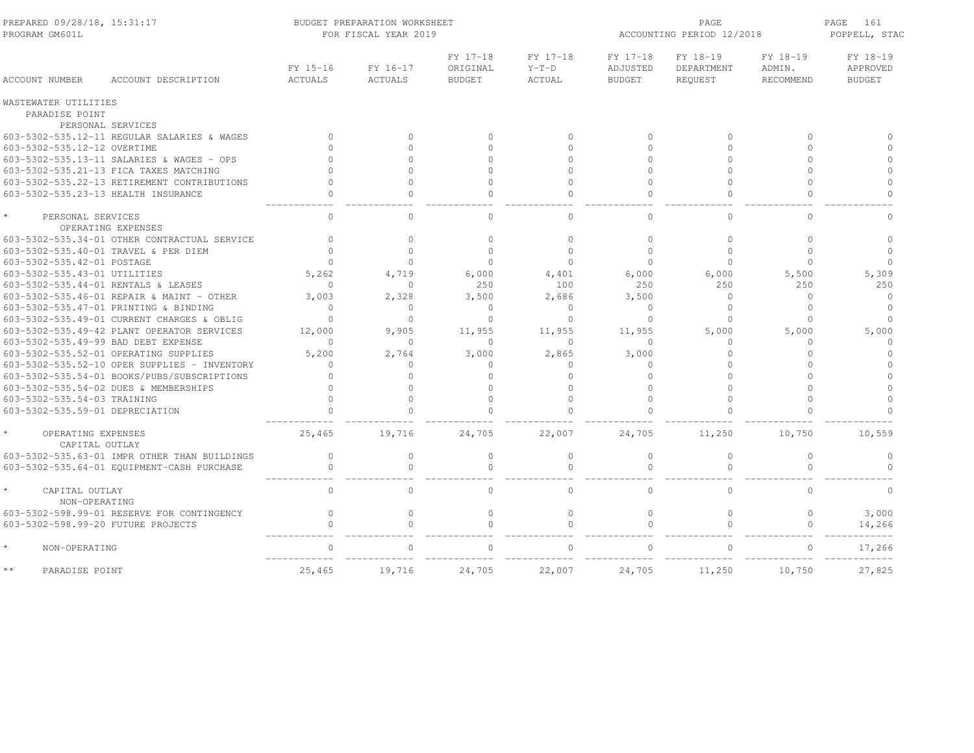| PREPARED 09/28/18, 15:31:17<br>PROGRAM GM601L |                     | BUDGET PREPARATION WORKSHEET<br>FOR FISCAL YEAR 2019 |                                       | ACCOUNTING PERIOD 12/2018     | PAGE<br>161<br>POPPELL, STAC          |                                   |                                 |                                       |
|-----------------------------------------------|---------------------|------------------------------------------------------|---------------------------------------|-------------------------------|---------------------------------------|-----------------------------------|---------------------------------|---------------------------------------|
| <b>ACCOUNT NUMBER</b><br>ACCOUNT DESCRIPTION  | FY 15-16<br>ACTUALS | FY 16-17<br>ACTUALS                                  | FY 17-18<br>ORIGINAL<br><b>BUDGET</b> | FY 17-18<br>$Y-T-D$<br>ACTUAL | FY 17-18<br>ADJUSTED<br><b>BUDGET</b> | FY 18-19<br>DEPARTMENT<br>REQUEST | FY 18-19<br>ADMIN.<br>RECOMMEND | FY 18-19<br>APPROVED<br><b>BUDGET</b> |
| WASTEWATER UTILITIES                          |                     |                                                      |                                       |                               |                                       |                                   |                                 |                                       |
| PARADISE POINT                                |                     |                                                      |                                       |                               |                                       |                                   |                                 |                                       |
| PERSONAL SERVICES                             |                     |                                                      |                                       |                               |                                       |                                   |                                 |                                       |
| 603-5302-535.12-11 REGULAR SALARIES & WAGES   | $\Omega$            | $\Omega$                                             | $\bigcap$                             | $\Omega$                      | $\Omega$                              | $\Omega$                          | $\Omega$                        | $\cap$                                |
| 603-5302-535.12-12 OVERTIME                   | $\cap$              | $\Omega$                                             | $\cap$                                | $\Omega$                      | $\bigcap$                             | $\cap$                            | $\cap$                          | $\Omega$                              |
| 603-5302-535.13-11 SALARIES & WAGES - OPS     |                     | $\Omega$                                             | $\cap$                                | $\cap$                        | $\cap$                                | $\cap$                            | $\cap$                          | $\Omega$                              |
| 603-5302-535.21-13 FICA TAXES MATCHING        |                     | $\Omega$                                             | $\cap$                                | $\Omega$                      | $\cap$                                | $\cap$                            | $\cap$                          | $\Omega$                              |
| 603-5302-535.22-13 RETIREMENT CONTRIBUTIONS   |                     | $\Omega$                                             | $\cap$                                | $\Omega$                      | $\cap$                                | $\cap$                            | $\cap$                          | $\Omega$                              |
| 603-5302-535.23-13 HEALTH INSURANCE           |                     | $\circ$                                              |                                       | $\Omega$                      | $\cap$                                |                                   | $\Omega$                        | $\Omega$                              |
| PERSONAL SERVICES                             | $\mathbf{0}$        | $\circ$                                              | $\Omega$                              | $\circ$                       | $\Omega$                              | $\mathbf{0}$                      | $\circ$                         | $\mathbf 0$                           |
| OPERATING EXPENSES                            |                     |                                                      |                                       |                               |                                       |                                   |                                 |                                       |
| 603-5302-535.34-01 OTHER CONTRACTUAL SERVICE  | $\Omega$            | $\Omega$                                             | $\circ$                               | $\Omega$                      | $\Omega$                              | $\circ$                           | $\Omega$                        | $\Omega$                              |
| 603-5302-535.40-01 TRAVEL & PER DIEM          | $\Omega$            | $\Omega$                                             | $\Omega$                              | $\mathbf{0}$                  | $\Omega$                              | $\circ$                           | $\Omega$                        | $\Omega$                              |
| 603-5302-535.42-01 POSTAGE                    | $\Omega$            | $\Omega$                                             | $\Omega$                              | $\Omega$                      | $\cap$                                | $\Omega$                          | $\Omega$                        | $\Omega$                              |
| 603-5302-535.43-01 UTILITIES                  | 5,262               | 4,719                                                | 6,000                                 | 4,401                         | 6,000                                 | 6,000                             | 5,500                           | 5,309                                 |
| 603-5302-535.44-01 RENTALS & LEASES           | $\Omega$            | $\Omega$                                             | 250                                   | 100                           | 250                                   | 250                               | 250                             | 250                                   |
| 603-5302-535.46-01 REPAIR & MAINT - OTHER     | 3,003               | 2,328                                                | 3,500                                 | 2,686                         | 3,500                                 | $\circ$                           | $\Omega$                        | $\Omega$                              |
| 603-5302-535.47-01 PRINTING & BINDING         | $\Omega$            | $\Omega$                                             | $\Omega$                              | 0                             | $\cap$                                | $\Omega$                          | $\Omega$                        | $\Omega$                              |
| 603-5302-535.49-01 CURRENT CHARGES & OBLIG    | $\Omega$            | $\Omega$                                             | $\Omega$                              | $\Omega$                      | $\bigcap$                             | $\Omega$                          | $\Omega$                        |                                       |
| 603-5302-535.49-42 PLANT OPERATOR SERVICES    | 12,000              | 9,905                                                | 11,955                                | 11,955                        | 11,955                                | 5,000                             | 5,000                           | 5,000                                 |
| 603-5302-535.49-99 BAD DEBT EXPENSE           | $\Omega$            | $\Omega$                                             | $\Omega$                              | $\Omega$                      | $\bigcap$                             | $\Omega$                          | $\Omega$                        | $\Omega$                              |
| 603-5302-535.52-01 OPERATING SUPPLIES         | 5,200               | 2,764                                                | 3,000                                 | 2,865                         | 3,000                                 | $\Omega$                          | $\Omega$                        | $\Omega$                              |
| 603-5302-535.52-10 OPER SUPPLIES - INVENTORY  | $\bigcap$           | 0                                                    | $\Omega$                              | 0                             | $\cap$                                | Λ                                 | $\cap$                          | $\cap$                                |
| 603-5302-535.54-01 BOOKS/PUBS/SUBSCRIPTIONS   | $\Omega$            | $\Omega$                                             | $\cap$                                | $\Omega$                      | $\cap$                                |                                   | $\cap$                          | $\cap$                                |
| 603-5302-535.54-02 DUES & MEMBERSHIPS         | $\Omega$            | $\Omega$                                             | $\cap$                                | $\Omega$                      | $\cap$                                | $\Omega$                          | $\Omega$                        | $\Omega$                              |
| 603-5302-535.54-03 TRAINING                   | $\Omega$            | $\Omega$                                             | $\cap$                                | $\Omega$                      | $\cap$                                | $\Omega$                          | $\cap$                          | $\Omega$                              |
| 603-5302-535.59-01 DEPRECIATION               |                     | $\Omega$                                             | $\cap$                                | $\Omega$                      |                                       | $\Omega$                          | $\Omega$                        | $\cap$                                |
| OPERATING EXPENSES<br>CAPITAL OUTLAY          | 25,465              | 19,716                                               | 24,705                                | 22,007                        | 24,705                                | 11,250                            | 10,750                          | 10,559                                |
| 603-5302-535.63-01 IMPR OTHER THAN BUILDINGS  | $\mathbf{0}$        | $\circ$                                              | $\mathbf{0}$                          | $\circ$                       | $\Omega$                              | $\mathbf{0}$                      | $\circ$                         | $\circ$                               |
| 603-5302-535.64-01 EQUIPMENT-CASH PURCHASE    | $\circ$             | $\circ$                                              | $\mathbf 0$                           | $\circ$                       | $\mathbf{0}$                          | $\circ$                           | $\Omega$                        |                                       |
| CAPITAL OUTLAY<br>NON-OPERATING               | $\circ$             | $\circ$                                              | $\circ$                               | $\circ$                       | $\mathbf{0}$                          | $\circ$                           | $\circ$                         | $\circ$                               |
| 603-5302-598.99-01 RESERVE FOR CONTINGENCY    | $\mathbf{0}$        | $\circ$                                              | $\mathbf{0}$                          | $\mathbf{0}$                  | $\Omega$                              | $\circ$                           | $\circ$                         | 3,000                                 |
| 603-5302-598.99-20 FUTURE PROJECTS            |                     | $\Omega$                                             | $\cap$                                | $\cap$                        |                                       | $\Omega$                          | $\Omega$                        | 14,266                                |
| NON-OPERATING                                 | $\Omega$            | $\cap$                                               |                                       | $\cap$                        |                                       |                                   | $\Omega$                        | 17,266                                |
| $\star\star$<br>PARADISE POINT                | 25,465              | 19,716                                               | 24,705                                | 22,007                        | 24,705                                | 11,250                            | 10,750                          | 27,825                                |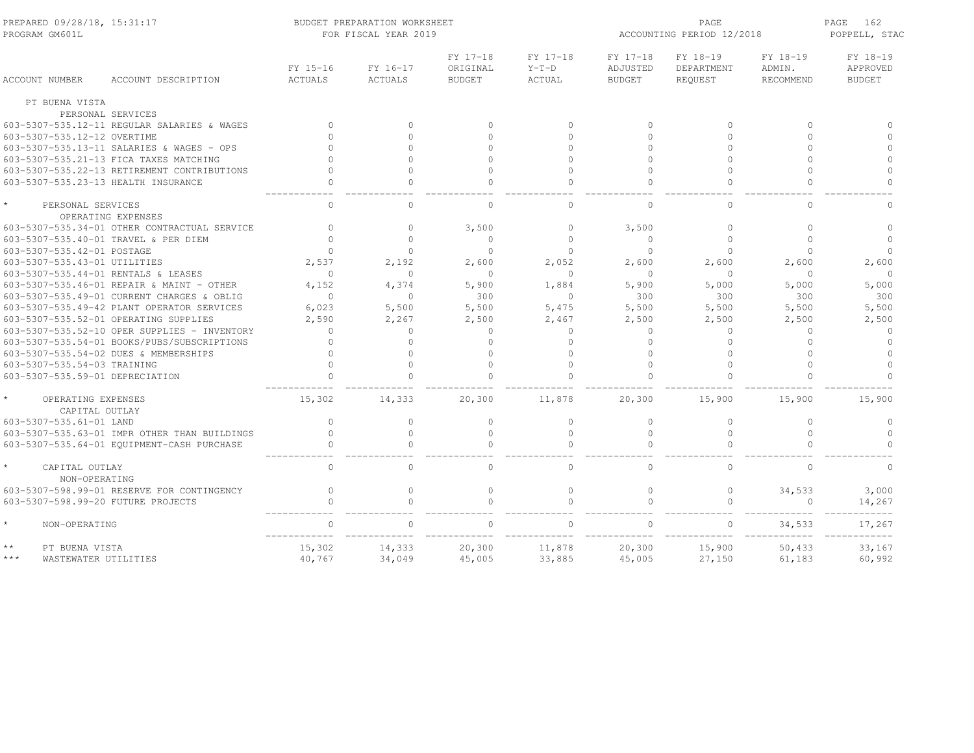| PREPARED 09/28/18, 15:31:17<br>PROGRAM GM601L   |                                              |                            | BUDGET PREPARATION WORKSHEET<br>FOR FISCAL YEAR 2019 |                                       | ACCOUNTING PERIOD 12/2018     | PAGE<br>162<br>POPPELL, STAC          |                                   |                                        |                                       |
|-------------------------------------------------|----------------------------------------------|----------------------------|------------------------------------------------------|---------------------------------------|-------------------------------|---------------------------------------|-----------------------------------|----------------------------------------|---------------------------------------|
| <b>ACCOUNT NUMBER</b>                           | ACCOUNT DESCRIPTION                          | FY 15-16<br><b>ACTUALS</b> | FY 16-17<br><b>ACTUALS</b>                           | FY 17-18<br>ORIGINAL<br><b>BUDGET</b> | FY 17-18<br>$Y-T-D$<br>ACTUAL | FY 17-18<br>ADJUSTED<br><b>BUDGET</b> | FY 18-19<br>DEPARTMENT<br>REQUEST | FY 18-19<br>ADMIN.<br><b>RECOMMEND</b> | FY 18-19<br>APPROVED<br><b>BUDGET</b> |
| PT BUENA VISTA                                  |                                              |                            |                                                      |                                       |                               |                                       |                                   |                                        |                                       |
|                                                 | PERSONAL SERVICES                            |                            |                                                      |                                       |                               |                                       |                                   |                                        |                                       |
|                                                 | 603-5307-535.12-11 REGULAR SALARIES & WAGES  | $\Omega$                   | $\Omega$                                             | $\Omega$                              | $\Omega$                      | $\Omega$                              | $\circ$                           | $\Omega$                               | $\cap$                                |
| 603-5307-535.12-12 OVERTIME                     |                                              | $\Omega$                   | $\Omega$                                             | $\Omega$                              | $\bigcap$                     | $\cap$                                | $\Omega$                          | $\Omega$                               | $\cap$                                |
|                                                 | 603-5307-535.13-11 SALARIES & WAGES - OPS    | $\Omega$                   | $\Omega$                                             | $\cap$                                | $\bigcap$                     | $\cap$                                | $\Omega$                          | $\Omega$                               | $\Omega$                              |
|                                                 | 603-5307-535.21-13 FICA TAXES MATCHING       |                            | $\Omega$                                             | $\cap$                                | $\Omega$                      | $\cap$                                | $\cap$                            | $\cap$                                 | $\Omega$                              |
|                                                 | 603-5307-535.22-13 RETIREMENT CONTRIBUTIONS  | $\cap$                     | $\Omega$                                             | $\cap$                                | $\Omega$                      | $\cap$                                | $\Omega$                          | $\cap$                                 | $\Omega$                              |
|                                                 | 603-5307-535.23-13 HEALTH INSURANCE          | $\Omega$                   | $\Omega$                                             | $\cap$                                | $\Omega$                      | $\cap$                                | $\Omega$                          | $\Omega$                               | $\Omega$                              |
| PERSONAL SERVICES                               | OPERATING EXPENSES                           | $\Omega$                   | $\Omega$                                             | $\Omega$                              | $\mathbf{0}$                  | $\Omega$                              | $\Omega$                          | $\Omega$                               | $\Omega$                              |
|                                                 | 603-5307-535.34-01 OTHER CONTRACTUAL SERVICE | $\cap$                     | $\Omega$                                             | 3,500                                 | $\Omega$                      | 3,500                                 | $\Omega$                          | $\cap$                                 | $\Omega$                              |
|                                                 | 603-5307-535.40-01 TRAVEL & PER DIEM         | $\cap$                     | $\Omega$                                             | $\cap$                                | $\bigcap$                     | $\cap$                                | $\bigcap$                         | $\Omega$                               | $\Omega$                              |
| 603-5307-535.42-01 POSTAGE                      |                                              | $\bigcap$                  | $\cap$                                               | $\Omega$                              | $\Omega$                      | $\Omega$                              | $\Omega$                          | $\Omega$                               | $\cap$                                |
| 603-5307-535.43-01 UTILITIES                    |                                              | 2.537                      | 2.192                                                | 2,600                                 | 2,052                         | 2,600                                 | 2.600                             | 2,600                                  | 2,600                                 |
|                                                 | 603-5307-535.44-01 RENTALS & LEASES          | $\Omega$                   | $\Omega$                                             | $\Omega$                              | $\Omega$                      | $\bigcap$                             | $\Omega$                          | $\Omega$                               | $\Omega$                              |
|                                                 | 603-5307-535.46-01 REPAIR & MAINT - OTHER    | 4.152                      | 4.374                                                | 5,900                                 | 1,884                         | 5,900                                 | 5,000                             | 5,000                                  | 5,000                                 |
|                                                 | 603-5307-535.49-01 CURRENT CHARGES & OBLIG   | $\circ$                    | $\circ$                                              | 300                                   | $\circ$                       | 300                                   | 300                               | 300                                    | 300                                   |
|                                                 | 603-5307-535.49-42 PLANT OPERATOR SERVICES   | 6,023                      | 5,500                                                | 5,500                                 | 5,475                         | 5,500                                 | 5,500                             | 5,500                                  | 5,500                                 |
|                                                 | 603-5307-535.52-01 OPERATING SUPPLIES        | 2,590                      | 2,267                                                | 2,500                                 | 2,467                         | 2,500                                 | 2,500                             | 2,500                                  | 2,500                                 |
|                                                 | 603-5307-535.52-10 OPER SUPPLIES - INVENTORY | $\mathbf{0}$               | $\Omega$                                             | $\Omega$                              | $\mathbf{0}$                  | $\Omega$                              | $\mathbf{0}$                      | $\Omega$                               | $\circ$                               |
|                                                 | 603-5307-535.54-01 BOOKS/PUBS/SUBSCRIPTIONS  | $\Omega$                   | $\Omega$                                             | $\Omega$                              | $\Omega$                      | $\Omega$                              | $\Omega$                          | $\Omega$                               | $\Omega$                              |
|                                                 | 603-5307-535.54-02 DUES & MEMBERSHIPS        |                            | $\Omega$                                             | $\Omega$                              | $\bigcap$                     | $\cap$                                | $\Omega$                          | $\cap$                                 | $\Omega$                              |
| 603-5307-535.54-03 TRAINING                     |                                              | $\cap$                     | $\Omega$                                             | $\cap$                                | $\cap$                        |                                       | $\cap$                            | $\cap$                                 | $\Omega$                              |
| 603-5307-535.59-01 DEPRECIATION                 |                                              | $\Omega$                   | $\Omega$                                             | $\cap$                                | $\Omega$                      | $\cap$                                | $\Omega$                          | $\Omega$                               | $\cap$                                |
|                                                 |                                              |                            |                                                      |                                       |                               |                                       |                                   |                                        |                                       |
| $\star$<br>OPERATING EXPENSES<br>CAPITAL OUTLAY |                                              | 15,302                     | 14,333                                               | 20,300                                | 11,878                        | 20,300                                | 15,900                            | 15,900                                 | 15,900                                |
| 603-5307-535.61-01 LAND                         |                                              | $\Omega$                   | $\Omega$                                             | $\Omega$                              | $\Omega$                      | $\Omega$                              | $\mathbf{0}$                      | $\Omega$                               | $\Omega$                              |
|                                                 | 603-5307-535.63-01 IMPR OTHER THAN BUILDINGS | $\Omega$                   | $\Omega$                                             | $\Omega$                              | $\Omega$                      | $\Omega$                              | $\mathbf{0}$                      | $\Omega$                               | $\Omega$                              |
|                                                 | 603-5307-535.64-01 EQUIPMENT-CASH PURCHASE   | $\Omega$                   | $\Omega$                                             | $\cap$                                | $\cap$                        |                                       | $\Omega$                          |                                        | $\cap$                                |
| $\star$<br>CAPITAL OUTLAY<br>NON-OPERATING      |                                              | $\Omega$                   | $\Omega$                                             | $\Omega$                              | $\Omega$                      | $\cap$                                | $\Omega$                          | $\Omega$                               | $\Omega$                              |
|                                                 | 603-5307-598.99-01 RESERVE FOR CONTINGENCY   | $\Omega$                   | $\Omega$                                             | $\cap$                                | $\Omega$                      | $\cap$                                | $\Omega$                          | 34,533                                 | 3,000                                 |
|                                                 | 603-5307-598.99-20 FUTURE PROJECTS           | $\Omega$                   | $\Omega$                                             | $\cap$                                | $\Omega$                      | $\cap$                                | $\circ$                           | $\Omega$                               | 14,267                                |
| $\star$<br>NON-OPERATING                        |                                              | $\Omega$                   | $\Omega$                                             |                                       | $\cap$                        |                                       | $\Omega$                          | 34,533                                 | 17,267                                |
| $\star\star$<br>PT BUENA VISTA                  |                                              | 15,302                     | 14,333                                               | 20,300                                | 11,878                        | 20,300                                | 15,900                            | 50,433                                 | 33,167                                |
| $***$                                           | WASTEWATER UTILITIES                         | 40,767                     | 34,049                                               | 45,005                                | 33,885                        | 45,005                                | 27,150                            | 61,183                                 | 60,992                                |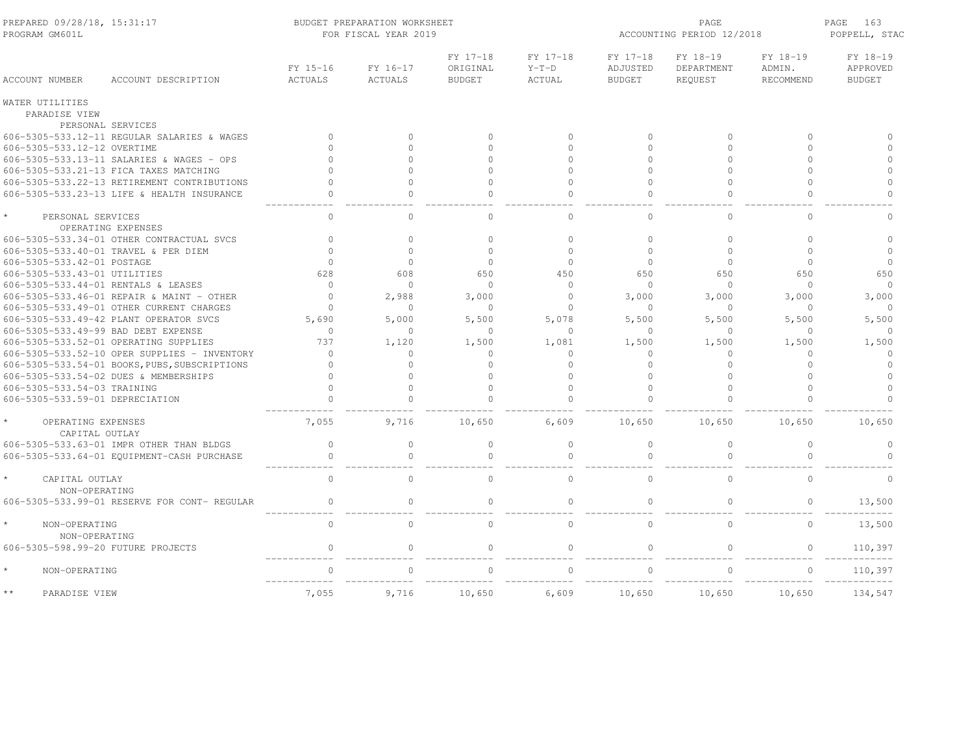| PREPARED 09/28/18, 15:31:17<br>PROGRAM GM601L |                                               |                            | BUDGET PREPARATION WORKSHEET<br>FOR FISCAL YEAR 2019 |                                       | ACCOUNTING PERIOD 12/2018            | PAGE<br>163<br>POPPELL, STAC          |                                          |                                        |                                       |
|-----------------------------------------------|-----------------------------------------------|----------------------------|------------------------------------------------------|---------------------------------------|--------------------------------------|---------------------------------------|------------------------------------------|----------------------------------------|---------------------------------------|
| <b>ACCOUNT NUMBER</b>                         | ACCOUNT DESCRIPTION                           | FY 15-16<br><b>ACTUALS</b> | FY 16-17<br><b>ACTUALS</b>                           | FY 17-18<br>ORIGINAL<br><b>BUDGET</b> | FY 17-18<br>$Y-T-D$<br><b>ACTUAL</b> | FY 17-18<br>ADJUSTED<br><b>BUDGET</b> | FY 18-19<br>DEPARTMENT<br><b>REQUEST</b> | FY 18-19<br>ADMIN.<br><b>RECOMMEND</b> | FY 18-19<br>APPROVED<br><b>BUDGET</b> |
| WATER UTILITIES                               |                                               |                            |                                                      |                                       |                                      |                                       |                                          |                                        |                                       |
| PARADISE VIEW                                 |                                               |                            |                                                      |                                       |                                      |                                       |                                          |                                        |                                       |
|                                               | PERSONAL SERVICES                             |                            |                                                      |                                       |                                      |                                       |                                          |                                        |                                       |
|                                               | 606-5305-533.12-11 REGULAR SALARIES & WAGES   | $\Omega$                   | $\Omega$                                             | $\cap$                                | $\Omega$                             | $\bigcap$                             | $\Omega$                                 | $\Omega$                               | $\cap$                                |
| 606-5305-533.12-12 OVERTIME                   |                                               | $\Omega$                   | $\Omega$                                             | $\Omega$                              | $\Omega$                             | $\Omega$                              | $\Omega$                                 | $\Omega$                               | $\Omega$                              |
|                                               | 606-5305-533.13-11 SALARIES & WAGES - OPS     |                            | $\Omega$                                             | $\cap$                                | $\cap$                               | $\cap$                                | $\cap$                                   | $\cap$                                 | $\Omega$                              |
|                                               | 606-5305-533.21-13 FICA TAXES MATCHING        |                            | $\Omega$                                             | $\cap$                                | $\cap$                               | $\cap$                                | $\cap$                                   | $\cap$                                 | $\circ$                               |
|                                               | 606-5305-533.22-13 RETIREMENT CONTRIBUTIONS   | $\Omega$                   | $\Omega$                                             | $\Omega$                              | $\Omega$                             | $\Omega$                              | $\Omega$                                 | $\Omega$                               | $\circ$                               |
|                                               | 606-5305-533.23-13 LIFE & HEALTH INSURANCE    | $\Omega$                   | $\circ$                                              | $\Omega$                              | $\circ$                              | $\Omega$                              | $\Omega$                                 | $\Omega$                               | $\circ$                               |
| PERSONAL SERVICES                             | OPERATING EXPENSES                            | $\Omega$                   | $\Omega$                                             | $\Omega$                              | $\Omega$                             | $\Omega$                              | $\Omega$                                 | $\Omega$                               | $\Omega$                              |
|                                               | 606-5305-533.34-01 OTHER CONTRACTUAL SVCS     | $\Omega$                   | $\circ$                                              | $\circ$                               | $\Omega$                             | $\Omega$                              | $\circ$                                  | $\Omega$                               | $\Omega$                              |
|                                               | 606-5305-533.40-01 TRAVEL & PER DIEM          | $\Omega$                   | $\circ$                                              | $\circ$                               | $\Omega$                             | $\Omega$                              | $\circ$                                  | $\circ$                                | $\circ$                               |
| 606-5305-533.42-01 POSTAGE                    |                                               | $\Omega$                   | $\Omega$                                             | $\Omega$                              | $\Omega$                             | $\cap$                                | $\Omega$                                 | $\Omega$                               | $\Omega$                              |
| 606-5305-533.43-01 UTILITIES                  |                                               | 628                        | 608                                                  | 650                                   | 450                                  | 650                                   | 650                                      | 650                                    | 650                                   |
| 606-5305-533.44-01 RENTALS & LEASES           |                                               | $\Omega$                   | $\Omega$                                             | $\Omega$                              | $\circ$                              | $\cap$                                | $\Omega$                                 | $\Omega$                               | $\Omega$                              |
|                                               | 606-5305-533.46-01 REPAIR & MAINT - OTHER     | $\Omega$                   | 2,988                                                | 3,000                                 | $\Omega$                             | 3,000                                 | 3,000                                    | 3,000                                  | 3,000                                 |
|                                               | 606-5305-533.49-01 OTHER CURRENT CHARGES      | $\Omega$                   | $\circ$                                              | $\bigcap$                             | $\Omega$                             | $\bigcap$                             | $\mathbf{0}$                             | $\Omega$                               |                                       |
|                                               | 606-5305-533.49-42 PLANT OPERATOR SVCS        | 5.690                      | 5,000                                                | 5,500                                 | 5.078                                | 5,500                                 | 5,500                                    | 5,500                                  | 5,500                                 |
| 606-5305-533.49-99 BAD DEBT EXPENSE           |                                               | $\mathbf{0}$               | $\circ$                                              | $\mathbf{0}$                          | $\circ$                              | $\Omega$                              | $\circ$                                  | $\mathbf 0$                            | $\Omega$                              |
|                                               | 606-5305-533.52-01 OPERATING SUPPLIES         | 737                        | 1,120                                                | 1,500                                 | 1,081                                | 1,500                                 | 1,500                                    | 1,500                                  | 1,500                                 |
|                                               | 606-5305-533.52-10 OPER SUPPLIES - INVENTORY  | $\mathbf{0}$               | $\circ$                                              | $\mathbf{0}$                          | 0                                    | $\cap$                                | $\mathbf 0$                              | $\Omega$                               | $\circ$                               |
|                                               | 606-5305-533.54-01 BOOKS, PUBS, SUBSCRIPTIONS | $\Omega$                   | $\circ$                                              | $\Omega$                              | $\Omega$                             | $\Omega$                              | $\circ$                                  | $\Omega$                               | $\circ$                               |
|                                               | 606-5305-533.54-02 DUES & MEMBERSHIPS         | $\Omega$                   | $\circ$                                              | $\Omega$                              | $\Omega$                             | $\cap$                                | $\circ$                                  | $\Omega$                               | $\circ$                               |
| 606-5305-533.54-03 TRAINING                   |                                               | $\Omega$                   | $\circ$                                              | $\Omega$                              | $\Omega$                             | $\Omega$                              | $\Omega$                                 | $\Omega$                               | $\circ$                               |
| 606-5305-533.59-01 DEPRECIATION               |                                               | $\Omega$                   | $\circ$                                              | $\Omega$                              | $\Omega$                             | $\cap$                                | $\Omega$                                 | $\Omega$                               | $\cap$                                |
| OPERATING EXPENSES<br>CAPITAL OUTLAY          |                                               | 7,055                      | 9,716                                                | 10,650                                | 6,609                                | 10,650                                | 10,650                                   | 10,650                                 | 10,650                                |
|                                               | 606-5305-533.63-01 IMPR OTHER THAN BLDGS      | $\circ$                    | $\Omega$                                             | $\Omega$                              | $\circ$                              | $\Omega$                              | $\mathbf{0}$                             | $\Omega$                               | $\circ$                               |
|                                               | 606-5305-533.64-01 EQUIPMENT-CASH PURCHASE    | $\Omega$                   | $\circ$                                              | $\Omega$                              | $\circ$                              | $\cap$                                | $\circ$                                  | $\cap$                                 | $\cap$                                |
| CAPITAL OUTLAY                                |                                               | $\Omega$                   | $\Omega$                                             | $\Omega$                              | $\Omega$                             | $\Omega$                              | $\mathbf{0}$                             | $\Omega$                               | $\Omega$                              |
| NON-OPERATING                                 | 606-5305-533.99-01 RESERVE FOR CONT- REGULAR  | $\mathbf{0}$               | $\Omega$                                             | $\circ$                               | $\Omega$                             | $\Omega$                              | $\mathbf{0}$                             | $\Omega$                               | 13,500                                |
| NON-OPERATING<br>NON-OPERATING                |                                               | $\mathbf 0$                | $\circ$                                              | $\circ$                               | $\circ$                              | $\Omega$                              | $\circ$                                  | $\circ$                                | 13,500                                |
| 606-5305-598.99-20 FUTURE PROJECTS            |                                               | $\circ$                    | $\circ$                                              | $\mathbf{0}$                          | $\circ$                              | $\Omega$                              | $\circ$                                  | $\circ$                                | 110,397                               |
| $\star$<br>NON-OPERATING                      |                                               | $\Omega$                   | $\Omega$                                             |                                       | $\Omega$                             |                                       | $\Omega$                                 | $\Omega$                               | 110,397                               |
| $\star\star$<br>PARADISE VIEW                 |                                               | 7,055                      | 9,716                                                | 10,650                                | 6,609                                | 10,650                                | 10,650                                   | 10,650                                 | 134,547                               |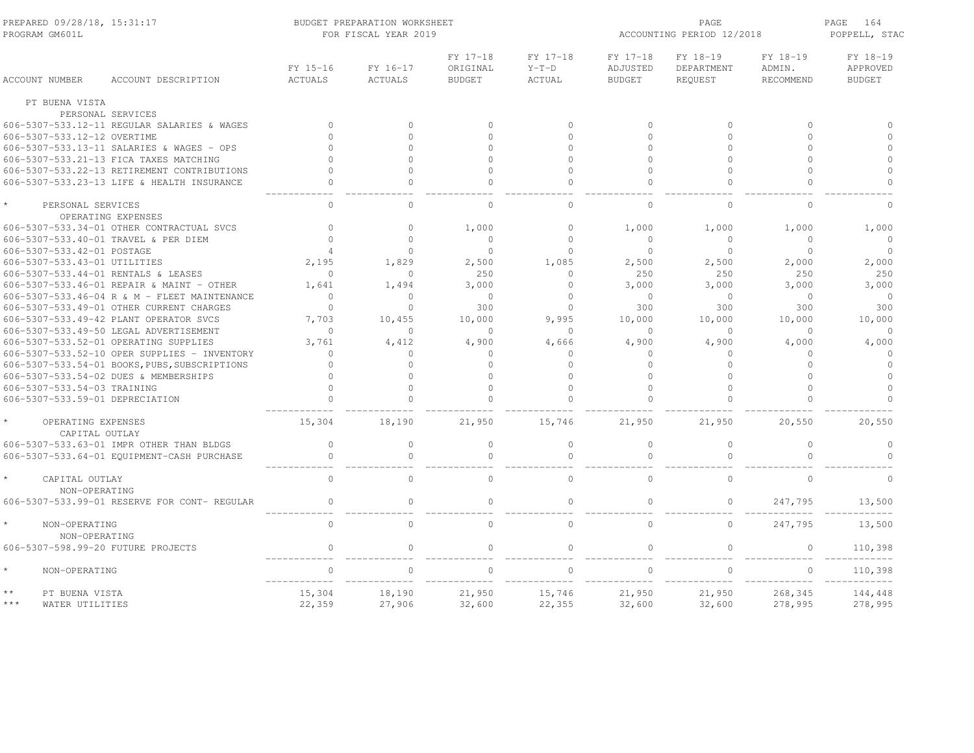| PREPARED 09/28/18, 15:31:17<br>PROGRAM GM601T   |                                               |                            | BUDGET PREPARATION WORKSHEET<br>FOR FISCAL YEAR 2019 |                                       |                                      | ACCOUNTING PERIOD 12/2018             | PAGE<br>164<br>POPPELL, STAC      |                                        |                                       |
|-------------------------------------------------|-----------------------------------------------|----------------------------|------------------------------------------------------|---------------------------------------|--------------------------------------|---------------------------------------|-----------------------------------|----------------------------------------|---------------------------------------|
| <b>ACCOUNT NUMBER</b>                           | ACCOUNT DESCRIPTION                           | FY 15-16<br><b>ACTUALS</b> | FY 16-17<br><b>ACTUALS</b>                           | FY 17-18<br>ORIGINAL<br><b>BUDGET</b> | FY 17-18<br>$Y-T-D$<br><b>ACTUAL</b> | FY 17-18<br>ADJUSTED<br><b>BUDGET</b> | FY 18-19<br>DEPARTMENT<br>REQUEST | FY 18-19<br>ADMIN.<br><b>RECOMMEND</b> | FY 18-19<br>APPROVED<br><b>BUDGET</b> |
| PT BUENA VISTA                                  |                                               |                            |                                                      |                                       |                                      |                                       |                                   |                                        |                                       |
|                                                 | PERSONAL SERVICES                             |                            |                                                      |                                       |                                      |                                       |                                   |                                        |                                       |
|                                                 | 606-5307-533.12-11 REGULAR SALARIES & WAGES   | $\bigcap$                  | $\Omega$                                             | $\cap$                                | $\mathbf{0}$                         | $\mathbf{0}$                          | $\mathbf{0}$                      | $\Omega$                               | $\Omega$                              |
| 606-5307-533.12-12 OVERTIME                     |                                               | $\bigcap$                  | $\Omega$                                             | $\cap$                                | $\Omega$                             | $\bigcap$                             | $\Omega$                          | $\Omega$                               | $\Omega$                              |
|                                                 | 606-5307-533.13-11 SALARIES & WAGES - OPS     | $\cap$                     | $\Omega$                                             | $\cap$                                | $\Omega$                             | $\Omega$                              | $\Omega$                          | $\Omega$                               | $\Omega$                              |
|                                                 | 606-5307-533.21-13 FICA TAXES MATCHING        | $\Omega$                   | $\Omega$                                             | $\Omega$                              | $\bigcap$                            | $\cap$                                | $\Omega$                          | $\cap$                                 | $\Omega$                              |
|                                                 | 606-5307-533.22-13 RETIREMENT CONTRIBUTIONS   | $\Omega$                   | $\Omega$                                             | $\Omega$                              | $\bigcap$                            | $\bigcap$                             | $\Omega$                          | $\Omega$                               | $\Omega$                              |
|                                                 | 606-5307-533.23-13 LIFE & HEALTH INSURANCE    | $\Omega$                   | $\Omega$                                             | $\cap$                                | $\Omega$                             | $\cap$                                | $\Omega$                          | $\cap$                                 | $\Omega$                              |
| PERSONAL SERVICES                               | OPERATING EXPENSES                            | $\mathbf{0}$               | $\Omega$                                             | $\Omega$                              | $\mathbf{0}$                         | $\Omega$                              | $\Omega$                          | $\Omega$                               | $\Omega$                              |
|                                                 | 606-5307-533.34-01 OTHER CONTRACTUAL SVCS     | $\Omega$                   | $\Omega$                                             | 1,000                                 | $\Omega$                             | 1,000                                 | 1,000                             | 1,000                                  | 1,000                                 |
|                                                 | 606-5307-533.40-01 TRAVEL & PER DIEM          | $\Omega$                   | $\Omega$                                             | $\circ$                               | $\Omega$                             | $\Omega$                              | $\mathbf{0}$                      | $\Omega$                               | $\circ$                               |
| 606-5307-533.42-01 POSTAGE                      |                                               | $\overline{4}$             | $\Omega$                                             | $\Omega$                              | $\Omega$                             | $\Omega$                              | $\mathbf{0}$                      | $\circ$                                | $\circ$                               |
| 606-5307-533.43-01 UTILITIES                    |                                               | 2,195                      | 1,829                                                | 2,500                                 | 1,085                                | 2,500                                 | 2,500                             | 2,000                                  | 2,000                                 |
| 606-5307-533.44-01 RENTALS & LEASES             |                                               | $\Omega$                   | $\Omega$                                             | 250                                   | $\Omega$                             | 250                                   | 250                               | 250                                    | 250                                   |
|                                                 | 606-5307-533.46-01 REPAIR & MAINT - OTHER     | 1.641                      | 1.494                                                | 3,000                                 | $\Omega$                             | 3,000                                 | 3.000                             | 3,000                                  | 3,000                                 |
|                                                 | 606-5307-533.46-04 R & M - FLEET MAINTENANCE  | $\Omega$                   | $\Omega$                                             | $\Omega$                              | $\Omega$                             | $\Omega$                              | $\circ$                           | $\Omega$                               | $\circ$                               |
|                                                 | 606-5307-533.49-01 OTHER CURRENT CHARGES      | $\Omega$                   | $\Omega$                                             | 300                                   | $\Omega$                             | 300                                   | 300                               | 300                                    | 300                                   |
|                                                 | 606-5307-533.49-42 PLANT OPERATOR SVCS        | 7,703                      | 10.455                                               | 10,000                                | 9.995                                | 10,000                                | 10,000                            | 10,000                                 | 10,000                                |
|                                                 | 606-5307-533.49-50 LEGAL ADVERTISEMENT        | $\Omega$                   | $\Omega$                                             | $\Omega$                              | $\Omega$                             | $\Omega$                              | $\Omega$                          | $\Omega$                               | $\Omega$                              |
|                                                 | 606-5307-533.52-01 OPERATING SUPPLIES         | 3.761                      | 4,412                                                | 4,900                                 | 4,666                                | 4,900                                 | 4,900                             | 4,000                                  | 4,000                                 |
|                                                 | 606-5307-533.52-10 OPER SUPPLIES - INVENTORY  | $\mathbf{0}$               | $\circ$                                              | $\Omega$                              | $\Omega$                             | $\Omega$                              | $\mathbf{0}$                      | $\Omega$                               | $\circ$                               |
|                                                 | 606-5307-533.54-01 BOOKS, PUBS, SUBSCRIPTIONS | $\Omega$                   | $\Omega$                                             | $\cap$                                | $\Omega$                             | $\cap$                                | $\mathbf{0}$                      | $\Omega$                               | $\circ$                               |
|                                                 | 606-5307-533.54-02 DUES & MEMBERSHIPS         | $\cap$                     | $\Omega$                                             | $\cap$                                | $\bigcap$                            | $\cap$                                | $\Omega$                          | $\cap$                                 | $\Omega$                              |
| 606-5307-533.54-03 TRAINING                     |                                               | $\cap$                     | $\Omega$                                             | $\cap$                                | $\bigcap$                            | $\cap$                                | $\Omega$                          | $\cap$                                 | $\Omega$                              |
| 606-5307-533.59-01 DEPRECIATION                 |                                               |                            | $\Omega$                                             | $\cap$                                | $\bigcap$                            |                                       | $\Omega$                          |                                        | $\Omega$                              |
| $\star$<br>OPERATING EXPENSES<br>CAPITAL OUTLAY |                                               | 15,304                     | 18,190                                               | 21,950                                | 15,746                               | 21,950                                | 21,950                            | 20,550                                 | 20,550                                |
|                                                 | 606-5307-533.63-01 IMPR OTHER THAN BLDGS      | $\mathbf{0}$               | $\circ$                                              | $\circ$                               | $\mathbf{0}$                         | $\Omega$                              | $\circ$                           | $\circ$                                | $\circ$                               |
|                                                 | 606-5307-533.64-01 EQUIPMENT-CASH PURCHASE    | $\mathbf{0}$               | $\Omega$                                             | $\Omega$                              | $\Omega$                             | $\bigcap$                             | $\Omega$                          | $\Omega$                               | $\Omega$                              |
| $\star$<br>CAPITAL OUTLAY<br>NON-OPERATING      |                                               | $\circ$                    | $\Omega$                                             | $\Omega$                              | $\bigcap$                            | $\Omega$                              | $\mathbf{0}$                      | $\Omega$                               | $\Omega$                              |
|                                                 | 606-5307-533.99-01 RESERVE FOR CONT- REGULAR  | $\Omega$                   | $\Omega$                                             | $\cap$                                | $\Omega$                             | $\Omega$                              | $\circ$                           | 247,795                                | 13,500                                |
| $\star$<br>NON-OPERATING<br>NON-OPERATING       |                                               | $\Omega$                   | $\Omega$                                             | $\Omega$                              | $\mathbf{0}$                         | $\Omega$                              | $\circ$                           | 247,795                                | 13,500                                |
| 606-5307-598.99-20 FUTURE PROJECTS              |                                               | $\Omega$                   | $\Omega$                                             | $\Omega$                              | $\Omega$                             | $\Omega$                              | $\Omega$                          | $\Omega$                               | 110,398                               |
| $\star$<br>NON-OPERATING                        |                                               | $\Omega$                   | $\Omega$                                             | $\cap$                                | $\Omega$                             | $\cap$                                | $\mathbf{0}$                      | $\Omega$                               | 110,398                               |
| $\star\star$<br>PT BUENA VISTA                  |                                               | 15,304                     | 18,190                                               | 21,950                                | 15,746                               | 21,950                                | 21,950                            | 268,345                                | 144,448                               |
| $***$<br>WATER UTILITIES                        |                                               | 22,359                     | 27,906                                               | 32,600                                | 22,355                               | 32,600                                | 32,600                            | 278,995                                | 278,995                               |